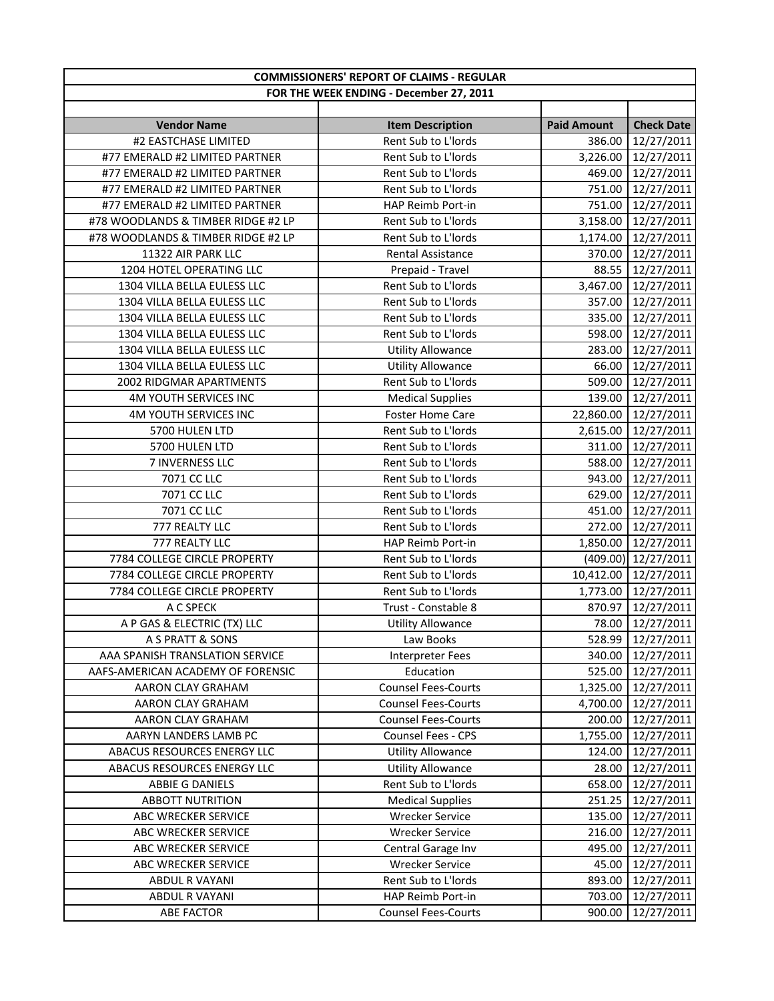| <b>COMMISSIONERS' REPORT OF CLAIMS - REGULAR</b> |                            |                    |                      |
|--------------------------------------------------|----------------------------|--------------------|----------------------|
| FOR THE WEEK ENDING - December 27, 2011          |                            |                    |                      |
| <b>Vendor Name</b>                               | <b>Item Description</b>    | <b>Paid Amount</b> | <b>Check Date</b>    |
| #2 EASTCHASE LIMITED                             | Rent Sub to L'Iords        | 386.00             | 12/27/2011           |
| #77 EMERALD #2 LIMITED PARTNER                   | Rent Sub to L'Iords        | 3,226.00           | 12/27/2011           |
| #77 EMERALD #2 LIMITED PARTNER                   | Rent Sub to L'Iords        | 469.00             | 12/27/2011           |
| #77 EMERALD #2 LIMITED PARTNER                   | Rent Sub to L'Iords        | 751.00             | 12/27/2011           |
| #77 EMERALD #2 LIMITED PARTNER                   | HAP Reimb Port-in          | 751.00             | 12/27/2011           |
| #78 WOODLANDS & TIMBER RIDGE #2 LP               | Rent Sub to L'Iords        | 3,158.00           | 12/27/2011           |
| #78 WOODLANDS & TIMBER RIDGE #2 LP               | Rent Sub to L'Iords        | 1,174.00           | 12/27/2011           |
| 11322 AIR PARK LLC                               | Rental Assistance          | 370.00             | 12/27/2011           |
| 1204 HOTEL OPERATING LLC                         | Prepaid - Travel           | 88.55              | 12/27/2011           |
| 1304 VILLA BELLA EULESS LLC                      | Rent Sub to L'Iords        | 3,467.00           | 12/27/2011           |
| 1304 VILLA BELLA EULESS LLC                      | Rent Sub to L'Iords        | 357.00             | 12/27/2011           |
| 1304 VILLA BELLA EULESS LLC                      | Rent Sub to L'Iords        | 335.00             | 12/27/2011           |
| 1304 VILLA BELLA EULESS LLC                      | Rent Sub to L'Iords        | 598.00             | 12/27/2011           |
| 1304 VILLA BELLA EULESS LLC                      | <b>Utility Allowance</b>   | 283.00             | 12/27/2011           |
| 1304 VILLA BELLA EULESS LLC                      | <b>Utility Allowance</b>   | 66.00              | 12/27/2011           |
| 2002 RIDGMAR APARTMENTS                          | Rent Sub to L'Iords        | 509.00             | 12/27/2011           |
| 4M YOUTH SERVICES INC                            | <b>Medical Supplies</b>    | 139.00             | 12/27/2011           |
| 4M YOUTH SERVICES INC                            | <b>Foster Home Care</b>    | 22,860.00          | 12/27/2011           |
| 5700 HULEN LTD                                   | Rent Sub to L'Iords        | 2,615.00           | 12/27/2011           |
| 5700 HULEN LTD                                   | Rent Sub to L'Iords        | 311.00             | 12/27/2011           |
| 7 INVERNESS LLC                                  | Rent Sub to L'Iords        | 588.00             | 12/27/2011           |
| 7071 CC LLC                                      | Rent Sub to L'Iords        | 943.00             | 12/27/2011           |
| 7071 CC LLC                                      | Rent Sub to L'Iords        | 629.00             | 12/27/2011           |
| 7071 CC LLC                                      | Rent Sub to L'Iords        | 451.00             | 12/27/2011           |
| 777 REALTY LLC                                   | Rent Sub to L'Iords        | 272.00             | 12/27/2011           |
| 777 REALTY LLC                                   | HAP Reimb Port-in          | 1,850.00           | 12/27/2011           |
| 7784 COLLEGE CIRCLE PROPERTY                     | Rent Sub to L'Iords        |                    | (409.00) 12/27/2011  |
| 7784 COLLEGE CIRCLE PROPERTY                     | Rent Sub to L'Iords        |                    | 10,412.00 12/27/2011 |
| 7784 COLLEGE CIRCLE PROPERTY                     | Rent Sub to L'Iords        | 1,773.00           | 12/27/2011           |
| A C SPECK                                        | Trust - Constable 8        | 870.97             | 12/27/2011           |
| A P GAS & ELECTRIC (TX) LLC                      | <b>Utility Allowance</b>   | 78.00              | 12/27/2011           |
| A S PRATT & SONS                                 | Law Books                  | 528.99             | 12/27/2011           |
| AAA SPANISH TRANSLATION SERVICE                  | <b>Interpreter Fees</b>    | 340.00             | 12/27/2011           |
| AAFS-AMERICAN ACADEMY OF FORENSIC                | Education                  | 525.00             | 12/27/2011           |
| AARON CLAY GRAHAM                                | <b>Counsel Fees-Courts</b> | 1,325.00           | 12/27/2011           |
| AARON CLAY GRAHAM                                | <b>Counsel Fees-Courts</b> | 4,700.00           | 12/27/2011           |
| AARON CLAY GRAHAM                                | <b>Counsel Fees-Courts</b> | 200.00             | 12/27/2011           |
| AARYN LANDERS LAMB PC                            | <b>Counsel Fees - CPS</b>  | 1,755.00           | 12/27/2011           |
| ABACUS RESOURCES ENERGY LLC                      | <b>Utility Allowance</b>   | 124.00             | 12/27/2011           |
| ABACUS RESOURCES ENERGY LLC                      | <b>Utility Allowance</b>   | 28.00              | 12/27/2011           |
| ABBIE G DANIELS                                  | Rent Sub to L'Iords        | 658.00             | 12/27/2011           |
| <b>ABBOTT NUTRITION</b>                          | <b>Medical Supplies</b>    | 251.25             | 12/27/2011           |
| ABC WRECKER SERVICE                              | <b>Wrecker Service</b>     | 135.00             | 12/27/2011           |
| ABC WRECKER SERVICE                              | <b>Wrecker Service</b>     | 216.00             | 12/27/2011           |
| ABC WRECKER SERVICE                              | Central Garage Inv         | 495.00             | 12/27/2011           |
| ABC WRECKER SERVICE                              | <b>Wrecker Service</b>     | 45.00              | 12/27/2011           |
| ABDUL R VAYANI                                   | Rent Sub to L'Iords        | 893.00             | 12/27/2011           |
| ABDUL R VAYANI                                   | HAP Reimb Port-in          | 703.00             | 12/27/2011           |
| <b>ABE FACTOR</b>                                | <b>Counsel Fees-Courts</b> | 900.00             | 12/27/2011           |
|                                                  |                            |                    |                      |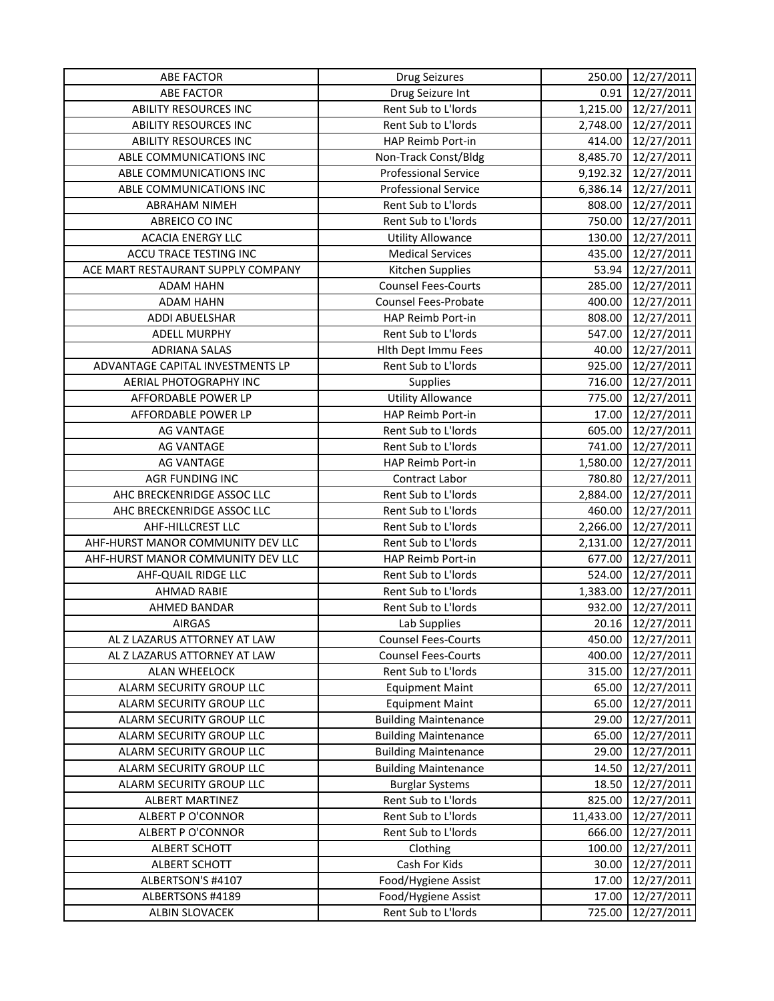| Drug Seizure Int<br>0.91<br>12/27/2011<br><b>ABE FACTOR</b><br>Rent Sub to L'Iords<br>1,215.00 12/27/2011<br><b>ABILITY RESOURCES INC</b><br><b>ABILITY RESOURCES INC</b><br>Rent Sub to L'Iords<br>12/27/2011<br>2,748.00<br><b>ABILITY RESOURCES INC</b><br>HAP Reimb Port-in<br>414.00<br>12/27/2011<br>ABLE COMMUNICATIONS INC<br>8,485.70<br>12/27/2011<br>Non-Track Const/Bldg<br>ABLE COMMUNICATIONS INC<br><b>Professional Service</b><br>12/27/2011<br>9,192.32<br>ABLE COMMUNICATIONS INC<br><b>Professional Service</b><br>6,386.14<br>12/27/2011<br><b>ABRAHAM NIMEH</b><br>Rent Sub to L'Iords<br>808.00<br>12/27/2011<br>Rent Sub to L'Iords<br>ABREICO CO INC<br>750.00<br>12/27/2011<br><b>ACACIA ENERGY LLC</b><br><b>Utility Allowance</b><br>130.00<br>12/27/2011<br><b>ACCU TRACE TESTING INC</b><br><b>Medical Services</b><br>435.00<br>12/27/2011<br>ACE MART RESTAURANT SUPPLY COMPANY<br>53.94<br>12/27/2011<br>Kitchen Supplies<br>12/27/2011<br><b>ADAM HAHN</b><br><b>Counsel Fees-Courts</b><br>285.00<br><b>ADAM HAHN</b><br><b>Counsel Fees-Probate</b><br>400.00<br>12/27/2011<br>808.00<br>12/27/2011<br>ADDI ABUELSHAR<br>HAP Reimb Port-in<br>Rent Sub to L'Iords<br><b>ADELL MURPHY</b><br>547.00<br>12/27/2011<br><b>ADRIANA SALAS</b><br><b>Hith Dept Immu Fees</b><br>40.00<br>12/27/2011<br>Rent Sub to L'Iords<br>925.00<br>ADVANTAGE CAPITAL INVESTMENTS LP<br>12/27/2011<br>AERIAL PHOTOGRAPHY INC<br>Supplies<br>716.00<br>12/27/2011<br><b>Utility Allowance</b><br>775.00<br>AFFORDABLE POWER LP<br>12/27/2011<br>HAP Reimb Port-in<br>17.00<br>12/27/2011<br>AFFORDABLE POWER LP<br>Rent Sub to L'Iords<br><b>AG VANTAGE</b><br>605.00<br>12/27/2011<br>Rent Sub to L'Iords<br>741.00<br>12/27/2011<br><b>AG VANTAGE</b><br><b>AG VANTAGE</b><br>HAP Reimb Port-in<br>1,580.00<br>12/27/2011<br><b>AGR FUNDING INC</b><br>Contract Labor<br>780.80<br>12/27/2011<br>AHC BRECKENRIDGE ASSOC LLC<br>Rent Sub to L'Iords<br>2,884.00<br>12/27/2011<br>AHC BRECKENRIDGE ASSOC LLC<br>Rent Sub to L'Iords<br>460.00<br>12/27/2011<br>2,266.00<br>AHF-HILLCREST LLC<br>Rent Sub to L'Iords<br>12/27/2011<br>AHF-HURST MANOR COMMUNITY DEV LLC<br>Rent Sub to L'Iords<br>12/27/2011<br>2,131.00<br>AHF-HURST MANOR COMMUNITY DEV LLC<br>HAP Reimb Port-in<br>677.00<br>12/27/2011<br>12/27/2011<br>AHF-QUAIL RIDGE LLC<br>Rent Sub to L'Iords<br>524.00<br>Rent Sub to L'Iords<br>1,383.00<br><b>AHMAD RABIE</b><br>12/27/2011<br>AHMED BANDAR<br>Rent Sub to L'Iords<br>932.00<br>12/27/2011<br><b>AIRGAS</b><br>20.16<br>12/27/2011<br>Lab Supplies<br>AL Z LAZARUS ATTORNEY AT LAW<br><b>Counsel Fees-Courts</b><br>450.00<br>12/27/2011<br>12/27/2011<br>AL Z LAZARUS ATTORNEY AT LAW<br><b>Counsel Fees-Courts</b><br>400.00<br>315.00<br>ALAN WHEELOCK<br>Rent Sub to L'Iords<br>12/27/2011<br>ALARM SECURITY GROUP LLC<br><b>Equipment Maint</b><br>12/27/2011<br>65.00<br>ALARM SECURITY GROUP LLC<br><b>Equipment Maint</b><br>65.00<br>12/27/2011<br>ALARM SECURITY GROUP LLC<br><b>Building Maintenance</b><br>29.00<br>12/27/2011<br>ALARM SECURITY GROUP LLC<br><b>Building Maintenance</b><br>65.00<br>12/27/2011<br><b>Building Maintenance</b><br>ALARM SECURITY GROUP LLC<br>29.00<br>12/27/2011<br>ALARM SECURITY GROUP LLC<br><b>Building Maintenance</b><br>14.50<br>12/27/2011<br>ALARM SECURITY GROUP LLC<br><b>Burglar Systems</b><br>18.50<br>12/27/2011<br><b>ALBERT MARTINEZ</b><br>Rent Sub to L'Iords<br>825.00<br>12/27/2011<br>ALBERT P O'CONNOR<br>Rent Sub to L'Iords<br>12/27/2011<br>11,433.00<br>Rent Sub to L'Iords<br>ALBERT P O'CONNOR<br>666.00<br>12/27/2011<br><b>ALBERT SCHOTT</b><br>100.00<br>12/27/2011<br>Clothing<br>Cash For Kids<br><b>ALBERT SCHOTT</b><br>30.00<br>12/27/2011<br>ALBERTSON'S #4107<br>Food/Hygiene Assist<br>17.00<br>12/27/2011<br>Food/Hygiene Assist<br>ALBERTSONS #4189<br>17.00<br>12/27/2011 | <b>ABE FACTOR</b> | <b>Drug Seizures</b> | 250.00 | 12/27/2011 |
|---------------------------------------------------------------------------------------------------------------------------------------------------------------------------------------------------------------------------------------------------------------------------------------------------------------------------------------------------------------------------------------------------------------------------------------------------------------------------------------------------------------------------------------------------------------------------------------------------------------------------------------------------------------------------------------------------------------------------------------------------------------------------------------------------------------------------------------------------------------------------------------------------------------------------------------------------------------------------------------------------------------------------------------------------------------------------------------------------------------------------------------------------------------------------------------------------------------------------------------------------------------------------------------------------------------------------------------------------------------------------------------------------------------------------------------------------------------------------------------------------------------------------------------------------------------------------------------------------------------------------------------------------------------------------------------------------------------------------------------------------------------------------------------------------------------------------------------------------------------------------------------------------------------------------------------------------------------------------------------------------------------------------------------------------------------------------------------------------------------------------------------------------------------------------------------------------------------------------------------------------------------------------------------------------------------------------------------------------------------------------------------------------------------------------------------------------------------------------------------------------------------------------------------------------------------------------------------------------------------------------------------------------------------------------------------------------------------------------------------------------------------------------------------------------------------------------------------------------------------------------------------------------------------------------------------------------------------------------------------------------------------------------------------------------------------------------------------------------------------------------------------------------------------------------------------------------------------------------------------------------------------------------------------------------------------------------------------------------------------------------------------------------------------------------------------------------------------------------------------------------------------------------------------------------------------------------------------------------------------------------------------------------------------------------------------------------------------------------------------------------------------------------------------------------------------------------------------------------------------------------------------------------------------|-------------------|----------------------|--------|------------|
|                                                                                                                                                                                                                                                                                                                                                                                                                                                                                                                                                                                                                                                                                                                                                                                                                                                                                                                                                                                                                                                                                                                                                                                                                                                                                                                                                                                                                                                                                                                                                                                                                                                                                                                                                                                                                                                                                                                                                                                                                                                                                                                                                                                                                                                                                                                                                                                                                                                                                                                                                                                                                                                                                                                                                                                                                                                                                                                                                                                                                                                                                                                                                                                                                                                                                                                                                                                                                                                                                                                                                                                                                                                                                                                                                                                                                                                                                                               |                   |                      |        |            |
|                                                                                                                                                                                                                                                                                                                                                                                                                                                                                                                                                                                                                                                                                                                                                                                                                                                                                                                                                                                                                                                                                                                                                                                                                                                                                                                                                                                                                                                                                                                                                                                                                                                                                                                                                                                                                                                                                                                                                                                                                                                                                                                                                                                                                                                                                                                                                                                                                                                                                                                                                                                                                                                                                                                                                                                                                                                                                                                                                                                                                                                                                                                                                                                                                                                                                                                                                                                                                                                                                                                                                                                                                                                                                                                                                                                                                                                                                                               |                   |                      |        |            |
|                                                                                                                                                                                                                                                                                                                                                                                                                                                                                                                                                                                                                                                                                                                                                                                                                                                                                                                                                                                                                                                                                                                                                                                                                                                                                                                                                                                                                                                                                                                                                                                                                                                                                                                                                                                                                                                                                                                                                                                                                                                                                                                                                                                                                                                                                                                                                                                                                                                                                                                                                                                                                                                                                                                                                                                                                                                                                                                                                                                                                                                                                                                                                                                                                                                                                                                                                                                                                                                                                                                                                                                                                                                                                                                                                                                                                                                                                                               |                   |                      |        |            |
|                                                                                                                                                                                                                                                                                                                                                                                                                                                                                                                                                                                                                                                                                                                                                                                                                                                                                                                                                                                                                                                                                                                                                                                                                                                                                                                                                                                                                                                                                                                                                                                                                                                                                                                                                                                                                                                                                                                                                                                                                                                                                                                                                                                                                                                                                                                                                                                                                                                                                                                                                                                                                                                                                                                                                                                                                                                                                                                                                                                                                                                                                                                                                                                                                                                                                                                                                                                                                                                                                                                                                                                                                                                                                                                                                                                                                                                                                                               |                   |                      |        |            |
|                                                                                                                                                                                                                                                                                                                                                                                                                                                                                                                                                                                                                                                                                                                                                                                                                                                                                                                                                                                                                                                                                                                                                                                                                                                                                                                                                                                                                                                                                                                                                                                                                                                                                                                                                                                                                                                                                                                                                                                                                                                                                                                                                                                                                                                                                                                                                                                                                                                                                                                                                                                                                                                                                                                                                                                                                                                                                                                                                                                                                                                                                                                                                                                                                                                                                                                                                                                                                                                                                                                                                                                                                                                                                                                                                                                                                                                                                                               |                   |                      |        |            |
|                                                                                                                                                                                                                                                                                                                                                                                                                                                                                                                                                                                                                                                                                                                                                                                                                                                                                                                                                                                                                                                                                                                                                                                                                                                                                                                                                                                                                                                                                                                                                                                                                                                                                                                                                                                                                                                                                                                                                                                                                                                                                                                                                                                                                                                                                                                                                                                                                                                                                                                                                                                                                                                                                                                                                                                                                                                                                                                                                                                                                                                                                                                                                                                                                                                                                                                                                                                                                                                                                                                                                                                                                                                                                                                                                                                                                                                                                                               |                   |                      |        |            |
|                                                                                                                                                                                                                                                                                                                                                                                                                                                                                                                                                                                                                                                                                                                                                                                                                                                                                                                                                                                                                                                                                                                                                                                                                                                                                                                                                                                                                                                                                                                                                                                                                                                                                                                                                                                                                                                                                                                                                                                                                                                                                                                                                                                                                                                                                                                                                                                                                                                                                                                                                                                                                                                                                                                                                                                                                                                                                                                                                                                                                                                                                                                                                                                                                                                                                                                                                                                                                                                                                                                                                                                                                                                                                                                                                                                                                                                                                                               |                   |                      |        |            |
|                                                                                                                                                                                                                                                                                                                                                                                                                                                                                                                                                                                                                                                                                                                                                                                                                                                                                                                                                                                                                                                                                                                                                                                                                                                                                                                                                                                                                                                                                                                                                                                                                                                                                                                                                                                                                                                                                                                                                                                                                                                                                                                                                                                                                                                                                                                                                                                                                                                                                                                                                                                                                                                                                                                                                                                                                                                                                                                                                                                                                                                                                                                                                                                                                                                                                                                                                                                                                                                                                                                                                                                                                                                                                                                                                                                                                                                                                                               |                   |                      |        |            |
|                                                                                                                                                                                                                                                                                                                                                                                                                                                                                                                                                                                                                                                                                                                                                                                                                                                                                                                                                                                                                                                                                                                                                                                                                                                                                                                                                                                                                                                                                                                                                                                                                                                                                                                                                                                                                                                                                                                                                                                                                                                                                                                                                                                                                                                                                                                                                                                                                                                                                                                                                                                                                                                                                                                                                                                                                                                                                                                                                                                                                                                                                                                                                                                                                                                                                                                                                                                                                                                                                                                                                                                                                                                                                                                                                                                                                                                                                                               |                   |                      |        |            |
|                                                                                                                                                                                                                                                                                                                                                                                                                                                                                                                                                                                                                                                                                                                                                                                                                                                                                                                                                                                                                                                                                                                                                                                                                                                                                                                                                                                                                                                                                                                                                                                                                                                                                                                                                                                                                                                                                                                                                                                                                                                                                                                                                                                                                                                                                                                                                                                                                                                                                                                                                                                                                                                                                                                                                                                                                                                                                                                                                                                                                                                                                                                                                                                                                                                                                                                                                                                                                                                                                                                                                                                                                                                                                                                                                                                                                                                                                                               |                   |                      |        |            |
|                                                                                                                                                                                                                                                                                                                                                                                                                                                                                                                                                                                                                                                                                                                                                                                                                                                                                                                                                                                                                                                                                                                                                                                                                                                                                                                                                                                                                                                                                                                                                                                                                                                                                                                                                                                                                                                                                                                                                                                                                                                                                                                                                                                                                                                                                                                                                                                                                                                                                                                                                                                                                                                                                                                                                                                                                                                                                                                                                                                                                                                                                                                                                                                                                                                                                                                                                                                                                                                                                                                                                                                                                                                                                                                                                                                                                                                                                                               |                   |                      |        |            |
|                                                                                                                                                                                                                                                                                                                                                                                                                                                                                                                                                                                                                                                                                                                                                                                                                                                                                                                                                                                                                                                                                                                                                                                                                                                                                                                                                                                                                                                                                                                                                                                                                                                                                                                                                                                                                                                                                                                                                                                                                                                                                                                                                                                                                                                                                                                                                                                                                                                                                                                                                                                                                                                                                                                                                                                                                                                                                                                                                                                                                                                                                                                                                                                                                                                                                                                                                                                                                                                                                                                                                                                                                                                                                                                                                                                                                                                                                                               |                   |                      |        |            |
|                                                                                                                                                                                                                                                                                                                                                                                                                                                                                                                                                                                                                                                                                                                                                                                                                                                                                                                                                                                                                                                                                                                                                                                                                                                                                                                                                                                                                                                                                                                                                                                                                                                                                                                                                                                                                                                                                                                                                                                                                                                                                                                                                                                                                                                                                                                                                                                                                                                                                                                                                                                                                                                                                                                                                                                                                                                                                                                                                                                                                                                                                                                                                                                                                                                                                                                                                                                                                                                                                                                                                                                                                                                                                                                                                                                                                                                                                                               |                   |                      |        |            |
|                                                                                                                                                                                                                                                                                                                                                                                                                                                                                                                                                                                                                                                                                                                                                                                                                                                                                                                                                                                                                                                                                                                                                                                                                                                                                                                                                                                                                                                                                                                                                                                                                                                                                                                                                                                                                                                                                                                                                                                                                                                                                                                                                                                                                                                                                                                                                                                                                                                                                                                                                                                                                                                                                                                                                                                                                                                                                                                                                                                                                                                                                                                                                                                                                                                                                                                                                                                                                                                                                                                                                                                                                                                                                                                                                                                                                                                                                                               |                   |                      |        |            |
|                                                                                                                                                                                                                                                                                                                                                                                                                                                                                                                                                                                                                                                                                                                                                                                                                                                                                                                                                                                                                                                                                                                                                                                                                                                                                                                                                                                                                                                                                                                                                                                                                                                                                                                                                                                                                                                                                                                                                                                                                                                                                                                                                                                                                                                                                                                                                                                                                                                                                                                                                                                                                                                                                                                                                                                                                                                                                                                                                                                                                                                                                                                                                                                                                                                                                                                                                                                                                                                                                                                                                                                                                                                                                                                                                                                                                                                                                                               |                   |                      |        |            |
|                                                                                                                                                                                                                                                                                                                                                                                                                                                                                                                                                                                                                                                                                                                                                                                                                                                                                                                                                                                                                                                                                                                                                                                                                                                                                                                                                                                                                                                                                                                                                                                                                                                                                                                                                                                                                                                                                                                                                                                                                                                                                                                                                                                                                                                                                                                                                                                                                                                                                                                                                                                                                                                                                                                                                                                                                                                                                                                                                                                                                                                                                                                                                                                                                                                                                                                                                                                                                                                                                                                                                                                                                                                                                                                                                                                                                                                                                                               |                   |                      |        |            |
|                                                                                                                                                                                                                                                                                                                                                                                                                                                                                                                                                                                                                                                                                                                                                                                                                                                                                                                                                                                                                                                                                                                                                                                                                                                                                                                                                                                                                                                                                                                                                                                                                                                                                                                                                                                                                                                                                                                                                                                                                                                                                                                                                                                                                                                                                                                                                                                                                                                                                                                                                                                                                                                                                                                                                                                                                                                                                                                                                                                                                                                                                                                                                                                                                                                                                                                                                                                                                                                                                                                                                                                                                                                                                                                                                                                                                                                                                                               |                   |                      |        |            |
|                                                                                                                                                                                                                                                                                                                                                                                                                                                                                                                                                                                                                                                                                                                                                                                                                                                                                                                                                                                                                                                                                                                                                                                                                                                                                                                                                                                                                                                                                                                                                                                                                                                                                                                                                                                                                                                                                                                                                                                                                                                                                                                                                                                                                                                                                                                                                                                                                                                                                                                                                                                                                                                                                                                                                                                                                                                                                                                                                                                                                                                                                                                                                                                                                                                                                                                                                                                                                                                                                                                                                                                                                                                                                                                                                                                                                                                                                                               |                   |                      |        |            |
|                                                                                                                                                                                                                                                                                                                                                                                                                                                                                                                                                                                                                                                                                                                                                                                                                                                                                                                                                                                                                                                                                                                                                                                                                                                                                                                                                                                                                                                                                                                                                                                                                                                                                                                                                                                                                                                                                                                                                                                                                                                                                                                                                                                                                                                                                                                                                                                                                                                                                                                                                                                                                                                                                                                                                                                                                                                                                                                                                                                                                                                                                                                                                                                                                                                                                                                                                                                                                                                                                                                                                                                                                                                                                                                                                                                                                                                                                                               |                   |                      |        |            |
|                                                                                                                                                                                                                                                                                                                                                                                                                                                                                                                                                                                                                                                                                                                                                                                                                                                                                                                                                                                                                                                                                                                                                                                                                                                                                                                                                                                                                                                                                                                                                                                                                                                                                                                                                                                                                                                                                                                                                                                                                                                                                                                                                                                                                                                                                                                                                                                                                                                                                                                                                                                                                                                                                                                                                                                                                                                                                                                                                                                                                                                                                                                                                                                                                                                                                                                                                                                                                                                                                                                                                                                                                                                                                                                                                                                                                                                                                                               |                   |                      |        |            |
|                                                                                                                                                                                                                                                                                                                                                                                                                                                                                                                                                                                                                                                                                                                                                                                                                                                                                                                                                                                                                                                                                                                                                                                                                                                                                                                                                                                                                                                                                                                                                                                                                                                                                                                                                                                                                                                                                                                                                                                                                                                                                                                                                                                                                                                                                                                                                                                                                                                                                                                                                                                                                                                                                                                                                                                                                                                                                                                                                                                                                                                                                                                                                                                                                                                                                                                                                                                                                                                                                                                                                                                                                                                                                                                                                                                                                                                                                                               |                   |                      |        |            |
|                                                                                                                                                                                                                                                                                                                                                                                                                                                                                                                                                                                                                                                                                                                                                                                                                                                                                                                                                                                                                                                                                                                                                                                                                                                                                                                                                                                                                                                                                                                                                                                                                                                                                                                                                                                                                                                                                                                                                                                                                                                                                                                                                                                                                                                                                                                                                                                                                                                                                                                                                                                                                                                                                                                                                                                                                                                                                                                                                                                                                                                                                                                                                                                                                                                                                                                                                                                                                                                                                                                                                                                                                                                                                                                                                                                                                                                                                                               |                   |                      |        |            |
|                                                                                                                                                                                                                                                                                                                                                                                                                                                                                                                                                                                                                                                                                                                                                                                                                                                                                                                                                                                                                                                                                                                                                                                                                                                                                                                                                                                                                                                                                                                                                                                                                                                                                                                                                                                                                                                                                                                                                                                                                                                                                                                                                                                                                                                                                                                                                                                                                                                                                                                                                                                                                                                                                                                                                                                                                                                                                                                                                                                                                                                                                                                                                                                                                                                                                                                                                                                                                                                                                                                                                                                                                                                                                                                                                                                                                                                                                                               |                   |                      |        |            |
|                                                                                                                                                                                                                                                                                                                                                                                                                                                                                                                                                                                                                                                                                                                                                                                                                                                                                                                                                                                                                                                                                                                                                                                                                                                                                                                                                                                                                                                                                                                                                                                                                                                                                                                                                                                                                                                                                                                                                                                                                                                                                                                                                                                                                                                                                                                                                                                                                                                                                                                                                                                                                                                                                                                                                                                                                                                                                                                                                                                                                                                                                                                                                                                                                                                                                                                                                                                                                                                                                                                                                                                                                                                                                                                                                                                                                                                                                                               |                   |                      |        |            |
|                                                                                                                                                                                                                                                                                                                                                                                                                                                                                                                                                                                                                                                                                                                                                                                                                                                                                                                                                                                                                                                                                                                                                                                                                                                                                                                                                                                                                                                                                                                                                                                                                                                                                                                                                                                                                                                                                                                                                                                                                                                                                                                                                                                                                                                                                                                                                                                                                                                                                                                                                                                                                                                                                                                                                                                                                                                                                                                                                                                                                                                                                                                                                                                                                                                                                                                                                                                                                                                                                                                                                                                                                                                                                                                                                                                                                                                                                                               |                   |                      |        |            |
|                                                                                                                                                                                                                                                                                                                                                                                                                                                                                                                                                                                                                                                                                                                                                                                                                                                                                                                                                                                                                                                                                                                                                                                                                                                                                                                                                                                                                                                                                                                                                                                                                                                                                                                                                                                                                                                                                                                                                                                                                                                                                                                                                                                                                                                                                                                                                                                                                                                                                                                                                                                                                                                                                                                                                                                                                                                                                                                                                                                                                                                                                                                                                                                                                                                                                                                                                                                                                                                                                                                                                                                                                                                                                                                                                                                                                                                                                                               |                   |                      |        |            |
|                                                                                                                                                                                                                                                                                                                                                                                                                                                                                                                                                                                                                                                                                                                                                                                                                                                                                                                                                                                                                                                                                                                                                                                                                                                                                                                                                                                                                                                                                                                                                                                                                                                                                                                                                                                                                                                                                                                                                                                                                                                                                                                                                                                                                                                                                                                                                                                                                                                                                                                                                                                                                                                                                                                                                                                                                                                                                                                                                                                                                                                                                                                                                                                                                                                                                                                                                                                                                                                                                                                                                                                                                                                                                                                                                                                                                                                                                                               |                   |                      |        |            |
|                                                                                                                                                                                                                                                                                                                                                                                                                                                                                                                                                                                                                                                                                                                                                                                                                                                                                                                                                                                                                                                                                                                                                                                                                                                                                                                                                                                                                                                                                                                                                                                                                                                                                                                                                                                                                                                                                                                                                                                                                                                                                                                                                                                                                                                                                                                                                                                                                                                                                                                                                                                                                                                                                                                                                                                                                                                                                                                                                                                                                                                                                                                                                                                                                                                                                                                                                                                                                                                                                                                                                                                                                                                                                                                                                                                                                                                                                                               |                   |                      |        |            |
|                                                                                                                                                                                                                                                                                                                                                                                                                                                                                                                                                                                                                                                                                                                                                                                                                                                                                                                                                                                                                                                                                                                                                                                                                                                                                                                                                                                                                                                                                                                                                                                                                                                                                                                                                                                                                                                                                                                                                                                                                                                                                                                                                                                                                                                                                                                                                                                                                                                                                                                                                                                                                                                                                                                                                                                                                                                                                                                                                                                                                                                                                                                                                                                                                                                                                                                                                                                                                                                                                                                                                                                                                                                                                                                                                                                                                                                                                                               |                   |                      |        |            |
|                                                                                                                                                                                                                                                                                                                                                                                                                                                                                                                                                                                                                                                                                                                                                                                                                                                                                                                                                                                                                                                                                                                                                                                                                                                                                                                                                                                                                                                                                                                                                                                                                                                                                                                                                                                                                                                                                                                                                                                                                                                                                                                                                                                                                                                                                                                                                                                                                                                                                                                                                                                                                                                                                                                                                                                                                                                                                                                                                                                                                                                                                                                                                                                                                                                                                                                                                                                                                                                                                                                                                                                                                                                                                                                                                                                                                                                                                                               |                   |                      |        |            |
|                                                                                                                                                                                                                                                                                                                                                                                                                                                                                                                                                                                                                                                                                                                                                                                                                                                                                                                                                                                                                                                                                                                                                                                                                                                                                                                                                                                                                                                                                                                                                                                                                                                                                                                                                                                                                                                                                                                                                                                                                                                                                                                                                                                                                                                                                                                                                                                                                                                                                                                                                                                                                                                                                                                                                                                                                                                                                                                                                                                                                                                                                                                                                                                                                                                                                                                                                                                                                                                                                                                                                                                                                                                                                                                                                                                                                                                                                                               |                   |                      |        |            |
|                                                                                                                                                                                                                                                                                                                                                                                                                                                                                                                                                                                                                                                                                                                                                                                                                                                                                                                                                                                                                                                                                                                                                                                                                                                                                                                                                                                                                                                                                                                                                                                                                                                                                                                                                                                                                                                                                                                                                                                                                                                                                                                                                                                                                                                                                                                                                                                                                                                                                                                                                                                                                                                                                                                                                                                                                                                                                                                                                                                                                                                                                                                                                                                                                                                                                                                                                                                                                                                                                                                                                                                                                                                                                                                                                                                                                                                                                                               |                   |                      |        |            |
|                                                                                                                                                                                                                                                                                                                                                                                                                                                                                                                                                                                                                                                                                                                                                                                                                                                                                                                                                                                                                                                                                                                                                                                                                                                                                                                                                                                                                                                                                                                                                                                                                                                                                                                                                                                                                                                                                                                                                                                                                                                                                                                                                                                                                                                                                                                                                                                                                                                                                                                                                                                                                                                                                                                                                                                                                                                                                                                                                                                                                                                                                                                                                                                                                                                                                                                                                                                                                                                                                                                                                                                                                                                                                                                                                                                                                                                                                                               |                   |                      |        |            |
|                                                                                                                                                                                                                                                                                                                                                                                                                                                                                                                                                                                                                                                                                                                                                                                                                                                                                                                                                                                                                                                                                                                                                                                                                                                                                                                                                                                                                                                                                                                                                                                                                                                                                                                                                                                                                                                                                                                                                                                                                                                                                                                                                                                                                                                                                                                                                                                                                                                                                                                                                                                                                                                                                                                                                                                                                                                                                                                                                                                                                                                                                                                                                                                                                                                                                                                                                                                                                                                                                                                                                                                                                                                                                                                                                                                                                                                                                                               |                   |                      |        |            |
|                                                                                                                                                                                                                                                                                                                                                                                                                                                                                                                                                                                                                                                                                                                                                                                                                                                                                                                                                                                                                                                                                                                                                                                                                                                                                                                                                                                                                                                                                                                                                                                                                                                                                                                                                                                                                                                                                                                                                                                                                                                                                                                                                                                                                                                                                                                                                                                                                                                                                                                                                                                                                                                                                                                                                                                                                                                                                                                                                                                                                                                                                                                                                                                                                                                                                                                                                                                                                                                                                                                                                                                                                                                                                                                                                                                                                                                                                                               |                   |                      |        |            |
|                                                                                                                                                                                                                                                                                                                                                                                                                                                                                                                                                                                                                                                                                                                                                                                                                                                                                                                                                                                                                                                                                                                                                                                                                                                                                                                                                                                                                                                                                                                                                                                                                                                                                                                                                                                                                                                                                                                                                                                                                                                                                                                                                                                                                                                                                                                                                                                                                                                                                                                                                                                                                                                                                                                                                                                                                                                                                                                                                                                                                                                                                                                                                                                                                                                                                                                                                                                                                                                                                                                                                                                                                                                                                                                                                                                                                                                                                                               |                   |                      |        |            |
|                                                                                                                                                                                                                                                                                                                                                                                                                                                                                                                                                                                                                                                                                                                                                                                                                                                                                                                                                                                                                                                                                                                                                                                                                                                                                                                                                                                                                                                                                                                                                                                                                                                                                                                                                                                                                                                                                                                                                                                                                                                                                                                                                                                                                                                                                                                                                                                                                                                                                                                                                                                                                                                                                                                                                                                                                                                                                                                                                                                                                                                                                                                                                                                                                                                                                                                                                                                                                                                                                                                                                                                                                                                                                                                                                                                                                                                                                                               |                   |                      |        |            |
|                                                                                                                                                                                                                                                                                                                                                                                                                                                                                                                                                                                                                                                                                                                                                                                                                                                                                                                                                                                                                                                                                                                                                                                                                                                                                                                                                                                                                                                                                                                                                                                                                                                                                                                                                                                                                                                                                                                                                                                                                                                                                                                                                                                                                                                                                                                                                                                                                                                                                                                                                                                                                                                                                                                                                                                                                                                                                                                                                                                                                                                                                                                                                                                                                                                                                                                                                                                                                                                                                                                                                                                                                                                                                                                                                                                                                                                                                                               |                   |                      |        |            |
|                                                                                                                                                                                                                                                                                                                                                                                                                                                                                                                                                                                                                                                                                                                                                                                                                                                                                                                                                                                                                                                                                                                                                                                                                                                                                                                                                                                                                                                                                                                                                                                                                                                                                                                                                                                                                                                                                                                                                                                                                                                                                                                                                                                                                                                                                                                                                                                                                                                                                                                                                                                                                                                                                                                                                                                                                                                                                                                                                                                                                                                                                                                                                                                                                                                                                                                                                                                                                                                                                                                                                                                                                                                                                                                                                                                                                                                                                                               |                   |                      |        |            |
|                                                                                                                                                                                                                                                                                                                                                                                                                                                                                                                                                                                                                                                                                                                                                                                                                                                                                                                                                                                                                                                                                                                                                                                                                                                                                                                                                                                                                                                                                                                                                                                                                                                                                                                                                                                                                                                                                                                                                                                                                                                                                                                                                                                                                                                                                                                                                                                                                                                                                                                                                                                                                                                                                                                                                                                                                                                                                                                                                                                                                                                                                                                                                                                                                                                                                                                                                                                                                                                                                                                                                                                                                                                                                                                                                                                                                                                                                                               |                   |                      |        |            |
|                                                                                                                                                                                                                                                                                                                                                                                                                                                                                                                                                                                                                                                                                                                                                                                                                                                                                                                                                                                                                                                                                                                                                                                                                                                                                                                                                                                                                                                                                                                                                                                                                                                                                                                                                                                                                                                                                                                                                                                                                                                                                                                                                                                                                                                                                                                                                                                                                                                                                                                                                                                                                                                                                                                                                                                                                                                                                                                                                                                                                                                                                                                                                                                                                                                                                                                                                                                                                                                                                                                                                                                                                                                                                                                                                                                                                                                                                                               |                   |                      |        |            |
|                                                                                                                                                                                                                                                                                                                                                                                                                                                                                                                                                                                                                                                                                                                                                                                                                                                                                                                                                                                                                                                                                                                                                                                                                                                                                                                                                                                                                                                                                                                                                                                                                                                                                                                                                                                                                                                                                                                                                                                                                                                                                                                                                                                                                                                                                                                                                                                                                                                                                                                                                                                                                                                                                                                                                                                                                                                                                                                                                                                                                                                                                                                                                                                                                                                                                                                                                                                                                                                                                                                                                                                                                                                                                                                                                                                                                                                                                                               |                   |                      |        |            |
|                                                                                                                                                                                                                                                                                                                                                                                                                                                                                                                                                                                                                                                                                                                                                                                                                                                                                                                                                                                                                                                                                                                                                                                                                                                                                                                                                                                                                                                                                                                                                                                                                                                                                                                                                                                                                                                                                                                                                                                                                                                                                                                                                                                                                                                                                                                                                                                                                                                                                                                                                                                                                                                                                                                                                                                                                                                                                                                                                                                                                                                                                                                                                                                                                                                                                                                                                                                                                                                                                                                                                                                                                                                                                                                                                                                                                                                                                                               |                   |                      |        |            |
|                                                                                                                                                                                                                                                                                                                                                                                                                                                                                                                                                                                                                                                                                                                                                                                                                                                                                                                                                                                                                                                                                                                                                                                                                                                                                                                                                                                                                                                                                                                                                                                                                                                                                                                                                                                                                                                                                                                                                                                                                                                                                                                                                                                                                                                                                                                                                                                                                                                                                                                                                                                                                                                                                                                                                                                                                                                                                                                                                                                                                                                                                                                                                                                                                                                                                                                                                                                                                                                                                                                                                                                                                                                                                                                                                                                                                                                                                                               |                   |                      |        |            |
|                                                                                                                                                                                                                                                                                                                                                                                                                                                                                                                                                                                                                                                                                                                                                                                                                                                                                                                                                                                                                                                                                                                                                                                                                                                                                                                                                                                                                                                                                                                                                                                                                                                                                                                                                                                                                                                                                                                                                                                                                                                                                                                                                                                                                                                                                                                                                                                                                                                                                                                                                                                                                                                                                                                                                                                                                                                                                                                                                                                                                                                                                                                                                                                                                                                                                                                                                                                                                                                                                                                                                                                                                                                                                                                                                                                                                                                                                                               |                   |                      |        |            |
|                                                                                                                                                                                                                                                                                                                                                                                                                                                                                                                                                                                                                                                                                                                                                                                                                                                                                                                                                                                                                                                                                                                                                                                                                                                                                                                                                                                                                                                                                                                                                                                                                                                                                                                                                                                                                                                                                                                                                                                                                                                                                                                                                                                                                                                                                                                                                                                                                                                                                                                                                                                                                                                                                                                                                                                                                                                                                                                                                                                                                                                                                                                                                                                                                                                                                                                                                                                                                                                                                                                                                                                                                                                                                                                                                                                                                                                                                                               |                   |                      |        |            |
|                                                                                                                                                                                                                                                                                                                                                                                                                                                                                                                                                                                                                                                                                                                                                                                                                                                                                                                                                                                                                                                                                                                                                                                                                                                                                                                                                                                                                                                                                                                                                                                                                                                                                                                                                                                                                                                                                                                                                                                                                                                                                                                                                                                                                                                                                                                                                                                                                                                                                                                                                                                                                                                                                                                                                                                                                                                                                                                                                                                                                                                                                                                                                                                                                                                                                                                                                                                                                                                                                                                                                                                                                                                                                                                                                                                                                                                                                                               |                   |                      |        |            |
|                                                                                                                                                                                                                                                                                                                                                                                                                                                                                                                                                                                                                                                                                                                                                                                                                                                                                                                                                                                                                                                                                                                                                                                                                                                                                                                                                                                                                                                                                                                                                                                                                                                                                                                                                                                                                                                                                                                                                                                                                                                                                                                                                                                                                                                                                                                                                                                                                                                                                                                                                                                                                                                                                                                                                                                                                                                                                                                                                                                                                                                                                                                                                                                                                                                                                                                                                                                                                                                                                                                                                                                                                                                                                                                                                                                                                                                                                                               |                   |                      |        |            |
|                                                                                                                                                                                                                                                                                                                                                                                                                                                                                                                                                                                                                                                                                                                                                                                                                                                                                                                                                                                                                                                                                                                                                                                                                                                                                                                                                                                                                                                                                                                                                                                                                                                                                                                                                                                                                                                                                                                                                                                                                                                                                                                                                                                                                                                                                                                                                                                                                                                                                                                                                                                                                                                                                                                                                                                                                                                                                                                                                                                                                                                                                                                                                                                                                                                                                                                                                                                                                                                                                                                                                                                                                                                                                                                                                                                                                                                                                                               |                   |                      |        |            |
|                                                                                                                                                                                                                                                                                                                                                                                                                                                                                                                                                                                                                                                                                                                                                                                                                                                                                                                                                                                                                                                                                                                                                                                                                                                                                                                                                                                                                                                                                                                                                                                                                                                                                                                                                                                                                                                                                                                                                                                                                                                                                                                                                                                                                                                                                                                                                                                                                                                                                                                                                                                                                                                                                                                                                                                                                                                                                                                                                                                                                                                                                                                                                                                                                                                                                                                                                                                                                                                                                                                                                                                                                                                                                                                                                                                                                                                                                                               |                   |                      |        |            |
|                                                                                                                                                                                                                                                                                                                                                                                                                                                                                                                                                                                                                                                                                                                                                                                                                                                                                                                                                                                                                                                                                                                                                                                                                                                                                                                                                                                                                                                                                                                                                                                                                                                                                                                                                                                                                                                                                                                                                                                                                                                                                                                                                                                                                                                                                                                                                                                                                                                                                                                                                                                                                                                                                                                                                                                                                                                                                                                                                                                                                                                                                                                                                                                                                                                                                                                                                                                                                                                                                                                                                                                                                                                                                                                                                                                                                                                                                                               |                   |                      |        |            |
|                                                                                                                                                                                                                                                                                                                                                                                                                                                                                                                                                                                                                                                                                                                                                                                                                                                                                                                                                                                                                                                                                                                                                                                                                                                                                                                                                                                                                                                                                                                                                                                                                                                                                                                                                                                                                                                                                                                                                                                                                                                                                                                                                                                                                                                                                                                                                                                                                                                                                                                                                                                                                                                                                                                                                                                                                                                                                                                                                                                                                                                                                                                                                                                                                                                                                                                                                                                                                                                                                                                                                                                                                                                                                                                                                                                                                                                                                                               | ALBIN SLOVACEK    | Rent Sub to L'Iords  | 725.00 | 12/27/2011 |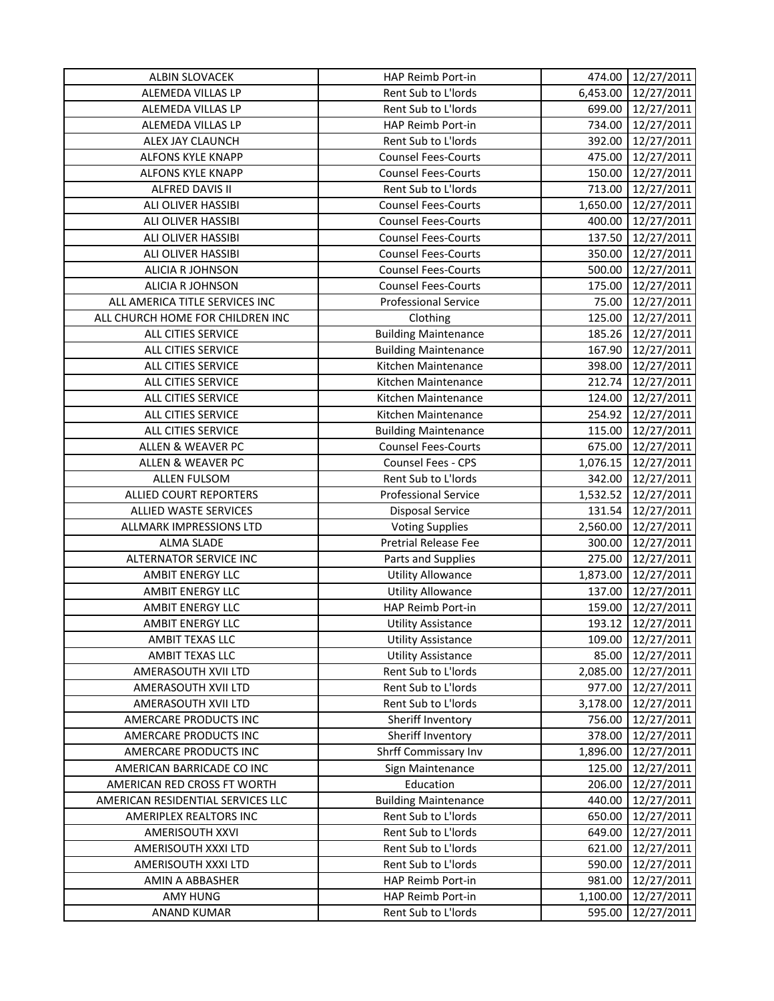| ALBIN SLOVACEK                    | HAP Reimb Port-in           | 474.00             | 12/27/2011 |
|-----------------------------------|-----------------------------|--------------------|------------|
| ALEMEDA VILLAS LP                 | Rent Sub to L'Iords         | 6,453.00           | 12/27/2011 |
| ALEMEDA VILLAS LP                 | Rent Sub to L'Iords         | 699.00             | 12/27/2011 |
| ALEMEDA VILLAS LP                 | HAP Reimb Port-in           | 734.00             | 12/27/2011 |
| ALEX JAY CLAUNCH                  | Rent Sub to L'Iords         | 392.00             | 12/27/2011 |
| ALFONS KYLE KNAPP                 | <b>Counsel Fees-Courts</b>  | 475.00             | 12/27/2011 |
| ALFONS KYLE KNAPP                 | <b>Counsel Fees-Courts</b>  | 150.00             | 12/27/2011 |
| ALFRED DAVIS II                   | Rent Sub to L'Iords         | 713.00             | 12/27/2011 |
| ALI OLIVER HASSIBI                | <b>Counsel Fees-Courts</b>  | 1,650.00           | 12/27/2011 |
| ALI OLIVER HASSIBI                | <b>Counsel Fees-Courts</b>  | 400.00             | 12/27/2011 |
| ALI OLIVER HASSIBI                | <b>Counsel Fees-Courts</b>  | 137.50             | 12/27/2011 |
| ALI OLIVER HASSIBI                | <b>Counsel Fees-Courts</b>  | 350.00             | 12/27/2011 |
| ALICIA R JOHNSON                  | <b>Counsel Fees-Courts</b>  | 500.00             | 12/27/2011 |
| ALICIA R JOHNSON                  | <b>Counsel Fees-Courts</b>  | 175.00             | 12/27/2011 |
| ALL AMERICA TITLE SERVICES INC    | <b>Professional Service</b> | 75.00              | 12/27/2011 |
| ALL CHURCH HOME FOR CHILDREN INC  | Clothing                    | 125.00             | 12/27/2011 |
| ALL CITIES SERVICE                | <b>Building Maintenance</b> | 185.26             | 12/27/2011 |
| ALL CITIES SERVICE                | <b>Building Maintenance</b> | 167.90             | 12/27/2011 |
| ALL CITIES SERVICE                | Kitchen Maintenance         | 398.00             | 12/27/2011 |
| ALL CITIES SERVICE                | Kitchen Maintenance         | 212.74             | 12/27/2011 |
| ALL CITIES SERVICE                | Kitchen Maintenance         | 124.00             | 12/27/2011 |
| ALL CITIES SERVICE                | Kitchen Maintenance         | 254.92             | 12/27/2011 |
| ALL CITIES SERVICE                | <b>Building Maintenance</b> | 115.00             | 12/27/2011 |
| ALLEN & WEAVER PC                 | <b>Counsel Fees-Courts</b>  | 675.00             | 12/27/2011 |
| ALLEN & WEAVER PC                 | Counsel Fees - CPS          | 1,076.15           | 12/27/2011 |
| <b>ALLEN FULSOM</b>               | Rent Sub to L'Iords         |                    | 12/27/2011 |
| ALLIED COURT REPORTERS            | <b>Professional Service</b> | 342.00<br>1,532.52 | 12/27/2011 |
| ALLIED WASTE SERVICES             | Disposal Service            | 131.54             | 12/27/2011 |
| ALLMARK IMPRESSIONS LTD           | <b>Voting Supplies</b>      | 2,560.00           | 12/27/2011 |
| <b>ALMA SLADE</b>                 | Pretrial Release Fee        | 300.00             | 12/27/2011 |
| <b>ALTERNATOR SERVICE INC</b>     | Parts and Supplies          | 275.00             | 12/27/2011 |
| <b>AMBIT ENERGY LLC</b>           | <b>Utility Allowance</b>    | 1,873.00           | 12/27/2011 |
| AMBIT ENERGY LLC                  | <b>Utility Allowance</b>    | 137.00             | 12/27/2011 |
| <b>AMBIT ENERGY LLC</b>           | HAP Reimb Port-in           |                    |            |
|                                   |                             | 159.00             | 12/27/2011 |
| AMBIT ENERGY LLC                  | <b>Utility Assistance</b>   | 193.12             | 12/27/2011 |
| AMBIT TEXAS LLC                   | <b>Utility Assistance</b>   | 109.00             | 12/27/2011 |
| AMBIT TEXAS LLC                   | <b>Utility Assistance</b>   | 85.00              | 12/27/2011 |
| AMERASOUTH XVII LTD               | Rent Sub to L'Iords         | 2,085.00           | 12/27/2011 |
| AMERASOUTH XVII LTD               | Rent Sub to L'Iords         | 977.00             | 12/27/2011 |
| AMERASOUTH XVII LTD               | Rent Sub to L'Iords         | 3,178.00           | 12/27/2011 |
| AMERCARE PRODUCTS INC             | Sheriff Inventory           | 756.00             | 12/27/2011 |
| AMERCARE PRODUCTS INC             | Sheriff Inventory           | 378.00             | 12/27/2011 |
| AMERCARE PRODUCTS INC             | Shrff Commissary Inv        | 1,896.00           | 12/27/2011 |
| AMERICAN BARRICADE CO INC         | Sign Maintenance            | 125.00             | 12/27/2011 |
| AMERICAN RED CROSS FT WORTH       | Education                   | 206.00             | 12/27/2011 |
| AMERICAN RESIDENTIAL SERVICES LLC | <b>Building Maintenance</b> | 440.00             | 12/27/2011 |
| AMERIPLEX REALTORS INC            | Rent Sub to L'Iords         | 650.00             | 12/27/2011 |
| AMERISOUTH XXVI                   | Rent Sub to L'Iords         | 649.00             | 12/27/2011 |
| AMERISOUTH XXXI LTD               | Rent Sub to L'Iords         | 621.00             | 12/27/2011 |
| AMERISOUTH XXXI LTD               | Rent Sub to L'Iords         | 590.00             | 12/27/2011 |
| AMIN A ABBASHER                   | HAP Reimb Port-in           | 981.00             | 12/27/2011 |
| AMY HUNG                          | HAP Reimb Port-in           | 1,100.00           | 12/27/2011 |
| <b>ANAND KUMAR</b>                | Rent Sub to L'Iords         | 595.00             | 12/27/2011 |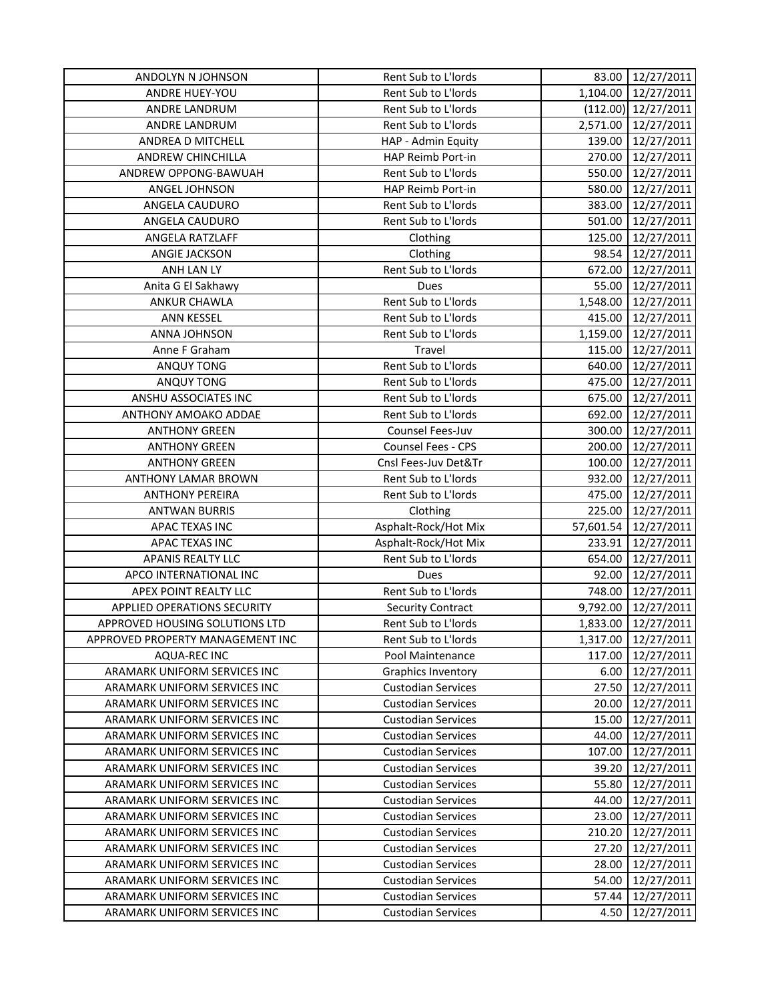| ANDOLYN N JOHNSON                | Rent Sub to L'Iords       |           | 83.00 12/27/2011    |
|----------------------------------|---------------------------|-----------|---------------------|
| <b>ANDRE HUEY-YOU</b>            | Rent Sub to L'Iords       | 1,104.00  | 12/27/2011          |
| ANDRE LANDRUM                    | Rent Sub to L'Iords       |           | (112.00) 12/27/2011 |
| ANDRE LANDRUM                    | Rent Sub to L'Iords       |           | 2,571.00 12/27/2011 |
| ANDREA D MITCHELL                | HAP - Admin Equity        | 139.00    | 12/27/2011          |
| ANDREW CHINCHILLA                | HAP Reimb Port-in         | 270.00    | 12/27/2011          |
| ANDREW OPPONG-BAWUAH             | Rent Sub to L'Iords       | 550.00    | 12/27/2011          |
| ANGEL JOHNSON                    | HAP Reimb Port-in         | 580.00    | 12/27/2011          |
| ANGELA CAUDURO                   | Rent Sub to L'Iords       | 383.00    | 12/27/2011          |
| ANGELA CAUDURO                   | Rent Sub to L'Iords       | 501.00    | 12/27/2011          |
| ANGELA RATZLAFF                  | Clothing                  | 125.00    | 12/27/2011          |
| <b>ANGIE JACKSON</b>             | Clothing                  | 98.54     | 12/27/2011          |
| ANH LAN LY                       | Rent Sub to L'Iords       | 672.00    | 12/27/2011          |
| Anita G El Sakhawy               | Dues                      | 55.00     | 12/27/2011          |
| ANKUR CHAWLA                     | Rent Sub to L'Iords       | 1,548.00  | 12/27/2011          |
| ANN KESSEL                       | Rent Sub to L'Iords       | 415.00    | 12/27/2011          |
| ANNA JOHNSON                     | Rent Sub to L'Iords       |           | 1,159.00 12/27/2011 |
| Anne F Graham                    | Travel                    | 115.00    | 12/27/2011          |
| ANQUY TONG                       | Rent Sub to L'Iords       | 640.00    | 12/27/2011          |
| ANQUY TONG                       | Rent Sub to L'Iords       | 475.00    | 12/27/2011          |
| ANSHU ASSOCIATES INC             | Rent Sub to L'Iords       | 675.00    | 12/27/2011          |
| ANTHONY AMOAKO ADDAE             | Rent Sub to L'Iords       | 692.00    | 12/27/2011          |
| <b>ANTHONY GREEN</b>             | Counsel Fees-Juv          | 300.00    | 12/27/2011          |
| <b>ANTHONY GREEN</b>             | Counsel Fees - CPS        | 200.00    | 12/27/2011          |
| <b>ANTHONY GREEN</b>             | Cnsl Fees-Juv Det&Tr      | 100.00    | 12/27/2011          |
| ANTHONY LAMAR BROWN              | Rent Sub to L'Iords       | 932.00    | 12/27/2011          |
| <b>ANTHONY PEREIRA</b>           | Rent Sub to L'Iords       | 475.00    | 12/27/2011          |
| <b>ANTWAN BURRIS</b>             | Clothing                  | 225.00    | 12/27/2011          |
| APAC TEXAS INC                   | Asphalt-Rock/Hot Mix      | 57,601.54 | 12/27/2011          |
| APAC TEXAS INC                   | Asphalt-Rock/Hot Mix      | 233.91    | 12/27/2011          |
| <b>APANIS REALTY LLC</b>         | Rent Sub to L'Iords       | 654.00    | 12/27/2011          |
| APCO INTERNATIONAL INC           | Dues                      | 92.00     | 12/27/2011          |
| APEX POINT REALTY LLC            | Rent Sub to L'Iords       | 748.00    | 12/27/2011          |
| APPLIED OPERATIONS SECURITY      | <b>Security Contract</b>  | 9,792.00  | 12/27/2011          |
| APPROVED HOUSING SOLUTIONS LTD   | Rent Sub to L'Iords       | 1,833.00  | 12/27/2011          |
| APPROVED PROPERTY MANAGEMENT INC | Rent Sub to L'Iords       | 1,317.00  | 12/27/2011          |
| <b>AQUA-REC INC</b>              | Pool Maintenance          | 117.00    | 12/27/2011          |
| ARAMARK UNIFORM SERVICES INC     | <b>Graphics Inventory</b> | 6.00      | 12/27/2011          |
| ARAMARK UNIFORM SERVICES INC     | <b>Custodian Services</b> | 27.50     | 12/27/2011          |
| ARAMARK UNIFORM SERVICES INC     | <b>Custodian Services</b> | 20.00     | 12/27/2011          |
| ARAMARK UNIFORM SERVICES INC     | <b>Custodian Services</b> | 15.00     | 12/27/2011          |
| ARAMARK UNIFORM SERVICES INC     | <b>Custodian Services</b> | 44.00     | 12/27/2011          |
| ARAMARK UNIFORM SERVICES INC     | <b>Custodian Services</b> | 107.00    | 12/27/2011          |
| ARAMARK UNIFORM SERVICES INC     | <b>Custodian Services</b> | 39.20     | 12/27/2011          |
| ARAMARK UNIFORM SERVICES INC     | <b>Custodian Services</b> | 55.80     | 12/27/2011          |
| ARAMARK UNIFORM SERVICES INC     | <b>Custodian Services</b> | 44.00     | 12/27/2011          |
| ARAMARK UNIFORM SERVICES INC     | <b>Custodian Services</b> | 23.00     | 12/27/2011          |
| ARAMARK UNIFORM SERVICES INC     | <b>Custodian Services</b> | 210.20    | 12/27/2011          |
| ARAMARK UNIFORM SERVICES INC     | <b>Custodian Services</b> | 27.20     | 12/27/2011          |
| ARAMARK UNIFORM SERVICES INC     | <b>Custodian Services</b> | 28.00     | 12/27/2011          |
| ARAMARK UNIFORM SERVICES INC     | <b>Custodian Services</b> | 54.00     | 12/27/2011          |
| ARAMARK UNIFORM SERVICES INC     | <b>Custodian Services</b> | 57.44     | 12/27/2011          |
| ARAMARK UNIFORM SERVICES INC     | <b>Custodian Services</b> | 4.50      | 12/27/2011          |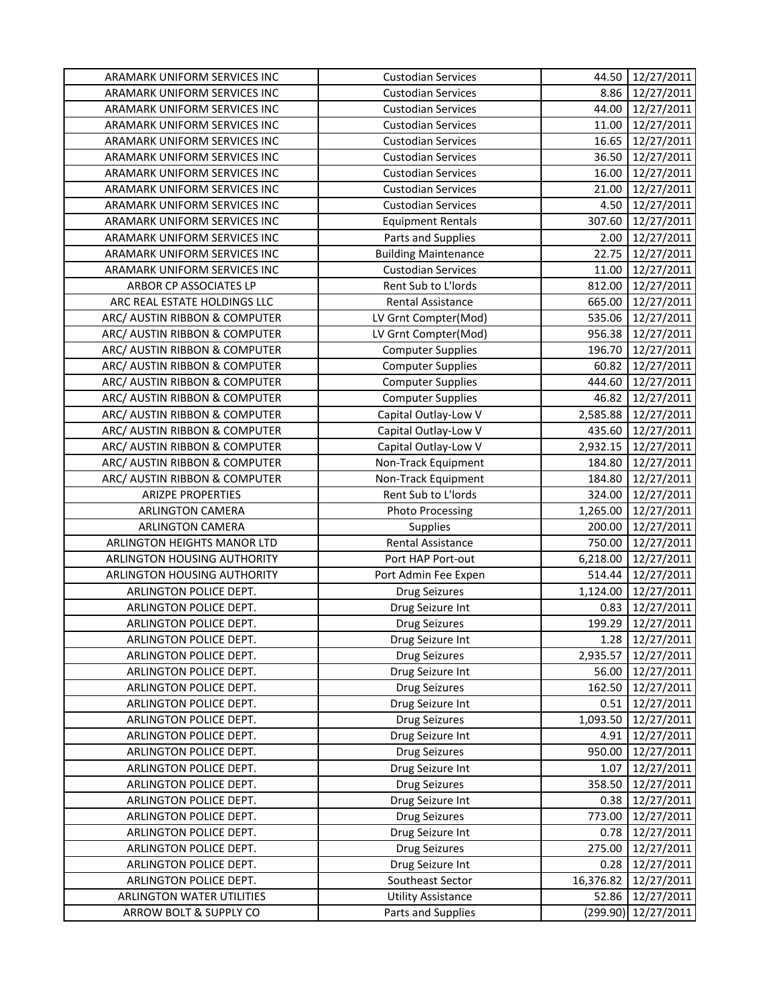| ARAMARK UNIFORM SERVICES INC  | <b>Custodian Services</b>   | 44.50     | 12/27/2011          |
|-------------------------------|-----------------------------|-----------|---------------------|
| ARAMARK UNIFORM SERVICES INC  | <b>Custodian Services</b>   | 8.86      | 12/27/2011          |
| ARAMARK UNIFORM SERVICES INC  | <b>Custodian Services</b>   | 44.00     | 12/27/2011          |
| ARAMARK UNIFORM SERVICES INC  | <b>Custodian Services</b>   | 11.00     | 12/27/2011          |
| ARAMARK UNIFORM SERVICES INC  | <b>Custodian Services</b>   | 16.65     | 12/27/2011          |
| ARAMARK UNIFORM SERVICES INC  | <b>Custodian Services</b>   | 36.50     | 12/27/2011          |
| ARAMARK UNIFORM SERVICES INC  | <b>Custodian Services</b>   | 16.00     | 12/27/2011          |
| ARAMARK UNIFORM SERVICES INC  | <b>Custodian Services</b>   | 21.00     | 12/27/2011          |
| ARAMARK UNIFORM SERVICES INC  | <b>Custodian Services</b>   | 4.50      | 12/27/2011          |
| ARAMARK UNIFORM SERVICES INC  | <b>Equipment Rentals</b>    | 307.60    | 12/27/2011          |
| ARAMARK UNIFORM SERVICES INC  | Parts and Supplies          | 2.00      | 12/27/2011          |
| ARAMARK UNIFORM SERVICES INC  | <b>Building Maintenance</b> | 22.75     | 12/27/2011          |
| ARAMARK UNIFORM SERVICES INC  | <b>Custodian Services</b>   | 11.00     | 12/27/2011          |
| ARBOR CP ASSOCIATES LP        | Rent Sub to L'Iords         | 812.00    | 12/27/2011          |
| ARC REAL ESTATE HOLDINGS LLC  | Rental Assistance           | 665.00    | 12/27/2011          |
| ARC/ AUSTIN RIBBON & COMPUTER | LV Grnt Compter(Mod)        | 535.06    | 12/27/2011          |
| ARC/ AUSTIN RIBBON & COMPUTER | LV Grnt Compter(Mod)        | 956.38    | 12/27/2011          |
| ARC/ AUSTIN RIBBON & COMPUTER | <b>Computer Supplies</b>    | 196.70    | 12/27/2011          |
| ARC/ AUSTIN RIBBON & COMPUTER | <b>Computer Supplies</b>    | 60.82     | 12/27/2011          |
| ARC/ AUSTIN RIBBON & COMPUTER | <b>Computer Supplies</b>    | 444.60    | 12/27/2011          |
| ARC/ AUSTIN RIBBON & COMPUTER | <b>Computer Supplies</b>    | 46.82     | 12/27/2011          |
| ARC/ AUSTIN RIBBON & COMPUTER | Capital Outlay-Low V        | 2,585.88  | 12/27/2011          |
| ARC/ AUSTIN RIBBON & COMPUTER | Capital Outlay-Low V        | 435.60    | 12/27/2011          |
| ARC/ AUSTIN RIBBON & COMPUTER | Capital Outlay-Low V        | 2,932.15  | 12/27/2011          |
| ARC/ AUSTIN RIBBON & COMPUTER | Non-Track Equipment         | 184.80    | 12/27/2011          |
| ARC/ AUSTIN RIBBON & COMPUTER | Non-Track Equipment         | 184.80    | 12/27/2011          |
| <b>ARIZPE PROPERTIES</b>      | Rent Sub to L'Iords         | 324.00    | 12/27/2011          |
| ARLINGTON CAMERA              | <b>Photo Processing</b>     | 1,265.00  | 12/27/2011          |
| ARLINGTON CAMERA              | Supplies                    | 200.00    | 12/27/2011          |
| ARLINGTON HEIGHTS MANOR LTD   | Rental Assistance           | 750.00    | 12/27/2011          |
| ARLINGTON HOUSING AUTHORITY   | Port HAP Port-out           | 6,218.00  | 12/27/2011          |
| ARLINGTON HOUSING AUTHORITY   | Port Admin Fee Expen        | 514.44    | 12/27/2011          |
| ARLINGTON POLICE DEPT.        | <b>Drug Seizures</b>        | 1,124.00  | 12/27/2011          |
| ARLINGTON POLICE DEPT.        | Drug Seizure Int            | 0.83      | 12/27/2011          |
| ARLINGTON POLICE DEPT.        | <b>Drug Seizures</b>        | 199.29    | 12/27/2011          |
| ARLINGTON POLICE DEPT.        | Drug Seizure Int            |           | 1.28 12/27/2011     |
| ARLINGTON POLICE DEPT.        | <b>Drug Seizures</b>        | 2,935.57  | 12/27/2011          |
| ARLINGTON POLICE DEPT.        | Drug Seizure Int            | 56.00     | 12/27/2011          |
| ARLINGTON POLICE DEPT.        | <b>Drug Seizures</b>        | 162.50    | 12/27/2011          |
| ARLINGTON POLICE DEPT.        | Drug Seizure Int            | 0.51      | 12/27/2011          |
| ARLINGTON POLICE DEPT.        | <b>Drug Seizures</b>        | 1,093.50  | 12/27/2011          |
| ARLINGTON POLICE DEPT.        | Drug Seizure Int            | 4.91      | 12/27/2011          |
| ARLINGTON POLICE DEPT.        | <b>Drug Seizures</b>        | 950.00    | 12/27/2011          |
| ARLINGTON POLICE DEPT.        | Drug Seizure Int            | 1.07      | 12/27/2011          |
| ARLINGTON POLICE DEPT.        | <b>Drug Seizures</b>        | 358.50    | 12/27/2011          |
| ARLINGTON POLICE DEPT.        | Drug Seizure Int            | 0.38      | 12/27/2011          |
| ARLINGTON POLICE DEPT.        | <b>Drug Seizures</b>        | 773.00    | 12/27/2011          |
| ARLINGTON POLICE DEPT.        | Drug Seizure Int            | 0.78      | 12/27/2011          |
| ARLINGTON POLICE DEPT.        | <b>Drug Seizures</b>        | 275.00    | 12/27/2011          |
| ARLINGTON POLICE DEPT.        | Drug Seizure Int            | 0.28      | 12/27/2011          |
| ARLINGTON POLICE DEPT.        | Southeast Sector            | 16,376.82 | 12/27/2011          |
| ARLINGTON WATER UTILITIES     | <b>Utility Assistance</b>   | 52.86     | 12/27/2011          |
| ARROW BOLT & SUPPLY CO        | Parts and Supplies          |           | (299.90) 12/27/2011 |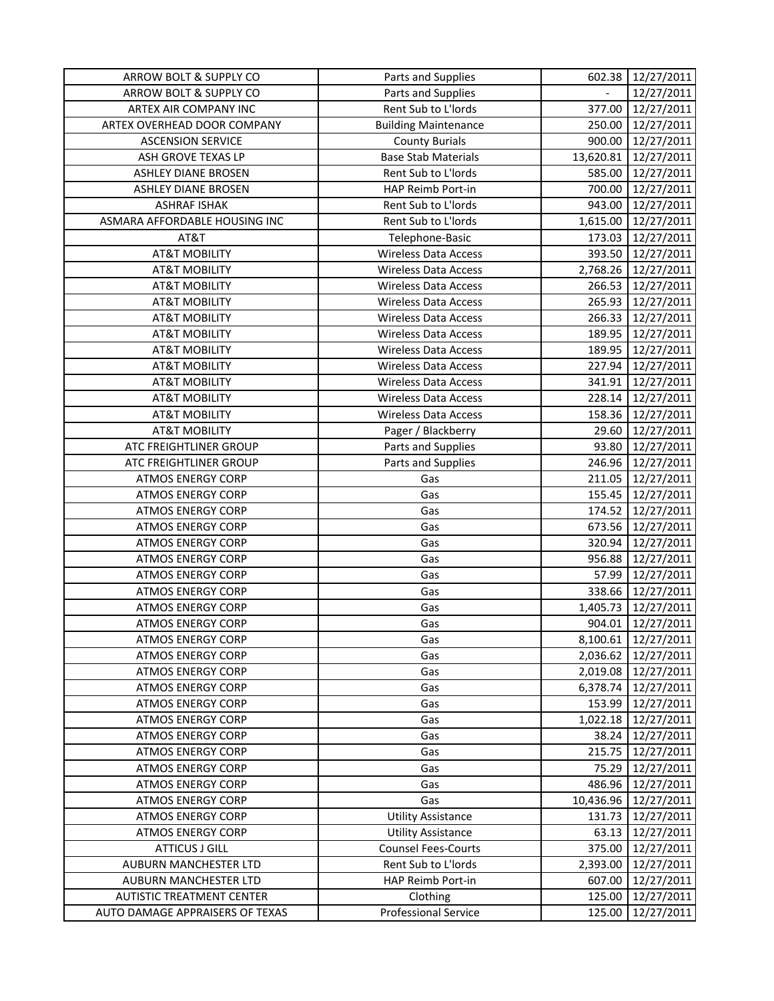| ARROW BOLT & SUPPLY CO           | Parts and Supplies          | 602.38         | 12/27/2011        |
|----------------------------------|-----------------------------|----------------|-------------------|
| ARROW BOLT & SUPPLY CO           | Parts and Supplies          | $\overline{a}$ | 12/27/2011        |
| ARTEX AIR COMPANY INC            | Rent Sub to L'Iords         | 377.00         | 12/27/2011        |
| ARTEX OVERHEAD DOOR COMPANY      | <b>Building Maintenance</b> | 250.00         | 12/27/2011        |
| <b>ASCENSION SERVICE</b>         | <b>County Burials</b>       | 900.00         | 12/27/2011        |
| ASH GROVE TEXAS LP               | <b>Base Stab Materials</b>  | 13,620.81      | 12/27/2011        |
| <b>ASHLEY DIANE BROSEN</b>       | Rent Sub to L'Iords         | 585.00         | 12/27/2011        |
| <b>ASHLEY DIANE BROSEN</b>       | HAP Reimb Port-in           | 700.00         | 12/27/2011        |
| <b>ASHRAF ISHAK</b>              | Rent Sub to L'Iords         | 943.00         | 12/27/2011        |
| ASMARA AFFORDABLE HOUSING INC    | Rent Sub to L'Iords         | 1,615.00       | 12/27/2011        |
| AT&T                             | Telephone-Basic             | 173.03         | 12/27/2011        |
| <b>AT&amp;T MOBILITY</b>         | <b>Wireless Data Access</b> | 393.50         | 12/27/2011        |
| <b>AT&amp;T MOBILITY</b>         | <b>Wireless Data Access</b> | 2,768.26       | 12/27/2011        |
| <b>AT&amp;T MOBILITY</b>         | <b>Wireless Data Access</b> | 266.53         | 12/27/2011        |
| <b>AT&amp;T MOBILITY</b>         | <b>Wireless Data Access</b> | 265.93         | 12/27/2011        |
| <b>AT&amp;T MOBILITY</b>         | <b>Wireless Data Access</b> | 266.33         | 12/27/2011        |
| <b>AT&amp;T MOBILITY</b>         | <b>Wireless Data Access</b> | 189.95         | 12/27/2011        |
| <b>AT&amp;T MOBILITY</b>         | <b>Wireless Data Access</b> |                | 189.95 12/27/2011 |
| <b>AT&amp;T MOBILITY</b>         | <b>Wireless Data Access</b> | 227.94         | 12/27/2011        |
| <b>AT&amp;T MOBILITY</b>         | <b>Wireless Data Access</b> | 341.91         | 12/27/2011        |
| <b>AT&amp;T MOBILITY</b>         | <b>Wireless Data Access</b> | 228.14         | 12/27/2011        |
| <b>AT&amp;T MOBILITY</b>         | <b>Wireless Data Access</b> | 158.36         | 12/27/2011        |
| <b>AT&amp;T MOBILITY</b>         | Pager / Blackberry          | 29.60          | 12/27/2011        |
| ATC FREIGHTLINER GROUP           | Parts and Supplies          | 93.80          | 12/27/2011        |
| ATC FREIGHTLINER GROUP           | Parts and Supplies          | 246.96         | 12/27/2011        |
| <b>ATMOS ENERGY CORP</b>         | Gas                         | 211.05         | 12/27/2011        |
| <b>ATMOS ENERGY CORP</b>         | Gas                         | 155.45         | 12/27/2011        |
| <b>ATMOS ENERGY CORP</b>         | Gas                         | 174.52         | 12/27/2011        |
| <b>ATMOS ENERGY CORP</b>         | Gas                         | 673.56         | 12/27/2011        |
| <b>ATMOS ENERGY CORP</b>         | Gas                         | 320.94         | 12/27/2011        |
| <b>ATMOS ENERGY CORP</b>         | Gas                         | 956.88         | 12/27/2011        |
| <b>ATMOS ENERGY CORP</b>         | Gas                         | 57.99          | 12/27/2011        |
| <b>ATMOS ENERGY CORP</b>         | Gas                         | 338.66         | 12/27/2011        |
| <b>ATMOS ENERGY CORP</b>         | Gas                         | 1,405.73       | 12/27/2011        |
| <b>ATMOS ENERGY CORP</b>         | Gas                         | 904.01         | 12/27/2011        |
| <b>ATMOS ENERGY CORP</b>         | Gas                         | 8,100.61       | 12/27/2011        |
| <b>ATMOS ENERGY CORP</b>         | Gas                         | 2,036.62       | 12/27/2011        |
| <b>ATMOS ENERGY CORP</b>         | Gas                         | 2,019.08       | 12/27/2011        |
| <b>ATMOS ENERGY CORP</b>         | Gas                         | 6,378.74       | 12/27/2011        |
| <b>ATMOS ENERGY CORP</b>         | Gas                         | 153.99         | 12/27/2011        |
| <b>ATMOS ENERGY CORP</b>         | Gas                         | 1,022.18       | 12/27/2011        |
| <b>ATMOS ENERGY CORP</b>         | Gas                         | 38.24          | 12/27/2011        |
| <b>ATMOS ENERGY CORP</b>         | Gas                         | 215.75         | 12/27/2011        |
| <b>ATMOS ENERGY CORP</b>         | Gas                         | 75.29          | 12/27/2011        |
| <b>ATMOS ENERGY CORP</b>         | Gas                         | 486.96         | 12/27/2011        |
| <b>ATMOS ENERGY CORP</b>         | Gas                         | 10,436.96      | 12/27/2011        |
| <b>ATMOS ENERGY CORP</b>         | <b>Utility Assistance</b>   | 131.73         | 12/27/2011        |
| <b>ATMOS ENERGY CORP</b>         | <b>Utility Assistance</b>   | 63.13          | 12/27/2011        |
| <b>ATTICUS J GILL</b>            | <b>Counsel Fees-Courts</b>  | 375.00         | 12/27/2011        |
| AUBURN MANCHESTER LTD            | Rent Sub to L'Iords         | 2,393.00       | 12/27/2011        |
| AUBURN MANCHESTER LTD            | HAP Reimb Port-in           | 607.00         | 12/27/2011        |
| <b>AUTISTIC TREATMENT CENTER</b> | Clothing                    | 125.00         | 12/27/2011        |
| AUTO DAMAGE APPRAISERS OF TEXAS  | <b>Professional Service</b> | 125.00         | 12/27/2011        |
|                                  |                             |                |                   |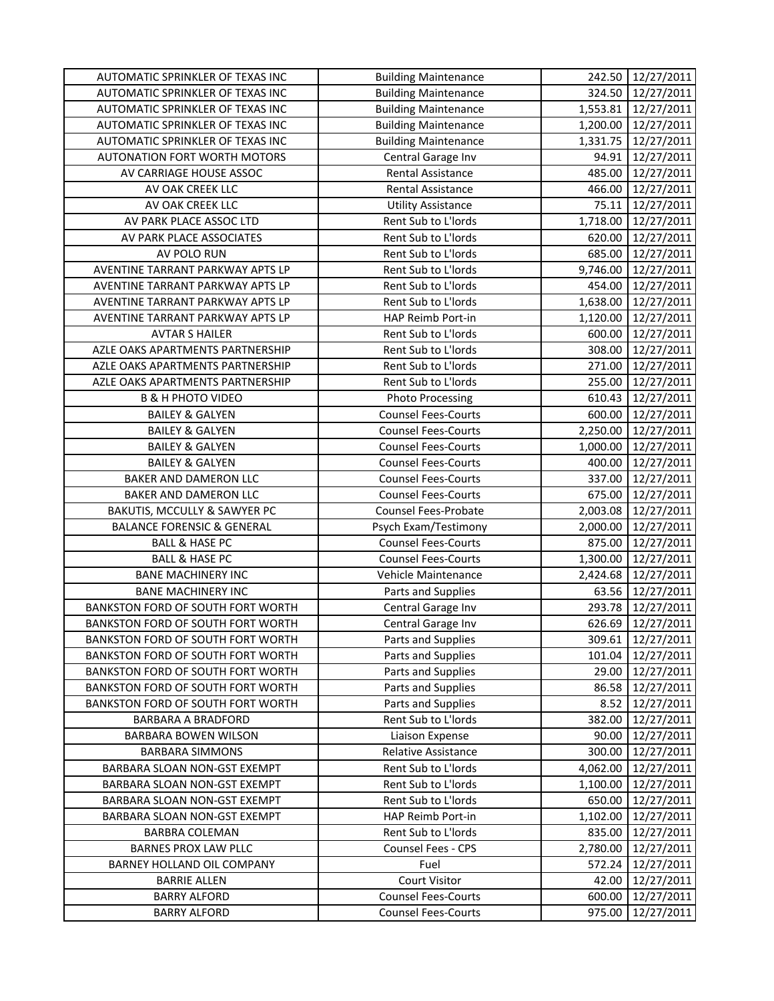| AUTOMATIC SPRINKLER OF TEXAS INC      | <b>Building Maintenance</b> | 242.50   | 12/27/2011          |
|---------------------------------------|-----------------------------|----------|---------------------|
| AUTOMATIC SPRINKLER OF TEXAS INC      | <b>Building Maintenance</b> | 324.50   | 12/27/2011          |
| AUTOMATIC SPRINKLER OF TEXAS INC      | <b>Building Maintenance</b> |          | 1,553.81 12/27/2011 |
| AUTOMATIC SPRINKLER OF TEXAS INC      | <b>Building Maintenance</b> | 1,200.00 | 12/27/2011          |
| AUTOMATIC SPRINKLER OF TEXAS INC      | <b>Building Maintenance</b> | 1,331.75 | 12/27/2011          |
| AUTONATION FORT WORTH MOTORS          | Central Garage Inv          | 94.91    | 12/27/2011          |
| AV CARRIAGE HOUSE ASSOC               | Rental Assistance           | 485.00   | 12/27/2011          |
| AV OAK CREEK LLC                      | Rental Assistance           | 466.00   | 12/27/2011          |
| AV OAK CREEK LLC                      | <b>Utility Assistance</b>   | 75.11    | 12/27/2011          |
| AV PARK PLACE ASSOC LTD               | Rent Sub to L'Iords         | 1,718.00 | 12/27/2011          |
| AV PARK PLACE ASSOCIATES              | Rent Sub to L'Iords         | 620.00   | 12/27/2011          |
| AV POLO RUN                           | Rent Sub to L'Iords         | 685.00   | 12/27/2011          |
| AVENTINE TARRANT PARKWAY APTS LP      | Rent Sub to L'Iords         | 9,746.00 | 12/27/2011          |
| AVENTINE TARRANT PARKWAY APTS LP      | Rent Sub to L'Iords         | 454.00   | 12/27/2011          |
| AVENTINE TARRANT PARKWAY APTS LP      | Rent Sub to L'Iords         | 1,638.00 | 12/27/2011          |
| AVENTINE TARRANT PARKWAY APTS LP      | HAP Reimb Port-in           | 1,120.00 | 12/27/2011          |
| <b>AVTAR S HAILER</b>                 | Rent Sub to L'Iords         | 600.00   | 12/27/2011          |
| AZLE OAKS APARTMENTS PARTNERSHIP      | Rent Sub to L'Iords         | 308.00   | 12/27/2011          |
| AZLE OAKS APARTMENTS PARTNERSHIP      | Rent Sub to L'Iords         | 271.00   | 12/27/2011          |
| AZLE OAKS APARTMENTS PARTNERSHIP      | Rent Sub to L'Iords         | 255.00   | 12/27/2011          |
| <b>B &amp; H PHOTO VIDEO</b>          | <b>Photo Processing</b>     | 610.43   | 12/27/2011          |
| <b>BAILEY &amp; GALYEN</b>            | <b>Counsel Fees-Courts</b>  | 600.00   | 12/27/2011          |
| <b>BAILEY &amp; GALYEN</b>            | <b>Counsel Fees-Courts</b>  | 2,250.00 | 12/27/2011          |
| <b>BAILEY &amp; GALYEN</b>            | <b>Counsel Fees-Courts</b>  | 1,000.00 | 12/27/2011          |
| <b>BAILEY &amp; GALYEN</b>            | <b>Counsel Fees-Courts</b>  | 400.00   | 12/27/2011          |
| BAKER AND DAMERON LLC                 | <b>Counsel Fees-Courts</b>  | 337.00   | 12/27/2011          |
| BAKER AND DAMERON LLC                 | <b>Counsel Fees-Courts</b>  | 675.00   | 12/27/2011          |
| BAKUTIS, MCCULLY & SAWYER PC          | Counsel Fees-Probate        | 2,003.08 | 12/27/2011          |
| <b>BALANCE FORENSIC &amp; GENERAL</b> | Psych Exam/Testimony        | 2,000.00 | 12/27/2011          |
| <b>BALL &amp; HASE PC</b>             | <b>Counsel Fees-Courts</b>  | 875.00   | 12/27/2011          |
| <b>BALL &amp; HASE PC</b>             | <b>Counsel Fees-Courts</b>  | 1,300.00 | 12/27/2011          |
| <b>BANE MACHINERY INC</b>             | Vehicle Maintenance         | 2,424.68 | 12/27/2011          |
| <b>BANE MACHINERY INC</b>             | Parts and Supplies          | 63.56    | 12/27/2011          |
| BANKSTON FORD OF SOUTH FORT WORTH     | Central Garage Inv          | 293.78   | 12/27/2011          |
| BANKSTON FORD OF SOUTH FORT WORTH     | Central Garage Inv          | 626.69   | 12/27/2011          |
| BANKSTON FORD OF SOUTH FORT WORTH     | Parts and Supplies          | 309.61   | 12/27/2011          |
| BANKSTON FORD OF SOUTH FORT WORTH     | Parts and Supplies          | 101.04   | 12/27/2011          |
| BANKSTON FORD OF SOUTH FORT WORTH     | Parts and Supplies          | 29.00    | 12/27/2011          |
| BANKSTON FORD OF SOUTH FORT WORTH     | Parts and Supplies          | 86.58    | 12/27/2011          |
| BANKSTON FORD OF SOUTH FORT WORTH     | Parts and Supplies          | 8.52     | 12/27/2011          |
| <b>BARBARA A BRADFORD</b>             | Rent Sub to L'Iords         | 382.00   | 12/27/2011          |
| BARBARA BOWEN WILSON                  | Liaison Expense             | 90.00    | 12/27/2011          |
| <b>BARBARA SIMMONS</b>                | <b>Relative Assistance</b>  | 300.00   | 12/27/2011          |
| BARBARA SLOAN NON-GST EXEMPT          | Rent Sub to L'Iords         | 4,062.00 | 12/27/2011          |
| BARBARA SLOAN NON-GST EXEMPT          | Rent Sub to L'Iords         | 1,100.00 | 12/27/2011          |
| BARBARA SLOAN NON-GST EXEMPT          | Rent Sub to L'Iords         | 650.00   | 12/27/2011          |
| BARBARA SLOAN NON-GST EXEMPT          | HAP Reimb Port-in           | 1,102.00 | 12/27/2011          |
| <b>BARBRA COLEMAN</b>                 | Rent Sub to L'Iords         | 835.00   | 12/27/2011          |
| <b>BARNES PROX LAW PLLC</b>           | Counsel Fees - CPS          | 2,780.00 | 12/27/2011          |
| BARNEY HOLLAND OIL COMPANY            | Fuel                        | 572.24   | 12/27/2011          |
| <b>BARRIE ALLEN</b>                   | <b>Court Visitor</b>        | 42.00    | 12/27/2011          |
| <b>BARRY ALFORD</b>                   | <b>Counsel Fees-Courts</b>  | 600.00   | 12/27/2011          |
| <b>BARRY ALFORD</b>                   | <b>Counsel Fees-Courts</b>  | 975.00   | 12/27/2011          |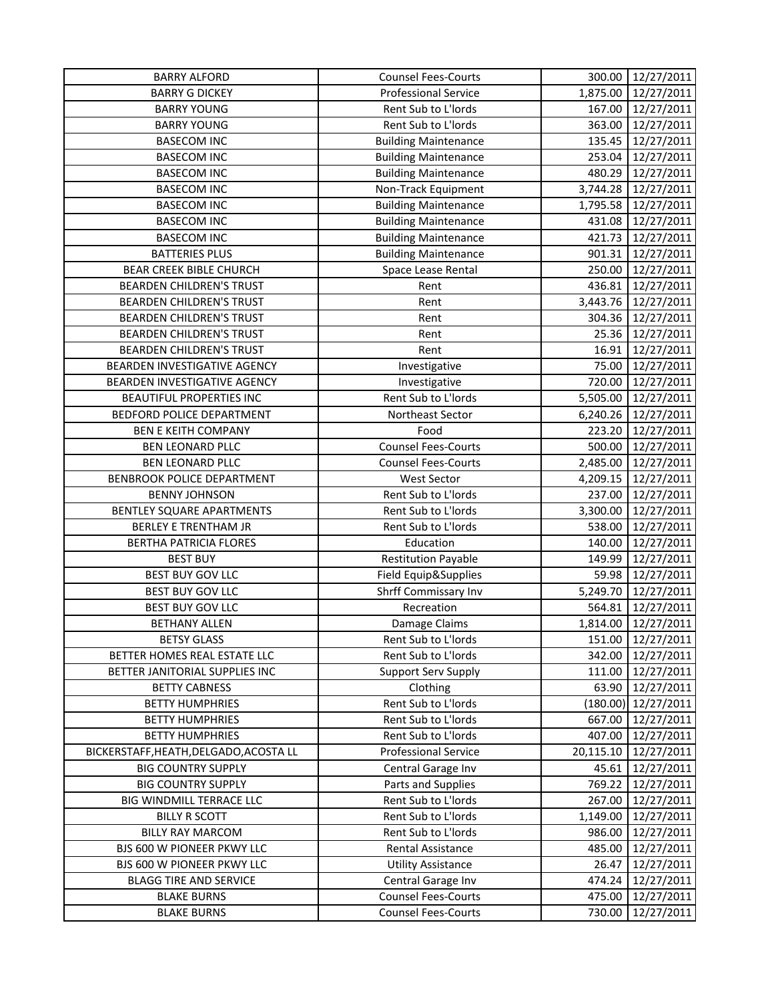| <b>BARRY ALFORD</b>                    | <b>Counsel Fees-Courts</b>  | 300.00    | 12/27/2011            |
|----------------------------------------|-----------------------------|-----------|-----------------------|
| <b>BARRY G DICKEY</b>                  | <b>Professional Service</b> | 1,875.00  | 12/27/2011            |
| <b>BARRY YOUNG</b>                     | Rent Sub to L'Iords         | 167.00    | 12/27/2011            |
| <b>BARRY YOUNG</b>                     | Rent Sub to L'Iords         | 363.00    | 12/27/2011            |
| <b>BASECOM INC</b>                     | <b>Building Maintenance</b> | 135.45    | 12/27/2011            |
| <b>BASECOM INC</b>                     | <b>Building Maintenance</b> | 253.04    | 12/27/2011            |
| <b>BASECOM INC</b>                     | <b>Building Maintenance</b> | 480.29    | 12/27/2011            |
| <b>BASECOM INC</b>                     | Non-Track Equipment         | 3,744.28  | 12/27/2011            |
| <b>BASECOM INC</b>                     | <b>Building Maintenance</b> | 1,795.58  | 12/27/2011            |
| <b>BASECOM INC</b>                     | <b>Building Maintenance</b> | 431.08    | 12/27/2011            |
| <b>BASECOM INC</b>                     | <b>Building Maintenance</b> | 421.73    | 12/27/2011            |
| <b>BATTERIES PLUS</b>                  | <b>Building Maintenance</b> | 901.31    | 12/27/2011            |
| <b>BEAR CREEK BIBLE CHURCH</b>         | Space Lease Rental          | 250.00    | 12/27/2011            |
| <b>BEARDEN CHILDREN'S TRUST</b>        | Rent                        | 436.81    | 12/27/2011            |
| <b>BEARDEN CHILDREN'S TRUST</b>        | Rent                        | 3,443.76  | 12/27/2011            |
| <b>BEARDEN CHILDREN'S TRUST</b>        | Rent                        |           | 304.36 12/27/2011     |
| <b>BEARDEN CHILDREN'S TRUST</b>        | Rent                        | 25.36     | 12/27/2011            |
| <b>BEARDEN CHILDREN'S TRUST</b>        | Rent                        | 16.91     | 12/27/2011            |
| BEARDEN INVESTIGATIVE AGENCY           | Investigative               | 75.00     | 12/27/2011            |
| BEARDEN INVESTIGATIVE AGENCY           | Investigative               | 720.00    | 12/27/2011            |
| <b>BEAUTIFUL PROPERTIES INC</b>        | Rent Sub to L'Iords         | 5,505.00  | 12/27/2011            |
| BEDFORD POLICE DEPARTMENT              | Northeast Sector            | 6,240.26  | 12/27/2011            |
| <b>BEN E KEITH COMPANY</b>             | Food                        | 223.20    | 12/27/2011            |
| BEN LEONARD PLLC                       | <b>Counsel Fees-Courts</b>  | 500.00    | 12/27/2011            |
| BEN LEONARD PLLC                       | <b>Counsel Fees-Courts</b>  | 2,485.00  | 12/27/2011            |
| BENBROOK POLICE DEPARTMENT             | <b>West Sector</b>          | 4,209.15  | 12/27/2011            |
| <b>BENNY JOHNSON</b>                   | Rent Sub to L'Iords         | 237.00    | 12/27/2011            |
| BENTLEY SQUARE APARTMENTS              | Rent Sub to L'Iords         | 3,300.00  | 12/27/2011            |
| <b>BERLEY E TRENTHAM JR</b>            | Rent Sub to L'Iords         | 538.00    | 12/27/2011            |
| <b>BERTHA PATRICIA FLORES</b>          | Education                   | 140.00    | 12/27/2011            |
| <b>BEST BUY</b>                        | <b>Restitution Payable</b>  | 149.99    | 12/27/2011            |
| <b>BEST BUY GOV LLC</b>                | Field Equip&Supplies        | 59.98     | 12/27/2011            |
| <b>BEST BUY GOV LLC</b>                | Shrff Commissary Inv        | 5,249.70  | 12/27/2011            |
| <b>BEST BUY GOV LLC</b>                | Recreation                  | 564.81    | 12/27/2011            |
| <b>BETHANY ALLEN</b>                   | Damage Claims               | 1,814.00  | 12/27/2011            |
| <b>BETSY GLASS</b>                     | Rent Sub to L'Iords         | 151.00    | 12/27/2011            |
| BETTER HOMES REAL ESTATE LLC           | Rent Sub to L'Iords         | 342.00    | 12/27/2011            |
| BETTER JANITORIAL SUPPLIES INC         | <b>Support Serv Supply</b>  | 111.00    | 12/27/2011            |
| <b>BETTY CABNESS</b>                   | Clothing                    | 63.90     | 12/27/2011            |
| <b>BETTY HUMPHRIES</b>                 | Rent Sub to L'Iords         |           | $(180.00)$ 12/27/2011 |
| <b>BETTY HUMPHRIES</b>                 | Rent Sub to L'Iords         | 667.00    | 12/27/2011            |
| <b>BETTY HUMPHRIES</b>                 | Rent Sub to L'Iords         | 407.00    | 12/27/2011            |
| BICKERSTAFF, HEATH, DELGADO, ACOSTA LL | <b>Professional Service</b> | 20,115.10 | 12/27/2011            |
| <b>BIG COUNTRY SUPPLY</b>              | Central Garage Inv          | 45.61     | 12/27/2011            |
| <b>BIG COUNTRY SUPPLY</b>              | Parts and Supplies          | 769.22    | 12/27/2011            |
| BIG WINDMILL TERRACE LLC               | Rent Sub to L'Iords         | 267.00    | 12/27/2011            |
| <b>BILLY R SCOTT</b>                   | Rent Sub to L'Iords         | 1,149.00  | 12/27/2011            |
| <b>BILLY RAY MARCOM</b>                | Rent Sub to L'Iords         | 986.00    | 12/27/2011            |
| BJS 600 W PIONEER PKWY LLC             | Rental Assistance           | 485.00    | 12/27/2011            |
| BJS 600 W PIONEER PKWY LLC             | <b>Utility Assistance</b>   | 26.47     | 12/27/2011            |
| <b>BLAGG TIRE AND SERVICE</b>          | Central Garage Inv          | 474.24    | 12/27/2011            |
| <b>BLAKE BURNS</b>                     | <b>Counsel Fees-Courts</b>  | 475.00    | 12/27/2011            |
| <b>BLAKE BURNS</b>                     | <b>Counsel Fees-Courts</b>  | 730.00    | 12/27/2011            |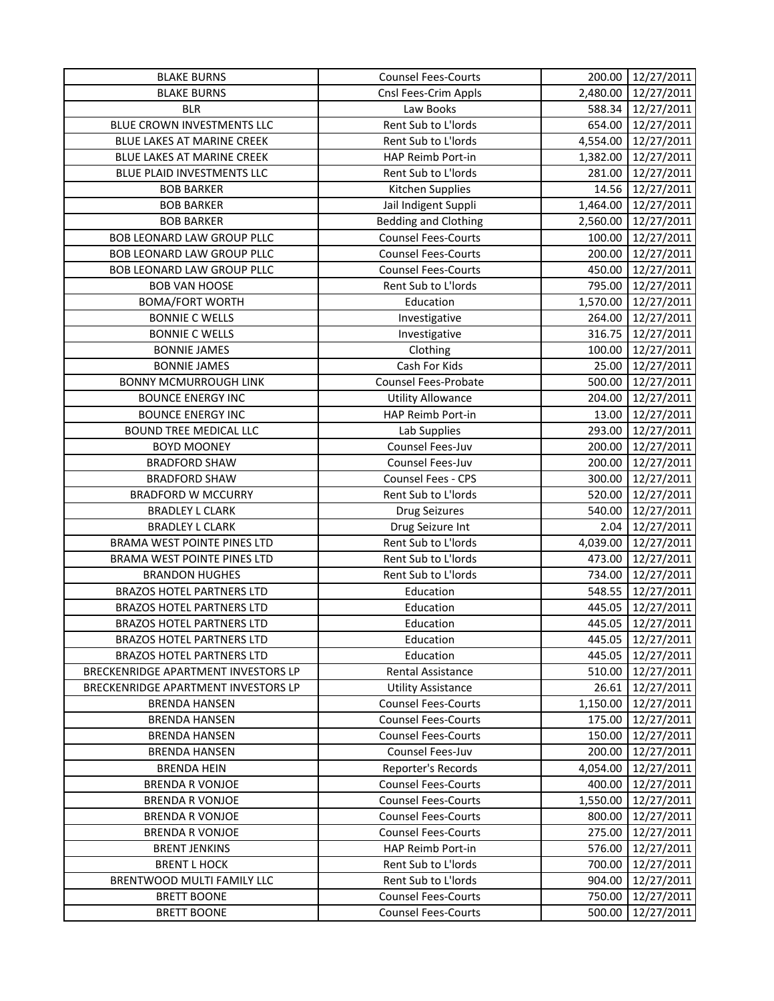| <b>BLAKE BURNS</b>                  | <b>Counsel Fees-Courts</b>  | 200.00   | 12/27/2011        |
|-------------------------------------|-----------------------------|----------|-------------------|
| <b>BLAKE BURNS</b>                  | Cnsl Fees-Crim Appls        | 2,480.00 | 12/27/2011        |
| <b>BLR</b>                          | Law Books                   | 588.34   | 12/27/2011        |
| BLUE CROWN INVESTMENTS LLC          | Rent Sub to L'Iords         | 654.00   | 12/27/2011        |
| BLUE LAKES AT MARINE CREEK          | Rent Sub to L'Iords         | 4,554.00 | 12/27/2011        |
| BLUE LAKES AT MARINE CREEK          | HAP Reimb Port-in           | 1,382.00 | 12/27/2011        |
| BLUE PLAID INVESTMENTS LLC          | Rent Sub to L'Iords         | 281.00   | 12/27/2011        |
| <b>BOB BARKER</b>                   | Kitchen Supplies            | 14.56    | 12/27/2011        |
| <b>BOB BARKER</b>                   | Jail Indigent Suppli        | 1,464.00 | 12/27/2011        |
| <b>BOB BARKER</b>                   | <b>Bedding and Clothing</b> | 2,560.00 | 12/27/2011        |
| BOB LEONARD LAW GROUP PLLC          | <b>Counsel Fees-Courts</b>  | 100.00   | 12/27/2011        |
| BOB LEONARD LAW GROUP PLLC          | <b>Counsel Fees-Courts</b>  | 200.00   | 12/27/2011        |
| BOB LEONARD LAW GROUP PLLC          | <b>Counsel Fees-Courts</b>  | 450.00   | 12/27/2011        |
| <b>BOB VAN HOOSE</b>                | Rent Sub to L'Iords         | 795.00   | 12/27/2011        |
| <b>BOMA/FORT WORTH</b>              | Education                   | 1,570.00 | 12/27/2011        |
| <b>BONNIE C WELLS</b>               | Investigative               | 264.00   | 12/27/2011        |
| <b>BONNIE C WELLS</b>               | Investigative               |          | 316.75 12/27/2011 |
| <b>BONNIE JAMES</b>                 | Clothing                    | 100.00   | 12/27/2011        |
| <b>BONNIE JAMES</b>                 | Cash For Kids               | 25.00    | 12/27/2011        |
| <b>BONNY MCMURROUGH LINK</b>        | <b>Counsel Fees-Probate</b> | 500.00   | 12/27/2011        |
| <b>BOUNCE ENERGY INC</b>            | <b>Utility Allowance</b>    | 204.00   | 12/27/2011        |
| <b>BOUNCE ENERGY INC</b>            | HAP Reimb Port-in           | 13.00    | 12/27/2011        |
| <b>BOUND TREE MEDICAL LLC</b>       | Lab Supplies                | 293.00   | 12/27/2011        |
| <b>BOYD MOONEY</b>                  | Counsel Fees-Juv            | 200.00   | 12/27/2011        |
| <b>BRADFORD SHAW</b>                | Counsel Fees-Juv            | 200.00   | 12/27/2011        |
| <b>BRADFORD SHAW</b>                | Counsel Fees - CPS          | 300.00   | 12/27/2011        |
| <b>BRADFORD W MCCURRY</b>           | Rent Sub to L'Iords         | 520.00   | 12/27/2011        |
| <b>BRADLEY L CLARK</b>              | <b>Drug Seizures</b>        | 540.00   | 12/27/2011        |
| <b>BRADLEY L CLARK</b>              | Drug Seizure Int            | 2.04     | 12/27/2011        |
| BRAMA WEST POINTE PINES LTD         | Rent Sub to L'Iords         | 4,039.00 | 12/27/2011        |
| BRAMA WEST POINTE PINES LTD         | Rent Sub to L'Iords         | 473.00   | 12/27/2011        |
| <b>BRANDON HUGHES</b>               | Rent Sub to L'Iords         | 734.00   | 12/27/2011        |
| <b>BRAZOS HOTEL PARTNERS LTD</b>    | Education                   | 548.55   | 12/27/2011        |
| <b>BRAZOS HOTEL PARTNERS LTD</b>    | Education                   | 445.05   | 12/27/2011        |
| <b>BRAZOS HOTEL PARTNERS LTD</b>    | Education                   | 445.05   | 12/27/2011        |
| <b>BRAZOS HOTEL PARTNERS LTD</b>    | Education                   | 445.05   | 12/27/2011        |
| <b>BRAZOS HOTEL PARTNERS LTD</b>    | Education                   | 445.05   | 12/27/2011        |
| BRECKENRIDGE APARTMENT INVESTORS LP | <b>Rental Assistance</b>    | 510.00   | 12/27/2011        |
| BRECKENRIDGE APARTMENT INVESTORS LP | <b>Utility Assistance</b>   | 26.61    | 12/27/2011        |
| <b>BRENDA HANSEN</b>                | <b>Counsel Fees-Courts</b>  | 1,150.00 | 12/27/2011        |
| <b>BRENDA HANSEN</b>                | <b>Counsel Fees-Courts</b>  | 175.00   | 12/27/2011        |
| <b>BRENDA HANSEN</b>                | <b>Counsel Fees-Courts</b>  | 150.00   | 12/27/2011        |
| <b>BRENDA HANSEN</b>                | Counsel Fees-Juv            | 200.00   | 12/27/2011        |
| <b>BRENDA HEIN</b>                  | Reporter's Records          | 4,054.00 | 12/27/2011        |
| <b>BRENDA R VONJOE</b>              | <b>Counsel Fees-Courts</b>  | 400.00   | 12/27/2011        |
| <b>BRENDA R VONJOE</b>              | <b>Counsel Fees-Courts</b>  | 1,550.00 | 12/27/2011        |
| <b>BRENDA R VONJOE</b>              | <b>Counsel Fees-Courts</b>  | 800.00   | 12/27/2011        |
| <b>BRENDA R VONJOE</b>              | <b>Counsel Fees-Courts</b>  | 275.00   | 12/27/2011        |
| <b>BRENT JENKINS</b>                | HAP Reimb Port-in           | 576.00   | 12/27/2011        |
| <b>BRENT L HOCK</b>                 | Rent Sub to L'Iords         | 700.00   | 12/27/2011        |
| BRENTWOOD MULTI FAMILY LLC          | Rent Sub to L'Iords         | 904.00   | 12/27/2011        |
| <b>BRETT BOONE</b>                  | <b>Counsel Fees-Courts</b>  | 750.00   | 12/27/2011        |
| <b>BRETT BOONE</b>                  | <b>Counsel Fees-Courts</b>  | 500.00   | 12/27/2011        |
|                                     |                             |          |                   |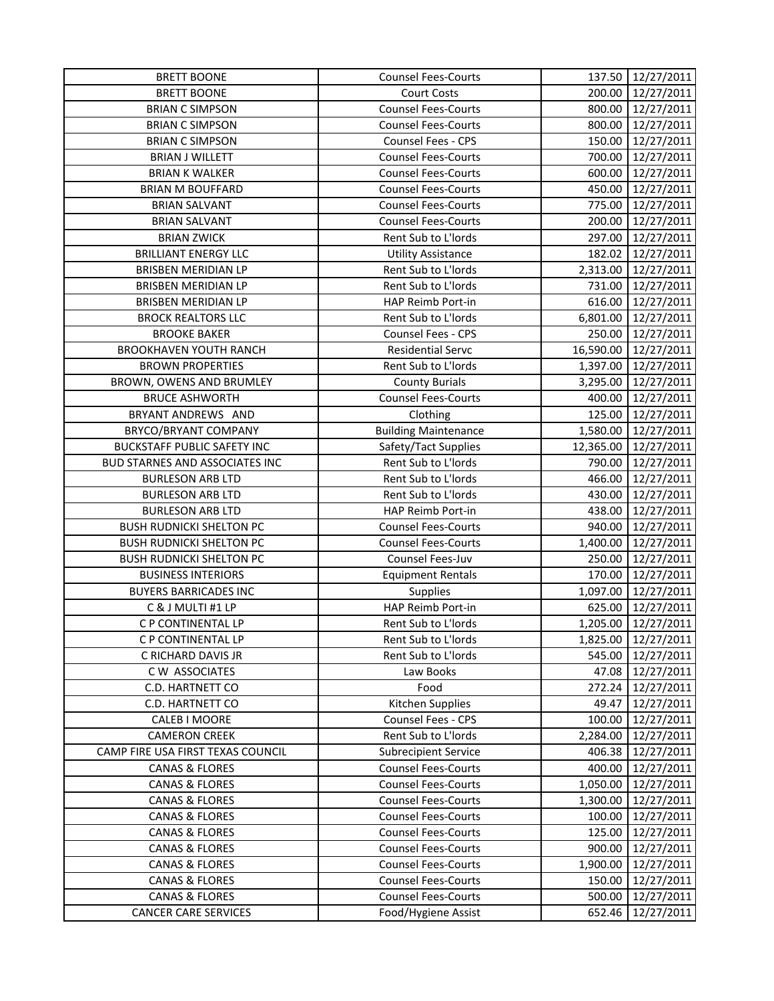| <b>BRETT BOONE</b>                 | <b>Counsel Fees-Courts</b>  |           | 137.50 12/27/2011   |
|------------------------------------|-----------------------------|-----------|---------------------|
| <b>BRETT BOONE</b>                 | <b>Court Costs</b>          | 200.00    | 12/27/2011          |
| <b>BRIAN C SIMPSON</b>             | <b>Counsel Fees-Courts</b>  |           | 800.00 12/27/2011   |
| <b>BRIAN C SIMPSON</b>             | <b>Counsel Fees-Courts</b>  | 800.00    | 12/27/2011          |
| <b>BRIAN C SIMPSON</b>             | Counsel Fees - CPS          | 150.00    | 12/27/2011          |
| <b>BRIAN J WILLETT</b>             | <b>Counsel Fees-Courts</b>  | 700.00    | 12/27/2011          |
| <b>BRIAN K WALKER</b>              | <b>Counsel Fees-Courts</b>  | 600.00    | 12/27/2011          |
| <b>BRIAN M BOUFFARD</b>            | <b>Counsel Fees-Courts</b>  | 450.00    | 12/27/2011          |
| <b>BRIAN SALVANT</b>               | <b>Counsel Fees-Courts</b>  | 775.00    | 12/27/2011          |
| <b>BRIAN SALVANT</b>               | <b>Counsel Fees-Courts</b>  | 200.00    | 12/27/2011          |
| <b>BRIAN ZWICK</b>                 | Rent Sub to L'Iords         | 297.00    | 12/27/2011          |
| <b>BRILLIANT ENERGY LLC</b>        | <b>Utility Assistance</b>   | 182.02    | 12/27/2011          |
| BRISBEN MERIDIAN LP                | Rent Sub to L'Iords         | 2,313.00  | 12/27/2011          |
| BRISBEN MERIDIAN LP                | Rent Sub to L'Iords         | 731.00    | 12/27/2011          |
| BRISBEN MERIDIAN LP                | HAP Reimb Port-in           | 616.00    | 12/27/2011          |
| <b>BROCK REALTORS LLC</b>          | Rent Sub to L'Iords         |           | 6,801.00 12/27/2011 |
| <b>BROOKE BAKER</b>                | Counsel Fees - CPS          | 250.00    | 12/27/2011          |
| <b>BROOKHAVEN YOUTH RANCH</b>      | <b>Residential Servc</b>    | 16,590.00 | 12/27/2011          |
| <b>BROWN PROPERTIES</b>            | Rent Sub to L'Iords         | 1,397.00  | 12/27/2011          |
| BROWN, OWENS AND BRUMLEY           | <b>County Burials</b>       | 3,295.00  | 12/27/2011          |
| <b>BRUCE ASHWORTH</b>              | <b>Counsel Fees-Courts</b>  | 400.00    | 12/27/2011          |
| BRYANT ANDREWS AND                 | Clothing                    | 125.00    | 12/27/2011          |
| BRYCO/BRYANT COMPANY               | <b>Building Maintenance</b> | 1,580.00  | 12/27/2011          |
| <b>BUCKSTAFF PUBLIC SAFETY INC</b> | Safety/Tact Supplies        | 12,365.00 | 12/27/2011          |
| BUD STARNES AND ASSOCIATES INC     | Rent Sub to L'Iords         | 790.00    | 12/27/2011          |
| <b>BURLESON ARB LTD</b>            | Rent Sub to L'Iords         | 466.00    | 12/27/2011          |
| <b>BURLESON ARB LTD</b>            | Rent Sub to L'Iords         | 430.00    | 12/27/2011          |
| <b>BURLESON ARB LTD</b>            | HAP Reimb Port-in           | 438.00    | 12/27/2011          |
| <b>BUSH RUDNICKI SHELTON PC</b>    | <b>Counsel Fees-Courts</b>  | 940.00    | 12/27/2011          |
| <b>BUSH RUDNICKI SHELTON PC</b>    | <b>Counsel Fees-Courts</b>  | 1,400.00  | 12/27/2011          |
| <b>BUSH RUDNICKI SHELTON PC</b>    | Counsel Fees-Juv            | 250.00    | 12/27/2011          |
| <b>BUSINESS INTERIORS</b>          | <b>Equipment Rentals</b>    | 170.00    | 12/27/2011          |
| <b>BUYERS BARRICADES INC</b>       | Supplies                    |           | 1,097.00 12/27/2011 |
| C & J MULTI #1 LP                  | HAP Reimb Port-in           | 625.00    | 12/27/2011          |
| C P CONTINENTAL LP                 | Rent Sub to L'Iords         | 1,205.00  | 12/27/2011          |
| C P CONTINENTAL LP                 | Rent Sub to L'Iords         | 1,825.00  | 12/27/2011          |
| C RICHARD DAVIS JR                 | Rent Sub to L'Iords         | 545.00    | 12/27/2011          |
| C W ASSOCIATES                     | Law Books                   | 47.08     | 12/27/2011          |
| C.D. HARTNETT CO                   | Food                        | 272.24    | 12/27/2011          |
| C.D. HARTNETT CO                   | Kitchen Supplies            | 49.47     | 12/27/2011          |
| CALEB I MOORE                      | Counsel Fees - CPS          | 100.00    | 12/27/2011          |
| <b>CAMERON CREEK</b>               | Rent Sub to L'Iords         | 2,284.00  | 12/27/2011          |
| CAMP FIRE USA FIRST TEXAS COUNCIL  | <b>Subrecipient Service</b> | 406.38    | 12/27/2011          |
| <b>CANAS &amp; FLORES</b>          | <b>Counsel Fees-Courts</b>  | 400.00    | 12/27/2011          |
| <b>CANAS &amp; FLORES</b>          | <b>Counsel Fees-Courts</b>  | 1,050.00  | 12/27/2011          |
| <b>CANAS &amp; FLORES</b>          | <b>Counsel Fees-Courts</b>  | 1,300.00  | 12/27/2011          |
| <b>CANAS &amp; FLORES</b>          | <b>Counsel Fees-Courts</b>  | 100.00    | 12/27/2011          |
| <b>CANAS &amp; FLORES</b>          | <b>Counsel Fees-Courts</b>  | 125.00    | 12/27/2011          |
| <b>CANAS &amp; FLORES</b>          | <b>Counsel Fees-Courts</b>  | 900.00    | 12/27/2011          |
| <b>CANAS &amp; FLORES</b>          | <b>Counsel Fees-Courts</b>  | 1,900.00  | 12/27/2011          |
| <b>CANAS &amp; FLORES</b>          | <b>Counsel Fees-Courts</b>  | 150.00    | 12/27/2011          |
| <b>CANAS &amp; FLORES</b>          | <b>Counsel Fees-Courts</b>  | 500.00    | 12/27/2011          |
| <b>CANCER CARE SERVICES</b>        | Food/Hygiene Assist         | 652.46    | 12/27/2011          |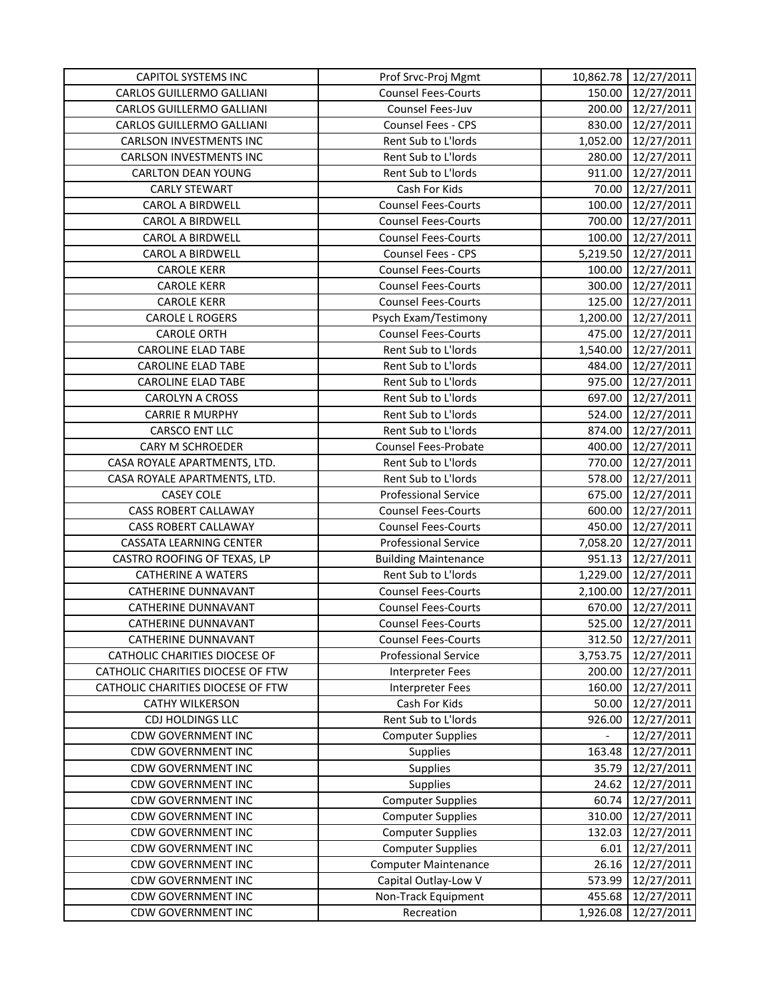| <b>CAPITOL SYSTEMS INC</b>           | Prof Srvc-Proj Mgmt         |          | 10,862.78 12/27/2011 |
|--------------------------------------|-----------------------------|----------|----------------------|
| <b>CARLOS GUILLERMO GALLIANI</b>     | <b>Counsel Fees-Courts</b>  | 150.00   | 12/27/2011           |
| CARLOS GUILLERMO GALLIANI            | Counsel Fees-Juv            | 200.00   | 12/27/2011           |
| CARLOS GUILLERMO GALLIANI            | <b>Counsel Fees - CPS</b>   | 830.00   | 12/27/2011           |
| <b>CARLSON INVESTMENTS INC</b>       | Rent Sub to L'Iords         | 1,052.00 | 12/27/2011           |
| <b>CARLSON INVESTMENTS INC</b>       | Rent Sub to L'Iords         | 280.00   | 12/27/2011           |
| <b>CARLTON DEAN YOUNG</b>            | Rent Sub to L'Iords         | 911.00   | 12/27/2011           |
| <b>CARLY STEWART</b>                 | Cash For Kids               | 70.00    | 12/27/2011           |
| CAROL A BIRDWELL                     | <b>Counsel Fees-Courts</b>  | 100.00   | 12/27/2011           |
| <b>CAROL A BIRDWELL</b>              | <b>Counsel Fees-Courts</b>  | 700.00   | 12/27/2011           |
| CAROL A BIRDWELL                     | <b>Counsel Fees-Courts</b>  | 100.00   | 12/27/2011           |
| <b>CAROL A BIRDWELL</b>              | Counsel Fees - CPS          | 5,219.50 | 12/27/2011           |
| <b>CAROLE KERR</b>                   | <b>Counsel Fees-Courts</b>  | 100.00   | 12/27/2011           |
| <b>CAROLE KERR</b>                   | <b>Counsel Fees-Courts</b>  | 300.00   | 12/27/2011           |
| <b>CAROLE KERR</b>                   | <b>Counsel Fees-Courts</b>  | 125.00   | 12/27/2011           |
| <b>CAROLE L ROGERS</b>               | Psych Exam/Testimony        | 1,200.00 | 12/27/2011           |
| <b>CAROLE ORTH</b>                   | <b>Counsel Fees-Courts</b>  | 475.00   | 12/27/2011           |
| <b>CAROLINE ELAD TABE</b>            | Rent Sub to L'Iords         | 1,540.00 | 12/27/2011           |
| <b>CAROLINE ELAD TABE</b>            | Rent Sub to L'Iords         | 484.00   | 12/27/2011           |
| <b>CAROLINE ELAD TABE</b>            | Rent Sub to L'Iords         | 975.00   | 12/27/2011           |
| CAROLYN A CROSS                      | Rent Sub to L'Iords         | 697.00   | 12/27/2011           |
| <b>CARRIE R MURPHY</b>               | Rent Sub to L'Iords         | 524.00   | 12/27/2011           |
| CARSCO ENT LLC                       | Rent Sub to L'Iords         | 874.00   | 12/27/2011           |
| <b>CARY M SCHROEDER</b>              | <b>Counsel Fees-Probate</b> | 400.00   | 12/27/2011           |
| CASA ROYALE APARTMENTS, LTD.         | Rent Sub to L'Iords         | 770.00   | 12/27/2011           |
| CASA ROYALE APARTMENTS, LTD.         | Rent Sub to L'Iords         | 578.00   | 12/27/2011           |
| <b>CASEY COLE</b>                    | <b>Professional Service</b> | 675.00   | 12/27/2011           |
| <b>CASS ROBERT CALLAWAY</b>          | <b>Counsel Fees-Courts</b>  | 600.00   | 12/27/2011           |
| <b>CASS ROBERT CALLAWAY</b>          | <b>Counsel Fees-Courts</b>  | 450.00   | 12/27/2011           |
| <b>CASSATA LEARNING CENTER</b>       | <b>Professional Service</b> | 7,058.20 | 12/27/2011           |
| CASTRO ROOFING OF TEXAS, LP          | <b>Building Maintenance</b> | 951.13   | 12/27/2011           |
| <b>CATHERINE A WATERS</b>            | Rent Sub to L'Iords         | 1,229.00 | 12/27/2011           |
| <b>CATHERINE DUNNAVANT</b>           | <b>Counsel Fees-Courts</b>  |          | 2,100.00 12/27/2011  |
| <b>CATHERINE DUNNAVANT</b>           | <b>Counsel Fees-Courts</b>  | 670.00   | 12/27/2011           |
| <b>CATHERINE DUNNAVANT</b>           | <b>Counsel Fees-Courts</b>  | 525.00   | 12/27/2011           |
| CATHERINE DUNNAVANT                  | <b>Counsel Fees-Courts</b>  | 312.50   | 12/27/2011           |
| <b>CATHOLIC CHARITIES DIOCESE OF</b> | <b>Professional Service</b> | 3,753.75 | 12/27/2011           |
| CATHOLIC CHARITIES DIOCESE OF FTW    | <b>Interpreter Fees</b>     | 200.00   | 12/27/2011           |
| CATHOLIC CHARITIES DIOCESE OF FTW    | <b>Interpreter Fees</b>     | 160.00   | 12/27/2011           |
| <b>CATHY WILKERSON</b>               | Cash For Kids               | 50.00    | 12/27/2011           |
| <b>CDJ HOLDINGS LLC</b>              | Rent Sub to L'Iords         | 926.00   | 12/27/2011           |
| <b>CDW GOVERNMENT INC</b>            | <b>Computer Supplies</b>    |          | 12/27/2011           |
| <b>CDW GOVERNMENT INC</b>            | <b>Supplies</b>             | 163.48   | 12/27/2011           |
| <b>CDW GOVERNMENT INC</b>            | <b>Supplies</b>             | 35.79    | 12/27/2011           |
| <b>CDW GOVERNMENT INC</b>            | <b>Supplies</b>             | 24.62    | 12/27/2011           |
| <b>CDW GOVERNMENT INC</b>            | <b>Computer Supplies</b>    | 60.74    | 12/27/2011           |
| <b>CDW GOVERNMENT INC</b>            | <b>Computer Supplies</b>    | 310.00   | 12/27/2011           |
| <b>CDW GOVERNMENT INC</b>            | <b>Computer Supplies</b>    | 132.03   | 12/27/2011           |
| <b>CDW GOVERNMENT INC</b>            | <b>Computer Supplies</b>    | 6.01     | 12/27/2011           |
| <b>CDW GOVERNMENT INC</b>            | <b>Computer Maintenance</b> | 26.16    | 12/27/2011           |
| <b>CDW GOVERNMENT INC</b>            | Capital Outlay-Low V        | 573.99   | 12/27/2011           |
| <b>CDW GOVERNMENT INC</b>            | Non-Track Equipment         | 455.68   | 12/27/2011           |
| <b>CDW GOVERNMENT INC</b>            | Recreation                  | 1,926.08 | 12/27/2011           |
|                                      |                             |          |                      |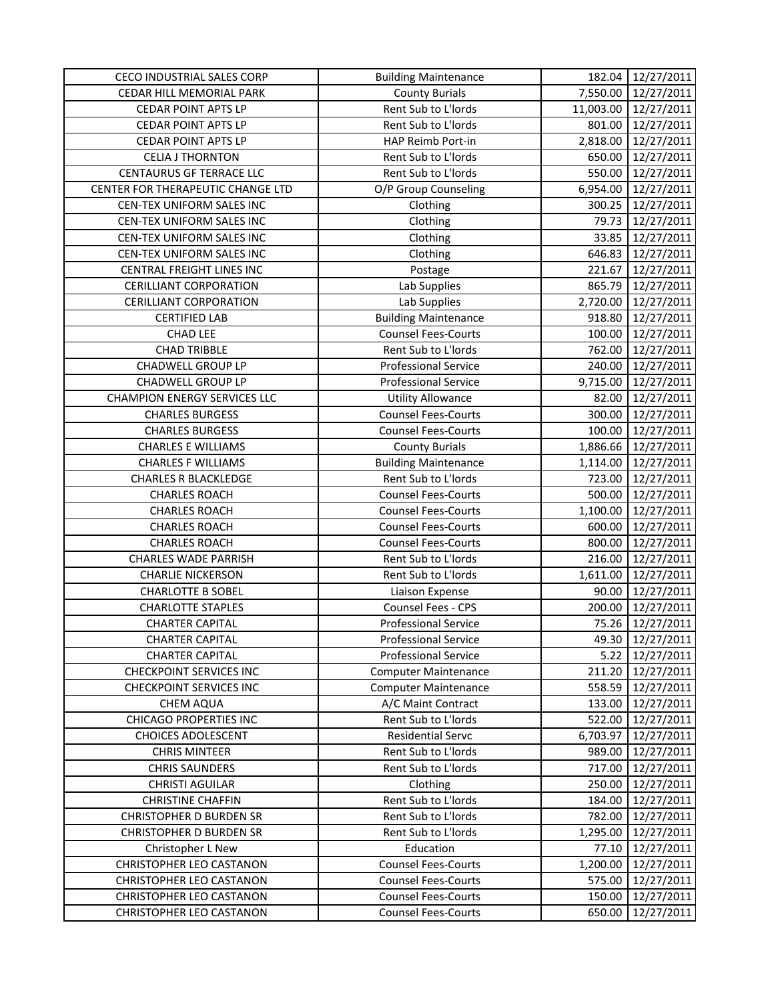| <b>CECO INDUSTRIAL SALES CORP</b>   | <b>Building Maintenance</b> | 182.04    | 12/27/2011               |
|-------------------------------------|-----------------------------|-----------|--------------------------|
| CEDAR HILL MEMORIAL PARK            | <b>County Burials</b>       | 7,550.00  | 12/27/2011               |
| <b>CEDAR POINT APTS LP</b>          | Rent Sub to L'Iords         | 11,003.00 | 12/27/2011               |
| <b>CEDAR POINT APTS LP</b>          | Rent Sub to L'Iords         | 801.00    | 12/27/2011               |
| <b>CEDAR POINT APTS LP</b>          | HAP Reimb Port-in           | 2,818.00  | 12/27/2011               |
| <b>CELIA J THORNTON</b>             | Rent Sub to L'Iords         | 650.00    | 12/27/2011               |
| <b>CENTAURUS GF TERRACE LLC</b>     | Rent Sub to L'Iords         | 550.00    | 12/27/2011               |
| CENTER FOR THERAPEUTIC CHANGE LTD   | O/P Group Counseling        | 6,954.00  | 12/27/2011               |
| CEN-TEX UNIFORM SALES INC           | Clothing                    | 300.25    | 12/27/2011               |
| CEN-TEX UNIFORM SALES INC           | Clothing                    | 79.73     | 12/27/2011               |
| CEN-TEX UNIFORM SALES INC           | Clothing                    | 33.85     | 12/27/2011               |
| CEN-TEX UNIFORM SALES INC           | Clothing                    | 646.83    | 12/27/2011               |
| CENTRAL FREIGHT LINES INC           | Postage                     | 221.67    | 12/27/2011               |
| <b>CERILLIANT CORPORATION</b>       | Lab Supplies                | 865.79    | 12/27/2011               |
| <b>CERILLIANT CORPORATION</b>       | Lab Supplies                | 2,720.00  | 12/27/2011               |
| <b>CERTIFIED LAB</b>                | <b>Building Maintenance</b> | 918.80    | 12/27/2011               |
| <b>CHAD LEE</b>                     | Counsel Fees-Courts         | 100.00    | 12/27/2011               |
| <b>CHAD TRIBBLE</b>                 | Rent Sub to L'Iords         | 762.00    | 12/27/2011               |
| <b>CHADWELL GROUP LP</b>            | <b>Professional Service</b> | 240.00    | 12/27/2011               |
| <b>CHADWELL GROUP LP</b>            | <b>Professional Service</b> | 9,715.00  | 12/27/2011               |
| <b>CHAMPION ENERGY SERVICES LLC</b> | <b>Utility Allowance</b>    | 82.00     | 12/27/2011               |
| <b>CHARLES BURGESS</b>              | <b>Counsel Fees-Courts</b>  | 300.00    | 12/27/2011               |
| <b>CHARLES BURGESS</b>              | <b>Counsel Fees-Courts</b>  | 100.00    | 12/27/2011               |
| <b>CHARLES E WILLIAMS</b>           | <b>County Burials</b>       | 1,886.66  | 12/27/2011               |
| <b>CHARLES F WILLIAMS</b>           | <b>Building Maintenance</b> | 1,114.00  | 12/27/2011               |
| <b>CHARLES R BLACKLEDGE</b>         | Rent Sub to L'Iords         | 723.00    | 12/27/2011               |
| <b>CHARLES ROACH</b>                | <b>Counsel Fees-Courts</b>  | 500.00    | 12/27/2011               |
| <b>CHARLES ROACH</b>                | <b>Counsel Fees-Courts</b>  | 1,100.00  | 12/27/2011               |
| <b>CHARLES ROACH</b>                | <b>Counsel Fees-Courts</b>  | 600.00    | 12/27/2011               |
| <b>CHARLES ROACH</b>                | <b>Counsel Fees-Courts</b>  | 800.00    | 12/27/2011               |
| <b>CHARLES WADE PARRISH</b>         | Rent Sub to L'Iords         | 216.00    | 12/27/2011               |
| <b>CHARLIE NICKERSON</b>            | Rent Sub to L'Iords         | 1,611.00  |                          |
| <b>CHARLOTTE B SOBEL</b>            | Liaison Expense             | 90.00     | 12/27/2011<br>12/27/2011 |
| <b>CHARLOTTE STAPLES</b>            | Counsel Fees - CPS          | 200.00    | 12/27/2011               |
| <b>CHARTER CAPITAL</b>              | <b>Professional Service</b> | 75.26     |                          |
|                                     |                             |           | 12/27/2011               |
| <b>CHARTER CAPITAL</b>              | <b>Professional Service</b> | 49.30     | 12/27/2011               |
| <b>CHARTER CAPITAL</b>              | <b>Professional Service</b> | 5.22      | 12/27/2011               |
| <b>CHECKPOINT SERVICES INC</b>      | <b>Computer Maintenance</b> | 211.20    | 12/27/2011               |
| <b>CHECKPOINT SERVICES INC</b>      | <b>Computer Maintenance</b> | 558.59    | 12/27/2011               |
| <b>CHEM AQUA</b>                    | A/C Maint Contract          | 133.00    | 12/27/2011               |
| <b>CHICAGO PROPERTIES INC</b>       | Rent Sub to L'Iords         | 522.00    | 12/27/2011               |
| <b>CHOICES ADOLESCENT</b>           | <b>Residential Servc</b>    | 6,703.97  | 12/27/2011               |
| <b>CHRIS MINTEER</b>                | Rent Sub to L'Iords         | 989.00    | 12/27/2011               |
| <b>CHRIS SAUNDERS</b>               | Rent Sub to L'Iords         | 717.00    | 12/27/2011               |
| CHRISTI AGUILAR                     | Clothing                    | 250.00    | 12/27/2011               |
| <b>CHRISTINE CHAFFIN</b>            | Rent Sub to L'Iords         | 184.00    | 12/27/2011               |
| <b>CHRISTOPHER D BURDEN SR</b>      | Rent Sub to L'Iords         | 782.00    | 12/27/2011               |
| <b>CHRISTOPHER D BURDEN SR</b>      | Rent Sub to L'Iords         | 1,295.00  | 12/27/2011               |
| Christopher L New                   | Education                   | 77.10     | 12/27/2011               |
| CHRISTOPHER LEO CASTANON            | <b>Counsel Fees-Courts</b>  | 1,200.00  | 12/27/2011               |
| CHRISTOPHER LEO CASTANON            | <b>Counsel Fees-Courts</b>  | 575.00    | 12/27/2011               |
| CHRISTOPHER LEO CASTANON            | <b>Counsel Fees-Courts</b>  | 150.00    | 12/27/2011               |
| CHRISTOPHER LEO CASTANON            | <b>Counsel Fees-Courts</b>  | 650.00    | 12/27/2011               |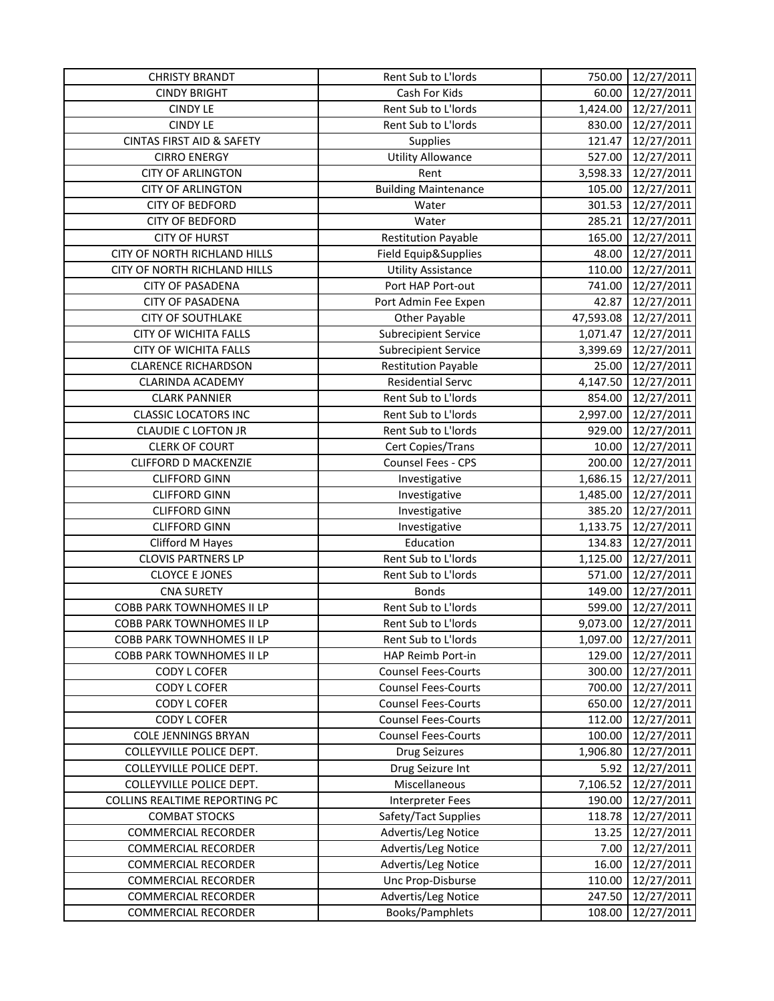| <b>CHRISTY BRANDT</b>                | Rent Sub to L'Iords         | 750.00    | 12/27/2011 |
|--------------------------------------|-----------------------------|-----------|------------|
| <b>CINDY BRIGHT</b>                  | Cash For Kids               | 60.00     | 12/27/2011 |
| <b>CINDY LE</b>                      | Rent Sub to L'Iords         | 1,424.00  | 12/27/2011 |
| <b>CINDY LE</b>                      | Rent Sub to L'Iords         | 830.00    | 12/27/2011 |
| <b>CINTAS FIRST AID &amp; SAFETY</b> | Supplies                    | 121.47    | 12/27/2011 |
| <b>CIRRO ENERGY</b>                  | <b>Utility Allowance</b>    | 527.00    | 12/27/2011 |
| <b>CITY OF ARLINGTON</b>             | Rent                        | 3,598.33  | 12/27/2011 |
| <b>CITY OF ARLINGTON</b>             | <b>Building Maintenance</b> | 105.00    | 12/27/2011 |
| <b>CITY OF BEDFORD</b>               | Water                       | 301.53    | 12/27/2011 |
| <b>CITY OF BEDFORD</b>               | Water                       | 285.21    | 12/27/2011 |
| <b>CITY OF HURST</b>                 | <b>Restitution Payable</b>  | 165.00    | 12/27/2011 |
| CITY OF NORTH RICHLAND HILLS         | Field Equip&Supplies        | 48.00     | 12/27/2011 |
| CITY OF NORTH RICHLAND HILLS         | <b>Utility Assistance</b>   | 110.00    | 12/27/2011 |
| <b>CITY OF PASADENA</b>              | Port HAP Port-out           | 741.00    | 12/27/2011 |
| <b>CITY OF PASADENA</b>              | Port Admin Fee Expen        | 42.87     | 12/27/2011 |
| <b>CITY OF SOUTHLAKE</b>             | <b>Other Payable</b>        | 47,593.08 | 12/27/2011 |
| <b>CITY OF WICHITA FALLS</b>         | <b>Subrecipient Service</b> | 1,071.47  | 12/27/2011 |
| <b>CITY OF WICHITA FALLS</b>         | <b>Subrecipient Service</b> | 3,399.69  | 12/27/2011 |
| <b>CLARENCE RICHARDSON</b>           | <b>Restitution Payable</b>  | 25.00     | 12/27/2011 |
| CLARINDA ACADEMY                     | <b>Residential Servc</b>    | 4,147.50  | 12/27/2011 |
| <b>CLARK PANNIER</b>                 | Rent Sub to L'Iords         | 854.00    | 12/27/2011 |
| <b>CLASSIC LOCATORS INC</b>          | Rent Sub to L'Iords         | 2,997.00  | 12/27/2011 |
| <b>CLAUDIE C LOFTON JR</b>           | Rent Sub to L'Iords         | 929.00    | 12/27/2011 |
| <b>CLERK OF COURT</b>                | Cert Copies/Trans           | 10.00     | 12/27/2011 |
| <b>CLIFFORD D MACKENZIE</b>          | Counsel Fees - CPS          | 200.00    | 12/27/2011 |
| <b>CLIFFORD GINN</b>                 | Investigative               | 1,686.15  | 12/27/2011 |
| <b>CLIFFORD GINN</b>                 | Investigative               | 1,485.00  | 12/27/2011 |
| <b>CLIFFORD GINN</b>                 | Investigative               | 385.20    | 12/27/2011 |
| <b>CLIFFORD GINN</b>                 | Investigative               | 1,133.75  | 12/27/2011 |
| Clifford M Hayes                     | Education                   | 134.83    | 12/27/2011 |
| <b>CLOVIS PARTNERS LP</b>            | Rent Sub to L'Iords         | 1,125.00  | 12/27/2011 |
| <b>CLOYCE E JONES</b>                | Rent Sub to L'Iords         | 571.00    | 12/27/2011 |
| <b>CNA SURETY</b>                    | <b>Bonds</b>                | 149.00    | 12/27/2011 |
| <b>COBB PARK TOWNHOMES II LP</b>     | Rent Sub to L'Iords         | 599.00    | 12/27/2011 |
| <b>COBB PARK TOWNHOMES II LP</b>     | Rent Sub to L'Iords         | 9,073.00  | 12/27/2011 |
| COBB PARK TOWNHOMES II LP            | Rent Sub to L'Iords         | 1,097.00  | 12/27/2011 |
| COBB PARK TOWNHOMES II LP            | HAP Reimb Port-in           | 129.00    | 12/27/2011 |
| <b>CODY L COFER</b>                  | <b>Counsel Fees-Courts</b>  | 300.00    | 12/27/2011 |
| CODY L COFER                         | <b>Counsel Fees-Courts</b>  | 700.00    | 12/27/2011 |
| CODY L COFER                         | <b>Counsel Fees-Courts</b>  | 650.00    | 12/27/2011 |
| <b>CODY L COFER</b>                  | <b>Counsel Fees-Courts</b>  | 112.00    | 12/27/2011 |
| <b>COLE JENNINGS BRYAN</b>           | <b>Counsel Fees-Courts</b>  | 100.00    | 12/27/2011 |
| COLLEYVILLE POLICE DEPT.             | <b>Drug Seizures</b>        | 1,906.80  | 12/27/2011 |
| COLLEYVILLE POLICE DEPT.             | Drug Seizure Int            | 5.92      | 12/27/2011 |
| COLLEYVILLE POLICE DEPT.             | Miscellaneous               | 7,106.52  | 12/27/2011 |
| <b>COLLINS REALTIME REPORTING PC</b> | <b>Interpreter Fees</b>     | 190.00    | 12/27/2011 |
| <b>COMBAT STOCKS</b>                 | Safety/Tact Supplies        | 118.78    | 12/27/2011 |
| <b>COMMERCIAL RECORDER</b>           | Advertis/Leg Notice         | 13.25     | 12/27/2011 |
| <b>COMMERCIAL RECORDER</b>           | Advertis/Leg Notice         | 7.00      | 12/27/2011 |
| <b>COMMERCIAL RECORDER</b>           | Advertis/Leg Notice         | 16.00     | 12/27/2011 |
| <b>COMMERCIAL RECORDER</b>           | Unc Prop-Disburse           | 110.00    | 12/27/2011 |
| <b>COMMERCIAL RECORDER</b>           | Advertis/Leg Notice         | 247.50    | 12/27/2011 |
| <b>COMMERCIAL RECORDER</b>           | Books/Pamphlets             | 108.00    | 12/27/2011 |
|                                      |                             |           |            |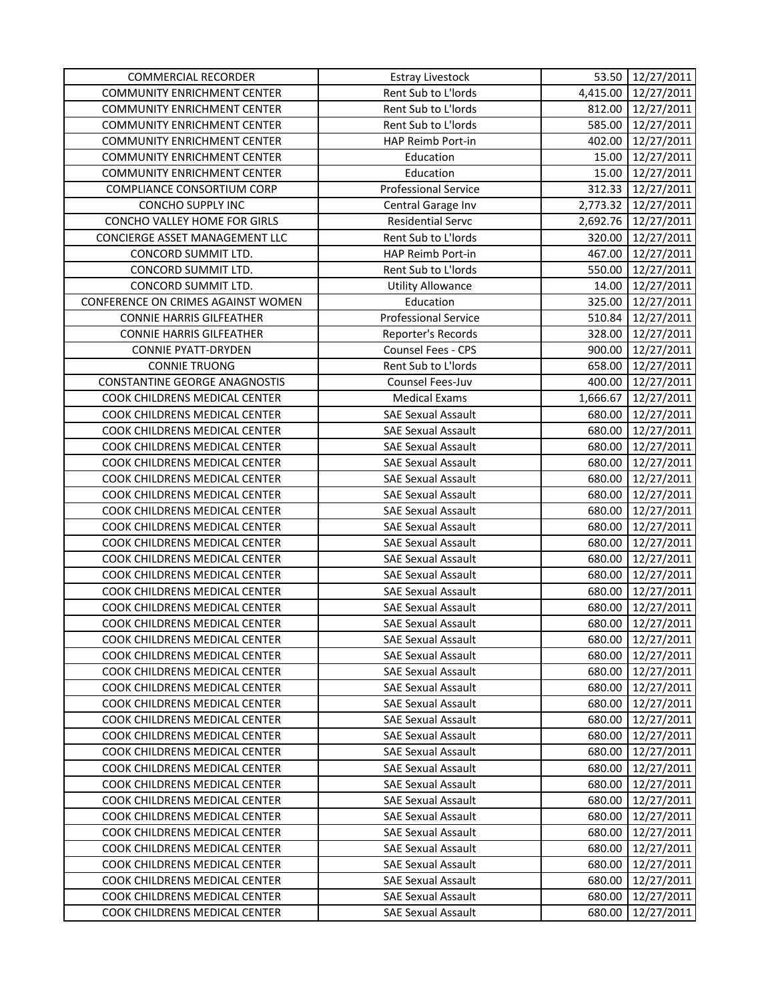| Rent Sub to L'Iords<br>12/27/2011<br><b>COMMUNITY ENRICHMENT CENTER</b><br>4,415.00<br><b>COMMUNITY ENRICHMENT CENTER</b><br>Rent Sub to L'Iords<br>812.00<br>12/27/2011<br>585.00<br><b>COMMUNITY ENRICHMENT CENTER</b><br>Rent Sub to L'Iords<br>12/27/2011<br><b>COMMUNITY ENRICHMENT CENTER</b><br>HAP Reimb Port-in<br>402.00<br>12/27/2011<br><b>COMMUNITY ENRICHMENT CENTER</b><br>15.00<br>12/27/2011<br>Education<br><b>COMMUNITY ENRICHMENT CENTER</b><br>Education<br>15.00<br>12/27/2011<br>COMPLIANCE CONSORTIUM CORP<br><b>Professional Service</b><br>312.33<br>12/27/2011<br>CONCHO SUPPLY INC<br>12/27/2011<br>Central Garage Inv<br>2,773.32<br>CONCHO VALLEY HOME FOR GIRLS<br><b>Residential Servc</b><br>2,692.76<br>12/27/2011<br>CONCIERGE ASSET MANAGEMENT LLC<br>Rent Sub to L'Iords<br>12/27/2011<br>320.00<br>CONCORD SUMMIT LTD.<br>467.00<br>HAP Reimb Port-in<br>12/27/2011<br>Rent Sub to L'Iords<br>CONCORD SUMMIT LTD.<br>550.00<br>12/27/2011<br>12/27/2011<br>CONCORD SUMMIT LTD.<br>14.00<br><b>Utility Allowance</b> |  |
|-----------------------------------------------------------------------------------------------------------------------------------------------------------------------------------------------------------------------------------------------------------------------------------------------------------------------------------------------------------------------------------------------------------------------------------------------------------------------------------------------------------------------------------------------------------------------------------------------------------------------------------------------------------------------------------------------------------------------------------------------------------------------------------------------------------------------------------------------------------------------------------------------------------------------------------------------------------------------------------------------------------------------------------------------------------|--|
|                                                                                                                                                                                                                                                                                                                                                                                                                                                                                                                                                                                                                                                                                                                                                                                                                                                                                                                                                                                                                                                           |  |
|                                                                                                                                                                                                                                                                                                                                                                                                                                                                                                                                                                                                                                                                                                                                                                                                                                                                                                                                                                                                                                                           |  |
|                                                                                                                                                                                                                                                                                                                                                                                                                                                                                                                                                                                                                                                                                                                                                                                                                                                                                                                                                                                                                                                           |  |
|                                                                                                                                                                                                                                                                                                                                                                                                                                                                                                                                                                                                                                                                                                                                                                                                                                                                                                                                                                                                                                                           |  |
|                                                                                                                                                                                                                                                                                                                                                                                                                                                                                                                                                                                                                                                                                                                                                                                                                                                                                                                                                                                                                                                           |  |
|                                                                                                                                                                                                                                                                                                                                                                                                                                                                                                                                                                                                                                                                                                                                                                                                                                                                                                                                                                                                                                                           |  |
|                                                                                                                                                                                                                                                                                                                                                                                                                                                                                                                                                                                                                                                                                                                                                                                                                                                                                                                                                                                                                                                           |  |
|                                                                                                                                                                                                                                                                                                                                                                                                                                                                                                                                                                                                                                                                                                                                                                                                                                                                                                                                                                                                                                                           |  |
|                                                                                                                                                                                                                                                                                                                                                                                                                                                                                                                                                                                                                                                                                                                                                                                                                                                                                                                                                                                                                                                           |  |
|                                                                                                                                                                                                                                                                                                                                                                                                                                                                                                                                                                                                                                                                                                                                                                                                                                                                                                                                                                                                                                                           |  |
|                                                                                                                                                                                                                                                                                                                                                                                                                                                                                                                                                                                                                                                                                                                                                                                                                                                                                                                                                                                                                                                           |  |
|                                                                                                                                                                                                                                                                                                                                                                                                                                                                                                                                                                                                                                                                                                                                                                                                                                                                                                                                                                                                                                                           |  |
|                                                                                                                                                                                                                                                                                                                                                                                                                                                                                                                                                                                                                                                                                                                                                                                                                                                                                                                                                                                                                                                           |  |
| CONFERENCE ON CRIMES AGAINST WOMEN<br>Education<br>325.00<br>12/27/2011                                                                                                                                                                                                                                                                                                                                                                                                                                                                                                                                                                                                                                                                                                                                                                                                                                                                                                                                                                                   |  |
| <b>Professional Service</b><br>510.84<br>12/27/2011<br><b>CONNIE HARRIS GILFEATHER</b>                                                                                                                                                                                                                                                                                                                                                                                                                                                                                                                                                                                                                                                                                                                                                                                                                                                                                                                                                                    |  |
| <b>CONNIE HARRIS GILFEATHER</b><br>Reporter's Records<br>328.00<br>12/27/2011                                                                                                                                                                                                                                                                                                                                                                                                                                                                                                                                                                                                                                                                                                                                                                                                                                                                                                                                                                             |  |
| <b>CONNIE PYATT-DRYDEN</b><br>Counsel Fees - CPS<br>900.00<br>12/27/2011                                                                                                                                                                                                                                                                                                                                                                                                                                                                                                                                                                                                                                                                                                                                                                                                                                                                                                                                                                                  |  |
| <b>CONNIE TRUONG</b><br>Rent Sub to L'Iords<br>658.00<br>12/27/2011                                                                                                                                                                                                                                                                                                                                                                                                                                                                                                                                                                                                                                                                                                                                                                                                                                                                                                                                                                                       |  |
| CONSTANTINE GEORGE ANAGNOSTIS<br>Counsel Fees-Juv<br>400.00<br>12/27/2011                                                                                                                                                                                                                                                                                                                                                                                                                                                                                                                                                                                                                                                                                                                                                                                                                                                                                                                                                                                 |  |
| COOK CHILDRENS MEDICAL CENTER<br><b>Medical Exams</b><br>1,666.67<br>12/27/2011                                                                                                                                                                                                                                                                                                                                                                                                                                                                                                                                                                                                                                                                                                                                                                                                                                                                                                                                                                           |  |
| COOK CHILDRENS MEDICAL CENTER<br><b>SAE Sexual Assault</b><br>680.00<br>12/27/2011                                                                                                                                                                                                                                                                                                                                                                                                                                                                                                                                                                                                                                                                                                                                                                                                                                                                                                                                                                        |  |
| COOK CHILDRENS MEDICAL CENTER<br><b>SAE Sexual Assault</b><br>680.00<br>12/27/2011                                                                                                                                                                                                                                                                                                                                                                                                                                                                                                                                                                                                                                                                                                                                                                                                                                                                                                                                                                        |  |
| COOK CHILDRENS MEDICAL CENTER<br><b>SAE Sexual Assault</b><br>680.00<br>12/27/2011                                                                                                                                                                                                                                                                                                                                                                                                                                                                                                                                                                                                                                                                                                                                                                                                                                                                                                                                                                        |  |
| COOK CHILDRENS MEDICAL CENTER<br><b>SAE Sexual Assault</b><br>680.00<br>12/27/2011                                                                                                                                                                                                                                                                                                                                                                                                                                                                                                                                                                                                                                                                                                                                                                                                                                                                                                                                                                        |  |
| COOK CHILDRENS MEDICAL CENTER<br><b>SAE Sexual Assault</b><br>680.00<br>12/27/2011                                                                                                                                                                                                                                                                                                                                                                                                                                                                                                                                                                                                                                                                                                                                                                                                                                                                                                                                                                        |  |
| COOK CHILDRENS MEDICAL CENTER<br><b>SAE Sexual Assault</b><br>680.00<br>12/27/2011                                                                                                                                                                                                                                                                                                                                                                                                                                                                                                                                                                                                                                                                                                                                                                                                                                                                                                                                                                        |  |
| COOK CHILDRENS MEDICAL CENTER<br>680.00<br>12/27/2011<br><b>SAE Sexual Assault</b>                                                                                                                                                                                                                                                                                                                                                                                                                                                                                                                                                                                                                                                                                                                                                                                                                                                                                                                                                                        |  |
| COOK CHILDRENS MEDICAL CENTER<br><b>SAE Sexual Assault</b><br>680.00<br>12/27/2011                                                                                                                                                                                                                                                                                                                                                                                                                                                                                                                                                                                                                                                                                                                                                                                                                                                                                                                                                                        |  |
| COOK CHILDRENS MEDICAL CENTER<br><b>SAE Sexual Assault</b><br>680.00<br>12/27/2011                                                                                                                                                                                                                                                                                                                                                                                                                                                                                                                                                                                                                                                                                                                                                                                                                                                                                                                                                                        |  |
| COOK CHILDRENS MEDICAL CENTER<br>680.00<br>12/27/2011<br><b>SAE Sexual Assault</b>                                                                                                                                                                                                                                                                                                                                                                                                                                                                                                                                                                                                                                                                                                                                                                                                                                                                                                                                                                        |  |
| COOK CHILDRENS MEDICAL CENTER<br><b>SAE Sexual Assault</b><br>680.00<br>12/27/2011                                                                                                                                                                                                                                                                                                                                                                                                                                                                                                                                                                                                                                                                                                                                                                                                                                                                                                                                                                        |  |
| COOK CHILDRENS MEDICAL CENTER<br><b>SAE Sexual Assault</b><br>680.00<br>12/27/2011                                                                                                                                                                                                                                                                                                                                                                                                                                                                                                                                                                                                                                                                                                                                                                                                                                                                                                                                                                        |  |
| COOK CHILDRENS MEDICAL CENTER<br><b>SAE Sexual Assault</b><br>680.00<br>12/27/2011                                                                                                                                                                                                                                                                                                                                                                                                                                                                                                                                                                                                                                                                                                                                                                                                                                                                                                                                                                        |  |
| <b>SAE Sexual Assault</b><br>680.00<br>12/27/2011<br>COOK CHILDRENS MEDICAL CENTER                                                                                                                                                                                                                                                                                                                                                                                                                                                                                                                                                                                                                                                                                                                                                                                                                                                                                                                                                                        |  |
| COOK CHILDRENS MEDICAL CENTER<br><b>SAE Sexual Assault</b><br>680.00<br>12/27/2011                                                                                                                                                                                                                                                                                                                                                                                                                                                                                                                                                                                                                                                                                                                                                                                                                                                                                                                                                                        |  |
| COOK CHILDRENS MEDICAL CENTER<br><b>SAE Sexual Assault</b><br>680.00<br>12/27/2011                                                                                                                                                                                                                                                                                                                                                                                                                                                                                                                                                                                                                                                                                                                                                                                                                                                                                                                                                                        |  |
| COOK CHILDRENS MEDICAL CENTER<br><b>SAE Sexual Assault</b><br>680.00<br>12/27/2011                                                                                                                                                                                                                                                                                                                                                                                                                                                                                                                                                                                                                                                                                                                                                                                                                                                                                                                                                                        |  |
| COOK CHILDRENS MEDICAL CENTER<br><b>SAE Sexual Assault</b><br>680.00<br>12/27/2011                                                                                                                                                                                                                                                                                                                                                                                                                                                                                                                                                                                                                                                                                                                                                                                                                                                                                                                                                                        |  |
| COOK CHILDRENS MEDICAL CENTER<br><b>SAE Sexual Assault</b><br>680.00<br>12/27/2011                                                                                                                                                                                                                                                                                                                                                                                                                                                                                                                                                                                                                                                                                                                                                                                                                                                                                                                                                                        |  |
| COOK CHILDRENS MEDICAL CENTER<br><b>SAE Sexual Assault</b><br>680.00<br>12/27/2011                                                                                                                                                                                                                                                                                                                                                                                                                                                                                                                                                                                                                                                                                                                                                                                                                                                                                                                                                                        |  |
| <b>SAE Sexual Assault</b><br>COOK CHILDRENS MEDICAL CENTER<br>680.00<br>12/27/2011                                                                                                                                                                                                                                                                                                                                                                                                                                                                                                                                                                                                                                                                                                                                                                                                                                                                                                                                                                        |  |
| COOK CHILDRENS MEDICAL CENTER<br><b>SAE Sexual Assault</b><br>680.00<br>12/27/2011                                                                                                                                                                                                                                                                                                                                                                                                                                                                                                                                                                                                                                                                                                                                                                                                                                                                                                                                                                        |  |
| COOK CHILDRENS MEDICAL CENTER<br><b>SAE Sexual Assault</b><br>680.00<br>12/27/2011                                                                                                                                                                                                                                                                                                                                                                                                                                                                                                                                                                                                                                                                                                                                                                                                                                                                                                                                                                        |  |
| COOK CHILDRENS MEDICAL CENTER<br><b>SAE Sexual Assault</b><br>680.00<br>12/27/2011                                                                                                                                                                                                                                                                                                                                                                                                                                                                                                                                                                                                                                                                                                                                                                                                                                                                                                                                                                        |  |
| COOK CHILDRENS MEDICAL CENTER<br><b>SAE Sexual Assault</b><br>680.00<br>12/27/2011                                                                                                                                                                                                                                                                                                                                                                                                                                                                                                                                                                                                                                                                                                                                                                                                                                                                                                                                                                        |  |
| COOK CHILDRENS MEDICAL CENTER<br><b>SAE Sexual Assault</b><br>680.00<br>12/27/2011                                                                                                                                                                                                                                                                                                                                                                                                                                                                                                                                                                                                                                                                                                                                                                                                                                                                                                                                                                        |  |
| COOK CHILDRENS MEDICAL CENTER<br><b>SAE Sexual Assault</b><br>680.00<br>12/27/2011                                                                                                                                                                                                                                                                                                                                                                                                                                                                                                                                                                                                                                                                                                                                                                                                                                                                                                                                                                        |  |
| COOK CHILDRENS MEDICAL CENTER<br><b>SAE Sexual Assault</b><br>680.00<br>12/27/2011                                                                                                                                                                                                                                                                                                                                                                                                                                                                                                                                                                                                                                                                                                                                                                                                                                                                                                                                                                        |  |
| COOK CHILDRENS MEDICAL CENTER<br><b>SAE Sexual Assault</b><br>680.00<br>12/27/2011                                                                                                                                                                                                                                                                                                                                                                                                                                                                                                                                                                                                                                                                                                                                                                                                                                                                                                                                                                        |  |
| COOK CHILDRENS MEDICAL CENTER<br><b>SAE Sexual Assault</b><br>680.00<br>12/27/2011                                                                                                                                                                                                                                                                                                                                                                                                                                                                                                                                                                                                                                                                                                                                                                                                                                                                                                                                                                        |  |
| COOK CHILDRENS MEDICAL CENTER<br><b>SAE Sexual Assault</b><br>12/27/2011<br>680.00                                                                                                                                                                                                                                                                                                                                                                                                                                                                                                                                                                                                                                                                                                                                                                                                                                                                                                                                                                        |  |
| COOK CHILDRENS MEDICAL CENTER<br><b>SAE Sexual Assault</b><br>680.00<br>12/27/2011                                                                                                                                                                                                                                                                                                                                                                                                                                                                                                                                                                                                                                                                                                                                                                                                                                                                                                                                                                        |  |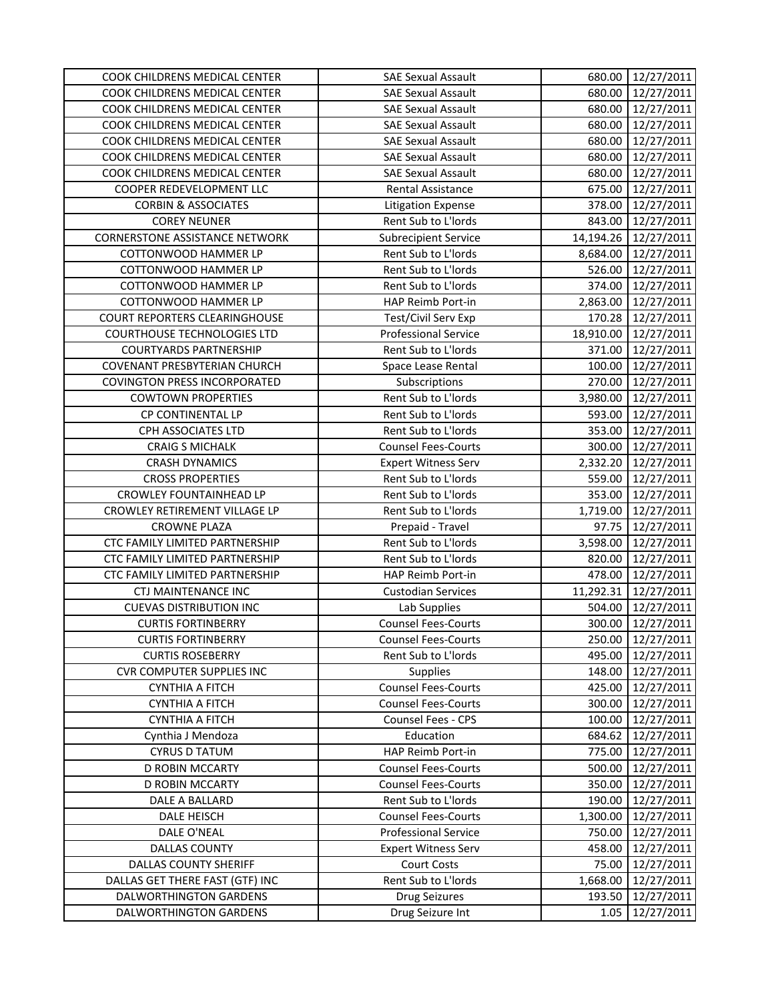| COOK CHILDRENS MEDICAL CENTER         | <b>SAE Sexual Assault</b>   | 680.00    | 12/27/2011 |
|---------------------------------------|-----------------------------|-----------|------------|
| COOK CHILDRENS MEDICAL CENTER         | <b>SAE Sexual Assault</b>   | 680.00    | 12/27/2011 |
| COOK CHILDRENS MEDICAL CENTER         | <b>SAE Sexual Assault</b>   | 680.00    | 12/27/2011 |
| COOK CHILDRENS MEDICAL CENTER         | <b>SAE Sexual Assault</b>   | 680.00    | 12/27/2011 |
| COOK CHILDRENS MEDICAL CENTER         | <b>SAE Sexual Assault</b>   | 680.00    | 12/27/2011 |
| COOK CHILDRENS MEDICAL CENTER         | <b>SAE Sexual Assault</b>   | 680.00    | 12/27/2011 |
| COOK CHILDRENS MEDICAL CENTER         | <b>SAE Sexual Assault</b>   | 680.00    | 12/27/2011 |
| COOPER REDEVELOPMENT LLC              | <b>Rental Assistance</b>    | 675.00    | 12/27/2011 |
| <b>CORBIN &amp; ASSOCIATES</b>        | <b>Litigation Expense</b>   | 378.00    | 12/27/2011 |
| <b>COREY NEUNER</b>                   | Rent Sub to L'Iords         | 843.00    | 12/27/2011 |
| <b>CORNERSTONE ASSISTANCE NETWORK</b> | <b>Subrecipient Service</b> | 14,194.26 | 12/27/2011 |
| COTTONWOOD HAMMER LP                  | Rent Sub to L'Iords         | 8,684.00  | 12/27/2011 |
| COTTONWOOD HAMMER LP                  | Rent Sub to L'Iords         | 526.00    | 12/27/2011 |
| COTTONWOOD HAMMER LP                  | Rent Sub to L'Iords         | 374.00    | 12/27/2011 |
| COTTONWOOD HAMMER LP                  | HAP Reimb Port-in           | 2,863.00  | 12/27/2011 |
| <b>COURT REPORTERS CLEARINGHOUSE</b>  | Test/Civil Serv Exp         | 170.28    | 12/27/2011 |
| <b>COURTHOUSE TECHNOLOGIES LTD</b>    | <b>Professional Service</b> | 18,910.00 | 12/27/2011 |
| <b>COURTYARDS PARTNERSHIP</b>         | Rent Sub to L'Iords         | 371.00    | 12/27/2011 |
| COVENANT PRESBYTERIAN CHURCH          | Space Lease Rental          | 100.00    | 12/27/2011 |
| <b>COVINGTON PRESS INCORPORATED</b>   | Subscriptions               | 270.00    | 12/27/2011 |
| <b>COWTOWN PROPERTIES</b>             | Rent Sub to L'Iords         | 3,980.00  | 12/27/2011 |
| CP CONTINENTAL LP                     | Rent Sub to L'Iords         | 593.00    | 12/27/2011 |
| CPH ASSOCIATES LTD                    | Rent Sub to L'Iords         | 353.00    | 12/27/2011 |
| <b>CRAIG S MICHALK</b>                | <b>Counsel Fees-Courts</b>  | 300.00    | 12/27/2011 |
| <b>CRASH DYNAMICS</b>                 | <b>Expert Witness Serv</b>  | 2,332.20  | 12/27/2011 |
| <b>CROSS PROPERTIES</b>               | Rent Sub to L'Iords         | 559.00    | 12/27/2011 |
| CROWLEY FOUNTAINHEAD LP               | Rent Sub to L'Iords         | 353.00    | 12/27/2011 |
| CROWLEY RETIREMENT VILLAGE LP         | Rent Sub to L'Iords         | 1,719.00  | 12/27/2011 |
| <b>CROWNE PLAZA</b>                   | Prepaid - Travel            | 97.75     | 12/27/2011 |
| CTC FAMILY LIMITED PARTNERSHIP        | Rent Sub to L'Iords         | 3,598.00  | 12/27/2011 |
| CTC FAMILY LIMITED PARTNERSHIP        | Rent Sub to L'Iords         | 820.00    | 12/27/2011 |
| CTC FAMILY LIMITED PARTNERSHIP        | <b>HAP Reimb Port-in</b>    | 478.00    | 12/27/2011 |
| <b>CTJ MAINTENANCE INC</b>            | <b>Custodian Services</b>   | 11,292.31 | 12/27/2011 |
| <b>CUEVAS DISTRIBUTION INC</b>        | Lab Supplies                | 504.00    | 12/27/2011 |
| <b>CURTIS FORTINBERRY</b>             | <b>Counsel Fees-Courts</b>  | 300.00    | 12/27/2011 |
| <b>CURTIS FORTINBERRY</b>             | <b>Counsel Fees-Courts</b>  | 250.00    | 12/27/2011 |
| <b>CURTIS ROSEBERRY</b>               | Rent Sub to L'Iords         | 495.00    | 12/27/2011 |
| <b>CVR COMPUTER SUPPLIES INC</b>      | <b>Supplies</b>             | 148.00    | 12/27/2011 |
| <b>CYNTHIA A FITCH</b>                | <b>Counsel Fees-Courts</b>  | 425.00    | 12/27/2011 |
| <b>CYNTHIA A FITCH</b>                | <b>Counsel Fees-Courts</b>  | 300.00    | 12/27/2011 |
| <b>CYNTHIA A FITCH</b>                | <b>Counsel Fees - CPS</b>   | 100.00    | 12/27/2011 |
| Cynthia J Mendoza                     | Education                   | 684.62    | 12/27/2011 |
| <b>CYRUS D TATUM</b>                  | HAP Reimb Port-in           | 775.00    | 12/27/2011 |
| <b>D ROBIN MCCARTY</b>                | <b>Counsel Fees-Courts</b>  | 500.00    | 12/27/2011 |
| <b>D ROBIN MCCARTY</b>                | <b>Counsel Fees-Courts</b>  | 350.00    | 12/27/2011 |
| DALE A BALLARD                        | Rent Sub to L'Iords         | 190.00    | 12/27/2011 |
| DALE HEISCH                           | <b>Counsel Fees-Courts</b>  | 1,300.00  | 12/27/2011 |
| DALE O'NEAL                           | <b>Professional Service</b> | 750.00    | 12/27/2011 |
| <b>DALLAS COUNTY</b>                  | <b>Expert Witness Serv</b>  | 458.00    | 12/27/2011 |
| <b>DALLAS COUNTY SHERIFF</b>          | <b>Court Costs</b>          | 75.00     | 12/27/2011 |
| DALLAS GET THERE FAST (GTF) INC       | Rent Sub to L'Iords         | 1,668.00  | 12/27/2011 |
| DALWORTHINGTON GARDENS                | Drug Seizures               | 193.50    | 12/27/2011 |
| DALWORTHINGTON GARDENS                | Drug Seizure Int            | 1.05      | 12/27/2011 |
|                                       |                             |           |            |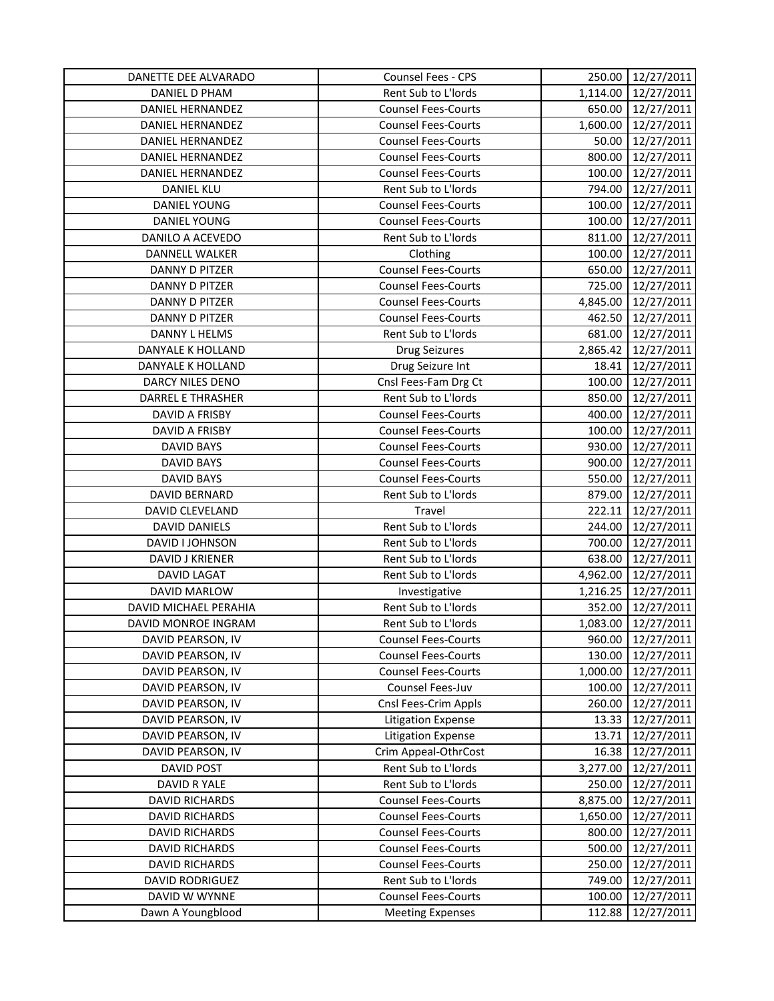| DANETTE DEE ALVARADO     | Counsel Fees - CPS         | 250.00   | 12/27/2011 |
|--------------------------|----------------------------|----------|------------|
| DANIEL D PHAM            | Rent Sub to L'Iords        | 1,114.00 | 12/27/2011 |
| DANIEL HERNANDEZ         | <b>Counsel Fees-Courts</b> | 650.00   | 12/27/2011 |
| DANIEL HERNANDEZ         | <b>Counsel Fees-Courts</b> | 1,600.00 | 12/27/2011 |
| DANIEL HERNANDEZ         | <b>Counsel Fees-Courts</b> | 50.00    | 12/27/2011 |
| DANIEL HERNANDEZ         | <b>Counsel Fees-Courts</b> | 800.00   | 12/27/2011 |
| DANIEL HERNANDEZ         | <b>Counsel Fees-Courts</b> | 100.00   | 12/27/2011 |
| <b>DANIEL KLU</b>        | Rent Sub to L'Iords        | 794.00   | 12/27/2011 |
| DANIEL YOUNG             | <b>Counsel Fees-Courts</b> | 100.00   | 12/27/2011 |
| DANIEL YOUNG             | <b>Counsel Fees-Courts</b> | 100.00   | 12/27/2011 |
| DANILO A ACEVEDO         | Rent Sub to L'Iords        | 811.00   | 12/27/2011 |
| DANNELL WALKER           | Clothing                   | 100.00   | 12/27/2011 |
| DANNY D PITZER           | <b>Counsel Fees-Courts</b> | 650.00   | 12/27/2011 |
| DANNY D PITZER           | <b>Counsel Fees-Courts</b> | 725.00   | 12/27/2011 |
| DANNY D PITZER           | <b>Counsel Fees-Courts</b> | 4,845.00 | 12/27/2011 |
| <b>DANNY D PITZER</b>    | <b>Counsel Fees-Courts</b> | 462.50   | 12/27/2011 |
| DANNY L HELMS            | Rent Sub to L'Iords        | 681.00   | 12/27/2011 |
| DANYALE K HOLLAND        | Drug Seizures              | 2,865.42 | 12/27/2011 |
| DANYALE K HOLLAND        | Drug Seizure Int           | 18.41    | 12/27/2011 |
| DARCY NILES DENO         | Cnsl Fees-Fam Drg Ct       | 100.00   | 12/27/2011 |
| <b>DARREL E THRASHER</b> | Rent Sub to L'Iords        | 850.00   | 12/27/2011 |
| DAVID A FRISBY           | <b>Counsel Fees-Courts</b> | 400.00   | 12/27/2011 |
| DAVID A FRISBY           | <b>Counsel Fees-Courts</b> | 100.00   | 12/27/2011 |
| <b>DAVID BAYS</b>        | <b>Counsel Fees-Courts</b> | 930.00   | 12/27/2011 |
| <b>DAVID BAYS</b>        | <b>Counsel Fees-Courts</b> | 900.00   | 12/27/2011 |
| <b>DAVID BAYS</b>        | <b>Counsel Fees-Courts</b> | 550.00   | 12/27/2011 |
| DAVID BERNARD            | Rent Sub to L'Iords        | 879.00   | 12/27/2011 |
| DAVID CLEVELAND          | Travel                     | 222.11   | 12/27/2011 |
| DAVID DANIELS            | Rent Sub to L'Iords        | 244.00   | 12/27/2011 |
| DAVID I JOHNSON          | Rent Sub to L'Iords        | 700.00   | 12/27/2011 |
| DAVID J KRIENER          | Rent Sub to L'Iords        | 638.00   | 12/27/2011 |
| <b>DAVID LAGAT</b>       | Rent Sub to L'Iords        | 4,962.00 | 12/27/2011 |
| DAVID MARLOW             | Investigative              | 1,216.25 | 12/27/2011 |
| DAVID MICHAEL PERAHIA    | Rent Sub to L'Iords        | 352.00   | 12/27/2011 |
| DAVID MONROE INGRAM      | Rent Sub to L'Iords        | 1,083.00 | 12/27/2011 |
| DAVID PEARSON, IV        | <b>Counsel Fees-Courts</b> | 960.00   | 12/27/2011 |
| DAVID PEARSON, IV        | <b>Counsel Fees-Courts</b> | 130.00   | 12/27/2011 |
| DAVID PEARSON, IV        | <b>Counsel Fees-Courts</b> | 1,000.00 | 12/27/2011 |
| DAVID PEARSON, IV        | Counsel Fees-Juv           | 100.00   | 12/27/2011 |
| DAVID PEARSON, IV        | Cnsl Fees-Crim Appls       | 260.00   | 12/27/2011 |
| DAVID PEARSON, IV        | <b>Litigation Expense</b>  | 13.33    | 12/27/2011 |
| DAVID PEARSON, IV        | <b>Litigation Expense</b>  | 13.71    | 12/27/2011 |
| DAVID PEARSON, IV        | Crim Appeal-OthrCost       | 16.38    | 12/27/2011 |
| DAVID POST               | Rent Sub to L'Iords        | 3,277.00 | 12/27/2011 |
| DAVID R YALE             | Rent Sub to L'Iords        | 250.00   | 12/27/2011 |
| <b>DAVID RICHARDS</b>    | <b>Counsel Fees-Courts</b> | 8,875.00 | 12/27/2011 |
| <b>DAVID RICHARDS</b>    | <b>Counsel Fees-Courts</b> | 1,650.00 | 12/27/2011 |
| <b>DAVID RICHARDS</b>    | <b>Counsel Fees-Courts</b> | 800.00   | 12/27/2011 |
| <b>DAVID RICHARDS</b>    | <b>Counsel Fees-Courts</b> | 500.00   | 12/27/2011 |
| <b>DAVID RICHARDS</b>    | <b>Counsel Fees-Courts</b> | 250.00   | 12/27/2011 |
| <b>DAVID RODRIGUEZ</b>   | Rent Sub to L'Iords        | 749.00   | 12/27/2011 |
| DAVID W WYNNE            | <b>Counsel Fees-Courts</b> | 100.00   | 12/27/2011 |
| Dawn A Youngblood        | <b>Meeting Expenses</b>    | 112.88   | 12/27/2011 |
|                          |                            |          |            |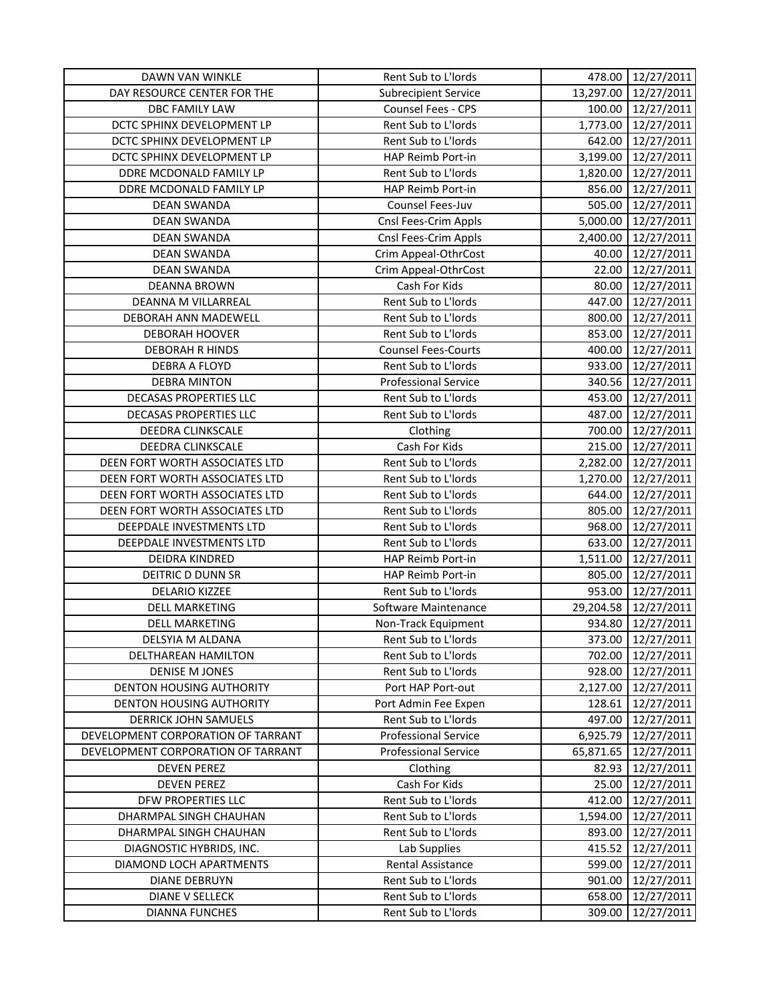| 13,297.00<br>DAY RESOURCE CENTER FOR THE<br><b>Subrecipient Service</b><br>12/27/2011<br>Counsel Fees - CPS<br>100.00<br>12/27/2011<br>DBC FAMILY LAW<br>DCTC SPHINX DEVELOPMENT LP<br>Rent Sub to L'Iords<br>1,773.00<br>12/27/2011<br>DCTC SPHINX DEVELOPMENT LP<br>Rent Sub to L'Iords<br>642.00<br>12/27/2011<br>3,199.00<br>DCTC SPHINX DEVELOPMENT LP<br>HAP Reimb Port-in<br>12/27/2011<br>DDRE MCDONALD FAMILY LP<br>Rent Sub to L'Iords<br>1,820.00<br>12/27/2011<br>DDRE MCDONALD FAMILY LP<br>HAP Reimb Port-in<br>856.00<br>12/27/2011<br>Counsel Fees-Juv<br><b>DEAN SWANDA</b><br>505.00<br>12/27/2011<br>5,000.00<br>12/27/2011<br><b>DEAN SWANDA</b><br>Cnsl Fees-Crim Appls<br>12/27/2011<br><b>DEAN SWANDA</b><br>Cnsl Fees-Crim Appls<br>2,400.00<br><b>DEAN SWANDA</b><br>40.00<br>12/27/2011<br>Crim Appeal-OthrCost<br><b>DEAN SWANDA</b><br>22.00<br>12/27/2011<br>Crim Appeal-OthrCost<br>80.00<br>12/27/2011<br><b>DEANNA BROWN</b><br>Cash For Kids<br>Rent Sub to L'Iords<br>447.00<br>12/27/2011<br>DEANNA M VILLARREAL<br>Rent Sub to L'Iords<br>800.00<br>12/27/2011<br>DEBORAH ANN MADEWELL<br>Rent Sub to L'Iords<br><b>DEBORAH HOOVER</b><br>853.00<br>12/27/2011<br><b>Counsel Fees-Courts</b><br>400.00<br>12/27/2011<br><b>DEBORAH R HINDS</b><br>Rent Sub to L'Iords<br>933.00<br>12/27/2011<br>DEBRA A FLOYD<br><b>DEBRA MINTON</b><br><b>Professional Service</b><br>340.56<br>12/27/2011<br>Rent Sub to L'Iords<br>DECASAS PROPERTIES LLC<br>453.00<br>12/27/2011<br>Rent Sub to L'Iords<br>487.00<br>DECASAS PROPERTIES LLC<br>12/27/2011<br>DEEDRA CLINKSCALE<br>700.00<br>12/27/2011<br>Clothing<br>DEEDRA CLINKSCALE<br>Cash For Kids<br>215.00<br>12/27/2011<br>Rent Sub to L'Iords<br>12/27/2011<br>DEEN FORT WORTH ASSOCIATES LTD<br>2,282.00<br>DEEN FORT WORTH ASSOCIATES LTD<br>Rent Sub to L'Iords<br>12/27/2011<br>1,270.00<br>Rent Sub to L'Iords<br>DEEN FORT WORTH ASSOCIATES LTD<br>644.00<br>12/27/2011<br>DEEN FORT WORTH ASSOCIATES LTD<br>Rent Sub to L'Iords<br>805.00<br>12/27/2011<br>Rent Sub to L'Iords<br>968.00<br>DEEPDALE INVESTMENTS LTD<br>12/27/2011<br>DEEPDALE INVESTMENTS LTD<br>Rent Sub to L'Iords<br>633.00<br>12/27/2011<br>12/27/2011<br><b>DEIDRA KINDRED</b><br>HAP Reimb Port-in<br>1,511.00<br>DEITRIC D DUNN SR<br>HAP Reimb Port-in<br>805.00<br>12/27/2011<br><b>DELARIO KIZZEE</b><br>Rent Sub to L'Iords<br>953.00<br>12/27/2011<br><b>DELL MARKETING</b><br>29,204.58<br>12/27/2011<br>Software Maintenance<br>12/27/2011<br><b>DELL MARKETING</b><br>Non-Track Equipment<br>934.80<br>DELSYIA M ALDANA<br>Rent Sub to L'Iords<br>373.00<br>12/27/2011<br>DELTHAREAN HAMILTON<br>Rent Sub to L'Iords<br>702.00<br>12/27/2011<br>928.00<br><b>DENISE M JONES</b><br>Rent Sub to L'Iords<br>12/27/2011<br><b>DENTON HOUSING AUTHORITY</b><br>2,127.00<br>12/27/2011<br>Port HAP Port-out<br><b>DENTON HOUSING AUTHORITY</b><br>12/27/2011<br>Port Admin Fee Expen<br>128.61<br>DERRICK JOHN SAMUELS<br>Rent Sub to L'Iords<br>12/27/2011<br>497.00<br><b>Professional Service</b><br>DEVELOPMENT CORPORATION OF TARRANT<br>6,925.79<br>12/27/2011<br><b>Professional Service</b><br>12/27/2011<br>DEVELOPMENT CORPORATION OF TARRANT<br>65,871.65<br>12/27/2011<br><b>DEVEN PEREZ</b><br>Clothing<br>82.93<br>Cash For Kids<br><b>DEVEN PEREZ</b><br>25.00<br>12/27/2011<br>Rent Sub to L'Iords<br>DFW PROPERTIES LLC<br>412.00<br>12/27/2011<br>DHARMPAL SINGH CHAUHAN<br>Rent Sub to L'Iords<br>1,594.00<br>12/27/2011<br>Rent Sub to L'Iords<br>12/27/2011<br>DHARMPAL SINGH CHAUHAN<br>893.00<br>Lab Supplies<br>DIAGNOSTIC HYBRIDS, INC.<br>415.52<br>12/27/2011<br>DIAMOND LOCH APARTMENTS<br>Rental Assistance<br>12/27/2011<br>599.00<br>Rent Sub to L'Iords<br>12/27/2011<br><b>DIANE DEBRUYN</b><br>901.00<br>Rent Sub to L'Iords<br>12/27/2011<br><b>DIANE V SELLECK</b><br>658.00 | <b>DAWN VAN WINKLE</b> | Rent Sub to L'Iords | 478.00 | 12/27/2011 |
|---------------------------------------------------------------------------------------------------------------------------------------------------------------------------------------------------------------------------------------------------------------------------------------------------------------------------------------------------------------------------------------------------------------------------------------------------------------------------------------------------------------------------------------------------------------------------------------------------------------------------------------------------------------------------------------------------------------------------------------------------------------------------------------------------------------------------------------------------------------------------------------------------------------------------------------------------------------------------------------------------------------------------------------------------------------------------------------------------------------------------------------------------------------------------------------------------------------------------------------------------------------------------------------------------------------------------------------------------------------------------------------------------------------------------------------------------------------------------------------------------------------------------------------------------------------------------------------------------------------------------------------------------------------------------------------------------------------------------------------------------------------------------------------------------------------------------------------------------------------------------------------------------------------------------------------------------------------------------------------------------------------------------------------------------------------------------------------------------------------------------------------------------------------------------------------------------------------------------------------------------------------------------------------------------------------------------------------------------------------------------------------------------------------------------------------------------------------------------------------------------------------------------------------------------------------------------------------------------------------------------------------------------------------------------------------------------------------------------------------------------------------------------------------------------------------------------------------------------------------------------------------------------------------------------------------------------------------------------------------------------------------------------------------------------------------------------------------------------------------------------------------------------------------------------------------------------------------------------------------------------------------------------------------------------------------------------------------------------------------------------------------------------------------------------------------------------------------------------------------------------------------------------------------------------------------------------------------------------------------------------------------------------------------------------------------------------------------------------------------------------------------------------------------------------------------------------------------------------------------------------------------|------------------------|---------------------|--------|------------|
|                                                                                                                                                                                                                                                                                                                                                                                                                                                                                                                                                                                                                                                                                                                                                                                                                                                                                                                                                                                                                                                                                                                                                                                                                                                                                                                                                                                                                                                                                                                                                                                                                                                                                                                                                                                                                                                                                                                                                                                                                                                                                                                                                                                                                                                                                                                                                                                                                                                                                                                                                                                                                                                                                                                                                                                                                                                                                                                                                                                                                                                                                                                                                                                                                                                                                                                                                                                                                                                                                                                                                                                                                                                                                                                                                                                                                                                                                       |                        |                     |        |            |
|                                                                                                                                                                                                                                                                                                                                                                                                                                                                                                                                                                                                                                                                                                                                                                                                                                                                                                                                                                                                                                                                                                                                                                                                                                                                                                                                                                                                                                                                                                                                                                                                                                                                                                                                                                                                                                                                                                                                                                                                                                                                                                                                                                                                                                                                                                                                                                                                                                                                                                                                                                                                                                                                                                                                                                                                                                                                                                                                                                                                                                                                                                                                                                                                                                                                                                                                                                                                                                                                                                                                                                                                                                                                                                                                                                                                                                                                                       |                        |                     |        |            |
|                                                                                                                                                                                                                                                                                                                                                                                                                                                                                                                                                                                                                                                                                                                                                                                                                                                                                                                                                                                                                                                                                                                                                                                                                                                                                                                                                                                                                                                                                                                                                                                                                                                                                                                                                                                                                                                                                                                                                                                                                                                                                                                                                                                                                                                                                                                                                                                                                                                                                                                                                                                                                                                                                                                                                                                                                                                                                                                                                                                                                                                                                                                                                                                                                                                                                                                                                                                                                                                                                                                                                                                                                                                                                                                                                                                                                                                                                       |                        |                     |        |            |
|                                                                                                                                                                                                                                                                                                                                                                                                                                                                                                                                                                                                                                                                                                                                                                                                                                                                                                                                                                                                                                                                                                                                                                                                                                                                                                                                                                                                                                                                                                                                                                                                                                                                                                                                                                                                                                                                                                                                                                                                                                                                                                                                                                                                                                                                                                                                                                                                                                                                                                                                                                                                                                                                                                                                                                                                                                                                                                                                                                                                                                                                                                                                                                                                                                                                                                                                                                                                                                                                                                                                                                                                                                                                                                                                                                                                                                                                                       |                        |                     |        |            |
|                                                                                                                                                                                                                                                                                                                                                                                                                                                                                                                                                                                                                                                                                                                                                                                                                                                                                                                                                                                                                                                                                                                                                                                                                                                                                                                                                                                                                                                                                                                                                                                                                                                                                                                                                                                                                                                                                                                                                                                                                                                                                                                                                                                                                                                                                                                                                                                                                                                                                                                                                                                                                                                                                                                                                                                                                                                                                                                                                                                                                                                                                                                                                                                                                                                                                                                                                                                                                                                                                                                                                                                                                                                                                                                                                                                                                                                                                       |                        |                     |        |            |
|                                                                                                                                                                                                                                                                                                                                                                                                                                                                                                                                                                                                                                                                                                                                                                                                                                                                                                                                                                                                                                                                                                                                                                                                                                                                                                                                                                                                                                                                                                                                                                                                                                                                                                                                                                                                                                                                                                                                                                                                                                                                                                                                                                                                                                                                                                                                                                                                                                                                                                                                                                                                                                                                                                                                                                                                                                                                                                                                                                                                                                                                                                                                                                                                                                                                                                                                                                                                                                                                                                                                                                                                                                                                                                                                                                                                                                                                                       |                        |                     |        |            |
|                                                                                                                                                                                                                                                                                                                                                                                                                                                                                                                                                                                                                                                                                                                                                                                                                                                                                                                                                                                                                                                                                                                                                                                                                                                                                                                                                                                                                                                                                                                                                                                                                                                                                                                                                                                                                                                                                                                                                                                                                                                                                                                                                                                                                                                                                                                                                                                                                                                                                                                                                                                                                                                                                                                                                                                                                                                                                                                                                                                                                                                                                                                                                                                                                                                                                                                                                                                                                                                                                                                                                                                                                                                                                                                                                                                                                                                                                       |                        |                     |        |            |
|                                                                                                                                                                                                                                                                                                                                                                                                                                                                                                                                                                                                                                                                                                                                                                                                                                                                                                                                                                                                                                                                                                                                                                                                                                                                                                                                                                                                                                                                                                                                                                                                                                                                                                                                                                                                                                                                                                                                                                                                                                                                                                                                                                                                                                                                                                                                                                                                                                                                                                                                                                                                                                                                                                                                                                                                                                                                                                                                                                                                                                                                                                                                                                                                                                                                                                                                                                                                                                                                                                                                                                                                                                                                                                                                                                                                                                                                                       |                        |                     |        |            |
|                                                                                                                                                                                                                                                                                                                                                                                                                                                                                                                                                                                                                                                                                                                                                                                                                                                                                                                                                                                                                                                                                                                                                                                                                                                                                                                                                                                                                                                                                                                                                                                                                                                                                                                                                                                                                                                                                                                                                                                                                                                                                                                                                                                                                                                                                                                                                                                                                                                                                                                                                                                                                                                                                                                                                                                                                                                                                                                                                                                                                                                                                                                                                                                                                                                                                                                                                                                                                                                                                                                                                                                                                                                                                                                                                                                                                                                                                       |                        |                     |        |            |
|                                                                                                                                                                                                                                                                                                                                                                                                                                                                                                                                                                                                                                                                                                                                                                                                                                                                                                                                                                                                                                                                                                                                                                                                                                                                                                                                                                                                                                                                                                                                                                                                                                                                                                                                                                                                                                                                                                                                                                                                                                                                                                                                                                                                                                                                                                                                                                                                                                                                                                                                                                                                                                                                                                                                                                                                                                                                                                                                                                                                                                                                                                                                                                                                                                                                                                                                                                                                                                                                                                                                                                                                                                                                                                                                                                                                                                                                                       |                        |                     |        |            |
|                                                                                                                                                                                                                                                                                                                                                                                                                                                                                                                                                                                                                                                                                                                                                                                                                                                                                                                                                                                                                                                                                                                                                                                                                                                                                                                                                                                                                                                                                                                                                                                                                                                                                                                                                                                                                                                                                                                                                                                                                                                                                                                                                                                                                                                                                                                                                                                                                                                                                                                                                                                                                                                                                                                                                                                                                                                                                                                                                                                                                                                                                                                                                                                                                                                                                                                                                                                                                                                                                                                                                                                                                                                                                                                                                                                                                                                                                       |                        |                     |        |            |
|                                                                                                                                                                                                                                                                                                                                                                                                                                                                                                                                                                                                                                                                                                                                                                                                                                                                                                                                                                                                                                                                                                                                                                                                                                                                                                                                                                                                                                                                                                                                                                                                                                                                                                                                                                                                                                                                                                                                                                                                                                                                                                                                                                                                                                                                                                                                                                                                                                                                                                                                                                                                                                                                                                                                                                                                                                                                                                                                                                                                                                                                                                                                                                                                                                                                                                                                                                                                                                                                                                                                                                                                                                                                                                                                                                                                                                                                                       |                        |                     |        |            |
|                                                                                                                                                                                                                                                                                                                                                                                                                                                                                                                                                                                                                                                                                                                                                                                                                                                                                                                                                                                                                                                                                                                                                                                                                                                                                                                                                                                                                                                                                                                                                                                                                                                                                                                                                                                                                                                                                                                                                                                                                                                                                                                                                                                                                                                                                                                                                                                                                                                                                                                                                                                                                                                                                                                                                                                                                                                                                                                                                                                                                                                                                                                                                                                                                                                                                                                                                                                                                                                                                                                                                                                                                                                                                                                                                                                                                                                                                       |                        |                     |        |            |
|                                                                                                                                                                                                                                                                                                                                                                                                                                                                                                                                                                                                                                                                                                                                                                                                                                                                                                                                                                                                                                                                                                                                                                                                                                                                                                                                                                                                                                                                                                                                                                                                                                                                                                                                                                                                                                                                                                                                                                                                                                                                                                                                                                                                                                                                                                                                                                                                                                                                                                                                                                                                                                                                                                                                                                                                                                                                                                                                                                                                                                                                                                                                                                                                                                                                                                                                                                                                                                                                                                                                                                                                                                                                                                                                                                                                                                                                                       |                        |                     |        |            |
|                                                                                                                                                                                                                                                                                                                                                                                                                                                                                                                                                                                                                                                                                                                                                                                                                                                                                                                                                                                                                                                                                                                                                                                                                                                                                                                                                                                                                                                                                                                                                                                                                                                                                                                                                                                                                                                                                                                                                                                                                                                                                                                                                                                                                                                                                                                                                                                                                                                                                                                                                                                                                                                                                                                                                                                                                                                                                                                                                                                                                                                                                                                                                                                                                                                                                                                                                                                                                                                                                                                                                                                                                                                                                                                                                                                                                                                                                       |                        |                     |        |            |
|                                                                                                                                                                                                                                                                                                                                                                                                                                                                                                                                                                                                                                                                                                                                                                                                                                                                                                                                                                                                                                                                                                                                                                                                                                                                                                                                                                                                                                                                                                                                                                                                                                                                                                                                                                                                                                                                                                                                                                                                                                                                                                                                                                                                                                                                                                                                                                                                                                                                                                                                                                                                                                                                                                                                                                                                                                                                                                                                                                                                                                                                                                                                                                                                                                                                                                                                                                                                                                                                                                                                                                                                                                                                                                                                                                                                                                                                                       |                        |                     |        |            |
|                                                                                                                                                                                                                                                                                                                                                                                                                                                                                                                                                                                                                                                                                                                                                                                                                                                                                                                                                                                                                                                                                                                                                                                                                                                                                                                                                                                                                                                                                                                                                                                                                                                                                                                                                                                                                                                                                                                                                                                                                                                                                                                                                                                                                                                                                                                                                                                                                                                                                                                                                                                                                                                                                                                                                                                                                                                                                                                                                                                                                                                                                                                                                                                                                                                                                                                                                                                                                                                                                                                                                                                                                                                                                                                                                                                                                                                                                       |                        |                     |        |            |
|                                                                                                                                                                                                                                                                                                                                                                                                                                                                                                                                                                                                                                                                                                                                                                                                                                                                                                                                                                                                                                                                                                                                                                                                                                                                                                                                                                                                                                                                                                                                                                                                                                                                                                                                                                                                                                                                                                                                                                                                                                                                                                                                                                                                                                                                                                                                                                                                                                                                                                                                                                                                                                                                                                                                                                                                                                                                                                                                                                                                                                                                                                                                                                                                                                                                                                                                                                                                                                                                                                                                                                                                                                                                                                                                                                                                                                                                                       |                        |                     |        |            |
|                                                                                                                                                                                                                                                                                                                                                                                                                                                                                                                                                                                                                                                                                                                                                                                                                                                                                                                                                                                                                                                                                                                                                                                                                                                                                                                                                                                                                                                                                                                                                                                                                                                                                                                                                                                                                                                                                                                                                                                                                                                                                                                                                                                                                                                                                                                                                                                                                                                                                                                                                                                                                                                                                                                                                                                                                                                                                                                                                                                                                                                                                                                                                                                                                                                                                                                                                                                                                                                                                                                                                                                                                                                                                                                                                                                                                                                                                       |                        |                     |        |            |
|                                                                                                                                                                                                                                                                                                                                                                                                                                                                                                                                                                                                                                                                                                                                                                                                                                                                                                                                                                                                                                                                                                                                                                                                                                                                                                                                                                                                                                                                                                                                                                                                                                                                                                                                                                                                                                                                                                                                                                                                                                                                                                                                                                                                                                                                                                                                                                                                                                                                                                                                                                                                                                                                                                                                                                                                                                                                                                                                                                                                                                                                                                                                                                                                                                                                                                                                                                                                                                                                                                                                                                                                                                                                                                                                                                                                                                                                                       |                        |                     |        |            |
|                                                                                                                                                                                                                                                                                                                                                                                                                                                                                                                                                                                                                                                                                                                                                                                                                                                                                                                                                                                                                                                                                                                                                                                                                                                                                                                                                                                                                                                                                                                                                                                                                                                                                                                                                                                                                                                                                                                                                                                                                                                                                                                                                                                                                                                                                                                                                                                                                                                                                                                                                                                                                                                                                                                                                                                                                                                                                                                                                                                                                                                                                                                                                                                                                                                                                                                                                                                                                                                                                                                                                                                                                                                                                                                                                                                                                                                                                       |                        |                     |        |            |
|                                                                                                                                                                                                                                                                                                                                                                                                                                                                                                                                                                                                                                                                                                                                                                                                                                                                                                                                                                                                                                                                                                                                                                                                                                                                                                                                                                                                                                                                                                                                                                                                                                                                                                                                                                                                                                                                                                                                                                                                                                                                                                                                                                                                                                                                                                                                                                                                                                                                                                                                                                                                                                                                                                                                                                                                                                                                                                                                                                                                                                                                                                                                                                                                                                                                                                                                                                                                                                                                                                                                                                                                                                                                                                                                                                                                                                                                                       |                        |                     |        |            |
|                                                                                                                                                                                                                                                                                                                                                                                                                                                                                                                                                                                                                                                                                                                                                                                                                                                                                                                                                                                                                                                                                                                                                                                                                                                                                                                                                                                                                                                                                                                                                                                                                                                                                                                                                                                                                                                                                                                                                                                                                                                                                                                                                                                                                                                                                                                                                                                                                                                                                                                                                                                                                                                                                                                                                                                                                                                                                                                                                                                                                                                                                                                                                                                                                                                                                                                                                                                                                                                                                                                                                                                                                                                                                                                                                                                                                                                                                       |                        |                     |        |            |
|                                                                                                                                                                                                                                                                                                                                                                                                                                                                                                                                                                                                                                                                                                                                                                                                                                                                                                                                                                                                                                                                                                                                                                                                                                                                                                                                                                                                                                                                                                                                                                                                                                                                                                                                                                                                                                                                                                                                                                                                                                                                                                                                                                                                                                                                                                                                                                                                                                                                                                                                                                                                                                                                                                                                                                                                                                                                                                                                                                                                                                                                                                                                                                                                                                                                                                                                                                                                                                                                                                                                                                                                                                                                                                                                                                                                                                                                                       |                        |                     |        |            |
|                                                                                                                                                                                                                                                                                                                                                                                                                                                                                                                                                                                                                                                                                                                                                                                                                                                                                                                                                                                                                                                                                                                                                                                                                                                                                                                                                                                                                                                                                                                                                                                                                                                                                                                                                                                                                                                                                                                                                                                                                                                                                                                                                                                                                                                                                                                                                                                                                                                                                                                                                                                                                                                                                                                                                                                                                                                                                                                                                                                                                                                                                                                                                                                                                                                                                                                                                                                                                                                                                                                                                                                                                                                                                                                                                                                                                                                                                       |                        |                     |        |            |
|                                                                                                                                                                                                                                                                                                                                                                                                                                                                                                                                                                                                                                                                                                                                                                                                                                                                                                                                                                                                                                                                                                                                                                                                                                                                                                                                                                                                                                                                                                                                                                                                                                                                                                                                                                                                                                                                                                                                                                                                                                                                                                                                                                                                                                                                                                                                                                                                                                                                                                                                                                                                                                                                                                                                                                                                                                                                                                                                                                                                                                                                                                                                                                                                                                                                                                                                                                                                                                                                                                                                                                                                                                                                                                                                                                                                                                                                                       |                        |                     |        |            |
|                                                                                                                                                                                                                                                                                                                                                                                                                                                                                                                                                                                                                                                                                                                                                                                                                                                                                                                                                                                                                                                                                                                                                                                                                                                                                                                                                                                                                                                                                                                                                                                                                                                                                                                                                                                                                                                                                                                                                                                                                                                                                                                                                                                                                                                                                                                                                                                                                                                                                                                                                                                                                                                                                                                                                                                                                                                                                                                                                                                                                                                                                                                                                                                                                                                                                                                                                                                                                                                                                                                                                                                                                                                                                                                                                                                                                                                                                       |                        |                     |        |            |
|                                                                                                                                                                                                                                                                                                                                                                                                                                                                                                                                                                                                                                                                                                                                                                                                                                                                                                                                                                                                                                                                                                                                                                                                                                                                                                                                                                                                                                                                                                                                                                                                                                                                                                                                                                                                                                                                                                                                                                                                                                                                                                                                                                                                                                                                                                                                                                                                                                                                                                                                                                                                                                                                                                                                                                                                                                                                                                                                                                                                                                                                                                                                                                                                                                                                                                                                                                                                                                                                                                                                                                                                                                                                                                                                                                                                                                                                                       |                        |                     |        |            |
|                                                                                                                                                                                                                                                                                                                                                                                                                                                                                                                                                                                                                                                                                                                                                                                                                                                                                                                                                                                                                                                                                                                                                                                                                                                                                                                                                                                                                                                                                                                                                                                                                                                                                                                                                                                                                                                                                                                                                                                                                                                                                                                                                                                                                                                                                                                                                                                                                                                                                                                                                                                                                                                                                                                                                                                                                                                                                                                                                                                                                                                                                                                                                                                                                                                                                                                                                                                                                                                                                                                                                                                                                                                                                                                                                                                                                                                                                       |                        |                     |        |            |
|                                                                                                                                                                                                                                                                                                                                                                                                                                                                                                                                                                                                                                                                                                                                                                                                                                                                                                                                                                                                                                                                                                                                                                                                                                                                                                                                                                                                                                                                                                                                                                                                                                                                                                                                                                                                                                                                                                                                                                                                                                                                                                                                                                                                                                                                                                                                                                                                                                                                                                                                                                                                                                                                                                                                                                                                                                                                                                                                                                                                                                                                                                                                                                                                                                                                                                                                                                                                                                                                                                                                                                                                                                                                                                                                                                                                                                                                                       |                        |                     |        |            |
|                                                                                                                                                                                                                                                                                                                                                                                                                                                                                                                                                                                                                                                                                                                                                                                                                                                                                                                                                                                                                                                                                                                                                                                                                                                                                                                                                                                                                                                                                                                                                                                                                                                                                                                                                                                                                                                                                                                                                                                                                                                                                                                                                                                                                                                                                                                                                                                                                                                                                                                                                                                                                                                                                                                                                                                                                                                                                                                                                                                                                                                                                                                                                                                                                                                                                                                                                                                                                                                                                                                                                                                                                                                                                                                                                                                                                                                                                       |                        |                     |        |            |
|                                                                                                                                                                                                                                                                                                                                                                                                                                                                                                                                                                                                                                                                                                                                                                                                                                                                                                                                                                                                                                                                                                                                                                                                                                                                                                                                                                                                                                                                                                                                                                                                                                                                                                                                                                                                                                                                                                                                                                                                                                                                                                                                                                                                                                                                                                                                                                                                                                                                                                                                                                                                                                                                                                                                                                                                                                                                                                                                                                                                                                                                                                                                                                                                                                                                                                                                                                                                                                                                                                                                                                                                                                                                                                                                                                                                                                                                                       |                        |                     |        |            |
|                                                                                                                                                                                                                                                                                                                                                                                                                                                                                                                                                                                                                                                                                                                                                                                                                                                                                                                                                                                                                                                                                                                                                                                                                                                                                                                                                                                                                                                                                                                                                                                                                                                                                                                                                                                                                                                                                                                                                                                                                                                                                                                                                                                                                                                                                                                                                                                                                                                                                                                                                                                                                                                                                                                                                                                                                                                                                                                                                                                                                                                                                                                                                                                                                                                                                                                                                                                                                                                                                                                                                                                                                                                                                                                                                                                                                                                                                       |                        |                     |        |            |
|                                                                                                                                                                                                                                                                                                                                                                                                                                                                                                                                                                                                                                                                                                                                                                                                                                                                                                                                                                                                                                                                                                                                                                                                                                                                                                                                                                                                                                                                                                                                                                                                                                                                                                                                                                                                                                                                                                                                                                                                                                                                                                                                                                                                                                                                                                                                                                                                                                                                                                                                                                                                                                                                                                                                                                                                                                                                                                                                                                                                                                                                                                                                                                                                                                                                                                                                                                                                                                                                                                                                                                                                                                                                                                                                                                                                                                                                                       |                        |                     |        |            |
|                                                                                                                                                                                                                                                                                                                                                                                                                                                                                                                                                                                                                                                                                                                                                                                                                                                                                                                                                                                                                                                                                                                                                                                                                                                                                                                                                                                                                                                                                                                                                                                                                                                                                                                                                                                                                                                                                                                                                                                                                                                                                                                                                                                                                                                                                                                                                                                                                                                                                                                                                                                                                                                                                                                                                                                                                                                                                                                                                                                                                                                                                                                                                                                                                                                                                                                                                                                                                                                                                                                                                                                                                                                                                                                                                                                                                                                                                       |                        |                     |        |            |
|                                                                                                                                                                                                                                                                                                                                                                                                                                                                                                                                                                                                                                                                                                                                                                                                                                                                                                                                                                                                                                                                                                                                                                                                                                                                                                                                                                                                                                                                                                                                                                                                                                                                                                                                                                                                                                                                                                                                                                                                                                                                                                                                                                                                                                                                                                                                                                                                                                                                                                                                                                                                                                                                                                                                                                                                                                                                                                                                                                                                                                                                                                                                                                                                                                                                                                                                                                                                                                                                                                                                                                                                                                                                                                                                                                                                                                                                                       |                        |                     |        |            |
|                                                                                                                                                                                                                                                                                                                                                                                                                                                                                                                                                                                                                                                                                                                                                                                                                                                                                                                                                                                                                                                                                                                                                                                                                                                                                                                                                                                                                                                                                                                                                                                                                                                                                                                                                                                                                                                                                                                                                                                                                                                                                                                                                                                                                                                                                                                                                                                                                                                                                                                                                                                                                                                                                                                                                                                                                                                                                                                                                                                                                                                                                                                                                                                                                                                                                                                                                                                                                                                                                                                                                                                                                                                                                                                                                                                                                                                                                       |                        |                     |        |            |
|                                                                                                                                                                                                                                                                                                                                                                                                                                                                                                                                                                                                                                                                                                                                                                                                                                                                                                                                                                                                                                                                                                                                                                                                                                                                                                                                                                                                                                                                                                                                                                                                                                                                                                                                                                                                                                                                                                                                                                                                                                                                                                                                                                                                                                                                                                                                                                                                                                                                                                                                                                                                                                                                                                                                                                                                                                                                                                                                                                                                                                                                                                                                                                                                                                                                                                                                                                                                                                                                                                                                                                                                                                                                                                                                                                                                                                                                                       |                        |                     |        |            |
|                                                                                                                                                                                                                                                                                                                                                                                                                                                                                                                                                                                                                                                                                                                                                                                                                                                                                                                                                                                                                                                                                                                                                                                                                                                                                                                                                                                                                                                                                                                                                                                                                                                                                                                                                                                                                                                                                                                                                                                                                                                                                                                                                                                                                                                                                                                                                                                                                                                                                                                                                                                                                                                                                                                                                                                                                                                                                                                                                                                                                                                                                                                                                                                                                                                                                                                                                                                                                                                                                                                                                                                                                                                                                                                                                                                                                                                                                       |                        |                     |        |            |
|                                                                                                                                                                                                                                                                                                                                                                                                                                                                                                                                                                                                                                                                                                                                                                                                                                                                                                                                                                                                                                                                                                                                                                                                                                                                                                                                                                                                                                                                                                                                                                                                                                                                                                                                                                                                                                                                                                                                                                                                                                                                                                                                                                                                                                                                                                                                                                                                                                                                                                                                                                                                                                                                                                                                                                                                                                                                                                                                                                                                                                                                                                                                                                                                                                                                                                                                                                                                                                                                                                                                                                                                                                                                                                                                                                                                                                                                                       |                        |                     |        |            |
|                                                                                                                                                                                                                                                                                                                                                                                                                                                                                                                                                                                                                                                                                                                                                                                                                                                                                                                                                                                                                                                                                                                                                                                                                                                                                                                                                                                                                                                                                                                                                                                                                                                                                                                                                                                                                                                                                                                                                                                                                                                                                                                                                                                                                                                                                                                                                                                                                                                                                                                                                                                                                                                                                                                                                                                                                                                                                                                                                                                                                                                                                                                                                                                                                                                                                                                                                                                                                                                                                                                                                                                                                                                                                                                                                                                                                                                                                       |                        |                     |        |            |
|                                                                                                                                                                                                                                                                                                                                                                                                                                                                                                                                                                                                                                                                                                                                                                                                                                                                                                                                                                                                                                                                                                                                                                                                                                                                                                                                                                                                                                                                                                                                                                                                                                                                                                                                                                                                                                                                                                                                                                                                                                                                                                                                                                                                                                                                                                                                                                                                                                                                                                                                                                                                                                                                                                                                                                                                                                                                                                                                                                                                                                                                                                                                                                                                                                                                                                                                                                                                                                                                                                                                                                                                                                                                                                                                                                                                                                                                                       |                        |                     |        |            |
|                                                                                                                                                                                                                                                                                                                                                                                                                                                                                                                                                                                                                                                                                                                                                                                                                                                                                                                                                                                                                                                                                                                                                                                                                                                                                                                                                                                                                                                                                                                                                                                                                                                                                                                                                                                                                                                                                                                                                                                                                                                                                                                                                                                                                                                                                                                                                                                                                                                                                                                                                                                                                                                                                                                                                                                                                                                                                                                                                                                                                                                                                                                                                                                                                                                                                                                                                                                                                                                                                                                                                                                                                                                                                                                                                                                                                                                                                       |                        |                     |        |            |
|                                                                                                                                                                                                                                                                                                                                                                                                                                                                                                                                                                                                                                                                                                                                                                                                                                                                                                                                                                                                                                                                                                                                                                                                                                                                                                                                                                                                                                                                                                                                                                                                                                                                                                                                                                                                                                                                                                                                                                                                                                                                                                                                                                                                                                                                                                                                                                                                                                                                                                                                                                                                                                                                                                                                                                                                                                                                                                                                                                                                                                                                                                                                                                                                                                                                                                                                                                                                                                                                                                                                                                                                                                                                                                                                                                                                                                                                                       |                        |                     |        |            |
|                                                                                                                                                                                                                                                                                                                                                                                                                                                                                                                                                                                                                                                                                                                                                                                                                                                                                                                                                                                                                                                                                                                                                                                                                                                                                                                                                                                                                                                                                                                                                                                                                                                                                                                                                                                                                                                                                                                                                                                                                                                                                                                                                                                                                                                                                                                                                                                                                                                                                                                                                                                                                                                                                                                                                                                                                                                                                                                                                                                                                                                                                                                                                                                                                                                                                                                                                                                                                                                                                                                                                                                                                                                                                                                                                                                                                                                                                       |                        |                     |        |            |
|                                                                                                                                                                                                                                                                                                                                                                                                                                                                                                                                                                                                                                                                                                                                                                                                                                                                                                                                                                                                                                                                                                                                                                                                                                                                                                                                                                                                                                                                                                                                                                                                                                                                                                                                                                                                                                                                                                                                                                                                                                                                                                                                                                                                                                                                                                                                                                                                                                                                                                                                                                                                                                                                                                                                                                                                                                                                                                                                                                                                                                                                                                                                                                                                                                                                                                                                                                                                                                                                                                                                                                                                                                                                                                                                                                                                                                                                                       |                        |                     |        |            |
|                                                                                                                                                                                                                                                                                                                                                                                                                                                                                                                                                                                                                                                                                                                                                                                                                                                                                                                                                                                                                                                                                                                                                                                                                                                                                                                                                                                                                                                                                                                                                                                                                                                                                                                                                                                                                                                                                                                                                                                                                                                                                                                                                                                                                                                                                                                                                                                                                                                                                                                                                                                                                                                                                                                                                                                                                                                                                                                                                                                                                                                                                                                                                                                                                                                                                                                                                                                                                                                                                                                                                                                                                                                                                                                                                                                                                                                                                       |                        |                     |        |            |
|                                                                                                                                                                                                                                                                                                                                                                                                                                                                                                                                                                                                                                                                                                                                                                                                                                                                                                                                                                                                                                                                                                                                                                                                                                                                                                                                                                                                                                                                                                                                                                                                                                                                                                                                                                                                                                                                                                                                                                                                                                                                                                                                                                                                                                                                                                                                                                                                                                                                                                                                                                                                                                                                                                                                                                                                                                                                                                                                                                                                                                                                                                                                                                                                                                                                                                                                                                                                                                                                                                                                                                                                                                                                                                                                                                                                                                                                                       |                        |                     |        |            |
|                                                                                                                                                                                                                                                                                                                                                                                                                                                                                                                                                                                                                                                                                                                                                                                                                                                                                                                                                                                                                                                                                                                                                                                                                                                                                                                                                                                                                                                                                                                                                                                                                                                                                                                                                                                                                                                                                                                                                                                                                                                                                                                                                                                                                                                                                                                                                                                                                                                                                                                                                                                                                                                                                                                                                                                                                                                                                                                                                                                                                                                                                                                                                                                                                                                                                                                                                                                                                                                                                                                                                                                                                                                                                                                                                                                                                                                                                       |                        |                     |        |            |
|                                                                                                                                                                                                                                                                                                                                                                                                                                                                                                                                                                                                                                                                                                                                                                                                                                                                                                                                                                                                                                                                                                                                                                                                                                                                                                                                                                                                                                                                                                                                                                                                                                                                                                                                                                                                                                                                                                                                                                                                                                                                                                                                                                                                                                                                                                                                                                                                                                                                                                                                                                                                                                                                                                                                                                                                                                                                                                                                                                                                                                                                                                                                                                                                                                                                                                                                                                                                                                                                                                                                                                                                                                                                                                                                                                                                                                                                                       |                        |                     |        |            |
|                                                                                                                                                                                                                                                                                                                                                                                                                                                                                                                                                                                                                                                                                                                                                                                                                                                                                                                                                                                                                                                                                                                                                                                                                                                                                                                                                                                                                                                                                                                                                                                                                                                                                                                                                                                                                                                                                                                                                                                                                                                                                                                                                                                                                                                                                                                                                                                                                                                                                                                                                                                                                                                                                                                                                                                                                                                                                                                                                                                                                                                                                                                                                                                                                                                                                                                                                                                                                                                                                                                                                                                                                                                                                                                                                                                                                                                                                       |                        |                     |        |            |
| Rent Sub to L'Iords<br>12/27/2011<br><b>DIANNA FUNCHES</b><br>309.00                                                                                                                                                                                                                                                                                                                                                                                                                                                                                                                                                                                                                                                                                                                                                                                                                                                                                                                                                                                                                                                                                                                                                                                                                                                                                                                                                                                                                                                                                                                                                                                                                                                                                                                                                                                                                                                                                                                                                                                                                                                                                                                                                                                                                                                                                                                                                                                                                                                                                                                                                                                                                                                                                                                                                                                                                                                                                                                                                                                                                                                                                                                                                                                                                                                                                                                                                                                                                                                                                                                                                                                                                                                                                                                                                                                                                  |                        |                     |        |            |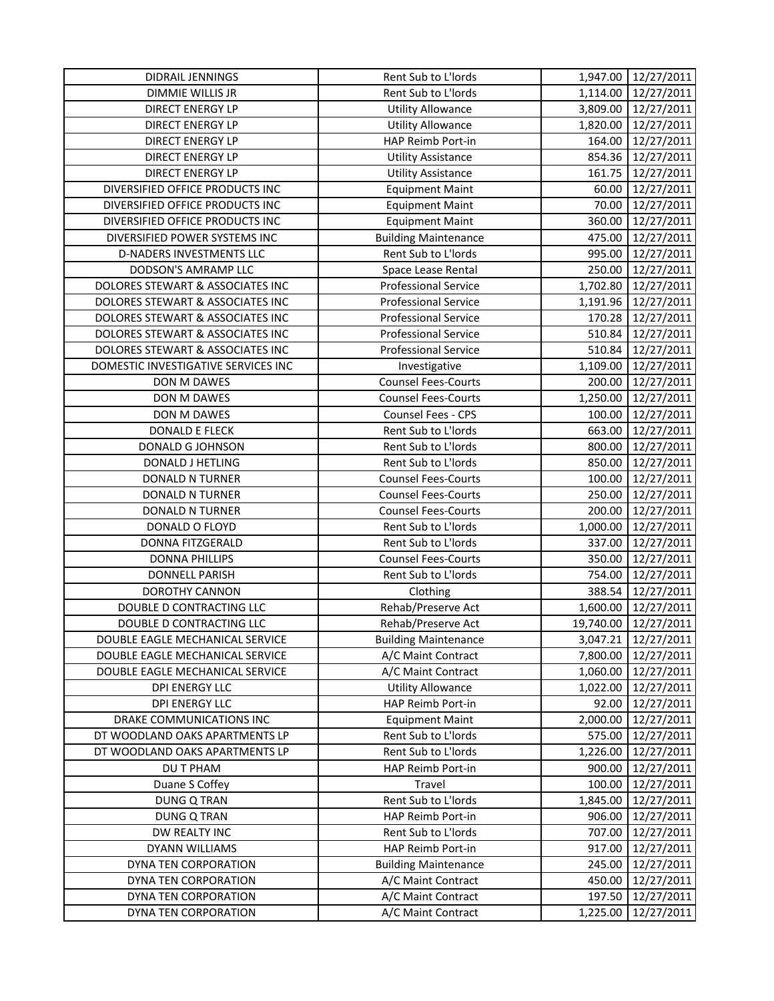| DIDRAIL JENNINGS                    | Rent Sub to L'Iords         |           | 1,947.00 12/27/2011 |
|-------------------------------------|-----------------------------|-----------|---------------------|
| DIMMIE WILLIS JR                    | Rent Sub to L'Iords         | 1,114.00  | 12/27/2011          |
| DIRECT ENERGY LP                    | <b>Utility Allowance</b>    | 3,809.00  | 12/27/2011          |
| DIRECT ENERGY LP                    | <b>Utility Allowance</b>    | 1,820.00  | 12/27/2011          |
| DIRECT ENERGY LP                    | HAP Reimb Port-in           | 164.00    | 12/27/2011          |
| DIRECT ENERGY LP                    | <b>Utility Assistance</b>   | 854.36    | 12/27/2011          |
| DIRECT ENERGY LP                    | <b>Utility Assistance</b>   | 161.75    | 12/27/2011          |
| DIVERSIFIED OFFICE PRODUCTS INC     | <b>Equipment Maint</b>      | 60.00     | 12/27/2011          |
| DIVERSIFIED OFFICE PRODUCTS INC     | <b>Equipment Maint</b>      | 70.00     | 12/27/2011          |
| DIVERSIFIED OFFICE PRODUCTS INC     | <b>Equipment Maint</b>      | 360.00    | 12/27/2011          |
| DIVERSIFIED POWER SYSTEMS INC       | <b>Building Maintenance</b> | 475.00    | 12/27/2011          |
| D-NADERS INVESTMENTS LLC            | Rent Sub to L'Iords         | 995.00    | 12/27/2011          |
| DODSON'S AMRAMP LLC                 | Space Lease Rental          | 250.00    | 12/27/2011          |
| DOLORES STEWART & ASSOCIATES INC    | <b>Professional Service</b> | 1,702.80  | 12/27/2011          |
| DOLORES STEWART & ASSOCIATES INC    | <b>Professional Service</b> | 1,191.96  | 12/27/2011          |
| DOLORES STEWART & ASSOCIATES INC    | <b>Professional Service</b> | 170.28    | 12/27/2011          |
| DOLORES STEWART & ASSOCIATES INC    | <b>Professional Service</b> | 510.84    | 12/27/2011          |
| DOLORES STEWART & ASSOCIATES INC    | <b>Professional Service</b> | 510.84    | 12/27/2011          |
| DOMESTIC INVESTIGATIVE SERVICES INC | Investigative               | 1,109.00  | 12/27/2011          |
| DON M DAWES                         | <b>Counsel Fees-Courts</b>  | 200.00    | 12/27/2011          |
| DON M DAWES                         | <b>Counsel Fees-Courts</b>  | 1,250.00  | 12/27/2011          |
| DON M DAWES                         | Counsel Fees - CPS          | 100.00    | 12/27/2011          |
| <b>DONALD E FLECK</b>               | Rent Sub to L'Iords         | 663.00    | 12/27/2011          |
| DONALD G JOHNSON                    | Rent Sub to L'Iords         | 800.00    | 12/27/2011          |
| DONALD J HETLING                    | Rent Sub to L'Iords         | 850.00    | 12/27/2011          |
| DONALD N TURNER                     | <b>Counsel Fees-Courts</b>  | 100.00    | 12/27/2011          |
| DONALD N TURNER                     | <b>Counsel Fees-Courts</b>  | 250.00    | 12/27/2011          |
| DONALD N TURNER                     | <b>Counsel Fees-Courts</b>  | 200.00    | 12/27/2011          |
| DONALD O FLOYD                      | Rent Sub to L'Iords         | 1,000.00  | 12/27/2011          |
| DONNA FITZGERALD                    | Rent Sub to L'Iords         | 337.00    | 12/27/2011          |
| <b>DONNA PHILLIPS</b>               | <b>Counsel Fees-Courts</b>  | 350.00    | 12/27/2011          |
| <b>DONNELL PARISH</b>               | Rent Sub to L'Iords         | 754.00    | 12/27/2011          |
| <b>DOROTHY CANNON</b>               | Clothing                    | 388.54    | 12/27/2011          |
| DOUBLE D CONTRACTING LLC            | Rehab/Preserve Act          | 1,600.00  | 12/27/2011          |
| DOUBLE D CONTRACTING LLC            | Rehab/Preserve Act          | 19,740.00 | 12/27/2011          |
| DOUBLE EAGLE MECHANICAL SERVICE     | <b>Building Maintenance</b> | 3,047.21  | 12/27/2011          |
| DOUBLE EAGLE MECHANICAL SERVICE     | A/C Maint Contract          | 7,800.00  | 12/27/2011          |
| DOUBLE EAGLE MECHANICAL SERVICE     | A/C Maint Contract          | 1,060.00  | 12/27/2011          |
| DPI ENERGY LLC                      | <b>Utility Allowance</b>    | 1,022.00  | 12/27/2011          |
| DPI ENERGY LLC                      | HAP Reimb Port-in           | 92.00     | 12/27/2011          |
| DRAKE COMMUNICATIONS INC            | <b>Equipment Maint</b>      | 2,000.00  | 12/27/2011          |
| DT WOODLAND OAKS APARTMENTS LP      | Rent Sub to L'Iords         | 575.00    | 12/27/2011          |
| DT WOODLAND OAKS APARTMENTS LP      | Rent Sub to L'Iords         | 1,226.00  | 12/27/2011          |
| DU T PHAM                           | HAP Reimb Port-in           | 900.00    | 12/27/2011          |
| Duane S Coffey                      | Travel                      | 100.00    | 12/27/2011          |
| <b>DUNG Q TRAN</b>                  | Rent Sub to L'Iords         | 1,845.00  | 12/27/2011          |
| <b>DUNG Q TRAN</b>                  | HAP Reimb Port-in           | 906.00    | 12/27/2011          |
| DW REALTY INC                       | Rent Sub to L'Iords         | 707.00    | 12/27/2011          |
| DYANN WILLIAMS                      | HAP Reimb Port-in           | 917.00    | 12/27/2011          |
| DYNA TEN CORPORATION                | <b>Building Maintenance</b> | 245.00    | 12/27/2011          |
| DYNA TEN CORPORATION                | A/C Maint Contract          | 450.00    | 12/27/2011          |
| DYNA TEN CORPORATION                | A/C Maint Contract          | 197.50    | 12/27/2011          |
| DYNA TEN CORPORATION                | A/C Maint Contract          | 1,225.00  | 12/27/2011          |
|                                     |                             |           |                     |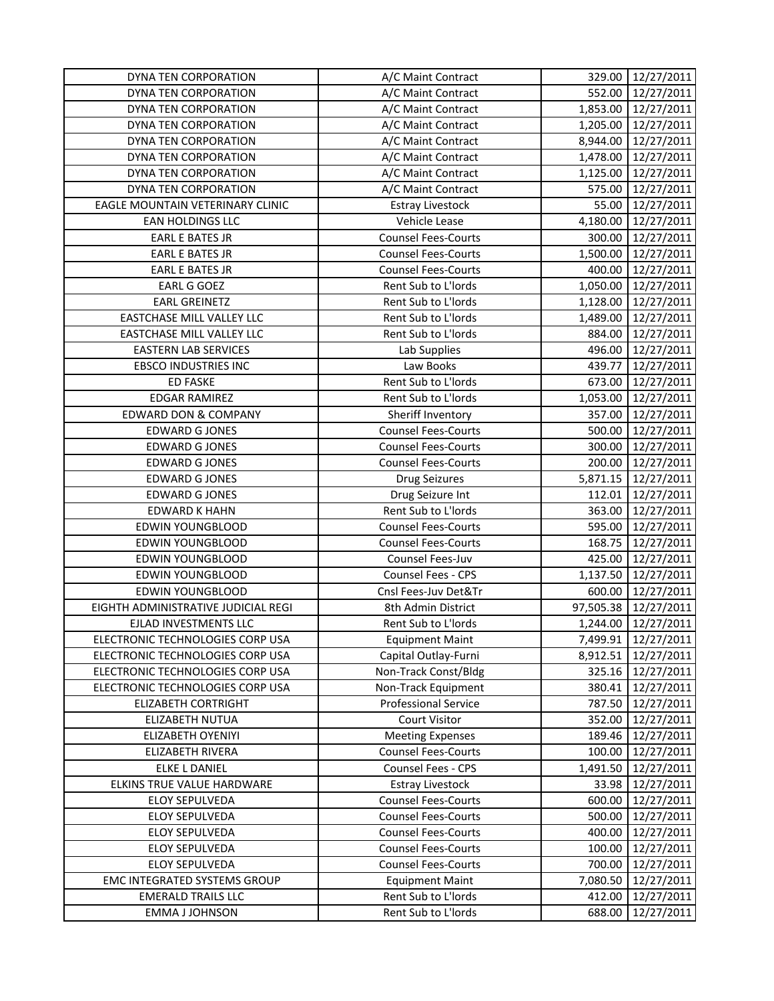| 552.00<br>DYNA TEN CORPORATION<br>A/C Maint Contract<br>DYNA TEN CORPORATION<br>A/C Maint Contract<br>1,853.00<br>DYNA TEN CORPORATION<br>A/C Maint Contract<br>1,205.00 | 12/27/2011<br>12/27/2011<br>12/27/2011 |
|--------------------------------------------------------------------------------------------------------------------------------------------------------------------------|----------------------------------------|
|                                                                                                                                                                          |                                        |
|                                                                                                                                                                          |                                        |
|                                                                                                                                                                          |                                        |
| DYNA TEN CORPORATION<br>A/C Maint Contract<br>8,944.00                                                                                                                   | 12/27/2011                             |
| DYNA TEN CORPORATION<br>A/C Maint Contract<br>1,478.00                                                                                                                   | 12/27/2011                             |
| DYNA TEN CORPORATION<br>A/C Maint Contract<br>1,125.00                                                                                                                   | 12/27/2011                             |
| DYNA TEN CORPORATION<br>A/C Maint Contract<br>575.00                                                                                                                     | 12/27/2011                             |
| EAGLE MOUNTAIN VETERINARY CLINIC<br>55.00<br><b>Estray Livestock</b>                                                                                                     | 12/27/2011                             |
| EAN HOLDINGS LLC<br>Vehicle Lease<br>4,180.00                                                                                                                            | 12/27/2011                             |
| <b>EARL E BATES JR</b><br><b>Counsel Fees-Courts</b><br>300.00                                                                                                           | 12/27/2011                             |
| 1,500.00<br><b>EARL E BATES JR</b><br><b>Counsel Fees-Courts</b>                                                                                                         | 12/27/2011                             |
| <b>EARL E BATES JR</b><br><b>Counsel Fees-Courts</b><br>400.00                                                                                                           | 12/27/2011                             |
| EARL G GOEZ<br>Rent Sub to L'Iords<br>1,050.00                                                                                                                           | 12/27/2011                             |
| <b>EARL GREINETZ</b><br>Rent Sub to L'Iords<br>1,128.00                                                                                                                  | 12/27/2011                             |
| EASTCHASE MILL VALLEY LLC<br>Rent Sub to L'Iords<br>1,489.00                                                                                                             | 12/27/2011                             |
| EASTCHASE MILL VALLEY LLC<br>Rent Sub to L'Iords<br>884.00                                                                                                               | 12/27/2011                             |
| <b>EASTERN LAB SERVICES</b><br>496.00<br>Lab Supplies                                                                                                                    | 12/27/2011                             |
| <b>EBSCO INDUSTRIES INC</b><br>Law Books<br>439.77                                                                                                                       | 12/27/2011                             |
| <b>ED FASKE</b><br>Rent Sub to L'Iords<br>673.00                                                                                                                         | 12/27/2011                             |
| <b>EDGAR RAMIREZ</b><br>Rent Sub to L'Iords<br>1,053.00                                                                                                                  | 12/27/2011                             |
| <b>EDWARD DON &amp; COMPANY</b><br>Sheriff Inventory<br>357.00                                                                                                           | 12/27/2011                             |
| <b>EDWARD G JONES</b><br><b>Counsel Fees-Courts</b><br>500.00                                                                                                            | 12/27/2011                             |
| <b>EDWARD G JONES</b><br><b>Counsel Fees-Courts</b><br>300.00                                                                                                            | 12/27/2011                             |
| <b>EDWARD G JONES</b><br><b>Counsel Fees-Courts</b><br>200.00                                                                                                            | 12/27/2011                             |
| <b>EDWARD G JONES</b><br><b>Drug Seizures</b><br>5,871.15                                                                                                                | 12/27/2011                             |
| <b>EDWARD G JONES</b><br>Drug Seizure Int<br>112.01                                                                                                                      | 12/27/2011                             |
| <b>EDWARD K HAHN</b><br>Rent Sub to L'Iords<br>363.00                                                                                                                    | 12/27/2011                             |
| 595.00<br>EDWIN YOUNGBLOOD<br><b>Counsel Fees-Courts</b>                                                                                                                 | 12/27/2011                             |
| 168.75<br><b>EDWIN YOUNGBLOOD</b><br><b>Counsel Fees-Courts</b>                                                                                                          | 12/27/2011                             |
| 425.00<br>EDWIN YOUNGBLOOD<br>Counsel Fees-Juv                                                                                                                           | 12/27/2011                             |
| EDWIN YOUNGBLOOD<br>Counsel Fees - CPS<br>1,137.50                                                                                                                       | 12/27/2011                             |
| EDWIN YOUNGBLOOD<br>Cnsl Fees-Juv Det&Tr<br>600.00                                                                                                                       | 12/27/2011                             |
| EIGHTH ADMINISTRATIVE JUDICIAL REGI<br>8th Admin District<br>97,505.38                                                                                                   | 12/27/2011                             |
| Rent Sub to L'Iords<br>EJLAD INVESTMENTS LLC<br>1,244.00                                                                                                                 | 12/27/2011                             |
| ELECTRONIC TECHNOLOGIES CORP USA<br><b>Equipment Maint</b><br>7,499.91                                                                                                   | 12/27/2011                             |
| ELECTRONIC TECHNOLOGIES CORP USA<br>Capital Outlay-Furni<br>8,912.51                                                                                                     | 12/27/2011                             |
| 325.16<br>ELECTRONIC TECHNOLOGIES CORP USA<br>Non-Track Const/Bldg                                                                                                       | 12/27/2011                             |
| ELECTRONIC TECHNOLOGIES CORP USA<br>Non-Track Equipment<br>380.41                                                                                                        | 12/27/2011                             |
| <b>ELIZABETH CORTRIGHT</b><br><b>Professional Service</b><br>787.50                                                                                                      | 12/27/2011                             |
| ELIZABETH NUTUA<br><b>Court Visitor</b><br>352.00                                                                                                                        | 12/27/2011                             |
| 189.46<br>ELIZABETH OYENIYI<br><b>Meeting Expenses</b>                                                                                                                   | 12/27/2011                             |
| <b>Counsel Fees-Courts</b><br>ELIZABETH RIVERA<br>100.00                                                                                                                 | 12/27/2011                             |
| <b>Counsel Fees - CPS</b><br>1,491.50<br><b>ELKE L DANIEL</b>                                                                                                            | 12/27/2011                             |
| ELKINS TRUE VALUE HARDWARE<br><b>Estray Livestock</b><br>33.98                                                                                                           | 12/27/2011                             |
| <b>Counsel Fees-Courts</b><br>ELOY SEPULVEDA<br>600.00                                                                                                                   | 12/27/2011                             |
| ELOY SEPULVEDA<br><b>Counsel Fees-Courts</b><br>500.00                                                                                                                   | 12/27/2011                             |
| <b>Counsel Fees-Courts</b><br><b>ELOY SEPULVEDA</b><br>400.00                                                                                                            | 12/27/2011                             |
| ELOY SEPULVEDA<br><b>Counsel Fees-Courts</b><br>100.00                                                                                                                   | 12/27/2011                             |
| <b>Counsel Fees-Courts</b><br>ELOY SEPULVEDA<br>700.00                                                                                                                   | 12/27/2011                             |
| EMC INTEGRATED SYSTEMS GROUP<br><b>Equipment Maint</b><br>7,080.50                                                                                                       | 12/27/2011                             |
| <b>EMERALD TRAILS LLC</b><br>Rent Sub to L'Iords<br>412.00                                                                                                               | 12/27/2011                             |
| <b>EMMA J JOHNSON</b><br>Rent Sub to L'Iords<br>688.00                                                                                                                   | 12/27/2011                             |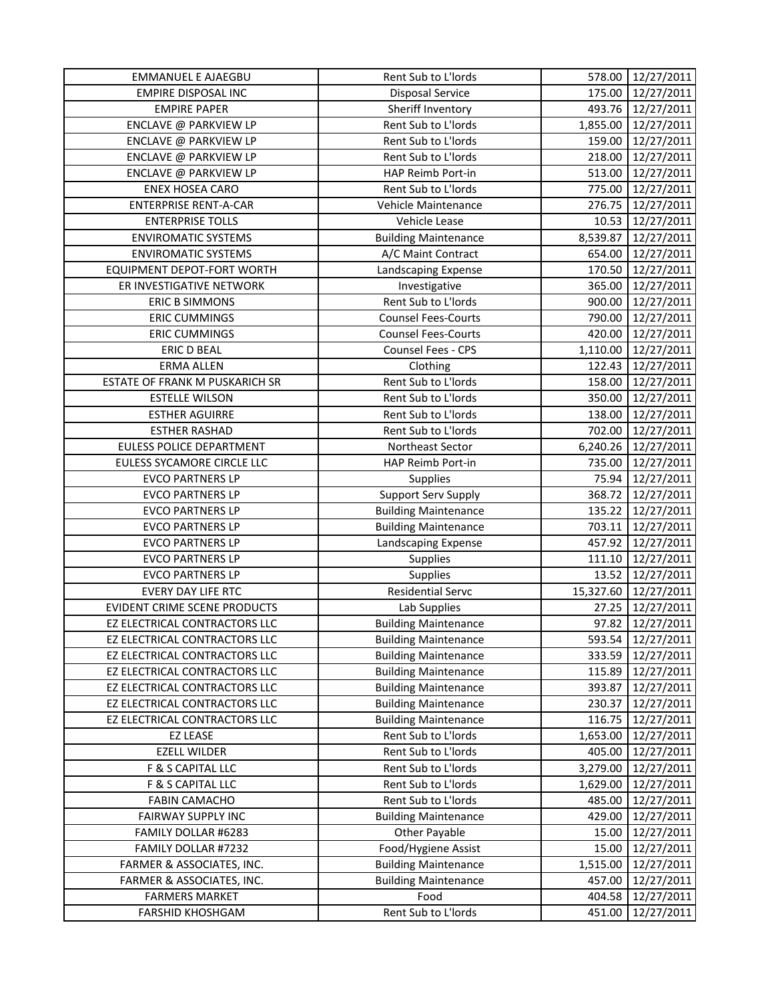| <b>EMMANUEL E AJAEGBU</b>      | Rent Sub to L'Iords         | 578.00    | 12/27/2011 |
|--------------------------------|-----------------------------|-----------|------------|
| <b>EMPIRE DISPOSAL INC</b>     | <b>Disposal Service</b>     | 175.00    | 12/27/2011 |
| <b>EMPIRE PAPER</b>            | Sheriff Inventory           | 493.76    | 12/27/2011 |
| ENCLAVE @ PARKVIEW LP          | Rent Sub to L'Iords         | 1,855.00  | 12/27/2011 |
| ENCLAVE @ PARKVIEW LP          | Rent Sub to L'Iords         | 159.00    | 12/27/2011 |
| ENCLAVE @ PARKVIEW LP          | Rent Sub to L'Iords         | 218.00    | 12/27/2011 |
| ENCLAVE @ PARKVIEW LP          | HAP Reimb Port-in           | 513.00    | 12/27/2011 |
| <b>ENEX HOSEA CARO</b>         | Rent Sub to L'Iords         | 775.00    | 12/27/2011 |
| <b>ENTERPRISE RENT-A-CAR</b>   | Vehicle Maintenance         | 276.75    | 12/27/2011 |
| <b>ENTERPRISE TOLLS</b>        | Vehicle Lease               | 10.53     | 12/27/2011 |
| <b>ENVIROMATIC SYSTEMS</b>     | <b>Building Maintenance</b> | 8,539.87  | 12/27/2011 |
| <b>ENVIROMATIC SYSTEMS</b>     | A/C Maint Contract          | 654.00    | 12/27/2011 |
| EQUIPMENT DEPOT-FORT WORTH     | Landscaping Expense         | 170.50    | 12/27/2011 |
| ER INVESTIGATIVE NETWORK       | Investigative               | 365.00    | 12/27/2011 |
| <b>ERIC B SIMMONS</b>          | Rent Sub to L'Iords         | 900.00    | 12/27/2011 |
| <b>ERIC CUMMINGS</b>           | <b>Counsel Fees-Courts</b>  | 790.00    | 12/27/2011 |
| <b>ERIC CUMMINGS</b>           | <b>Counsel Fees-Courts</b>  | 420.00    | 12/27/2011 |
| <b>ERIC D BEAL</b>             | Counsel Fees - CPS          | 1,110.00  | 12/27/2011 |
| <b>ERMA ALLEN</b>              | Clothing                    | 122.43    | 12/27/2011 |
| ESTATE OF FRANK M PUSKARICH SR | Rent Sub to L'Iords         | 158.00    | 12/27/2011 |
| <b>ESTELLE WILSON</b>          | Rent Sub to L'Iords         | 350.00    | 12/27/2011 |
| <b>ESTHER AGUIRRE</b>          | Rent Sub to L'Iords         | 138.00    | 12/27/2011 |
| <b>ESTHER RASHAD</b>           | Rent Sub to L'Iords         | 702.00    | 12/27/2011 |
| EULESS POLICE DEPARTMENT       | Northeast Sector            | 6,240.26  | 12/27/2011 |
| EULESS SYCAMORE CIRCLE LLC     | HAP Reimb Port-in           | 735.00    | 12/27/2011 |
| <b>EVCO PARTNERS LP</b>        | <b>Supplies</b>             | 75.94     | 12/27/2011 |
| <b>EVCO PARTNERS LP</b>        | <b>Support Serv Supply</b>  | 368.72    | 12/27/2011 |
| <b>EVCO PARTNERS LP</b>        | <b>Building Maintenance</b> | 135.22    | 12/27/2011 |
| <b>EVCO PARTNERS LP</b>        | <b>Building Maintenance</b> | 703.11    | 12/27/2011 |
| <b>EVCO PARTNERS LP</b>        | Landscaping Expense         | 457.92    | 12/27/2011 |
| <b>EVCO PARTNERS LP</b>        | Supplies                    | 111.10    | 12/27/2011 |
| <b>EVCO PARTNERS LP</b>        | <b>Supplies</b>             | 13.52     | 12/27/2011 |
| <b>EVERY DAY LIFE RTC</b>      | <b>Residential Servc</b>    | 15,327.60 | 12/27/2011 |
| EVIDENT CRIME SCENE PRODUCTS   | Lab Supplies                | 27.25     | 12/27/2011 |
| EZ ELECTRICAL CONTRACTORS LLC  | <b>Building Maintenance</b> | 97.82     | 12/27/2011 |
| EZ ELECTRICAL CONTRACTORS LLC  | <b>Building Maintenance</b> | 593.54    | 12/27/2011 |
| EZ ELECTRICAL CONTRACTORS LLC  | <b>Building Maintenance</b> | 333.59    | 12/27/2011 |
| EZ ELECTRICAL CONTRACTORS LLC  | <b>Building Maintenance</b> | 115.89    | 12/27/2011 |
| EZ ELECTRICAL CONTRACTORS LLC  | <b>Building Maintenance</b> | 393.87    | 12/27/2011 |
| EZ ELECTRICAL CONTRACTORS LLC  | <b>Building Maintenance</b> | 230.37    | 12/27/2011 |
| EZ ELECTRICAL CONTRACTORS LLC  | <b>Building Maintenance</b> | 116.75    | 12/27/2011 |
| <b>EZ LEASE</b>                | Rent Sub to L'Iords         | 1,653.00  | 12/27/2011 |
| <b>EZELL WILDER</b>            | Rent Sub to L'Iords         | 405.00    | 12/27/2011 |
| F & S CAPITAL LLC              | Rent Sub to L'Iords         | 3,279.00  | 12/27/2011 |
| F & S CAPITAL LLC              | Rent Sub to L'Iords         | 1,629.00  | 12/27/2011 |
| <b>FABIN CAMACHO</b>           | Rent Sub to L'Iords         | 485.00    | 12/27/2011 |
| FAIRWAY SUPPLY INC             | <b>Building Maintenance</b> | 429.00    | 12/27/2011 |
| FAMILY DOLLAR #6283            | Other Payable               | 15.00     | 12/27/2011 |
| FAMILY DOLLAR #7232            | Food/Hygiene Assist         | 15.00     | 12/27/2011 |
| FARMER & ASSOCIATES, INC.      | <b>Building Maintenance</b> | 1,515.00  | 12/27/2011 |
| FARMER & ASSOCIATES, INC.      | <b>Building Maintenance</b> | 457.00    | 12/27/2011 |
| <b>FARMERS MARKET</b>          | Food                        | 404.58    | 12/27/2011 |
| <b>FARSHID KHOSHGAM</b>        | Rent Sub to L'Iords         | 451.00    | 12/27/2011 |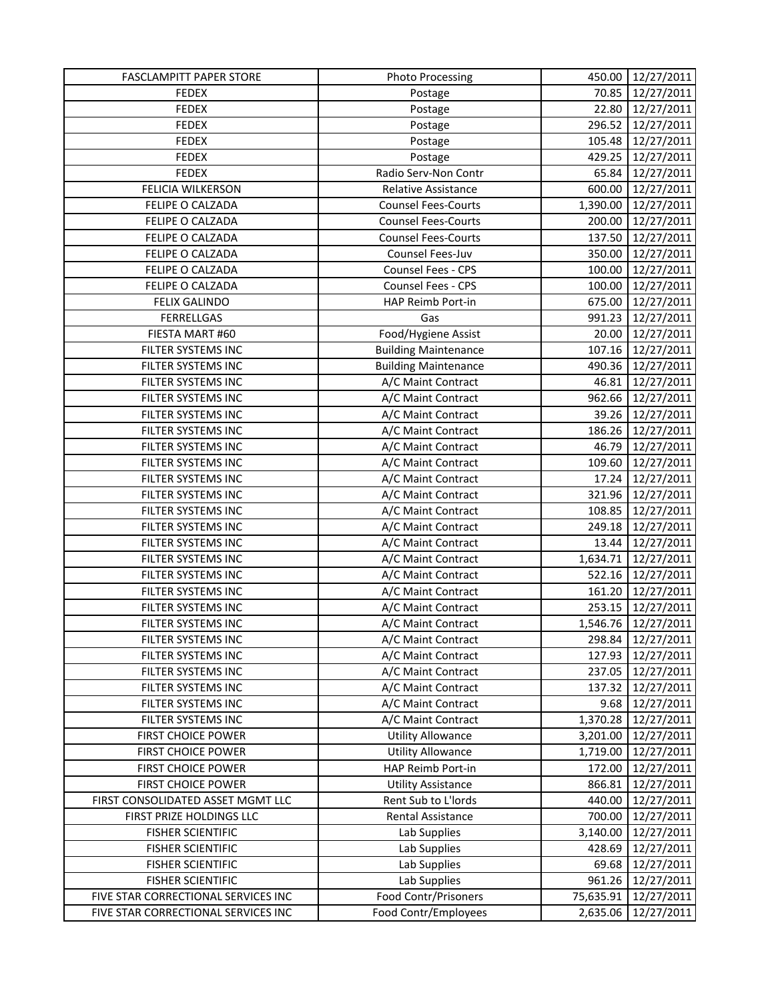| <b>FASCLAMPITT PAPER STORE</b>      | <b>Photo Processing</b>     | 450.00    | 12/27/2011          |
|-------------------------------------|-----------------------------|-----------|---------------------|
| <b>FEDEX</b>                        | Postage                     | 70.85     | 12/27/2011          |
| <b>FEDEX</b>                        | Postage                     | 22.80     | 12/27/2011          |
| <b>FEDEX</b>                        | Postage                     | 296.52    | 12/27/2011          |
| <b>FEDEX</b>                        | Postage                     | 105.48    | 12/27/2011          |
| <b>FEDEX</b>                        | Postage                     | 429.25    | 12/27/2011          |
| <b>FEDEX</b>                        | Radio Serv-Non Contr        | 65.84     | 12/27/2011          |
| FELICIA WILKERSON                   | Relative Assistance         | 600.00    | 12/27/2011          |
| FELIPE O CALZADA                    | <b>Counsel Fees-Courts</b>  | 1,390.00  | 12/27/2011          |
| FELIPE O CALZADA                    | <b>Counsel Fees-Courts</b>  | 200.00    | 12/27/2011          |
| FELIPE O CALZADA                    | <b>Counsel Fees-Courts</b>  | 137.50    | 12/27/2011          |
| FELIPE O CALZADA                    | Counsel Fees-Juv            | 350.00    | 12/27/2011          |
| FELIPE O CALZADA                    | Counsel Fees - CPS          | 100.00    | 12/27/2011          |
| FELIPE O CALZADA                    | Counsel Fees - CPS          | 100.00    | 12/27/2011          |
| <b>FELIX GALINDO</b>                | HAP Reimb Port-in           | 675.00    | 12/27/2011          |
| <b>FERRELLGAS</b>                   | Gas                         | 991.23    | 12/27/2011          |
| FIESTA MART #60                     | Food/Hygiene Assist         | 20.00     | 12/27/2011          |
| FILTER SYSTEMS INC                  | <b>Building Maintenance</b> | 107.16    | 12/27/2011          |
| FILTER SYSTEMS INC                  | <b>Building Maintenance</b> | 490.36    | 12/27/2011          |
| FILTER SYSTEMS INC                  | A/C Maint Contract          | 46.81     | 12/27/2011          |
| FILTER SYSTEMS INC                  | A/C Maint Contract          | 962.66    | 12/27/2011          |
| FILTER SYSTEMS INC                  | A/C Maint Contract          | 39.26     | 12/27/2011          |
| FILTER SYSTEMS INC                  | A/C Maint Contract          | 186.26    | 12/27/2011          |
| FILTER SYSTEMS INC                  | A/C Maint Contract          | 46.79     | 12/27/2011          |
| FILTER SYSTEMS INC                  | A/C Maint Contract          | 109.60    | 12/27/2011          |
| FILTER SYSTEMS INC                  | A/C Maint Contract          | 17.24     | 12/27/2011          |
| FILTER SYSTEMS INC                  | A/C Maint Contract          | 321.96    | 12/27/2011          |
| FILTER SYSTEMS INC                  | A/C Maint Contract          | 108.85    | 12/27/2011          |
| FILTER SYSTEMS INC                  | A/C Maint Contract          | 249.18    | 12/27/2011          |
| FILTER SYSTEMS INC                  | A/C Maint Contract          | 13.44     | 12/27/2011          |
| FILTER SYSTEMS INC                  | A/C Maint Contract          | 1,634.71  | 12/27/2011          |
| FILTER SYSTEMS INC                  | A/C Maint Contract          | 522.16    | 12/27/2011          |
| FILTER SYSTEMS INC                  | A/C Maint Contract          | 161.20    | 12/27/2011          |
| FILTER SYSTEMS INC                  | A/C Maint Contract          | 253.15    | 12/27/2011          |
| FILTER SYSTEMS INC                  | A/C Maint Contract          | 1,546.76  | 12/27/2011          |
| FILTER SYSTEMS INC                  | A/C Maint Contract          | 298.84    | 12/27/2011          |
| FILTER SYSTEMS INC                  | A/C Maint Contract          | 127.93    | 12/27/2011          |
| FILTER SYSTEMS INC                  | A/C Maint Contract          |           | 237.05   12/27/2011 |
| FILTER SYSTEMS INC                  | A/C Maint Contract          | 137.32    | 12/27/2011          |
| FILTER SYSTEMS INC                  | A/C Maint Contract          | 9.68      | 12/27/2011          |
| FILTER SYSTEMS INC                  | A/C Maint Contract          | 1,370.28  | 12/27/2011          |
| <b>FIRST CHOICE POWER</b>           | <b>Utility Allowance</b>    | 3,201.00  | 12/27/2011          |
| <b>FIRST CHOICE POWER</b>           | <b>Utility Allowance</b>    | 1,719.00  | 12/27/2011          |
| <b>FIRST CHOICE POWER</b>           | HAP Reimb Port-in           | 172.00    | 12/27/2011          |
| <b>FIRST CHOICE POWER</b>           | <b>Utility Assistance</b>   | 866.81    | 12/27/2011          |
| FIRST CONSOLIDATED ASSET MGMT LLC   | Rent Sub to L'Iords         | 440.00    | 12/27/2011          |
| FIRST PRIZE HOLDINGS LLC            | Rental Assistance           | 700.00    | 12/27/2011          |
| <b>FISHER SCIENTIFIC</b>            | Lab Supplies                | 3,140.00  | 12/27/2011          |
| <b>FISHER SCIENTIFIC</b>            | Lab Supplies                | 428.69    | 12/27/2011          |
| <b>FISHER SCIENTIFIC</b>            | Lab Supplies                | 69.68     | 12/27/2011          |
| <b>FISHER SCIENTIFIC</b>            | Lab Supplies                | 961.26    | 12/27/2011          |
| FIVE STAR CORRECTIONAL SERVICES INC | <b>Food Contr/Prisoners</b> | 75,635.91 | 12/27/2011          |
| FIVE STAR CORRECTIONAL SERVICES INC | Food Contr/Employees        | 2,635.06  | 12/27/2011          |
|                                     |                             |           |                     |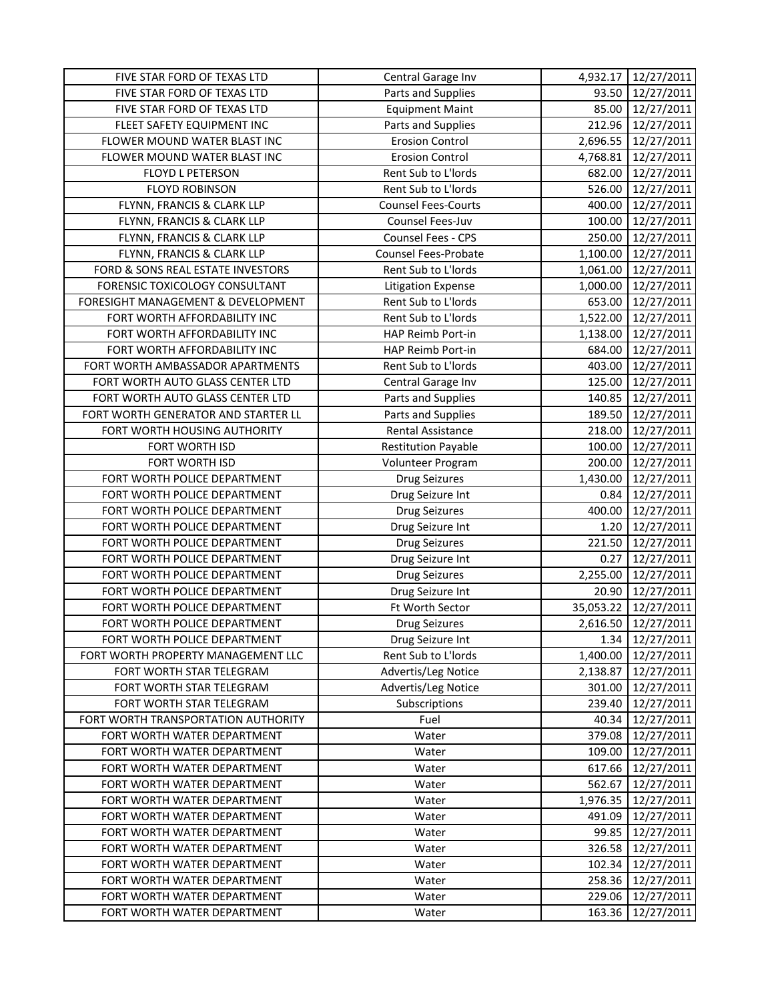| FIVE STAR FORD OF TEXAS LTD         | Central Garage Inv         |           | 4,932.17 12/27/2011    |
|-------------------------------------|----------------------------|-----------|------------------------|
| FIVE STAR FORD OF TEXAS LTD         | Parts and Supplies         | 93.50     | 12/27/2011             |
| FIVE STAR FORD OF TEXAS LTD         | <b>Equipment Maint</b>     | 85.00     | 12/27/2011             |
| FLEET SAFETY EQUIPMENT INC          | Parts and Supplies         | 212.96    | 12/27/2011             |
| FLOWER MOUND WATER BLAST INC        | <b>Erosion Control</b>     |           | 2,696.55 12/27/2011    |
| FLOWER MOUND WATER BLAST INC        | <b>Erosion Control</b>     | 4,768.81  | 12/27/2011             |
| FLOYD L PETERSON                    | Rent Sub to L'Iords        | 682.00    | 12/27/2011             |
| <b>FLOYD ROBINSON</b>               | Rent Sub to L'Iords        | 526.00    | 12/27/2011             |
| FLYNN, FRANCIS & CLARK LLP          | <b>Counsel Fees-Courts</b> | 400.00    | 12/27/2011             |
| FLYNN, FRANCIS & CLARK LLP          | Counsel Fees-Juv           | 100.00    | 12/27/2011             |
| FLYNN, FRANCIS & CLARK LLP          | Counsel Fees - CPS         | 250.00    | 12/27/2011             |
| FLYNN, FRANCIS & CLARK LLP          | Counsel Fees-Probate       | 1,100.00  | 12/27/2011             |
| FORD & SONS REAL ESTATE INVESTORS   | Rent Sub to L'Iords        | 1,061.00  | 12/27/2011             |
| FORENSIC TOXICOLOGY CONSULTANT      | <b>Litigation Expense</b>  | 1,000.00  | 12/27/2011             |
| FORESIGHT MANAGEMENT & DEVELOPMENT  | Rent Sub to L'Iords        | 653.00    | 12/27/2011             |
| FORT WORTH AFFORDABILITY INC        | Rent Sub to L'Iords        | 1,522.00  | 12/27/2011             |
| FORT WORTH AFFORDABILITY INC        | HAP Reimb Port-in          | 1,138.00  | 12/27/2011             |
| FORT WORTH AFFORDABILITY INC        | HAP Reimb Port-in          | 684.00    | 12/27/2011             |
| FORT WORTH AMBASSADOR APARTMENTS    | Rent Sub to L'Iords        | 403.00    | 12/27/2011             |
| FORT WORTH AUTO GLASS CENTER LTD    | Central Garage Inv         | 125.00    | 12/27/2011             |
| FORT WORTH AUTO GLASS CENTER LTD    | Parts and Supplies         | 140.85    | 12/27/2011             |
| FORT WORTH GENERATOR AND STARTER LL | Parts and Supplies         | 189.50    | 12/27/2011             |
| FORT WORTH HOUSING AUTHORITY        | <b>Rental Assistance</b>   | 218.00    | 12/27/2011             |
| FORT WORTH ISD                      | <b>Restitution Payable</b> | 100.00    | 12/27/2011             |
| FORT WORTH ISD                      | Volunteer Program          | 200.00    | 12/27/2011             |
| FORT WORTH POLICE DEPARTMENT        | <b>Drug Seizures</b>       | 1,430.00  | 12/27/2011             |
| FORT WORTH POLICE DEPARTMENT        | Drug Seizure Int           | 0.84      | 12/27/2011             |
| FORT WORTH POLICE DEPARTMENT        | <b>Drug Seizures</b>       | 400.00    | 12/27/2011             |
| FORT WORTH POLICE DEPARTMENT        | Drug Seizure Int           | 1.20      | 12/27/2011             |
| FORT WORTH POLICE DEPARTMENT        | <b>Drug Seizures</b>       | 221.50    | 12/27/2011             |
| FORT WORTH POLICE DEPARTMENT        | Drug Seizure Int           | 0.27      | 12/27/2011             |
| FORT WORTH POLICE DEPARTMENT        | <b>Drug Seizures</b>       | 2,255.00  | 12/27/2011             |
| FORT WORTH POLICE DEPARTMENT        | Drug Seizure Int           | 20.90     | 12/27/2011             |
| FORT WORTH POLICE DEPARTMENT        | Ft Worth Sector            | 35,053.22 | 12/27/2011             |
| FORT WORTH POLICE DEPARTMENT        | <b>Drug Seizures</b>       | 2,616.50  | 12/27/2011             |
| FORT WORTH POLICE DEPARTMENT        | Drug Seizure Int           |           | $1.34 \mid 12/27/2011$ |
| FORT WORTH PROPERTY MANAGEMENT LLC  | Rent Sub to L'Iords        | 1,400.00  | 12/27/2011             |
| FORT WORTH STAR TELEGRAM            | Advertis/Leg Notice        | 2,138.87  | 12/27/2011             |
| FORT WORTH STAR TELEGRAM            | Advertis/Leg Notice        | 301.00    | 12/27/2011             |
| FORT WORTH STAR TELEGRAM            | Subscriptions              | 239.40    | 12/27/2011             |
| FORT WORTH TRANSPORTATION AUTHORITY | Fuel                       | 40.34     | 12/27/2011             |
| FORT WORTH WATER DEPARTMENT         | Water                      | 379.08    | 12/27/2011             |
| FORT WORTH WATER DEPARTMENT         | Water                      | 109.00    | 12/27/2011             |
| FORT WORTH WATER DEPARTMENT         | Water                      | 617.66    | 12/27/2011             |
| FORT WORTH WATER DEPARTMENT         | Water                      | 562.67    | 12/27/2011             |
| FORT WORTH WATER DEPARTMENT         | Water                      | 1,976.35  | 12/27/2011             |
| FORT WORTH WATER DEPARTMENT         | Water                      | 491.09    | 12/27/2011             |
| FORT WORTH WATER DEPARTMENT         | Water                      | 99.85     | 12/27/2011             |
| FORT WORTH WATER DEPARTMENT         | Water                      | 326.58    | 12/27/2011             |
| FORT WORTH WATER DEPARTMENT         | Water                      | 102.34    | 12/27/2011             |
| FORT WORTH WATER DEPARTMENT         | Water                      | 258.36    | 12/27/2011             |
| FORT WORTH WATER DEPARTMENT         | Water                      | 229.06    | 12/27/2011             |
| FORT WORTH WATER DEPARTMENT         | Water                      | 163.36    | 12/27/2011             |
|                                     |                            |           |                        |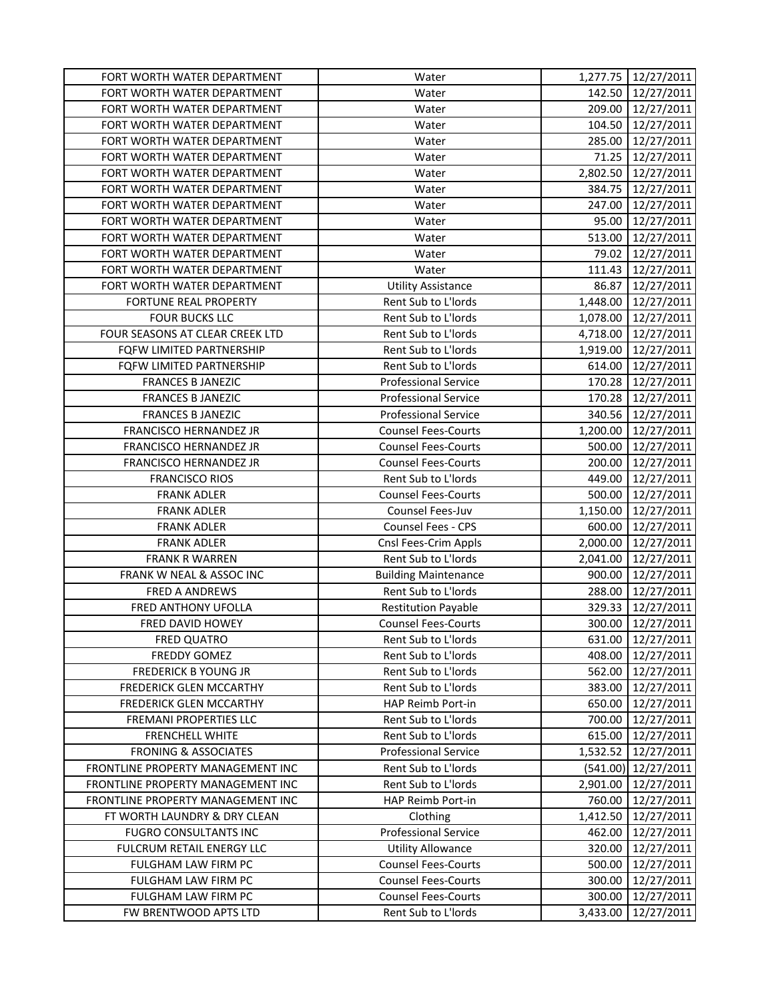| FORT WORTH WATER DEPARTMENT       | Water                       |          | 1,277.75 12/27/2011 |
|-----------------------------------|-----------------------------|----------|---------------------|
| FORT WORTH WATER DEPARTMENT       | Water                       | 142.50   | 12/27/2011          |
| FORT WORTH WATER DEPARTMENT       | Water                       | 209.00   | 12/27/2011          |
| FORT WORTH WATER DEPARTMENT       | Water                       | 104.50   | 12/27/2011          |
| FORT WORTH WATER DEPARTMENT       | Water                       | 285.00   | 12/27/2011          |
| FORT WORTH WATER DEPARTMENT       | Water                       | 71.25    | 12/27/2011          |
| FORT WORTH WATER DEPARTMENT       | Water                       | 2,802.50 | 12/27/2011          |
| FORT WORTH WATER DEPARTMENT       | Water                       | 384.75   | 12/27/2011          |
| FORT WORTH WATER DEPARTMENT       | Water                       | 247.00   | 12/27/2011          |
| FORT WORTH WATER DEPARTMENT       | Water                       | 95.00    | 12/27/2011          |
| FORT WORTH WATER DEPARTMENT       | Water                       | 513.00   | 12/27/2011          |
| FORT WORTH WATER DEPARTMENT       | Water                       | 79.02    | 12/27/2011          |
| FORT WORTH WATER DEPARTMENT       | Water                       | 111.43   | 12/27/2011          |
| FORT WORTH WATER DEPARTMENT       | <b>Utility Assistance</b>   | 86.87    | 12/27/2011          |
| FORTUNE REAL PROPERTY             | Rent Sub to L'Iords         | 1,448.00 | 12/27/2011          |
| <b>FOUR BUCKS LLC</b>             | Rent Sub to L'Iords         | 1,078.00 | 12/27/2011          |
| FOUR SEASONS AT CLEAR CREEK LTD   | Rent Sub to L'Iords         | 4,718.00 | 12/27/2011          |
| FQFW LIMITED PARTNERSHIP          | Rent Sub to L'Iords         | 1,919.00 | 12/27/2011          |
| FQFW LIMITED PARTNERSHIP          | Rent Sub to L'Iords         | 614.00   | 12/27/2011          |
| <b>FRANCES B JANEZIC</b>          | <b>Professional Service</b> | 170.28   | 12/27/2011          |
| <b>FRANCES B JANEZIC</b>          | <b>Professional Service</b> | 170.28   |                     |
|                                   |                             |          | 12/27/2011          |
| <b>FRANCES B JANEZIC</b>          | <b>Professional Service</b> | 340.56   | 12/27/2011          |
| FRANCISCO HERNANDEZ JR            | <b>Counsel Fees-Courts</b>  | 1,200.00 | 12/27/2011          |
| FRANCISCO HERNANDEZ JR            | <b>Counsel Fees-Courts</b>  | 500.00   | 12/27/2011          |
| FRANCISCO HERNANDEZ JR            | <b>Counsel Fees-Courts</b>  | 200.00   | 12/27/2011          |
| <b>FRANCISCO RIOS</b>             | Rent Sub to L'Iords         | 449.00   | 12/27/2011          |
| <b>FRANK ADLER</b>                | <b>Counsel Fees-Courts</b>  | 500.00   | 12/27/2011          |
| <b>FRANK ADLER</b>                | Counsel Fees-Juv            | 1,150.00 | 12/27/2011          |
| <b>FRANK ADLER</b>                | Counsel Fees - CPS          | 600.00   | 12/27/2011          |
| <b>FRANK ADLER</b>                | Cnsl Fees-Crim Appls        | 2,000.00 | 12/27/2011          |
| <b>FRANK R WARREN</b>             | Rent Sub to L'Iords         | 2,041.00 | 12/27/2011          |
| FRANK W NEAL & ASSOC INC          | <b>Building Maintenance</b> | 900.00   | 12/27/2011          |
| <b>FRED A ANDREWS</b>             | Rent Sub to L'Iords         | 288.00   | 12/27/2011          |
| FRED ANTHONY UFOLLA               | <b>Restitution Payable</b>  | 329.33   | 12/27/2011          |
| FRED DAVID HOWEY                  | <b>Counsel Fees-Courts</b>  | 300.00   | 12/27/2011          |
| FRED QUATRO                       | Rent Sub to L'Iords         | 631.00   | 12/27/2011          |
| FREDDY GOMEZ                      | Rent Sub to L'Iords         | 408.00   | 12/27/2011          |
| <b>FREDERICK B YOUNG JR</b>       | Rent Sub to L'Iords         | 562.00   | 12/27/2011          |
| <b>FREDERICK GLEN MCCARTHY</b>    | Rent Sub to L'Iords         | 383.00   | 12/27/2011          |
| <b>FREDERICK GLEN MCCARTHY</b>    | HAP Reimb Port-in           | 650.00   | 12/27/2011          |
| <b>FREMANI PROPERTIES LLC</b>     | Rent Sub to L'Iords         | 700.00   | 12/27/2011          |
| <b>FRENCHELL WHITE</b>            | Rent Sub to L'Iords         | 615.00   | 12/27/2011          |
| <b>FRONING &amp; ASSOCIATES</b>   | <b>Professional Service</b> | 1,532.52 | 12/27/2011          |
| FRONTLINE PROPERTY MANAGEMENT INC | Rent Sub to L'Iords         | (541.00) | 12/27/2011          |
| FRONTLINE PROPERTY MANAGEMENT INC | Rent Sub to L'Iords         | 2,901.00 | 12/27/2011          |
| FRONTLINE PROPERTY MANAGEMENT INC | HAP Reimb Port-in           | 760.00   | 12/27/2011          |
| FT WORTH LAUNDRY & DRY CLEAN      | Clothing                    | 1,412.50 | 12/27/2011          |
| <b>FUGRO CONSULTANTS INC</b>      | <b>Professional Service</b> | 462.00   | 12/27/2011          |
| FULCRUM RETAIL ENERGY LLC         | <b>Utility Allowance</b>    | 320.00   | 12/27/2011          |
| FULGHAM LAW FIRM PC               | <b>Counsel Fees-Courts</b>  | 500.00   | 12/27/2011          |
| FULGHAM LAW FIRM PC               | <b>Counsel Fees-Courts</b>  | 300.00   | 12/27/2011          |
| FULGHAM LAW FIRM PC               | <b>Counsel Fees-Courts</b>  | 300.00   | 12/27/2011          |
| FW BRENTWOOD APTS LTD             | Rent Sub to L'Iords         | 3,433.00 | 12/27/2011          |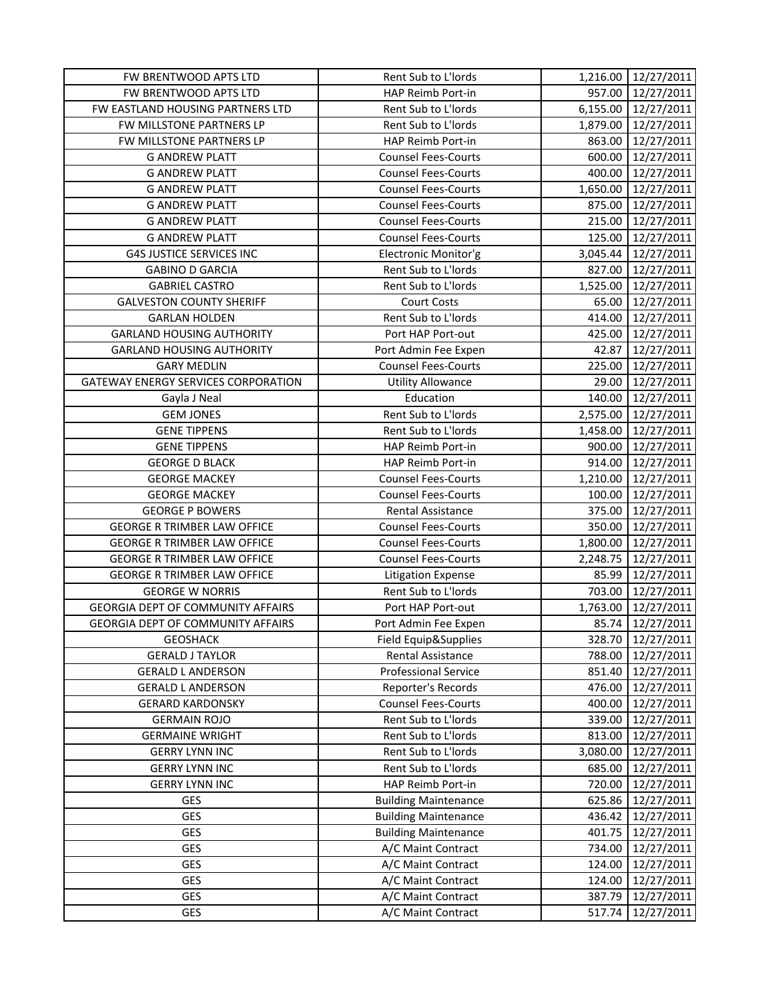| FW BRENTWOOD APTS LTD                    | Rent Sub to L'Iords         |          | 1,216.00 12/27/2011 |
|------------------------------------------|-----------------------------|----------|---------------------|
| FW BRENTWOOD APTS LTD                    | HAP Reimb Port-in           | 957.00   | 12/27/2011          |
| FW EASTLAND HOUSING PARTNERS LTD         | Rent Sub to L'Iords         |          | 6,155.00 12/27/2011 |
| FW MILLSTONE PARTNERS LP                 | Rent Sub to L'Iords         |          | 1,879.00 12/27/2011 |
| FW MILLSTONE PARTNERS LP                 | HAP Reimb Port-in           | 863.00   | 12/27/2011          |
| <b>G ANDREW PLATT</b>                    | <b>Counsel Fees-Courts</b>  | 600.00   | 12/27/2011          |
| <b>G ANDREW PLATT</b>                    | <b>Counsel Fees-Courts</b>  | 400.00   | 12/27/2011          |
| <b>G ANDREW PLATT</b>                    | <b>Counsel Fees-Courts</b>  | 1,650.00 | 12/27/2011          |
| <b>G ANDREW PLATT</b>                    | <b>Counsel Fees-Courts</b>  | 875.00   | 12/27/2011          |
| <b>G ANDREW PLATT</b>                    | <b>Counsel Fees-Courts</b>  | 215.00   | 12/27/2011          |
| <b>G ANDREW PLATT</b>                    | <b>Counsel Fees-Courts</b>  | 125.00   | 12/27/2011          |
| <b>G4S JUSTICE SERVICES INC</b>          | Electronic Monitor'g        | 3,045.44 | 12/27/2011          |
| <b>GABINO D GARCIA</b>                   | Rent Sub to L'Iords         | 827.00   | 12/27/2011          |
| <b>GABRIEL CASTRO</b>                    | Rent Sub to L'Iords         | 1,525.00 | 12/27/2011          |
| <b>GALVESTON COUNTY SHERIFF</b>          | Court Costs                 | 65.00    | 12/27/2011          |
| <b>GARLAN HOLDEN</b>                     | Rent Sub to L'Iords         | 414.00   | 12/27/2011          |
| <b>GARLAND HOUSING AUTHORITY</b>         | Port HAP Port-out           | 425.00   | 12/27/2011          |
| <b>GARLAND HOUSING AUTHORITY</b>         | Port Admin Fee Expen        | 42.87    | 12/27/2011          |
| <b>GARY MEDLIN</b>                       | <b>Counsel Fees-Courts</b>  | 225.00   | 12/27/2011          |
| GATEWAY ENERGY SERVICES CORPORATION      | <b>Utility Allowance</b>    | 29.00    | 12/27/2011          |
| Gayla J Neal                             | Education                   | 140.00   | 12/27/2011          |
| <b>GEM JONES</b>                         | Rent Sub to L'Iords         | 2,575.00 | 12/27/2011          |
| <b>GENE TIPPENS</b>                      | Rent Sub to L'Iords         | 1,458.00 | 12/27/2011          |
| <b>GENE TIPPENS</b>                      | HAP Reimb Port-in           | 900.00   | 12/27/2011          |
| <b>GEORGE D BLACK</b>                    | HAP Reimb Port-in           | 914.00   | 12/27/2011          |
| <b>GEORGE MACKEY</b>                     | <b>Counsel Fees-Courts</b>  | 1,210.00 | 12/27/2011          |
| <b>GEORGE MACKEY</b>                     | <b>Counsel Fees-Courts</b>  | 100.00   | 12/27/2011          |
| <b>GEORGE P BOWERS</b>                   | Rental Assistance           | 375.00   | 12/27/2011          |
| <b>GEORGE R TRIMBER LAW OFFICE</b>       | <b>Counsel Fees-Courts</b>  | 350.00   | 12/27/2011          |
| <b>GEORGE R TRIMBER LAW OFFICE</b>       | <b>Counsel Fees-Courts</b>  | 1,800.00 | 12/27/2011          |
| <b>GEORGE R TRIMBER LAW OFFICE</b>       | <b>Counsel Fees-Courts</b>  | 2,248.75 | 12/27/2011          |
| <b>GEORGE R TRIMBER LAW OFFICE</b>       | <b>Litigation Expense</b>   | 85.99    | 12/27/2011          |
| <b>GEORGE W NORRIS</b>                   | Rent Sub to L'Iords         | 703.00   | 12/27/2011          |
| <b>GEORGIA DEPT OF COMMUNITY AFFAIRS</b> | Port HAP Port-out           | 1,763.00 | 12/27/2011          |
| <b>GEORGIA DEPT OF COMMUNITY AFFAIRS</b> | Port Admin Fee Expen        | 85.74    | 12/27/2011          |
| <b>GEOSHACK</b>                          | Field Equip&Supplies        | 328.70   | 12/27/2011          |
| <b>GERALD J TAYLOR</b>                   | Rental Assistance           | 788.00   | 12/27/2011          |
| <b>GERALD L ANDERSON</b>                 | <b>Professional Service</b> | 851.40   | 12/27/2011          |
| <b>GERALD L ANDERSON</b>                 | Reporter's Records          | 476.00   | 12/27/2011          |
| <b>GERARD KARDONSKY</b>                  | <b>Counsel Fees-Courts</b>  | 400.00   | 12/27/2011          |
| <b>GERMAIN ROJO</b>                      | Rent Sub to L'Iords         | 339.00   | 12/27/2011          |
| <b>GERMAINE WRIGHT</b>                   | Rent Sub to L'Iords         | 813.00   | 12/27/2011          |
| <b>GERRY LYNN INC</b>                    | Rent Sub to L'Iords         | 3,080.00 | 12/27/2011          |
| <b>GERRY LYNN INC</b>                    | Rent Sub to L'Iords         | 685.00   | 12/27/2011          |
| <b>GERRY LYNN INC</b>                    | HAP Reimb Port-in           | 720.00   | 12/27/2011          |
| GES                                      | <b>Building Maintenance</b> | 625.86   | 12/27/2011          |
| <b>GES</b>                               | <b>Building Maintenance</b> | 436.42   | 12/27/2011          |
| GES                                      | <b>Building Maintenance</b> | 401.75   | 12/27/2011          |
| GES                                      | A/C Maint Contract          | 734.00   | 12/27/2011          |
| GES                                      | A/C Maint Contract          | 124.00   | 12/27/2011          |
| GES                                      | A/C Maint Contract          | 124.00   | 12/27/2011          |
| <b>GES</b>                               | A/C Maint Contract          | 387.79   | 12/27/2011          |
| GES                                      | A/C Maint Contract          | 517.74   | 12/27/2011          |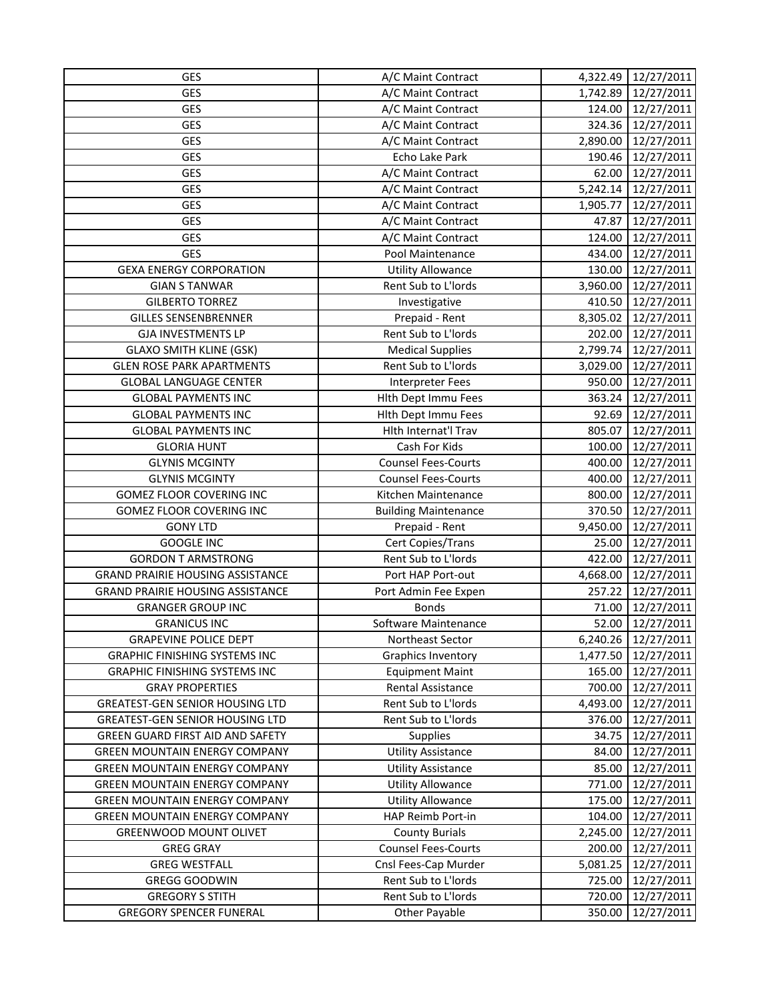| GES                                     | A/C Maint Contract          |          | 4,322.49 12/27/2011 |
|-----------------------------------------|-----------------------------|----------|---------------------|
| GES                                     | A/C Maint Contract          | 1,742.89 | 12/27/2011          |
| GES                                     | A/C Maint Contract          | 124.00   | 12/27/2011          |
| <b>GES</b>                              | A/C Maint Contract          |          | 324.36 12/27/2011   |
| GES                                     | A/C Maint Contract          | 2,890.00 | 12/27/2011          |
| <b>GES</b>                              | Echo Lake Park              | 190.46   | 12/27/2011          |
| GES                                     | A/C Maint Contract          | 62.00    | 12/27/2011          |
| GES                                     | A/C Maint Contract          | 5,242.14 | 12/27/2011          |
| <b>GES</b>                              | A/C Maint Contract          | 1,905.77 | 12/27/2011          |
| GES                                     | A/C Maint Contract          | 47.87    | 12/27/2011          |
| GES                                     | A/C Maint Contract          | 124.00   | 12/27/2011          |
| <b>GES</b>                              | Pool Maintenance            | 434.00   | 12/27/2011          |
| <b>GEXA ENERGY CORPORATION</b>          | <b>Utility Allowance</b>    | 130.00   | 12/27/2011          |
| <b>GIAN S TANWAR</b>                    | Rent Sub to L'Iords         | 3,960.00 | 12/27/2011          |
| <b>GILBERTO TORREZ</b>                  | Investigative               | 410.50   | 12/27/2011          |
| <b>GILLES SENSENBRENNER</b>             | Prepaid - Rent              |          | 8,305.02 12/27/2011 |
| <b>GJA INVESTMENTS LP</b>               | Rent Sub to L'Iords         | 202.00   | 12/27/2011          |
| <b>GLAXO SMITH KLINE (GSK)</b>          | <b>Medical Supplies</b>     | 2,799.74 | 12/27/2011          |
| <b>GLEN ROSE PARK APARTMENTS</b>        | Rent Sub to L'Iords         | 3,029.00 | 12/27/2011          |
| <b>GLOBAL LANGUAGE CENTER</b>           | <b>Interpreter Fees</b>     | 950.00   | 12/27/2011          |
| <b>GLOBAL PAYMENTS INC</b>              | Hlth Dept Immu Fees         | 363.24   | 12/27/2011          |
| <b>GLOBAL PAYMENTS INC</b>              | Hlth Dept Immu Fees         | 92.69    | 12/27/2011          |
| <b>GLOBAL PAYMENTS INC</b>              | Hlth Internat'l Trav        | 805.07   | 12/27/2011          |
| <b>GLORIA HUNT</b>                      | Cash For Kids               | 100.00   | 12/27/2011          |
| <b>GLYNIS MCGINTY</b>                   | <b>Counsel Fees-Courts</b>  | 400.00   | 12/27/2011          |
| <b>GLYNIS MCGINTY</b>                   | <b>Counsel Fees-Courts</b>  | 400.00   | 12/27/2011          |
| <b>GOMEZ FLOOR COVERING INC</b>         | Kitchen Maintenance         | 800.00   | 12/27/2011          |
| <b>GOMEZ FLOOR COVERING INC</b>         | <b>Building Maintenance</b> | 370.50   | 12/27/2011          |
| <b>GONY LTD</b>                         | Prepaid - Rent              | 9,450.00 | 12/27/2011          |
| <b>GOOGLE INC</b>                       | Cert Copies/Trans           | 25.00    | 12/27/2011          |
| <b>GORDON T ARMSTRONG</b>               | Rent Sub to L'Iords         | 422.00   | 12/27/2011          |
| <b>GRAND PRAIRIE HOUSING ASSISTANCE</b> | Port HAP Port-out           | 4,668.00 | 12/27/2011          |
| <b>GRAND PRAIRIE HOUSING ASSISTANCE</b> | Port Admin Fee Expen        | 257.22   | 12/27/2011          |
| <b>GRANGER GROUP INC</b>                | <b>Bonds</b>                | 71.00    | 12/27/2011          |
| <b>GRANICUS INC</b>                     | Software Maintenance        | 52.00    | 12/27/2011          |
| <b>GRAPEVINE POLICE DEPT</b>            | Northeast Sector            | 6,240.26 | 12/27/2011          |
| <b>GRAPHIC FINISHING SYSTEMS INC</b>    | Graphics Inventory          | 1,477.50 | 12/27/2011          |
| <b>GRAPHIC FINISHING SYSTEMS INC</b>    | <b>Equipment Maint</b>      | 165.00   | 12/27/2011          |
| <b>GRAY PROPERTIES</b>                  | Rental Assistance           | 700.00   | 12/27/2011          |
| <b>GREATEST-GEN SENIOR HOUSING LTD</b>  | Rent Sub to L'Iords         | 4,493.00 | 12/27/2011          |
| <b>GREATEST-GEN SENIOR HOUSING LTD</b>  | Rent Sub to L'Iords         | 376.00   | 12/27/2011          |
| GREEN GUARD FIRST AID AND SAFETY        | <b>Supplies</b>             | 34.75    | 12/27/2011          |
| <b>GREEN MOUNTAIN ENERGY COMPANY</b>    | <b>Utility Assistance</b>   | 84.00    | 12/27/2011          |
| <b>GREEN MOUNTAIN ENERGY COMPANY</b>    | <b>Utility Assistance</b>   | 85.00    | 12/27/2011          |
| <b>GREEN MOUNTAIN ENERGY COMPANY</b>    | <b>Utility Allowance</b>    | 771.00   | 12/27/2011          |
| <b>GREEN MOUNTAIN ENERGY COMPANY</b>    | <b>Utility Allowance</b>    | 175.00   | 12/27/2011          |
| <b>GREEN MOUNTAIN ENERGY COMPANY</b>    | HAP Reimb Port-in           | 104.00   | 12/27/2011          |
| <b>GREENWOOD MOUNT OLIVET</b>           | <b>County Burials</b>       | 2,245.00 | 12/27/2011          |
| <b>GREG GRAY</b>                        | <b>Counsel Fees-Courts</b>  | 200.00   | 12/27/2011          |
| <b>GREG WESTFALL</b>                    | Cnsl Fees-Cap Murder        | 5,081.25 | 12/27/2011          |
| <b>GREGG GOODWIN</b>                    | Rent Sub to L'Iords         | 725.00   | 12/27/2011          |
| <b>GREGORY S STITH</b>                  | Rent Sub to L'Iords         | 720.00   | 12/27/2011          |
| <b>GREGORY SPENCER FUNERAL</b>          | Other Payable               | 350.00   | 12/27/2011          |
|                                         |                             |          |                     |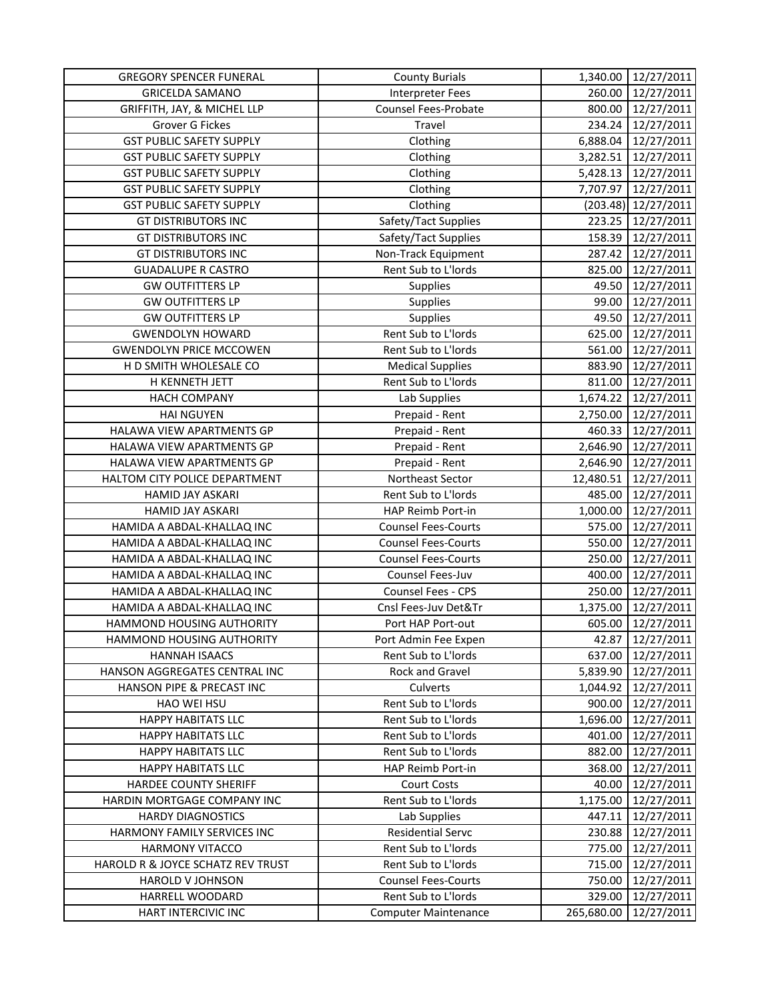| <b>GREGORY SPENCER FUNERAL</b>    | <b>County Burials</b>       | 1,340.00   | 12/27/2011 |
|-----------------------------------|-----------------------------|------------|------------|
| <b>GRICELDA SAMANO</b>            | <b>Interpreter Fees</b>     | 260.00     | 12/27/2011 |
| GRIFFITH, JAY, & MICHEL LLP       | Counsel Fees-Probate        | 800.00     | 12/27/2011 |
| Grover G Fickes                   | Travel                      | 234.24     | 12/27/2011 |
| <b>GST PUBLIC SAFETY SUPPLY</b>   | Clothing                    | 6,888.04   | 12/27/2011 |
| <b>GST PUBLIC SAFETY SUPPLY</b>   | Clothing                    | 3,282.51   | 12/27/2011 |
| <b>GST PUBLIC SAFETY SUPPLY</b>   | Clothing                    | 5,428.13   | 12/27/2011 |
| <b>GST PUBLIC SAFETY SUPPLY</b>   | Clothing                    | 7,707.97   | 12/27/2011 |
| <b>GST PUBLIC SAFETY SUPPLY</b>   | Clothing                    | (203.48)   | 12/27/2011 |
| <b>GT DISTRIBUTORS INC</b>        | Safety/Tact Supplies        | 223.25     | 12/27/2011 |
| <b>GT DISTRIBUTORS INC</b>        | Safety/Tact Supplies        | 158.39     | 12/27/2011 |
| <b>GT DISTRIBUTORS INC</b>        | Non-Track Equipment         | 287.42     | 12/27/2011 |
| <b>GUADALUPE R CASTRO</b>         | Rent Sub to L'Iords         | 825.00     | 12/27/2011 |
| <b>GW OUTFITTERS LP</b>           | <b>Supplies</b>             | 49.50      | 12/27/2011 |
| <b>GW OUTFITTERS LP</b>           | Supplies                    | 99.00      | 12/27/2011 |
| <b>GW OUTFITTERS LP</b>           | Supplies                    | 49.50      | 12/27/2011 |
| <b>GWENDOLYN HOWARD</b>           | Rent Sub to L'Iords         | 625.00     | 12/27/2011 |
| <b>GWENDOLYN PRICE MCCOWEN</b>    | Rent Sub to L'Iords         | 561.00     | 12/27/2011 |
| H D SMITH WHOLESALE CO            | <b>Medical Supplies</b>     | 883.90     | 12/27/2011 |
| H KENNETH JETT                    | Rent Sub to L'Iords         | 811.00     | 12/27/2011 |
| <b>HACH COMPANY</b>               | Lab Supplies                | 1,674.22   | 12/27/2011 |
| <b>HAI NGUYEN</b>                 | Prepaid - Rent              | 2,750.00   | 12/27/2011 |
| HALAWA VIEW APARTMENTS GP         | Prepaid - Rent              | 460.33     | 12/27/2011 |
| HALAWA VIEW APARTMENTS GP         | Prepaid - Rent              | 2,646.90   | 12/27/2011 |
| HALAWA VIEW APARTMENTS GP         | Prepaid - Rent              | 2,646.90   | 12/27/2011 |
| HALTOM CITY POLICE DEPARTMENT     | Northeast Sector            | 12,480.51  | 12/27/2011 |
| HAMID JAY ASKARI                  | Rent Sub to L'Iords         | 485.00     | 12/27/2011 |
| <b>HAMID JAY ASKARI</b>           | HAP Reimb Port-in           | 1,000.00   | 12/27/2011 |
| HAMIDA A ABDAL-KHALLAQ INC        | <b>Counsel Fees-Courts</b>  | 575.00     | 12/27/2011 |
| HAMIDA A ABDAL-KHALLAQ INC        | <b>Counsel Fees-Courts</b>  | 550.00     | 12/27/2011 |
| HAMIDA A ABDAL-KHALLAQ INC        | <b>Counsel Fees-Courts</b>  | 250.00     | 12/27/2011 |
| HAMIDA A ABDAL-KHALLAQ INC        | Counsel Fees-Juv            | 400.00     | 12/27/2011 |
| HAMIDA A ABDAL-KHALLAQ INC        | <b>Counsel Fees - CPS</b>   | 250.00     | 12/27/2011 |
| HAMIDA A ABDAL-KHALLAQ INC        | Cnsl Fees-Juv Det&Tr        | 1,375.00   | 12/27/2011 |
| HAMMOND HOUSING AUTHORITY         | Port HAP Port-out           | 605.00     | 12/27/2011 |
| HAMMOND HOUSING AUTHORITY         | Port Admin Fee Expen        | 42.87      | 12/27/2011 |
| <b>HANNAH ISAACS</b>              | Rent Sub to L'Iords         | 637.00     | 12/27/2011 |
| HANSON AGGREGATES CENTRAL INC     | Rock and Gravel             | 5,839.90   | 12/27/2011 |
| HANSON PIPE & PRECAST INC         | Culverts                    | 1,044.92   | 12/27/2011 |
| HAO WEI HSU                       | Rent Sub to L'Iords         | 900.00     | 12/27/2011 |
| <b>HAPPY HABITATS LLC</b>         | Rent Sub to L'Iords         | 1,696.00   | 12/27/2011 |
| <b>HAPPY HABITATS LLC</b>         | Rent Sub to L'Iords         | 401.00     | 12/27/2011 |
| <b>HAPPY HABITATS LLC</b>         | Rent Sub to L'Iords         | 882.00     | 12/27/2011 |
| <b>HAPPY HABITATS LLC</b>         | HAP Reimb Port-in           | 368.00     | 12/27/2011 |
| HARDEE COUNTY SHERIFF             | <b>Court Costs</b>          | 40.00      | 12/27/2011 |
| HARDIN MORTGAGE COMPANY INC       | Rent Sub to L'Iords         | 1,175.00   | 12/27/2011 |
| <b>HARDY DIAGNOSTICS</b>          | Lab Supplies                | 447.11     | 12/27/2011 |
| HARMONY FAMILY SERVICES INC       | <b>Residential Servc</b>    | 230.88     | 12/27/2011 |
| <b>HARMONY VITACCO</b>            | Rent Sub to L'Iords         | 775.00     | 12/27/2011 |
| HAROLD R & JOYCE SCHATZ REV TRUST | Rent Sub to L'Iords         | 715.00     | 12/27/2011 |
| HAROLD V JOHNSON                  | <b>Counsel Fees-Courts</b>  | 750.00     | 12/27/2011 |
| HARRELL WOODARD                   | Rent Sub to L'Iords         | 329.00     | 12/27/2011 |
| HART INTERCIVIC INC               | <b>Computer Maintenance</b> | 265,680.00 | 12/27/2011 |
|                                   |                             |            |            |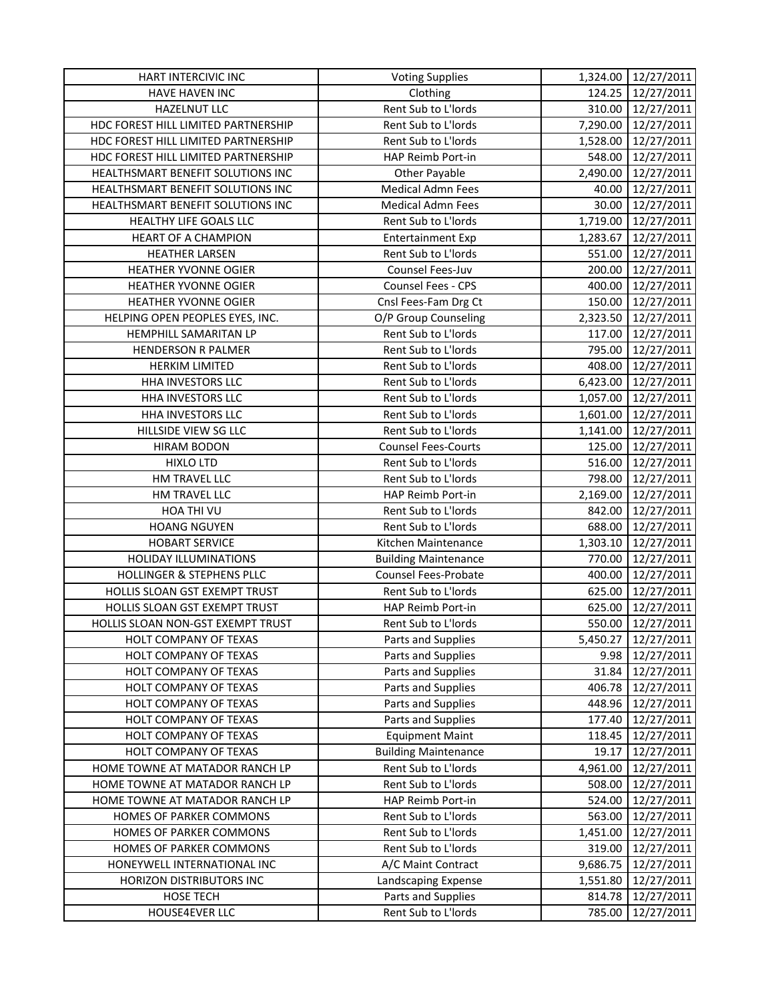| HART INTERCIVIC INC                   | <b>Voting Supplies</b>      | 1,324.00 | 12/27/2011               |
|---------------------------------------|-----------------------------|----------|--------------------------|
| HAVE HAVEN INC                        | Clothing                    | 124.25   | 12/27/2011               |
| HAZELNUT LLC                          | Rent Sub to L'Iords         |          | 310.00 12/27/2011        |
| HDC FOREST HILL LIMITED PARTNERSHIP   | Rent Sub to L'Iords         | 7,290.00 | 12/27/2011               |
| HDC FOREST HILL LIMITED PARTNERSHIP   | Rent Sub to L'Iords         | 1,528.00 | 12/27/2011               |
| HDC FOREST HILL LIMITED PARTNERSHIP   | HAP Reimb Port-in           | 548.00   | 12/27/2011               |
| HEALTHSMART BENEFIT SOLUTIONS INC     | <b>Other Payable</b>        | 2,490.00 | 12/27/2011               |
| HEALTHSMART BENEFIT SOLUTIONS INC     | <b>Medical Admn Fees</b>    | 40.00    | 12/27/2011               |
| HEALTHSMART BENEFIT SOLUTIONS INC     | <b>Medical Admn Fees</b>    | 30.00    | 12/27/2011               |
| HEALTHY LIFE GOALS LLC                | Rent Sub to L'Iords         | 1,719.00 | 12/27/2011               |
| HEART OF A CHAMPION                   | <b>Entertainment Exp</b>    | 1,283.67 | 12/27/2011               |
| <b>HEATHER LARSEN</b>                 | Rent Sub to L'Iords         | 551.00   | 12/27/2011               |
| HEATHER YVONNE OGIER                  | Counsel Fees-Juv            | 200.00   | 12/27/2011               |
| HEATHER YVONNE OGIER                  | Counsel Fees - CPS          | 400.00   | 12/27/2011               |
| HEATHER YVONNE OGIER                  | Cnsl Fees-Fam Drg Ct        | 150.00   | 12/27/2011               |
| HELPING OPEN PEOPLES EYES, INC.       | O/P Group Counseling        | 2,323.50 | 12/27/2011               |
| HEMPHILL SAMARITAN LP                 | Rent Sub to L'Iords         | 117.00   | 12/27/2011               |
| HENDERSON R PALMER                    | Rent Sub to L'Iords         | 795.00   | 12/27/2011               |
| <b>HERKIM LIMITED</b>                 | Rent Sub to L'Iords         | 408.00   | 12/27/2011               |
| HHA INVESTORS LLC                     | Rent Sub to L'Iords         | 6,423.00 | 12/27/2011               |
| HHA INVESTORS LLC                     | Rent Sub to L'Iords         | 1,057.00 | 12/27/2011               |
| HHA INVESTORS LLC                     | Rent Sub to L'Iords         | 1,601.00 | 12/27/2011               |
| HILLSIDE VIEW SG LLC                  | Rent Sub to L'Iords         | 1,141.00 | 12/27/2011               |
| HIRAM BODON                           | <b>Counsel Fees-Courts</b>  | 125.00   | 12/27/2011               |
| <b>HIXLO LTD</b>                      | Rent Sub to L'Iords         | 516.00   | 12/27/2011               |
| HM TRAVEL LLC                         | Rent Sub to L'Iords         | 798.00   | 12/27/2011               |
| HM TRAVEL LLC                         | HAP Reimb Port-in           | 2,169.00 | 12/27/2011               |
| HOA THI VU                            | Rent Sub to L'Iords         | 842.00   | 12/27/2011               |
| <b>HOANG NGUYEN</b>                   | Rent Sub to L'Iords         | 688.00   | 12/27/2011               |
| <b>HOBART SERVICE</b>                 | Kitchen Maintenance         | 1,303.10 | 12/27/2011               |
| HOLIDAY ILLUMINATIONS                 | <b>Building Maintenance</b> | 770.00   | 12/27/2011               |
| <b>HOLLINGER &amp; STEPHENS PLLC</b>  | <b>Counsel Fees-Probate</b> | 400.00   | 12/27/2011               |
| HOLLIS SLOAN GST EXEMPT TRUST         | Rent Sub to L'Iords         | 625.00   | 12/27/2011               |
| HOLLIS SLOAN GST EXEMPT TRUST         | HAP Reimb Port-in           | 625.00   | 12/27/2011               |
| HOLLIS SLOAN NON-GST EXEMPT TRUST     | Rent Sub to L'Iords         | 550.00   | 12/27/2011               |
| HOLT COMPANY OF TEXAS                 | Parts and Supplies          | 5,450.27 | 12/27/2011               |
| HOLT COMPANY OF TEXAS                 | Parts and Supplies          | 9.98     | 12/27/2011               |
| HOLT COMPANY OF TEXAS                 | Parts and Supplies          | 31.84    | 12/27/2011               |
| HOLT COMPANY OF TEXAS                 | Parts and Supplies          | 406.78   | 12/27/2011               |
| HOLT COMPANY OF TEXAS                 | Parts and Supplies          | 448.96   | 12/27/2011               |
| HOLT COMPANY OF TEXAS                 | Parts and Supplies          | 177.40   | 12/27/2011               |
| HOLT COMPANY OF TEXAS                 | <b>Equipment Maint</b>      | 118.45   | 12/27/2011               |
| HOLT COMPANY OF TEXAS                 | <b>Building Maintenance</b> | 19.17    | 12/27/2011               |
| HOME TOWNE AT MATADOR RANCH LP        | Rent Sub to L'Iords         | 4,961.00 | 12/27/2011               |
| HOME TOWNE AT MATADOR RANCH LP        | Rent Sub to L'Iords         | 508.00   | 12/27/2011               |
| HOME TOWNE AT MATADOR RANCH LP        | HAP Reimb Port-in           | 524.00   | 12/27/2011               |
| HOMES OF PARKER COMMONS               | Rent Sub to L'Iords         | 563.00   | 12/27/2011               |
| HOMES OF PARKER COMMONS               | Rent Sub to L'Iords         | 1,451.00 | 12/27/2011               |
| HOMES OF PARKER COMMONS               | Rent Sub to L'Iords         | 319.00   | 12/27/2011               |
| HONEYWELL INTERNATIONAL INC           | A/C Maint Contract          | 9,686.75 | 12/27/2011               |
|                                       | Landscaping Expense         | 1,551.80 |                          |
| HORIZON DISTRIBUTORS INC<br>HOSE TECH | Parts and Supplies          | 814.78   | 12/27/2011<br>12/27/2011 |
| HOUSE4EVER LLC                        |                             |          |                          |
|                                       | Rent Sub to L'Iords         | 785.00   | 12/27/2011               |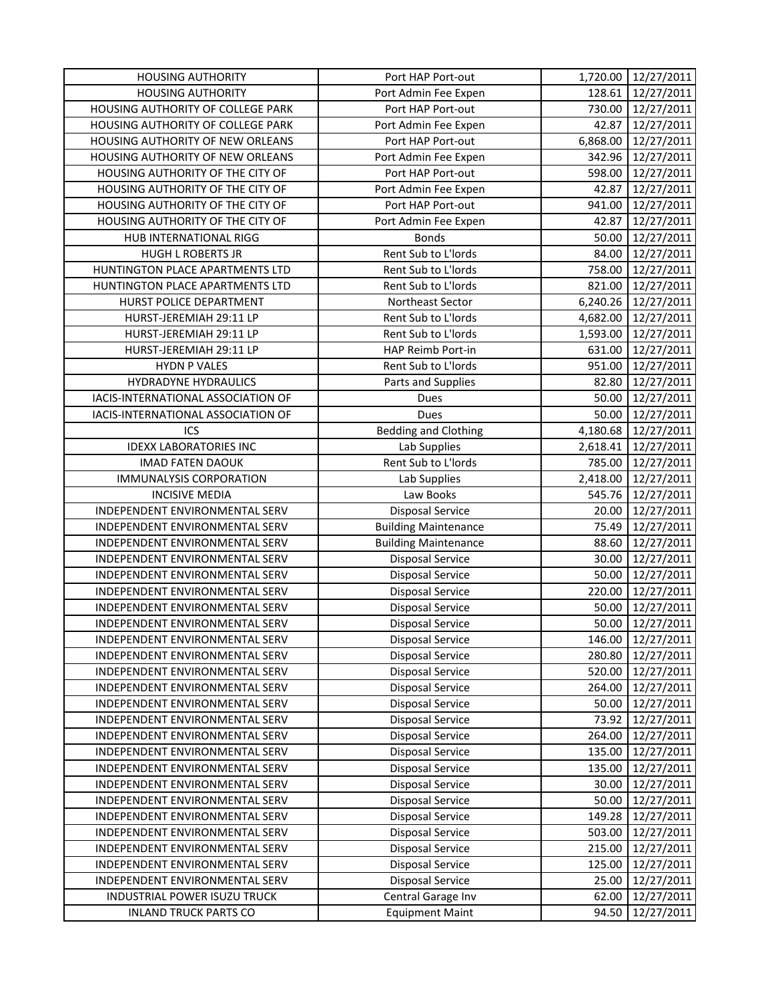| <b>HOUSING AUTHORITY</b>           | Port HAP Port-out           | 1,720.00 | 12/27/2011          |
|------------------------------------|-----------------------------|----------|---------------------|
| <b>HOUSING AUTHORITY</b>           | Port Admin Fee Expen        | 128.61   | 12/27/2011          |
| HOUSING AUTHORITY OF COLLEGE PARK  | Port HAP Port-out           | 730.00   | 12/27/2011          |
| HOUSING AUTHORITY OF COLLEGE PARK  | Port Admin Fee Expen        | 42.87    | 12/27/2011          |
| HOUSING AUTHORITY OF NEW ORLEANS   | Port HAP Port-out           | 6,868.00 | 12/27/2011          |
| HOUSING AUTHORITY OF NEW ORLEANS   | Port Admin Fee Expen        | 342.96   | 12/27/2011          |
| HOUSING AUTHORITY OF THE CITY OF   | Port HAP Port-out           | 598.00   | 12/27/2011          |
| HOUSING AUTHORITY OF THE CITY OF   | Port Admin Fee Expen        | 42.87    | 12/27/2011          |
| HOUSING AUTHORITY OF THE CITY OF   | Port HAP Port-out           | 941.00   | 12/27/2011          |
| HOUSING AUTHORITY OF THE CITY OF   | Port Admin Fee Expen        | 42.87    | 12/27/2011          |
| HUB INTERNATIONAL RIGG             | <b>Bonds</b>                | 50.00    | 12/27/2011          |
| <b>HUGH L ROBERTS JR</b>           | Rent Sub to L'Iords         | 84.00    | 12/27/2011          |
| HUNTINGTON PLACE APARTMENTS LTD    | Rent Sub to L'Iords         | 758.00   | 12/27/2011          |
| HUNTINGTON PLACE APARTMENTS LTD    | Rent Sub to L'Iords         | 821.00   | 12/27/2011          |
| HURST POLICE DEPARTMENT            | Northeast Sector            |          | 6,240.26 12/27/2011 |
| HURST-JEREMIAH 29:11 LP            | Rent Sub to L'Iords         |          | 4,682.00 12/27/2011 |
| HURST-JEREMIAH 29:11 LP            | Rent Sub to L'Iords         | 1,593.00 | 12/27/2011          |
| HURST-JEREMIAH 29:11 LP            | HAP Reimb Port-in           | 631.00   | 12/27/2011          |
| <b>HYDN P VALES</b>                | Rent Sub to L'Iords         | 951.00   | 12/27/2011          |
| HYDRADYNE HYDRAULICS               | Parts and Supplies          | 82.80    | 12/27/2011          |
| IACIS-INTERNATIONAL ASSOCIATION OF | Dues                        | 50.00    | 12/27/2011          |
| IACIS-INTERNATIONAL ASSOCIATION OF | Dues                        | 50.00    | 12/27/2011          |
| ICS                                | <b>Bedding and Clothing</b> | 4,180.68 | 12/27/2011          |
| <b>IDEXX LABORATORIES INC</b>      | Lab Supplies                | 2,618.41 | 12/27/2011          |
| <b>IMAD FATEN DAOUK</b>            | Rent Sub to L'Iords         | 785.00   | 12/27/2011          |
| <b>IMMUNALYSIS CORPORATION</b>     | Lab Supplies                | 2,418.00 | 12/27/2011          |
| <b>INCISIVE MEDIA</b>              | Law Books                   | 545.76   | 12/27/2011          |
| INDEPENDENT ENVIRONMENTAL SERV     | Disposal Service            | 20.00    | 12/27/2011          |
| INDEPENDENT ENVIRONMENTAL SERV     | <b>Building Maintenance</b> | 75.49    | 12/27/2011          |
| INDEPENDENT ENVIRONMENTAL SERV     | <b>Building Maintenance</b> | 88.60    | 12/27/2011          |
| INDEPENDENT ENVIRONMENTAL SERV     | <b>Disposal Service</b>     | 30.00    | 12/27/2011          |
| INDEPENDENT ENVIRONMENTAL SERV     | <b>Disposal Service</b>     | 50.00    | 12/27/2011          |
| INDEPENDENT ENVIRONMENTAL SERV     | <b>Disposal Service</b>     | 220.00   | 12/27/2011          |
| INDEPENDENT ENVIRONMENTAL SERV     | <b>Disposal Service</b>     | 50.00    | 12/27/2011          |
| INDEPENDENT ENVIRONMENTAL SERV     | <b>Disposal Service</b>     | 50.00    | 12/27/2011          |
| INDEPENDENT ENVIRONMENTAL SERV     | Disposal Service            | 146.00   | 12/27/2011          |
| INDEPENDENT ENVIRONMENTAL SERV     | Disposal Service            | 280.80   | 12/27/2011          |
| INDEPENDENT ENVIRONMENTAL SERV     | <b>Disposal Service</b>     | 520.00   | 12/27/2011          |
| INDEPENDENT ENVIRONMENTAL SERV     | Disposal Service            | 264.00   | 12/27/2011          |
| INDEPENDENT ENVIRONMENTAL SERV     | <b>Disposal Service</b>     | 50.00    | 12/27/2011          |
| INDEPENDENT ENVIRONMENTAL SERV     | <b>Disposal Service</b>     | 73.92    | 12/27/2011          |
| INDEPENDENT ENVIRONMENTAL SERV     | <b>Disposal Service</b>     | 264.00   | 12/27/2011          |
| INDEPENDENT ENVIRONMENTAL SERV     | Disposal Service            | 135.00   | 12/27/2011          |
| INDEPENDENT ENVIRONMENTAL SERV     | Disposal Service            | 135.00   | 12/27/2011          |
| INDEPENDENT ENVIRONMENTAL SERV     | <b>Disposal Service</b>     | 30.00    | 12/27/2011          |
| INDEPENDENT ENVIRONMENTAL SERV     | <b>Disposal Service</b>     | 50.00    | 12/27/2011          |
| INDEPENDENT ENVIRONMENTAL SERV     | Disposal Service            | 149.28   | 12/27/2011          |
| INDEPENDENT ENVIRONMENTAL SERV     | Disposal Service            | 503.00   | 12/27/2011          |
| INDEPENDENT ENVIRONMENTAL SERV     | <b>Disposal Service</b>     | 215.00   | 12/27/2011          |
| INDEPENDENT ENVIRONMENTAL SERV     | Disposal Service            | 125.00   | 12/27/2011          |
| INDEPENDENT ENVIRONMENTAL SERV     | Disposal Service            | 25.00    | 12/27/2011          |
| INDUSTRIAL POWER ISUZU TRUCK       | Central Garage Inv          | 62.00    | 12/27/2011          |
| <b>INLAND TRUCK PARTS CO</b>       | <b>Equipment Maint</b>      | 94.50    | 12/27/2011          |
|                                    |                             |          |                     |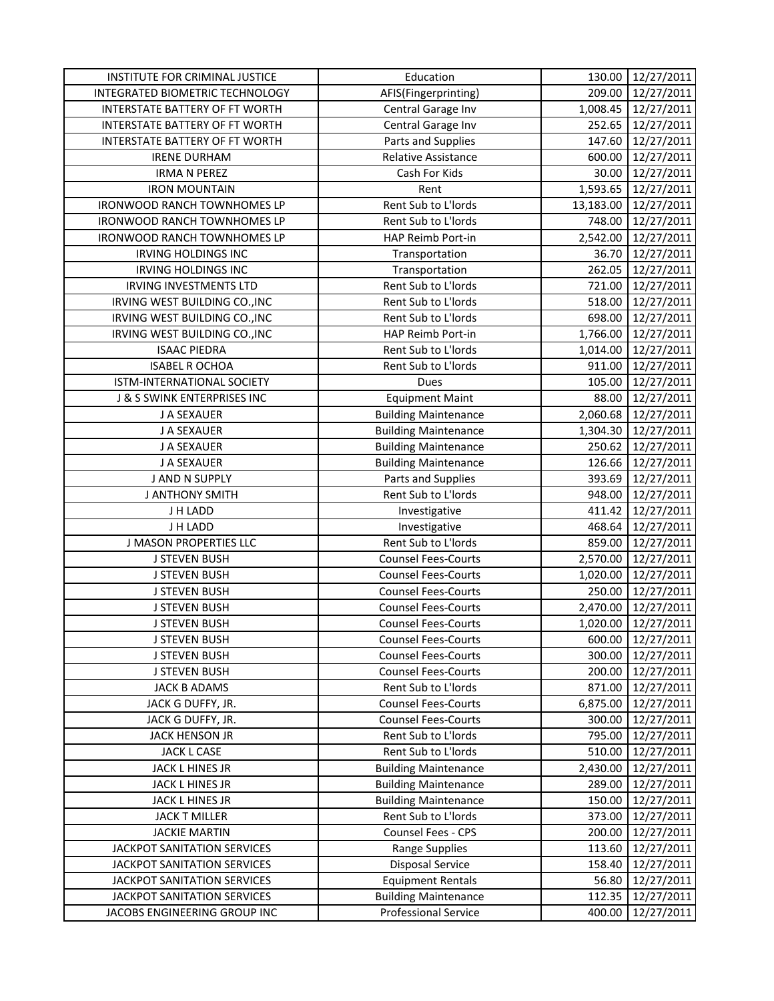| INSTITUTE FOR CRIMINAL JUSTICE        | Education                   | 130.00    | 12/27/2011 |
|---------------------------------------|-----------------------------|-----------|------------|
| INTEGRATED BIOMETRIC TECHNOLOGY       | AFIS(Fingerprinting)        | 209.00    | 12/27/2011 |
| <b>INTERSTATE BATTERY OF FT WORTH</b> | Central Garage Inv          | 1,008.45  | 12/27/2011 |
| INTERSTATE BATTERY OF FT WORTH        | Central Garage Inv          | 252.65    | 12/27/2011 |
| INTERSTATE BATTERY OF FT WORTH        | Parts and Supplies          | 147.60    | 12/27/2011 |
| <b>IRENE DURHAM</b>                   | Relative Assistance         | 600.00    | 12/27/2011 |
| <b>IRMA N PEREZ</b>                   | Cash For Kids               | 30.00     | 12/27/2011 |
| <b>IRON MOUNTAIN</b>                  | Rent                        | 1,593.65  | 12/27/2011 |
| IRONWOOD RANCH TOWNHOMES LP           | Rent Sub to L'Iords         | 13,183.00 | 12/27/2011 |
| IRONWOOD RANCH TOWNHOMES LP           | Rent Sub to L'Iords         | 748.00    | 12/27/2011 |
| IRONWOOD RANCH TOWNHOMES LP           | HAP Reimb Port-in           | 2,542.00  | 12/27/2011 |
| <b>IRVING HOLDINGS INC</b>            | Transportation              | 36.70     | 12/27/2011 |
| <b>IRVING HOLDINGS INC</b>            | Transportation              | 262.05    | 12/27/2011 |
| <b>IRVING INVESTMENTS LTD</b>         | Rent Sub to L'Iords         | 721.00    | 12/27/2011 |
| IRVING WEST BUILDING CO., INC         | Rent Sub to L'Iords         | 518.00    | 12/27/2011 |
| IRVING WEST BUILDING CO., INC         | Rent Sub to L'Iords         | 698.00    | 12/27/2011 |
| IRVING WEST BUILDING CO., INC         | HAP Reimb Port-in           | 1,766.00  | 12/27/2011 |
| <b>ISAAC PIEDRA</b>                   | Rent Sub to L'Iords         | 1,014.00  | 12/27/2011 |
| <b>ISABEL R OCHOA</b>                 | Rent Sub to L'Iords         | 911.00    | 12/27/2011 |
| ISTM-INTERNATIONAL SOCIETY            | Dues                        | 105.00    | 12/27/2011 |
| J & S SWINK ENTERPRISES INC           | <b>Equipment Maint</b>      | 88.00     | 12/27/2011 |
| J A SEXAUER                           | <b>Building Maintenance</b> | 2,060.68  | 12/27/2011 |
| J A SEXAUER                           | <b>Building Maintenance</b> | 1,304.30  | 12/27/2011 |
| J A SEXAUER                           | <b>Building Maintenance</b> | 250.62    | 12/27/2011 |
| J A SEXAUER                           | <b>Building Maintenance</b> | 126.66    | 12/27/2011 |
| J AND N SUPPLY                        | Parts and Supplies          | 393.69    | 12/27/2011 |
| <b>J ANTHONY SMITH</b>                | Rent Sub to L'Iords         | 948.00    | 12/27/2011 |
| J H LADD                              | Investigative               | 411.42    | 12/27/2011 |
| J H LADD                              | Investigative               | 468.64    | 12/27/2011 |
| <b>J MASON PROPERTIES LLC</b>         | Rent Sub to L'Iords         | 859.00    | 12/27/2011 |
| <b>J STEVEN BUSH</b>                  | <b>Counsel Fees-Courts</b>  | 2,570.00  | 12/27/2011 |
| <b>J STEVEN BUSH</b>                  | <b>Counsel Fees-Courts</b>  | 1,020.00  | 12/27/2011 |
| <b>J STEVEN BUSH</b>                  | <b>Counsel Fees-Courts</b>  | 250.00    | 12/27/2011 |
| <b>J STEVEN BUSH</b>                  | <b>Counsel Fees-Courts</b>  | 2,470.00  | 12/27/2011 |
| <b>J STEVEN BUSH</b>                  | <b>Counsel Fees-Courts</b>  | 1,020.00  | 12/27/2011 |
| <b>J STEVEN BUSH</b>                  | <b>Counsel Fees-Courts</b>  | 600.00    | 12/27/2011 |
| <b>J STEVEN BUSH</b>                  | <b>Counsel Fees-Courts</b>  | 300.00    | 12/27/2011 |
| <b>J STEVEN BUSH</b>                  | <b>Counsel Fees-Courts</b>  | 200.00    | 12/27/2011 |
| <b>JACK B ADAMS</b>                   | Rent Sub to L'Iords         | 871.00    | 12/27/2011 |
| JACK G DUFFY, JR.                     | <b>Counsel Fees-Courts</b>  | 6,875.00  | 12/27/2011 |
| JACK G DUFFY, JR.                     | <b>Counsel Fees-Courts</b>  | 300.00    | 12/27/2011 |
| JACK HENSON JR                        | Rent Sub to L'Iords         | 795.00    | 12/27/2011 |
| JACK L CASE                           | Rent Sub to L'Iords         | 510.00    | 12/27/2011 |
| JACK L HINES JR                       | <b>Building Maintenance</b> | 2,430.00  | 12/27/2011 |
| JACK L HINES JR                       | <b>Building Maintenance</b> | 289.00    | 12/27/2011 |
| JACK L HINES JR                       | <b>Building Maintenance</b> | 150.00    | 12/27/2011 |
| <b>JACK T MILLER</b>                  | Rent Sub to L'Iords         | 373.00    | 12/27/2011 |
| <b>JACKIE MARTIN</b>                  | Counsel Fees - CPS          | 200.00    | 12/27/2011 |
| JACKPOT SANITATION SERVICES           | Range Supplies              | 113.60    | 12/27/2011 |
| JACKPOT SANITATION SERVICES           | <b>Disposal Service</b>     | 158.40    | 12/27/2011 |
| JACKPOT SANITATION SERVICES           | <b>Equipment Rentals</b>    | 56.80     | 12/27/2011 |
| JACKPOT SANITATION SERVICES           | <b>Building Maintenance</b> | 112.35    | 12/27/2011 |
| JACOBS ENGINEERING GROUP INC          | <b>Professional Service</b> | 400.00    | 12/27/2011 |
|                                       |                             |           |            |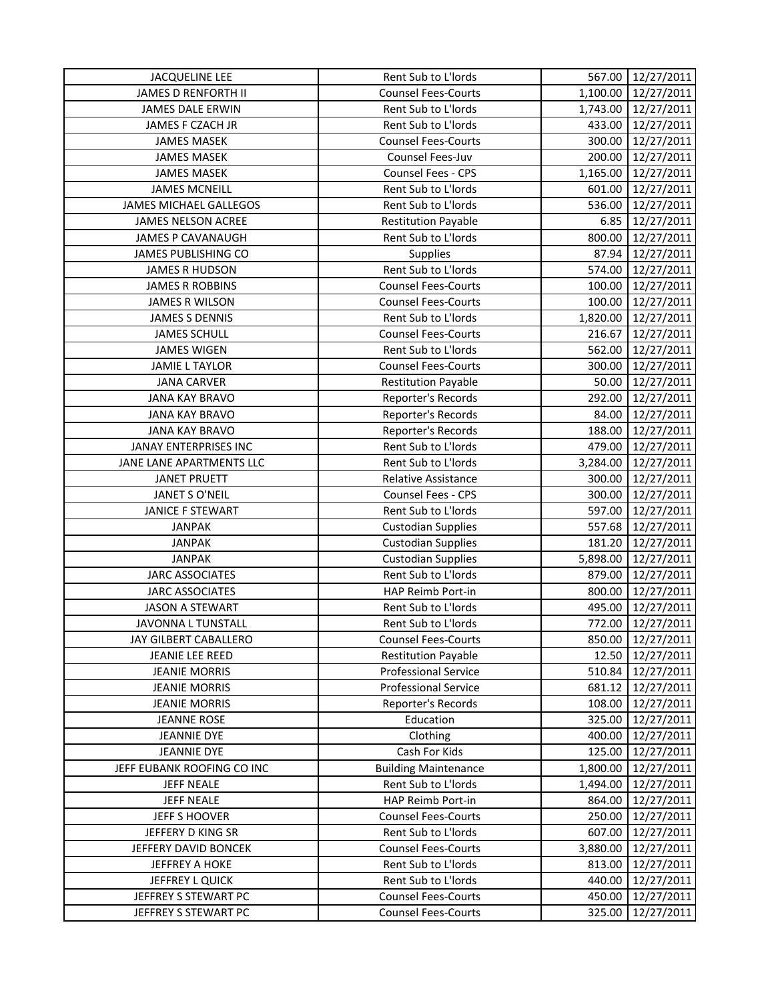| <b>JACQUELINE LEE</b>         | Rent Sub to L'Iords                              | 567.00   | 12/27/2011 |
|-------------------------------|--------------------------------------------------|----------|------------|
| JAMES D RENFORTH II           | <b>Counsel Fees-Courts</b>                       | 1,100.00 | 12/27/2011 |
| <b>JAMES DALE ERWIN</b>       | Rent Sub to L'Iords                              | 1,743.00 | 12/27/2011 |
| JAMES F CZACH JR              | Rent Sub to L'Iords                              | 433.00   | 12/27/2011 |
| <b>JAMES MASEK</b>            | <b>Counsel Fees-Courts</b>                       | 300.00   | 12/27/2011 |
| <b>JAMES MASEK</b>            | Counsel Fees-Juv                                 | 200.00   | 12/27/2011 |
| <b>JAMES MASEK</b>            | <b>Counsel Fees - CPS</b>                        | 1,165.00 | 12/27/2011 |
| <b>JAMES MCNEILL</b>          | Rent Sub to L'Iords                              | 601.00   | 12/27/2011 |
| <b>JAMES MICHAEL GALLEGOS</b> | Rent Sub to L'Iords                              | 536.00   | 12/27/2011 |
| JAMES NELSON ACREE            | <b>Restitution Payable</b>                       | 6.85     | 12/27/2011 |
| JAMES P CAVANAUGH             | Rent Sub to L'Iords                              | 800.00   | 12/27/2011 |
| JAMES PUBLISHING CO           | Supplies                                         | 87.94    | 12/27/2011 |
| <b>JAMES R HUDSON</b>         | Rent Sub to L'Iords                              | 574.00   | 12/27/2011 |
| <b>JAMES R ROBBINS</b>        | <b>Counsel Fees-Courts</b>                       | 100.00   | 12/27/2011 |
| JAMES R WILSON                | <b>Counsel Fees-Courts</b>                       | 100.00   | 12/27/2011 |
| <b>JAMES S DENNIS</b>         | Rent Sub to L'Iords                              | 1,820.00 | 12/27/2011 |
| <b>JAMES SCHULL</b>           | <b>Counsel Fees-Courts</b>                       | 216.67   | 12/27/2011 |
| <b>JAMES WIGEN</b>            | Rent Sub to L'Iords                              | 562.00   | 12/27/2011 |
| <b>JAMIE L TAYLOR</b>         | <b>Counsel Fees-Courts</b>                       | 300.00   | 12/27/2011 |
| <b>JANA CARVER</b>            | <b>Restitution Payable</b>                       | 50.00    | 12/27/2011 |
| <b>JANA KAY BRAVO</b>         | Reporter's Records                               | 292.00   | 12/27/2011 |
| <b>JANA KAY BRAVO</b>         | Reporter's Records                               | 84.00    | 12/27/2011 |
| <b>JANA KAY BRAVO</b>         | Reporter's Records                               | 188.00   | 12/27/2011 |
| JANAY ENTERPRISES INC         | Rent Sub to L'Iords                              | 479.00   | 12/27/2011 |
| JANE LANE APARTMENTS LLC      | Rent Sub to L'Iords                              | 3,284.00 | 12/27/2011 |
| <b>JANET PRUETT</b>           | Relative Assistance                              | 300.00   | 12/27/2011 |
| JANET S O'NEIL                | <b>Counsel Fees - CPS</b>                        | 300.00   | 12/27/2011 |
| JANICE F STEWART              | Rent Sub to L'Iords                              | 597.00   | 12/27/2011 |
| <b>JANPAK</b>                 | <b>Custodian Supplies</b>                        | 557.68   | 12/27/2011 |
| <b>JANPAK</b>                 | <b>Custodian Supplies</b>                        | 181.20   | 12/27/2011 |
| <b>JANPAK</b>                 |                                                  | 5,898.00 | 12/27/2011 |
| <b>JARC ASSOCIATES</b>        | <b>Custodian Supplies</b><br>Rent Sub to L'Iords | 879.00   |            |
|                               |                                                  |          | 12/27/2011 |
| <b>JARC ASSOCIATES</b>        | HAP Reimb Port-in                                | 800.00   | 12/27/2011 |
| <b>JASON A STEWART</b>        | Rent Sub to L'Iords                              | 495.00   | 12/27/2011 |
| <b>JAVONNA L TUNSTALL</b>     | Rent Sub to L'Iords                              | 772.00   | 12/27/2011 |
| JAY GILBERT CABALLERO         | <b>Counsel Fees-Courts</b>                       | 850.00   | 12/27/2011 |
| JEANIE LEE REED               | <b>Restitution Payable</b>                       | 12.50    | 12/27/2011 |
| <b>JEANIE MORRIS</b>          | <b>Professional Service</b>                      | 510.84   | 12/27/2011 |
| <b>JEANIE MORRIS</b>          | <b>Professional Service</b>                      | 681.12   | 12/27/2011 |
| <b>JEANIE MORRIS</b>          | Reporter's Records                               | 108.00   | 12/27/2011 |
| <b>JEANNE ROSE</b>            | Education                                        | 325.00   | 12/27/2011 |
| <b>JEANNIE DYE</b>            | Clothing                                         | 400.00   | 12/27/2011 |
| <b>JEANNIE DYE</b>            | Cash For Kids                                    | 125.00   | 12/27/2011 |
| JEFF EUBANK ROOFING CO INC    | <b>Building Maintenance</b>                      | 1,800.00 | 12/27/2011 |
| <b>JEFF NEALE</b>             | Rent Sub to L'Iords                              | 1,494.00 | 12/27/2011 |
| <b>JEFF NEALE</b>             | HAP Reimb Port-in                                | 864.00   | 12/27/2011 |
| JEFF S HOOVER                 | <b>Counsel Fees-Courts</b>                       | 250.00   | 12/27/2011 |
| JEFFERY D KING SR             | Rent Sub to L'Iords                              | 607.00   | 12/27/2011 |
| JEFFERY DAVID BONCEK          | <b>Counsel Fees-Courts</b>                       | 3,880.00 | 12/27/2011 |
| <b>JEFFREY A HOKE</b>         | Rent Sub to L'Iords                              | 813.00   | 12/27/2011 |
| JEFFREY L QUICK               | Rent Sub to L'Iords                              | 440.00   | 12/27/2011 |
| JEFFREY S STEWART PC          | <b>Counsel Fees-Courts</b>                       | 450.00   | 12/27/2011 |
| JEFFREY S STEWART PC          | <b>Counsel Fees-Courts</b>                       | 325.00   | 12/27/2011 |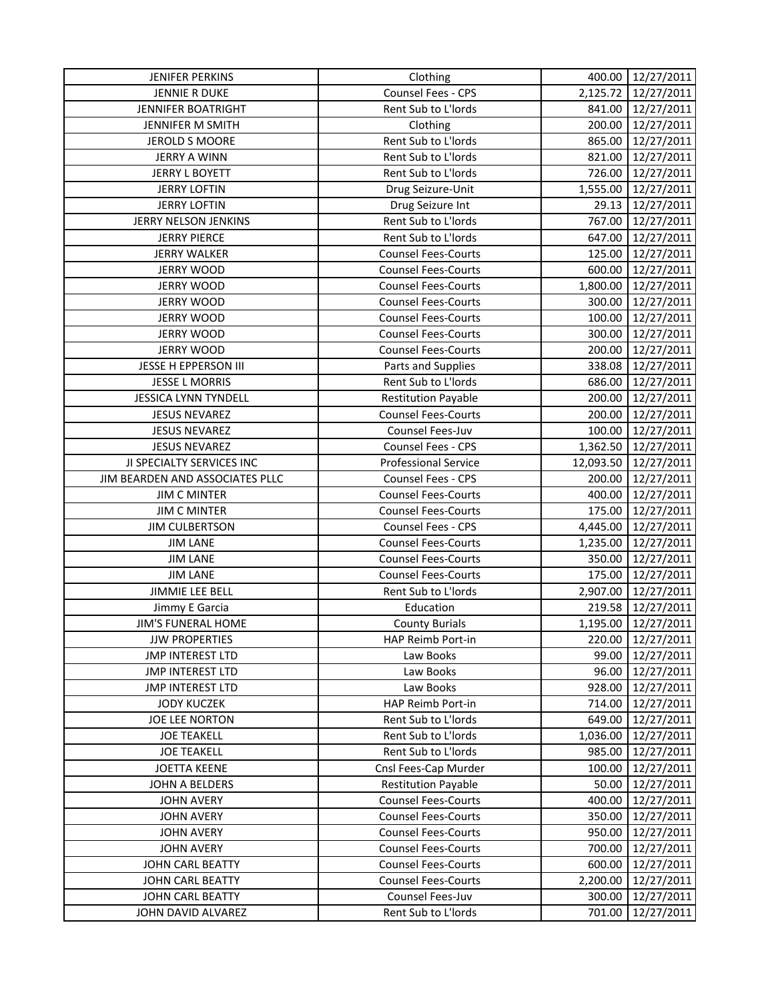| <b>JENIFER PERKINS</b>                      | Clothing                    | 400.00    | 12/27/2011          |
|---------------------------------------------|-----------------------------|-----------|---------------------|
| <b>JENNIE R DUKE</b>                        | Counsel Fees - CPS          |           | 2,125.72 12/27/2011 |
| JENNIFER BOATRIGHT                          | Rent Sub to L'Iords         | 841.00    | 12/27/2011          |
| JENNIFER M SMITH                            | Clothing                    | 200.00    | 12/27/2011          |
| <b>JEROLD S MOORE</b>                       | Rent Sub to L'Iords         | 865.00    | 12/27/2011          |
| <b>JERRY A WINN</b>                         | Rent Sub to L'Iords         | 821.00    | 12/27/2011          |
| <b>JERRY L BOYETT</b>                       | Rent Sub to L'Iords         | 726.00    | 12/27/2011          |
| <b>JERRY LOFTIN</b>                         | Drug Seizure-Unit           | 1,555.00  | 12/27/2011          |
| <b>JERRY LOFTIN</b>                         | Drug Seizure Int            | 29.13     | 12/27/2011          |
| JERRY NELSON JENKINS                        | Rent Sub to L'Iords         | 767.00    | 12/27/2011          |
| <b>JERRY PIERCE</b>                         | Rent Sub to L'Iords         | 647.00    | 12/27/2011          |
| <b>JERRY WALKER</b>                         | <b>Counsel Fees-Courts</b>  | 125.00    | 12/27/2011          |
| <b>JERRY WOOD</b>                           | <b>Counsel Fees-Courts</b>  | 600.00    | 12/27/2011          |
| <b>JERRY WOOD</b>                           | <b>Counsel Fees-Courts</b>  | 1,800.00  | 12/27/2011          |
| <b>JERRY WOOD</b>                           | <b>Counsel Fees-Courts</b>  | 300.00    | 12/27/2011          |
| <b>JERRY WOOD</b>                           | <b>Counsel Fees-Courts</b>  | 100.00    | 12/27/2011          |
| <b>JERRY WOOD</b>                           | <b>Counsel Fees-Courts</b>  | 300.00    | 12/27/2011          |
| <b>JERRY WOOD</b>                           | <b>Counsel Fees-Courts</b>  | 200.00    | 12/27/2011          |
| JESSE H EPPERSON III                        | Parts and Supplies          | 338.08    | 12/27/2011          |
| <b>JESSE L MORRIS</b>                       | Rent Sub to L'Iords         | 686.00    | 12/27/2011          |
| <b>JESSICA LYNN TYNDELL</b>                 | <b>Restitution Payable</b>  | 200.00    | 12/27/2011          |
| <b>JESUS NEVAREZ</b>                        | <b>Counsel Fees-Courts</b>  | 200.00    | 12/27/2011          |
| <b>JESUS NEVAREZ</b>                        | Counsel Fees-Juv            | 100.00    | 12/27/2011          |
| <b>JESUS NEVAREZ</b>                        | <b>Counsel Fees - CPS</b>   | 1,362.50  | 12/27/2011          |
| JI SPECIALTY SERVICES INC                   | <b>Professional Service</b> | 12,093.50 | 12/27/2011          |
| JIM BEARDEN AND ASSOCIATES PLLC             | <b>Counsel Fees - CPS</b>   | 200.00    | 12/27/2011          |
| <b>JIM C MINTER</b>                         | <b>Counsel Fees-Courts</b>  | 400.00    | 12/27/2011          |
| <b>JIM C MINTER</b>                         | <b>Counsel Fees-Courts</b>  | 175.00    | 12/27/2011          |
| <b>JIM CULBERTSON</b>                       | Counsel Fees - CPS          | 4,445.00  | 12/27/2011          |
| <b>JIM LANE</b>                             | <b>Counsel Fees-Courts</b>  | 1,235.00  | 12/27/2011          |
| <b>JIM LANE</b>                             | <b>Counsel Fees-Courts</b>  | 350.00    | 12/27/2011          |
| <b>JIM LANE</b>                             | <b>Counsel Fees-Courts</b>  | 175.00    | 12/27/2011          |
| <b>JIMMIE LEE BELL</b>                      | Rent Sub to L'Iords         | 2,907.00  | 12/27/2011          |
|                                             | Education                   | 219.58    | 12/27/2011          |
| Jimmy E Garcia<br><b>JIM'S FUNERAL HOME</b> |                             | 1,195.00  | 12/27/2011          |
|                                             | <b>County Burials</b>       |           |                     |
| <b>JJW PROPERTIES</b>                       | HAP Reimb Port-in           | 220.00    | 12/27/2011          |
| <b>JMP INTEREST LTD</b>                     | Law Books                   | 99.00     | 12/27/2011          |
| <b>JMP INTEREST LTD</b>                     | Law Books                   | 96.00     | 12/27/2011          |
| <b>JMP INTEREST LTD</b>                     | Law Books                   | 928.00    | 12/27/2011          |
| <b>JODY KUCZEK</b>                          | HAP Reimb Port-in           | 714.00    | 12/27/2011          |
| JOE LEE NORTON                              | Rent Sub to L'Iords         | 649.00    | 12/27/2011          |
| <b>JOE TEAKELL</b>                          | Rent Sub to L'Iords         | 1,036.00  | 12/27/2011          |
| <b>JOE TEAKELL</b>                          | Rent Sub to L'Iords         | 985.00    | 12/27/2011          |
| <b>JOETTA KEENE</b>                         | Cnsl Fees-Cap Murder        | 100.00    | 12/27/2011          |
| JOHN A BELDERS                              | <b>Restitution Payable</b>  | 50.00     | 12/27/2011          |
| <b>JOHN AVERY</b>                           | <b>Counsel Fees-Courts</b>  | 400.00    | 12/27/2011          |
| <b>JOHN AVERY</b>                           | <b>Counsel Fees-Courts</b>  | 350.00    | 12/27/2011          |
| <b>JOHN AVERY</b>                           | <b>Counsel Fees-Courts</b>  | 950.00    | 12/27/2011          |
| <b>JOHN AVERY</b>                           | <b>Counsel Fees-Courts</b>  | 700.00    | 12/27/2011          |
| JOHN CARL BEATTY                            | <b>Counsel Fees-Courts</b>  | 600.00    | 12/27/2011          |
| <b>JOHN CARL BEATTY</b>                     | <b>Counsel Fees-Courts</b>  | 2,200.00  | 12/27/2011          |
| <b>JOHN CARL BEATTY</b>                     | Counsel Fees-Juv            | 300.00    | 12/27/2011          |
| JOHN DAVID ALVAREZ                          | Rent Sub to L'Iords         | 701.00    | 12/27/2011          |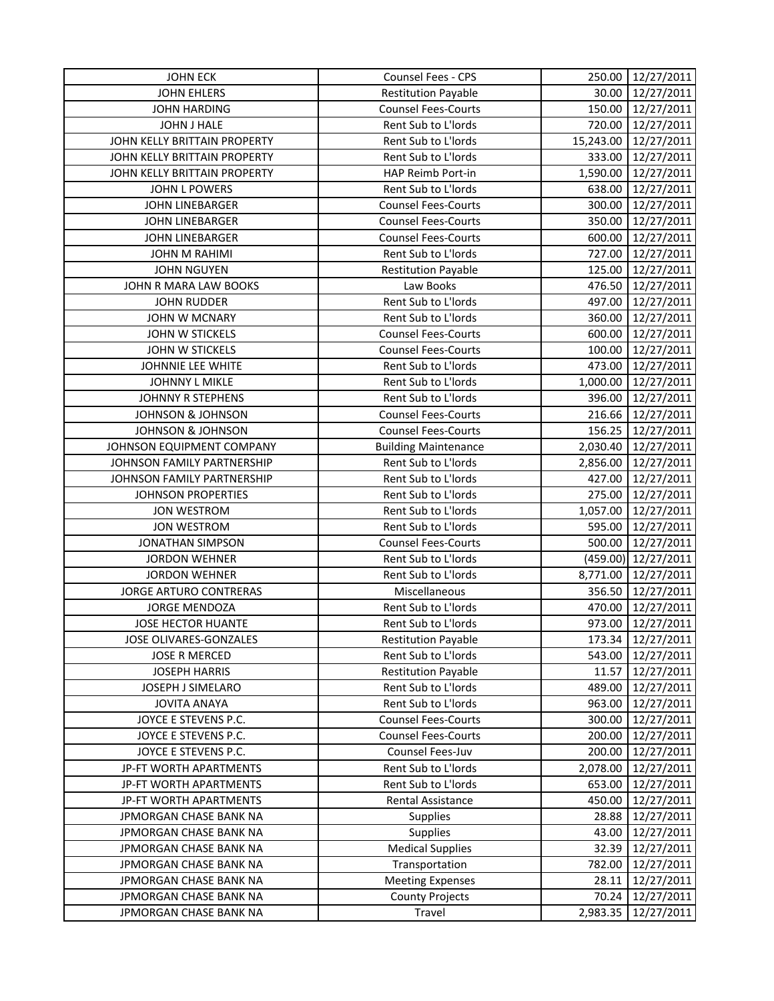| <b>JOHN ECK</b>               | Counsel Fees - CPS          | 250.00    | 12/27/2011          |
|-------------------------------|-----------------------------|-----------|---------------------|
| <b>JOHN EHLERS</b>            | <b>Restitution Payable</b>  | 30.00     | 12/27/2011          |
| <b>JOHN HARDING</b>           | <b>Counsel Fees-Courts</b>  | 150.00    | 12/27/2011          |
| JOHN J HALE                   | Rent Sub to L'Iords         | 720.00    | 12/27/2011          |
| JOHN KELLY BRITTAIN PROPERTY  | Rent Sub to L'Iords         | 15,243.00 | 12/27/2011          |
| JOHN KELLY BRITTAIN PROPERTY  | Rent Sub to L'Iords         | 333.00    | 12/27/2011          |
| JOHN KELLY BRITTAIN PROPERTY  | HAP Reimb Port-in           | 1,590.00  | 12/27/2011          |
| JOHN L POWERS                 | Rent Sub to L'Iords         | 638.00    | 12/27/2011          |
| <b>JOHN LINEBARGER</b>        | <b>Counsel Fees-Courts</b>  | 300.00    | 12/27/2011          |
| <b>JOHN LINEBARGER</b>        | <b>Counsel Fees-Courts</b>  | 350.00    | 12/27/2011          |
| <b>JOHN LINEBARGER</b>        | <b>Counsel Fees-Courts</b>  | 600.00    | 12/27/2011          |
| JOHN M RAHIMI                 | Rent Sub to L'Iords         | 727.00    | 12/27/2011          |
| <b>JOHN NGUYEN</b>            | <b>Restitution Payable</b>  | 125.00    | 12/27/2011          |
| JOHN R MARA LAW BOOKS         | Law Books                   | 476.50    | 12/27/2011          |
| <b>JOHN RUDDER</b>            | Rent Sub to L'Iords         | 497.00    | 12/27/2011          |
| <b>JOHN W MCNARY</b>          | Rent Sub to L'Iords         | 360.00    | 12/27/2011          |
| JOHN W STICKELS               | <b>Counsel Fees-Courts</b>  | 600.00    | 12/27/2011          |
| JOHN W STICKELS               | <b>Counsel Fees-Courts</b>  | 100.00    | 12/27/2011          |
| JOHNNIE LEE WHITE             | Rent Sub to L'Iords         | 473.00    | 12/27/2011          |
| JOHNNY L MIKLE                | Rent Sub to L'Iords         | 1,000.00  | 12/27/2011          |
| JOHNNY R STEPHENS             | Rent Sub to L'Iords         | 396.00    | 12/27/2011          |
| <b>JOHNSON &amp; JOHNSON</b>  | <b>Counsel Fees-Courts</b>  | 216.66    | 12/27/2011          |
| <b>JOHNSON &amp; JOHNSON</b>  | <b>Counsel Fees-Courts</b>  | 156.25    | 12/27/2011          |
| JOHNSON EQUIPMENT COMPANY     | <b>Building Maintenance</b> | 2,030.40  | 12/27/2011          |
| JOHNSON FAMILY PARTNERSHIP    | Rent Sub to L'Iords         | 2,856.00  | 12/27/2011          |
| JOHNSON FAMILY PARTNERSHIP    | Rent Sub to L'Iords         | 427.00    | 12/27/2011          |
| <b>JOHNSON PROPERTIES</b>     | Rent Sub to L'Iords         | 275.00    | 12/27/2011          |
| <b>JON WESTROM</b>            | Rent Sub to L'Iords         | 1,057.00  | 12/27/2011          |
| <b>JON WESTROM</b>            | Rent Sub to L'Iords         | 595.00    | 12/27/2011          |
| <b>JONATHAN SIMPSON</b>       | <b>Counsel Fees-Courts</b>  | 500.00    | 12/27/2011          |
| <b>JORDON WEHNER</b>          | Rent Sub to L'Iords         |           | (459.00) 12/27/2011 |
| <b>JORDON WEHNER</b>          | Rent Sub to L'Iords         | 8,771.00  | 12/27/2011          |
| <b>JORGE ARTURO CONTRERAS</b> | Miscellaneous               | 356.50    | 12/27/2011          |
| <b>JORGE MENDOZA</b>          | Rent Sub to L'Iords         | 470.00    | 12/27/2011          |
| JOSE HECTOR HUANTE            | Rent Sub to L'Iords         | 973.00    | 12/27/2011          |
| JOSE OLIVARES-GONZALES        | <b>Restitution Payable</b>  | 173.34    | 12/27/2011          |
| <b>JOSE R MERCED</b>          | Rent Sub to L'Iords         | 543.00    | 12/27/2011          |
| <b>JOSEPH HARRIS</b>          | <b>Restitution Payable</b>  | 11.57     | 12/27/2011          |
| JOSEPH J SIMELARO             | Rent Sub to L'Iords         | 489.00    | 12/27/2011          |
| <b>JOVITA ANAYA</b>           | Rent Sub to L'Iords         | 963.00    | 12/27/2011          |
| JOYCE E STEVENS P.C.          | <b>Counsel Fees-Courts</b>  | 300.00    | 12/27/2011          |
| JOYCE E STEVENS P.C.          | <b>Counsel Fees-Courts</b>  | 200.00    | 12/27/2011          |
| JOYCE E STEVENS P.C.          | Counsel Fees-Juv            | 200.00    | 12/27/2011          |
| JP-FT WORTH APARTMENTS        | Rent Sub to L'Iords         | 2,078.00  | 12/27/2011          |
| JP-FT WORTH APARTMENTS        | Rent Sub to L'Iords         | 653.00    | 12/27/2011          |
| JP-FT WORTH APARTMENTS        | Rental Assistance           | 450.00    | 12/27/2011          |
| JPMORGAN CHASE BANK NA        | <b>Supplies</b>             | 28.88     | 12/27/2011          |
| <b>JPMORGAN CHASE BANK NA</b> | <b>Supplies</b>             | 43.00     | 12/27/2011          |
| <b>JPMORGAN CHASE BANK NA</b> | <b>Medical Supplies</b>     | 32.39     | 12/27/2011          |
| JPMORGAN CHASE BANK NA        | Transportation              | 782.00    | 12/27/2011          |
| JPMORGAN CHASE BANK NA        | <b>Meeting Expenses</b>     | 28.11     | 12/27/2011          |
| JPMORGAN CHASE BANK NA        | <b>County Projects</b>      | 70.24     | 12/27/2011          |
| JPMORGAN CHASE BANK NA        | Travel                      | 2,983.35  | 12/27/2011          |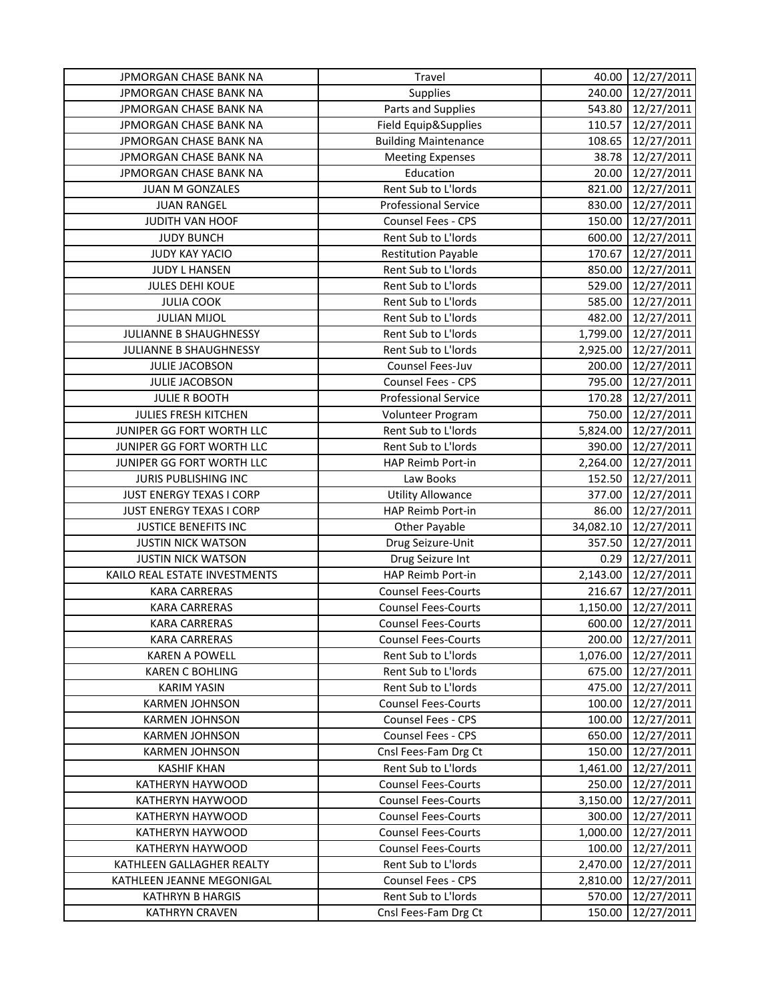| JPMORGAN CHASE BANK NA          | Travel                      | 40.00     | 12/27/2011 |
|---------------------------------|-----------------------------|-----------|------------|
| <b>JPMORGAN CHASE BANK NA</b>   | Supplies                    | 240.00    | 12/27/2011 |
| JPMORGAN CHASE BANK NA          | Parts and Supplies          | 543.80    | 12/27/2011 |
| JPMORGAN CHASE BANK NA          | Field Equip&Supplies        | 110.57    | 12/27/2011 |
| JPMORGAN CHASE BANK NA          | <b>Building Maintenance</b> | 108.65    | 12/27/2011 |
| JPMORGAN CHASE BANK NA          | <b>Meeting Expenses</b>     | 38.78     | 12/27/2011 |
| JPMORGAN CHASE BANK NA          | Education                   | 20.00     | 12/27/2011 |
| JUAN M GONZALES                 | Rent Sub to L'Iords         | 821.00    | 12/27/2011 |
| <b>JUAN RANGEL</b>              | <b>Professional Service</b> | 830.00    | 12/27/2011 |
| JUDITH VAN HOOF                 | <b>Counsel Fees - CPS</b>   | 150.00    | 12/27/2011 |
| <b>JUDY BUNCH</b>               | Rent Sub to L'Iords         | 600.00    | 12/27/2011 |
| <b>JUDY KAY YACIO</b>           | <b>Restitution Payable</b>  | 170.67    | 12/27/2011 |
| JUDY L HANSEN                   | Rent Sub to L'Iords         | 850.00    | 12/27/2011 |
| <b>JULES DEHI KOUE</b>          | Rent Sub to L'Iords         | 529.00    | 12/27/2011 |
| <b>JULIA COOK</b>               | Rent Sub to L'Iords         | 585.00    | 12/27/2011 |
| <b>JULIAN MIJOL</b>             | Rent Sub to L'Iords         | 482.00    | 12/27/2011 |
| JULIANNE B SHAUGHNESSY          | Rent Sub to L'Iords         | 1,799.00  | 12/27/2011 |
| JULIANNE B SHAUGHNESSY          | Rent Sub to L'Iords         | 2,925.00  | 12/27/2011 |
| <b>JULIE JACOBSON</b>           | Counsel Fees-Juv            | 200.00    | 12/27/2011 |
| JULIE JACOBSON                  | Counsel Fees - CPS          | 795.00    | 12/27/2011 |
| <b>JULIE R BOOTH</b>            | <b>Professional Service</b> | 170.28    | 12/27/2011 |
| JULIES FRESH KITCHEN            | Volunteer Program           | 750.00    | 12/27/2011 |
| JUNIPER GG FORT WORTH LLC       | Rent Sub to L'Iords         | 5,824.00  | 12/27/2011 |
| JUNIPER GG FORT WORTH LLC       | Rent Sub to L'Iords         | 390.00    | 12/27/2011 |
| JUNIPER GG FORT WORTH LLC       | HAP Reimb Port-in           | 2,264.00  | 12/27/2011 |
| JURIS PUBLISHING INC            | Law Books                   | 152.50    | 12/27/2011 |
| <b>JUST ENERGY TEXAS I CORP</b> | <b>Utility Allowance</b>    | 377.00    | 12/27/2011 |
| JUST ENERGY TEXAS I CORP        | HAP Reimb Port-in           | 86.00     | 12/27/2011 |
| <b>JUSTICE BENEFITS INC</b>     | Other Payable               | 34,082.10 | 12/27/2011 |
| <b>JUSTIN NICK WATSON</b>       | Drug Seizure-Unit           | 357.50    | 12/27/2011 |
| <b>JUSTIN NICK WATSON</b>       | Drug Seizure Int            | 0.29      | 12/27/2011 |
| KAILO REAL ESTATE INVESTMENTS   | HAP Reimb Port-in           | 2,143.00  | 12/27/2011 |
| <b>KARA CARRERAS</b>            | <b>Counsel Fees-Courts</b>  | 216.67    | 12/27/2011 |
| <b>KARA CARRERAS</b>            | <b>Counsel Fees-Courts</b>  | 1,150.00  | 12/27/2011 |
| <b>KARA CARRERAS</b>            | <b>Counsel Fees-Courts</b>  | 600.00    | 12/27/2011 |
| <b>KARA CARRERAS</b>            | <b>Counsel Fees-Courts</b>  | 200.00    | 12/27/2011 |
| <b>KAREN A POWELL</b>           | Rent Sub to L'Iords         | 1,076.00  | 12/27/2011 |
| <b>KAREN C BOHLING</b>          | Rent Sub to L'Iords         | 675.00    | 12/27/2011 |
| <b>KARIM YASIN</b>              | Rent Sub to L'Iords         | 475.00    | 12/27/2011 |
| <b>KARMEN JOHNSON</b>           | <b>Counsel Fees-Courts</b>  | 100.00    | 12/27/2011 |
| <b>KARMEN JOHNSON</b>           | <b>Counsel Fees - CPS</b>   | 100.00    | 12/27/2011 |
| <b>KARMEN JOHNSON</b>           | Counsel Fees - CPS          | 650.00    | 12/27/2011 |
| <b>KARMEN JOHNSON</b>           | Cnsl Fees-Fam Drg Ct        | 150.00    | 12/27/2011 |
| <b>KASHIF KHAN</b>              | Rent Sub to L'Iords         | 1,461.00  | 12/27/2011 |
| KATHERYN HAYWOOD                | <b>Counsel Fees-Courts</b>  | 250.00    | 12/27/2011 |
| KATHERYN HAYWOOD                | <b>Counsel Fees-Courts</b>  | 3,150.00  | 12/27/2011 |
| KATHERYN HAYWOOD                | <b>Counsel Fees-Courts</b>  | 300.00    | 12/27/2011 |
| KATHERYN HAYWOOD                | <b>Counsel Fees-Courts</b>  | 1,000.00  | 12/27/2011 |
| KATHERYN HAYWOOD                | <b>Counsel Fees-Courts</b>  | 100.00    | 12/27/2011 |
| KATHLEEN GALLAGHER REALTY       | Rent Sub to L'Iords         | 2,470.00  | 12/27/2011 |
| KATHLEEN JEANNE MEGONIGAL       | <b>Counsel Fees - CPS</b>   | 2,810.00  | 12/27/2011 |
| <b>KATHRYN B HARGIS</b>         | Rent Sub to L'Iords         | 570.00    | 12/27/2011 |
| <b>KATHRYN CRAVEN</b>           | Cnsl Fees-Fam Drg Ct        | 150.00    | 12/27/2011 |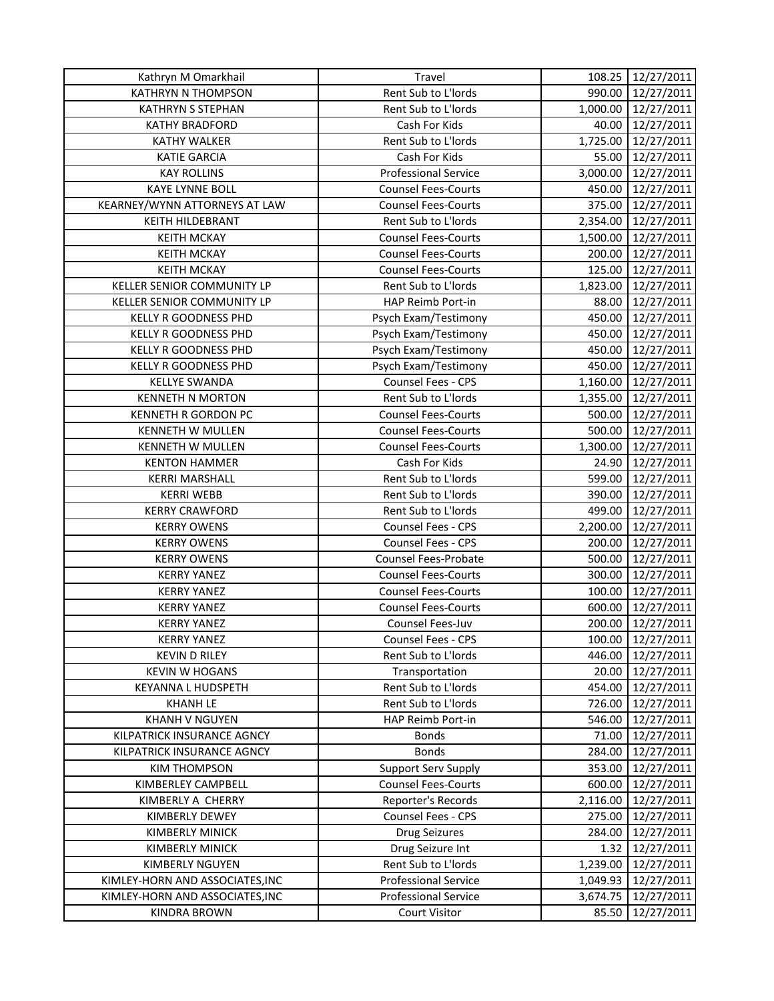| KATHRYN N THOMPSON<br>Rent Sub to L'Iords<br>990.00<br>12/27/2011<br><b>KATHRYN S STEPHAN</b><br>Rent Sub to L'Iords<br>1,000.00<br>12/27/2011<br>12/27/2011<br><b>KATHY BRADFORD</b><br>Cash For Kids<br>40.00<br>Rent Sub to L'Iords<br>12/27/2011<br><b>KATHY WALKER</b><br>1,725.00<br><b>KATIE GARCIA</b><br>55.00<br>12/27/2011<br>Cash For Kids<br><b>KAY ROLLINS</b><br><b>Professional Service</b><br>3,000.00<br>12/27/2011<br>12/27/2011<br><b>KAYE LYNNE BOLL</b><br><b>Counsel Fees-Courts</b><br>450.00<br>KEARNEY/WYNN ATTORNEYS AT LAW<br><b>Counsel Fees-Courts</b><br>375.00<br>12/27/2011<br>Rent Sub to L'Iords<br>2,354.00<br>12/27/2011<br><b>KEITH HILDEBRANT</b><br><b>KEITH MCKAY</b><br><b>Counsel Fees-Courts</b><br>1,500.00<br>12/27/2011<br><b>KEITH MCKAY</b><br><b>Counsel Fees-Courts</b><br>200.00<br>12/27/2011<br>125.00<br>12/27/2011<br><b>KEITH MCKAY</b><br><b>Counsel Fees-Courts</b><br>KELLER SENIOR COMMUNITY LP<br>Rent Sub to L'Iords<br>1,823.00<br>12/27/2011<br>KELLER SENIOR COMMUNITY LP<br>HAP Reimb Port-in<br>88.00<br>12/27/2011<br>450.00<br>12/27/2011<br><b>KELLY R GOODNESS PHD</b><br>Psych Exam/Testimony<br>KELLY R GOODNESS PHD<br>450.00<br>12/27/2011<br>Psych Exam/Testimony<br>KELLY R GOODNESS PHD<br>450.00<br>12/27/2011<br>Psych Exam/Testimony<br>KELLY R GOODNESS PHD<br>Psych Exam/Testimony<br>450.00<br>12/27/2011<br>Counsel Fees - CPS<br><b>KELLYE SWANDA</b><br>1,160.00<br>12/27/2011<br>Rent Sub to L'Iords<br><b>KENNETH N MORTON</b><br>1,355.00<br>12/27/2011<br>KENNETH R GORDON PC<br><b>Counsel Fees-Courts</b><br>500.00<br>12/27/2011<br><b>KENNETH W MULLEN</b><br><b>Counsel Fees-Courts</b><br>500.00<br>12/27/2011<br><b>KENNETH W MULLEN</b><br><b>Counsel Fees-Courts</b><br>1,300.00<br>12/27/2011<br>Cash For Kids<br><b>KENTON HAMMER</b><br>24.90<br>12/27/2011<br>Rent Sub to L'Iords<br>599.00<br><b>KERRI MARSHALL</b><br>12/27/2011<br><b>KERRI WEBB</b><br>Rent Sub to L'Iords<br>390.00<br>12/27/2011<br><b>KERRY CRAWFORD</b><br>Rent Sub to L'Iords<br>499.00<br>12/27/2011<br>Counsel Fees - CPS<br>2,200.00<br><b>KERRY OWENS</b><br>12/27/2011<br><b>KERRY OWENS</b><br>Counsel Fees - CPS<br>200.00<br>12/27/2011<br>500.00<br>12/27/2011<br><b>KERRY OWENS</b><br>Counsel Fees-Probate<br><b>Counsel Fees-Courts</b><br>300.00<br>12/27/2011<br><b>KERRY YANEZ</b><br><b>KERRY YANEZ</b><br><b>Counsel Fees-Courts</b><br>100.00<br>12/27/2011<br><b>Counsel Fees-Courts</b><br>600.00<br>12/27/2011<br><b>KERRY YANEZ</b><br>Counsel Fees-Juv<br>200.00<br>12/27/2011<br><b>KERRY YANEZ</b><br><b>KERRY YANEZ</b><br>Counsel Fees - CPS<br>100.00<br>12/27/2011<br>12/27/2011<br><b>KEVIN D RILEY</b><br>Rent Sub to L'Iords<br>446.00<br><b>KEVIN W HOGANS</b><br>Transportation<br>20.00<br>12/27/2011<br>Rent Sub to L'Iords<br>12/27/2011<br>KEYANNA L HUDSPETH<br>454.00<br><b>KHANH LE</b><br>Rent Sub to L'Iords<br>726.00<br>12/27/2011<br><b>KHANH V NGUYEN</b><br>HAP Reimb Port-in<br>546.00<br>12/27/2011<br>KILPATRICK INSURANCE AGNCY<br><b>Bonds</b><br>12/27/2011<br>71.00<br><b>Bonds</b><br>284.00<br>12/27/2011<br>KILPATRICK INSURANCE AGNCY<br><b>Support Serv Supply</b><br>353.00<br><b>KIM THOMPSON</b><br>12/27/2011<br><b>Counsel Fees-Courts</b><br>KIMBERLEY CAMPBELL<br>600.00<br>12/27/2011<br>Reporter's Records<br>KIMBERLY A CHERRY<br>2,116.00<br>12/27/2011<br><b>Counsel Fees - CPS</b><br>275.00<br>12/27/2011<br>KIMBERLY DEWEY<br><b>KIMBERLY MINICK</b><br><b>Drug Seizures</b><br>12/27/2011<br>284.00<br><b>KIMBERLY MINICK</b><br>Drug Seizure Int<br>1.32<br>12/27/2011<br>Rent Sub to L'Iords<br>KIMBERLY NGUYEN<br>12/27/2011<br>1,239.00<br>KIMLEY-HORN AND ASSOCIATES, INC<br><b>Professional Service</b><br>12/27/2011<br>1,049.93<br><b>Professional Service</b><br>12/27/2011<br>KIMLEY-HORN AND ASSOCIATES, INC<br>3,674.75<br><b>KINDRA BROWN</b><br><b>Court Visitor</b><br>12/27/2011<br>85.50 | Kathryn M Omarkhail | Travel | 108.25 | 12/27/2011 |
|-------------------------------------------------------------------------------------------------------------------------------------------------------------------------------------------------------------------------------------------------------------------------------------------------------------------------------------------------------------------------------------------------------------------------------------------------------------------------------------------------------------------------------------------------------------------------------------------------------------------------------------------------------------------------------------------------------------------------------------------------------------------------------------------------------------------------------------------------------------------------------------------------------------------------------------------------------------------------------------------------------------------------------------------------------------------------------------------------------------------------------------------------------------------------------------------------------------------------------------------------------------------------------------------------------------------------------------------------------------------------------------------------------------------------------------------------------------------------------------------------------------------------------------------------------------------------------------------------------------------------------------------------------------------------------------------------------------------------------------------------------------------------------------------------------------------------------------------------------------------------------------------------------------------------------------------------------------------------------------------------------------------------------------------------------------------------------------------------------------------------------------------------------------------------------------------------------------------------------------------------------------------------------------------------------------------------------------------------------------------------------------------------------------------------------------------------------------------------------------------------------------------------------------------------------------------------------------------------------------------------------------------------------------------------------------------------------------------------------------------------------------------------------------------------------------------------------------------------------------------------------------------------------------------------------------------------------------------------------------------------------------------------------------------------------------------------------------------------------------------------------------------------------------------------------------------------------------------------------------------------------------------------------------------------------------------------------------------------------------------------------------------------------------------------------------------------------------------------------------------------------------------------------------------------------------------------------------------------------------------------------------------------------------------------------------------------------------------------------------------------------------------------------------------------------------------------------------------------------------------------------------------------------------------------------------------------------------------------|---------------------|--------|--------|------------|
|                                                                                                                                                                                                                                                                                                                                                                                                                                                                                                                                                                                                                                                                                                                                                                                                                                                                                                                                                                                                                                                                                                                                                                                                                                                                                                                                                                                                                                                                                                                                                                                                                                                                                                                                                                                                                                                                                                                                                                                                                                                                                                                                                                                                                                                                                                                                                                                                                                                                                                                                                                                                                                                                                                                                                                                                                                                                                                                                                                                                                                                                                                                                                                                                                                                                                                                                                                                                                                                                                                                                                                                                                                                                                                                                                                                                                                                                                                                                                                         |                     |        |        |            |
|                                                                                                                                                                                                                                                                                                                                                                                                                                                                                                                                                                                                                                                                                                                                                                                                                                                                                                                                                                                                                                                                                                                                                                                                                                                                                                                                                                                                                                                                                                                                                                                                                                                                                                                                                                                                                                                                                                                                                                                                                                                                                                                                                                                                                                                                                                                                                                                                                                                                                                                                                                                                                                                                                                                                                                                                                                                                                                                                                                                                                                                                                                                                                                                                                                                                                                                                                                                                                                                                                                                                                                                                                                                                                                                                                                                                                                                                                                                                                                         |                     |        |        |            |
|                                                                                                                                                                                                                                                                                                                                                                                                                                                                                                                                                                                                                                                                                                                                                                                                                                                                                                                                                                                                                                                                                                                                                                                                                                                                                                                                                                                                                                                                                                                                                                                                                                                                                                                                                                                                                                                                                                                                                                                                                                                                                                                                                                                                                                                                                                                                                                                                                                                                                                                                                                                                                                                                                                                                                                                                                                                                                                                                                                                                                                                                                                                                                                                                                                                                                                                                                                                                                                                                                                                                                                                                                                                                                                                                                                                                                                                                                                                                                                         |                     |        |        |            |
|                                                                                                                                                                                                                                                                                                                                                                                                                                                                                                                                                                                                                                                                                                                                                                                                                                                                                                                                                                                                                                                                                                                                                                                                                                                                                                                                                                                                                                                                                                                                                                                                                                                                                                                                                                                                                                                                                                                                                                                                                                                                                                                                                                                                                                                                                                                                                                                                                                                                                                                                                                                                                                                                                                                                                                                                                                                                                                                                                                                                                                                                                                                                                                                                                                                                                                                                                                                                                                                                                                                                                                                                                                                                                                                                                                                                                                                                                                                                                                         |                     |        |        |            |
|                                                                                                                                                                                                                                                                                                                                                                                                                                                                                                                                                                                                                                                                                                                                                                                                                                                                                                                                                                                                                                                                                                                                                                                                                                                                                                                                                                                                                                                                                                                                                                                                                                                                                                                                                                                                                                                                                                                                                                                                                                                                                                                                                                                                                                                                                                                                                                                                                                                                                                                                                                                                                                                                                                                                                                                                                                                                                                                                                                                                                                                                                                                                                                                                                                                                                                                                                                                                                                                                                                                                                                                                                                                                                                                                                                                                                                                                                                                                                                         |                     |        |        |            |
|                                                                                                                                                                                                                                                                                                                                                                                                                                                                                                                                                                                                                                                                                                                                                                                                                                                                                                                                                                                                                                                                                                                                                                                                                                                                                                                                                                                                                                                                                                                                                                                                                                                                                                                                                                                                                                                                                                                                                                                                                                                                                                                                                                                                                                                                                                                                                                                                                                                                                                                                                                                                                                                                                                                                                                                                                                                                                                                                                                                                                                                                                                                                                                                                                                                                                                                                                                                                                                                                                                                                                                                                                                                                                                                                                                                                                                                                                                                                                                         |                     |        |        |            |
|                                                                                                                                                                                                                                                                                                                                                                                                                                                                                                                                                                                                                                                                                                                                                                                                                                                                                                                                                                                                                                                                                                                                                                                                                                                                                                                                                                                                                                                                                                                                                                                                                                                                                                                                                                                                                                                                                                                                                                                                                                                                                                                                                                                                                                                                                                                                                                                                                                                                                                                                                                                                                                                                                                                                                                                                                                                                                                                                                                                                                                                                                                                                                                                                                                                                                                                                                                                                                                                                                                                                                                                                                                                                                                                                                                                                                                                                                                                                                                         |                     |        |        |            |
|                                                                                                                                                                                                                                                                                                                                                                                                                                                                                                                                                                                                                                                                                                                                                                                                                                                                                                                                                                                                                                                                                                                                                                                                                                                                                                                                                                                                                                                                                                                                                                                                                                                                                                                                                                                                                                                                                                                                                                                                                                                                                                                                                                                                                                                                                                                                                                                                                                                                                                                                                                                                                                                                                                                                                                                                                                                                                                                                                                                                                                                                                                                                                                                                                                                                                                                                                                                                                                                                                                                                                                                                                                                                                                                                                                                                                                                                                                                                                                         |                     |        |        |            |
|                                                                                                                                                                                                                                                                                                                                                                                                                                                                                                                                                                                                                                                                                                                                                                                                                                                                                                                                                                                                                                                                                                                                                                                                                                                                                                                                                                                                                                                                                                                                                                                                                                                                                                                                                                                                                                                                                                                                                                                                                                                                                                                                                                                                                                                                                                                                                                                                                                                                                                                                                                                                                                                                                                                                                                                                                                                                                                                                                                                                                                                                                                                                                                                                                                                                                                                                                                                                                                                                                                                                                                                                                                                                                                                                                                                                                                                                                                                                                                         |                     |        |        |            |
|                                                                                                                                                                                                                                                                                                                                                                                                                                                                                                                                                                                                                                                                                                                                                                                                                                                                                                                                                                                                                                                                                                                                                                                                                                                                                                                                                                                                                                                                                                                                                                                                                                                                                                                                                                                                                                                                                                                                                                                                                                                                                                                                                                                                                                                                                                                                                                                                                                                                                                                                                                                                                                                                                                                                                                                                                                                                                                                                                                                                                                                                                                                                                                                                                                                                                                                                                                                                                                                                                                                                                                                                                                                                                                                                                                                                                                                                                                                                                                         |                     |        |        |            |
|                                                                                                                                                                                                                                                                                                                                                                                                                                                                                                                                                                                                                                                                                                                                                                                                                                                                                                                                                                                                                                                                                                                                                                                                                                                                                                                                                                                                                                                                                                                                                                                                                                                                                                                                                                                                                                                                                                                                                                                                                                                                                                                                                                                                                                                                                                                                                                                                                                                                                                                                                                                                                                                                                                                                                                                                                                                                                                                                                                                                                                                                                                                                                                                                                                                                                                                                                                                                                                                                                                                                                                                                                                                                                                                                                                                                                                                                                                                                                                         |                     |        |        |            |
|                                                                                                                                                                                                                                                                                                                                                                                                                                                                                                                                                                                                                                                                                                                                                                                                                                                                                                                                                                                                                                                                                                                                                                                                                                                                                                                                                                                                                                                                                                                                                                                                                                                                                                                                                                                                                                                                                                                                                                                                                                                                                                                                                                                                                                                                                                                                                                                                                                                                                                                                                                                                                                                                                                                                                                                                                                                                                                                                                                                                                                                                                                                                                                                                                                                                                                                                                                                                                                                                                                                                                                                                                                                                                                                                                                                                                                                                                                                                                                         |                     |        |        |            |
|                                                                                                                                                                                                                                                                                                                                                                                                                                                                                                                                                                                                                                                                                                                                                                                                                                                                                                                                                                                                                                                                                                                                                                                                                                                                                                                                                                                                                                                                                                                                                                                                                                                                                                                                                                                                                                                                                                                                                                                                                                                                                                                                                                                                                                                                                                                                                                                                                                                                                                                                                                                                                                                                                                                                                                                                                                                                                                                                                                                                                                                                                                                                                                                                                                                                                                                                                                                                                                                                                                                                                                                                                                                                                                                                                                                                                                                                                                                                                                         |                     |        |        |            |
|                                                                                                                                                                                                                                                                                                                                                                                                                                                                                                                                                                                                                                                                                                                                                                                                                                                                                                                                                                                                                                                                                                                                                                                                                                                                                                                                                                                                                                                                                                                                                                                                                                                                                                                                                                                                                                                                                                                                                                                                                                                                                                                                                                                                                                                                                                                                                                                                                                                                                                                                                                                                                                                                                                                                                                                                                                                                                                                                                                                                                                                                                                                                                                                                                                                                                                                                                                                                                                                                                                                                                                                                                                                                                                                                                                                                                                                                                                                                                                         |                     |        |        |            |
|                                                                                                                                                                                                                                                                                                                                                                                                                                                                                                                                                                                                                                                                                                                                                                                                                                                                                                                                                                                                                                                                                                                                                                                                                                                                                                                                                                                                                                                                                                                                                                                                                                                                                                                                                                                                                                                                                                                                                                                                                                                                                                                                                                                                                                                                                                                                                                                                                                                                                                                                                                                                                                                                                                                                                                                                                                                                                                                                                                                                                                                                                                                                                                                                                                                                                                                                                                                                                                                                                                                                                                                                                                                                                                                                                                                                                                                                                                                                                                         |                     |        |        |            |
|                                                                                                                                                                                                                                                                                                                                                                                                                                                                                                                                                                                                                                                                                                                                                                                                                                                                                                                                                                                                                                                                                                                                                                                                                                                                                                                                                                                                                                                                                                                                                                                                                                                                                                                                                                                                                                                                                                                                                                                                                                                                                                                                                                                                                                                                                                                                                                                                                                                                                                                                                                                                                                                                                                                                                                                                                                                                                                                                                                                                                                                                                                                                                                                                                                                                                                                                                                                                                                                                                                                                                                                                                                                                                                                                                                                                                                                                                                                                                                         |                     |        |        |            |
|                                                                                                                                                                                                                                                                                                                                                                                                                                                                                                                                                                                                                                                                                                                                                                                                                                                                                                                                                                                                                                                                                                                                                                                                                                                                                                                                                                                                                                                                                                                                                                                                                                                                                                                                                                                                                                                                                                                                                                                                                                                                                                                                                                                                                                                                                                                                                                                                                                                                                                                                                                                                                                                                                                                                                                                                                                                                                                                                                                                                                                                                                                                                                                                                                                                                                                                                                                                                                                                                                                                                                                                                                                                                                                                                                                                                                                                                                                                                                                         |                     |        |        |            |
|                                                                                                                                                                                                                                                                                                                                                                                                                                                                                                                                                                                                                                                                                                                                                                                                                                                                                                                                                                                                                                                                                                                                                                                                                                                                                                                                                                                                                                                                                                                                                                                                                                                                                                                                                                                                                                                                                                                                                                                                                                                                                                                                                                                                                                                                                                                                                                                                                                                                                                                                                                                                                                                                                                                                                                                                                                                                                                                                                                                                                                                                                                                                                                                                                                                                                                                                                                                                                                                                                                                                                                                                                                                                                                                                                                                                                                                                                                                                                                         |                     |        |        |            |
|                                                                                                                                                                                                                                                                                                                                                                                                                                                                                                                                                                                                                                                                                                                                                                                                                                                                                                                                                                                                                                                                                                                                                                                                                                                                                                                                                                                                                                                                                                                                                                                                                                                                                                                                                                                                                                                                                                                                                                                                                                                                                                                                                                                                                                                                                                                                                                                                                                                                                                                                                                                                                                                                                                                                                                                                                                                                                                                                                                                                                                                                                                                                                                                                                                                                                                                                                                                                                                                                                                                                                                                                                                                                                                                                                                                                                                                                                                                                                                         |                     |        |        |            |
|                                                                                                                                                                                                                                                                                                                                                                                                                                                                                                                                                                                                                                                                                                                                                                                                                                                                                                                                                                                                                                                                                                                                                                                                                                                                                                                                                                                                                                                                                                                                                                                                                                                                                                                                                                                                                                                                                                                                                                                                                                                                                                                                                                                                                                                                                                                                                                                                                                                                                                                                                                                                                                                                                                                                                                                                                                                                                                                                                                                                                                                                                                                                                                                                                                                                                                                                                                                                                                                                                                                                                                                                                                                                                                                                                                                                                                                                                                                                                                         |                     |        |        |            |
|                                                                                                                                                                                                                                                                                                                                                                                                                                                                                                                                                                                                                                                                                                                                                                                                                                                                                                                                                                                                                                                                                                                                                                                                                                                                                                                                                                                                                                                                                                                                                                                                                                                                                                                                                                                                                                                                                                                                                                                                                                                                                                                                                                                                                                                                                                                                                                                                                                                                                                                                                                                                                                                                                                                                                                                                                                                                                                                                                                                                                                                                                                                                                                                                                                                                                                                                                                                                                                                                                                                                                                                                                                                                                                                                                                                                                                                                                                                                                                         |                     |        |        |            |
|                                                                                                                                                                                                                                                                                                                                                                                                                                                                                                                                                                                                                                                                                                                                                                                                                                                                                                                                                                                                                                                                                                                                                                                                                                                                                                                                                                                                                                                                                                                                                                                                                                                                                                                                                                                                                                                                                                                                                                                                                                                                                                                                                                                                                                                                                                                                                                                                                                                                                                                                                                                                                                                                                                                                                                                                                                                                                                                                                                                                                                                                                                                                                                                                                                                                                                                                                                                                                                                                                                                                                                                                                                                                                                                                                                                                                                                                                                                                                                         |                     |        |        |            |
|                                                                                                                                                                                                                                                                                                                                                                                                                                                                                                                                                                                                                                                                                                                                                                                                                                                                                                                                                                                                                                                                                                                                                                                                                                                                                                                                                                                                                                                                                                                                                                                                                                                                                                                                                                                                                                                                                                                                                                                                                                                                                                                                                                                                                                                                                                                                                                                                                                                                                                                                                                                                                                                                                                                                                                                                                                                                                                                                                                                                                                                                                                                                                                                                                                                                                                                                                                                                                                                                                                                                                                                                                                                                                                                                                                                                                                                                                                                                                                         |                     |        |        |            |
|                                                                                                                                                                                                                                                                                                                                                                                                                                                                                                                                                                                                                                                                                                                                                                                                                                                                                                                                                                                                                                                                                                                                                                                                                                                                                                                                                                                                                                                                                                                                                                                                                                                                                                                                                                                                                                                                                                                                                                                                                                                                                                                                                                                                                                                                                                                                                                                                                                                                                                                                                                                                                                                                                                                                                                                                                                                                                                                                                                                                                                                                                                                                                                                                                                                                                                                                                                                                                                                                                                                                                                                                                                                                                                                                                                                                                                                                                                                                                                         |                     |        |        |            |
|                                                                                                                                                                                                                                                                                                                                                                                                                                                                                                                                                                                                                                                                                                                                                                                                                                                                                                                                                                                                                                                                                                                                                                                                                                                                                                                                                                                                                                                                                                                                                                                                                                                                                                                                                                                                                                                                                                                                                                                                                                                                                                                                                                                                                                                                                                                                                                                                                                                                                                                                                                                                                                                                                                                                                                                                                                                                                                                                                                                                                                                                                                                                                                                                                                                                                                                                                                                                                                                                                                                                                                                                                                                                                                                                                                                                                                                                                                                                                                         |                     |        |        |            |
|                                                                                                                                                                                                                                                                                                                                                                                                                                                                                                                                                                                                                                                                                                                                                                                                                                                                                                                                                                                                                                                                                                                                                                                                                                                                                                                                                                                                                                                                                                                                                                                                                                                                                                                                                                                                                                                                                                                                                                                                                                                                                                                                                                                                                                                                                                                                                                                                                                                                                                                                                                                                                                                                                                                                                                                                                                                                                                                                                                                                                                                                                                                                                                                                                                                                                                                                                                                                                                                                                                                                                                                                                                                                                                                                                                                                                                                                                                                                                                         |                     |        |        |            |
|                                                                                                                                                                                                                                                                                                                                                                                                                                                                                                                                                                                                                                                                                                                                                                                                                                                                                                                                                                                                                                                                                                                                                                                                                                                                                                                                                                                                                                                                                                                                                                                                                                                                                                                                                                                                                                                                                                                                                                                                                                                                                                                                                                                                                                                                                                                                                                                                                                                                                                                                                                                                                                                                                                                                                                                                                                                                                                                                                                                                                                                                                                                                                                                                                                                                                                                                                                                                                                                                                                                                                                                                                                                                                                                                                                                                                                                                                                                                                                         |                     |        |        |            |
|                                                                                                                                                                                                                                                                                                                                                                                                                                                                                                                                                                                                                                                                                                                                                                                                                                                                                                                                                                                                                                                                                                                                                                                                                                                                                                                                                                                                                                                                                                                                                                                                                                                                                                                                                                                                                                                                                                                                                                                                                                                                                                                                                                                                                                                                                                                                                                                                                                                                                                                                                                                                                                                                                                                                                                                                                                                                                                                                                                                                                                                                                                                                                                                                                                                                                                                                                                                                                                                                                                                                                                                                                                                                                                                                                                                                                                                                                                                                                                         |                     |        |        |            |
|                                                                                                                                                                                                                                                                                                                                                                                                                                                                                                                                                                                                                                                                                                                                                                                                                                                                                                                                                                                                                                                                                                                                                                                                                                                                                                                                                                                                                                                                                                                                                                                                                                                                                                                                                                                                                                                                                                                                                                                                                                                                                                                                                                                                                                                                                                                                                                                                                                                                                                                                                                                                                                                                                                                                                                                                                                                                                                                                                                                                                                                                                                                                                                                                                                                                                                                                                                                                                                                                                                                                                                                                                                                                                                                                                                                                                                                                                                                                                                         |                     |        |        |            |
|                                                                                                                                                                                                                                                                                                                                                                                                                                                                                                                                                                                                                                                                                                                                                                                                                                                                                                                                                                                                                                                                                                                                                                                                                                                                                                                                                                                                                                                                                                                                                                                                                                                                                                                                                                                                                                                                                                                                                                                                                                                                                                                                                                                                                                                                                                                                                                                                                                                                                                                                                                                                                                                                                                                                                                                                                                                                                                                                                                                                                                                                                                                                                                                                                                                                                                                                                                                                                                                                                                                                                                                                                                                                                                                                                                                                                                                                                                                                                                         |                     |        |        |            |
|                                                                                                                                                                                                                                                                                                                                                                                                                                                                                                                                                                                                                                                                                                                                                                                                                                                                                                                                                                                                                                                                                                                                                                                                                                                                                                                                                                                                                                                                                                                                                                                                                                                                                                                                                                                                                                                                                                                                                                                                                                                                                                                                                                                                                                                                                                                                                                                                                                                                                                                                                                                                                                                                                                                                                                                                                                                                                                                                                                                                                                                                                                                                                                                                                                                                                                                                                                                                                                                                                                                                                                                                                                                                                                                                                                                                                                                                                                                                                                         |                     |        |        |            |
|                                                                                                                                                                                                                                                                                                                                                                                                                                                                                                                                                                                                                                                                                                                                                                                                                                                                                                                                                                                                                                                                                                                                                                                                                                                                                                                                                                                                                                                                                                                                                                                                                                                                                                                                                                                                                                                                                                                                                                                                                                                                                                                                                                                                                                                                                                                                                                                                                                                                                                                                                                                                                                                                                                                                                                                                                                                                                                                                                                                                                                                                                                                                                                                                                                                                                                                                                                                                                                                                                                                                                                                                                                                                                                                                                                                                                                                                                                                                                                         |                     |        |        |            |
|                                                                                                                                                                                                                                                                                                                                                                                                                                                                                                                                                                                                                                                                                                                                                                                                                                                                                                                                                                                                                                                                                                                                                                                                                                                                                                                                                                                                                                                                                                                                                                                                                                                                                                                                                                                                                                                                                                                                                                                                                                                                                                                                                                                                                                                                                                                                                                                                                                                                                                                                                                                                                                                                                                                                                                                                                                                                                                                                                                                                                                                                                                                                                                                                                                                                                                                                                                                                                                                                                                                                                                                                                                                                                                                                                                                                                                                                                                                                                                         |                     |        |        |            |
|                                                                                                                                                                                                                                                                                                                                                                                                                                                                                                                                                                                                                                                                                                                                                                                                                                                                                                                                                                                                                                                                                                                                                                                                                                                                                                                                                                                                                                                                                                                                                                                                                                                                                                                                                                                                                                                                                                                                                                                                                                                                                                                                                                                                                                                                                                                                                                                                                                                                                                                                                                                                                                                                                                                                                                                                                                                                                                                                                                                                                                                                                                                                                                                                                                                                                                                                                                                                                                                                                                                                                                                                                                                                                                                                                                                                                                                                                                                                                                         |                     |        |        |            |
|                                                                                                                                                                                                                                                                                                                                                                                                                                                                                                                                                                                                                                                                                                                                                                                                                                                                                                                                                                                                                                                                                                                                                                                                                                                                                                                                                                                                                                                                                                                                                                                                                                                                                                                                                                                                                                                                                                                                                                                                                                                                                                                                                                                                                                                                                                                                                                                                                                                                                                                                                                                                                                                                                                                                                                                                                                                                                                                                                                                                                                                                                                                                                                                                                                                                                                                                                                                                                                                                                                                                                                                                                                                                                                                                                                                                                                                                                                                                                                         |                     |        |        |            |
|                                                                                                                                                                                                                                                                                                                                                                                                                                                                                                                                                                                                                                                                                                                                                                                                                                                                                                                                                                                                                                                                                                                                                                                                                                                                                                                                                                                                                                                                                                                                                                                                                                                                                                                                                                                                                                                                                                                                                                                                                                                                                                                                                                                                                                                                                                                                                                                                                                                                                                                                                                                                                                                                                                                                                                                                                                                                                                                                                                                                                                                                                                                                                                                                                                                                                                                                                                                                                                                                                                                                                                                                                                                                                                                                                                                                                                                                                                                                                                         |                     |        |        |            |
|                                                                                                                                                                                                                                                                                                                                                                                                                                                                                                                                                                                                                                                                                                                                                                                                                                                                                                                                                                                                                                                                                                                                                                                                                                                                                                                                                                                                                                                                                                                                                                                                                                                                                                                                                                                                                                                                                                                                                                                                                                                                                                                                                                                                                                                                                                                                                                                                                                                                                                                                                                                                                                                                                                                                                                                                                                                                                                                                                                                                                                                                                                                                                                                                                                                                                                                                                                                                                                                                                                                                                                                                                                                                                                                                                                                                                                                                                                                                                                         |                     |        |        |            |
|                                                                                                                                                                                                                                                                                                                                                                                                                                                                                                                                                                                                                                                                                                                                                                                                                                                                                                                                                                                                                                                                                                                                                                                                                                                                                                                                                                                                                                                                                                                                                                                                                                                                                                                                                                                                                                                                                                                                                                                                                                                                                                                                                                                                                                                                                                                                                                                                                                                                                                                                                                                                                                                                                                                                                                                                                                                                                                                                                                                                                                                                                                                                                                                                                                                                                                                                                                                                                                                                                                                                                                                                                                                                                                                                                                                                                                                                                                                                                                         |                     |        |        |            |
|                                                                                                                                                                                                                                                                                                                                                                                                                                                                                                                                                                                                                                                                                                                                                                                                                                                                                                                                                                                                                                                                                                                                                                                                                                                                                                                                                                                                                                                                                                                                                                                                                                                                                                                                                                                                                                                                                                                                                                                                                                                                                                                                                                                                                                                                                                                                                                                                                                                                                                                                                                                                                                                                                                                                                                                                                                                                                                                                                                                                                                                                                                                                                                                                                                                                                                                                                                                                                                                                                                                                                                                                                                                                                                                                                                                                                                                                                                                                                                         |                     |        |        |            |
|                                                                                                                                                                                                                                                                                                                                                                                                                                                                                                                                                                                                                                                                                                                                                                                                                                                                                                                                                                                                                                                                                                                                                                                                                                                                                                                                                                                                                                                                                                                                                                                                                                                                                                                                                                                                                                                                                                                                                                                                                                                                                                                                                                                                                                                                                                                                                                                                                                                                                                                                                                                                                                                                                                                                                                                                                                                                                                                                                                                                                                                                                                                                                                                                                                                                                                                                                                                                                                                                                                                                                                                                                                                                                                                                                                                                                                                                                                                                                                         |                     |        |        |            |
|                                                                                                                                                                                                                                                                                                                                                                                                                                                                                                                                                                                                                                                                                                                                                                                                                                                                                                                                                                                                                                                                                                                                                                                                                                                                                                                                                                                                                                                                                                                                                                                                                                                                                                                                                                                                                                                                                                                                                                                                                                                                                                                                                                                                                                                                                                                                                                                                                                                                                                                                                                                                                                                                                                                                                                                                                                                                                                                                                                                                                                                                                                                                                                                                                                                                                                                                                                                                                                                                                                                                                                                                                                                                                                                                                                                                                                                                                                                                                                         |                     |        |        |            |
|                                                                                                                                                                                                                                                                                                                                                                                                                                                                                                                                                                                                                                                                                                                                                                                                                                                                                                                                                                                                                                                                                                                                                                                                                                                                                                                                                                                                                                                                                                                                                                                                                                                                                                                                                                                                                                                                                                                                                                                                                                                                                                                                                                                                                                                                                                                                                                                                                                                                                                                                                                                                                                                                                                                                                                                                                                                                                                                                                                                                                                                                                                                                                                                                                                                                                                                                                                                                                                                                                                                                                                                                                                                                                                                                                                                                                                                                                                                                                                         |                     |        |        |            |
|                                                                                                                                                                                                                                                                                                                                                                                                                                                                                                                                                                                                                                                                                                                                                                                                                                                                                                                                                                                                                                                                                                                                                                                                                                                                                                                                                                                                                                                                                                                                                                                                                                                                                                                                                                                                                                                                                                                                                                                                                                                                                                                                                                                                                                                                                                                                                                                                                                                                                                                                                                                                                                                                                                                                                                                                                                                                                                                                                                                                                                                                                                                                                                                                                                                                                                                                                                                                                                                                                                                                                                                                                                                                                                                                                                                                                                                                                                                                                                         |                     |        |        |            |
|                                                                                                                                                                                                                                                                                                                                                                                                                                                                                                                                                                                                                                                                                                                                                                                                                                                                                                                                                                                                                                                                                                                                                                                                                                                                                                                                                                                                                                                                                                                                                                                                                                                                                                                                                                                                                                                                                                                                                                                                                                                                                                                                                                                                                                                                                                                                                                                                                                                                                                                                                                                                                                                                                                                                                                                                                                                                                                                                                                                                                                                                                                                                                                                                                                                                                                                                                                                                                                                                                                                                                                                                                                                                                                                                                                                                                                                                                                                                                                         |                     |        |        |            |
|                                                                                                                                                                                                                                                                                                                                                                                                                                                                                                                                                                                                                                                                                                                                                                                                                                                                                                                                                                                                                                                                                                                                                                                                                                                                                                                                                                                                                                                                                                                                                                                                                                                                                                                                                                                                                                                                                                                                                                                                                                                                                                                                                                                                                                                                                                                                                                                                                                                                                                                                                                                                                                                                                                                                                                                                                                                                                                                                                                                                                                                                                                                                                                                                                                                                                                                                                                                                                                                                                                                                                                                                                                                                                                                                                                                                                                                                                                                                                                         |                     |        |        |            |
|                                                                                                                                                                                                                                                                                                                                                                                                                                                                                                                                                                                                                                                                                                                                                                                                                                                                                                                                                                                                                                                                                                                                                                                                                                                                                                                                                                                                                                                                                                                                                                                                                                                                                                                                                                                                                                                                                                                                                                                                                                                                                                                                                                                                                                                                                                                                                                                                                                                                                                                                                                                                                                                                                                                                                                                                                                                                                                                                                                                                                                                                                                                                                                                                                                                                                                                                                                                                                                                                                                                                                                                                                                                                                                                                                                                                                                                                                                                                                                         |                     |        |        |            |
|                                                                                                                                                                                                                                                                                                                                                                                                                                                                                                                                                                                                                                                                                                                                                                                                                                                                                                                                                                                                                                                                                                                                                                                                                                                                                                                                                                                                                                                                                                                                                                                                                                                                                                                                                                                                                                                                                                                                                                                                                                                                                                                                                                                                                                                                                                                                                                                                                                                                                                                                                                                                                                                                                                                                                                                                                                                                                                                                                                                                                                                                                                                                                                                                                                                                                                                                                                                                                                                                                                                                                                                                                                                                                                                                                                                                                                                                                                                                                                         |                     |        |        |            |
|                                                                                                                                                                                                                                                                                                                                                                                                                                                                                                                                                                                                                                                                                                                                                                                                                                                                                                                                                                                                                                                                                                                                                                                                                                                                                                                                                                                                                                                                                                                                                                                                                                                                                                                                                                                                                                                                                                                                                                                                                                                                                                                                                                                                                                                                                                                                                                                                                                                                                                                                                                                                                                                                                                                                                                                                                                                                                                                                                                                                                                                                                                                                                                                                                                                                                                                                                                                                                                                                                                                                                                                                                                                                                                                                                                                                                                                                                                                                                                         |                     |        |        |            |
|                                                                                                                                                                                                                                                                                                                                                                                                                                                                                                                                                                                                                                                                                                                                                                                                                                                                                                                                                                                                                                                                                                                                                                                                                                                                                                                                                                                                                                                                                                                                                                                                                                                                                                                                                                                                                                                                                                                                                                                                                                                                                                                                                                                                                                                                                                                                                                                                                                                                                                                                                                                                                                                                                                                                                                                                                                                                                                                                                                                                                                                                                                                                                                                                                                                                                                                                                                                                                                                                                                                                                                                                                                                                                                                                                                                                                                                                                                                                                                         |                     |        |        |            |
|                                                                                                                                                                                                                                                                                                                                                                                                                                                                                                                                                                                                                                                                                                                                                                                                                                                                                                                                                                                                                                                                                                                                                                                                                                                                                                                                                                                                                                                                                                                                                                                                                                                                                                                                                                                                                                                                                                                                                                                                                                                                                                                                                                                                                                                                                                                                                                                                                                                                                                                                                                                                                                                                                                                                                                                                                                                                                                                                                                                                                                                                                                                                                                                                                                                                                                                                                                                                                                                                                                                                                                                                                                                                                                                                                                                                                                                                                                                                                                         |                     |        |        |            |
|                                                                                                                                                                                                                                                                                                                                                                                                                                                                                                                                                                                                                                                                                                                                                                                                                                                                                                                                                                                                                                                                                                                                                                                                                                                                                                                                                                                                                                                                                                                                                                                                                                                                                                                                                                                                                                                                                                                                                                                                                                                                                                                                                                                                                                                                                                                                                                                                                                                                                                                                                                                                                                                                                                                                                                                                                                                                                                                                                                                                                                                                                                                                                                                                                                                                                                                                                                                                                                                                                                                                                                                                                                                                                                                                                                                                                                                                                                                                                                         |                     |        |        |            |
|                                                                                                                                                                                                                                                                                                                                                                                                                                                                                                                                                                                                                                                                                                                                                                                                                                                                                                                                                                                                                                                                                                                                                                                                                                                                                                                                                                                                                                                                                                                                                                                                                                                                                                                                                                                                                                                                                                                                                                                                                                                                                                                                                                                                                                                                                                                                                                                                                                                                                                                                                                                                                                                                                                                                                                                                                                                                                                                                                                                                                                                                                                                                                                                                                                                                                                                                                                                                                                                                                                                                                                                                                                                                                                                                                                                                                                                                                                                                                                         |                     |        |        |            |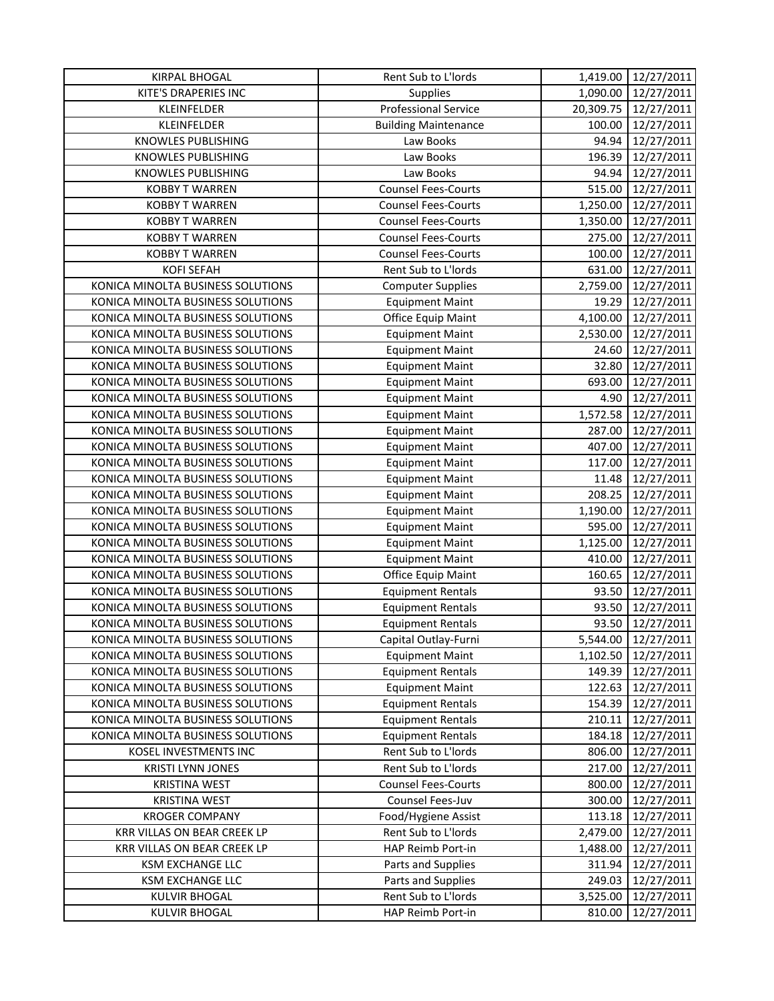| <b>KIRPAL BHOGAL</b>              | Rent Sub to L'Iords         | 1,419.00  | 12/27/2011 |
|-----------------------------------|-----------------------------|-----------|------------|
| KITE'S DRAPERIES INC              | <b>Supplies</b>             | 1,090.00  | 12/27/2011 |
| KLEINFELDER                       | <b>Professional Service</b> | 20,309.75 | 12/27/2011 |
| KLEINFELDER                       | <b>Building Maintenance</b> | 100.00    | 12/27/2011 |
| <b>KNOWLES PUBLISHING</b>         | Law Books                   | 94.94     | 12/27/2011 |
| <b>KNOWLES PUBLISHING</b>         | Law Books                   | 196.39    | 12/27/2011 |
| KNOWLES PUBLISHING                | Law Books                   | 94.94     | 12/27/2011 |
| <b>KOBBY T WARREN</b>             | <b>Counsel Fees-Courts</b>  | 515.00    | 12/27/2011 |
| <b>KOBBY T WARREN</b>             | <b>Counsel Fees-Courts</b>  | 1,250.00  | 12/27/2011 |
| <b>KOBBY T WARREN</b>             | <b>Counsel Fees-Courts</b>  | 1,350.00  | 12/27/2011 |
| <b>KOBBY T WARREN</b>             | <b>Counsel Fees-Courts</b>  | 275.00    | 12/27/2011 |
| <b>KOBBY T WARREN</b>             | <b>Counsel Fees-Courts</b>  | 100.00    | 12/27/2011 |
| <b>KOFI SEFAH</b>                 | Rent Sub to L'Iords         | 631.00    | 12/27/2011 |
| KONICA MINOLTA BUSINESS SOLUTIONS | <b>Computer Supplies</b>    | 2,759.00  | 12/27/2011 |
| KONICA MINOLTA BUSINESS SOLUTIONS | <b>Equipment Maint</b>      | 19.29     | 12/27/2011 |
| KONICA MINOLTA BUSINESS SOLUTIONS | Office Equip Maint          | 4,100.00  | 12/27/2011 |
| KONICA MINOLTA BUSINESS SOLUTIONS | <b>Equipment Maint</b>      | 2,530.00  | 12/27/2011 |
| KONICA MINOLTA BUSINESS SOLUTIONS | <b>Equipment Maint</b>      | 24.60     | 12/27/2011 |
| KONICA MINOLTA BUSINESS SOLUTIONS | <b>Equipment Maint</b>      | 32.80     | 12/27/2011 |
| KONICA MINOLTA BUSINESS SOLUTIONS | <b>Equipment Maint</b>      | 693.00    | 12/27/2011 |
| KONICA MINOLTA BUSINESS SOLUTIONS | <b>Equipment Maint</b>      | 4.90      | 12/27/2011 |
| KONICA MINOLTA BUSINESS SOLUTIONS | <b>Equipment Maint</b>      | 1,572.58  | 12/27/2011 |
| KONICA MINOLTA BUSINESS SOLUTIONS | <b>Equipment Maint</b>      | 287.00    | 12/27/2011 |
| KONICA MINOLTA BUSINESS SOLUTIONS | <b>Equipment Maint</b>      | 407.00    | 12/27/2011 |
| KONICA MINOLTA BUSINESS SOLUTIONS | <b>Equipment Maint</b>      | 117.00    | 12/27/2011 |
| KONICA MINOLTA BUSINESS SOLUTIONS | <b>Equipment Maint</b>      | 11.48     | 12/27/2011 |
| KONICA MINOLTA BUSINESS SOLUTIONS | <b>Equipment Maint</b>      | 208.25    | 12/27/2011 |
| KONICA MINOLTA BUSINESS SOLUTIONS | <b>Equipment Maint</b>      | 1,190.00  | 12/27/2011 |
| KONICA MINOLTA BUSINESS SOLUTIONS | <b>Equipment Maint</b>      | 595.00    | 12/27/2011 |
| KONICA MINOLTA BUSINESS SOLUTIONS | <b>Equipment Maint</b>      | 1,125.00  | 12/27/2011 |
| KONICA MINOLTA BUSINESS SOLUTIONS | <b>Equipment Maint</b>      | 410.00    | 12/27/2011 |
| KONICA MINOLTA BUSINESS SOLUTIONS | Office Equip Maint          | 160.65    | 12/27/2011 |
| KONICA MINOLTA BUSINESS SOLUTIONS | <b>Equipment Rentals</b>    | 93.50     | 12/27/2011 |
| KONICA MINOLTA BUSINESS SOLUTIONS | <b>Equipment Rentals</b>    | 93.50     | 12/27/2011 |
| KONICA MINOLTA BUSINESS SOLUTIONS | <b>Equipment Rentals</b>    | 93.50     | 12/27/2011 |
| KONICA MINOLTA BUSINESS SOLUTIONS | Capital Outlay-Furni        | 5,544.00  | 12/27/2011 |
| KONICA MINOLTA BUSINESS SOLUTIONS | <b>Equipment Maint</b>      | 1,102.50  | 12/27/2011 |
| KONICA MINOLTA BUSINESS SOLUTIONS | <b>Equipment Rentals</b>    | 149.39    | 12/27/2011 |
| KONICA MINOLTA BUSINESS SOLUTIONS | <b>Equipment Maint</b>      | 122.63    | 12/27/2011 |
| KONICA MINOLTA BUSINESS SOLUTIONS | <b>Equipment Rentals</b>    | 154.39    | 12/27/2011 |
| KONICA MINOLTA BUSINESS SOLUTIONS | <b>Equipment Rentals</b>    | 210.11    | 12/27/2011 |
| KONICA MINOLTA BUSINESS SOLUTIONS | <b>Equipment Rentals</b>    | 184.18    | 12/27/2011 |
| KOSEL INVESTMENTS INC             | Rent Sub to L'Iords         | 806.00    | 12/27/2011 |
| <b>KRISTI LYNN JONES</b>          | Rent Sub to L'Iords         | 217.00    | 12/27/2011 |
| <b>KRISTINA WEST</b>              | <b>Counsel Fees-Courts</b>  | 800.00    | 12/27/2011 |
| <b>KRISTINA WEST</b>              | Counsel Fees-Juv            | 300.00    | 12/27/2011 |
| <b>KROGER COMPANY</b>             | Food/Hygiene Assist         | 113.18    | 12/27/2011 |
| KRR VILLAS ON BEAR CREEK LP       | Rent Sub to L'Iords         | 2,479.00  | 12/27/2011 |
| KRR VILLAS ON BEAR CREEK LP       | HAP Reimb Port-in           | 1,488.00  | 12/27/2011 |
| <b>KSM EXCHANGE LLC</b>           | Parts and Supplies          | 311.94    | 12/27/2011 |
| KSM EXCHANGE LLC                  | Parts and Supplies          | 249.03    | 12/27/2011 |
| <b>KULVIR BHOGAL</b>              | Rent Sub to L'Iords         | 3,525.00  | 12/27/2011 |
| <b>KULVIR BHOGAL</b>              | HAP Reimb Port-in           | 810.00    | 12/27/2011 |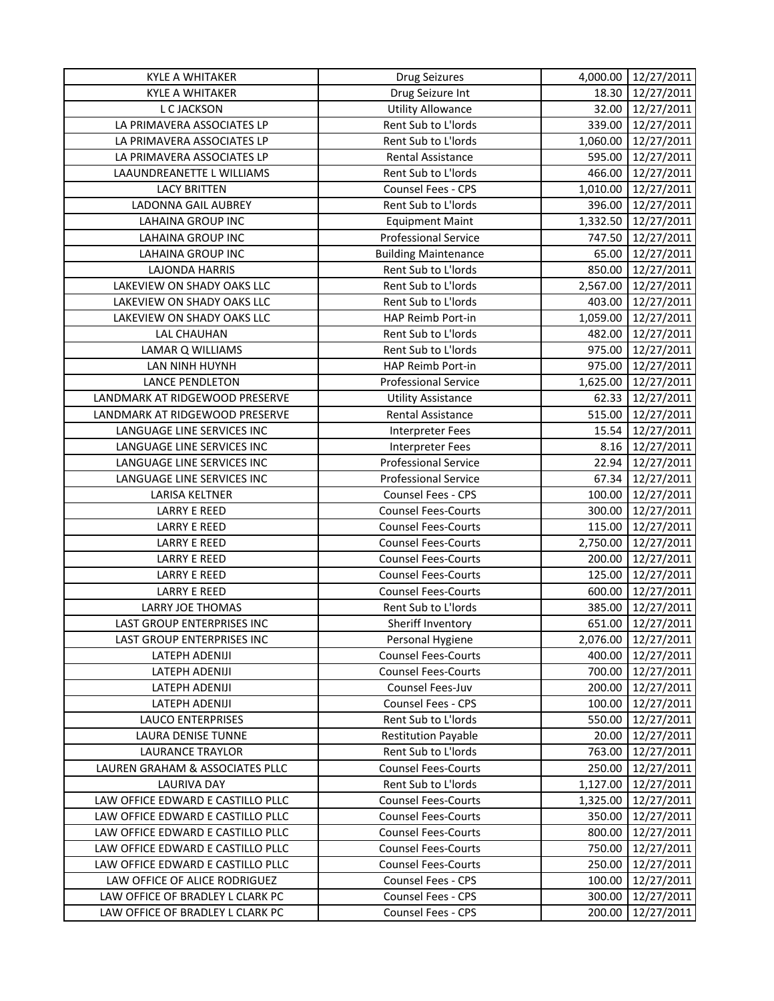| Drug Seizure Int<br>12/27/2011<br><b>KYLE A WHITAKER</b><br>18.30<br><b>Utility Allowance</b><br>32.00<br>12/27/2011<br>L C JACKSON<br>LA PRIMAVERA ASSOCIATES LP<br>Rent Sub to L'Iords<br>339.00<br>12/27/2011<br>LA PRIMAVERA ASSOCIATES LP<br>Rent Sub to L'Iords<br>1,060.00<br>12/27/2011<br>595.00<br>12/27/2011<br>LA PRIMAVERA ASSOCIATES LP<br>Rental Assistance<br>LAAUNDREANETTE L WILLIAMS<br>Rent Sub to L'Iords<br>466.00<br>12/27/2011<br>12/27/2011<br><b>LACY BRITTEN</b><br>Counsel Fees - CPS<br>1,010.00<br>Rent Sub to L'Iords<br>LADONNA GAIL AUBREY<br>396.00<br>12/27/2011<br><b>LAHAINA GROUP INC</b><br>1,332.50<br>12/27/2011<br><b>Equipment Maint</b><br>LAHAINA GROUP INC<br><b>Professional Service</b><br>12/27/2011<br>747.50<br>LAHAINA GROUP INC<br><b>Building Maintenance</b><br>65.00<br>12/27/2011<br><b>LAJONDA HARRIS</b><br>Rent Sub to L'Iords<br>850.00<br>12/27/2011<br>12/27/2011<br>LAKEVIEW ON SHADY OAKS LLC<br>Rent Sub to L'Iords<br>2,567.00<br>LAKEVIEW ON SHADY OAKS LLC<br>12/27/2011<br>Rent Sub to L'Iords<br>403.00<br>1,059.00<br>LAKEVIEW ON SHADY OAKS LLC<br>HAP Reimb Port-in<br>12/27/2011<br>LAL CHAUHAN<br>Rent Sub to L'Iords<br>482.00<br>12/27/2011<br>Rent Sub to L'Iords<br>975.00<br>12/27/2011<br>LAMAR Q WILLIAMS<br>975.00<br>12/27/2011<br>LAN NINH HUYNH<br><b>HAP Reimb Port-in</b><br><b>LANCE PENDLETON</b><br><b>Professional Service</b><br>12/27/2011<br>1,625.00<br>LANDMARK AT RIDGEWOOD PRESERVE<br>12/27/2011<br><b>Utility Assistance</b><br>62.33<br>515.00<br>LANDMARK AT RIDGEWOOD PRESERVE<br><b>Rental Assistance</b><br>12/27/2011<br>12/27/2011<br>LANGUAGE LINE SERVICES INC<br>15.54<br><b>Interpreter Fees</b><br>LANGUAGE LINE SERVICES INC<br><b>Interpreter Fees</b><br>8.16<br>12/27/2011<br><b>Professional Service</b><br>12/27/2011<br>LANGUAGE LINE SERVICES INC<br>22.94<br><b>Professional Service</b><br>LANGUAGE LINE SERVICES INC<br>67.34<br>12/27/2011<br>LARISA KELTNER<br>Counsel Fees - CPS<br>100.00<br>12/27/2011<br><b>Counsel Fees-Courts</b><br><b>LARRY E REED</b><br>300.00<br>12/27/2011<br><b>Counsel Fees-Courts</b><br>115.00<br><b>LARRY E REED</b><br>12/27/2011<br><b>Counsel Fees-Courts</b><br>2,750.00<br><b>LARRY E REED</b><br>12/27/2011<br><b>LARRY E REED</b><br><b>Counsel Fees-Courts</b><br>200.00<br>12/27/2011<br><b>LARRY E REED</b><br>125.00<br>12/27/2011<br><b>Counsel Fees-Courts</b><br><b>LARRY E REED</b><br><b>Counsel Fees-Courts</b><br>600.00<br>12/27/2011<br>Rent Sub to L'Iords<br>385.00<br>12/27/2011<br><b>LARRY JOE THOMAS</b><br>LAST GROUP ENTERPRISES INC<br>Sheriff Inventory<br>651.00<br>12/27/2011<br><b>LAST GROUP ENTERPRISES INC</b><br>Personal Hygiene<br>2,076.00<br>12/27/2011<br>400.00<br>12/27/2011<br>LATEPH ADENIJI<br><b>Counsel Fees-Courts</b><br>LATEPH ADENIJI<br><b>Counsel Fees-Courts</b><br>700.00<br>12/27/2011<br>LATEPH ADENIJI<br>Counsel Fees-Juv<br>200.00<br>12/27/2011<br>100.00<br>LATEPH ADENIJI<br><b>Counsel Fees - CPS</b><br>12/27/2011<br>Rent Sub to L'Iords<br><b>LAUCO ENTERPRISES</b><br>550.00<br>12/27/2011<br><b>Restitution Payable</b><br>20.00<br><b>LAURA DENISE TUNNE</b><br>12/27/2011<br>Rent Sub to L'Iords<br>763.00<br>LAURANCE TRAYLOR<br>12/27/2011<br><b>Counsel Fees-Courts</b><br>LAUREN GRAHAM & ASSOCIATES PLLC<br>250.00<br>12/27/2011<br><b>LAURIVA DAY</b><br>Rent Sub to L'Iords<br>1,127.00<br>12/27/2011<br>LAW OFFICE EDWARD E CASTILLO PLLC<br><b>Counsel Fees-Courts</b><br>12/27/2011<br>1,325.00<br>LAW OFFICE EDWARD E CASTILLO PLLC<br><b>Counsel Fees-Courts</b><br>350.00<br>12/27/2011<br>LAW OFFICE EDWARD E CASTILLO PLLC<br>800.00<br>12/27/2011<br><b>Counsel Fees-Courts</b><br>LAW OFFICE EDWARD E CASTILLO PLLC<br><b>Counsel Fees-Courts</b><br>750.00<br>12/27/2011<br>LAW OFFICE EDWARD E CASTILLO PLLC<br><b>Counsel Fees-Courts</b><br>250.00<br>12/27/2011<br>LAW OFFICE OF ALICE RODRIGUEZ<br>Counsel Fees - CPS<br>100.00<br>12/27/2011<br>Counsel Fees - CPS<br>300.00<br>LAW OFFICE OF BRADLEY L CLARK PC<br>12/27/2011 | <b>KYLE A WHITAKER</b>           | <b>Drug Seizures</b> | 4,000.00 | 12/27/2011 |
|-------------------------------------------------------------------------------------------------------------------------------------------------------------------------------------------------------------------------------------------------------------------------------------------------------------------------------------------------------------------------------------------------------------------------------------------------------------------------------------------------------------------------------------------------------------------------------------------------------------------------------------------------------------------------------------------------------------------------------------------------------------------------------------------------------------------------------------------------------------------------------------------------------------------------------------------------------------------------------------------------------------------------------------------------------------------------------------------------------------------------------------------------------------------------------------------------------------------------------------------------------------------------------------------------------------------------------------------------------------------------------------------------------------------------------------------------------------------------------------------------------------------------------------------------------------------------------------------------------------------------------------------------------------------------------------------------------------------------------------------------------------------------------------------------------------------------------------------------------------------------------------------------------------------------------------------------------------------------------------------------------------------------------------------------------------------------------------------------------------------------------------------------------------------------------------------------------------------------------------------------------------------------------------------------------------------------------------------------------------------------------------------------------------------------------------------------------------------------------------------------------------------------------------------------------------------------------------------------------------------------------------------------------------------------------------------------------------------------------------------------------------------------------------------------------------------------------------------------------------------------------------------------------------------------------------------------------------------------------------------------------------------------------------------------------------------------------------------------------------------------------------------------------------------------------------------------------------------------------------------------------------------------------------------------------------------------------------------------------------------------------------------------------------------------------------------------------------------------------------------------------------------------------------------------------------------------------------------------------------------------------------------------------------------------------------------------------------------------------------------------------------------------------------------------------------------------------------------------------------------------------------------------------------------------------------------------------------------------------------------------------------------------------------------------------------------------------------------------|----------------------------------|----------------------|----------|------------|
|                                                                                                                                                                                                                                                                                                                                                                                                                                                                                                                                                                                                                                                                                                                                                                                                                                                                                                                                                                                                                                                                                                                                                                                                                                                                                                                                                                                                                                                                                                                                                                                                                                                                                                                                                                                                                                                                                                                                                                                                                                                                                                                                                                                                                                                                                                                                                                                                                                                                                                                                                                                                                                                                                                                                                                                                                                                                                                                                                                                                                                                                                                                                                                                                                                                                                                                                                                                                                                                                                                                                                                                                                                                                                                                                                                                                                                                                                                                                                                                                                                                                                                 |                                  |                      |          |            |
|                                                                                                                                                                                                                                                                                                                                                                                                                                                                                                                                                                                                                                                                                                                                                                                                                                                                                                                                                                                                                                                                                                                                                                                                                                                                                                                                                                                                                                                                                                                                                                                                                                                                                                                                                                                                                                                                                                                                                                                                                                                                                                                                                                                                                                                                                                                                                                                                                                                                                                                                                                                                                                                                                                                                                                                                                                                                                                                                                                                                                                                                                                                                                                                                                                                                                                                                                                                                                                                                                                                                                                                                                                                                                                                                                                                                                                                                                                                                                                                                                                                                                                 |                                  |                      |          |            |
|                                                                                                                                                                                                                                                                                                                                                                                                                                                                                                                                                                                                                                                                                                                                                                                                                                                                                                                                                                                                                                                                                                                                                                                                                                                                                                                                                                                                                                                                                                                                                                                                                                                                                                                                                                                                                                                                                                                                                                                                                                                                                                                                                                                                                                                                                                                                                                                                                                                                                                                                                                                                                                                                                                                                                                                                                                                                                                                                                                                                                                                                                                                                                                                                                                                                                                                                                                                                                                                                                                                                                                                                                                                                                                                                                                                                                                                                                                                                                                                                                                                                                                 |                                  |                      |          |            |
|                                                                                                                                                                                                                                                                                                                                                                                                                                                                                                                                                                                                                                                                                                                                                                                                                                                                                                                                                                                                                                                                                                                                                                                                                                                                                                                                                                                                                                                                                                                                                                                                                                                                                                                                                                                                                                                                                                                                                                                                                                                                                                                                                                                                                                                                                                                                                                                                                                                                                                                                                                                                                                                                                                                                                                                                                                                                                                                                                                                                                                                                                                                                                                                                                                                                                                                                                                                                                                                                                                                                                                                                                                                                                                                                                                                                                                                                                                                                                                                                                                                                                                 |                                  |                      |          |            |
|                                                                                                                                                                                                                                                                                                                                                                                                                                                                                                                                                                                                                                                                                                                                                                                                                                                                                                                                                                                                                                                                                                                                                                                                                                                                                                                                                                                                                                                                                                                                                                                                                                                                                                                                                                                                                                                                                                                                                                                                                                                                                                                                                                                                                                                                                                                                                                                                                                                                                                                                                                                                                                                                                                                                                                                                                                                                                                                                                                                                                                                                                                                                                                                                                                                                                                                                                                                                                                                                                                                                                                                                                                                                                                                                                                                                                                                                                                                                                                                                                                                                                                 |                                  |                      |          |            |
|                                                                                                                                                                                                                                                                                                                                                                                                                                                                                                                                                                                                                                                                                                                                                                                                                                                                                                                                                                                                                                                                                                                                                                                                                                                                                                                                                                                                                                                                                                                                                                                                                                                                                                                                                                                                                                                                                                                                                                                                                                                                                                                                                                                                                                                                                                                                                                                                                                                                                                                                                                                                                                                                                                                                                                                                                                                                                                                                                                                                                                                                                                                                                                                                                                                                                                                                                                                                                                                                                                                                                                                                                                                                                                                                                                                                                                                                                                                                                                                                                                                                                                 |                                  |                      |          |            |
|                                                                                                                                                                                                                                                                                                                                                                                                                                                                                                                                                                                                                                                                                                                                                                                                                                                                                                                                                                                                                                                                                                                                                                                                                                                                                                                                                                                                                                                                                                                                                                                                                                                                                                                                                                                                                                                                                                                                                                                                                                                                                                                                                                                                                                                                                                                                                                                                                                                                                                                                                                                                                                                                                                                                                                                                                                                                                                                                                                                                                                                                                                                                                                                                                                                                                                                                                                                                                                                                                                                                                                                                                                                                                                                                                                                                                                                                                                                                                                                                                                                                                                 |                                  |                      |          |            |
|                                                                                                                                                                                                                                                                                                                                                                                                                                                                                                                                                                                                                                                                                                                                                                                                                                                                                                                                                                                                                                                                                                                                                                                                                                                                                                                                                                                                                                                                                                                                                                                                                                                                                                                                                                                                                                                                                                                                                                                                                                                                                                                                                                                                                                                                                                                                                                                                                                                                                                                                                                                                                                                                                                                                                                                                                                                                                                                                                                                                                                                                                                                                                                                                                                                                                                                                                                                                                                                                                                                                                                                                                                                                                                                                                                                                                                                                                                                                                                                                                                                                                                 |                                  |                      |          |            |
|                                                                                                                                                                                                                                                                                                                                                                                                                                                                                                                                                                                                                                                                                                                                                                                                                                                                                                                                                                                                                                                                                                                                                                                                                                                                                                                                                                                                                                                                                                                                                                                                                                                                                                                                                                                                                                                                                                                                                                                                                                                                                                                                                                                                                                                                                                                                                                                                                                                                                                                                                                                                                                                                                                                                                                                                                                                                                                                                                                                                                                                                                                                                                                                                                                                                                                                                                                                                                                                                                                                                                                                                                                                                                                                                                                                                                                                                                                                                                                                                                                                                                                 |                                  |                      |          |            |
|                                                                                                                                                                                                                                                                                                                                                                                                                                                                                                                                                                                                                                                                                                                                                                                                                                                                                                                                                                                                                                                                                                                                                                                                                                                                                                                                                                                                                                                                                                                                                                                                                                                                                                                                                                                                                                                                                                                                                                                                                                                                                                                                                                                                                                                                                                                                                                                                                                                                                                                                                                                                                                                                                                                                                                                                                                                                                                                                                                                                                                                                                                                                                                                                                                                                                                                                                                                                                                                                                                                                                                                                                                                                                                                                                                                                                                                                                                                                                                                                                                                                                                 |                                  |                      |          |            |
|                                                                                                                                                                                                                                                                                                                                                                                                                                                                                                                                                                                                                                                                                                                                                                                                                                                                                                                                                                                                                                                                                                                                                                                                                                                                                                                                                                                                                                                                                                                                                                                                                                                                                                                                                                                                                                                                                                                                                                                                                                                                                                                                                                                                                                                                                                                                                                                                                                                                                                                                                                                                                                                                                                                                                                                                                                                                                                                                                                                                                                                                                                                                                                                                                                                                                                                                                                                                                                                                                                                                                                                                                                                                                                                                                                                                                                                                                                                                                                                                                                                                                                 |                                  |                      |          |            |
|                                                                                                                                                                                                                                                                                                                                                                                                                                                                                                                                                                                                                                                                                                                                                                                                                                                                                                                                                                                                                                                                                                                                                                                                                                                                                                                                                                                                                                                                                                                                                                                                                                                                                                                                                                                                                                                                                                                                                                                                                                                                                                                                                                                                                                                                                                                                                                                                                                                                                                                                                                                                                                                                                                                                                                                                                                                                                                                                                                                                                                                                                                                                                                                                                                                                                                                                                                                                                                                                                                                                                                                                                                                                                                                                                                                                                                                                                                                                                                                                                                                                                                 |                                  |                      |          |            |
|                                                                                                                                                                                                                                                                                                                                                                                                                                                                                                                                                                                                                                                                                                                                                                                                                                                                                                                                                                                                                                                                                                                                                                                                                                                                                                                                                                                                                                                                                                                                                                                                                                                                                                                                                                                                                                                                                                                                                                                                                                                                                                                                                                                                                                                                                                                                                                                                                                                                                                                                                                                                                                                                                                                                                                                                                                                                                                                                                                                                                                                                                                                                                                                                                                                                                                                                                                                                                                                                                                                                                                                                                                                                                                                                                                                                                                                                                                                                                                                                                                                                                                 |                                  |                      |          |            |
|                                                                                                                                                                                                                                                                                                                                                                                                                                                                                                                                                                                                                                                                                                                                                                                                                                                                                                                                                                                                                                                                                                                                                                                                                                                                                                                                                                                                                                                                                                                                                                                                                                                                                                                                                                                                                                                                                                                                                                                                                                                                                                                                                                                                                                                                                                                                                                                                                                                                                                                                                                                                                                                                                                                                                                                                                                                                                                                                                                                                                                                                                                                                                                                                                                                                                                                                                                                                                                                                                                                                                                                                                                                                                                                                                                                                                                                                                                                                                                                                                                                                                                 |                                  |                      |          |            |
|                                                                                                                                                                                                                                                                                                                                                                                                                                                                                                                                                                                                                                                                                                                                                                                                                                                                                                                                                                                                                                                                                                                                                                                                                                                                                                                                                                                                                                                                                                                                                                                                                                                                                                                                                                                                                                                                                                                                                                                                                                                                                                                                                                                                                                                                                                                                                                                                                                                                                                                                                                                                                                                                                                                                                                                                                                                                                                                                                                                                                                                                                                                                                                                                                                                                                                                                                                                                                                                                                                                                                                                                                                                                                                                                                                                                                                                                                                                                                                                                                                                                                                 |                                  |                      |          |            |
|                                                                                                                                                                                                                                                                                                                                                                                                                                                                                                                                                                                                                                                                                                                                                                                                                                                                                                                                                                                                                                                                                                                                                                                                                                                                                                                                                                                                                                                                                                                                                                                                                                                                                                                                                                                                                                                                                                                                                                                                                                                                                                                                                                                                                                                                                                                                                                                                                                                                                                                                                                                                                                                                                                                                                                                                                                                                                                                                                                                                                                                                                                                                                                                                                                                                                                                                                                                                                                                                                                                                                                                                                                                                                                                                                                                                                                                                                                                                                                                                                                                                                                 |                                  |                      |          |            |
|                                                                                                                                                                                                                                                                                                                                                                                                                                                                                                                                                                                                                                                                                                                                                                                                                                                                                                                                                                                                                                                                                                                                                                                                                                                                                                                                                                                                                                                                                                                                                                                                                                                                                                                                                                                                                                                                                                                                                                                                                                                                                                                                                                                                                                                                                                                                                                                                                                                                                                                                                                                                                                                                                                                                                                                                                                                                                                                                                                                                                                                                                                                                                                                                                                                                                                                                                                                                                                                                                                                                                                                                                                                                                                                                                                                                                                                                                                                                                                                                                                                                                                 |                                  |                      |          |            |
|                                                                                                                                                                                                                                                                                                                                                                                                                                                                                                                                                                                                                                                                                                                                                                                                                                                                                                                                                                                                                                                                                                                                                                                                                                                                                                                                                                                                                                                                                                                                                                                                                                                                                                                                                                                                                                                                                                                                                                                                                                                                                                                                                                                                                                                                                                                                                                                                                                                                                                                                                                                                                                                                                                                                                                                                                                                                                                                                                                                                                                                                                                                                                                                                                                                                                                                                                                                                                                                                                                                                                                                                                                                                                                                                                                                                                                                                                                                                                                                                                                                                                                 |                                  |                      |          |            |
|                                                                                                                                                                                                                                                                                                                                                                                                                                                                                                                                                                                                                                                                                                                                                                                                                                                                                                                                                                                                                                                                                                                                                                                                                                                                                                                                                                                                                                                                                                                                                                                                                                                                                                                                                                                                                                                                                                                                                                                                                                                                                                                                                                                                                                                                                                                                                                                                                                                                                                                                                                                                                                                                                                                                                                                                                                                                                                                                                                                                                                                                                                                                                                                                                                                                                                                                                                                                                                                                                                                                                                                                                                                                                                                                                                                                                                                                                                                                                                                                                                                                                                 |                                  |                      |          |            |
|                                                                                                                                                                                                                                                                                                                                                                                                                                                                                                                                                                                                                                                                                                                                                                                                                                                                                                                                                                                                                                                                                                                                                                                                                                                                                                                                                                                                                                                                                                                                                                                                                                                                                                                                                                                                                                                                                                                                                                                                                                                                                                                                                                                                                                                                                                                                                                                                                                                                                                                                                                                                                                                                                                                                                                                                                                                                                                                                                                                                                                                                                                                                                                                                                                                                                                                                                                                                                                                                                                                                                                                                                                                                                                                                                                                                                                                                                                                                                                                                                                                                                                 |                                  |                      |          |            |
|                                                                                                                                                                                                                                                                                                                                                                                                                                                                                                                                                                                                                                                                                                                                                                                                                                                                                                                                                                                                                                                                                                                                                                                                                                                                                                                                                                                                                                                                                                                                                                                                                                                                                                                                                                                                                                                                                                                                                                                                                                                                                                                                                                                                                                                                                                                                                                                                                                                                                                                                                                                                                                                                                                                                                                                                                                                                                                                                                                                                                                                                                                                                                                                                                                                                                                                                                                                                                                                                                                                                                                                                                                                                                                                                                                                                                                                                                                                                                                                                                                                                                                 |                                  |                      |          |            |
|                                                                                                                                                                                                                                                                                                                                                                                                                                                                                                                                                                                                                                                                                                                                                                                                                                                                                                                                                                                                                                                                                                                                                                                                                                                                                                                                                                                                                                                                                                                                                                                                                                                                                                                                                                                                                                                                                                                                                                                                                                                                                                                                                                                                                                                                                                                                                                                                                                                                                                                                                                                                                                                                                                                                                                                                                                                                                                                                                                                                                                                                                                                                                                                                                                                                                                                                                                                                                                                                                                                                                                                                                                                                                                                                                                                                                                                                                                                                                                                                                                                                                                 |                                  |                      |          |            |
|                                                                                                                                                                                                                                                                                                                                                                                                                                                                                                                                                                                                                                                                                                                                                                                                                                                                                                                                                                                                                                                                                                                                                                                                                                                                                                                                                                                                                                                                                                                                                                                                                                                                                                                                                                                                                                                                                                                                                                                                                                                                                                                                                                                                                                                                                                                                                                                                                                                                                                                                                                                                                                                                                                                                                                                                                                                                                                                                                                                                                                                                                                                                                                                                                                                                                                                                                                                                                                                                                                                                                                                                                                                                                                                                                                                                                                                                                                                                                                                                                                                                                                 |                                  |                      |          |            |
|                                                                                                                                                                                                                                                                                                                                                                                                                                                                                                                                                                                                                                                                                                                                                                                                                                                                                                                                                                                                                                                                                                                                                                                                                                                                                                                                                                                                                                                                                                                                                                                                                                                                                                                                                                                                                                                                                                                                                                                                                                                                                                                                                                                                                                                                                                                                                                                                                                                                                                                                                                                                                                                                                                                                                                                                                                                                                                                                                                                                                                                                                                                                                                                                                                                                                                                                                                                                                                                                                                                                                                                                                                                                                                                                                                                                                                                                                                                                                                                                                                                                                                 |                                  |                      |          |            |
|                                                                                                                                                                                                                                                                                                                                                                                                                                                                                                                                                                                                                                                                                                                                                                                                                                                                                                                                                                                                                                                                                                                                                                                                                                                                                                                                                                                                                                                                                                                                                                                                                                                                                                                                                                                                                                                                                                                                                                                                                                                                                                                                                                                                                                                                                                                                                                                                                                                                                                                                                                                                                                                                                                                                                                                                                                                                                                                                                                                                                                                                                                                                                                                                                                                                                                                                                                                                                                                                                                                                                                                                                                                                                                                                                                                                                                                                                                                                                                                                                                                                                                 |                                  |                      |          |            |
|                                                                                                                                                                                                                                                                                                                                                                                                                                                                                                                                                                                                                                                                                                                                                                                                                                                                                                                                                                                                                                                                                                                                                                                                                                                                                                                                                                                                                                                                                                                                                                                                                                                                                                                                                                                                                                                                                                                                                                                                                                                                                                                                                                                                                                                                                                                                                                                                                                                                                                                                                                                                                                                                                                                                                                                                                                                                                                                                                                                                                                                                                                                                                                                                                                                                                                                                                                                                                                                                                                                                                                                                                                                                                                                                                                                                                                                                                                                                                                                                                                                                                                 |                                  |                      |          |            |
|                                                                                                                                                                                                                                                                                                                                                                                                                                                                                                                                                                                                                                                                                                                                                                                                                                                                                                                                                                                                                                                                                                                                                                                                                                                                                                                                                                                                                                                                                                                                                                                                                                                                                                                                                                                                                                                                                                                                                                                                                                                                                                                                                                                                                                                                                                                                                                                                                                                                                                                                                                                                                                                                                                                                                                                                                                                                                                                                                                                                                                                                                                                                                                                                                                                                                                                                                                                                                                                                                                                                                                                                                                                                                                                                                                                                                                                                                                                                                                                                                                                                                                 |                                  |                      |          |            |
|                                                                                                                                                                                                                                                                                                                                                                                                                                                                                                                                                                                                                                                                                                                                                                                                                                                                                                                                                                                                                                                                                                                                                                                                                                                                                                                                                                                                                                                                                                                                                                                                                                                                                                                                                                                                                                                                                                                                                                                                                                                                                                                                                                                                                                                                                                                                                                                                                                                                                                                                                                                                                                                                                                                                                                                                                                                                                                                                                                                                                                                                                                                                                                                                                                                                                                                                                                                                                                                                                                                                                                                                                                                                                                                                                                                                                                                                                                                                                                                                                                                                                                 |                                  |                      |          |            |
|                                                                                                                                                                                                                                                                                                                                                                                                                                                                                                                                                                                                                                                                                                                                                                                                                                                                                                                                                                                                                                                                                                                                                                                                                                                                                                                                                                                                                                                                                                                                                                                                                                                                                                                                                                                                                                                                                                                                                                                                                                                                                                                                                                                                                                                                                                                                                                                                                                                                                                                                                                                                                                                                                                                                                                                                                                                                                                                                                                                                                                                                                                                                                                                                                                                                                                                                                                                                                                                                                                                                                                                                                                                                                                                                                                                                                                                                                                                                                                                                                                                                                                 |                                  |                      |          |            |
|                                                                                                                                                                                                                                                                                                                                                                                                                                                                                                                                                                                                                                                                                                                                                                                                                                                                                                                                                                                                                                                                                                                                                                                                                                                                                                                                                                                                                                                                                                                                                                                                                                                                                                                                                                                                                                                                                                                                                                                                                                                                                                                                                                                                                                                                                                                                                                                                                                                                                                                                                                                                                                                                                                                                                                                                                                                                                                                                                                                                                                                                                                                                                                                                                                                                                                                                                                                                                                                                                                                                                                                                                                                                                                                                                                                                                                                                                                                                                                                                                                                                                                 |                                  |                      |          |            |
|                                                                                                                                                                                                                                                                                                                                                                                                                                                                                                                                                                                                                                                                                                                                                                                                                                                                                                                                                                                                                                                                                                                                                                                                                                                                                                                                                                                                                                                                                                                                                                                                                                                                                                                                                                                                                                                                                                                                                                                                                                                                                                                                                                                                                                                                                                                                                                                                                                                                                                                                                                                                                                                                                                                                                                                                                                                                                                                                                                                                                                                                                                                                                                                                                                                                                                                                                                                                                                                                                                                                                                                                                                                                                                                                                                                                                                                                                                                                                                                                                                                                                                 |                                  |                      |          |            |
|                                                                                                                                                                                                                                                                                                                                                                                                                                                                                                                                                                                                                                                                                                                                                                                                                                                                                                                                                                                                                                                                                                                                                                                                                                                                                                                                                                                                                                                                                                                                                                                                                                                                                                                                                                                                                                                                                                                                                                                                                                                                                                                                                                                                                                                                                                                                                                                                                                                                                                                                                                                                                                                                                                                                                                                                                                                                                                                                                                                                                                                                                                                                                                                                                                                                                                                                                                                                                                                                                                                                                                                                                                                                                                                                                                                                                                                                                                                                                                                                                                                                                                 |                                  |                      |          |            |
|                                                                                                                                                                                                                                                                                                                                                                                                                                                                                                                                                                                                                                                                                                                                                                                                                                                                                                                                                                                                                                                                                                                                                                                                                                                                                                                                                                                                                                                                                                                                                                                                                                                                                                                                                                                                                                                                                                                                                                                                                                                                                                                                                                                                                                                                                                                                                                                                                                                                                                                                                                                                                                                                                                                                                                                                                                                                                                                                                                                                                                                                                                                                                                                                                                                                                                                                                                                                                                                                                                                                                                                                                                                                                                                                                                                                                                                                                                                                                                                                                                                                                                 |                                  |                      |          |            |
|                                                                                                                                                                                                                                                                                                                                                                                                                                                                                                                                                                                                                                                                                                                                                                                                                                                                                                                                                                                                                                                                                                                                                                                                                                                                                                                                                                                                                                                                                                                                                                                                                                                                                                                                                                                                                                                                                                                                                                                                                                                                                                                                                                                                                                                                                                                                                                                                                                                                                                                                                                                                                                                                                                                                                                                                                                                                                                                                                                                                                                                                                                                                                                                                                                                                                                                                                                                                                                                                                                                                                                                                                                                                                                                                                                                                                                                                                                                                                                                                                                                                                                 |                                  |                      |          |            |
|                                                                                                                                                                                                                                                                                                                                                                                                                                                                                                                                                                                                                                                                                                                                                                                                                                                                                                                                                                                                                                                                                                                                                                                                                                                                                                                                                                                                                                                                                                                                                                                                                                                                                                                                                                                                                                                                                                                                                                                                                                                                                                                                                                                                                                                                                                                                                                                                                                                                                                                                                                                                                                                                                                                                                                                                                                                                                                                                                                                                                                                                                                                                                                                                                                                                                                                                                                                                                                                                                                                                                                                                                                                                                                                                                                                                                                                                                                                                                                                                                                                                                                 |                                  |                      |          |            |
|                                                                                                                                                                                                                                                                                                                                                                                                                                                                                                                                                                                                                                                                                                                                                                                                                                                                                                                                                                                                                                                                                                                                                                                                                                                                                                                                                                                                                                                                                                                                                                                                                                                                                                                                                                                                                                                                                                                                                                                                                                                                                                                                                                                                                                                                                                                                                                                                                                                                                                                                                                                                                                                                                                                                                                                                                                                                                                                                                                                                                                                                                                                                                                                                                                                                                                                                                                                                                                                                                                                                                                                                                                                                                                                                                                                                                                                                                                                                                                                                                                                                                                 |                                  |                      |          |            |
|                                                                                                                                                                                                                                                                                                                                                                                                                                                                                                                                                                                                                                                                                                                                                                                                                                                                                                                                                                                                                                                                                                                                                                                                                                                                                                                                                                                                                                                                                                                                                                                                                                                                                                                                                                                                                                                                                                                                                                                                                                                                                                                                                                                                                                                                                                                                                                                                                                                                                                                                                                                                                                                                                                                                                                                                                                                                                                                                                                                                                                                                                                                                                                                                                                                                                                                                                                                                                                                                                                                                                                                                                                                                                                                                                                                                                                                                                                                                                                                                                                                                                                 |                                  |                      |          |            |
|                                                                                                                                                                                                                                                                                                                                                                                                                                                                                                                                                                                                                                                                                                                                                                                                                                                                                                                                                                                                                                                                                                                                                                                                                                                                                                                                                                                                                                                                                                                                                                                                                                                                                                                                                                                                                                                                                                                                                                                                                                                                                                                                                                                                                                                                                                                                                                                                                                                                                                                                                                                                                                                                                                                                                                                                                                                                                                                                                                                                                                                                                                                                                                                                                                                                                                                                                                                                                                                                                                                                                                                                                                                                                                                                                                                                                                                                                                                                                                                                                                                                                                 |                                  |                      |          |            |
|                                                                                                                                                                                                                                                                                                                                                                                                                                                                                                                                                                                                                                                                                                                                                                                                                                                                                                                                                                                                                                                                                                                                                                                                                                                                                                                                                                                                                                                                                                                                                                                                                                                                                                                                                                                                                                                                                                                                                                                                                                                                                                                                                                                                                                                                                                                                                                                                                                                                                                                                                                                                                                                                                                                                                                                                                                                                                                                                                                                                                                                                                                                                                                                                                                                                                                                                                                                                                                                                                                                                                                                                                                                                                                                                                                                                                                                                                                                                                                                                                                                                                                 |                                  |                      |          |            |
|                                                                                                                                                                                                                                                                                                                                                                                                                                                                                                                                                                                                                                                                                                                                                                                                                                                                                                                                                                                                                                                                                                                                                                                                                                                                                                                                                                                                                                                                                                                                                                                                                                                                                                                                                                                                                                                                                                                                                                                                                                                                                                                                                                                                                                                                                                                                                                                                                                                                                                                                                                                                                                                                                                                                                                                                                                                                                                                                                                                                                                                                                                                                                                                                                                                                                                                                                                                                                                                                                                                                                                                                                                                                                                                                                                                                                                                                                                                                                                                                                                                                                                 |                                  |                      |          |            |
|                                                                                                                                                                                                                                                                                                                                                                                                                                                                                                                                                                                                                                                                                                                                                                                                                                                                                                                                                                                                                                                                                                                                                                                                                                                                                                                                                                                                                                                                                                                                                                                                                                                                                                                                                                                                                                                                                                                                                                                                                                                                                                                                                                                                                                                                                                                                                                                                                                                                                                                                                                                                                                                                                                                                                                                                                                                                                                                                                                                                                                                                                                                                                                                                                                                                                                                                                                                                                                                                                                                                                                                                                                                                                                                                                                                                                                                                                                                                                                                                                                                                                                 |                                  |                      |          |            |
|                                                                                                                                                                                                                                                                                                                                                                                                                                                                                                                                                                                                                                                                                                                                                                                                                                                                                                                                                                                                                                                                                                                                                                                                                                                                                                                                                                                                                                                                                                                                                                                                                                                                                                                                                                                                                                                                                                                                                                                                                                                                                                                                                                                                                                                                                                                                                                                                                                                                                                                                                                                                                                                                                                                                                                                                                                                                                                                                                                                                                                                                                                                                                                                                                                                                                                                                                                                                                                                                                                                                                                                                                                                                                                                                                                                                                                                                                                                                                                                                                                                                                                 |                                  |                      |          |            |
|                                                                                                                                                                                                                                                                                                                                                                                                                                                                                                                                                                                                                                                                                                                                                                                                                                                                                                                                                                                                                                                                                                                                                                                                                                                                                                                                                                                                                                                                                                                                                                                                                                                                                                                                                                                                                                                                                                                                                                                                                                                                                                                                                                                                                                                                                                                                                                                                                                                                                                                                                                                                                                                                                                                                                                                                                                                                                                                                                                                                                                                                                                                                                                                                                                                                                                                                                                                                                                                                                                                                                                                                                                                                                                                                                                                                                                                                                                                                                                                                                                                                                                 |                                  |                      |          |            |
|                                                                                                                                                                                                                                                                                                                                                                                                                                                                                                                                                                                                                                                                                                                                                                                                                                                                                                                                                                                                                                                                                                                                                                                                                                                                                                                                                                                                                                                                                                                                                                                                                                                                                                                                                                                                                                                                                                                                                                                                                                                                                                                                                                                                                                                                                                                                                                                                                                                                                                                                                                                                                                                                                                                                                                                                                                                                                                                                                                                                                                                                                                                                                                                                                                                                                                                                                                                                                                                                                                                                                                                                                                                                                                                                                                                                                                                                                                                                                                                                                                                                                                 |                                  |                      |          |            |
|                                                                                                                                                                                                                                                                                                                                                                                                                                                                                                                                                                                                                                                                                                                                                                                                                                                                                                                                                                                                                                                                                                                                                                                                                                                                                                                                                                                                                                                                                                                                                                                                                                                                                                                                                                                                                                                                                                                                                                                                                                                                                                                                                                                                                                                                                                                                                                                                                                                                                                                                                                                                                                                                                                                                                                                                                                                                                                                                                                                                                                                                                                                                                                                                                                                                                                                                                                                                                                                                                                                                                                                                                                                                                                                                                                                                                                                                                                                                                                                                                                                                                                 |                                  |                      |          |            |
|                                                                                                                                                                                                                                                                                                                                                                                                                                                                                                                                                                                                                                                                                                                                                                                                                                                                                                                                                                                                                                                                                                                                                                                                                                                                                                                                                                                                                                                                                                                                                                                                                                                                                                                                                                                                                                                                                                                                                                                                                                                                                                                                                                                                                                                                                                                                                                                                                                                                                                                                                                                                                                                                                                                                                                                                                                                                                                                                                                                                                                                                                                                                                                                                                                                                                                                                                                                                                                                                                                                                                                                                                                                                                                                                                                                                                                                                                                                                                                                                                                                                                                 |                                  |                      |          |            |
|                                                                                                                                                                                                                                                                                                                                                                                                                                                                                                                                                                                                                                                                                                                                                                                                                                                                                                                                                                                                                                                                                                                                                                                                                                                                                                                                                                                                                                                                                                                                                                                                                                                                                                                                                                                                                                                                                                                                                                                                                                                                                                                                                                                                                                                                                                                                                                                                                                                                                                                                                                                                                                                                                                                                                                                                                                                                                                                                                                                                                                                                                                                                                                                                                                                                                                                                                                                                                                                                                                                                                                                                                                                                                                                                                                                                                                                                                                                                                                                                                                                                                                 |                                  |                      |          |            |
|                                                                                                                                                                                                                                                                                                                                                                                                                                                                                                                                                                                                                                                                                                                                                                                                                                                                                                                                                                                                                                                                                                                                                                                                                                                                                                                                                                                                                                                                                                                                                                                                                                                                                                                                                                                                                                                                                                                                                                                                                                                                                                                                                                                                                                                                                                                                                                                                                                                                                                                                                                                                                                                                                                                                                                                                                                                                                                                                                                                                                                                                                                                                                                                                                                                                                                                                                                                                                                                                                                                                                                                                                                                                                                                                                                                                                                                                                                                                                                                                                                                                                                 |                                  |                      |          |            |
|                                                                                                                                                                                                                                                                                                                                                                                                                                                                                                                                                                                                                                                                                                                                                                                                                                                                                                                                                                                                                                                                                                                                                                                                                                                                                                                                                                                                                                                                                                                                                                                                                                                                                                                                                                                                                                                                                                                                                                                                                                                                                                                                                                                                                                                                                                                                                                                                                                                                                                                                                                                                                                                                                                                                                                                                                                                                                                                                                                                                                                                                                                                                                                                                                                                                                                                                                                                                                                                                                                                                                                                                                                                                                                                                                                                                                                                                                                                                                                                                                                                                                                 |                                  |                      |          |            |
|                                                                                                                                                                                                                                                                                                                                                                                                                                                                                                                                                                                                                                                                                                                                                                                                                                                                                                                                                                                                                                                                                                                                                                                                                                                                                                                                                                                                                                                                                                                                                                                                                                                                                                                                                                                                                                                                                                                                                                                                                                                                                                                                                                                                                                                                                                                                                                                                                                                                                                                                                                                                                                                                                                                                                                                                                                                                                                                                                                                                                                                                                                                                                                                                                                                                                                                                                                                                                                                                                                                                                                                                                                                                                                                                                                                                                                                                                                                                                                                                                                                                                                 |                                  |                      |          |            |
|                                                                                                                                                                                                                                                                                                                                                                                                                                                                                                                                                                                                                                                                                                                                                                                                                                                                                                                                                                                                                                                                                                                                                                                                                                                                                                                                                                                                                                                                                                                                                                                                                                                                                                                                                                                                                                                                                                                                                                                                                                                                                                                                                                                                                                                                                                                                                                                                                                                                                                                                                                                                                                                                                                                                                                                                                                                                                                                                                                                                                                                                                                                                                                                                                                                                                                                                                                                                                                                                                                                                                                                                                                                                                                                                                                                                                                                                                                                                                                                                                                                                                                 |                                  |                      |          |            |
|                                                                                                                                                                                                                                                                                                                                                                                                                                                                                                                                                                                                                                                                                                                                                                                                                                                                                                                                                                                                                                                                                                                                                                                                                                                                                                                                                                                                                                                                                                                                                                                                                                                                                                                                                                                                                                                                                                                                                                                                                                                                                                                                                                                                                                                                                                                                                                                                                                                                                                                                                                                                                                                                                                                                                                                                                                                                                                                                                                                                                                                                                                                                                                                                                                                                                                                                                                                                                                                                                                                                                                                                                                                                                                                                                                                                                                                                                                                                                                                                                                                                                                 | LAW OFFICE OF BRADLEY L CLARK PC | Counsel Fees - CPS   | 200.00   | 12/27/2011 |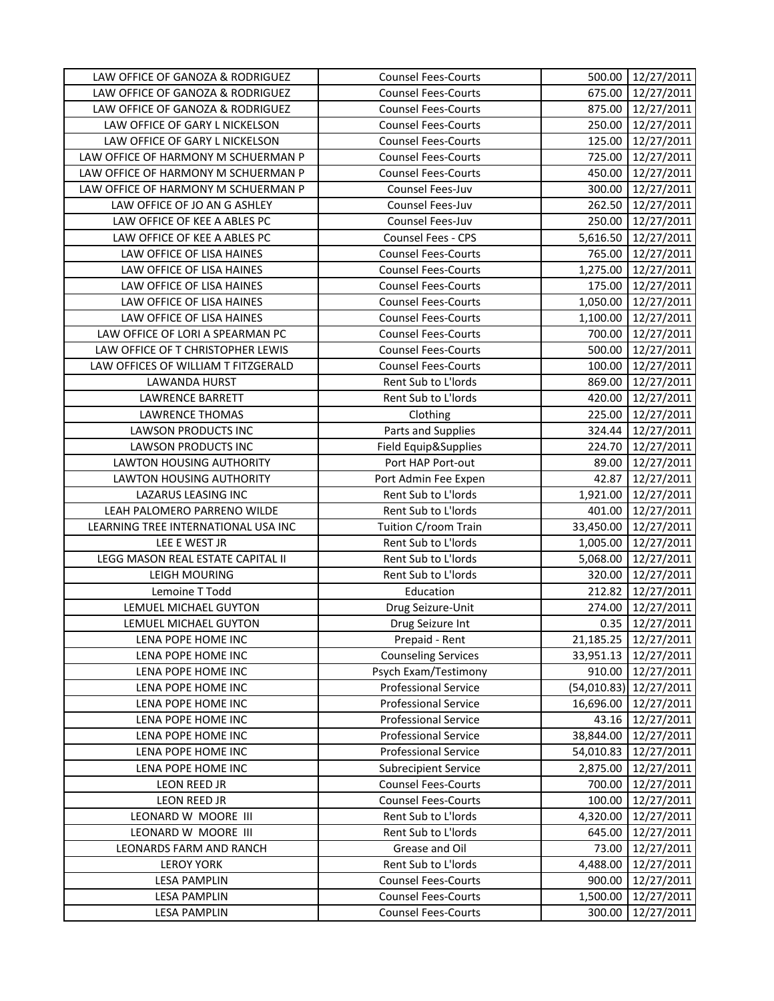| LAW OFFICE OF GANOZA & RODRIGUEZ    | <b>Counsel Fees-Courts</b>  |           | 500.00 12/27/2011        |
|-------------------------------------|-----------------------------|-----------|--------------------------|
| LAW OFFICE OF GANOZA & RODRIGUEZ    | <b>Counsel Fees-Courts</b>  | 675.00    | 12/27/2011               |
| LAW OFFICE OF GANOZA & RODRIGUEZ    | <b>Counsel Fees-Courts</b>  | 875.00    | 12/27/2011               |
| LAW OFFICE OF GARY L NICKELSON      | <b>Counsel Fees-Courts</b>  | 250.00    | 12/27/2011               |
| LAW OFFICE OF GARY L NICKELSON      | <b>Counsel Fees-Courts</b>  | 125.00    | 12/27/2011               |
| LAW OFFICE OF HARMONY M SCHUERMAN P | <b>Counsel Fees-Courts</b>  | 725.00    | 12/27/2011               |
| LAW OFFICE OF HARMONY M SCHUERMAN P | <b>Counsel Fees-Courts</b>  | 450.00    | 12/27/2011               |
| LAW OFFICE OF HARMONY M SCHUERMAN P | Counsel Fees-Juv            | 300.00    | 12/27/2011               |
| LAW OFFICE OF JO AN G ASHLEY        | Counsel Fees-Juv            | 262.50    | 12/27/2011               |
| LAW OFFICE OF KEE A ABLES PC        | Counsel Fees-Juv            | 250.00    | 12/27/2011               |
| LAW OFFICE OF KEE A ABLES PC        | Counsel Fees - CPS          | 5,616.50  | 12/27/2011               |
| LAW OFFICE OF LISA HAINES           | <b>Counsel Fees-Courts</b>  | 765.00    | 12/27/2011               |
| LAW OFFICE OF LISA HAINES           | <b>Counsel Fees-Courts</b>  | 1,275.00  | 12/27/2011               |
| LAW OFFICE OF LISA HAINES           | <b>Counsel Fees-Courts</b>  | 175.00    | 12/27/2011               |
| LAW OFFICE OF LISA HAINES           | <b>Counsel Fees-Courts</b>  | 1,050.00  | 12/27/2011               |
| LAW OFFICE OF LISA HAINES           | <b>Counsel Fees-Courts</b>  | 1,100.00  | 12/27/2011               |
| LAW OFFICE OF LORI A SPEARMAN PC    | <b>Counsel Fees-Courts</b>  | 700.00    | 12/27/2011               |
| LAW OFFICE OF T CHRISTOPHER LEWIS   | <b>Counsel Fees-Courts</b>  | 500.00    | 12/27/2011               |
| LAW OFFICES OF WILLIAM T FITZGERALD | <b>Counsel Fees-Courts</b>  | 100.00    | 12/27/2011               |
| <b>LAWANDA HURST</b>                | Rent Sub to L'Iords         | 869.00    | 12/27/2011               |
| <b>LAWRENCE BARRETT</b>             | Rent Sub to L'Iords         | 420.00    | 12/27/2011               |
| <b>LAWRENCE THOMAS</b>              | Clothing                    | 225.00    | 12/27/2011               |
| <b>LAWSON PRODUCTS INC</b>          | Parts and Supplies          | 324.44    | 12/27/2011               |
| LAWSON PRODUCTS INC                 | Field Equip&Supplies        | 224.70    | 12/27/2011               |
| LAWTON HOUSING AUTHORITY            | Port HAP Port-out           | 89.00     | 12/27/2011               |
| LAWTON HOUSING AUTHORITY            | Port Admin Fee Expen        | 42.87     | 12/27/2011               |
| LAZARUS LEASING INC                 | Rent Sub to L'Iords         | 1,921.00  | 12/27/2011               |
| LEAH PALOMERO PARRENO WILDE         | Rent Sub to L'Iords         | 401.00    | 12/27/2011               |
| LEARNING TREE INTERNATIONAL USA INC | Tuition C/room Train        | 33,450.00 | 12/27/2011               |
| LEE E WEST JR                       | Rent Sub to L'Iords         | 1,005.00  | 12/27/2011               |
| LEGG MASON REAL ESTATE CAPITAL II   | Rent Sub to L'Iords         | 5,068.00  | 12/27/2011               |
| <b>LEIGH MOURING</b>                | Rent Sub to L'Iords         | 320.00    | 12/27/2011               |
| Lemoine T Todd                      | Education                   | 212.82    | 12/27/2011               |
| LEMUEL MICHAEL GUYTON               | Drug Seizure-Unit           | 274.00    | 12/27/2011               |
| LEMUEL MICHAEL GUYTON               | Drug Seizure Int            | 0.35      | 12/27/2011               |
| LENA POPE HOME INC                  | Prepaid - Rent              | 21,185.25 | 12/27/2011               |
| LENA POPE HOME INC                  | <b>Counseling Services</b>  | 33,951.13 | 12/27/2011               |
| LENA POPE HOME INC                  | Psych Exam/Testimony        | 910.00    | 12/27/2011               |
| LENA POPE HOME INC                  | <b>Professional Service</b> |           | $(54,010.83)$ 12/27/2011 |
| LENA POPE HOME INC                  | <b>Professional Service</b> | 16,696.00 | 12/27/2011               |
| LENA POPE HOME INC                  | <b>Professional Service</b> | 43.16     | 12/27/2011               |
| LENA POPE HOME INC                  | <b>Professional Service</b> | 38,844.00 | 12/27/2011               |
| LENA POPE HOME INC                  | <b>Professional Service</b> | 54,010.83 | 12/27/2011               |
| LENA POPE HOME INC                  | <b>Subrecipient Service</b> | 2,875.00  | 12/27/2011               |
| LEON REED JR                        | <b>Counsel Fees-Courts</b>  | 700.00    | 12/27/2011               |
| LEON REED JR                        | <b>Counsel Fees-Courts</b>  | 100.00    | 12/27/2011               |
| LEONARD W MOORE III                 | Rent Sub to L'Iords         | 4,320.00  | 12/27/2011               |
| LEONARD W MOORE III                 | Rent Sub to L'Iords         | 645.00    | 12/27/2011               |
| LEONARDS FARM AND RANCH             | Grease and Oil              | 73.00     | 12/27/2011               |
| <b>LEROY YORK</b>                   | Rent Sub to L'Iords         | 4,488.00  | 12/27/2011               |
| LESA PAMPLIN                        | <b>Counsel Fees-Courts</b>  | 900.00    | 12/27/2011               |
| LESA PAMPLIN                        | <b>Counsel Fees-Courts</b>  | 1,500.00  | 12/27/2011               |
| <b>LESA PAMPLIN</b>                 | <b>Counsel Fees-Courts</b>  | 300.00    | 12/27/2011               |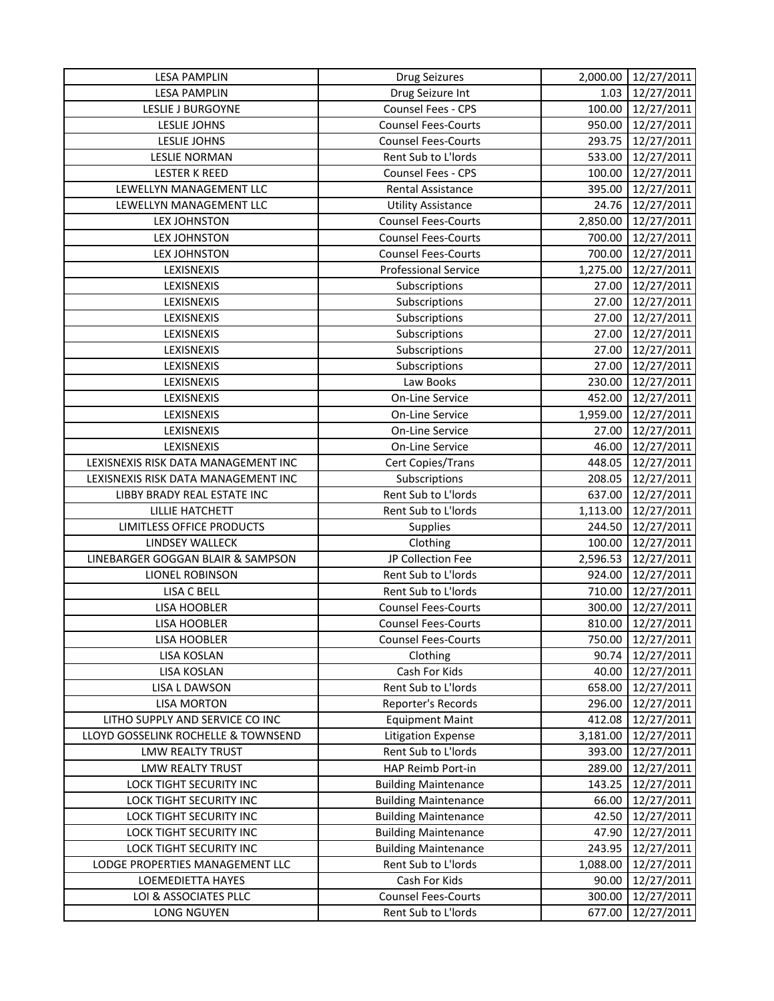| <b>LESA PAMPLIN</b>                 | <b>Drug Seizures</b>        | 2,000.00 | 12/27/2011 |
|-------------------------------------|-----------------------------|----------|------------|
| <b>LESA PAMPLIN</b>                 | Drug Seizure Int            | 1.03     | 12/27/2011 |
| <b>LESLIE J BURGOYNE</b>            | Counsel Fees - CPS          | 100.00   | 12/27/2011 |
| <b>LESLIE JOHNS</b>                 | <b>Counsel Fees-Courts</b>  | 950.00   | 12/27/2011 |
| <b>LESLIE JOHNS</b>                 | <b>Counsel Fees-Courts</b>  | 293.75   | 12/27/2011 |
| <b>LESLIE NORMAN</b>                | Rent Sub to L'Iords         | 533.00   | 12/27/2011 |
| <b>LESTER K REED</b>                | <b>Counsel Fees - CPS</b>   | 100.00   | 12/27/2011 |
| LEWELLYN MANAGEMENT LLC             | Rental Assistance           | 395.00   | 12/27/2011 |
| LEWELLYN MANAGEMENT LLC             | <b>Utility Assistance</b>   | 24.76    | 12/27/2011 |
| <b>LEX JOHNSTON</b>                 | <b>Counsel Fees-Courts</b>  | 2,850.00 | 12/27/2011 |
| <b>LEX JOHNSTON</b>                 | <b>Counsel Fees-Courts</b>  | 700.00   | 12/27/2011 |
| <b>LEX JOHNSTON</b>                 | <b>Counsel Fees-Courts</b>  | 700.00   | 12/27/2011 |
| LEXISNEXIS                          | <b>Professional Service</b> | 1,275.00 | 12/27/2011 |
| LEXISNEXIS                          | Subscriptions               | 27.00    | 12/27/2011 |
| LEXISNEXIS                          | Subscriptions               | 27.00    | 12/27/2011 |
| LEXISNEXIS                          | Subscriptions               | 27.00    | 12/27/2011 |
| LEXISNEXIS                          | Subscriptions               | 27.00    | 12/27/2011 |
| LEXISNEXIS                          | Subscriptions               | 27.00    | 12/27/2011 |
| LEXISNEXIS                          | Subscriptions               | 27.00    | 12/27/2011 |
| LEXISNEXIS                          | Law Books                   | 230.00   | 12/27/2011 |
| LEXISNEXIS                          | On-Line Service             | 452.00   | 12/27/2011 |
| LEXISNEXIS                          | <b>On-Line Service</b>      | 1,959.00 | 12/27/2011 |
| LEXISNEXIS                          | On-Line Service             | 27.00    | 12/27/2011 |
| LEXISNEXIS                          | <b>On-Line Service</b>      | 46.00    | 12/27/2011 |
| LEXISNEXIS RISK DATA MANAGEMENT INC | Cert Copies/Trans           | 448.05   | 12/27/2011 |
| LEXISNEXIS RISK DATA MANAGEMENT INC | Subscriptions               | 208.05   | 12/27/2011 |
| LIBBY BRADY REAL ESTATE INC         | Rent Sub to L'Iords         | 637.00   | 12/27/2011 |
| LILLIE HATCHETT                     | Rent Sub to L'Iords         | 1,113.00 | 12/27/2011 |
| LIMITLESS OFFICE PRODUCTS           | Supplies                    | 244.50   | 12/27/2011 |
| LINDSEY WALLECK                     | Clothing                    | 100.00   | 12/27/2011 |
| LINEBARGER GOGGAN BLAIR & SAMPSON   | JP Collection Fee           | 2,596.53 | 12/27/2011 |
| <b>LIONEL ROBINSON</b>              | Rent Sub to L'Iords         | 924.00   | 12/27/2011 |
| LISA C BELL                         | Rent Sub to L'Iords         | 710.00   | 12/27/2011 |
| LISA HOOBLER                        | <b>Counsel Fees-Courts</b>  | 300.00   | 12/27/2011 |
| LISA HOOBLER                        | <b>Counsel Fees-Courts</b>  | 810.00   | 12/27/2011 |
| <b>LISA HOOBLER</b>                 | <b>Counsel Fees-Courts</b>  | 750.00   | 12/27/2011 |
| LISA KOSLAN                         | Clothing                    | 90.74    | 12/27/2011 |
| <b>LISA KOSLAN</b>                  | Cash For Kids               | 40.00    | 12/27/2011 |
| <b>LISA L DAWSON</b>                | Rent Sub to L'Iords         | 658.00   | 12/27/2011 |
| <b>LISA MORTON</b>                  | Reporter's Records          | 296.00   | 12/27/2011 |
| LITHO SUPPLY AND SERVICE CO INC     | <b>Equipment Maint</b>      | 412.08   | 12/27/2011 |
| LLOYD GOSSELINK ROCHELLE & TOWNSEND | <b>Litigation Expense</b>   | 3,181.00 | 12/27/2011 |
| <b>LMW REALTY TRUST</b>             | Rent Sub to L'Iords         | 393.00   | 12/27/2011 |
| LMW REALTY TRUST                    | HAP Reimb Port-in           | 289.00   | 12/27/2011 |
| LOCK TIGHT SECURITY INC             | <b>Building Maintenance</b> | 143.25   | 12/27/2011 |
| LOCK TIGHT SECURITY INC             | <b>Building Maintenance</b> | 66.00    | 12/27/2011 |
| LOCK TIGHT SECURITY INC             | <b>Building Maintenance</b> | 42.50    | 12/27/2011 |
| LOCK TIGHT SECURITY INC             | <b>Building Maintenance</b> | 47.90    | 12/27/2011 |
| LOCK TIGHT SECURITY INC             | <b>Building Maintenance</b> | 243.95   | 12/27/2011 |
| LODGE PROPERTIES MANAGEMENT LLC     | Rent Sub to L'Iords         | 1,088.00 | 12/27/2011 |
| LOEMEDIETTA HAYES                   | Cash For Kids               | 90.00    | 12/27/2011 |
| LOI & ASSOCIATES PLLC               | <b>Counsel Fees-Courts</b>  | 300.00   | 12/27/2011 |
| LONG NGUYEN                         | Rent Sub to L'Iords         | 677.00   | 12/27/2011 |
|                                     |                             |          |            |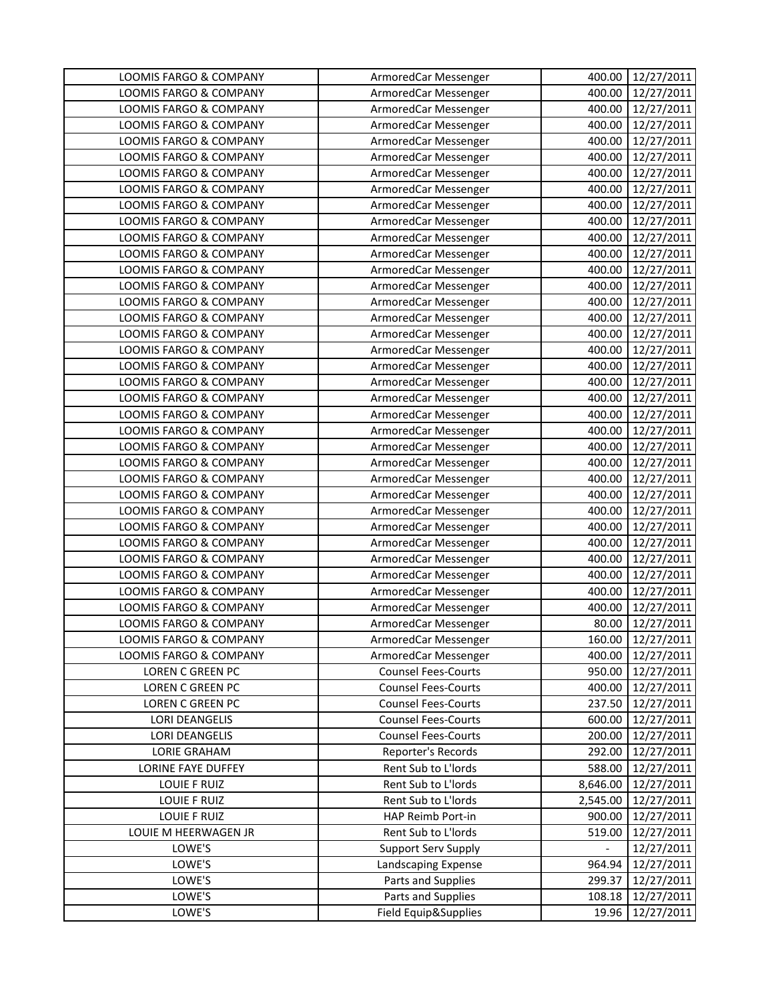| LOOMIS FARGO & COMPANY            | ArmoredCar Messenger       | 400.00                   | 12/27/2011 |
|-----------------------------------|----------------------------|--------------------------|------------|
| <b>LOOMIS FARGO &amp; COMPANY</b> | ArmoredCar Messenger       | 400.00                   | 12/27/2011 |
| LOOMIS FARGO & COMPANY            | ArmoredCar Messenger       | 400.00                   | 12/27/2011 |
| LOOMIS FARGO & COMPANY            | ArmoredCar Messenger       | 400.00                   | 12/27/2011 |
| LOOMIS FARGO & COMPANY            | ArmoredCar Messenger       | 400.00                   | 12/27/2011 |
| LOOMIS FARGO & COMPANY            | ArmoredCar Messenger       | 400.00                   | 12/27/2011 |
| LOOMIS FARGO & COMPANY            | ArmoredCar Messenger       | 400.00                   | 12/27/2011 |
| <b>LOOMIS FARGO &amp; COMPANY</b> | ArmoredCar Messenger       | 400.00                   | 12/27/2011 |
| LOOMIS FARGO & COMPANY            | ArmoredCar Messenger       | 400.00                   | 12/27/2011 |
| LOOMIS FARGO & COMPANY            | ArmoredCar Messenger       | 400.00                   | 12/27/2011 |
| LOOMIS FARGO & COMPANY            | ArmoredCar Messenger       | 400.00                   | 12/27/2011 |
| LOOMIS FARGO & COMPANY            | ArmoredCar Messenger       | 400.00                   | 12/27/2011 |
| <b>LOOMIS FARGO &amp; COMPANY</b> | ArmoredCar Messenger       | 400.00                   | 12/27/2011 |
| LOOMIS FARGO & COMPANY            | ArmoredCar Messenger       | 400.00                   | 12/27/2011 |
| LOOMIS FARGO & COMPANY            | ArmoredCar Messenger       | 400.00                   | 12/27/2011 |
| LOOMIS FARGO & COMPANY            | ArmoredCar Messenger       | 400.00                   | 12/27/2011 |
| LOOMIS FARGO & COMPANY            | ArmoredCar Messenger       | 400.00                   | 12/27/2011 |
| <b>LOOMIS FARGO &amp; COMPANY</b> | ArmoredCar Messenger       | 400.00                   | 12/27/2011 |
| LOOMIS FARGO & COMPANY            | ArmoredCar Messenger       | 400.00                   | 12/27/2011 |
| LOOMIS FARGO & COMPANY            | ArmoredCar Messenger       | 400.00                   | 12/27/2011 |
| LOOMIS FARGO & COMPANY            | ArmoredCar Messenger       | 400.00                   | 12/27/2011 |
| LOOMIS FARGO & COMPANY            | ArmoredCar Messenger       | 400.00                   | 12/27/2011 |
| LOOMIS FARGO & COMPANY            | ArmoredCar Messenger       | 400.00                   | 12/27/2011 |
| LOOMIS FARGO & COMPANY            | ArmoredCar Messenger       | 400.00                   | 12/27/2011 |
| LOOMIS FARGO & COMPANY            | ArmoredCar Messenger       | 400.00                   | 12/27/2011 |
| LOOMIS FARGO & COMPANY            | ArmoredCar Messenger       | 400.00                   | 12/27/2011 |
| LOOMIS FARGO & COMPANY            | ArmoredCar Messenger       | 400.00                   | 12/27/2011 |
| LOOMIS FARGO & COMPANY            | ArmoredCar Messenger       | 400.00                   | 12/27/2011 |
| LOOMIS FARGO & COMPANY            | ArmoredCar Messenger       | 400.00                   | 12/27/2011 |
| LOOMIS FARGO & COMPANY            | ArmoredCar Messenger       | 400.00                   | 12/27/2011 |
| LOOMIS FARGO & COMPANY            | ArmoredCar Messenger       | 400.00                   | 12/27/2011 |
| <b>LOOMIS FARGO &amp; COMPANY</b> | ArmoredCar Messenger       | 400.00                   | 12/27/2011 |
| <b>LOOMIS FARGO &amp; COMPANY</b> | ArmoredCar Messenger       | 400.00                   | 12/27/2011 |
| <b>LOOMIS FARGO &amp; COMPANY</b> | ArmoredCar Messenger       | 400.00                   | 12/27/2011 |
| LOOMIS FARGO & COMPANY            | ArmoredCar Messenger       | 80.00                    | 12/27/2011 |
| LOOMIS FARGO & COMPANY            | ArmoredCar Messenger       | 160.00                   | 12/27/2011 |
| LOOMIS FARGO & COMPANY            | ArmoredCar Messenger       | 400.00                   | 12/27/2011 |
| LOREN C GREEN PC                  | <b>Counsel Fees-Courts</b> | 950.00                   | 12/27/2011 |
| <b>LOREN C GREEN PC</b>           | <b>Counsel Fees-Courts</b> | 400.00                   | 12/27/2011 |
| LOREN C GREEN PC                  | <b>Counsel Fees-Courts</b> | 237.50                   | 12/27/2011 |
| <b>LORI DEANGELIS</b>             | <b>Counsel Fees-Courts</b> | 600.00                   | 12/27/2011 |
| <b>LORI DEANGELIS</b>             | <b>Counsel Fees-Courts</b> | 200.00                   | 12/27/2011 |
| <b>LORIE GRAHAM</b>               | Reporter's Records         | 292.00                   | 12/27/2011 |
| <b>LORINE FAYE DUFFEY</b>         | Rent Sub to L'Iords        | 588.00                   | 12/27/2011 |
| LOUIE F RUIZ                      | Rent Sub to L'Iords        | 8,646.00                 | 12/27/2011 |
| LOUIE F RUIZ                      | Rent Sub to L'Iords        | 2,545.00                 | 12/27/2011 |
| LOUIE F RUIZ                      | HAP Reimb Port-in          | 900.00                   | 12/27/2011 |
| LOUIE M HEERWAGEN JR              | Rent Sub to L'Iords        | 519.00                   | 12/27/2011 |
| LOWE'S                            | <b>Support Serv Supply</b> | $\overline{\phantom{0}}$ | 12/27/2011 |
| LOWE'S                            | Landscaping Expense        | 964.94                   | 12/27/2011 |
| LOWE'S                            | Parts and Supplies         | 299.37                   | 12/27/2011 |
| LOWE'S                            | Parts and Supplies         | 108.18                   | 12/27/2011 |
| LOWE'S                            | Field Equip&Supplies       | 19.96                    | 12/27/2011 |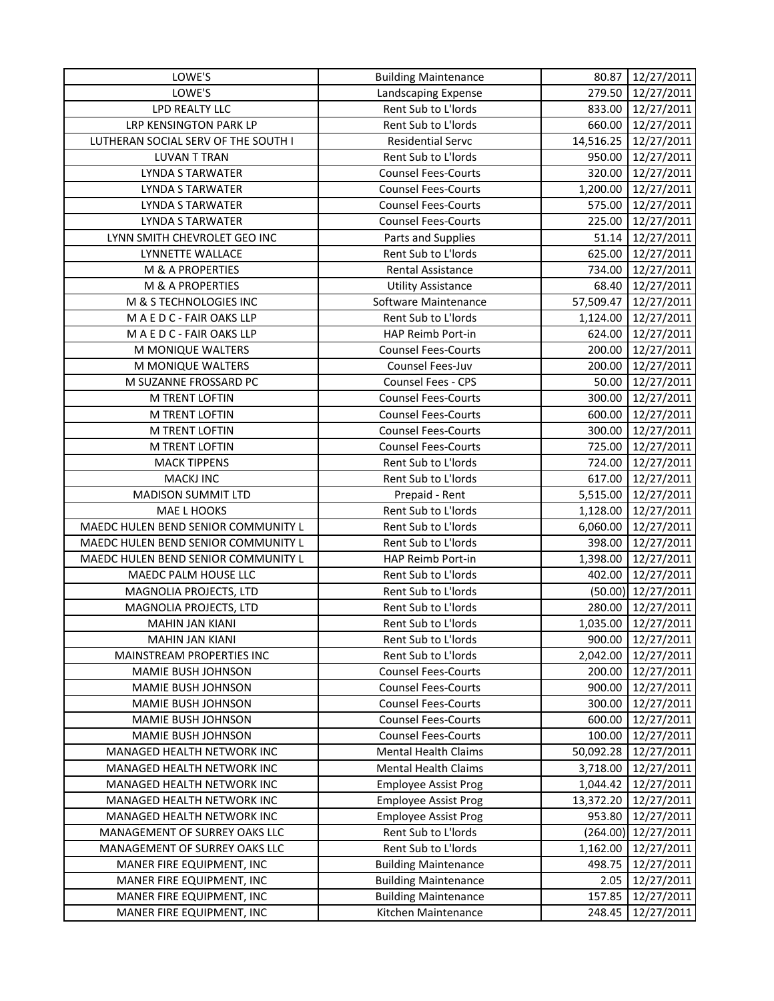| LOWE'S                                                         | <b>Building Maintenance</b> | 80.87              | 12/27/2011               |
|----------------------------------------------------------------|-----------------------------|--------------------|--------------------------|
| LOWE'S                                                         | Landscaping Expense         | 279.50             | 12/27/2011               |
| LPD REALTY LLC                                                 | Rent Sub to L'Iords         | 833.00             | 12/27/2011               |
| LRP KENSINGTON PARK LP                                         | Rent Sub to L'Iords         | 660.00             | 12/27/2011               |
| LUTHERAN SOCIAL SERV OF THE SOUTH I                            | <b>Residential Servc</b>    | 14,516.25          | 12/27/2011               |
| <b>LUVAN T TRAN</b>                                            | Rent Sub to L'Iords         | 950.00             | 12/27/2011               |
| <b>LYNDA S TARWATER</b>                                        | <b>Counsel Fees-Courts</b>  | 320.00             | 12/27/2011               |
| <b>LYNDA S TARWATER</b>                                        | <b>Counsel Fees-Courts</b>  | 1,200.00           | 12/27/2011               |
| <b>LYNDA S TARWATER</b>                                        | <b>Counsel Fees-Courts</b>  | 575.00             | 12/27/2011               |
| LYNDA S TARWATER                                               | <b>Counsel Fees-Courts</b>  | 225.00             | 12/27/2011               |
| LYNN SMITH CHEVROLET GEO INC                                   | Parts and Supplies          | 51.14              | 12/27/2011               |
| LYNNETTE WALLACE                                               | Rent Sub to L'Iords         | 625.00             | 12/27/2011               |
| M & A PROPERTIES                                               | <b>Rental Assistance</b>    | 734.00             | 12/27/2011               |
| M & A PROPERTIES                                               | <b>Utility Assistance</b>   | 68.40              | 12/27/2011               |
| M & S TECHNOLOGIES INC                                         | Software Maintenance        | 57,509.47          | 12/27/2011               |
| MAEDC-FAIR OAKS LLP                                            | Rent Sub to L'Iords         | 1,124.00           | 12/27/2011               |
| MAEDC-FAIR OAKS LLP                                            | HAP Reimb Port-in           | 624.00             | 12/27/2011               |
| M MONIQUE WALTERS                                              | <b>Counsel Fees-Courts</b>  | 200.00             | 12/27/2011               |
| M MONIQUE WALTERS                                              | Counsel Fees-Juv            | 200.00             | 12/27/2011               |
| M SUZANNE FROSSARD PC                                          | Counsel Fees - CPS          | 50.00              | 12/27/2011               |
| M TRENT LOFTIN                                                 | <b>Counsel Fees-Courts</b>  | 300.00             | 12/27/2011               |
| M TRENT LOFTIN                                                 | <b>Counsel Fees-Courts</b>  | 600.00             | 12/27/2011               |
| M TRENT LOFTIN                                                 | <b>Counsel Fees-Courts</b>  | 300.00             | 12/27/2011               |
| M TRENT LOFTIN                                                 | <b>Counsel Fees-Courts</b>  | 725.00             | 12/27/2011               |
| <b>MACK TIPPENS</b>                                            | Rent Sub to L'Iords         | 724.00             | 12/27/2011               |
| <b>MACKJ INC</b>                                               | Rent Sub to L'Iords         | 617.00             | 12/27/2011               |
| MADISON SUMMIT LTD                                             | Prepaid - Rent              | 5,515.00           | 12/27/2011               |
| MAE L HOOKS                                                    | Rent Sub to L'Iords         | 1,128.00           | 12/27/2011               |
| MAEDC HULEN BEND SENIOR COMMUNITY L                            | Rent Sub to L'Iords         | 6,060.00           | 12/27/2011               |
| MAEDC HULEN BEND SENIOR COMMUNITY L                            | Rent Sub to L'Iords         | 398.00             | 12/27/2011               |
| MAEDC HULEN BEND SENIOR COMMUNITY L                            | HAP Reimb Port-in           | 1,398.00           | 12/27/2011               |
| MAEDC PALM HOUSE LLC                                           | Rent Sub to L'Iords         | 402.00             | 12/27/2011               |
| MAGNOLIA PROJECTS, LTD                                         | Rent Sub to L'Iords         |                    | $(50.00)$ 12/27/2011     |
| MAGNOLIA PROJECTS, LTD                                         | Rent Sub to L'Iords         | 280.00             | 12/27/2011               |
| <b>MAHIN JAN KIANI</b>                                         | Rent Sub to L'Iords         | 1,035.00           | 12/27/2011               |
| <b>MAHIN JAN KIANI</b>                                         | Rent Sub to L'Iords         | 900.00             | 12/27/2011               |
| MAINSTREAM PROPERTIES INC                                      | Rent Sub to L'Iords         | 2,042.00           | 12/27/2011               |
| MAMIE BUSH JOHNSON                                             | <b>Counsel Fees-Courts</b>  | 200.00             | 12/27/2011               |
| MAMIE BUSH JOHNSON                                             | <b>Counsel Fees-Courts</b>  | 900.00             | 12/27/2011               |
| MAMIE BUSH JOHNSON                                             | <b>Counsel Fees-Courts</b>  | 300.00             | 12/27/2011               |
| MAMIE BUSH JOHNSON                                             | <b>Counsel Fees-Courts</b>  | 600.00             | 12/27/2011               |
| MAMIE BUSH JOHNSON                                             | <b>Counsel Fees-Courts</b>  | 100.00             | 12/27/2011               |
| MANAGED HEALTH NETWORK INC                                     | <b>Mental Health Claims</b> | 50,092.28          | 12/27/2011               |
| MANAGED HEALTH NETWORK INC                                     | <b>Mental Health Claims</b> | 3,718.00           | 12/27/2011               |
| MANAGED HEALTH NETWORK INC                                     | <b>Employee Assist Prog</b> | 1,044.42           | 12/27/2011               |
| MANAGED HEALTH NETWORK INC                                     | <b>Employee Assist Prog</b> | 13,372.20          | 12/27/2011               |
| MANAGED HEALTH NETWORK INC                                     | <b>Employee Assist Prog</b> | 953.80             | 12/27/2011               |
|                                                                | Rent Sub to L'Iords         |                    |                          |
| MANAGEMENT OF SURREY OAKS LLC<br>MANAGEMENT OF SURREY OAKS LLC | Rent Sub to L'Iords         | (264.00)           | 12/27/2011               |
| MANER FIRE EQUIPMENT, INC                                      | <b>Building Maintenance</b> | 1,162.00<br>498.75 | 12/27/2011<br>12/27/2011 |
| MANER FIRE EQUIPMENT, INC                                      | <b>Building Maintenance</b> | 2.05               | 12/27/2011               |
| MANER FIRE EQUIPMENT, INC                                      | <b>Building Maintenance</b> | 157.85             | 12/27/2011               |
|                                                                |                             |                    |                          |
| MANER FIRE EQUIPMENT, INC                                      | Kitchen Maintenance         | 248.45             | 12/27/2011               |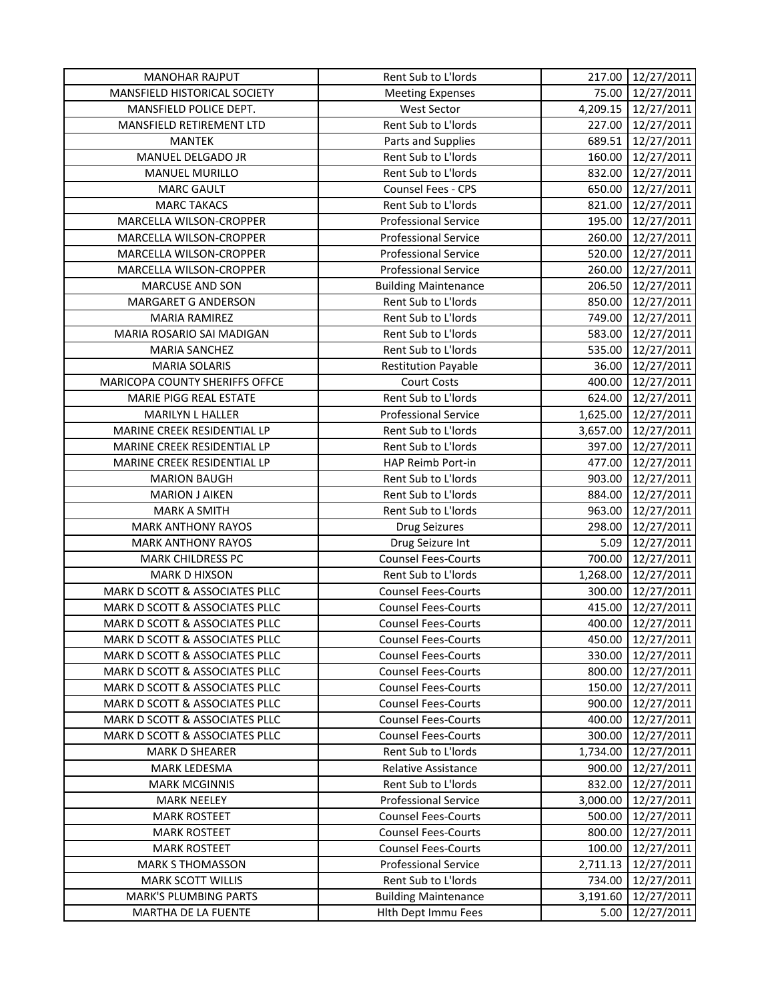| <b>MANOHAR RAJPUT</b>               | Rent Sub to L'Iords         | 217.00   | 12/27/2011 |
|-------------------------------------|-----------------------------|----------|------------|
| <b>MANSFIELD HISTORICAL SOCIETY</b> | <b>Meeting Expenses</b>     | 75.00    | 12/27/2011 |
| MANSFIELD POLICE DEPT.              | <b>West Sector</b>          | 4,209.15 | 12/27/2011 |
| MANSFIELD RETIREMENT LTD            | Rent Sub to L'Iords         | 227.00   | 12/27/2011 |
| <b>MANTEK</b>                       | Parts and Supplies          | 689.51   | 12/27/2011 |
| MANUEL DELGADO JR                   | Rent Sub to L'Iords         | 160.00   | 12/27/2011 |
| MANUEL MURILLO                      | Rent Sub to L'Iords         | 832.00   | 12/27/2011 |
| <b>MARC GAULT</b>                   | Counsel Fees - CPS          | 650.00   | 12/27/2011 |
| <b>MARC TAKACS</b>                  | Rent Sub to L'Iords         | 821.00   | 12/27/2011 |
| MARCELLA WILSON-CROPPER             | <b>Professional Service</b> | 195.00   | 12/27/2011 |
| MARCELLA WILSON-CROPPER             | <b>Professional Service</b> | 260.00   | 12/27/2011 |
| MARCELLA WILSON-CROPPER             | <b>Professional Service</b> | 520.00   | 12/27/2011 |
| MARCELLA WILSON-CROPPER             | <b>Professional Service</b> | 260.00   | 12/27/2011 |
| <b>MARCUSE AND SON</b>              | <b>Building Maintenance</b> | 206.50   | 12/27/2011 |
| MARGARET G ANDERSON                 | Rent Sub to L'Iords         | 850.00   | 12/27/2011 |
| MARIA RAMIREZ                       | Rent Sub to L'Iords         | 749.00   | 12/27/2011 |
| MARIA ROSARIO SAI MADIGAN           | Rent Sub to L'Iords         | 583.00   | 12/27/2011 |
| <b>MARIA SANCHEZ</b>                | Rent Sub to L'Iords         | 535.00   | 12/27/2011 |
| <b>MARIA SOLARIS</b>                | <b>Restitution Payable</b>  | 36.00    | 12/27/2011 |
| MARICOPA COUNTY SHERIFFS OFFCE      | <b>Court Costs</b>          | 400.00   | 12/27/2011 |
| MARIE PIGG REAL ESTATE              | Rent Sub to L'Iords         | 624.00   | 12/27/2011 |
| MARILYN L HALLER                    | <b>Professional Service</b> | 1,625.00 | 12/27/2011 |
| MARINE CREEK RESIDENTIAL LP         | Rent Sub to L'Iords         | 3,657.00 | 12/27/2011 |
| MARINE CREEK RESIDENTIAL LP         | Rent Sub to L'Iords         | 397.00   | 12/27/2011 |
| MARINE CREEK RESIDENTIAL LP         | HAP Reimb Port-in           | 477.00   | 12/27/2011 |
| <b>MARION BAUGH</b>                 | Rent Sub to L'Iords         | 903.00   | 12/27/2011 |
| <b>MARION J AIKEN</b>               | Rent Sub to L'Iords         | 884.00   | 12/27/2011 |
| <b>MARK A SMITH</b>                 | Rent Sub to L'Iords         | 963.00   | 12/27/2011 |
| <b>MARK ANTHONY RAYOS</b>           | Drug Seizures               | 298.00   | 12/27/2011 |
| <b>MARK ANTHONY RAYOS</b>           | Drug Seizure Int            | 5.09     | 12/27/2011 |
| <b>MARK CHILDRESS PC</b>            | <b>Counsel Fees-Courts</b>  | 700.00   | 12/27/2011 |
| <b>MARK D HIXSON</b>                | Rent Sub to L'Iords         | 1,268.00 | 12/27/2011 |
| MARK D SCOTT & ASSOCIATES PLLC      | <b>Counsel Fees-Courts</b>  | 300.00   | 12/27/2011 |
| MARK D SCOTT & ASSOCIATES PLLC      | <b>Counsel Fees-Courts</b>  | 415.00   | 12/27/2011 |
| MARK D SCOTT & ASSOCIATES PLLC      | <b>Counsel Fees-Courts</b>  | 400.00   | 12/27/2011 |
| MARK D SCOTT & ASSOCIATES PLLC      | <b>Counsel Fees-Courts</b>  | 450.00   | 12/27/2011 |
| MARK D SCOTT & ASSOCIATES PLLC      | <b>Counsel Fees-Courts</b>  | 330.00   | 12/27/2011 |
| MARK D SCOTT & ASSOCIATES PLLC      | <b>Counsel Fees-Courts</b>  | 800.00   | 12/27/2011 |
| MARK D SCOTT & ASSOCIATES PLLC      | <b>Counsel Fees-Courts</b>  | 150.00   | 12/27/2011 |
| MARK D SCOTT & ASSOCIATES PLLC      | <b>Counsel Fees-Courts</b>  | 900.00   | 12/27/2011 |
| MARK D SCOTT & ASSOCIATES PLLC      | <b>Counsel Fees-Courts</b>  | 400.00   | 12/27/2011 |
| MARK D SCOTT & ASSOCIATES PLLC      | <b>Counsel Fees-Courts</b>  | 300.00   | 12/27/2011 |
| <b>MARK D SHEARER</b>               | Rent Sub to L'Iords         | 1,734.00 | 12/27/2011 |
| MARK LEDESMA                        | Relative Assistance         | 900.00   | 12/27/2011 |
| <b>MARK MCGINNIS</b>                | Rent Sub to L'Iords         | 832.00   | 12/27/2011 |
| <b>MARK NEELEY</b>                  | <b>Professional Service</b> | 3,000.00 | 12/27/2011 |
| <b>MARK ROSTEET</b>                 | <b>Counsel Fees-Courts</b>  | 500.00   | 12/27/2011 |
| <b>MARK ROSTEET</b>                 | <b>Counsel Fees-Courts</b>  | 800.00   | 12/27/2011 |
| <b>MARK ROSTEET</b>                 | <b>Counsel Fees-Courts</b>  | 100.00   | 12/27/2011 |
| <b>MARK S THOMASSON</b>             | <b>Professional Service</b> | 2,711.13 | 12/27/2011 |
| <b>MARK SCOTT WILLIS</b>            | Rent Sub to L'Iords         | 734.00   | 12/27/2011 |
| <b>MARK'S PLUMBING PARTS</b>        | <b>Building Maintenance</b> | 3,191.60 | 12/27/2011 |
| MARTHA DE LA FUENTE                 | Hith Dept Immu Fees         | 5.00     | 12/27/2011 |
|                                     |                             |          |            |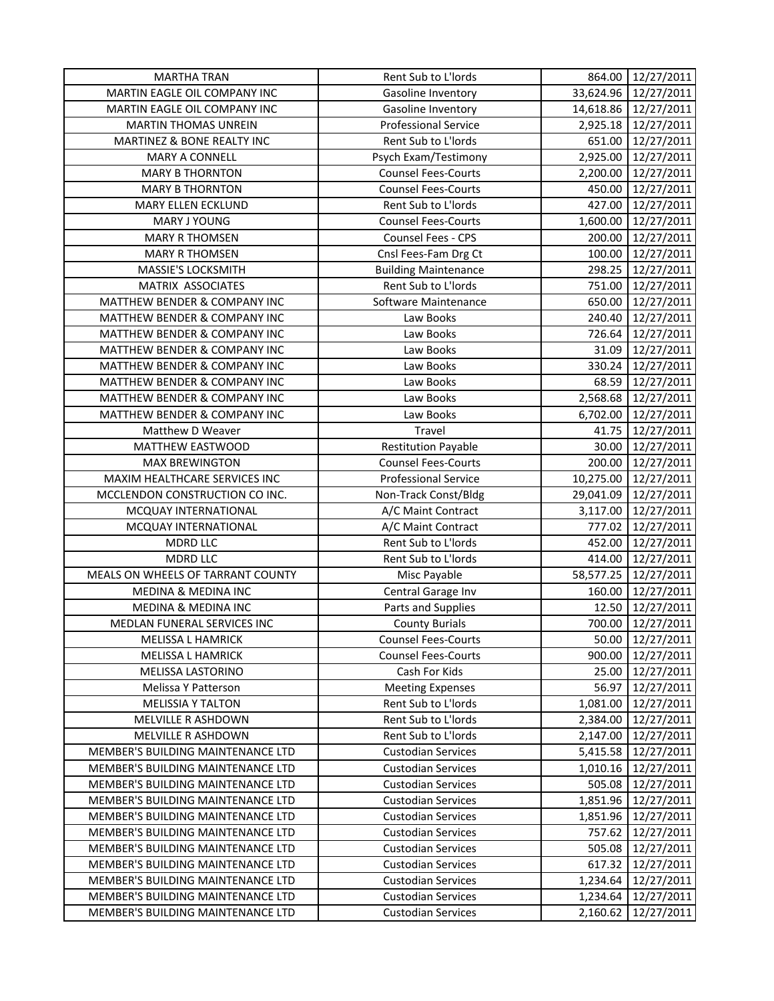| <b>MARTHA TRAN</b>                                                     | Rent Sub to L'Iords                                    | 864.00               | 12/27/2011               |
|------------------------------------------------------------------------|--------------------------------------------------------|----------------------|--------------------------|
| MARTIN EAGLE OIL COMPANY INC                                           | Gasoline Inventory                                     |                      | 33,624.96 12/27/2011     |
| MARTIN EAGLE OIL COMPANY INC                                           | Gasoline Inventory                                     |                      | 14,618.86 12/27/2011     |
| <b>MARTIN THOMAS UNREIN</b>                                            | <b>Professional Service</b>                            |                      | 2,925.18 12/27/2011      |
| MARTINEZ & BONE REALTY INC                                             | Rent Sub to L'Iords                                    | 651.00               | 12/27/2011               |
| MARY A CONNELL                                                         | Psych Exam/Testimony                                   | 2,925.00             | 12/27/2011               |
| <b>MARY B THORNTON</b>                                                 | <b>Counsel Fees-Courts</b>                             | 2,200.00             | 12/27/2011               |
| <b>MARY B THORNTON</b>                                                 | <b>Counsel Fees-Courts</b>                             | 450.00               | 12/27/2011               |
| MARY ELLEN ECKLUND                                                     | Rent Sub to L'Iords                                    | 427.00               | 12/27/2011               |
| MARY J YOUNG                                                           | <b>Counsel Fees-Courts</b>                             | 1,600.00             | 12/27/2011               |
| <b>MARY R THOMSEN</b>                                                  | Counsel Fees - CPS                                     | 200.00               | 12/27/2011               |
| <b>MARY R THOMSEN</b>                                                  | Cnsl Fees-Fam Drg Ct                                   | 100.00               | 12/27/2011               |
| MASSIE'S LOCKSMITH                                                     | <b>Building Maintenance</b>                            | 298.25               | 12/27/2011               |
| MATRIX ASSOCIATES                                                      | Rent Sub to L'Iords                                    | 751.00               | 12/27/2011               |
| MATTHEW BENDER & COMPANY INC                                           | Software Maintenance                                   | 650.00               | 12/27/2011               |
| MATTHEW BENDER & COMPANY INC                                           | Law Books                                              | 240.40               | 12/27/2011               |
| MATTHEW BENDER & COMPANY INC                                           | Law Books                                              |                      | 726.64 12/27/2011        |
| MATTHEW BENDER & COMPANY INC                                           | Law Books                                              | 31.09                | 12/27/2011               |
| MATTHEW BENDER & COMPANY INC                                           | Law Books                                              | 330.24               | 12/27/2011               |
| MATTHEW BENDER & COMPANY INC                                           | Law Books                                              | 68.59                | 12/27/2011               |
| MATTHEW BENDER & COMPANY INC                                           | Law Books                                              | 2,568.68             | 12/27/2011               |
| MATTHEW BENDER & COMPANY INC                                           | Law Books                                              | 6,702.00             | 12/27/2011               |
| Matthew D Weaver                                                       | Travel                                                 | 41.75                | 12/27/2011               |
| MATTHEW EASTWOOD                                                       | <b>Restitution Payable</b>                             | 30.00                | 12/27/2011               |
| <b>MAX BREWINGTON</b>                                                  | <b>Counsel Fees-Courts</b>                             | 200.00               | 12/27/2011               |
| MAXIM HEALTHCARE SERVICES INC                                          | <b>Professional Service</b>                            | 10,275.00            | 12/27/2011               |
| MCCLENDON CONSTRUCTION CO INC.                                         | Non-Track Const/Bldg                                   | 29,041.09            | 12/27/2011               |
| MCQUAY INTERNATIONAL                                                   | A/C Maint Contract                                     | 3,117.00             | 12/27/2011               |
| MCQUAY INTERNATIONAL                                                   | A/C Maint Contract                                     | 777.02               | 12/27/2011               |
| <b>MDRD LLC</b>                                                        | Rent Sub to L'Iords                                    | 452.00               | 12/27/2011               |
| <b>MDRD LLC</b>                                                        | Rent Sub to L'Iords                                    | 414.00               | 12/27/2011               |
| MEALS ON WHEELS OF TARRANT COUNTY                                      | Misc Payable                                           | 58,577.25            | 12/27/2011               |
| MEDINA & MEDINA INC                                                    | Central Garage Inv                                     | 160.00               | 12/27/2011               |
| MEDINA & MEDINA INC                                                    | Parts and Supplies                                     | 12.50                | 12/27/2011               |
| MEDLAN FUNERAL SERVICES INC                                            | <b>County Burials</b>                                  | 700.00               | 12/27/2011               |
| <b>MELISSA L HAMRICK</b>                                               | <b>Counsel Fees-Courts</b>                             | 50.00                | 12/27/2011               |
| <b>MELISSA L HAMRICK</b>                                               | <b>Counsel Fees-Courts</b>                             | 900.00               | 12/27/2011               |
| MELISSA LASTORINO                                                      | Cash For Kids                                          | 25.00                | 12/27/2011               |
| Melissa Y Patterson                                                    | <b>Meeting Expenses</b>                                | 56.97                | 12/27/2011               |
| <b>MELISSIA Y TALTON</b>                                               | Rent Sub to L'Iords                                    | 1,081.00             | 12/27/2011               |
| MELVILLE R ASHDOWN                                                     | Rent Sub to L'Iords                                    | 2,384.00             | 12/27/2011               |
| MELVILLE R ASHDOWN                                                     | Rent Sub to L'Iords                                    | 2,147.00             | 12/27/2011               |
| MEMBER'S BUILDING MAINTENANCE LTD                                      | <b>Custodian Services</b>                              | 5,415.58             | 12/27/2011               |
| MEMBER'S BUILDING MAINTENANCE LTD                                      | <b>Custodian Services</b>                              | 1,010.16             | 12/27/2011               |
| MEMBER'S BUILDING MAINTENANCE LTD                                      | <b>Custodian Services</b>                              | 505.08               | 12/27/2011               |
| MEMBER'S BUILDING MAINTENANCE LTD                                      | <b>Custodian Services</b>                              | 1,851.96             | 12/27/2011               |
| MEMBER'S BUILDING MAINTENANCE LTD                                      | <b>Custodian Services</b>                              |                      |                          |
|                                                                        |                                                        | 1,851.96             | 12/27/2011               |
| MEMBER'S BUILDING MAINTENANCE LTD<br>MEMBER'S BUILDING MAINTENANCE LTD | <b>Custodian Services</b>                              | 757.62               | 12/27/2011               |
| MEMBER'S BUILDING MAINTENANCE LTD                                      | <b>Custodian Services</b>                              | 505.08               | 12/27/2011               |
| MEMBER'S BUILDING MAINTENANCE LTD                                      | <b>Custodian Services</b><br><b>Custodian Services</b> | 617.32               | 12/27/2011<br>12/27/2011 |
| MEMBER'S BUILDING MAINTENANCE LTD                                      | <b>Custodian Services</b>                              | 1,234.64<br>1,234.64 | 12/27/2011               |
| MEMBER'S BUILDING MAINTENANCE LTD                                      |                                                        |                      |                          |
|                                                                        | <b>Custodian Services</b>                              | 2,160.62             | 12/27/2011               |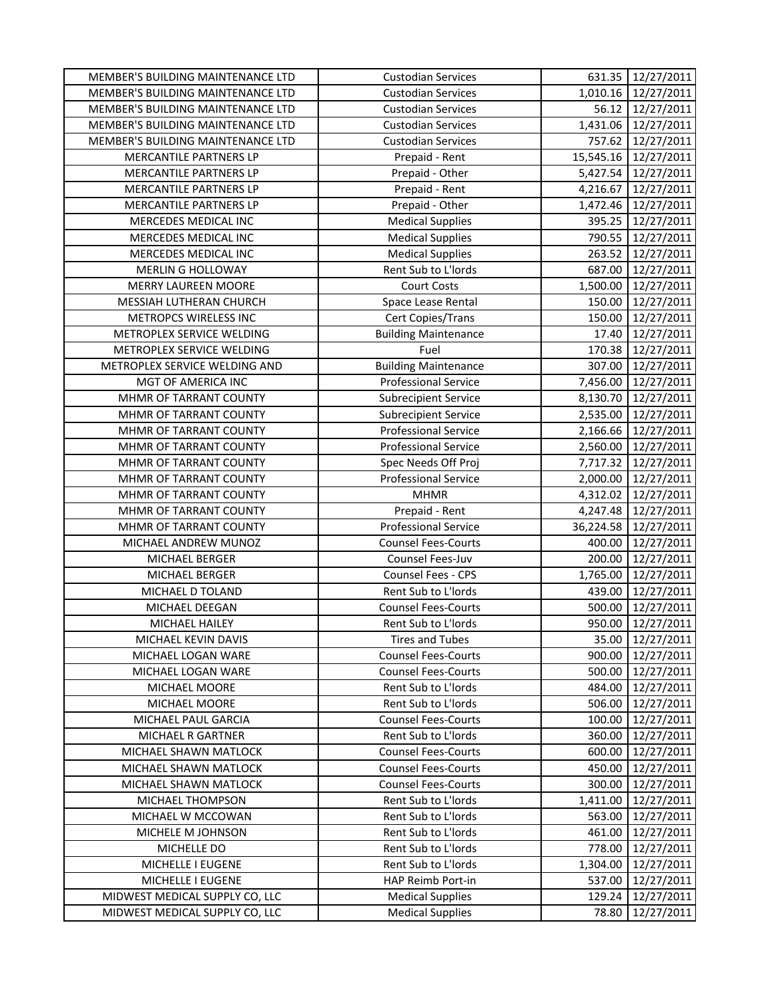| MEMBER'S BUILDING MAINTENANCE LTD | <b>Custodian Services</b>   |           | 631.35 12/27/2011    |
|-----------------------------------|-----------------------------|-----------|----------------------|
| MEMBER'S BUILDING MAINTENANCE LTD | <b>Custodian Services</b>   |           | 1,010.16 12/27/2011  |
| MEMBER'S BUILDING MAINTENANCE LTD | <b>Custodian Services</b>   |           | 56.12 12/27/2011     |
| MEMBER'S BUILDING MAINTENANCE LTD | <b>Custodian Services</b>   |           | 1,431.06 12/27/2011  |
| MEMBER'S BUILDING MAINTENANCE LTD | <b>Custodian Services</b>   | 757.62    | 12/27/2011           |
| MERCANTILE PARTNERS LP            | Prepaid - Rent              |           | 15,545.16 12/27/2011 |
| MERCANTILE PARTNERS LP            | Prepaid - Other             | 5,427.54  | 12/27/2011           |
| MERCANTILE PARTNERS LP            | Prepaid - Rent              | 4,216.67  | 12/27/2011           |
| MERCANTILE PARTNERS LP            | Prepaid - Other             | 1,472.46  | 12/27/2011           |
| MERCEDES MEDICAL INC              | <b>Medical Supplies</b>     | 395.25    | 12/27/2011           |
| MERCEDES MEDICAL INC              | <b>Medical Supplies</b>     | 790.55    | 12/27/2011           |
| MERCEDES MEDICAL INC              | <b>Medical Supplies</b>     | 263.52    | 12/27/2011           |
| MERLIN G HOLLOWAY                 | Rent Sub to L'Iords         | 687.00    | 12/27/2011           |
| <b>MERRY LAUREEN MOORE</b>        | <b>Court Costs</b>          | 1,500.00  | 12/27/2011           |
| MESSIAH LUTHERAN CHURCH           | Space Lease Rental          | 150.00    | 12/27/2011           |
| METROPCS WIRELESS INC             | Cert Copies/Trans           | 150.00    | 12/27/2011           |
| METROPLEX SERVICE WELDING         | <b>Building Maintenance</b> | 17.40     | 12/27/2011           |
| METROPLEX SERVICE WELDING         | Fuel                        | 170.38    | 12/27/2011           |
| METROPLEX SERVICE WELDING AND     | <b>Building Maintenance</b> | 307.00    | 12/27/2011           |
| MGT OF AMERICA INC                | <b>Professional Service</b> | 7,456.00  | 12/27/2011           |
| MHMR OF TARRANT COUNTY            | <b>Subrecipient Service</b> | 8,130.70  | 12/27/2011           |
| MHMR OF TARRANT COUNTY            | <b>Subrecipient Service</b> | 2,535.00  | 12/27/2011           |
| MHMR OF TARRANT COUNTY            | <b>Professional Service</b> | 2,166.66  | 12/27/2011           |
| MHMR OF TARRANT COUNTY            | <b>Professional Service</b> | 2,560.00  | 12/27/2011           |
| MHMR OF TARRANT COUNTY            | Spec Needs Off Proj         | 7,717.32  | 12/27/2011           |
| MHMR OF TARRANT COUNTY            | <b>Professional Service</b> | 2,000.00  | 12/27/2011           |
| MHMR OF TARRANT COUNTY            | <b>MHMR</b>                 | 4,312.02  | 12/27/2011           |
| MHMR OF TARRANT COUNTY            | Prepaid - Rent              | 4,247.48  | 12/27/2011           |
| MHMR OF TARRANT COUNTY            | <b>Professional Service</b> | 36,224.58 | 12/27/2011           |
| MICHAEL ANDREW MUNOZ              | <b>Counsel Fees-Courts</b>  | 400.00    | 12/27/2011           |
| MICHAEL BERGER                    | Counsel Fees-Juv            | 200.00    | 12/27/2011           |
| MICHAEL BERGER                    | Counsel Fees - CPS          | 1,765.00  | 12/27/2011           |
| MICHAEL D TOLAND                  | Rent Sub to L'Iords         | 439.00    | 12/27/2011           |
| MICHAEL DEEGAN                    | <b>Counsel Fees-Courts</b>  | 500.00    | 12/27/2011           |
| MICHAEL HAILEY                    | Rent Sub to L'Iords         | 950.00    | 12/27/2011           |
| MICHAEL KEVIN DAVIS               | <b>Tires and Tubes</b>      | 35.00     | 12/27/2011           |
| MICHAEL LOGAN WARE                | <b>Counsel Fees-Courts</b>  | 900.00    | 12/27/2011           |
| MICHAEL LOGAN WARE                | <b>Counsel Fees-Courts</b>  | 500.00    | 12/27/2011           |
| MICHAEL MOORE                     | Rent Sub to L'Iords         | 484.00    | 12/27/2011           |
| MICHAEL MOORE                     | Rent Sub to L'Iords         | 506.00    | 12/27/2011           |
| MICHAEL PAUL GARCIA               | <b>Counsel Fees-Courts</b>  | 100.00    | 12/27/2011           |
| MICHAEL R GARTNER                 | Rent Sub to L'Iords         | 360.00    | 12/27/2011           |
| MICHAEL SHAWN MATLOCK             | <b>Counsel Fees-Courts</b>  | 600.00    | 12/27/2011           |
| MICHAEL SHAWN MATLOCK             | <b>Counsel Fees-Courts</b>  | 450.00    | 12/27/2011           |
| MICHAEL SHAWN MATLOCK             | <b>Counsel Fees-Courts</b>  | 300.00    | 12/27/2011           |
| MICHAEL THOMPSON                  | Rent Sub to L'Iords         | 1,411.00  | 12/27/2011           |
| MICHAEL W MCCOWAN                 | Rent Sub to L'Iords         | 563.00    | 12/27/2011           |
| MICHELE M JOHNSON                 | Rent Sub to L'Iords         | 461.00    | 12/27/2011           |
| MICHELLE DO                       | Rent Sub to L'Iords         | 778.00    | 12/27/2011           |
| MICHELLE I EUGENE                 | Rent Sub to L'Iords         | 1,304.00  | 12/27/2011           |
| MICHELLE I EUGENE                 | HAP Reimb Port-in           | 537.00    | 12/27/2011           |
| MIDWEST MEDICAL SUPPLY CO, LLC    | <b>Medical Supplies</b>     | 129.24    | 12/27/2011           |
| MIDWEST MEDICAL SUPPLY CO, LLC    | <b>Medical Supplies</b>     | 78.80     | 12/27/2011           |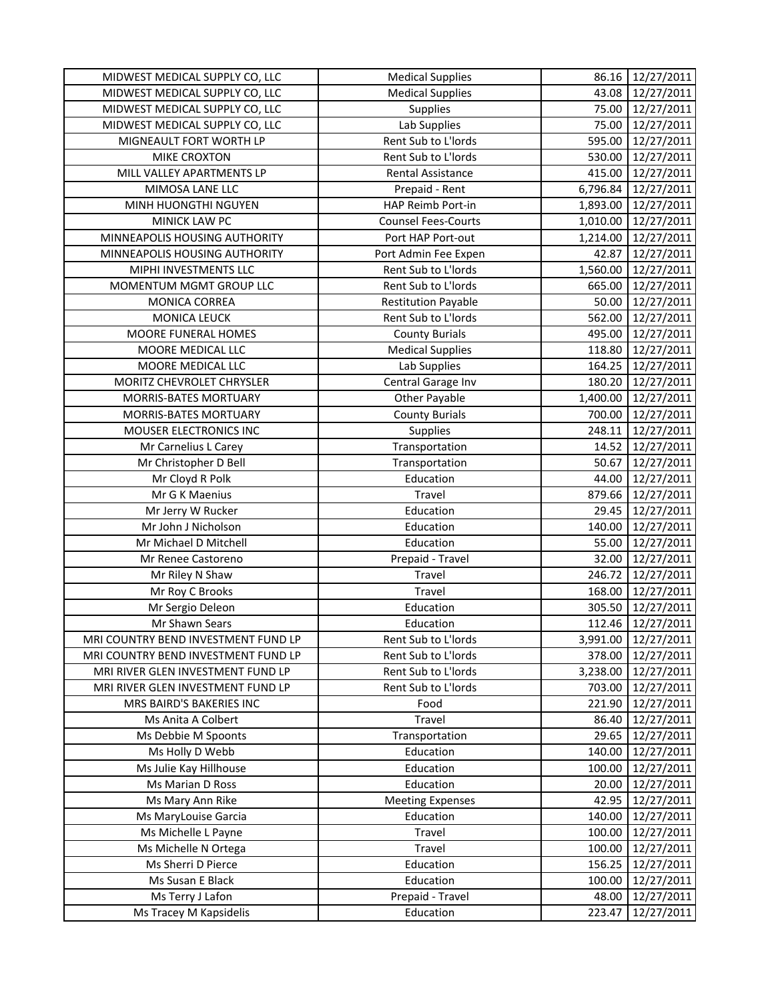| MIDWEST MEDICAL SUPPLY CO, LLC      | <b>Medical Supplies</b>    | 86.16    | 12/27/2011 |
|-------------------------------------|----------------------------|----------|------------|
| MIDWEST MEDICAL SUPPLY CO, LLC      | <b>Medical Supplies</b>    | 43.08    | 12/27/2011 |
| MIDWEST MEDICAL SUPPLY CO, LLC      | <b>Supplies</b>            | 75.00    | 12/27/2011 |
| MIDWEST MEDICAL SUPPLY CO, LLC      | Lab Supplies               | 75.00    | 12/27/2011 |
| MIGNEAULT FORT WORTH LP             | Rent Sub to L'Iords        | 595.00   | 12/27/2011 |
| MIKE CROXTON                        | Rent Sub to L'Iords        | 530.00   | 12/27/2011 |
| MILL VALLEY APARTMENTS LP           | Rental Assistance          | 415.00   | 12/27/2011 |
| MIMOSA LANE LLC                     | Prepaid - Rent             | 6,796.84 | 12/27/2011 |
| MINH HUONGTHI NGUYEN                | HAP Reimb Port-in          | 1,893.00 | 12/27/2011 |
| MINICK LAW PC                       | <b>Counsel Fees-Courts</b> | 1,010.00 | 12/27/2011 |
| MINNEAPOLIS HOUSING AUTHORITY       | Port HAP Port-out          | 1,214.00 | 12/27/2011 |
| MINNEAPOLIS HOUSING AUTHORITY       | Port Admin Fee Expen       | 42.87    | 12/27/2011 |
| MIPHI INVESTMENTS LLC               | Rent Sub to L'Iords        | 1,560.00 | 12/27/2011 |
| MOMENTUM MGMT GROUP LLC             | Rent Sub to L'Iords        | 665.00   | 12/27/2011 |
| MONICA CORREA                       | <b>Restitution Payable</b> | 50.00    | 12/27/2011 |
| <b>MONICA LEUCK</b>                 | Rent Sub to L'Iords        | 562.00   | 12/27/2011 |
| MOORE FUNERAL HOMES                 | <b>County Burials</b>      | 495.00   | 12/27/2011 |
| MOORE MEDICAL LLC                   | <b>Medical Supplies</b>    | 118.80   | 12/27/2011 |
| MOORE MEDICAL LLC                   | Lab Supplies               | 164.25   | 12/27/2011 |
| MORITZ CHEVROLET CHRYSLER           | Central Garage Inv         | 180.20   | 12/27/2011 |
| <b>MORRIS-BATES MORTUARY</b>        | <b>Other Payable</b>       | 1,400.00 | 12/27/2011 |
| MORRIS-BATES MORTUARY               | <b>County Burials</b>      | 700.00   | 12/27/2011 |
| MOUSER ELECTRONICS INC              | Supplies                   | 248.11   | 12/27/2011 |
| Mr Carnelius L Carey                | Transportation             | 14.52    | 12/27/2011 |
| Mr Christopher D Bell               | Transportation             | 50.67    | 12/27/2011 |
| Mr Cloyd R Polk                     | Education                  | 44.00    | 12/27/2011 |
| Mr G K Maenius                      | Travel                     | 879.66   | 12/27/2011 |
| Mr Jerry W Rucker                   | Education                  | 29.45    | 12/27/2011 |
| Mr John J Nicholson                 | Education                  | 140.00   | 12/27/2011 |
| Mr Michael D Mitchell               | Education                  | 55.00    | 12/27/2011 |
| Mr Renee Castoreno                  | Prepaid - Travel           | 32.00    | 12/27/2011 |
| Mr Riley N Shaw                     | Travel                     | 246.72   | 12/27/2011 |
| Mr Roy C Brooks                     | Travel                     | 168.00   | 12/27/2011 |
| Mr Sergio Deleon                    | Education                  | 305.50   | 12/27/2011 |
| Mr Shawn Sears                      | Education                  | 112.46   | 12/27/2011 |
| MRI COUNTRY BEND INVESTMENT FUND LP | Rent Sub to L'Iords        | 3,991.00 | 12/27/2011 |
| MRI COUNTRY BEND INVESTMENT FUND LP | Rent Sub to L'Iords        | 378.00   | 12/27/2011 |
| MRI RIVER GLEN INVESTMENT FUND LP   | Rent Sub to L'Iords        | 3,238.00 | 12/27/2011 |
| MRI RIVER GLEN INVESTMENT FUND LP   | Rent Sub to L'Iords        | 703.00   | 12/27/2011 |
| MRS BAIRD'S BAKERIES INC            | Food                       | 221.90   | 12/27/2011 |
| Ms Anita A Colbert                  | Travel                     | 86.40    | 12/27/2011 |
| Ms Debbie M Spoonts                 | Transportation             | 29.65    | 12/27/2011 |
| Ms Holly D Webb                     | Education                  | 140.00   | 12/27/2011 |
| Ms Julie Kay Hillhouse              | Education                  | 100.00   | 12/27/2011 |
| Ms Marian D Ross                    | Education                  | 20.00    | 12/27/2011 |
| Ms Mary Ann Rike                    | <b>Meeting Expenses</b>    | 42.95    | 12/27/2011 |
| Ms MaryLouise Garcia                | Education                  | 140.00   | 12/27/2011 |
| Ms Michelle L Payne                 | Travel                     | 100.00   | 12/27/2011 |
| Ms Michelle N Ortega                | Travel                     | 100.00   | 12/27/2011 |
| Ms Sherri D Pierce                  | Education                  | 156.25   | 12/27/2011 |
| Ms Susan E Black                    | Education                  | 100.00   | 12/27/2011 |
| Ms Terry J Lafon                    | Prepaid - Travel           | 48.00    | 12/27/2011 |
| Ms Tracey M Kapsidelis              | Education                  | 223.47   | 12/27/2011 |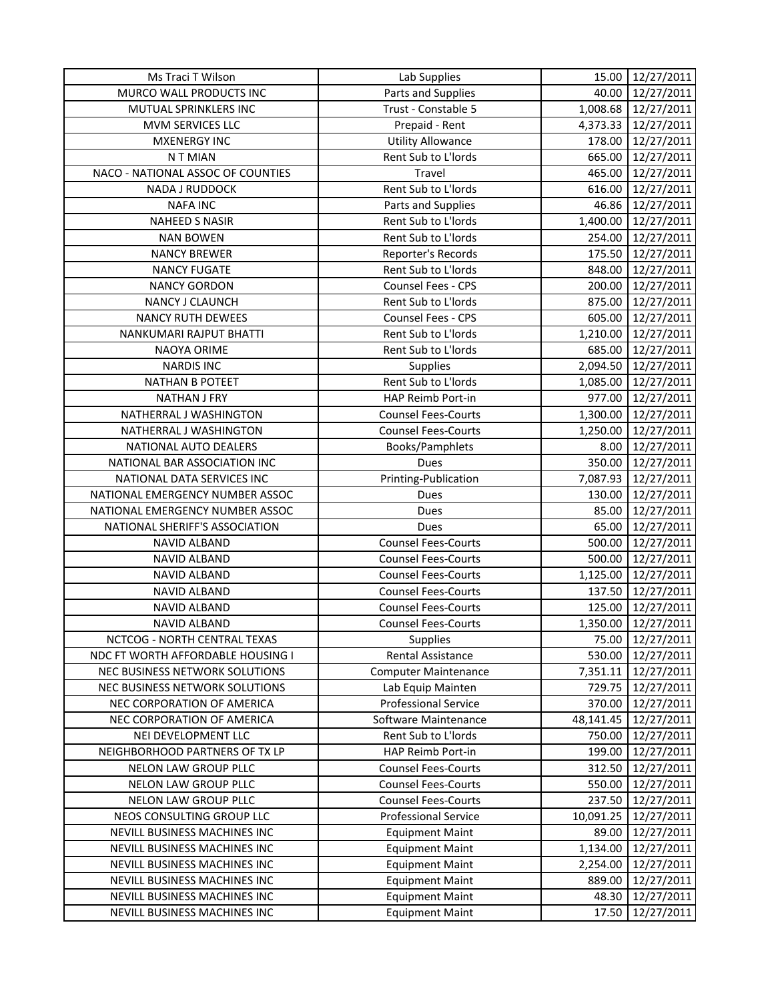| Parts and Supplies<br>MURCO WALL PRODUCTS INC<br>40.00<br>12/27/2011<br>Trust - Constable 5<br>MUTUAL SPRINKLERS INC<br>1,008.68<br>12/27/2011<br>Prepaid - Rent<br>12/27/2011<br>MVM SERVICES LLC<br>4,373.33<br><b>Utility Allowance</b><br><b>MXENERGY INC</b><br>178.00<br>12/27/2011<br>Rent Sub to L'Iords<br>665.00<br>12/27/2011<br>N T MIAN<br>NACO - NATIONAL ASSOC OF COUNTIES<br>Travel<br>465.00<br>12/27/2011<br>Rent Sub to L'Iords<br>12/27/2011<br>NADA J RUDDOCK<br>616.00<br><b>NAFA INC</b><br>Parts and Supplies<br>46.86<br>12/27/2011<br>Rent Sub to L'Iords<br>NAHEED S NASIR<br>1,400.00<br>12/27/2011<br><b>NAN BOWEN</b><br>Rent Sub to L'Iords<br>254.00<br>12/27/2011<br>175.50<br>12/27/2011<br><b>NANCY BREWER</b><br>Reporter's Records<br>Rent Sub to L'Iords<br><b>NANCY FUGATE</b><br>848.00<br>12/27/2011<br>200.00<br>12/27/2011<br><b>NANCY GORDON</b><br><b>Counsel Fees - CPS</b><br>12/27/2011<br>Rent Sub to L'Iords<br>875.00<br>NANCY J CLAUNCH<br><b>NANCY RUTH DEWEES</b><br>Counsel Fees - CPS<br>605.00<br>12/27/2011<br>Rent Sub to L'Iords<br>1,210.00<br>12/27/2011<br>NANKUMARI RAJPUT BHATTI<br>NAOYA ORIME<br>Rent Sub to L'Iords<br>685.00<br>12/27/2011<br>Supplies<br>2,094.50<br>12/27/2011<br><b>NARDIS INC</b><br>Rent Sub to L'Iords<br><b>NATHAN B POTEET</b><br>1,085.00<br>12/27/2011<br>HAP Reimb Port-in<br>977.00<br>12/27/2011<br><b>NATHAN J FRY</b><br>1,300.00<br>12/27/2011<br>NATHERRAL J WASHINGTON<br><b>Counsel Fees-Courts</b><br>12/27/2011<br>NATHERRAL J WASHINGTON<br><b>Counsel Fees-Courts</b><br>1,250.00<br>Books/Pamphlets<br>12/27/2011<br>NATIONAL AUTO DEALERS<br>8.00<br>350.00<br>12/27/2011<br>NATIONAL BAR ASSOCIATION INC<br>Dues<br>NATIONAL DATA SERVICES INC<br>Printing-Publication<br>7,087.93<br>12/27/2011<br>NATIONAL EMERGENCY NUMBER ASSOC<br>12/27/2011<br>Dues<br>130.00<br>NATIONAL EMERGENCY NUMBER ASSOC<br>85.00<br>12/27/2011<br>Dues<br>NATIONAL SHERIFF'S ASSOCIATION<br>65.00<br>12/27/2011<br>Dues<br><b>Counsel Fees-Courts</b><br>500.00<br>NAVID ALBAND<br>12/27/2011<br>500.00<br>12/27/2011<br>NAVID ALBAND<br><b>Counsel Fees-Courts</b><br>1,125.00<br>NAVID ALBAND<br><b>Counsel Fees-Courts</b><br>12/27/2011<br>NAVID ALBAND<br><b>Counsel Fees-Courts</b><br>137.50<br>12/27/2011<br>NAVID ALBAND<br><b>Counsel Fees-Courts</b><br>125.00<br>12/27/2011<br><b>Counsel Fees-Courts</b><br>1,350.00<br>12/27/2011<br><b>NAVID ALBAND</b><br>NCTCOG - NORTH CENTRAL TEXAS<br><b>Supplies</b><br>75.00<br>12/27/2011<br>NDC FT WORTH AFFORDABLE HOUSING I<br>530.00<br>12/27/2011<br><b>Rental Assistance</b><br>NEC BUSINESS NETWORK SOLUTIONS<br><b>Computer Maintenance</b><br>7,351.11<br>12/27/2011<br>NEC BUSINESS NETWORK SOLUTIONS<br>729.75<br>12/27/2011<br>Lab Equip Mainten<br><b>Professional Service</b><br>12/27/2011<br>NEC CORPORATION OF AMERICA<br>370.00<br>NEC CORPORATION OF AMERICA<br>Software Maintenance<br>48,141.45<br>12/27/2011<br>NEI DEVELOPMENT LLC<br>Rent Sub to L'Iords<br>750.00<br>12/27/2011<br>HAP Reimb Port-in<br>199.00<br>12/27/2011<br>NEIGHBORHOOD PARTNERS OF TX LP<br>NELON LAW GROUP PLLC<br><b>Counsel Fees-Courts</b><br>12/27/2011<br>312.50<br>NELON LAW GROUP PLLC<br><b>Counsel Fees-Courts</b><br>550.00<br>12/27/2011<br>NELON LAW GROUP PLLC<br><b>Counsel Fees-Courts</b><br>237.50<br>12/27/2011<br>NEOS CONSULTING GROUP LLC<br><b>Professional Service</b><br>10,091.25<br>12/27/2011<br>NEVILL BUSINESS MACHINES INC<br>12/27/2011<br><b>Equipment Maint</b><br>89.00<br>NEVILL BUSINESS MACHINES INC<br><b>Equipment Maint</b><br>1,134.00<br>12/27/2011 | Ms Traci T Wilson | Lab Supplies | 15.00 | 12/27/2011 |
|----------------------------------------------------------------------------------------------------------------------------------------------------------------------------------------------------------------------------------------------------------------------------------------------------------------------------------------------------------------------------------------------------------------------------------------------------------------------------------------------------------------------------------------------------------------------------------------------------------------------------------------------------------------------------------------------------------------------------------------------------------------------------------------------------------------------------------------------------------------------------------------------------------------------------------------------------------------------------------------------------------------------------------------------------------------------------------------------------------------------------------------------------------------------------------------------------------------------------------------------------------------------------------------------------------------------------------------------------------------------------------------------------------------------------------------------------------------------------------------------------------------------------------------------------------------------------------------------------------------------------------------------------------------------------------------------------------------------------------------------------------------------------------------------------------------------------------------------------------------------------------------------------------------------------------------------------------------------------------------------------------------------------------------------------------------------------------------------------------------------------------------------------------------------------------------------------------------------------------------------------------------------------------------------------------------------------------------------------------------------------------------------------------------------------------------------------------------------------------------------------------------------------------------------------------------------------------------------------------------------------------------------------------------------------------------------------------------------------------------------------------------------------------------------------------------------------------------------------------------------------------------------------------------------------------------------------------------------------------------------------------------------------------------------------------------------------------------------------------------------------------------------------------------------------------------------------------------------------------------------------------------------------------------------------------------------------------------------------------------------------------------------------------------------------------------------------------------------------------------------------------------------------------------------------------------------------------------------------------------------------------------------------|-------------------|--------------|-------|------------|
|                                                                                                                                                                                                                                                                                                                                                                                                                                                                                                                                                                                                                                                                                                                                                                                                                                                                                                                                                                                                                                                                                                                                                                                                                                                                                                                                                                                                                                                                                                                                                                                                                                                                                                                                                                                                                                                                                                                                                                                                                                                                                                                                                                                                                                                                                                                                                                                                                                                                                                                                                                                                                                                                                                                                                                                                                                                                                                                                                                                                                                                                                                                                                                                                                                                                                                                                                                                                                                                                                                                                                                                                                                                    |                   |              |       |            |
|                                                                                                                                                                                                                                                                                                                                                                                                                                                                                                                                                                                                                                                                                                                                                                                                                                                                                                                                                                                                                                                                                                                                                                                                                                                                                                                                                                                                                                                                                                                                                                                                                                                                                                                                                                                                                                                                                                                                                                                                                                                                                                                                                                                                                                                                                                                                                                                                                                                                                                                                                                                                                                                                                                                                                                                                                                                                                                                                                                                                                                                                                                                                                                                                                                                                                                                                                                                                                                                                                                                                                                                                                                                    |                   |              |       |            |
|                                                                                                                                                                                                                                                                                                                                                                                                                                                                                                                                                                                                                                                                                                                                                                                                                                                                                                                                                                                                                                                                                                                                                                                                                                                                                                                                                                                                                                                                                                                                                                                                                                                                                                                                                                                                                                                                                                                                                                                                                                                                                                                                                                                                                                                                                                                                                                                                                                                                                                                                                                                                                                                                                                                                                                                                                                                                                                                                                                                                                                                                                                                                                                                                                                                                                                                                                                                                                                                                                                                                                                                                                                                    |                   |              |       |            |
|                                                                                                                                                                                                                                                                                                                                                                                                                                                                                                                                                                                                                                                                                                                                                                                                                                                                                                                                                                                                                                                                                                                                                                                                                                                                                                                                                                                                                                                                                                                                                                                                                                                                                                                                                                                                                                                                                                                                                                                                                                                                                                                                                                                                                                                                                                                                                                                                                                                                                                                                                                                                                                                                                                                                                                                                                                                                                                                                                                                                                                                                                                                                                                                                                                                                                                                                                                                                                                                                                                                                                                                                                                                    |                   |              |       |            |
|                                                                                                                                                                                                                                                                                                                                                                                                                                                                                                                                                                                                                                                                                                                                                                                                                                                                                                                                                                                                                                                                                                                                                                                                                                                                                                                                                                                                                                                                                                                                                                                                                                                                                                                                                                                                                                                                                                                                                                                                                                                                                                                                                                                                                                                                                                                                                                                                                                                                                                                                                                                                                                                                                                                                                                                                                                                                                                                                                                                                                                                                                                                                                                                                                                                                                                                                                                                                                                                                                                                                                                                                                                                    |                   |              |       |            |
|                                                                                                                                                                                                                                                                                                                                                                                                                                                                                                                                                                                                                                                                                                                                                                                                                                                                                                                                                                                                                                                                                                                                                                                                                                                                                                                                                                                                                                                                                                                                                                                                                                                                                                                                                                                                                                                                                                                                                                                                                                                                                                                                                                                                                                                                                                                                                                                                                                                                                                                                                                                                                                                                                                                                                                                                                                                                                                                                                                                                                                                                                                                                                                                                                                                                                                                                                                                                                                                                                                                                                                                                                                                    |                   |              |       |            |
|                                                                                                                                                                                                                                                                                                                                                                                                                                                                                                                                                                                                                                                                                                                                                                                                                                                                                                                                                                                                                                                                                                                                                                                                                                                                                                                                                                                                                                                                                                                                                                                                                                                                                                                                                                                                                                                                                                                                                                                                                                                                                                                                                                                                                                                                                                                                                                                                                                                                                                                                                                                                                                                                                                                                                                                                                                                                                                                                                                                                                                                                                                                                                                                                                                                                                                                                                                                                                                                                                                                                                                                                                                                    |                   |              |       |            |
|                                                                                                                                                                                                                                                                                                                                                                                                                                                                                                                                                                                                                                                                                                                                                                                                                                                                                                                                                                                                                                                                                                                                                                                                                                                                                                                                                                                                                                                                                                                                                                                                                                                                                                                                                                                                                                                                                                                                                                                                                                                                                                                                                                                                                                                                                                                                                                                                                                                                                                                                                                                                                                                                                                                                                                                                                                                                                                                                                                                                                                                                                                                                                                                                                                                                                                                                                                                                                                                                                                                                                                                                                                                    |                   |              |       |            |
|                                                                                                                                                                                                                                                                                                                                                                                                                                                                                                                                                                                                                                                                                                                                                                                                                                                                                                                                                                                                                                                                                                                                                                                                                                                                                                                                                                                                                                                                                                                                                                                                                                                                                                                                                                                                                                                                                                                                                                                                                                                                                                                                                                                                                                                                                                                                                                                                                                                                                                                                                                                                                                                                                                                                                                                                                                                                                                                                                                                                                                                                                                                                                                                                                                                                                                                                                                                                                                                                                                                                                                                                                                                    |                   |              |       |            |
|                                                                                                                                                                                                                                                                                                                                                                                                                                                                                                                                                                                                                                                                                                                                                                                                                                                                                                                                                                                                                                                                                                                                                                                                                                                                                                                                                                                                                                                                                                                                                                                                                                                                                                                                                                                                                                                                                                                                                                                                                                                                                                                                                                                                                                                                                                                                                                                                                                                                                                                                                                                                                                                                                                                                                                                                                                                                                                                                                                                                                                                                                                                                                                                                                                                                                                                                                                                                                                                                                                                                                                                                                                                    |                   |              |       |            |
|                                                                                                                                                                                                                                                                                                                                                                                                                                                                                                                                                                                                                                                                                                                                                                                                                                                                                                                                                                                                                                                                                                                                                                                                                                                                                                                                                                                                                                                                                                                                                                                                                                                                                                                                                                                                                                                                                                                                                                                                                                                                                                                                                                                                                                                                                                                                                                                                                                                                                                                                                                                                                                                                                                                                                                                                                                                                                                                                                                                                                                                                                                                                                                                                                                                                                                                                                                                                                                                                                                                                                                                                                                                    |                   |              |       |            |
|                                                                                                                                                                                                                                                                                                                                                                                                                                                                                                                                                                                                                                                                                                                                                                                                                                                                                                                                                                                                                                                                                                                                                                                                                                                                                                                                                                                                                                                                                                                                                                                                                                                                                                                                                                                                                                                                                                                                                                                                                                                                                                                                                                                                                                                                                                                                                                                                                                                                                                                                                                                                                                                                                                                                                                                                                                                                                                                                                                                                                                                                                                                                                                                                                                                                                                                                                                                                                                                                                                                                                                                                                                                    |                   |              |       |            |
|                                                                                                                                                                                                                                                                                                                                                                                                                                                                                                                                                                                                                                                                                                                                                                                                                                                                                                                                                                                                                                                                                                                                                                                                                                                                                                                                                                                                                                                                                                                                                                                                                                                                                                                                                                                                                                                                                                                                                                                                                                                                                                                                                                                                                                                                                                                                                                                                                                                                                                                                                                                                                                                                                                                                                                                                                                                                                                                                                                                                                                                                                                                                                                                                                                                                                                                                                                                                                                                                                                                                                                                                                                                    |                   |              |       |            |
|                                                                                                                                                                                                                                                                                                                                                                                                                                                                                                                                                                                                                                                                                                                                                                                                                                                                                                                                                                                                                                                                                                                                                                                                                                                                                                                                                                                                                                                                                                                                                                                                                                                                                                                                                                                                                                                                                                                                                                                                                                                                                                                                                                                                                                                                                                                                                                                                                                                                                                                                                                                                                                                                                                                                                                                                                                                                                                                                                                                                                                                                                                                                                                                                                                                                                                                                                                                                                                                                                                                                                                                                                                                    |                   |              |       |            |
|                                                                                                                                                                                                                                                                                                                                                                                                                                                                                                                                                                                                                                                                                                                                                                                                                                                                                                                                                                                                                                                                                                                                                                                                                                                                                                                                                                                                                                                                                                                                                                                                                                                                                                                                                                                                                                                                                                                                                                                                                                                                                                                                                                                                                                                                                                                                                                                                                                                                                                                                                                                                                                                                                                                                                                                                                                                                                                                                                                                                                                                                                                                                                                                                                                                                                                                                                                                                                                                                                                                                                                                                                                                    |                   |              |       |            |
|                                                                                                                                                                                                                                                                                                                                                                                                                                                                                                                                                                                                                                                                                                                                                                                                                                                                                                                                                                                                                                                                                                                                                                                                                                                                                                                                                                                                                                                                                                                                                                                                                                                                                                                                                                                                                                                                                                                                                                                                                                                                                                                                                                                                                                                                                                                                                                                                                                                                                                                                                                                                                                                                                                                                                                                                                                                                                                                                                                                                                                                                                                                                                                                                                                                                                                                                                                                                                                                                                                                                                                                                                                                    |                   |              |       |            |
|                                                                                                                                                                                                                                                                                                                                                                                                                                                                                                                                                                                                                                                                                                                                                                                                                                                                                                                                                                                                                                                                                                                                                                                                                                                                                                                                                                                                                                                                                                                                                                                                                                                                                                                                                                                                                                                                                                                                                                                                                                                                                                                                                                                                                                                                                                                                                                                                                                                                                                                                                                                                                                                                                                                                                                                                                                                                                                                                                                                                                                                                                                                                                                                                                                                                                                                                                                                                                                                                                                                                                                                                                                                    |                   |              |       |            |
|                                                                                                                                                                                                                                                                                                                                                                                                                                                                                                                                                                                                                                                                                                                                                                                                                                                                                                                                                                                                                                                                                                                                                                                                                                                                                                                                                                                                                                                                                                                                                                                                                                                                                                                                                                                                                                                                                                                                                                                                                                                                                                                                                                                                                                                                                                                                                                                                                                                                                                                                                                                                                                                                                                                                                                                                                                                                                                                                                                                                                                                                                                                                                                                                                                                                                                                                                                                                                                                                                                                                                                                                                                                    |                   |              |       |            |
|                                                                                                                                                                                                                                                                                                                                                                                                                                                                                                                                                                                                                                                                                                                                                                                                                                                                                                                                                                                                                                                                                                                                                                                                                                                                                                                                                                                                                                                                                                                                                                                                                                                                                                                                                                                                                                                                                                                                                                                                                                                                                                                                                                                                                                                                                                                                                                                                                                                                                                                                                                                                                                                                                                                                                                                                                                                                                                                                                                                                                                                                                                                                                                                                                                                                                                                                                                                                                                                                                                                                                                                                                                                    |                   |              |       |            |
|                                                                                                                                                                                                                                                                                                                                                                                                                                                                                                                                                                                                                                                                                                                                                                                                                                                                                                                                                                                                                                                                                                                                                                                                                                                                                                                                                                                                                                                                                                                                                                                                                                                                                                                                                                                                                                                                                                                                                                                                                                                                                                                                                                                                                                                                                                                                                                                                                                                                                                                                                                                                                                                                                                                                                                                                                                                                                                                                                                                                                                                                                                                                                                                                                                                                                                                                                                                                                                                                                                                                                                                                                                                    |                   |              |       |            |
|                                                                                                                                                                                                                                                                                                                                                                                                                                                                                                                                                                                                                                                                                                                                                                                                                                                                                                                                                                                                                                                                                                                                                                                                                                                                                                                                                                                                                                                                                                                                                                                                                                                                                                                                                                                                                                                                                                                                                                                                                                                                                                                                                                                                                                                                                                                                                                                                                                                                                                                                                                                                                                                                                                                                                                                                                                                                                                                                                                                                                                                                                                                                                                                                                                                                                                                                                                                                                                                                                                                                                                                                                                                    |                   |              |       |            |
|                                                                                                                                                                                                                                                                                                                                                                                                                                                                                                                                                                                                                                                                                                                                                                                                                                                                                                                                                                                                                                                                                                                                                                                                                                                                                                                                                                                                                                                                                                                                                                                                                                                                                                                                                                                                                                                                                                                                                                                                                                                                                                                                                                                                                                                                                                                                                                                                                                                                                                                                                                                                                                                                                                                                                                                                                                                                                                                                                                                                                                                                                                                                                                                                                                                                                                                                                                                                                                                                                                                                                                                                                                                    |                   |              |       |            |
|                                                                                                                                                                                                                                                                                                                                                                                                                                                                                                                                                                                                                                                                                                                                                                                                                                                                                                                                                                                                                                                                                                                                                                                                                                                                                                                                                                                                                                                                                                                                                                                                                                                                                                                                                                                                                                                                                                                                                                                                                                                                                                                                                                                                                                                                                                                                                                                                                                                                                                                                                                                                                                                                                                                                                                                                                                                                                                                                                                                                                                                                                                                                                                                                                                                                                                                                                                                                                                                                                                                                                                                                                                                    |                   |              |       |            |
|                                                                                                                                                                                                                                                                                                                                                                                                                                                                                                                                                                                                                                                                                                                                                                                                                                                                                                                                                                                                                                                                                                                                                                                                                                                                                                                                                                                                                                                                                                                                                                                                                                                                                                                                                                                                                                                                                                                                                                                                                                                                                                                                                                                                                                                                                                                                                                                                                                                                                                                                                                                                                                                                                                                                                                                                                                                                                                                                                                                                                                                                                                                                                                                                                                                                                                                                                                                                                                                                                                                                                                                                                                                    |                   |              |       |            |
|                                                                                                                                                                                                                                                                                                                                                                                                                                                                                                                                                                                                                                                                                                                                                                                                                                                                                                                                                                                                                                                                                                                                                                                                                                                                                                                                                                                                                                                                                                                                                                                                                                                                                                                                                                                                                                                                                                                                                                                                                                                                                                                                                                                                                                                                                                                                                                                                                                                                                                                                                                                                                                                                                                                                                                                                                                                                                                                                                                                                                                                                                                                                                                                                                                                                                                                                                                                                                                                                                                                                                                                                                                                    |                   |              |       |            |
|                                                                                                                                                                                                                                                                                                                                                                                                                                                                                                                                                                                                                                                                                                                                                                                                                                                                                                                                                                                                                                                                                                                                                                                                                                                                                                                                                                                                                                                                                                                                                                                                                                                                                                                                                                                                                                                                                                                                                                                                                                                                                                                                                                                                                                                                                                                                                                                                                                                                                                                                                                                                                                                                                                                                                                                                                                                                                                                                                                                                                                                                                                                                                                                                                                                                                                                                                                                                                                                                                                                                                                                                                                                    |                   |              |       |            |
|                                                                                                                                                                                                                                                                                                                                                                                                                                                                                                                                                                                                                                                                                                                                                                                                                                                                                                                                                                                                                                                                                                                                                                                                                                                                                                                                                                                                                                                                                                                                                                                                                                                                                                                                                                                                                                                                                                                                                                                                                                                                                                                                                                                                                                                                                                                                                                                                                                                                                                                                                                                                                                                                                                                                                                                                                                                                                                                                                                                                                                                                                                                                                                                                                                                                                                                                                                                                                                                                                                                                                                                                                                                    |                   |              |       |            |
|                                                                                                                                                                                                                                                                                                                                                                                                                                                                                                                                                                                                                                                                                                                                                                                                                                                                                                                                                                                                                                                                                                                                                                                                                                                                                                                                                                                                                                                                                                                                                                                                                                                                                                                                                                                                                                                                                                                                                                                                                                                                                                                                                                                                                                                                                                                                                                                                                                                                                                                                                                                                                                                                                                                                                                                                                                                                                                                                                                                                                                                                                                                                                                                                                                                                                                                                                                                                                                                                                                                                                                                                                                                    |                   |              |       |            |
|                                                                                                                                                                                                                                                                                                                                                                                                                                                                                                                                                                                                                                                                                                                                                                                                                                                                                                                                                                                                                                                                                                                                                                                                                                                                                                                                                                                                                                                                                                                                                                                                                                                                                                                                                                                                                                                                                                                                                                                                                                                                                                                                                                                                                                                                                                                                                                                                                                                                                                                                                                                                                                                                                                                                                                                                                                                                                                                                                                                                                                                                                                                                                                                                                                                                                                                                                                                                                                                                                                                                                                                                                                                    |                   |              |       |            |
|                                                                                                                                                                                                                                                                                                                                                                                                                                                                                                                                                                                                                                                                                                                                                                                                                                                                                                                                                                                                                                                                                                                                                                                                                                                                                                                                                                                                                                                                                                                                                                                                                                                                                                                                                                                                                                                                                                                                                                                                                                                                                                                                                                                                                                                                                                                                                                                                                                                                                                                                                                                                                                                                                                                                                                                                                                                                                                                                                                                                                                                                                                                                                                                                                                                                                                                                                                                                                                                                                                                                                                                                                                                    |                   |              |       |            |
|                                                                                                                                                                                                                                                                                                                                                                                                                                                                                                                                                                                                                                                                                                                                                                                                                                                                                                                                                                                                                                                                                                                                                                                                                                                                                                                                                                                                                                                                                                                                                                                                                                                                                                                                                                                                                                                                                                                                                                                                                                                                                                                                                                                                                                                                                                                                                                                                                                                                                                                                                                                                                                                                                                                                                                                                                                                                                                                                                                                                                                                                                                                                                                                                                                                                                                                                                                                                                                                                                                                                                                                                                                                    |                   |              |       |            |
|                                                                                                                                                                                                                                                                                                                                                                                                                                                                                                                                                                                                                                                                                                                                                                                                                                                                                                                                                                                                                                                                                                                                                                                                                                                                                                                                                                                                                                                                                                                                                                                                                                                                                                                                                                                                                                                                                                                                                                                                                                                                                                                                                                                                                                                                                                                                                                                                                                                                                                                                                                                                                                                                                                                                                                                                                                                                                                                                                                                                                                                                                                                                                                                                                                                                                                                                                                                                                                                                                                                                                                                                                                                    |                   |              |       |            |
|                                                                                                                                                                                                                                                                                                                                                                                                                                                                                                                                                                                                                                                                                                                                                                                                                                                                                                                                                                                                                                                                                                                                                                                                                                                                                                                                                                                                                                                                                                                                                                                                                                                                                                                                                                                                                                                                                                                                                                                                                                                                                                                                                                                                                                                                                                                                                                                                                                                                                                                                                                                                                                                                                                                                                                                                                                                                                                                                                                                                                                                                                                                                                                                                                                                                                                                                                                                                                                                                                                                                                                                                                                                    |                   |              |       |            |
|                                                                                                                                                                                                                                                                                                                                                                                                                                                                                                                                                                                                                                                                                                                                                                                                                                                                                                                                                                                                                                                                                                                                                                                                                                                                                                                                                                                                                                                                                                                                                                                                                                                                                                                                                                                                                                                                                                                                                                                                                                                                                                                                                                                                                                                                                                                                                                                                                                                                                                                                                                                                                                                                                                                                                                                                                                                                                                                                                                                                                                                                                                                                                                                                                                                                                                                                                                                                                                                                                                                                                                                                                                                    |                   |              |       |            |
|                                                                                                                                                                                                                                                                                                                                                                                                                                                                                                                                                                                                                                                                                                                                                                                                                                                                                                                                                                                                                                                                                                                                                                                                                                                                                                                                                                                                                                                                                                                                                                                                                                                                                                                                                                                                                                                                                                                                                                                                                                                                                                                                                                                                                                                                                                                                                                                                                                                                                                                                                                                                                                                                                                                                                                                                                                                                                                                                                                                                                                                                                                                                                                                                                                                                                                                                                                                                                                                                                                                                                                                                                                                    |                   |              |       |            |
|                                                                                                                                                                                                                                                                                                                                                                                                                                                                                                                                                                                                                                                                                                                                                                                                                                                                                                                                                                                                                                                                                                                                                                                                                                                                                                                                                                                                                                                                                                                                                                                                                                                                                                                                                                                                                                                                                                                                                                                                                                                                                                                                                                                                                                                                                                                                                                                                                                                                                                                                                                                                                                                                                                                                                                                                                                                                                                                                                                                                                                                                                                                                                                                                                                                                                                                                                                                                                                                                                                                                                                                                                                                    |                   |              |       |            |
|                                                                                                                                                                                                                                                                                                                                                                                                                                                                                                                                                                                                                                                                                                                                                                                                                                                                                                                                                                                                                                                                                                                                                                                                                                                                                                                                                                                                                                                                                                                                                                                                                                                                                                                                                                                                                                                                                                                                                                                                                                                                                                                                                                                                                                                                                                                                                                                                                                                                                                                                                                                                                                                                                                                                                                                                                                                                                                                                                                                                                                                                                                                                                                                                                                                                                                                                                                                                                                                                                                                                                                                                                                                    |                   |              |       |            |
|                                                                                                                                                                                                                                                                                                                                                                                                                                                                                                                                                                                                                                                                                                                                                                                                                                                                                                                                                                                                                                                                                                                                                                                                                                                                                                                                                                                                                                                                                                                                                                                                                                                                                                                                                                                                                                                                                                                                                                                                                                                                                                                                                                                                                                                                                                                                                                                                                                                                                                                                                                                                                                                                                                                                                                                                                                                                                                                                                                                                                                                                                                                                                                                                                                                                                                                                                                                                                                                                                                                                                                                                                                                    |                   |              |       |            |
|                                                                                                                                                                                                                                                                                                                                                                                                                                                                                                                                                                                                                                                                                                                                                                                                                                                                                                                                                                                                                                                                                                                                                                                                                                                                                                                                                                                                                                                                                                                                                                                                                                                                                                                                                                                                                                                                                                                                                                                                                                                                                                                                                                                                                                                                                                                                                                                                                                                                                                                                                                                                                                                                                                                                                                                                                                                                                                                                                                                                                                                                                                                                                                                                                                                                                                                                                                                                                                                                                                                                                                                                                                                    |                   |              |       |            |
|                                                                                                                                                                                                                                                                                                                                                                                                                                                                                                                                                                                                                                                                                                                                                                                                                                                                                                                                                                                                                                                                                                                                                                                                                                                                                                                                                                                                                                                                                                                                                                                                                                                                                                                                                                                                                                                                                                                                                                                                                                                                                                                                                                                                                                                                                                                                                                                                                                                                                                                                                                                                                                                                                                                                                                                                                                                                                                                                                                                                                                                                                                                                                                                                                                                                                                                                                                                                                                                                                                                                                                                                                                                    |                   |              |       |            |
|                                                                                                                                                                                                                                                                                                                                                                                                                                                                                                                                                                                                                                                                                                                                                                                                                                                                                                                                                                                                                                                                                                                                                                                                                                                                                                                                                                                                                                                                                                                                                                                                                                                                                                                                                                                                                                                                                                                                                                                                                                                                                                                                                                                                                                                                                                                                                                                                                                                                                                                                                                                                                                                                                                                                                                                                                                                                                                                                                                                                                                                                                                                                                                                                                                                                                                                                                                                                                                                                                                                                                                                                                                                    |                   |              |       |            |
|                                                                                                                                                                                                                                                                                                                                                                                                                                                                                                                                                                                                                                                                                                                                                                                                                                                                                                                                                                                                                                                                                                                                                                                                                                                                                                                                                                                                                                                                                                                                                                                                                                                                                                                                                                                                                                                                                                                                                                                                                                                                                                                                                                                                                                                                                                                                                                                                                                                                                                                                                                                                                                                                                                                                                                                                                                                                                                                                                                                                                                                                                                                                                                                                                                                                                                                                                                                                                                                                                                                                                                                                                                                    |                   |              |       |            |
|                                                                                                                                                                                                                                                                                                                                                                                                                                                                                                                                                                                                                                                                                                                                                                                                                                                                                                                                                                                                                                                                                                                                                                                                                                                                                                                                                                                                                                                                                                                                                                                                                                                                                                                                                                                                                                                                                                                                                                                                                                                                                                                                                                                                                                                                                                                                                                                                                                                                                                                                                                                                                                                                                                                                                                                                                                                                                                                                                                                                                                                                                                                                                                                                                                                                                                                                                                                                                                                                                                                                                                                                                                                    |                   |              |       |            |
|                                                                                                                                                                                                                                                                                                                                                                                                                                                                                                                                                                                                                                                                                                                                                                                                                                                                                                                                                                                                                                                                                                                                                                                                                                                                                                                                                                                                                                                                                                                                                                                                                                                                                                                                                                                                                                                                                                                                                                                                                                                                                                                                                                                                                                                                                                                                                                                                                                                                                                                                                                                                                                                                                                                                                                                                                                                                                                                                                                                                                                                                                                                                                                                                                                                                                                                                                                                                                                                                                                                                                                                                                                                    |                   |              |       |            |
|                                                                                                                                                                                                                                                                                                                                                                                                                                                                                                                                                                                                                                                                                                                                                                                                                                                                                                                                                                                                                                                                                                                                                                                                                                                                                                                                                                                                                                                                                                                                                                                                                                                                                                                                                                                                                                                                                                                                                                                                                                                                                                                                                                                                                                                                                                                                                                                                                                                                                                                                                                                                                                                                                                                                                                                                                                                                                                                                                                                                                                                                                                                                                                                                                                                                                                                                                                                                                                                                                                                                                                                                                                                    |                   |              |       |            |
|                                                                                                                                                                                                                                                                                                                                                                                                                                                                                                                                                                                                                                                                                                                                                                                                                                                                                                                                                                                                                                                                                                                                                                                                                                                                                                                                                                                                                                                                                                                                                                                                                                                                                                                                                                                                                                                                                                                                                                                                                                                                                                                                                                                                                                                                                                                                                                                                                                                                                                                                                                                                                                                                                                                                                                                                                                                                                                                                                                                                                                                                                                                                                                                                                                                                                                                                                                                                                                                                                                                                                                                                                                                    |                   |              |       |            |
|                                                                                                                                                                                                                                                                                                                                                                                                                                                                                                                                                                                                                                                                                                                                                                                                                                                                                                                                                                                                                                                                                                                                                                                                                                                                                                                                                                                                                                                                                                                                                                                                                                                                                                                                                                                                                                                                                                                                                                                                                                                                                                                                                                                                                                                                                                                                                                                                                                                                                                                                                                                                                                                                                                                                                                                                                                                                                                                                                                                                                                                                                                                                                                                                                                                                                                                                                                                                                                                                                                                                                                                                                                                    |                   |              |       |            |
|                                                                                                                                                                                                                                                                                                                                                                                                                                                                                                                                                                                                                                                                                                                                                                                                                                                                                                                                                                                                                                                                                                                                                                                                                                                                                                                                                                                                                                                                                                                                                                                                                                                                                                                                                                                                                                                                                                                                                                                                                                                                                                                                                                                                                                                                                                                                                                                                                                                                                                                                                                                                                                                                                                                                                                                                                                                                                                                                                                                                                                                                                                                                                                                                                                                                                                                                                                                                                                                                                                                                                                                                                                                    |                   |              |       |            |
| NEVILL BUSINESS MACHINES INC<br><b>Equipment Maint</b><br>12/27/2011<br>2,254.00                                                                                                                                                                                                                                                                                                                                                                                                                                                                                                                                                                                                                                                                                                                                                                                                                                                                                                                                                                                                                                                                                                                                                                                                                                                                                                                                                                                                                                                                                                                                                                                                                                                                                                                                                                                                                                                                                                                                                                                                                                                                                                                                                                                                                                                                                                                                                                                                                                                                                                                                                                                                                                                                                                                                                                                                                                                                                                                                                                                                                                                                                                                                                                                                                                                                                                                                                                                                                                                                                                                                                                   |                   |              |       |            |
| NEVILL BUSINESS MACHINES INC<br><b>Equipment Maint</b><br>12/27/2011<br>889.00                                                                                                                                                                                                                                                                                                                                                                                                                                                                                                                                                                                                                                                                                                                                                                                                                                                                                                                                                                                                                                                                                                                                                                                                                                                                                                                                                                                                                                                                                                                                                                                                                                                                                                                                                                                                                                                                                                                                                                                                                                                                                                                                                                                                                                                                                                                                                                                                                                                                                                                                                                                                                                                                                                                                                                                                                                                                                                                                                                                                                                                                                                                                                                                                                                                                                                                                                                                                                                                                                                                                                                     |                   |              |       |            |
| 12/27/2011<br>NEVILL BUSINESS MACHINES INC<br><b>Equipment Maint</b><br>48.30                                                                                                                                                                                                                                                                                                                                                                                                                                                                                                                                                                                                                                                                                                                                                                                                                                                                                                                                                                                                                                                                                                                                                                                                                                                                                                                                                                                                                                                                                                                                                                                                                                                                                                                                                                                                                                                                                                                                                                                                                                                                                                                                                                                                                                                                                                                                                                                                                                                                                                                                                                                                                                                                                                                                                                                                                                                                                                                                                                                                                                                                                                                                                                                                                                                                                                                                                                                                                                                                                                                                                                      |                   |              |       |            |
| NEVILL BUSINESS MACHINES INC<br><b>Equipment Maint</b><br>17.50<br>12/27/2011                                                                                                                                                                                                                                                                                                                                                                                                                                                                                                                                                                                                                                                                                                                                                                                                                                                                                                                                                                                                                                                                                                                                                                                                                                                                                                                                                                                                                                                                                                                                                                                                                                                                                                                                                                                                                                                                                                                                                                                                                                                                                                                                                                                                                                                                                                                                                                                                                                                                                                                                                                                                                                                                                                                                                                                                                                                                                                                                                                                                                                                                                                                                                                                                                                                                                                                                                                                                                                                                                                                                                                      |                   |              |       |            |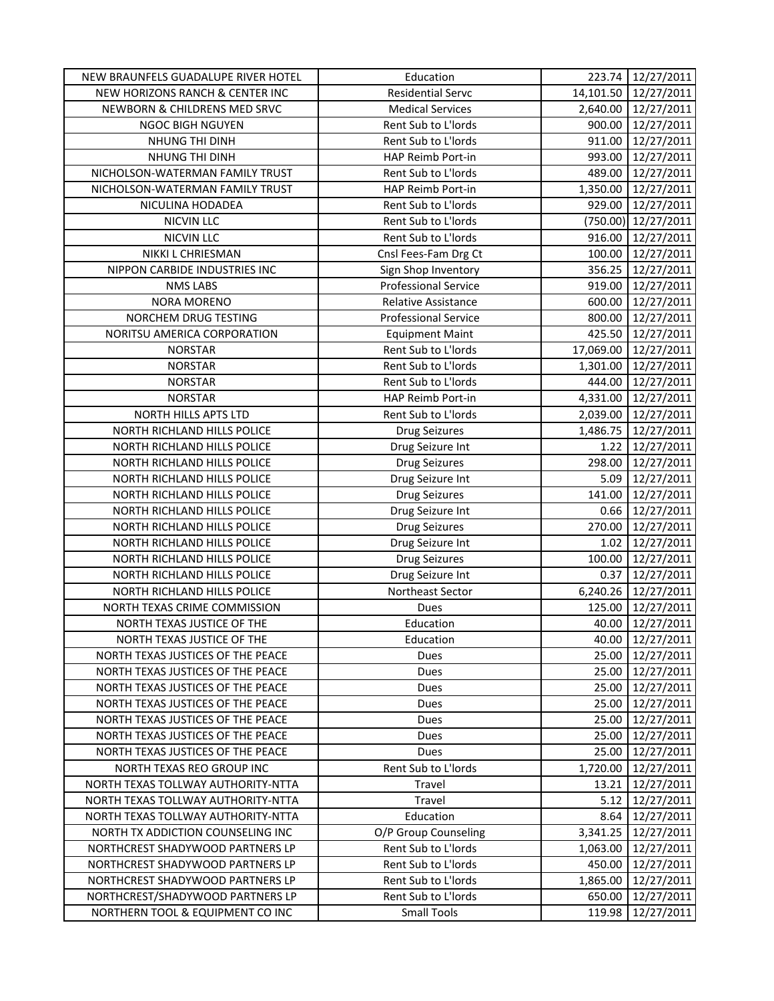| NEW BRAUNFELS GUADALUPE RIVER HOTEL | Education                   | 223.74    | 12/27/2011          |
|-------------------------------------|-----------------------------|-----------|---------------------|
| NEW HORIZONS RANCH & CENTER INC     | <b>Residential Servc</b>    | 14,101.50 | 12/27/2011          |
| NEWBORN & CHILDRENS MED SRVC        | <b>Medical Services</b>     | 2,640.00  | 12/27/2011          |
| NGOC BIGH NGUYEN                    | Rent Sub to L'Iords         | 900.00    | 12/27/2011          |
| NHUNG THI DINH                      | Rent Sub to L'Iords         | 911.00    | 12/27/2011          |
| NHUNG THI DINH                      | HAP Reimb Port-in           | 993.00    | 12/27/2011          |
| NICHOLSON-WATERMAN FAMILY TRUST     | Rent Sub to L'Iords         | 489.00    | 12/27/2011          |
| NICHOLSON-WATERMAN FAMILY TRUST     | HAP Reimb Port-in           | 1,350.00  | 12/27/2011          |
| NICULINA HODADEA                    | Rent Sub to L'Iords         | 929.00    | 12/27/2011          |
| <b>NICVIN LLC</b>                   | Rent Sub to L'Iords         | (750.00)  | 12/27/2011          |
| <b>NICVIN LLC</b>                   | Rent Sub to L'Iords         | 916.00    | 12/27/2011          |
| NIKKI L CHRIESMAN                   | Cnsl Fees-Fam Drg Ct        | 100.00    | 12/27/2011          |
| NIPPON CARBIDE INDUSTRIES INC       | Sign Shop Inventory         | 356.25    | 12/27/2011          |
| <b>NMS LABS</b>                     | <b>Professional Service</b> | 919.00    | 12/27/2011          |
| <b>NORA MORENO</b>                  | Relative Assistance         | 600.00    | 12/27/2011          |
| NORCHEM DRUG TESTING                | <b>Professional Service</b> | 800.00    | 12/27/2011          |
| NORITSU AMERICA CORPORATION         | <b>Equipment Maint</b>      | 425.50    | 12/27/2011          |
| <b>NORSTAR</b>                      | Rent Sub to L'Iords         | 17,069.00 | 12/27/2011          |
| <b>NORSTAR</b>                      | Rent Sub to L'Iords         | 1,301.00  | 12/27/2011          |
| <b>NORSTAR</b>                      | Rent Sub to L'Iords         | 444.00    | 12/27/2011          |
| <b>NORSTAR</b>                      | HAP Reimb Port-in           | 4,331.00  | 12/27/2011          |
| NORTH HILLS APTS LTD                | Rent Sub to L'Iords         | 2,039.00  | 12/27/2011          |
| NORTH RICHLAND HILLS POLICE         | <b>Drug Seizures</b>        | 1,486.75  | 12/27/2011          |
| NORTH RICHLAND HILLS POLICE         | Drug Seizure Int            | 1.22      | 12/27/2011          |
| NORTH RICHLAND HILLS POLICE         | <b>Drug Seizures</b>        | 298.00    | 12/27/2011          |
| NORTH RICHLAND HILLS POLICE         | Drug Seizure Int            | 5.09      | 12/27/2011          |
| NORTH RICHLAND HILLS POLICE         | <b>Drug Seizures</b>        | 141.00    | 12/27/2011          |
| NORTH RICHLAND HILLS POLICE         | Drug Seizure Int            | 0.66      | 12/27/2011          |
| NORTH RICHLAND HILLS POLICE         | <b>Drug Seizures</b>        | 270.00    | 12/27/2011          |
| NORTH RICHLAND HILLS POLICE         | Drug Seizure Int            | 1.02      | 12/27/2011          |
| NORTH RICHLAND HILLS POLICE         | <b>Drug Seizures</b>        | 100.00    | 12/27/2011          |
| NORTH RICHLAND HILLS POLICE         | Drug Seizure Int            | 0.37      | 12/27/2011          |
| NORTH RICHLAND HILLS POLICE         | Northeast Sector            |           | 6,240.26 12/27/2011 |
| NORTH TEXAS CRIME COMMISSION        | Dues                        | 125.00    | 12/27/2011          |
| NORTH TEXAS JUSTICE OF THE          | Education                   | 40.00     | 12/27/2011          |
| NORTH TEXAS JUSTICE OF THE          | Education                   | 40.00     | 12/27/2011          |
| NORTH TEXAS JUSTICES OF THE PEACE   | Dues                        | 25.00     | 12/27/2011          |
| NORTH TEXAS JUSTICES OF THE PEACE   | Dues                        | 25.00     | 12/27/2011          |
| NORTH TEXAS JUSTICES OF THE PEACE   | Dues                        | 25.00     | 12/27/2011          |
| NORTH TEXAS JUSTICES OF THE PEACE   | Dues                        | 25.00     | 12/27/2011          |
| NORTH TEXAS JUSTICES OF THE PEACE   | Dues                        | 25.00     | 12/27/2011          |
| NORTH TEXAS JUSTICES OF THE PEACE   | Dues                        | 25.00     | 12/27/2011          |
| NORTH TEXAS JUSTICES OF THE PEACE   | Dues                        | 25.00     | 12/27/2011          |
| NORTH TEXAS REO GROUP INC           | Rent Sub to L'Iords         | 1,720.00  | 12/27/2011          |
| NORTH TEXAS TOLLWAY AUTHORITY-NTTA  | Travel                      | 13.21     | 12/27/2011          |
| NORTH TEXAS TOLLWAY AUTHORITY-NTTA  | Travel                      | 5.12      | 12/27/2011          |
| NORTH TEXAS TOLLWAY AUTHORITY-NTTA  | Education                   | 8.64      | 12/27/2011          |
| NORTH TX ADDICTION COUNSELING INC   | O/P Group Counseling        | 3,341.25  | 12/27/2011          |
| NORTHCREST SHADYWOOD PARTNERS LP    | Rent Sub to L'Iords         | 1,063.00  | 12/27/2011          |
| NORTHCREST SHADYWOOD PARTNERS LP    | Rent Sub to L'Iords         | 450.00    | 12/27/2011          |
| NORTHCREST SHADYWOOD PARTNERS LP    | Rent Sub to L'Iords         | 1,865.00  | 12/27/2011          |
| NORTHCREST/SHADYWOOD PARTNERS LP    | Rent Sub to L'Iords         | 650.00    | 12/27/2011          |
| NORTHERN TOOL & EQUIPMENT CO INC    | <b>Small Tools</b>          | 119.98    | 12/27/2011          |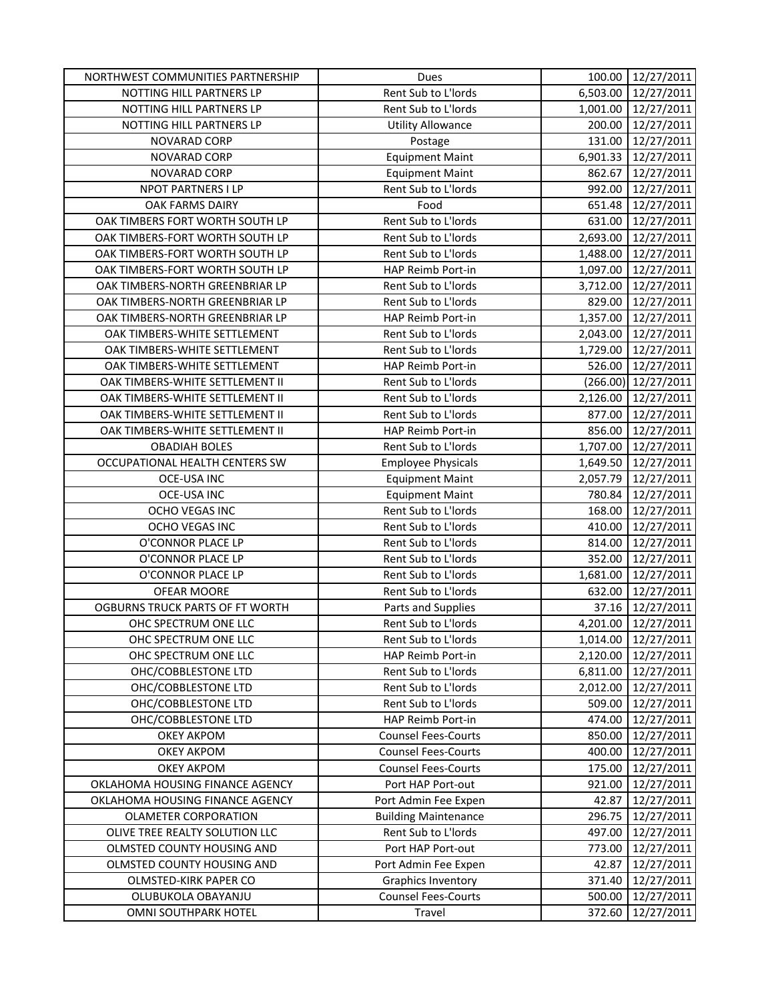| NORTHWEST COMMUNITIES PARTNERSHIP | Dues                        | 100.00   | 12/27/2011 |
|-----------------------------------|-----------------------------|----------|------------|
| NOTTING HILL PARTNERS LP          | Rent Sub to L'Iords         | 6,503.00 | 12/27/2011 |
| NOTTING HILL PARTNERS LP          | Rent Sub to L'Iords         | 1,001.00 | 12/27/2011 |
| NOTTING HILL PARTNERS LP          | <b>Utility Allowance</b>    | 200.00   | 12/27/2011 |
| NOVARAD CORP                      | Postage                     | 131.00   | 12/27/2011 |
| NOVARAD CORP                      | <b>Equipment Maint</b>      | 6,901.33 | 12/27/2011 |
| NOVARAD CORP                      | <b>Equipment Maint</b>      | 862.67   | 12/27/2011 |
| NPOT PARTNERS I LP                | Rent Sub to L'Iords         | 992.00   | 12/27/2011 |
| OAK FARMS DAIRY                   | Food                        | 651.48   | 12/27/2011 |
| OAK TIMBERS FORT WORTH SOUTH LP   | Rent Sub to L'Iords         | 631.00   | 12/27/2011 |
| OAK TIMBERS-FORT WORTH SOUTH LP   | Rent Sub to L'Iords         | 2,693.00 | 12/27/2011 |
| OAK TIMBERS-FORT WORTH SOUTH LP   | Rent Sub to L'Iords         | 1,488.00 | 12/27/2011 |
| OAK TIMBERS-FORT WORTH SOUTH LP   | HAP Reimb Port-in           | 1,097.00 | 12/27/2011 |
| OAK TIMBERS-NORTH GREENBRIAR LP   | Rent Sub to L'Iords         | 3,712.00 | 12/27/2011 |
| OAK TIMBERS-NORTH GREENBRIAR LP   | Rent Sub to L'Iords         | 829.00   | 12/27/2011 |
| OAK TIMBERS-NORTH GREENBRIAR LP   | HAP Reimb Port-in           | 1,357.00 | 12/27/2011 |
| OAK TIMBERS-WHITE SETTLEMENT      | Rent Sub to L'Iords         | 2,043.00 | 12/27/2011 |
| OAK TIMBERS-WHITE SETTLEMENT      | Rent Sub to L'Iords         | 1,729.00 | 12/27/2011 |
| OAK TIMBERS-WHITE SETTLEMENT      | HAP Reimb Port-in           | 526.00   | 12/27/2011 |
| OAK TIMBERS-WHITE SETTLEMENT II   | Rent Sub to L'Iords         | (266.00) | 12/27/2011 |
| OAK TIMBERS-WHITE SETTLEMENT II   | Rent Sub to L'Iords         | 2,126.00 | 12/27/2011 |
| OAK TIMBERS-WHITE SETTLEMENT II   | Rent Sub to L'Iords         | 877.00   | 12/27/2011 |
| OAK TIMBERS-WHITE SETTLEMENT II   | HAP Reimb Port-in           | 856.00   | 12/27/2011 |
| <b>OBADIAH BOLES</b>              | Rent Sub to L'Iords         | 1,707.00 | 12/27/2011 |
| OCCUPATIONAL HEALTH CENTERS SW    | <b>Employee Physicals</b>   | 1,649.50 | 12/27/2011 |
| <b>OCE-USA INC</b>                | <b>Equipment Maint</b>      | 2,057.79 | 12/27/2011 |
| <b>OCE-USA INC</b>                | <b>Equipment Maint</b>      | 780.84   | 12/27/2011 |
| OCHO VEGAS INC                    | Rent Sub to L'Iords         | 168.00   | 12/27/2011 |
| OCHO VEGAS INC                    | Rent Sub to L'Iords         | 410.00   | 12/27/2011 |
| O'CONNOR PLACE LP                 | Rent Sub to L'Iords         | 814.00   | 12/27/2011 |
| O'CONNOR PLACE LP                 | Rent Sub to L'Iords         | 352.00   | 12/27/2011 |
| O'CONNOR PLACE LP                 | Rent Sub to L'Iords         | 1,681.00 | 12/27/2011 |
| OFEAR MOORE                       | Rent Sub to L'Iords         | 632.00   | 12/27/2011 |
| OGBURNS TRUCK PARTS OF FT WORTH   | Parts and Supplies          | 37.16    | 12/27/2011 |
| OHC SPECTRUM ONE LLC              | Rent Sub to L'Iords         | 4,201.00 | 12/27/2011 |
| OHC SPECTRUM ONE LLC              | Rent Sub to L'Iords         | 1,014.00 | 12/27/2011 |
| OHC SPECTRUM ONE LLC              | HAP Reimb Port-in           | 2,120.00 | 12/27/2011 |
| OHC/COBBLESTONE LTD               | Rent Sub to L'Iords         | 6,811.00 | 12/27/2011 |
| OHC/COBBLESTONE LTD               | Rent Sub to L'Iords         | 2,012.00 | 12/27/2011 |
| OHC/COBBLESTONE LTD               | Rent Sub to L'Iords         | 509.00   | 12/27/2011 |
| OHC/COBBLESTONE LTD               | HAP Reimb Port-in           | 474.00   | 12/27/2011 |
| <b>OKEY AKPOM</b>                 | <b>Counsel Fees-Courts</b>  | 850.00   | 12/27/2011 |
| <b>OKEY AKPOM</b>                 | <b>Counsel Fees-Courts</b>  | 400.00   | 12/27/2011 |
| <b>OKEY AKPOM</b>                 | <b>Counsel Fees-Courts</b>  | 175.00   | 12/27/2011 |
| OKLAHOMA HOUSING FINANCE AGENCY   | Port HAP Port-out           | 921.00   | 12/27/2011 |
| OKLAHOMA HOUSING FINANCE AGENCY   | Port Admin Fee Expen        | 42.87    | 12/27/2011 |
| <b>OLAMETER CORPORATION</b>       | <b>Building Maintenance</b> | 296.75   | 12/27/2011 |
| OLIVE TREE REALTY SOLUTION LLC    | Rent Sub to L'Iords         | 497.00   | 12/27/2011 |
| OLMSTED COUNTY HOUSING AND        | Port HAP Port-out           | 773.00   | 12/27/2011 |
| OLMSTED COUNTY HOUSING AND        | Port Admin Fee Expen        | 42.87    | 12/27/2011 |
| OLMSTED-KIRK PAPER CO             | <b>Graphics Inventory</b>   | 371.40   | 12/27/2011 |
| OLUBUKOLA OBAYANJU                | <b>Counsel Fees-Courts</b>  | 500.00   | 12/27/2011 |
| OMNI SOUTHPARK HOTEL              | Travel                      | 372.60   | 12/27/2011 |
|                                   |                             |          |            |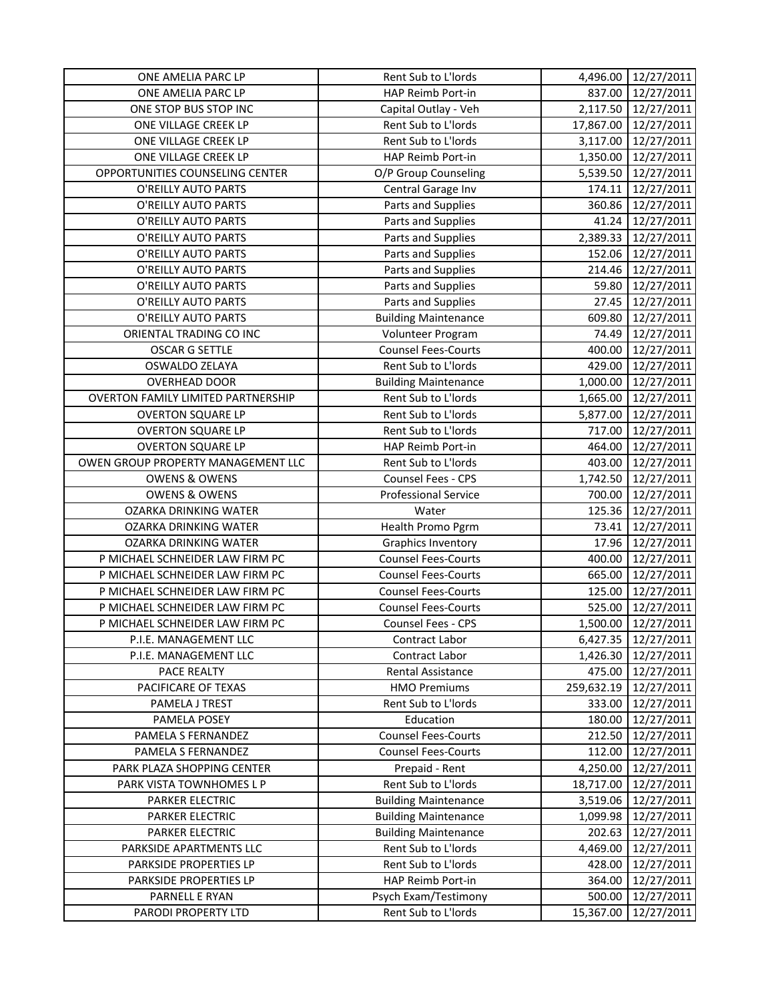| ONE AMELIA PARC LP                        | Rent Sub to L'Iords         | 4,496.00   | 12/27/2011 |
|-------------------------------------------|-----------------------------|------------|------------|
| ONE AMELIA PARC LP                        | HAP Reimb Port-in           | 837.00     | 12/27/2011 |
| ONE STOP BUS STOP INC                     | Capital Outlay - Veh        | 2,117.50   | 12/27/2011 |
| ONE VILLAGE CREEK LP                      | Rent Sub to L'Iords         | 17,867.00  | 12/27/2011 |
| ONE VILLAGE CREEK LP                      | Rent Sub to L'Iords         | 3,117.00   | 12/27/2011 |
| ONE VILLAGE CREEK LP                      | HAP Reimb Port-in           | 1,350.00   | 12/27/2011 |
| OPPORTUNITIES COUNSELING CENTER           | O/P Group Counseling        | 5,539.50   | 12/27/2011 |
| O'REILLY AUTO PARTS                       | Central Garage Inv          | 174.11     | 12/27/2011 |
| O'REILLY AUTO PARTS                       | Parts and Supplies          | 360.86     | 12/27/2011 |
| O'REILLY AUTO PARTS                       | Parts and Supplies          | 41.24      | 12/27/2011 |
| O'REILLY AUTO PARTS                       | Parts and Supplies          | 2,389.33   | 12/27/2011 |
| O'REILLY AUTO PARTS                       | Parts and Supplies          | 152.06     | 12/27/2011 |
| O'REILLY AUTO PARTS                       | Parts and Supplies          | 214.46     | 12/27/2011 |
| O'REILLY AUTO PARTS                       | Parts and Supplies          | 59.80      | 12/27/2011 |
| O'REILLY AUTO PARTS                       | Parts and Supplies          | 27.45      | 12/27/2011 |
| O'REILLY AUTO PARTS                       | <b>Building Maintenance</b> | 609.80     | 12/27/2011 |
| ORIENTAL TRADING CO INC                   | Volunteer Program           | 74.49      | 12/27/2011 |
| <b>OSCAR G SETTLE</b>                     | <b>Counsel Fees-Courts</b>  | 400.00     | 12/27/2011 |
| OSWALDO ZELAYA                            | Rent Sub to L'Iords         | 429.00     | 12/27/2011 |
| <b>OVERHEAD DOOR</b>                      | <b>Building Maintenance</b> | 1,000.00   | 12/27/2011 |
| <b>OVERTON FAMILY LIMITED PARTNERSHIP</b> | Rent Sub to L'Iords         | 1,665.00   | 12/27/2011 |
| <b>OVERTON SQUARE LP</b>                  | Rent Sub to L'Iords         | 5,877.00   | 12/27/2011 |
| <b>OVERTON SQUARE LP</b>                  | Rent Sub to L'Iords         | 717.00     | 12/27/2011 |
| <b>OVERTON SQUARE LP</b>                  | HAP Reimb Port-in           | 464.00     | 12/27/2011 |
| OWEN GROUP PROPERTY MANAGEMENT LLC        | Rent Sub to L'Iords         | 403.00     | 12/27/2011 |
| <b>OWENS &amp; OWENS</b>                  | Counsel Fees - CPS          | 1,742.50   | 12/27/2011 |
| <b>OWENS &amp; OWENS</b>                  | <b>Professional Service</b> | 700.00     | 12/27/2011 |
| OZARKA DRINKING WATER                     | Water                       | 125.36     | 12/27/2011 |
| OZARKA DRINKING WATER                     | Health Promo Pgrm           | 73.41      | 12/27/2011 |
| <b>OZARKA DRINKING WATER</b>              | Graphics Inventory          | 17.96      | 12/27/2011 |
| P MICHAEL SCHNEIDER LAW FIRM PC           | <b>Counsel Fees-Courts</b>  | 400.00     | 12/27/2011 |
| P MICHAEL SCHNEIDER LAW FIRM PC           | <b>Counsel Fees-Courts</b>  | 665.00     | 12/27/2011 |
| P MICHAEL SCHNEIDER LAW FIRM PC           | <b>Counsel Fees-Courts</b>  | 125.00     | 12/27/2011 |
| P MICHAEL SCHNEIDER LAW FIRM PC           | <b>Counsel Fees-Courts</b>  | 525.00     | 12/27/2011 |
| P MICHAEL SCHNEIDER LAW FIRM PC           | Counsel Fees - CPS          | 1,500.00   | 12/27/2011 |
| P.I.E. MANAGEMENT LLC                     | Contract Labor              | 6,427.35   | 12/27/2011 |
| P.I.E. MANAGEMENT LLC                     | Contract Labor              | 1,426.30   | 12/27/2011 |
| PACE REALTY                               | Rental Assistance           | 475.00     | 12/27/2011 |
| PACIFICARE OF TEXAS                       | <b>HMO Premiums</b>         | 259,632.19 | 12/27/2011 |
| PAMELA J TREST                            | Rent Sub to L'Iords         | 333.00     | 12/27/2011 |
| PAMELA POSEY                              | Education                   | 180.00     | 12/27/2011 |
| PAMELA S FERNANDEZ                        | <b>Counsel Fees-Courts</b>  | 212.50     | 12/27/2011 |
| PAMELA S FERNANDEZ                        | <b>Counsel Fees-Courts</b>  | 112.00     | 12/27/2011 |
| PARK PLAZA SHOPPING CENTER                | Prepaid - Rent              | 4,250.00   | 12/27/2011 |
| PARK VISTA TOWNHOMES L P                  | Rent Sub to L'Iords         | 18,717.00  | 12/27/2011 |
| PARKER ELECTRIC                           | <b>Building Maintenance</b> | 3,519.06   | 12/27/2011 |
| PARKER ELECTRIC                           | <b>Building Maintenance</b> | 1,099.98   | 12/27/2011 |
| PARKER ELECTRIC                           | <b>Building Maintenance</b> | 202.63     | 12/27/2011 |
| PARKSIDE APARTMENTS LLC                   | Rent Sub to L'Iords         | 4,469.00   | 12/27/2011 |
| PARKSIDE PROPERTIES LP                    | Rent Sub to L'Iords         | 428.00     | 12/27/2011 |
| PARKSIDE PROPERTIES LP                    | HAP Reimb Port-in           | 364.00     | 12/27/2011 |
| PARNELL E RYAN                            | Psych Exam/Testimony        | 500.00     | 12/27/2011 |
| PARODI PROPERTY LTD                       | Rent Sub to L'Iords         | 15,367.00  | 12/27/2011 |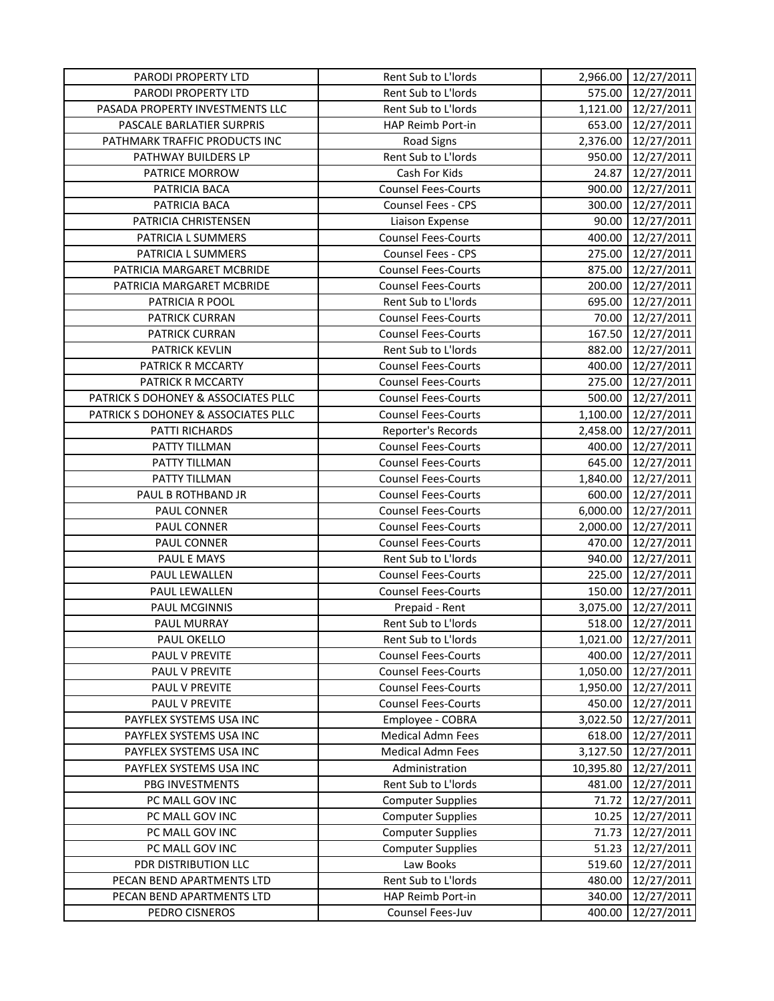| PARODI PROPERTY LTD                 | Rent Sub to L'Iords        |           | 2,966.00 12/27/2011 |
|-------------------------------------|----------------------------|-----------|---------------------|
| PARODI PROPERTY LTD                 | Rent Sub to L'Iords        | 575.00    | 12/27/2011          |
| PASADA PROPERTY INVESTMENTS LLC     | Rent Sub to L'Iords        | 1,121.00  | 12/27/2011          |
| PASCALE BARLATIER SURPRIS           | HAP Reimb Port-in          | 653.00    | 12/27/2011          |
| PATHMARK TRAFFIC PRODUCTS INC       | <b>Road Signs</b>          | 2,376.00  | 12/27/2011          |
| PATHWAY BUILDERS LP                 | Rent Sub to L'Iords        | 950.00    | 12/27/2011          |
| PATRICE MORROW                      | Cash For Kids              | 24.87     | 12/27/2011          |
| PATRICIA BACA                       | <b>Counsel Fees-Courts</b> | 900.00    | 12/27/2011          |
| PATRICIA BACA                       | <b>Counsel Fees - CPS</b>  | 300.00    | 12/27/2011          |
| PATRICIA CHRISTENSEN                | Liaison Expense            | 90.00     | 12/27/2011          |
| PATRICIA L SUMMERS                  | <b>Counsel Fees-Courts</b> | 400.00    | 12/27/2011          |
| PATRICIA L SUMMERS                  | Counsel Fees - CPS         | 275.00    | 12/27/2011          |
| PATRICIA MARGARET MCBRIDE           | <b>Counsel Fees-Courts</b> | 875.00    | 12/27/2011          |
| PATRICIA MARGARET MCBRIDE           | <b>Counsel Fees-Courts</b> | 200.00    | 12/27/2011          |
| PATRICIA R POOL                     | Rent Sub to L'Iords        | 695.00    | 12/27/2011          |
| <b>PATRICK CURRAN</b>               | <b>Counsel Fees-Courts</b> | 70.00     | 12/27/2011          |
| PATRICK CURRAN                      | <b>Counsel Fees-Courts</b> | 167.50    | 12/27/2011          |
| <b>PATRICK KEVLIN</b>               | Rent Sub to L'Iords        | 882.00    | 12/27/2011          |
| PATRICK R MCCARTY                   | <b>Counsel Fees-Courts</b> | 400.00    | 12/27/2011          |
| PATRICK R MCCARTY                   | <b>Counsel Fees-Courts</b> | 275.00    | 12/27/2011          |
| PATRICK S DOHONEY & ASSOCIATES PLLC | <b>Counsel Fees-Courts</b> | 500.00    | 12/27/2011          |
| PATRICK S DOHONEY & ASSOCIATES PLLC | <b>Counsel Fees-Courts</b> | 1,100.00  | 12/27/2011          |
| PATTI RICHARDS                      | Reporter's Records         | 2,458.00  | 12/27/2011          |
| PATTY TILLMAN                       | <b>Counsel Fees-Courts</b> | 400.00    | 12/27/2011          |
| PATTY TILLMAN                       | <b>Counsel Fees-Courts</b> | 645.00    | 12/27/2011          |
| PATTY TILLMAN                       | <b>Counsel Fees-Courts</b> | 1,840.00  | 12/27/2011          |
| PAUL B ROTHBAND JR                  | <b>Counsel Fees-Courts</b> | 600.00    | 12/27/2011          |
| PAUL CONNER                         | <b>Counsel Fees-Courts</b> | 6,000.00  | 12/27/2011          |
| PAUL CONNER                         | <b>Counsel Fees-Courts</b> | 2,000.00  | 12/27/2011          |
| PAUL CONNER                         | <b>Counsel Fees-Courts</b> | 470.00    | 12/27/2011          |
| PAUL E MAYS                         | Rent Sub to L'Iords        | 940.00    | 12/27/2011          |
| PAUL LEWALLEN                       | <b>Counsel Fees-Courts</b> | 225.00    | 12/27/2011          |
| PAUL LEWALLEN                       | <b>Counsel Fees-Courts</b> | 150.00    | 12/27/2011          |
| PAUL MCGINNIS                       | Prepaid - Rent             | 3,075.00  | 12/27/2011          |
| PAUL MURRAY                         | Rent Sub to L'Iords        | 518.00    | 12/27/2011          |
| PAUL OKELLO                         | Rent Sub to L'Iords        | 1,021.00  | 12/27/2011          |
| PAUL V PREVITE                      | <b>Counsel Fees-Courts</b> | 400.00    | 12/27/2011          |
| PAUL V PREVITE                      | <b>Counsel Fees-Courts</b> | 1,050.00  | 12/27/2011          |
| PAUL V PREVITE                      | <b>Counsel Fees-Courts</b> | 1,950.00  | 12/27/2011          |
| PAUL V PREVITE                      | <b>Counsel Fees-Courts</b> | 450.00    | 12/27/2011          |
| PAYFLEX SYSTEMS USA INC             | Employee - COBRA           | 3,022.50  | 12/27/2011          |
| PAYFLEX SYSTEMS USA INC             | <b>Medical Admn Fees</b>   | 618.00    | 12/27/2011          |
| PAYFLEX SYSTEMS USA INC             | <b>Medical Admn Fees</b>   | 3,127.50  | 12/27/2011          |
| PAYFLEX SYSTEMS USA INC             | Administration             | 10,395.80 | 12/27/2011          |
| PBG INVESTMENTS                     | Rent Sub to L'Iords        | 481.00    | 12/27/2011          |
| PC MALL GOV INC                     | <b>Computer Supplies</b>   | 71.72     | 12/27/2011          |
| PC MALL GOV INC                     | <b>Computer Supplies</b>   | 10.25     | 12/27/2011          |
| PC MALL GOV INC                     | <b>Computer Supplies</b>   | 71.73     | 12/27/2011          |
| PC MALL GOV INC                     | <b>Computer Supplies</b>   | 51.23     | 12/27/2011          |
| PDR DISTRIBUTION LLC                | Law Books                  | 519.60    | 12/27/2011          |
| PECAN BEND APARTMENTS LTD           | Rent Sub to L'Iords        | 480.00    | 12/27/2011          |
| PECAN BEND APARTMENTS LTD           | HAP Reimb Port-in          | 340.00    | 12/27/2011          |
| PEDRO CISNEROS                      | Counsel Fees-Juv           | 400.00    | 12/27/2011          |
|                                     |                            |           |                     |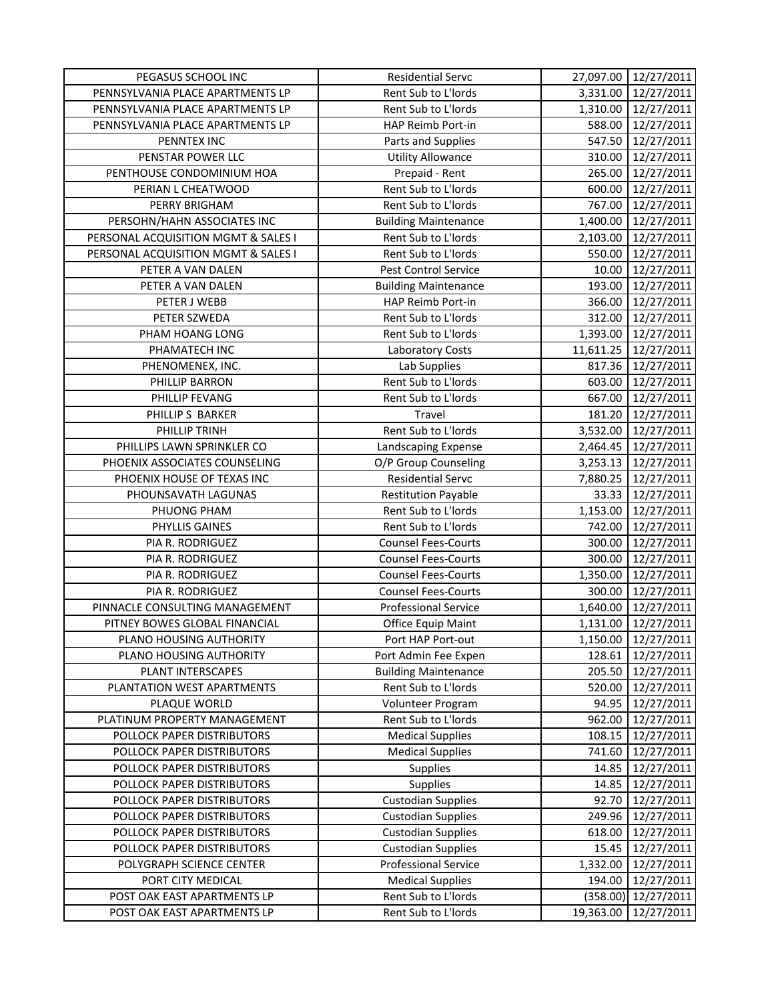| PEGASUS SCHOOL INC                  | <b>Residential Servc</b>    |           | 27,097.00 12/27/2011 |
|-------------------------------------|-----------------------------|-----------|----------------------|
| PENNSYLVANIA PLACE APARTMENTS LP    | Rent Sub to L'Iords         | 3,331.00  | 12/27/2011           |
| PENNSYLVANIA PLACE APARTMENTS LP    | Rent Sub to L'Iords         | 1,310.00  | 12/27/2011           |
| PENNSYLVANIA PLACE APARTMENTS LP    | HAP Reimb Port-in           | 588.00    | 12/27/2011           |
| PENNTEX INC                         | Parts and Supplies          | 547.50    | 12/27/2011           |
| PENSTAR POWER LLC                   | <b>Utility Allowance</b>    | 310.00    | 12/27/2011           |
| PENTHOUSE CONDOMINIUM HOA           | Prepaid - Rent              | 265.00    | 12/27/2011           |
| PERIAN L CHEATWOOD                  | Rent Sub to L'Iords         | 600.00    | 12/27/2011           |
| PERRY BRIGHAM                       | Rent Sub to L'Iords         | 767.00    | 12/27/2011           |
| PERSOHN/HAHN ASSOCIATES INC         | <b>Building Maintenance</b> | 1,400.00  | 12/27/2011           |
| PERSONAL ACQUISITION MGMT & SALES I | Rent Sub to L'Iords         | 2,103.00  | 12/27/2011           |
| PERSONAL ACQUISITION MGMT & SALES I | Rent Sub to L'Iords         | 550.00    | 12/27/2011           |
| PETER A VAN DALEN                   | Pest Control Service        | 10.00     | 12/27/2011           |
| PETER A VAN DALEN                   | <b>Building Maintenance</b> | 193.00    | 12/27/2011           |
| PETER J WEBB                        | HAP Reimb Port-in           | 366.00    | 12/27/2011           |
| PETER SZWEDA                        | Rent Sub to L'Iords         | 312.00    | 12/27/2011           |
| PHAM HOANG LONG                     | Rent Sub to L'Iords         | 1,393.00  | 12/27/2011           |
| PHAMATECH INC                       | Laboratory Costs            | 11,611.25 | 12/27/2011           |
| PHENOMENEX, INC.                    | Lab Supplies                | 817.36    | 12/27/2011           |
| PHILLIP BARRON                      | Rent Sub to L'Iords         | 603.00    | 12/27/2011           |
| PHILLIP FEVANG                      | Rent Sub to L'Iords         | 667.00    | 12/27/2011           |
| PHILLIP S BARKER                    | Travel                      | 181.20    | 12/27/2011           |
| PHILLIP TRINH                       | Rent Sub to L'Iords         | 3,532.00  | 12/27/2011           |
| PHILLIPS LAWN SPRINKLER CO          | Landscaping Expense         | 2,464.45  | 12/27/2011           |
| PHOENIX ASSOCIATES COUNSELING       | O/P Group Counseling        | 3,253.13  | 12/27/2011           |
| PHOENIX HOUSE OF TEXAS INC          | <b>Residential Servc</b>    | 7,880.25  | 12/27/2011           |
| PHOUNSAVATH LAGUNAS                 | <b>Restitution Payable</b>  | 33.33     | 12/27/2011           |
| PHUONG PHAM                         | Rent Sub to L'Iords         | 1,153.00  | 12/27/2011           |
| PHYLLIS GAINES                      | Rent Sub to L'Iords         | 742.00    | 12/27/2011           |
| PIA R. RODRIGUEZ                    | <b>Counsel Fees-Courts</b>  | 300.00    | 12/27/2011           |
| PIA R. RODRIGUEZ                    | <b>Counsel Fees-Courts</b>  | 300.00    | 12/27/2011           |
| PIA R. RODRIGUEZ                    | <b>Counsel Fees-Courts</b>  | 1,350.00  | 12/27/2011           |
| PIA R. RODRIGUEZ                    | <b>Counsel Fees-Courts</b>  | 300.00    | 12/27/2011           |
| PINNACLE CONSULTING MANAGEMENT      | <b>Professional Service</b> | 1,640.00  | 12/27/2011           |
| PITNEY BOWES GLOBAL FINANCIAL       | Office Equip Maint          | 1,131.00  | 12/27/2011           |
| PLANO HOUSING AUTHORITY             | Port HAP Port-out           | 1,150.00  | 12/27/2011           |
| PLANO HOUSING AUTHORITY             | Port Admin Fee Expen        | 128.61    | 12/27/2011           |
| PLANT INTERSCAPES                   | <b>Building Maintenance</b> | 205.50    | 12/27/2011           |
| PLANTATION WEST APARTMENTS          | Rent Sub to L'Iords         | 520.00    | 12/27/2011           |
| PLAQUE WORLD                        | Volunteer Program           | 94.95     | 12/27/2011           |
| PLATINUM PROPERTY MANAGEMENT        | Rent Sub to L'Iords         | 962.00    | 12/27/2011           |
| POLLOCK PAPER DISTRIBUTORS          | <b>Medical Supplies</b>     | 108.15    | 12/27/2011           |
| POLLOCK PAPER DISTRIBUTORS          | <b>Medical Supplies</b>     | 741.60    | 12/27/2011           |
| POLLOCK PAPER DISTRIBUTORS          | <b>Supplies</b>             | 14.85     | 12/27/2011           |
| POLLOCK PAPER DISTRIBUTORS          | <b>Supplies</b>             | 14.85     | 12/27/2011           |
| POLLOCK PAPER DISTRIBUTORS          | <b>Custodian Supplies</b>   | 92.70     | 12/27/2011           |
| POLLOCK PAPER DISTRIBUTORS          | <b>Custodian Supplies</b>   | 249.96    | 12/27/2011           |
| POLLOCK PAPER DISTRIBUTORS          | <b>Custodian Supplies</b>   | 618.00    | 12/27/2011           |
| POLLOCK PAPER DISTRIBUTORS          | <b>Custodian Supplies</b>   | 15.45     | 12/27/2011           |
| POLYGRAPH SCIENCE CENTER            | <b>Professional Service</b> | 1,332.00  | 12/27/2011           |
| PORT CITY MEDICAL                   | <b>Medical Supplies</b>     | 194.00    | 12/27/2011           |
| POST OAK EAST APARTMENTS LP         | Rent Sub to L'Iords         | (358.00)  | 12/27/2011           |
| POST OAK EAST APARTMENTS LP         | Rent Sub to L'Iords         | 19,363.00 | 12/27/2011           |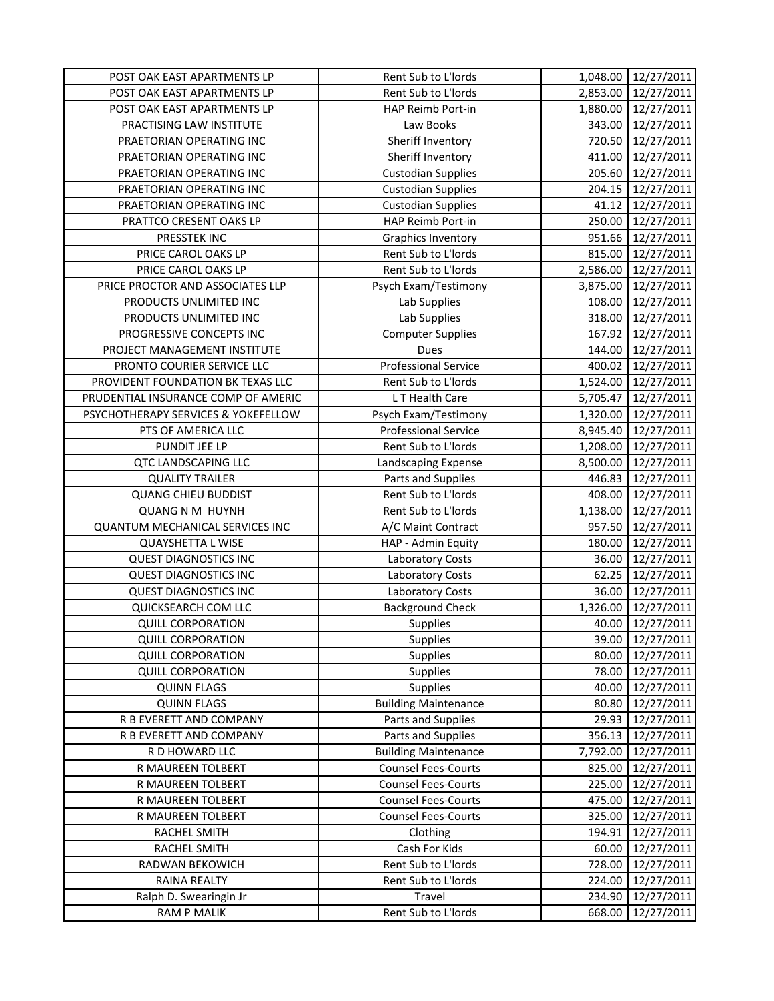| POST OAK EAST APARTMENTS LP         | Rent Sub to L'Iords         | 1,048.00 | 12/27/2011 |
|-------------------------------------|-----------------------------|----------|------------|
| POST OAK EAST APARTMENTS LP         | Rent Sub to L'Iords         | 2,853.00 | 12/27/2011 |
| POST OAK EAST APARTMENTS LP         | HAP Reimb Port-in           | 1,880.00 | 12/27/2011 |
| PRACTISING LAW INSTITUTE            | Law Books                   | 343.00   | 12/27/2011 |
| PRAETORIAN OPERATING INC            | Sheriff Inventory           | 720.50   | 12/27/2011 |
| PRAETORIAN OPERATING INC            | Sheriff Inventory           | 411.00   | 12/27/2011 |
| PRAETORIAN OPERATING INC            | <b>Custodian Supplies</b>   | 205.60   | 12/27/2011 |
| PRAETORIAN OPERATING INC            | <b>Custodian Supplies</b>   | 204.15   | 12/27/2011 |
| PRAETORIAN OPERATING INC            | <b>Custodian Supplies</b>   | 41.12    | 12/27/2011 |
| PRATTCO CRESENT OAKS LP             | HAP Reimb Port-in           | 250.00   | 12/27/2011 |
| PRESSTEK INC                        | <b>Graphics Inventory</b>   | 951.66   | 12/27/2011 |
| PRICE CAROL OAKS LP                 | Rent Sub to L'Iords         | 815.00   | 12/27/2011 |
| PRICE CAROL OAKS LP                 | Rent Sub to L'Iords         | 2,586.00 | 12/27/2011 |
| PRICE PROCTOR AND ASSOCIATES LLP    | Psych Exam/Testimony        | 3,875.00 | 12/27/2011 |
| PRODUCTS UNLIMITED INC              | Lab Supplies                | 108.00   | 12/27/2011 |
| PRODUCTS UNLIMITED INC              | Lab Supplies                | 318.00   | 12/27/2011 |
| PROGRESSIVE CONCEPTS INC            | <b>Computer Supplies</b>    | 167.92   | 12/27/2011 |
| PROJECT MANAGEMENT INSTITUTE        | Dues                        | 144.00   | 12/27/2011 |
| PRONTO COURIER SERVICE LLC          | <b>Professional Service</b> | 400.02   | 12/27/2011 |
| PROVIDENT FOUNDATION BK TEXAS LLC   | Rent Sub to L'Iords         | 1,524.00 | 12/27/2011 |
| PRUDENTIAL INSURANCE COMP OF AMERIC | L T Health Care             | 5,705.47 | 12/27/2011 |
| PSYCHOTHERAPY SERVICES & YOKEFELLOW | Psych Exam/Testimony        | 1,320.00 | 12/27/2011 |
| PTS OF AMERICA LLC                  | <b>Professional Service</b> | 8,945.40 | 12/27/2011 |
| PUNDIT JEE LP                       | Rent Sub to L'Iords         | 1,208.00 | 12/27/2011 |
| <b>QTC LANDSCAPING LLC</b>          | Landscaping Expense         | 8,500.00 | 12/27/2011 |
| <b>QUALITY TRAILER</b>              | Parts and Supplies          | 446.83   | 12/27/2011 |
| <b>QUANG CHIEU BUDDIST</b>          | Rent Sub to L'Iords         | 408.00   | 12/27/2011 |
| <b>QUANG N M HUYNH</b>              | Rent Sub to L'Iords         | 1,138.00 | 12/27/2011 |
| QUANTUM MECHANICAL SERVICES INC     | A/C Maint Contract          | 957.50   | 12/27/2011 |
| <b>QUAYSHETTA L WISE</b>            | HAP - Admin Equity          | 180.00   | 12/27/2011 |
| <b>QUEST DIAGNOSTICS INC</b>        | <b>Laboratory Costs</b>     | 36.00    | 12/27/2011 |
| <b>QUEST DIAGNOSTICS INC</b>        | <b>Laboratory Costs</b>     | 62.25    | 12/27/2011 |
| <b>QUEST DIAGNOSTICS INC</b>        | Laboratory Costs            | 36.00    | 12/27/2011 |
| QUICKSEARCH COM LLC                 | <b>Background Check</b>     | 1,326.00 | 12/27/2011 |
| <b>QUILL CORPORATION</b>            | Supplies                    | 40.00    | 12/27/2011 |
| <b>QUILL CORPORATION</b>            | <b>Supplies</b>             | 39.00    | 12/27/2011 |
| <b>QUILL CORPORATION</b>            | Supplies                    | 80.00    | 12/27/2011 |
| <b>QUILL CORPORATION</b>            | <b>Supplies</b>             | 78.00    | 12/27/2011 |
| <b>QUINN FLAGS</b>                  | Supplies                    | 40.00    | 12/27/2011 |
| <b>QUINN FLAGS</b>                  | <b>Building Maintenance</b> | 80.80    | 12/27/2011 |
| R B EVERETT AND COMPANY             | Parts and Supplies          | 29.93    | 12/27/2011 |
| R B EVERETT AND COMPANY             | Parts and Supplies          | 356.13   | 12/27/2011 |
| R D HOWARD LLC                      | <b>Building Maintenance</b> | 7,792.00 | 12/27/2011 |
| R MAUREEN TOLBERT                   | <b>Counsel Fees-Courts</b>  | 825.00   | 12/27/2011 |
| R MAUREEN TOLBERT                   | <b>Counsel Fees-Courts</b>  | 225.00   | 12/27/2011 |
| R MAUREEN TOLBERT                   | <b>Counsel Fees-Courts</b>  | 475.00   | 12/27/2011 |
| R MAUREEN TOLBERT                   | <b>Counsel Fees-Courts</b>  | 325.00   | 12/27/2011 |
| RACHEL SMITH                        | Clothing                    | 194.91   | 12/27/2011 |
| RACHEL SMITH                        | Cash For Kids               | 60.00    | 12/27/2011 |
| RADWAN BEKOWICH                     | Rent Sub to L'Iords         | 728.00   | 12/27/2011 |
| RAINA REALTY                        | Rent Sub to L'Iords         | 224.00   | 12/27/2011 |
| Ralph D. Swearingin Jr              | Travel                      | 234.90   | 12/27/2011 |
| <b>RAM P MALIK</b>                  | Rent Sub to L'Iords         | 668.00   | 12/27/2011 |
|                                     |                             |          |            |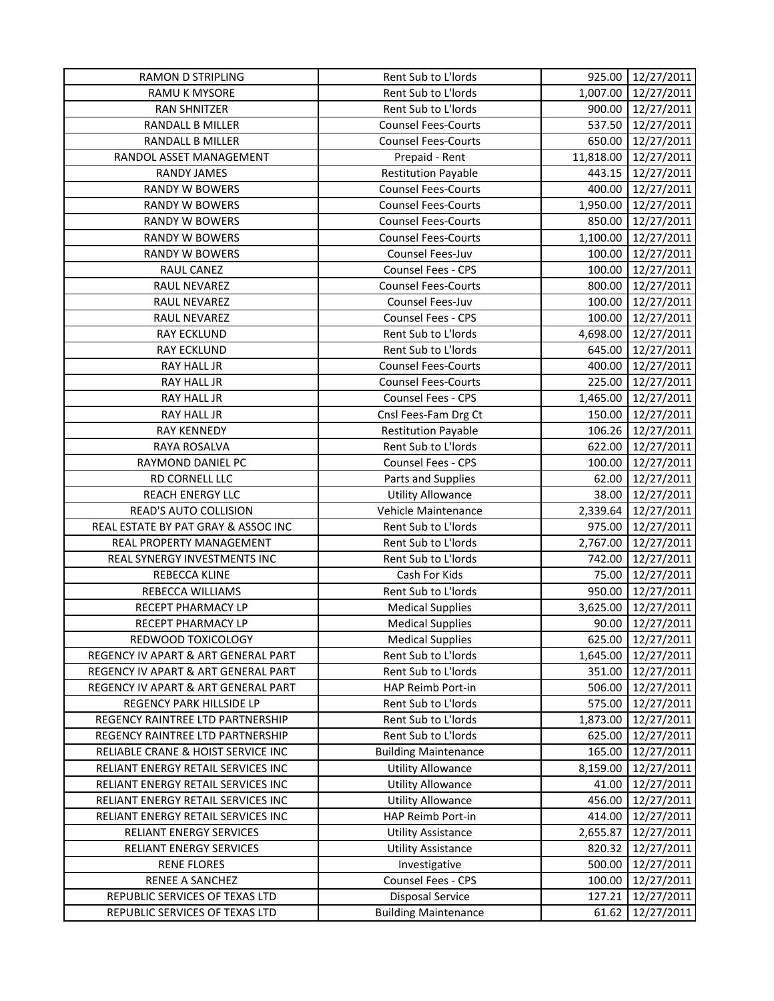| <b>RAMON D STRIPLING</b>            | Rent Sub to L'Iords         | 925.00    | 12/27/2011 |
|-------------------------------------|-----------------------------|-----------|------------|
| RAMU K MYSORE                       | Rent Sub to L'Iords         | 1,007.00  | 12/27/2011 |
| RAN SHNITZER                        | Rent Sub to L'Iords         | 900.00    | 12/27/2011 |
| RANDALL B MILLER                    | <b>Counsel Fees-Courts</b>  | 537.50    | 12/27/2011 |
| RANDALL B MILLER                    | <b>Counsel Fees-Courts</b>  | 650.00    | 12/27/2011 |
| RANDOL ASSET MANAGEMENT             | Prepaid - Rent              | 11,818.00 | 12/27/2011 |
| <b>RANDY JAMES</b>                  | <b>Restitution Payable</b>  | 443.15    | 12/27/2011 |
| <b>RANDY W BOWERS</b>               | <b>Counsel Fees-Courts</b>  | 400.00    | 12/27/2011 |
| <b>RANDY W BOWERS</b>               | <b>Counsel Fees-Courts</b>  | 1,950.00  | 12/27/2011 |
| <b>RANDY W BOWERS</b>               | <b>Counsel Fees-Courts</b>  | 850.00    | 12/27/2011 |
| <b>RANDY W BOWERS</b>               | <b>Counsel Fees-Courts</b>  | 1,100.00  | 12/27/2011 |
| <b>RANDY W BOWERS</b>               | Counsel Fees-Juv            | 100.00    | 12/27/2011 |
| RAUL CANEZ                          | Counsel Fees - CPS          | 100.00    | 12/27/2011 |
| RAUL NEVAREZ                        | <b>Counsel Fees-Courts</b>  | 800.00    | 12/27/2011 |
| RAUL NEVAREZ                        | Counsel Fees-Juv            | 100.00    | 12/27/2011 |
| <b>RAUL NEVAREZ</b>                 | <b>Counsel Fees - CPS</b>   | 100.00    | 12/27/2011 |
| <b>RAY ECKLUND</b>                  | Rent Sub to L'Iords         | 4,698.00  | 12/27/2011 |
| <b>RAY ECKLUND</b>                  | Rent Sub to L'Iords         | 645.00    | 12/27/2011 |
| RAY HALL JR                         | <b>Counsel Fees-Courts</b>  | 400.00    | 12/27/2011 |
| RAY HALL JR                         | <b>Counsel Fees-Courts</b>  | 225.00    | 12/27/2011 |
| RAY HALL JR                         | Counsel Fees - CPS          | 1,465.00  | 12/27/2011 |
| RAY HALL JR                         | Cnsl Fees-Fam Drg Ct        | 150.00    | 12/27/2011 |
| <b>RAY KENNEDY</b>                  | <b>Restitution Payable</b>  | 106.26    | 12/27/2011 |
| RAYA ROSALVA                        | Rent Sub to L'Iords         | 622.00    | 12/27/2011 |
| RAYMOND DANIEL PC                   | Counsel Fees - CPS          | 100.00    | 12/27/2011 |
| RD CORNELL LLC                      | Parts and Supplies          | 62.00     | 12/27/2011 |
| <b>REACH ENERGY LLC</b>             | <b>Utility Allowance</b>    | 38.00     | 12/27/2011 |
| READ'S AUTO COLLISION               | Vehicle Maintenance         | 2,339.64  | 12/27/2011 |
| REAL ESTATE BY PAT GRAY & ASSOC INC | Rent Sub to L'Iords         | 975.00    | 12/27/2011 |
| REAL PROPERTY MANAGEMENT            | Rent Sub to L'Iords         | 2,767.00  | 12/27/2011 |
| REAL SYNERGY INVESTMENTS INC        | Rent Sub to L'Iords         | 742.00    | 12/27/2011 |
| REBECCA KLINE                       | Cash For Kids               | 75.00     | 12/27/2011 |
| REBECCA WILLIAMS                    | Rent Sub to L'Iords         | 950.00    | 12/27/2011 |
| RECEPT PHARMACY LP                  | <b>Medical Supplies</b>     | 3,625.00  | 12/27/2011 |
| RECEPT PHARMACY LP                  | <b>Medical Supplies</b>     | 90.00     | 12/27/2011 |
| REDWOOD TOXICOLOGY                  | <b>Medical Supplies</b>     | 625.00    | 12/27/2011 |
| REGENCY IV APART & ART GENERAL PART | Rent Sub to L'Iords         | 1,645.00  | 12/27/2011 |
| REGENCY IV APART & ART GENERAL PART | Rent Sub to L'Iords         | 351.00    | 12/27/2011 |
| REGENCY IV APART & ART GENERAL PART | HAP Reimb Port-in           | 506.00    | 12/27/2011 |
| REGENCY PARK HILLSIDE LP            | Rent Sub to L'Iords         | 575.00    | 12/27/2011 |
| REGENCY RAINTREE LTD PARTNERSHIP    | Rent Sub to L'Iords         | 1,873.00  | 12/27/2011 |
| REGENCY RAINTREE LTD PARTNERSHIP    | Rent Sub to L'Iords         | 625.00    | 12/27/2011 |
| RELIABLE CRANE & HOIST SERVICE INC  | <b>Building Maintenance</b> | 165.00    | 12/27/2011 |
| RELIANT ENERGY RETAIL SERVICES INC  | <b>Utility Allowance</b>    | 8,159.00  | 12/27/2011 |
| RELIANT ENERGY RETAIL SERVICES INC  | <b>Utility Allowance</b>    | 41.00     | 12/27/2011 |
| RELIANT ENERGY RETAIL SERVICES INC  | <b>Utility Allowance</b>    | 456.00    | 12/27/2011 |
| RELIANT ENERGY RETAIL SERVICES INC  | HAP Reimb Port-in           | 414.00    | 12/27/2011 |
| RELIANT ENERGY SERVICES             | <b>Utility Assistance</b>   | 2,655.87  | 12/27/2011 |
| RELIANT ENERGY SERVICES             | <b>Utility Assistance</b>   | 820.32    | 12/27/2011 |
| <b>RENE FLORES</b>                  | Investigative               | 500.00    | 12/27/2011 |
| RENEE A SANCHEZ                     | Counsel Fees - CPS          | 100.00    | 12/27/2011 |
| REPUBLIC SERVICES OF TEXAS LTD      | <b>Disposal Service</b>     | 127.21    | 12/27/2011 |
| REPUBLIC SERVICES OF TEXAS LTD      | <b>Building Maintenance</b> | 61.62     | 12/27/2011 |
|                                     |                             |           |            |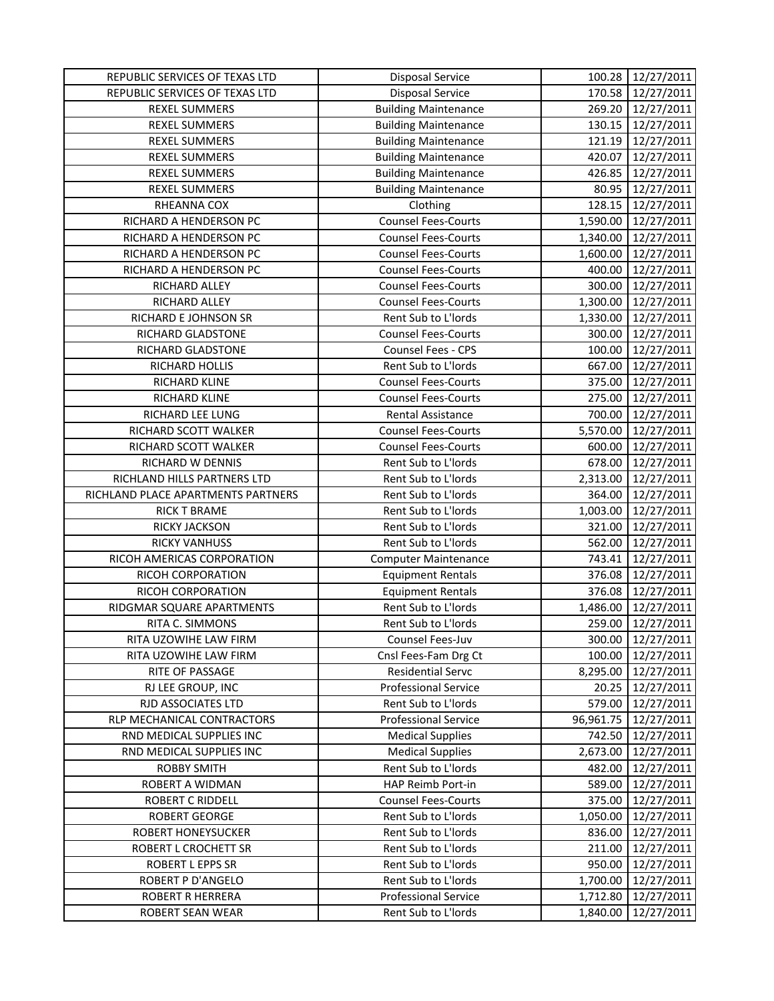| REPUBLIC SERVICES OF TEXAS LTD     | <b>Disposal Service</b>     | 100.28    | 12/27/2011 |
|------------------------------------|-----------------------------|-----------|------------|
| REPUBLIC SERVICES OF TEXAS LTD     | <b>Disposal Service</b>     | 170.58    | 12/27/2011 |
| <b>REXEL SUMMERS</b>               | <b>Building Maintenance</b> | 269.20    | 12/27/2011 |
| <b>REXEL SUMMERS</b>               | <b>Building Maintenance</b> | 130.15    | 12/27/2011 |
| <b>REXEL SUMMERS</b>               | <b>Building Maintenance</b> | 121.19    | 12/27/2011 |
| <b>REXEL SUMMERS</b>               | <b>Building Maintenance</b> | 420.07    | 12/27/2011 |
| <b>REXEL SUMMERS</b>               | <b>Building Maintenance</b> | 426.85    | 12/27/2011 |
| <b>REXEL SUMMERS</b>               | <b>Building Maintenance</b> | 80.95     | 12/27/2011 |
| RHEANNA COX                        | Clothing                    | 128.15    | 12/27/2011 |
| RICHARD A HENDERSON PC             | <b>Counsel Fees-Courts</b>  | 1,590.00  | 12/27/2011 |
| RICHARD A HENDERSON PC             | <b>Counsel Fees-Courts</b>  | 1,340.00  | 12/27/2011 |
| RICHARD A HENDERSON PC             | <b>Counsel Fees-Courts</b>  | 1,600.00  | 12/27/2011 |
| RICHARD A HENDERSON PC             | <b>Counsel Fees-Courts</b>  | 400.00    | 12/27/2011 |
| RICHARD ALLEY                      | <b>Counsel Fees-Courts</b>  | 300.00    | 12/27/2011 |
| RICHARD ALLEY                      | <b>Counsel Fees-Courts</b>  | 1,300.00  | 12/27/2011 |
| RICHARD E JOHNSON SR               | Rent Sub to L'Iords         | 1,330.00  | 12/27/2011 |
| RICHARD GLADSTONE                  | <b>Counsel Fees-Courts</b>  | 300.00    | 12/27/2011 |
| RICHARD GLADSTONE                  | Counsel Fees - CPS          | 100.00    | 12/27/2011 |
| RICHARD HOLLIS                     | Rent Sub to L'Iords         | 667.00    | 12/27/2011 |
| RICHARD KLINE                      | <b>Counsel Fees-Courts</b>  | 375.00    | 12/27/2011 |
| RICHARD KLINE                      | <b>Counsel Fees-Courts</b>  | 275.00    | 12/27/2011 |
| RICHARD LEE LUNG                   | Rental Assistance           | 700.00    | 12/27/2011 |
| RICHARD SCOTT WALKER               | <b>Counsel Fees-Courts</b>  | 5,570.00  | 12/27/2011 |
| RICHARD SCOTT WALKER               | <b>Counsel Fees-Courts</b>  | 600.00    | 12/27/2011 |
| RICHARD W DENNIS                   | Rent Sub to L'Iords         | 678.00    | 12/27/2011 |
| RICHLAND HILLS PARTNERS LTD        | Rent Sub to L'Iords         | 2,313.00  | 12/27/2011 |
| RICHLAND PLACE APARTMENTS PARTNERS | Rent Sub to L'Iords         | 364.00    | 12/27/2011 |
| <b>RICK T BRAME</b>                | Rent Sub to L'Iords         | 1,003.00  | 12/27/2011 |
| RICKY JACKSON                      | Rent Sub to L'Iords         | 321.00    | 12/27/2011 |
| <b>RICKY VANHUSS</b>               | Rent Sub to L'Iords         | 562.00    | 12/27/2011 |
| RICOH AMERICAS CORPORATION         | <b>Computer Maintenance</b> | 743.41    | 12/27/2011 |
| RICOH CORPORATION                  | <b>Equipment Rentals</b>    | 376.08    | 12/27/2011 |
| RICOH CORPORATION                  | <b>Equipment Rentals</b>    | 376.08    | 12/27/2011 |
| RIDGMAR SQUARE APARTMENTS          | Rent Sub to L'Iords         | 1,486.00  | 12/27/2011 |
| RITA C. SIMMONS                    | Rent Sub to L'Iords         | 259.00    | 12/27/2011 |
| RITA UZOWIHE LAW FIRM              | Counsel Fees-Juv            | 300.00    | 12/27/2011 |
| RITA UZOWIHE LAW FIRM              | Cnsl Fees-Fam Drg Ct        | 100.00    | 12/27/2011 |
| RITE OF PASSAGE                    | <b>Residential Servc</b>    | 8,295.00  | 12/27/2011 |
| RJ LEE GROUP, INC                  | <b>Professional Service</b> | 20.25     | 12/27/2011 |
| RJD ASSOCIATES LTD                 | Rent Sub to L'Iords         | 579.00    | 12/27/2011 |
|                                    | <b>Professional Service</b> | 96,961.75 | 12/27/2011 |
| RLP MECHANICAL CONTRACTORS         |                             |           |            |
| RND MEDICAL SUPPLIES INC           | <b>Medical Supplies</b>     | 742.50    | 12/27/2011 |
| RND MEDICAL SUPPLIES INC           | <b>Medical Supplies</b>     | 2,673.00  | 12/27/2011 |
| <b>ROBBY SMITH</b>                 | Rent Sub to L'Iords         | 482.00    | 12/27/2011 |
| ROBERT A WIDMAN                    | HAP Reimb Port-in           | 589.00    | 12/27/2011 |
| ROBERT C RIDDELL                   | <b>Counsel Fees-Courts</b>  | 375.00    | 12/27/2011 |
| <b>ROBERT GEORGE</b>               | Rent Sub to L'Iords         | 1,050.00  | 12/27/2011 |
| ROBERT HONEYSUCKER                 | Rent Sub to L'Iords         | 836.00    | 12/27/2011 |
| ROBERT L CROCHETT SR               | Rent Sub to L'Iords         | 211.00    | 12/27/2011 |
| ROBERT L EPPS SR                   | Rent Sub to L'Iords         | 950.00    | 12/27/2011 |
| ROBERT P D'ANGELO                  | Rent Sub to L'Iords         | 1,700.00  | 12/27/2011 |
| ROBERT R HERRERA                   | <b>Professional Service</b> | 1,712.80  | 12/27/2011 |
| ROBERT SEAN WEAR                   | Rent Sub to L'Iords         | 1,840.00  | 12/27/2011 |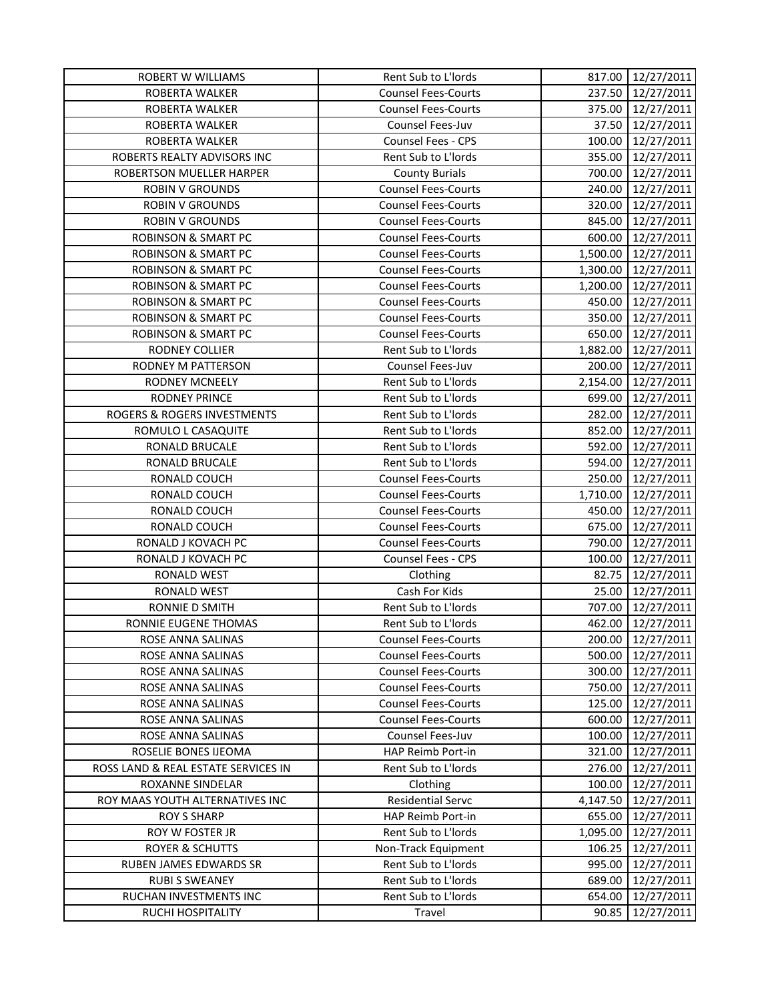| ROBERTA WALKER<br><b>Counsel Fees-Courts</b><br>237.50<br>12/27/2011<br><b>Counsel Fees-Courts</b><br>375.00<br>12/27/2011<br>ROBERTA WALKER<br>ROBERTA WALKER<br>Counsel Fees-Juv<br>37.50<br>12/27/2011<br>100.00<br>12/27/2011<br>ROBERTA WALKER<br><b>Counsel Fees - CPS</b><br>355.00<br>ROBERTS REALTY ADVISORS INC<br>Rent Sub to L'Iords<br>12/27/2011<br>ROBERTSON MUELLER HARPER<br>700.00<br>12/27/2011<br><b>County Burials</b><br>240.00<br>12/27/2011<br><b>ROBIN V GROUNDS</b><br><b>Counsel Fees-Courts</b><br><b>ROBIN V GROUNDS</b><br><b>Counsel Fees-Courts</b><br>320.00<br>12/27/2011<br><b>ROBIN V GROUNDS</b><br><b>Counsel Fees-Courts</b><br>845.00<br>12/27/2011<br><b>ROBINSON &amp; SMART PC</b><br>600.00<br><b>Counsel Fees-Courts</b><br>12/27/2011 |  |
|-------------------------------------------------------------------------------------------------------------------------------------------------------------------------------------------------------------------------------------------------------------------------------------------------------------------------------------------------------------------------------------------------------------------------------------------------------------------------------------------------------------------------------------------------------------------------------------------------------------------------------------------------------------------------------------------------------------------------------------------------------------------------------------|--|
|                                                                                                                                                                                                                                                                                                                                                                                                                                                                                                                                                                                                                                                                                                                                                                                     |  |
|                                                                                                                                                                                                                                                                                                                                                                                                                                                                                                                                                                                                                                                                                                                                                                                     |  |
|                                                                                                                                                                                                                                                                                                                                                                                                                                                                                                                                                                                                                                                                                                                                                                                     |  |
|                                                                                                                                                                                                                                                                                                                                                                                                                                                                                                                                                                                                                                                                                                                                                                                     |  |
|                                                                                                                                                                                                                                                                                                                                                                                                                                                                                                                                                                                                                                                                                                                                                                                     |  |
|                                                                                                                                                                                                                                                                                                                                                                                                                                                                                                                                                                                                                                                                                                                                                                                     |  |
|                                                                                                                                                                                                                                                                                                                                                                                                                                                                                                                                                                                                                                                                                                                                                                                     |  |
|                                                                                                                                                                                                                                                                                                                                                                                                                                                                                                                                                                                                                                                                                                                                                                                     |  |
|                                                                                                                                                                                                                                                                                                                                                                                                                                                                                                                                                                                                                                                                                                                                                                                     |  |
|                                                                                                                                                                                                                                                                                                                                                                                                                                                                                                                                                                                                                                                                                                                                                                                     |  |
| <b>ROBINSON &amp; SMART PC</b><br><b>Counsel Fees-Courts</b><br>1,500.00<br>12/27/2011                                                                                                                                                                                                                                                                                                                                                                                                                                                                                                                                                                                                                                                                                              |  |
| <b>ROBINSON &amp; SMART PC</b><br>12/27/2011<br><b>Counsel Fees-Courts</b><br>1,300.00                                                                                                                                                                                                                                                                                                                                                                                                                                                                                                                                                                                                                                                                                              |  |
| <b>ROBINSON &amp; SMART PC</b><br>12/27/2011<br><b>Counsel Fees-Courts</b><br>1,200.00                                                                                                                                                                                                                                                                                                                                                                                                                                                                                                                                                                                                                                                                                              |  |
| <b>ROBINSON &amp; SMART PC</b><br><b>Counsel Fees-Courts</b><br>450.00<br>12/27/2011                                                                                                                                                                                                                                                                                                                                                                                                                                                                                                                                                                                                                                                                                                |  |
| <b>ROBINSON &amp; SMART PC</b><br><b>Counsel Fees-Courts</b><br>350.00<br>12/27/2011                                                                                                                                                                                                                                                                                                                                                                                                                                                                                                                                                                                                                                                                                                |  |
| <b>ROBINSON &amp; SMART PC</b><br><b>Counsel Fees-Courts</b><br>650.00<br>12/27/2011                                                                                                                                                                                                                                                                                                                                                                                                                                                                                                                                                                                                                                                                                                |  |
| RODNEY COLLIER<br>Rent Sub to L'Iords<br>1,882.00<br>12/27/2011                                                                                                                                                                                                                                                                                                                                                                                                                                                                                                                                                                                                                                                                                                                     |  |
| Counsel Fees-Juv<br><b>RODNEY M PATTERSON</b><br>200.00<br>12/27/2011                                                                                                                                                                                                                                                                                                                                                                                                                                                                                                                                                                                                                                                                                                               |  |
| <b>RODNEY MCNEELY</b><br>Rent Sub to L'Iords<br>2,154.00<br>12/27/2011                                                                                                                                                                                                                                                                                                                                                                                                                                                                                                                                                                                                                                                                                                              |  |
| <b>RODNEY PRINCE</b><br>Rent Sub to L'Iords<br>699.00<br>12/27/2011                                                                                                                                                                                                                                                                                                                                                                                                                                                                                                                                                                                                                                                                                                                 |  |
| ROGERS & ROGERS INVESTMENTS<br>Rent Sub to L'Iords<br>282.00<br>12/27/2011                                                                                                                                                                                                                                                                                                                                                                                                                                                                                                                                                                                                                                                                                                          |  |
| Rent Sub to L'Iords<br>ROMULO L CASAQUITE<br>852.00<br>12/27/2011                                                                                                                                                                                                                                                                                                                                                                                                                                                                                                                                                                                                                                                                                                                   |  |
| Rent Sub to L'Iords<br>592.00<br>RONALD BRUCALE<br>12/27/2011                                                                                                                                                                                                                                                                                                                                                                                                                                                                                                                                                                                                                                                                                                                       |  |
| RONALD BRUCALE<br>Rent Sub to L'Iords<br>594.00<br>12/27/2011                                                                                                                                                                                                                                                                                                                                                                                                                                                                                                                                                                                                                                                                                                                       |  |
| RONALD COUCH<br><b>Counsel Fees-Courts</b><br>250.00<br>12/27/2011                                                                                                                                                                                                                                                                                                                                                                                                                                                                                                                                                                                                                                                                                                                  |  |
| RONALD COUCH<br><b>Counsel Fees-Courts</b><br>1,710.00<br>12/27/2011                                                                                                                                                                                                                                                                                                                                                                                                                                                                                                                                                                                                                                                                                                                |  |
| RONALD COUCH<br><b>Counsel Fees-Courts</b><br>450.00<br>12/27/2011                                                                                                                                                                                                                                                                                                                                                                                                                                                                                                                                                                                                                                                                                                                  |  |
| RONALD COUCH<br><b>Counsel Fees-Courts</b><br>675.00<br>12/27/2011                                                                                                                                                                                                                                                                                                                                                                                                                                                                                                                                                                                                                                                                                                                  |  |
| 790.00<br>RONALD J KOVACH PC<br><b>Counsel Fees-Courts</b><br>12/27/2011                                                                                                                                                                                                                                                                                                                                                                                                                                                                                                                                                                                                                                                                                                            |  |
| RONALD J KOVACH PC<br>Counsel Fees - CPS<br>100.00<br>12/27/2011                                                                                                                                                                                                                                                                                                                                                                                                                                                                                                                                                                                                                                                                                                                    |  |
| 82.75<br>RONALD WEST<br>12/27/2011<br>Clothing                                                                                                                                                                                                                                                                                                                                                                                                                                                                                                                                                                                                                                                                                                                                      |  |
| Cash For Kids<br>25.00<br>12/27/2011<br>RONALD WEST                                                                                                                                                                                                                                                                                                                                                                                                                                                                                                                                                                                                                                                                                                                                 |  |
| RONNIE D SMITH<br>Rent Sub to L'Iords<br>707.00<br>12/27/2011                                                                                                                                                                                                                                                                                                                                                                                                                                                                                                                                                                                                                                                                                                                       |  |
| RONNIE EUGENE THOMAS<br>Rent Sub to L'Iords<br>462.00<br>12/27/2011                                                                                                                                                                                                                                                                                                                                                                                                                                                                                                                                                                                                                                                                                                                 |  |
| ROSE ANNA SALINAS<br><b>Counsel Fees-Courts</b><br>200.00<br>12/27/2011                                                                                                                                                                                                                                                                                                                                                                                                                                                                                                                                                                                                                                                                                                             |  |
| 12/27/2011<br>ROSE ANNA SALINAS<br><b>Counsel Fees-Courts</b><br>500.00                                                                                                                                                                                                                                                                                                                                                                                                                                                                                                                                                                                                                                                                                                             |  |
| ROSE ANNA SALINAS<br><b>Counsel Fees-Courts</b><br>300.00<br>12/27/2011                                                                                                                                                                                                                                                                                                                                                                                                                                                                                                                                                                                                                                                                                                             |  |
| 750.00<br>12/27/2011<br>ROSE ANNA SALINAS<br><b>Counsel Fees-Courts</b>                                                                                                                                                                                                                                                                                                                                                                                                                                                                                                                                                                                                                                                                                                             |  |
| ROSE ANNA SALINAS<br><b>Counsel Fees-Courts</b><br>125.00<br>12/27/2011                                                                                                                                                                                                                                                                                                                                                                                                                                                                                                                                                                                                                                                                                                             |  |
| ROSE ANNA SALINAS<br><b>Counsel Fees-Courts</b><br>600.00<br>12/27/2011                                                                                                                                                                                                                                                                                                                                                                                                                                                                                                                                                                                                                                                                                                             |  |
| Counsel Fees-Juv<br>100.00<br>ROSE ANNA SALINAS<br>12/27/2011                                                                                                                                                                                                                                                                                                                                                                                                                                                                                                                                                                                                                                                                                                                       |  |
| ROSELIE BONES IJEOMA<br><b>HAP Reimb Port-in</b><br>321.00<br>12/27/2011                                                                                                                                                                                                                                                                                                                                                                                                                                                                                                                                                                                                                                                                                                            |  |
| ROSS LAND & REAL ESTATE SERVICES IN<br>Rent Sub to L'Iords<br>276.00<br>12/27/2011                                                                                                                                                                                                                                                                                                                                                                                                                                                                                                                                                                                                                                                                                                  |  |
| <b>ROXANNE SINDELAR</b><br>Clothing<br>100.00<br>12/27/2011                                                                                                                                                                                                                                                                                                                                                                                                                                                                                                                                                                                                                                                                                                                         |  |
| <b>Residential Servc</b><br>ROY MAAS YOUTH ALTERNATIVES INC<br>4,147.50<br>12/27/2011                                                                                                                                                                                                                                                                                                                                                                                                                                                                                                                                                                                                                                                                                               |  |
| <b>ROY S SHARP</b><br>655.00<br>HAP Reimb Port-in<br>12/27/2011                                                                                                                                                                                                                                                                                                                                                                                                                                                                                                                                                                                                                                                                                                                     |  |
| Rent Sub to L'Iords<br>ROY W FOSTER JR<br>1,095.00<br>12/27/2011                                                                                                                                                                                                                                                                                                                                                                                                                                                                                                                                                                                                                                                                                                                    |  |
| <b>ROYER &amp; SCHUTTS</b><br>Non-Track Equipment<br>106.25<br>12/27/2011                                                                                                                                                                                                                                                                                                                                                                                                                                                                                                                                                                                                                                                                                                           |  |
| RUBEN JAMES EDWARDS SR<br>Rent Sub to L'Iords<br>995.00<br>12/27/2011                                                                                                                                                                                                                                                                                                                                                                                                                                                                                                                                                                                                                                                                                                               |  |
| Rent Sub to L'Iords<br><b>RUBI S SWEANEY</b><br>689.00<br>12/27/2011                                                                                                                                                                                                                                                                                                                                                                                                                                                                                                                                                                                                                                                                                                                |  |
| RUCHAN INVESTMENTS INC<br>Rent Sub to L'Iords<br>12/27/2011<br>654.00                                                                                                                                                                                                                                                                                                                                                                                                                                                                                                                                                                                                                                                                                                               |  |
| RUCHI HOSPITALITY<br>12/27/2011<br>Travel<br>90.85                                                                                                                                                                                                                                                                                                                                                                                                                                                                                                                                                                                                                                                                                                                                  |  |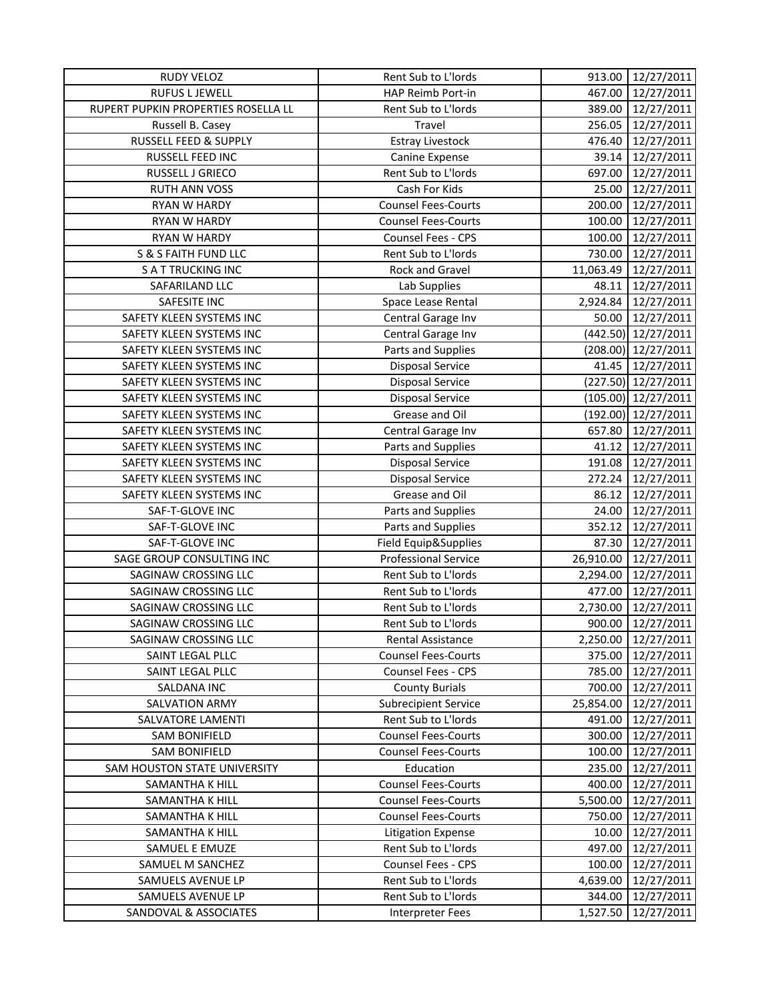| <b>RUDY VELOZ</b>                   | Rent Sub to L'Iords         | 913.00    | 12/27/2011            |
|-------------------------------------|-----------------------------|-----------|-----------------------|
| <b>RUFUS L JEWELL</b>               | HAP Reimb Port-in           | 467.00    | 12/27/2011            |
| RUPERT PUPKIN PROPERTIES ROSELLA LL | Rent Sub to L'Iords         | 389.00    | 12/27/2011            |
| Russell B. Casey                    | Travel                      | 256.05    | 12/27/2011            |
| RUSSELL FEED & SUPPLY               | <b>Estray Livestock</b>     | 476.40    | 12/27/2011            |
| RUSSELL FEED INC                    | Canine Expense              | 39.14     | 12/27/2011            |
| RUSSELL J GRIECO                    | Rent Sub to L'Iords         | 697.00    | 12/27/2011            |
| <b>RUTH ANN VOSS</b>                | Cash For Kids               | 25.00     | 12/27/2011            |
| RYAN W HARDY                        | <b>Counsel Fees-Courts</b>  | 200.00    | 12/27/2011            |
| RYAN W HARDY                        | <b>Counsel Fees-Courts</b>  | 100.00    | 12/27/2011            |
| RYAN W HARDY                        | Counsel Fees - CPS          | 100.00    | 12/27/2011            |
| S & S FAITH FUND LLC                | Rent Sub to L'Iords         | 730.00    | 12/27/2011            |
| <b>S A T TRUCKING INC</b>           | Rock and Gravel             | 11,063.49 | 12/27/2011            |
| SAFARILAND LLC                      | Lab Supplies                | 48.11     | 12/27/2011            |
| SAFESITE INC                        | Space Lease Rental          | 2,924.84  | 12/27/2011            |
| SAFETY KLEEN SYSTEMS INC            | Central Garage Inv          | 50.00     | 12/27/2011            |
| SAFETY KLEEN SYSTEMS INC            | Central Garage Inv          |           | (442.50) 12/27/2011   |
| SAFETY KLEEN SYSTEMS INC            | Parts and Supplies          |           | $(208.00)$ 12/27/2011 |
| SAFETY KLEEN SYSTEMS INC            | <b>Disposal Service</b>     | 41.45     | 12/27/2011            |
| SAFETY KLEEN SYSTEMS INC            | <b>Disposal Service</b>     |           | (227.50) 12/27/2011   |
| SAFETY KLEEN SYSTEMS INC            | <b>Disposal Service</b>     |           | $(105.00)$ 12/27/2011 |
| SAFETY KLEEN SYSTEMS INC            | Grease and Oil              |           | (192.00) 12/27/2011   |
| SAFETY KLEEN SYSTEMS INC            | Central Garage Inv          | 657.80    | 12/27/2011            |
| SAFETY KLEEN SYSTEMS INC            | Parts and Supplies          | 41.12     | 12/27/2011            |
| SAFETY KLEEN SYSTEMS INC            | <b>Disposal Service</b>     | 191.08    | 12/27/2011            |
| SAFETY KLEEN SYSTEMS INC            | <b>Disposal Service</b>     | 272.24    | 12/27/2011            |
| SAFETY KLEEN SYSTEMS INC            | Grease and Oil              | 86.12     | 12/27/2011            |
| SAF-T-GLOVE INC                     | Parts and Supplies          | 24.00     | 12/27/2011            |
| SAF-T-GLOVE INC                     | Parts and Supplies          | 352.12    | 12/27/2011            |
| SAF-T-GLOVE INC                     | Field Equip&Supplies        | 87.30     | 12/27/2011            |
| SAGE GROUP CONSULTING INC           | <b>Professional Service</b> | 26,910.00 | 12/27/2011            |
| SAGINAW CROSSING LLC                | Rent Sub to L'Iords         | 2,294.00  | 12/27/2011            |
| SAGINAW CROSSING LLC                | Rent Sub to L'Iords         | 477.00    | 12/27/2011            |
| SAGINAW CROSSING LLC                | Rent Sub to L'Iords         | 2,730.00  | 12/27/2011            |
| SAGINAW CROSSING LLC                | Rent Sub to L'Iords         | 900.00    | 12/27/2011            |
| SAGINAW CROSSING LLC                | Rental Assistance           | 2,250.00  | 12/27/2011            |
| SAINT LEGAL PLLC                    | <b>Counsel Fees-Courts</b>  | 375.00    | 12/27/2011            |
| SAINT LEGAL PLLC                    | Counsel Fees - CPS          | 785.00    | 12/27/2011            |
| SALDANA INC                         | <b>County Burials</b>       | 700.00    | 12/27/2011            |
| <b>SALVATION ARMY</b>               | <b>Subrecipient Service</b> | 25,854.00 | 12/27/2011            |
| SALVATORE LAMENTI                   | Rent Sub to L'Iords         | 491.00    | 12/27/2011            |
| <b>SAM BONIFIELD</b>                | <b>Counsel Fees-Courts</b>  | 300.00    | 12/27/2011            |
| <b>SAM BONIFIELD</b>                | <b>Counsel Fees-Courts</b>  | 100.00    | 12/27/2011            |
| SAM HOUSTON STATE UNIVERSITY        | Education                   | 235.00    | 12/27/2011            |
| SAMANTHA K HILL                     | <b>Counsel Fees-Courts</b>  | 400.00    | 12/27/2011            |
| SAMANTHA K HILL                     | <b>Counsel Fees-Courts</b>  | 5,500.00  | 12/27/2011            |
| SAMANTHA K HILL                     | <b>Counsel Fees-Courts</b>  | 750.00    | 12/27/2011            |
| SAMANTHA K HILL                     | <b>Litigation Expense</b>   | 10.00     | 12/27/2011            |
| SAMUEL E EMUZE                      | Rent Sub to L'Iords         | 497.00    | 12/27/2011            |
| SAMUEL M SANCHEZ                    | <b>Counsel Fees - CPS</b>   | 100.00    | 12/27/2011            |
| SAMUELS AVENUE LP                   | Rent Sub to L'Iords         | 4,639.00  | 12/27/2011            |
| SAMUELS AVENUE LP                   | Rent Sub to L'Iords         | 344.00    | 12/27/2011            |
| SANDOVAL & ASSOCIATES               | <b>Interpreter Fees</b>     | 1,527.50  | 12/27/2011            |
|                                     |                             |           |                       |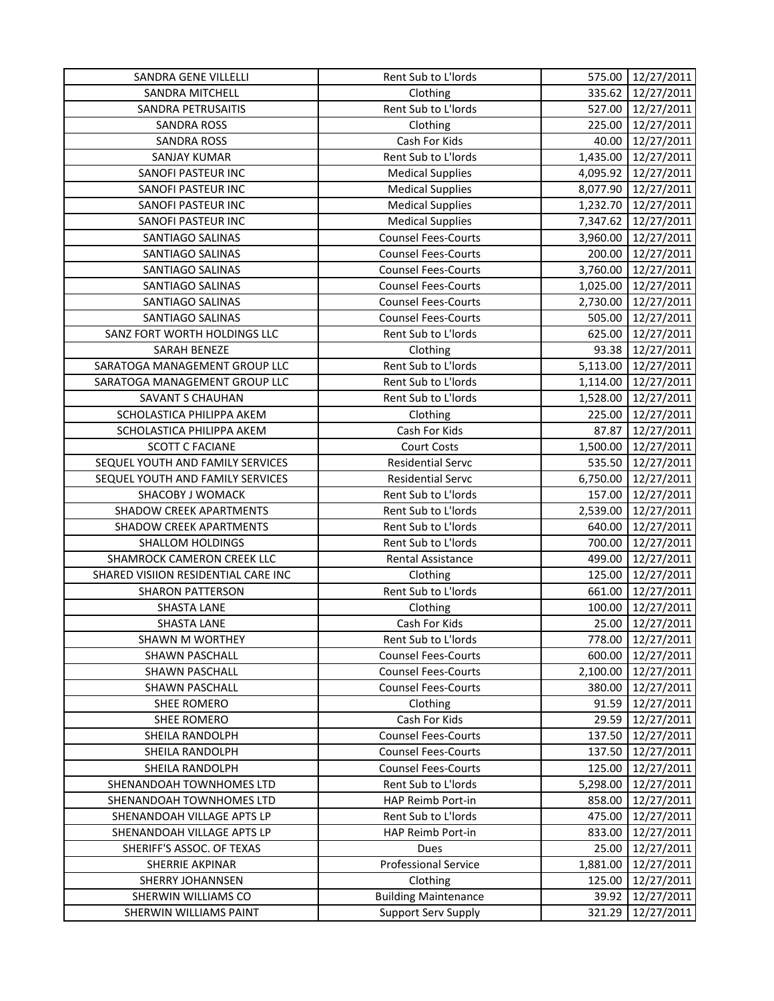| SANDRA GENE VILLELLI                | Rent Sub to L'Iords         |          | 575.00 12/27/2011 |
|-------------------------------------|-----------------------------|----------|-------------------|
| <b>SANDRA MITCHELL</b>              | Clothing                    |          | 335.62 12/27/2011 |
| SANDRA PETRUSAITIS                  | Rent Sub to L'Iords         |          | 527.00 12/27/2011 |
| <b>SANDRA ROSS</b>                  | Clothing                    | 225.00   | 12/27/2011        |
| <b>SANDRA ROSS</b>                  | Cash For Kids               | 40.00    | 12/27/2011        |
| <b>SANJAY KUMAR</b>                 | Rent Sub to L'Iords         | 1,435.00 | 12/27/2011        |
| SANOFI PASTEUR INC                  | <b>Medical Supplies</b>     | 4,095.92 | 12/27/2011        |
| SANOFI PASTEUR INC                  | <b>Medical Supplies</b>     | 8,077.90 | 12/27/2011        |
| SANOFI PASTEUR INC                  | <b>Medical Supplies</b>     | 1,232.70 | 12/27/2011        |
| SANOFI PASTEUR INC                  | <b>Medical Supplies</b>     | 7,347.62 | 12/27/2011        |
| SANTIAGO SALINAS                    | <b>Counsel Fees-Courts</b>  | 3,960.00 | 12/27/2011        |
| SANTIAGO SALINAS                    | <b>Counsel Fees-Courts</b>  | 200.00   | 12/27/2011        |
| SANTIAGO SALINAS                    | <b>Counsel Fees-Courts</b>  | 3,760.00 | 12/27/2011        |
| SANTIAGO SALINAS                    | <b>Counsel Fees-Courts</b>  | 1,025.00 | 12/27/2011        |
| SANTIAGO SALINAS                    | <b>Counsel Fees-Courts</b>  | 2,730.00 | 12/27/2011        |
| SANTIAGO SALINAS                    | <b>Counsel Fees-Courts</b>  | 505.00   | 12/27/2011        |
| SANZ FORT WORTH HOLDINGS LLC        | Rent Sub to L'Iords         | 625.00   | 12/27/2011        |
| SARAH BENEZE                        | Clothing                    | 93.38    | 12/27/2011        |
| SARATOGA MANAGEMENT GROUP LLC       | Rent Sub to L'Iords         | 5,113.00 | 12/27/2011        |
| SARATOGA MANAGEMENT GROUP LLC       | Rent Sub to L'Iords         | 1,114.00 | 12/27/2011        |
| <b>SAVANT S CHAUHAN</b>             | Rent Sub to L'Iords         | 1,528.00 | 12/27/2011        |
| SCHOLASTICA PHILIPPA AKEM           | Clothing                    | 225.00   | 12/27/2011        |
| SCHOLASTICA PHILIPPA AKEM           | Cash For Kids               | 87.87    | 12/27/2011        |
| <b>SCOTT C FACIANE</b>              | <b>Court Costs</b>          | 1,500.00 | 12/27/2011        |
| SEQUEL YOUTH AND FAMILY SERVICES    | <b>Residential Servc</b>    | 535.50   | 12/27/2011        |
| SEQUEL YOUTH AND FAMILY SERVICES    | <b>Residential Servc</b>    | 6,750.00 | 12/27/2011        |
| SHACOBY J WOMACK                    | Rent Sub to L'Iords         | 157.00   | 12/27/2011        |
| <b>SHADOW CREEK APARTMENTS</b>      | Rent Sub to L'Iords         | 2,539.00 | 12/27/2011        |
| <b>SHADOW CREEK APARTMENTS</b>      | Rent Sub to L'Iords         | 640.00   | 12/27/2011        |
| <b>SHALLOM HOLDINGS</b>             | Rent Sub to L'Iords         | 700.00   | 12/27/2011        |
| SHAMROCK CAMERON CREEK LLC          | Rental Assistance           | 499.00   | 12/27/2011        |
| SHARED VISIION RESIDENTIAL CARE INC | Clothing                    | 125.00   | 12/27/2011        |
| <b>SHARON PATTERSON</b>             | Rent Sub to L'Iords         | 661.00   | 12/27/2011        |
| <b>SHASTA LANE</b>                  | Clothing                    | 100.00   | 12/27/2011        |
| <b>SHASTA LANE</b>                  | Cash For Kids               | 25.00    | 12/27/2011        |
| <b>SHAWN M WORTHEY</b>              | Rent Sub to L'Iords         | 778.00   | 12/27/2011        |
| <b>SHAWN PASCHALL</b>               | <b>Counsel Fees-Courts</b>  | 600.00   | 12/27/2011        |
| SHAWN PASCHALL                      | <b>Counsel Fees-Courts</b>  | 2,100.00 | 12/27/2011        |
| <b>SHAWN PASCHALL</b>               | <b>Counsel Fees-Courts</b>  | 380.00   | 12/27/2011        |
| SHEE ROMERO                         | Clothing                    | 91.59    | 12/27/2011        |
| SHEE ROMERO                         | Cash For Kids               | 29.59    | 12/27/2011        |
| SHEILA RANDOLPH                     | <b>Counsel Fees-Courts</b>  | 137.50   | 12/27/2011        |
| SHEILA RANDOLPH                     | <b>Counsel Fees-Courts</b>  | 137.50   | 12/27/2011        |
| SHEILA RANDOLPH                     | <b>Counsel Fees-Courts</b>  | 125.00   | 12/27/2011        |
| SHENANDOAH TOWNHOMES LTD            | Rent Sub to L'Iords         | 5,298.00 | 12/27/2011        |
| SHENANDOAH TOWNHOMES LTD            | HAP Reimb Port-in           | 858.00   | 12/27/2011        |
| SHENANDOAH VILLAGE APTS LP          | Rent Sub to L'Iords         | 475.00   | 12/27/2011        |
| SHENANDOAH VILLAGE APTS LP          | HAP Reimb Port-in           | 833.00   | 12/27/2011        |
| SHERIFF'S ASSOC. OF TEXAS           | Dues                        | 25.00    | 12/27/2011        |
| SHERRIE AKPINAR                     | <b>Professional Service</b> | 1,881.00 | 12/27/2011        |
| <b>SHERRY JOHANNSEN</b>             | Clothing                    | 125.00   | 12/27/2011        |
| SHERWIN WILLIAMS CO                 | <b>Building Maintenance</b> | 39.92    | 12/27/2011        |
| SHERWIN WILLIAMS PAINT              | <b>Support Serv Supply</b>  | 321.29   | 12/27/2011        |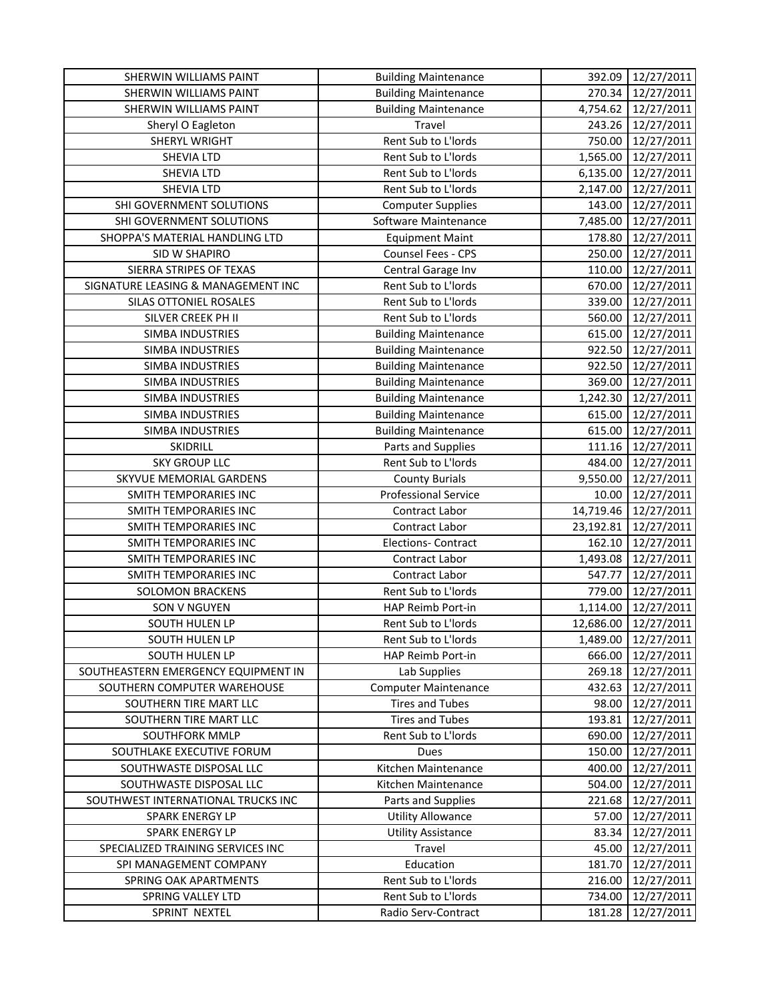| SHERWIN WILLIAMS PAINT              | <b>Building Maintenance</b> | 392.09    | 12/27/2011 |
|-------------------------------------|-----------------------------|-----------|------------|
| SHERWIN WILLIAMS PAINT              | <b>Building Maintenance</b> | 270.34    | 12/27/2011 |
| SHERWIN WILLIAMS PAINT              | <b>Building Maintenance</b> | 4,754.62  | 12/27/2011 |
| Sheryl O Eagleton                   | Travel                      | 243.26    | 12/27/2011 |
| <b>SHERYL WRIGHT</b>                | Rent Sub to L'Iords         | 750.00    | 12/27/2011 |
| SHEVIA LTD                          | Rent Sub to L'Iords         | 1,565.00  | 12/27/2011 |
| SHEVIA LTD                          | Rent Sub to L'Iords         | 6,135.00  | 12/27/2011 |
| SHEVIA LTD                          | Rent Sub to L'Iords         | 2,147.00  | 12/27/2011 |
| SHI GOVERNMENT SOLUTIONS            | <b>Computer Supplies</b>    | 143.00    | 12/27/2011 |
| SHI GOVERNMENT SOLUTIONS            | Software Maintenance        | 7,485.00  | 12/27/2011 |
| SHOPPA'S MATERIAL HANDLING LTD      | <b>Equipment Maint</b>      | 178.80    | 12/27/2011 |
| SID W SHAPIRO                       | Counsel Fees - CPS          | 250.00    | 12/27/2011 |
| SIERRA STRIPES OF TEXAS             | Central Garage Inv          | 110.00    | 12/27/2011 |
| SIGNATURE LEASING & MANAGEMENT INC  | Rent Sub to L'Iords         | 670.00    | 12/27/2011 |
| SILAS OTTONIEL ROSALES              | Rent Sub to L'Iords         | 339.00    | 12/27/2011 |
| SILVER CREEK PH II                  | Rent Sub to L'Iords         | 560.00    | 12/27/2011 |
| <b>SIMBA INDUSTRIES</b>             | <b>Building Maintenance</b> | 615.00    | 12/27/2011 |
| <b>SIMBA INDUSTRIES</b>             | <b>Building Maintenance</b> | 922.50    | 12/27/2011 |
| SIMBA INDUSTRIES                    | <b>Building Maintenance</b> | 922.50    | 12/27/2011 |
| SIMBA INDUSTRIES                    | <b>Building Maintenance</b> | 369.00    | 12/27/2011 |
| <b>SIMBA INDUSTRIES</b>             | <b>Building Maintenance</b> | 1,242.30  | 12/27/2011 |
| <b>SIMBA INDUSTRIES</b>             | <b>Building Maintenance</b> | 615.00    | 12/27/2011 |
| SIMBA INDUSTRIES                    | <b>Building Maintenance</b> | 615.00    | 12/27/2011 |
| SKIDRILL                            | Parts and Supplies          | 111.16    | 12/27/2011 |
| <b>SKY GROUP LLC</b>                | Rent Sub to L'Iords         | 484.00    | 12/27/2011 |
| SKYVUE MEMORIAL GARDENS             | <b>County Burials</b>       | 9,550.00  | 12/27/2011 |
| SMITH TEMPORARIES INC               | <b>Professional Service</b> | 10.00     | 12/27/2011 |
| SMITH TEMPORARIES INC               | Contract Labor              | 14,719.46 | 12/27/2011 |
| SMITH TEMPORARIES INC               | Contract Labor              | 23,192.81 | 12/27/2011 |
| SMITH TEMPORARIES INC               | <b>Elections- Contract</b>  | 162.10    | 12/27/2011 |
| <b>SMITH TEMPORARIES INC</b>        | <b>Contract Labor</b>       | 1,493.08  | 12/27/2011 |
| SMITH TEMPORARIES INC               | Contract Labor              | 547.77    | 12/27/2011 |
| <b>SOLOMON BRACKENS</b>             | Rent Sub to L'Iords         | 779.00    | 12/27/2011 |
| SON V NGUYEN                        | HAP Reimb Port-in           | 1,114.00  | 12/27/2011 |
| SOUTH HULEN LP                      | Rent Sub to L'Iords         | 12,686.00 | 12/27/2011 |
| SOUTH HULEN LP                      | Rent Sub to L'Iords         | 1,489.00  | 12/27/2011 |
| <b>SOUTH HULEN LP</b>               | HAP Reimb Port-in           | 666.00    | 12/27/2011 |
| SOUTHEASTERN EMERGENCY EQUIPMENT IN | Lab Supplies                | 269.18    | 12/27/2011 |
| SOUTHERN COMPUTER WAREHOUSE         | <b>Computer Maintenance</b> | 432.63    | 12/27/2011 |
| SOUTHERN TIRE MART LLC              | <b>Tires and Tubes</b>      | 98.00     | 12/27/2011 |
| SOUTHERN TIRE MART LLC              | <b>Tires and Tubes</b>      | 193.81    | 12/27/2011 |
| SOUTHFORK MMLP                      | Rent Sub to L'Iords         | 690.00    | 12/27/2011 |
| SOUTHLAKE EXECUTIVE FORUM           | Dues                        | 150.00    | 12/27/2011 |
| SOUTHWASTE DISPOSAL LLC             | Kitchen Maintenance         | 400.00    | 12/27/2011 |
| SOUTHWASTE DISPOSAL LLC             | Kitchen Maintenance         | 504.00    | 12/27/2011 |
| SOUTHWEST INTERNATIONAL TRUCKS INC  | Parts and Supplies          | 221.68    | 12/27/2011 |
| SPARK ENERGY LP                     | <b>Utility Allowance</b>    | 57.00     | 12/27/2011 |
| SPARK ENERGY LP                     | <b>Utility Assistance</b>   | 83.34     | 12/27/2011 |
| SPECIALIZED TRAINING SERVICES INC   | Travel                      | 45.00     | 12/27/2011 |
| SPI MANAGEMENT COMPANY              | Education                   | 181.70    | 12/27/2011 |
| SPRING OAK APARTMENTS               | Rent Sub to L'Iords         | 216.00    | 12/27/2011 |
| SPRING VALLEY LTD                   | Rent Sub to L'Iords         | 734.00    | 12/27/2011 |
| SPRINT NEXTEL                       | Radio Serv-Contract         | 181.28    | 12/27/2011 |
|                                     |                             |           |            |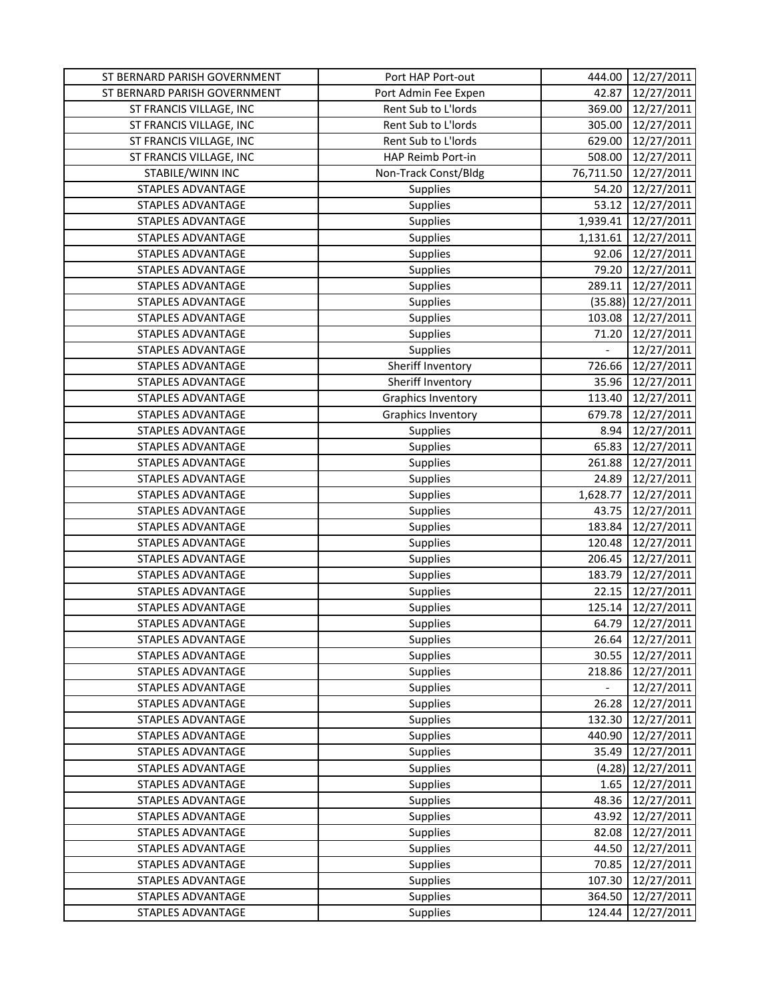| ST BERNARD PARISH GOVERNMENT | Port HAP Port-out         | 444.00                   | 12/27/2011           |
|------------------------------|---------------------------|--------------------------|----------------------|
| ST BERNARD PARISH GOVERNMENT | Port Admin Fee Expen      | 42.87                    | 12/27/2011           |
| ST FRANCIS VILLAGE, INC      | Rent Sub to L'Iords       | 369.00                   | 12/27/2011           |
| ST FRANCIS VILLAGE, INC      | Rent Sub to L'Iords       | 305.00                   | 12/27/2011           |
| ST FRANCIS VILLAGE, INC      | Rent Sub to L'Iords       | 629.00                   | 12/27/2011           |
| ST FRANCIS VILLAGE, INC      | HAP Reimb Port-in         | 508.00                   | 12/27/2011           |
| STABILE/WINN INC             | Non-Track Const/Bldg      | 76,711.50                | 12/27/2011           |
| <b>STAPLES ADVANTAGE</b>     | Supplies                  | 54.20                    | 12/27/2011           |
| STAPLES ADVANTAGE            | Supplies                  | 53.12                    | 12/27/2011           |
| STAPLES ADVANTAGE            | <b>Supplies</b>           | 1,939.41                 | 12/27/2011           |
| <b>STAPLES ADVANTAGE</b>     | <b>Supplies</b>           | 1,131.61                 | 12/27/2011           |
| STAPLES ADVANTAGE            | <b>Supplies</b>           | 92.06                    | 12/27/2011           |
| STAPLES ADVANTAGE            | <b>Supplies</b>           | 79.20                    | 12/27/2011           |
| STAPLES ADVANTAGE            | <b>Supplies</b>           | 289.11                   | 12/27/2011           |
| STAPLES ADVANTAGE            | <b>Supplies</b>           |                          | $(35.88)$ 12/27/2011 |
| STAPLES ADVANTAGE            | Supplies                  | 103.08                   | 12/27/2011           |
| STAPLES ADVANTAGE            | Supplies                  | 71.20                    | 12/27/2011           |
| STAPLES ADVANTAGE            | Supplies                  |                          | 12/27/2011           |
| STAPLES ADVANTAGE            | Sheriff Inventory         | 726.66                   | 12/27/2011           |
| <b>STAPLES ADVANTAGE</b>     | Sheriff Inventory         | 35.96                    | 12/27/2011           |
| STAPLES ADVANTAGE            | <b>Graphics Inventory</b> | 113.40                   | 12/27/2011           |
| STAPLES ADVANTAGE            | <b>Graphics Inventory</b> | 679.78                   | 12/27/2011           |
| <b>STAPLES ADVANTAGE</b>     | <b>Supplies</b>           | 8.94                     | 12/27/2011           |
| STAPLES ADVANTAGE            | Supplies                  | 65.83                    | 12/27/2011           |
| STAPLES ADVANTAGE            | Supplies                  | 261.88                   | 12/27/2011           |
| STAPLES ADVANTAGE            | <b>Supplies</b>           | 24.89                    | 12/27/2011           |
| STAPLES ADVANTAGE            | <b>Supplies</b>           | 1,628.77                 | 12/27/2011           |
| STAPLES ADVANTAGE            | <b>Supplies</b>           | 43.75                    | 12/27/2011           |
| STAPLES ADVANTAGE            | Supplies                  | 183.84                   | 12/27/2011           |
| STAPLES ADVANTAGE            | <b>Supplies</b>           | 120.48                   | 12/27/2011           |
| STAPLES ADVANTAGE            | <b>Supplies</b>           | 206.45                   | 12/27/2011           |
| STAPLES ADVANTAGE            | Supplies                  | 183.79                   | 12/27/2011           |
| <b>STAPLES ADVANTAGE</b>     | Supplies                  | 22.15                    | 12/27/2011           |
| STAPLES ADVANTAGE            | Supplies                  | 125.14                   | 12/27/2011           |
| STAPLES ADVANTAGE            | Supplies                  | 64.79                    | 12/27/2011           |
| STAPLES ADVANTAGE            | <b>Supplies</b>           | 26.64                    | 12/27/2011           |
| STAPLES ADVANTAGE            | <b>Supplies</b>           | 30.55                    | 12/27/2011           |
| STAPLES ADVANTAGE            | <b>Supplies</b>           | 218.86                   | 12/27/2011           |
| STAPLES ADVANTAGE            | Supplies                  | $\overline{\phantom{0}}$ | 12/27/2011           |
| STAPLES ADVANTAGE            | <b>Supplies</b>           | 26.28                    | 12/27/2011           |
| STAPLES ADVANTAGE            | Supplies                  | 132.30                   | 12/27/2011           |
| <b>STAPLES ADVANTAGE</b>     | Supplies                  | 440.90                   | 12/27/2011           |
| STAPLES ADVANTAGE            | <b>Supplies</b>           | 35.49                    | 12/27/2011           |
| STAPLES ADVANTAGE            | <b>Supplies</b>           | (4.28)                   | 12/27/2011           |
| STAPLES ADVANTAGE            | <b>Supplies</b>           | 1.65                     | 12/27/2011           |
| STAPLES ADVANTAGE            | <b>Supplies</b>           | 48.36                    | 12/27/2011           |
| STAPLES ADVANTAGE            | <b>Supplies</b>           | 43.92                    | 12/27/2011           |
| STAPLES ADVANTAGE            | <b>Supplies</b>           | 82.08                    | 12/27/2011           |
| STAPLES ADVANTAGE            | Supplies                  | 44.50                    | 12/27/2011           |
| STAPLES ADVANTAGE            | Supplies                  | 70.85                    | 12/27/2011           |
| STAPLES ADVANTAGE            | <b>Supplies</b>           | 107.30                   | 12/27/2011           |
| STAPLES ADVANTAGE            | <b>Supplies</b>           | 364.50                   | 12/27/2011           |
| STAPLES ADVANTAGE            | <b>Supplies</b>           | 124.44                   | 12/27/2011           |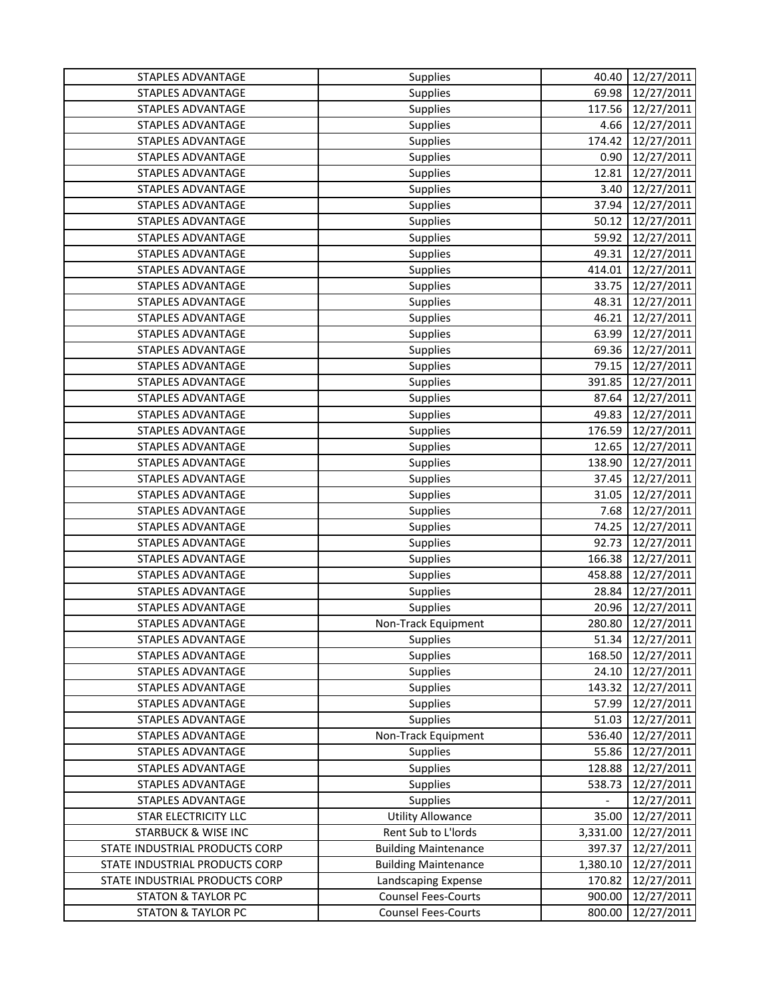| STAPLES ADVANTAGE              | Supplies                    | 40.40                    | 12/27/2011 |
|--------------------------------|-----------------------------|--------------------------|------------|
| STAPLES ADVANTAGE              | Supplies                    | 69.98                    | 12/27/2011 |
| STAPLES ADVANTAGE              | Supplies                    | 117.56                   | 12/27/2011 |
| STAPLES ADVANTAGE              | Supplies                    | 4.66                     | 12/27/2011 |
| STAPLES ADVANTAGE              | Supplies                    | 174.42                   | 12/27/2011 |
| STAPLES ADVANTAGE              | Supplies                    | 0.90                     | 12/27/2011 |
| STAPLES ADVANTAGE              | Supplies                    | 12.81                    | 12/27/2011 |
| STAPLES ADVANTAGE              | <b>Supplies</b>             | 3.40                     | 12/27/2011 |
| <b>STAPLES ADVANTAGE</b>       | Supplies                    | 37.94                    | 12/27/2011 |
| STAPLES ADVANTAGE              | <b>Supplies</b>             | 50.12                    | 12/27/2011 |
| STAPLES ADVANTAGE              | Supplies                    | 59.92                    | 12/27/2011 |
| STAPLES ADVANTAGE              | Supplies                    | 49.31                    | 12/27/2011 |
| STAPLES ADVANTAGE              | Supplies                    | 414.01                   | 12/27/2011 |
| STAPLES ADVANTAGE              | Supplies                    | 33.75                    | 12/27/2011 |
| STAPLES ADVANTAGE              | <b>Supplies</b>             | 48.31                    | 12/27/2011 |
| <b>STAPLES ADVANTAGE</b>       | <b>Supplies</b>             | 46.21                    | 12/27/2011 |
| STAPLES ADVANTAGE              | Supplies                    | 63.99                    | 12/27/2011 |
| <b>STAPLES ADVANTAGE</b>       | Supplies                    | 69.36                    | 12/27/2011 |
| STAPLES ADVANTAGE              | <b>Supplies</b>             | 79.15                    | 12/27/2011 |
| STAPLES ADVANTAGE              | Supplies                    | 391.85                   | 12/27/2011 |
| STAPLES ADVANTAGE              |                             | 87.64                    |            |
| <b>STAPLES ADVANTAGE</b>       | Supplies                    |                          | 12/27/2011 |
|                                | Supplies                    | 49.83                    | 12/27/2011 |
| STAPLES ADVANTAGE              | Supplies                    | 176.59                   | 12/27/2011 |
| STAPLES ADVANTAGE              | <b>Supplies</b>             | 12.65                    | 12/27/2011 |
| STAPLES ADVANTAGE              | Supplies                    | 138.90                   | 12/27/2011 |
| STAPLES ADVANTAGE              | Supplies                    | 37.45                    | 12/27/2011 |
| STAPLES ADVANTAGE              | Supplies                    | 31.05                    | 12/27/2011 |
| STAPLES ADVANTAGE              | Supplies                    | 7.68<br>74.25            | 12/27/2011 |
| STAPLES ADVANTAGE              | Supplies                    |                          | 12/27/2011 |
| STAPLES ADVANTAGE              | Supplies                    | 92.73                    | 12/27/2011 |
| STAPLES ADVANTAGE              | Supplies                    | 166.38                   | 12/27/2011 |
| STAPLES ADVANTAGE              | <b>Supplies</b>             | 458.88                   | 12/27/2011 |
| STAPLES ADVANTAGE              | <b>Supplies</b>             | 28.84                    | 12/27/2011 |
| STAPLES ADVANTAGE              | Supplies                    | 20.96                    | 12/27/2011 |
| STAPLES ADVANTAGE              | Non-Track Equipment         | 280.80                   | 12/27/2011 |
| STAPLES ADVANTAGE              | <b>Supplies</b>             | 51.34                    | 12/27/2011 |
| STAPLES ADVANTAGE              | <b>Supplies</b>             | 168.50                   | 12/27/2011 |
| STAPLES ADVANTAGE              | <b>Supplies</b>             | 24.10                    | 12/27/2011 |
| STAPLES ADVANTAGE              | <b>Supplies</b>             | 143.32                   | 12/27/2011 |
| STAPLES ADVANTAGE              | Supplies                    | 57.99                    | 12/27/2011 |
| STAPLES ADVANTAGE              | Supplies                    | 51.03                    | 12/27/2011 |
| STAPLES ADVANTAGE              | Non-Track Equipment         | 536.40                   | 12/27/2011 |
| STAPLES ADVANTAGE              | <b>Supplies</b>             | 55.86                    | 12/27/2011 |
| STAPLES ADVANTAGE              | <b>Supplies</b>             | 128.88                   | 12/27/2011 |
| STAPLES ADVANTAGE              | <b>Supplies</b>             | 538.73                   | 12/27/2011 |
| STAPLES ADVANTAGE              | <b>Supplies</b>             | $\overline{\phantom{a}}$ | 12/27/2011 |
| STAR ELECTRICITY LLC           | <b>Utility Allowance</b>    | 35.00                    | 12/27/2011 |
| <b>STARBUCK &amp; WISE INC</b> | Rent Sub to L'Iords         | 3,331.00                 | 12/27/2011 |
| STATE INDUSTRIAL PRODUCTS CORP | <b>Building Maintenance</b> | 397.37                   | 12/27/2011 |
| STATE INDUSTRIAL PRODUCTS CORP | <b>Building Maintenance</b> | 1,380.10                 | 12/27/2011 |
| STATE INDUSTRIAL PRODUCTS CORP | Landscaping Expense         | 170.82                   | 12/27/2011 |
| <b>STATON &amp; TAYLOR PC</b>  | <b>Counsel Fees-Courts</b>  | 900.00                   | 12/27/2011 |
| <b>STATON &amp; TAYLOR PC</b>  | <b>Counsel Fees-Courts</b>  | 800.00                   | 12/27/2011 |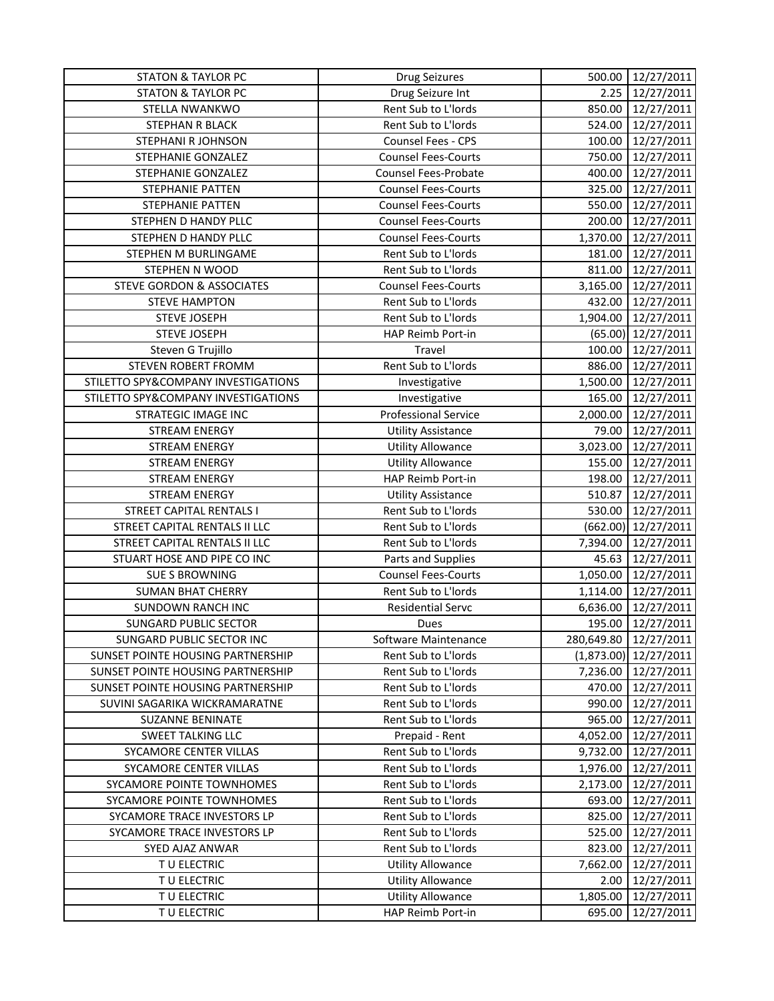| <b>STATON &amp; TAYLOR PC</b>        | <b>Drug Seizures</b>        | 500.00     | 12/27/2011           |
|--------------------------------------|-----------------------------|------------|----------------------|
| <b>STATON &amp; TAYLOR PC</b>        | Drug Seizure Int            | 2.25       | 12/27/2011           |
| STELLA NWANKWO                       | Rent Sub to L'Iords         | 850.00     | 12/27/2011           |
| STEPHAN R BLACK                      | Rent Sub to L'Iords         | 524.00     | 12/27/2011           |
| STEPHANI R JOHNSON                   | Counsel Fees - CPS          | 100.00     | 12/27/2011           |
| STEPHANIE GONZALEZ                   | <b>Counsel Fees-Courts</b>  | 750.00     | 12/27/2011           |
| STEPHANIE GONZALEZ                   | <b>Counsel Fees-Probate</b> | 400.00     | 12/27/2011           |
| STEPHANIE PATTEN                     | <b>Counsel Fees-Courts</b>  | 325.00     | 12/27/2011           |
| STEPHANIE PATTEN                     | <b>Counsel Fees-Courts</b>  | 550.00     | 12/27/2011           |
| STEPHEN D HANDY PLLC                 | <b>Counsel Fees-Courts</b>  | 200.00     | 12/27/2011           |
| STEPHEN D HANDY PLLC                 | <b>Counsel Fees-Courts</b>  | 1,370.00   | 12/27/2011           |
| STEPHEN M BURLINGAME                 | Rent Sub to L'Iords         | 181.00     | 12/27/2011           |
| STEPHEN N WOOD                       | Rent Sub to L'Iords         | 811.00     | 12/27/2011           |
| <b>STEVE GORDON &amp; ASSOCIATES</b> | <b>Counsel Fees-Courts</b>  | 3,165.00   | 12/27/2011           |
| <b>STEVE HAMPTON</b>                 | Rent Sub to L'Iords         | 432.00     | 12/27/2011           |
| <b>STEVE JOSEPH</b>                  | Rent Sub to L'Iords         | 1,904.00   | 12/27/2011           |
| <b>STEVE JOSEPH</b>                  | HAP Reimb Port-in           |            | $(65.00)$ 12/27/2011 |
| Steven G Trujillo                    | Travel                      | 100.00     | 12/27/2011           |
| STEVEN ROBERT FROMM                  | Rent Sub to L'Iords         | 886.00     | 12/27/2011           |
| STILETTO SPY&COMPANY INVESTIGATIONS  | Investigative               | 1,500.00   | 12/27/2011           |
| STILETTO SPY&COMPANY INVESTIGATIONS  | Investigative               | 165.00     | 12/27/2011           |
| <b>STRATEGIC IMAGE INC</b>           | <b>Professional Service</b> | 2,000.00   | 12/27/2011           |
| <b>STREAM ENERGY</b>                 | <b>Utility Assistance</b>   | 79.00      | 12/27/2011           |
| <b>STREAM ENERGY</b>                 | <b>Utility Allowance</b>    | 3,023.00   | 12/27/2011           |
| <b>STREAM ENERGY</b>                 | Utility Allowance           | 155.00     | 12/27/2011           |
| <b>STREAM ENERGY</b>                 | HAP Reimb Port-in           | 198.00     | 12/27/2011           |
| <b>STREAM ENERGY</b>                 | <b>Utility Assistance</b>   | 510.87     | 12/27/2011           |
| <b>STREET CAPITAL RENTALS I</b>      | Rent Sub to L'Iords         | 530.00     | 12/27/2011           |
| STREET CAPITAL RENTALS II LLC        | Rent Sub to L'Iords         | (662.00)   | 12/27/2011           |
| STREET CAPITAL RENTALS II LLC        | Rent Sub to L'Iords         | 7,394.00   | 12/27/2011           |
| STUART HOSE AND PIPE CO INC          | Parts and Supplies          | 45.63      | 12/27/2011           |
| <b>SUE S BROWNING</b>                | <b>Counsel Fees-Courts</b>  | 1,050.00   | 12/27/2011           |
| <b>SUMAN BHAT CHERRY</b>             | Rent Sub to L'Iords         | 1,114.00   | 12/27/2011           |
| <b>SUNDOWN RANCH INC</b>             | <b>Residential Servc</b>    | 6,636.00   | 12/27/2011           |
| <b>SUNGARD PUBLIC SECTOR</b>         | Dues                        | 195.00     | 12/27/2011           |
| SUNGARD PUBLIC SECTOR INC            | Software Maintenance        | 280,649.80 | 12/27/2011           |
| SUNSET POINTE HOUSING PARTNERSHIP    | Rent Sub to L'Iords         | (1,873.00) | 12/27/2011           |
| SUNSET POINTE HOUSING PARTNERSHIP    | Rent Sub to L'Iords         | 7,236.00   | 12/27/2011           |
| SUNSET POINTE HOUSING PARTNERSHIP    | Rent Sub to L'Iords         | 470.00     | 12/27/2011           |
| SUVINI SAGARIKA WICKRAMARATNE        | Rent Sub to L'Iords         | 990.00     | 12/27/2011           |
| <b>SUZANNE BENINATE</b>              | Rent Sub to L'Iords         | 965.00     | 12/27/2011           |
| SWEET TALKING LLC                    | Prepaid - Rent              | 4,052.00   | 12/27/2011           |
| SYCAMORE CENTER VILLAS               | Rent Sub to L'Iords         | 9,732.00   | 12/27/2011           |
| SYCAMORE CENTER VILLAS               | Rent Sub to L'Iords         | 1,976.00   | 12/27/2011           |
| SYCAMORE POINTE TOWNHOMES            | Rent Sub to L'Iords         | 2,173.00   | 12/27/2011           |
| SYCAMORE POINTE TOWNHOMES            | Rent Sub to L'Iords         | 693.00     | 12/27/2011           |
| SYCAMORE TRACE INVESTORS LP          | Rent Sub to L'Iords         | 825.00     | 12/27/2011           |
| SYCAMORE TRACE INVESTORS LP          | Rent Sub to L'Iords         | 525.00     | 12/27/2011           |
| SYED AJAZ ANWAR                      | Rent Sub to L'Iords         | 823.00     | 12/27/2011           |
| TU ELECTRIC                          | <b>Utility Allowance</b>    | 7,662.00   | 12/27/2011           |
| T U ELECTRIC                         | <b>Utility Allowance</b>    | 2.00       | 12/27/2011           |
| T U ELECTRIC                         | <b>Utility Allowance</b>    | 1,805.00   | 12/27/2011           |
| T U ELECTRIC                         | HAP Reimb Port-in           | 695.00     | 12/27/2011           |
|                                      |                             |            |                      |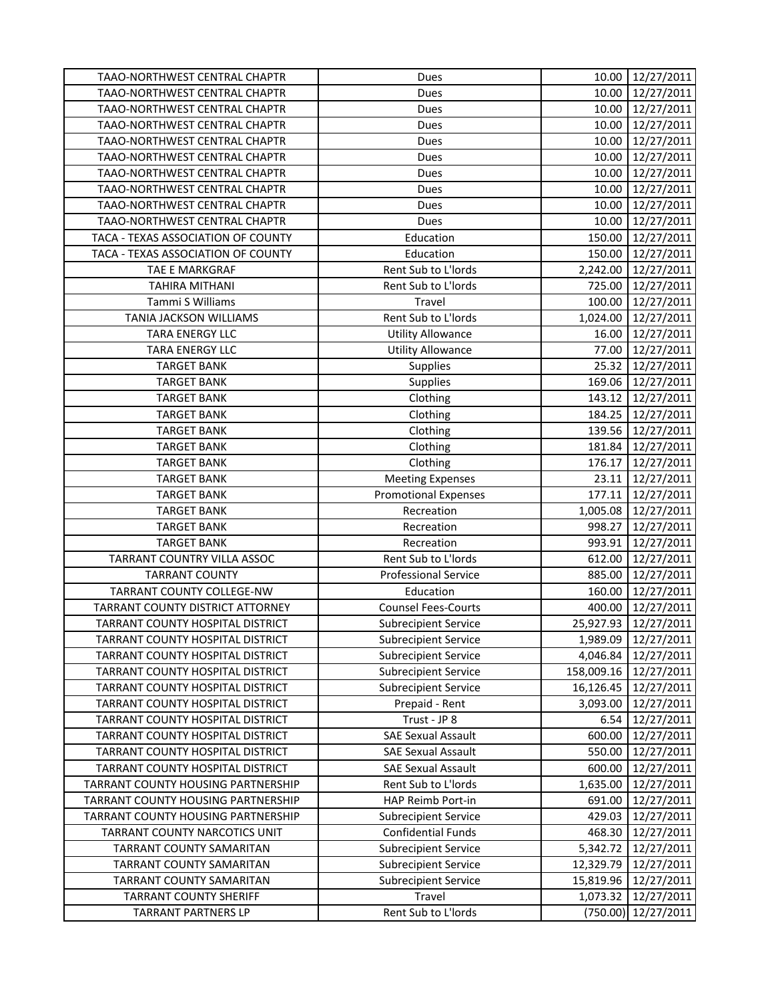| TAAO-NORTHWEST CENTRAL CHAPTR      | Dues                        | 10.00      | 12/27/2011        |
|------------------------------------|-----------------------------|------------|-------------------|
| TAAO-NORTHWEST CENTRAL CHAPTR      | Dues                        | 10.00      | 12/27/2011        |
| TAAO-NORTHWEST CENTRAL CHAPTR      | Dues                        | 10.00      | 12/27/2011        |
| TAAO-NORTHWEST CENTRAL CHAPTR      | Dues                        | 10.00      | 12/27/2011        |
| TAAO-NORTHWEST CENTRAL CHAPTR      | Dues                        | 10.00      | 12/27/2011        |
| TAAO-NORTHWEST CENTRAL CHAPTR      | Dues                        | 10.00      | 12/27/2011        |
| TAAO-NORTHWEST CENTRAL CHAPTR      | Dues                        | 10.00      | 12/27/2011        |
| TAAO-NORTHWEST CENTRAL CHAPTR      | Dues                        | 10.00      | 12/27/2011        |
| TAAO-NORTHWEST CENTRAL CHAPTR      | Dues                        | 10.00      | 12/27/2011        |
| TAAO-NORTHWEST CENTRAL CHAPTR      | Dues                        | 10.00      | 12/27/2011        |
| TACA - TEXAS ASSOCIATION OF COUNTY | Education                   | 150.00     | 12/27/2011        |
| TACA - TEXAS ASSOCIATION OF COUNTY | Education                   | 150.00     | 12/27/2011        |
| TAE E MARKGRAF                     | Rent Sub to L'Iords         | 2,242.00   | 12/27/2011        |
| <b>TAHIRA MITHANI</b>              | Rent Sub to L'Iords         | 725.00     | 12/27/2011        |
| Tammi S Williams                   | Travel                      | 100.00     | 12/27/2011        |
| TANIA JACKSON WILLIAMS             | Rent Sub to L'Iords         | 1,024.00   | 12/27/2011        |
| <b>TARA ENERGY LLC</b>             | <b>Utility Allowance</b>    | 16.00      | 12/27/2011        |
| TARA ENERGY LLC                    | <b>Utility Allowance</b>    | 77.00      | 12/27/2011        |
| <b>TARGET BANK</b>                 | Supplies                    | 25.32      | 12/27/2011        |
| <b>TARGET BANK</b>                 | Supplies                    | 169.06     | 12/27/2011        |
| <b>TARGET BANK</b>                 | Clothing                    | 143.12     | 12/27/2011        |
| <b>TARGET BANK</b>                 | Clothing                    |            | 184.25 12/27/2011 |
| <b>TARGET BANK</b>                 | Clothing                    | 139.56     | 12/27/2011        |
| <b>TARGET BANK</b>                 | Clothing                    | 181.84     | 12/27/2011        |
| <b>TARGET BANK</b>                 | Clothing                    | 176.17     | 12/27/2011        |
| <b>TARGET BANK</b>                 | <b>Meeting Expenses</b>     | 23.11      | 12/27/2011        |
| <b>TARGET BANK</b>                 | <b>Promotional Expenses</b> | 177.11     | 12/27/2011        |
| <b>TARGET BANK</b>                 | Recreation                  | 1,005.08   | 12/27/2011        |
| <b>TARGET BANK</b>                 | Recreation                  | 998.27     | 12/27/2011        |
| <b>TARGET BANK</b>                 | Recreation                  | 993.91     | 12/27/2011        |
| TARRANT COUNTRY VILLA ASSOC        | Rent Sub to L'Iords         | 612.00     | 12/27/2011        |
| <b>TARRANT COUNTY</b>              | <b>Professional Service</b> | 885.00     | 12/27/2011        |
| TARRANT COUNTY COLLEGE-NW          | Education                   | 160.00     | 12/27/2011        |
| TARRANT COUNTY DISTRICT ATTORNEY   | <b>Counsel Fees-Courts</b>  | 400.00     | 12/27/2011        |
| TARRANT COUNTY HOSPITAL DISTRICT   | <b>Subrecipient Service</b> | 25,927.93  | 12/27/2011        |
| TARRANT COUNTY HOSPITAL DISTRICT   | <b>Subrecipient Service</b> | 1,989.09   | 12/27/2011        |
| TARRANT COUNTY HOSPITAL DISTRICT   | <b>Subrecipient Service</b> | 4,046.84   | 12/27/2011        |
| TARRANT COUNTY HOSPITAL DISTRICT   | <b>Subrecipient Service</b> | 158,009.16 | 12/27/2011        |
| TARRANT COUNTY HOSPITAL DISTRICT   | <b>Subrecipient Service</b> | 16,126.45  | 12/27/2011        |
| TARRANT COUNTY HOSPITAL DISTRICT   | Prepaid - Rent              | 3,093.00   | 12/27/2011        |
| TARRANT COUNTY HOSPITAL DISTRICT   | Trust - JP 8                | 6.54       | 12/27/2011        |
| TARRANT COUNTY HOSPITAL DISTRICT   | <b>SAE Sexual Assault</b>   | 600.00     | 12/27/2011        |
| TARRANT COUNTY HOSPITAL DISTRICT   | <b>SAE Sexual Assault</b>   | 550.00     | 12/27/2011        |
| TARRANT COUNTY HOSPITAL DISTRICT   | <b>SAE Sexual Assault</b>   | 600.00     | 12/27/2011        |
| TARRANT COUNTY HOUSING PARTNERSHIP | Rent Sub to L'Iords         | 1,635.00   | 12/27/2011        |
| TARRANT COUNTY HOUSING PARTNERSHIP | HAP Reimb Port-in           | 691.00     | 12/27/2011        |
| TARRANT COUNTY HOUSING PARTNERSHIP | <b>Subrecipient Service</b> | 429.03     | 12/27/2011        |
| TARRANT COUNTY NARCOTICS UNIT      | <b>Confidential Funds</b>   | 468.30     | 12/27/2011        |
| TARRANT COUNTY SAMARITAN           | <b>Subrecipient Service</b> | 5,342.72   | 12/27/2011        |
| TARRANT COUNTY SAMARITAN           | <b>Subrecipient Service</b> | 12,329.79  | 12/27/2011        |
| TARRANT COUNTY SAMARITAN           | <b>Subrecipient Service</b> | 15,819.96  | 12/27/2011        |
| <b>TARRANT COUNTY SHERIFF</b>      | Travel                      | 1,073.32   | 12/27/2011        |
| <b>TARRANT PARTNERS LP</b>         | Rent Sub to L'Iords         | (750.00)   | 12/27/2011        |
|                                    |                             |            |                   |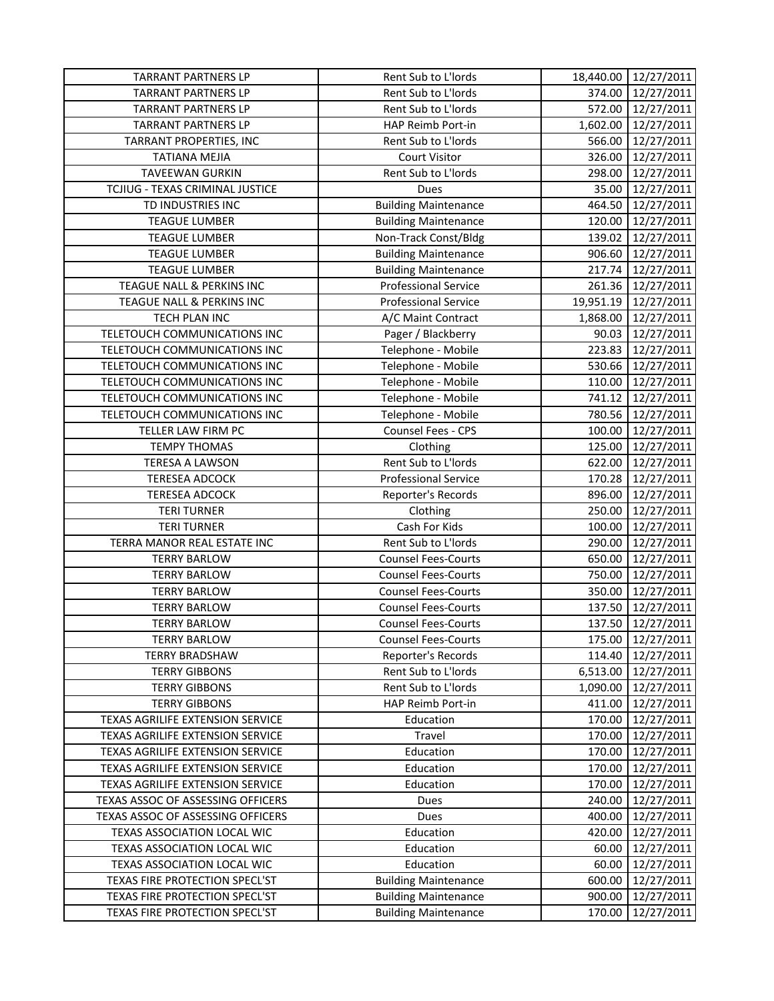| <b>TARRANT PARTNERS LP</b>        | Rent Sub to L'Iords         |          | 18,440.00 12/27/2011 |
|-----------------------------------|-----------------------------|----------|----------------------|
| <b>TARRANT PARTNERS LP</b>        | Rent Sub to L'Iords         | 374.00   | 12/27/2011           |
| <b>TARRANT PARTNERS LP</b>        | Rent Sub to L'Iords         | 572.00   | 12/27/2011           |
| <b>TARRANT PARTNERS LP</b>        | HAP Reimb Port-in           | 1,602.00 | 12/27/2011           |
| TARRANT PROPERTIES, INC           | Rent Sub to L'Iords         | 566.00   | 12/27/2011           |
| <b>TATIANA MEJIA</b>              | <b>Court Visitor</b>        | 326.00   | 12/27/2011           |
| <b>TAVEEWAN GURKIN</b>            | Rent Sub to L'Iords         | 298.00   | 12/27/2011           |
| TCJIUG - TEXAS CRIMINAL JUSTICE   | Dues                        | 35.00    | 12/27/2011           |
| TD INDUSTRIES INC                 | <b>Building Maintenance</b> | 464.50   | 12/27/2011           |
| <b>TEAGUE LUMBER</b>              | <b>Building Maintenance</b> | 120.00   | 12/27/2011           |
| <b>TEAGUE LUMBER</b>              | Non-Track Const/Bldg        | 139.02   | 12/27/2011           |
| <b>TEAGUE LUMBER</b>              | <b>Building Maintenance</b> | 906.60   | 12/27/2011           |
| <b>TEAGUE LUMBER</b>              | <b>Building Maintenance</b> | 217.74   | 12/27/2011           |
| TEAGUE NALL & PERKINS INC         | <b>Professional Service</b> |          | 261.36 12/27/2011    |
| TEAGUE NALL & PERKINS INC         | <b>Professional Service</b> |          | 19,951.19 12/27/2011 |
| TECH PLAN INC                     | A/C Maint Contract          | 1,868.00 | 12/27/2011           |
| TELETOUCH COMMUNICATIONS INC      | Pager / Blackberry          |          | 90.03 12/27/2011     |
| TELETOUCH COMMUNICATIONS INC      | Telephone - Mobile          | 223.83   | 12/27/2011           |
| TELETOUCH COMMUNICATIONS INC      | Telephone - Mobile          | 530.66   | 12/27/2011           |
| TELETOUCH COMMUNICATIONS INC      | Telephone - Mobile          | 110.00   | 12/27/2011           |
| TELETOUCH COMMUNICATIONS INC      | Telephone - Mobile          | 741.12   | 12/27/2011           |
| TELETOUCH COMMUNICATIONS INC      | Telephone - Mobile          | 780.56   | 12/27/2011           |
| TELLER LAW FIRM PC                | Counsel Fees - CPS          | 100.00   | 12/27/2011           |
| <b>TEMPY THOMAS</b>               | Clothing                    | 125.00   | 12/27/2011           |
| TERESA A LAWSON                   | Rent Sub to L'Iords         | 622.00   | 12/27/2011           |
| <b>TERESEA ADCOCK</b>             | <b>Professional Service</b> | 170.28   | 12/27/2011           |
| <b>TERESEA ADCOCK</b>             | Reporter's Records          | 896.00   | 12/27/2011           |
| <b>TERI TURNER</b>                | Clothing                    | 250.00   | 12/27/2011           |
| <b>TERI TURNER</b>                | Cash For Kids               | 100.00   | 12/27/2011           |
| TERRA MANOR REAL ESTATE INC       | Rent Sub to L'Iords         | 290.00   | 12/27/2011           |
| <b>TERRY BARLOW</b>               | <b>Counsel Fees-Courts</b>  | 650.00   | 12/27/2011           |
| <b>TERRY BARLOW</b>               | <b>Counsel Fees-Courts</b>  | 750.00   | 12/27/2011           |
| <b>TERRY BARLOW</b>               | <b>Counsel Fees-Courts</b>  | 350.00   | 12/27/2011           |
| <b>TERRY BARLOW</b>               | <b>Counsel Fees-Courts</b>  | 137.50   | 12/27/2011           |
| <b>TERRY BARLOW</b>               | <b>Counsel Fees-Courts</b>  | 137.50   | 12/27/2011           |
| <b>TERRY BARLOW</b>               | <b>Counsel Fees-Courts</b>  | 175.00   | 12/27/2011           |
| <b>TERRY BRADSHAW</b>             | Reporter's Records          | 114.40   | 12/27/2011           |
| <b>TERRY GIBBONS</b>              | Rent Sub to L'Iords         | 6,513.00 | 12/27/2011           |
| <b>TERRY GIBBONS</b>              | Rent Sub to L'Iords         | 1,090.00 | 12/27/2011           |
| <b>TERRY GIBBONS</b>              | HAP Reimb Port-in           | 411.00   | 12/27/2011           |
| TEXAS AGRILIFE EXTENSION SERVICE  | Education                   | 170.00   | 12/27/2011           |
| TEXAS AGRILIFE EXTENSION SERVICE  | Travel                      | 170.00   | 12/27/2011           |
| TEXAS AGRILIFE EXTENSION SERVICE  | Education                   | 170.00   | 12/27/2011           |
| TEXAS AGRILIFE EXTENSION SERVICE  | Education                   | 170.00   | 12/27/2011           |
| TEXAS AGRILIFE EXTENSION SERVICE  | Education                   | 170.00   | 12/27/2011           |
| TEXAS ASSOC OF ASSESSING OFFICERS | Dues                        | 240.00   | 12/27/2011           |
| TEXAS ASSOC OF ASSESSING OFFICERS | Dues                        | 400.00   | 12/27/2011           |
| TEXAS ASSOCIATION LOCAL WIC       | Education                   | 420.00   | 12/27/2011           |
| TEXAS ASSOCIATION LOCAL WIC       | Education                   | 60.00    | 12/27/2011           |
| TEXAS ASSOCIATION LOCAL WIC       | Education                   | 60.00    | 12/27/2011           |
| TEXAS FIRE PROTECTION SPECL'ST    | <b>Building Maintenance</b> | 600.00   | 12/27/2011           |
| TEXAS FIRE PROTECTION SPECL'ST    | <b>Building Maintenance</b> | 900.00   | 12/27/2011           |
| TEXAS FIRE PROTECTION SPECL'ST    | <b>Building Maintenance</b> | 170.00   | 12/27/2011           |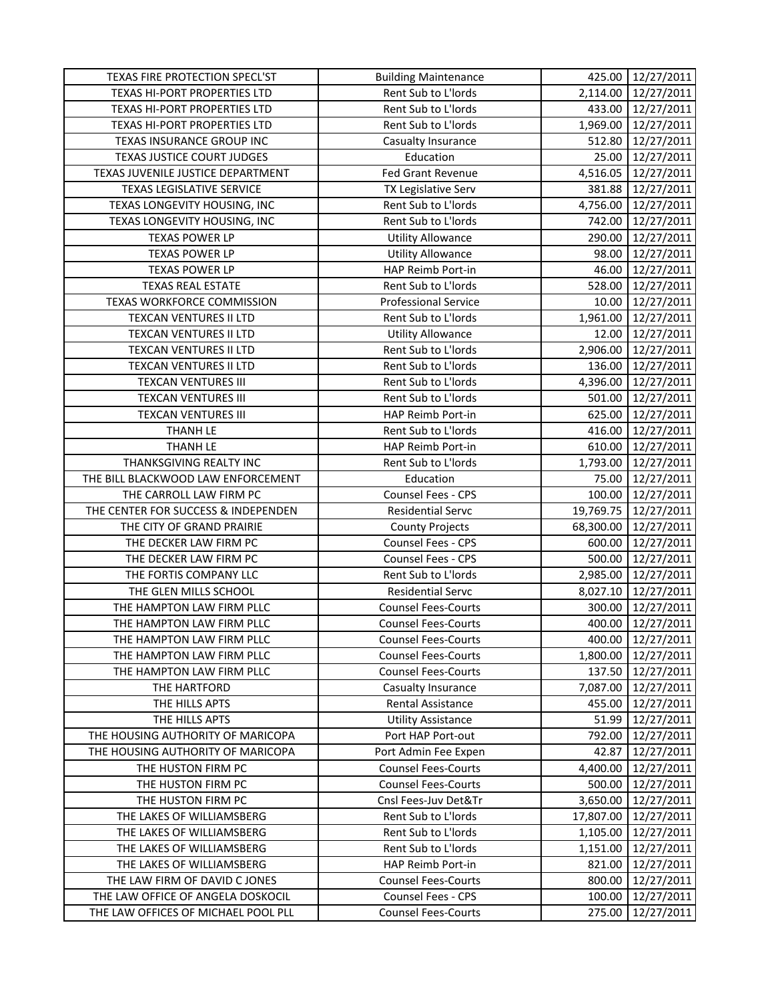| TEXAS FIRE PROTECTION SPECL'ST      | <b>Building Maintenance</b> | 425.00    | 12/27/2011 |
|-------------------------------------|-----------------------------|-----------|------------|
| <b>TEXAS HI-PORT PROPERTIES LTD</b> | Rent Sub to L'Iords         | 2,114.00  | 12/27/2011 |
| TEXAS HI-PORT PROPERTIES LTD        | Rent Sub to L'Iords         | 433.00    | 12/27/2011 |
| TEXAS HI-PORT PROPERTIES LTD        | Rent Sub to L'Iords         | 1,969.00  | 12/27/2011 |
| TEXAS INSURANCE GROUP INC           | Casualty Insurance          | 512.80    | 12/27/2011 |
| TEXAS JUSTICE COURT JUDGES          | Education                   | 25.00     | 12/27/2011 |
| TEXAS JUVENILE JUSTICE DEPARTMENT   | Fed Grant Revenue           | 4,516.05  | 12/27/2011 |
| <b>TEXAS LEGISLATIVE SERVICE</b>    | TX Legislative Serv         | 381.88    | 12/27/2011 |
| TEXAS LONGEVITY HOUSING, INC        | Rent Sub to L'Iords         | 4,756.00  | 12/27/2011 |
| TEXAS LONGEVITY HOUSING, INC        | Rent Sub to L'Iords         | 742.00    | 12/27/2011 |
| <b>TEXAS POWER LP</b>               | <b>Utility Allowance</b>    | 290.00    | 12/27/2011 |
| <b>TEXAS POWER LP</b>               | <b>Utility Allowance</b>    | 98.00     | 12/27/2011 |
| <b>TEXAS POWER LP</b>               | HAP Reimb Port-in           | 46.00     | 12/27/2011 |
| <b>TEXAS REAL ESTATE</b>            | Rent Sub to L'Iords         | 528.00    | 12/27/2011 |
| TEXAS WORKFORCE COMMISSION          | <b>Professional Service</b> | 10.00     | 12/27/2011 |
| TEXCAN VENTURES II LTD              | Rent Sub to L'Iords         | 1,961.00  | 12/27/2011 |
| <b>TEXCAN VENTURES II LTD</b>       | <b>Utility Allowance</b>    | 12.00     | 12/27/2011 |
| <b>TEXCAN VENTURES II LTD</b>       | Rent Sub to L'Iords         | 2,906.00  | 12/27/2011 |
| <b>TEXCAN VENTURES II LTD</b>       | Rent Sub to L'Iords         | 136.00    | 12/27/2011 |
| <b>TEXCAN VENTURES III</b>          | Rent Sub to L'Iords         | 4,396.00  | 12/27/2011 |
| <b>TEXCAN VENTURES III</b>          | Rent Sub to L'Iords         | 501.00    | 12/27/2011 |
| <b>TEXCAN VENTURES III</b>          | HAP Reimb Port-in           | 625.00    | 12/27/2011 |
| <b>THANH LE</b>                     | Rent Sub to L'Iords         | 416.00    | 12/27/2011 |
| <b>THANH LE</b>                     | HAP Reimb Port-in           | 610.00    | 12/27/2011 |
| THANKSGIVING REALTY INC             | Rent Sub to L'Iords         | 1,793.00  | 12/27/2011 |
| THE BILL BLACKWOOD LAW ENFORCEMENT  | Education                   | 75.00     | 12/27/2011 |
| THE CARROLL LAW FIRM PC             | <b>Counsel Fees - CPS</b>   | 100.00    | 12/27/2011 |
| THE CENTER FOR SUCCESS & INDEPENDEN | <b>Residential Servc</b>    | 19,769.75 | 12/27/2011 |
| THE CITY OF GRAND PRAIRIE           | <b>County Projects</b>      | 68,300.00 | 12/27/2011 |
| THE DECKER LAW FIRM PC              | Counsel Fees - CPS          | 600.00    | 12/27/2011 |
| THE DECKER LAW FIRM PC              | <b>Counsel Fees - CPS</b>   | 500.00    | 12/27/2011 |
| THE FORTIS COMPANY LLC              | Rent Sub to L'Iords         | 2,985.00  | 12/27/2011 |
| THE GLEN MILLS SCHOOL               | <b>Residential Servc</b>    | 8,027.10  | 12/27/2011 |
| THE HAMPTON LAW FIRM PLLC           | <b>Counsel Fees-Courts</b>  | 300.00    | 12/27/2011 |
| THE HAMPTON LAW FIRM PLLC           | <b>Counsel Fees-Courts</b>  | 400.00    | 12/27/2011 |
| THE HAMPTON LAW FIRM PLLC           | <b>Counsel Fees-Courts</b>  | 400.00    | 12/27/2011 |
| THE HAMPTON LAW FIRM PLLC           | <b>Counsel Fees-Courts</b>  | 1,800.00  | 12/27/2011 |
| THE HAMPTON LAW FIRM PLLC           | <b>Counsel Fees-Courts</b>  | 137.50    | 12/27/2011 |
| THE HARTFORD                        | Casualty Insurance          | 7,087.00  | 12/27/2011 |
| THE HILLS APTS                      | Rental Assistance           | 455.00    | 12/27/2011 |
| THE HILLS APTS                      | <b>Utility Assistance</b>   | 51.99     | 12/27/2011 |
| THE HOUSING AUTHORITY OF MARICOPA   | Port HAP Port-out           | 792.00    | 12/27/2011 |
| THE HOUSING AUTHORITY OF MARICOPA   | Port Admin Fee Expen        | 42.87     | 12/27/2011 |
| THE HUSTON FIRM PC                  | <b>Counsel Fees-Courts</b>  | 4,400.00  | 12/27/2011 |
| THE HUSTON FIRM PC                  | <b>Counsel Fees-Courts</b>  | 500.00    | 12/27/2011 |
| THE HUSTON FIRM PC                  | Cnsl Fees-Juv Det&Tr        | 3,650.00  | 12/27/2011 |
| THE LAKES OF WILLIAMSBERG           | Rent Sub to L'Iords         | 17,807.00 | 12/27/2011 |
| THE LAKES OF WILLIAMSBERG           | Rent Sub to L'Iords         | 1,105.00  | 12/27/2011 |
| THE LAKES OF WILLIAMSBERG           | Rent Sub to L'Iords         | 1,151.00  | 12/27/2011 |
| THE LAKES OF WILLIAMSBERG           | HAP Reimb Port-in           | 821.00    | 12/27/2011 |
| THE LAW FIRM OF DAVID C JONES       | <b>Counsel Fees-Courts</b>  | 800.00    | 12/27/2011 |
| THE LAW OFFICE OF ANGELA DOSKOCIL   | <b>Counsel Fees - CPS</b>   | 100.00    | 12/27/2011 |
| THE LAW OFFICES OF MICHAEL POOL PLL | <b>Counsel Fees-Courts</b>  | 275.00    | 12/27/2011 |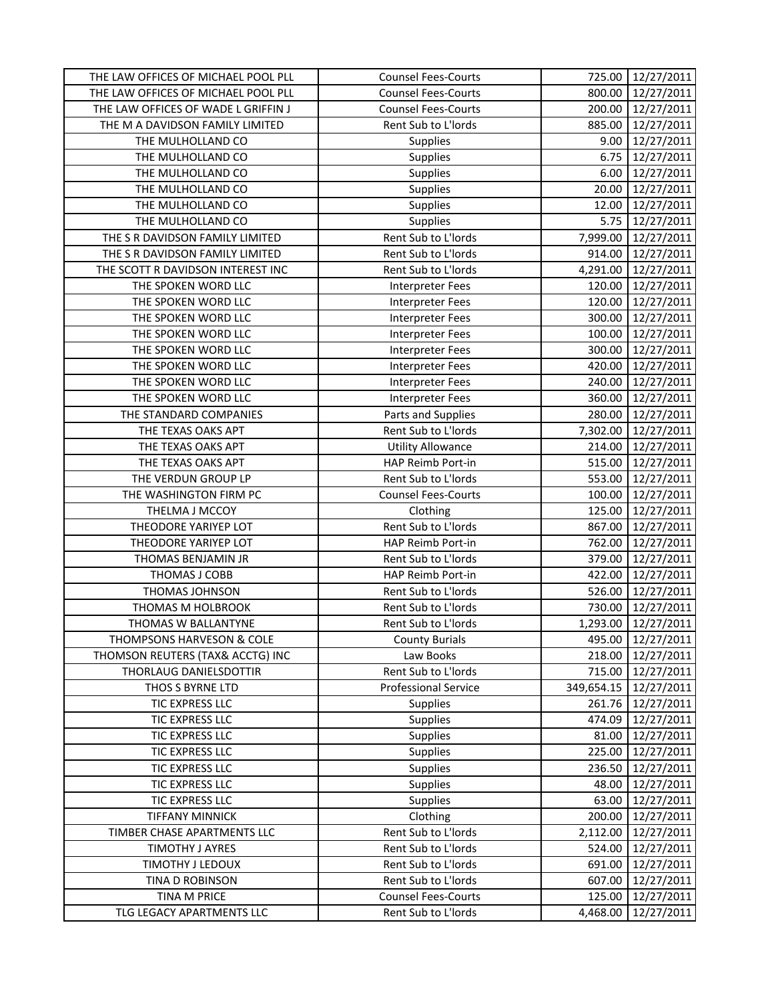| THE LAW OFFICES OF MICHAEL POOL PLL       | <b>Counsel Fees-Courts</b>  | 725.00          | 12/27/2011               |
|-------------------------------------------|-----------------------------|-----------------|--------------------------|
| THE LAW OFFICES OF MICHAEL POOL PLL       | <b>Counsel Fees-Courts</b>  | 800.00          | 12/27/2011               |
| THE LAW OFFICES OF WADE L GRIFFIN J       | <b>Counsel Fees-Courts</b>  | 200.00          | 12/27/2011               |
| THE M A DAVIDSON FAMILY LIMITED           | Rent Sub to L'Iords         | 885.00          | 12/27/2011               |
| THE MULHOLLAND CO                         | Supplies                    | 9.00            | 12/27/2011               |
| THE MULHOLLAND CO                         | <b>Supplies</b>             | 6.75            | 12/27/2011               |
| THE MULHOLLAND CO                         | Supplies                    | 6.00            | 12/27/2011               |
| THE MULHOLLAND CO                         | Supplies                    | 20.00           | 12/27/2011               |
| THE MULHOLLAND CO                         | Supplies                    | 12.00           | 12/27/2011               |
| THE MULHOLLAND CO                         | Supplies                    | 5.75            | 12/27/2011               |
| THE S R DAVIDSON FAMILY LIMITED           | Rent Sub to L'Iords         | 7,999.00        | 12/27/2011               |
| THE S R DAVIDSON FAMILY LIMITED           | Rent Sub to L'Iords         | 914.00          | 12/27/2011               |
| THE SCOTT R DAVIDSON INTEREST INC         | Rent Sub to L'Iords         | 4,291.00        | 12/27/2011               |
| THE SPOKEN WORD LLC                       | <b>Interpreter Fees</b>     | 120.00          | 12/27/2011               |
| THE SPOKEN WORD LLC                       | <b>Interpreter Fees</b>     | 120.00          | 12/27/2011               |
| THE SPOKEN WORD LLC                       | <b>Interpreter Fees</b>     | 300.00          | 12/27/2011               |
| THE SPOKEN WORD LLC                       | <b>Interpreter Fees</b>     | 100.00          | 12/27/2011               |
| THE SPOKEN WORD LLC                       | Interpreter Fees            | 300.00          | 12/27/2011               |
| THE SPOKEN WORD LLC                       | <b>Interpreter Fees</b>     | 420.00          | 12/27/2011               |
| THE SPOKEN WORD LLC                       | <b>Interpreter Fees</b>     | 240.00          | 12/27/2011               |
| THE SPOKEN WORD LLC                       | <b>Interpreter Fees</b>     | 360.00          | 12/27/2011               |
| THE STANDARD COMPANIES                    | Parts and Supplies          | 280.00          | 12/27/2011               |
| THE TEXAS OAKS APT                        | Rent Sub to L'Iords         | 7,302.00        | 12/27/2011               |
| THE TEXAS OAKS APT                        | <b>Utility Allowance</b>    | 214.00          | 12/27/2011               |
| THE TEXAS OAKS APT                        | HAP Reimb Port-in           | 515.00          | 12/27/2011               |
| THE VERDUN GROUP LP                       | Rent Sub to L'Iords         | 553.00          | 12/27/2011               |
| THE WASHINGTON FIRM PC                    | <b>Counsel Fees-Courts</b>  | 100.00          | 12/27/2011               |
| THELMA J MCCOY                            | Clothing                    | 125.00          | 12/27/2011               |
| THEODORE YARIYEP LOT                      | Rent Sub to L'Iords         | 867.00          | 12/27/2011               |
| THEODORE YARIYEP LOT                      | HAP Reimb Port-in           | 762.00          | 12/27/2011               |
| THOMAS BENJAMIN JR                        | Rent Sub to L'Iords         | 379.00          | 12/27/2011               |
| THOMAS J COBB                             | HAP Reimb Port-in           | 422.00          | 12/27/2011               |
| THOMAS JOHNSON                            | Rent Sub to L'Iords         | 526.00          | 12/27/2011               |
| THOMAS M HOLBROOK                         | Rent Sub to L'Iords         | 730.00          | 12/27/2011               |
| THOMAS W BALLANTYNE                       | Rent Sub to L'Iords         | 1,293.00        | 12/27/2011               |
| <b>THOMPSONS HARVESON &amp; COLE</b>      | <b>County Burials</b>       | 495.00          | 12/27/2011               |
| THOMSON REUTERS (TAX& ACCTG) INC          | Law Books                   | 218.00          | 12/27/2011               |
| THORLAUG DANIELSDOTTIR                    | Rent Sub to L'Iords         | 715.00          | 12/27/2011               |
| THOS S BYRNE LTD                          | <b>Professional Service</b> | 349,654.15      | 12/27/2011               |
| TIC EXPRESS LLC                           | <b>Supplies</b>             | 261.76          | 12/27/2011               |
| TIC EXPRESS LLC                           | Supplies                    | 474.09          | 12/27/2011               |
| TIC EXPRESS LLC                           | Supplies                    | 81.00           | 12/27/2011               |
| TIC EXPRESS LLC                           | <b>Supplies</b>             | 225.00          | 12/27/2011               |
| TIC EXPRESS LLC                           | <b>Supplies</b>             | 236.50          | 12/27/2011               |
| TIC EXPRESS LLC                           | <b>Supplies</b>             | 48.00           | 12/27/2011               |
|                                           |                             |                 |                          |
| TIC EXPRESS LLC<br><b>TIFFANY MINNICK</b> | Supplies<br>Clothing        | 63.00<br>200.00 | 12/27/2011               |
| TIMBER CHASE APARTMENTS LLC               | Rent Sub to L'Iords         | 2,112.00        | 12/27/2011<br>12/27/2011 |
| TIMOTHY J AYRES                           | Rent Sub to L'Iords         | 524.00          | 12/27/2011               |
| TIMOTHY J LEDOUX                          | Rent Sub to L'Iords         | 691.00          | 12/27/2011               |
| TINA D ROBINSON                           | Rent Sub to L'Iords         | 607.00          | 12/27/2011               |
| TINA M PRICE                              | <b>Counsel Fees-Courts</b>  | 125.00          | 12/27/2011               |
| TLG LEGACY APARTMENTS LLC                 | Rent Sub to L'Iords         | 4,468.00        | 12/27/2011               |
|                                           |                             |                 |                          |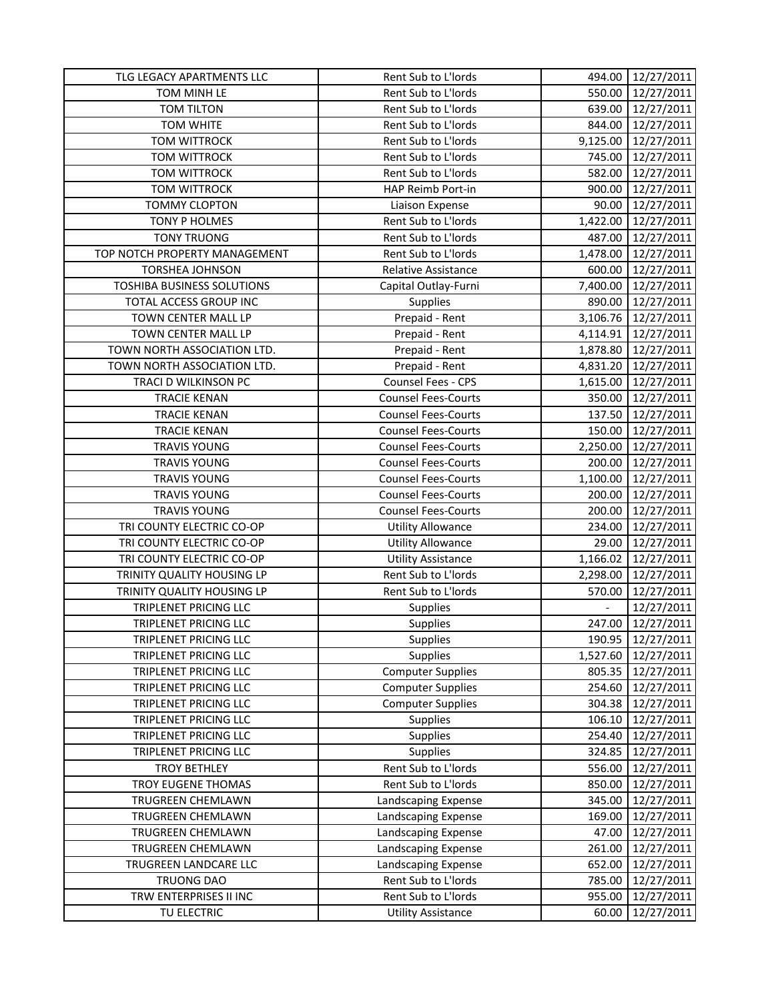| TOM MINH LE<br>Rent Sub to L'Iords<br>550.00<br>12/27/2011<br>639.00<br>TOM TILTON<br>Rent Sub to L'Iords<br>12/27/2011<br>TOM WHITE<br>Rent Sub to L'Iords<br>844.00<br>12/27/2011<br><b>TOM WITTROCK</b><br>Rent Sub to L'Iords<br>9,125.00<br>12/27/2011<br>Rent Sub to L'Iords<br>TOM WITTROCK<br>745.00<br>12/27/2011<br>Rent Sub to L'Iords<br>12/27/2011<br><b>TOM WITTROCK</b><br>582.00<br>HAP Reimb Port-in<br>12/27/2011<br><b>TOM WITTROCK</b><br>900.00<br><b>TOMMY CLOPTON</b><br>Liaison Expense<br>90.00<br>12/27/2011<br>Rent Sub to L'Iords<br>TONY P HOLMES<br>1,422.00<br>12/27/2011<br><b>TONY TRUONG</b><br>Rent Sub to L'Iords<br>487.00<br>12/27/2011<br>TOP NOTCH PROPERTY MANAGEMENT<br>Rent Sub to L'Iords<br>1,478.00<br>12/27/2011<br>600.00<br>12/27/2011<br><b>TORSHEA JOHNSON</b><br>Relative Assistance<br>12/27/2011<br><b>TOSHIBA BUSINESS SOLUTIONS</b><br>7,400.00<br>Capital Outlay-Furni<br>TOTAL ACCESS GROUP INC<br>Supplies<br>890.00<br>12/27/2011<br>TOWN CENTER MALL LP<br>Prepaid - Rent<br>3,106.76<br>12/27/2011<br>TOWN CENTER MALL LP<br>Prepaid - Rent<br>4,114.91<br>12/27/2011<br>Prepaid - Rent<br>TOWN NORTH ASSOCIATION LTD.<br>12/27/2011<br>1,878.80<br>TOWN NORTH ASSOCIATION LTD.<br>Prepaid - Rent<br>4,831.20<br>12/27/2011<br>TRACI D WILKINSON PC<br>Counsel Fees - CPS<br>12/27/2011<br>1,615.00<br><b>TRACIE KENAN</b><br><b>Counsel Fees-Courts</b><br>350.00<br>12/27/2011<br>137.50<br>12/27/2011<br><b>TRACIE KENAN</b><br><b>Counsel Fees-Courts</b><br><b>TRACIE KENAN</b><br><b>Counsel Fees-Courts</b><br>150.00<br>12/27/2011<br>12/27/2011<br><b>TRAVIS YOUNG</b><br><b>Counsel Fees-Courts</b><br>2,250.00<br><b>TRAVIS YOUNG</b><br><b>Counsel Fees-Courts</b><br>200.00<br>12/27/2011<br><b>TRAVIS YOUNG</b><br><b>Counsel Fees-Courts</b><br>12/27/2011<br>1,100.00<br><b>TRAVIS YOUNG</b><br><b>Counsel Fees-Courts</b><br>12/27/2011<br>200.00<br><b>TRAVIS YOUNG</b><br><b>Counsel Fees-Courts</b><br>200.00<br>12/27/2011<br>TRI COUNTY ELECTRIC CO-OP<br>234.00<br>12/27/2011<br><b>Utility Allowance</b><br>TRI COUNTY ELECTRIC CO-OP<br>29.00<br>12/27/2011<br><b>Utility Allowance</b><br>TRI COUNTY ELECTRIC CO-OP<br>1,166.02<br>12/27/2011<br><b>Utility Assistance</b><br>Rent Sub to L'Iords<br>2,298.00<br>TRINITY QUALITY HOUSING LP<br>12/27/2011<br>Rent Sub to L'Iords<br>TRINITY QUALITY HOUSING LP<br>570.00<br>12/27/2011<br>TRIPLENET PRICING LLC<br>12/27/2011<br>Supplies<br>TRIPLENET PRICING LLC<br>Supplies<br>247.00<br>12/27/2011<br>TRIPLENET PRICING LLC<br><b>Supplies</b><br>190.95<br>12/27/2011<br><b>Supplies</b><br>1,527.60<br>12/27/2011<br>TRIPLENET PRICING LLC<br>TRIPLENET PRICING LLC<br><b>Computer Supplies</b><br>805.35<br>12/27/2011<br><b>Computer Supplies</b><br>12/27/2011<br>TRIPLENET PRICING LLC<br>254.60<br>TRIPLENET PRICING LLC<br><b>Computer Supplies</b><br>304.38<br>12/27/2011<br><b>Supplies</b><br>106.10<br>TRIPLENET PRICING LLC<br>12/27/2011<br><b>Supplies</b><br>TRIPLENET PRICING LLC<br>254.40<br>12/27/2011<br><b>Supplies</b><br>TRIPLENET PRICING LLC<br>324.85<br>12/27/2011<br>Rent Sub to L'Iords<br><b>TROY BETHLEY</b><br>556.00<br>12/27/2011<br>Rent Sub to L'Iords<br>TROY EUGENE THOMAS<br>850.00<br>12/27/2011<br>Landscaping Expense<br>345.00<br>TRUGREEN CHEMLAWN<br>12/27/2011<br>12/27/2011<br>TRUGREEN CHEMLAWN<br>Landscaping Expense<br>169.00<br>TRUGREEN CHEMLAWN<br>Landscaping Expense<br>12/27/2011<br>47.00<br>261.00<br>12/27/2011<br>TRUGREEN CHEMLAWN<br>Landscaping Expense<br>TRUGREEN LANDCARE LLC<br>Landscaping Expense<br>652.00<br>12/27/2011<br>Rent Sub to L'Iords<br><b>TRUONG DAO</b><br>785.00<br>12/27/2011<br>Rent Sub to L'Iords<br>TRW ENTERPRISES II INC<br>955.00<br>12/27/2011<br>TU ELECTRIC<br><b>Utility Assistance</b><br>12/27/2011<br>60.00 | TLG LEGACY APARTMENTS LLC | Rent Sub to L'Iords | 494.00 | 12/27/2011 |
|---------------------------------------------------------------------------------------------------------------------------------------------------------------------------------------------------------------------------------------------------------------------------------------------------------------------------------------------------------------------------------------------------------------------------------------------------------------------------------------------------------------------------------------------------------------------------------------------------------------------------------------------------------------------------------------------------------------------------------------------------------------------------------------------------------------------------------------------------------------------------------------------------------------------------------------------------------------------------------------------------------------------------------------------------------------------------------------------------------------------------------------------------------------------------------------------------------------------------------------------------------------------------------------------------------------------------------------------------------------------------------------------------------------------------------------------------------------------------------------------------------------------------------------------------------------------------------------------------------------------------------------------------------------------------------------------------------------------------------------------------------------------------------------------------------------------------------------------------------------------------------------------------------------------------------------------------------------------------------------------------------------------------------------------------------------------------------------------------------------------------------------------------------------------------------------------------------------------------------------------------------------------------------------------------------------------------------------------------------------------------------------------------------------------------------------------------------------------------------------------------------------------------------------------------------------------------------------------------------------------------------------------------------------------------------------------------------------------------------------------------------------------------------------------------------------------------------------------------------------------------------------------------------------------------------------------------------------------------------------------------------------------------------------------------------------------------------------------------------------------------------------------------------------------------------------------------------------------------------------------------------------------------------------------------------------------------------------------------------------------------------------------------------------------------------------------------------------------------------------------------------------------------------------------------------------------------------------------------------------------------------------------------------------------------------------------------------------------------------------------------------------------------------------------------------------------------------------------------------------|---------------------------|---------------------|--------|------------|
|                                                                                                                                                                                                                                                                                                                                                                                                                                                                                                                                                                                                                                                                                                                                                                                                                                                                                                                                                                                                                                                                                                                                                                                                                                                                                                                                                                                                                                                                                                                                                                                                                                                                                                                                                                                                                                                                                                                                                                                                                                                                                                                                                                                                                                                                                                                                                                                                                                                                                                                                                                                                                                                                                                                                                                                                                                                                                                                                                                                                                                                                                                                                                                                                                                                                                                                                                                                                                                                                                                                                                                                                                                                                                                                                                                                                                                                               |                           |                     |        |            |
|                                                                                                                                                                                                                                                                                                                                                                                                                                                                                                                                                                                                                                                                                                                                                                                                                                                                                                                                                                                                                                                                                                                                                                                                                                                                                                                                                                                                                                                                                                                                                                                                                                                                                                                                                                                                                                                                                                                                                                                                                                                                                                                                                                                                                                                                                                                                                                                                                                                                                                                                                                                                                                                                                                                                                                                                                                                                                                                                                                                                                                                                                                                                                                                                                                                                                                                                                                                                                                                                                                                                                                                                                                                                                                                                                                                                                                                               |                           |                     |        |            |
|                                                                                                                                                                                                                                                                                                                                                                                                                                                                                                                                                                                                                                                                                                                                                                                                                                                                                                                                                                                                                                                                                                                                                                                                                                                                                                                                                                                                                                                                                                                                                                                                                                                                                                                                                                                                                                                                                                                                                                                                                                                                                                                                                                                                                                                                                                                                                                                                                                                                                                                                                                                                                                                                                                                                                                                                                                                                                                                                                                                                                                                                                                                                                                                                                                                                                                                                                                                                                                                                                                                                                                                                                                                                                                                                                                                                                                                               |                           |                     |        |            |
|                                                                                                                                                                                                                                                                                                                                                                                                                                                                                                                                                                                                                                                                                                                                                                                                                                                                                                                                                                                                                                                                                                                                                                                                                                                                                                                                                                                                                                                                                                                                                                                                                                                                                                                                                                                                                                                                                                                                                                                                                                                                                                                                                                                                                                                                                                                                                                                                                                                                                                                                                                                                                                                                                                                                                                                                                                                                                                                                                                                                                                                                                                                                                                                                                                                                                                                                                                                                                                                                                                                                                                                                                                                                                                                                                                                                                                                               |                           |                     |        |            |
|                                                                                                                                                                                                                                                                                                                                                                                                                                                                                                                                                                                                                                                                                                                                                                                                                                                                                                                                                                                                                                                                                                                                                                                                                                                                                                                                                                                                                                                                                                                                                                                                                                                                                                                                                                                                                                                                                                                                                                                                                                                                                                                                                                                                                                                                                                                                                                                                                                                                                                                                                                                                                                                                                                                                                                                                                                                                                                                                                                                                                                                                                                                                                                                                                                                                                                                                                                                                                                                                                                                                                                                                                                                                                                                                                                                                                                                               |                           |                     |        |            |
|                                                                                                                                                                                                                                                                                                                                                                                                                                                                                                                                                                                                                                                                                                                                                                                                                                                                                                                                                                                                                                                                                                                                                                                                                                                                                                                                                                                                                                                                                                                                                                                                                                                                                                                                                                                                                                                                                                                                                                                                                                                                                                                                                                                                                                                                                                                                                                                                                                                                                                                                                                                                                                                                                                                                                                                                                                                                                                                                                                                                                                                                                                                                                                                                                                                                                                                                                                                                                                                                                                                                                                                                                                                                                                                                                                                                                                                               |                           |                     |        |            |
|                                                                                                                                                                                                                                                                                                                                                                                                                                                                                                                                                                                                                                                                                                                                                                                                                                                                                                                                                                                                                                                                                                                                                                                                                                                                                                                                                                                                                                                                                                                                                                                                                                                                                                                                                                                                                                                                                                                                                                                                                                                                                                                                                                                                                                                                                                                                                                                                                                                                                                                                                                                                                                                                                                                                                                                                                                                                                                                                                                                                                                                                                                                                                                                                                                                                                                                                                                                                                                                                                                                                                                                                                                                                                                                                                                                                                                                               |                           |                     |        |            |
|                                                                                                                                                                                                                                                                                                                                                                                                                                                                                                                                                                                                                                                                                                                                                                                                                                                                                                                                                                                                                                                                                                                                                                                                                                                                                                                                                                                                                                                                                                                                                                                                                                                                                                                                                                                                                                                                                                                                                                                                                                                                                                                                                                                                                                                                                                                                                                                                                                                                                                                                                                                                                                                                                                                                                                                                                                                                                                                                                                                                                                                                                                                                                                                                                                                                                                                                                                                                                                                                                                                                                                                                                                                                                                                                                                                                                                                               |                           |                     |        |            |
|                                                                                                                                                                                                                                                                                                                                                                                                                                                                                                                                                                                                                                                                                                                                                                                                                                                                                                                                                                                                                                                                                                                                                                                                                                                                                                                                                                                                                                                                                                                                                                                                                                                                                                                                                                                                                                                                                                                                                                                                                                                                                                                                                                                                                                                                                                                                                                                                                                                                                                                                                                                                                                                                                                                                                                                                                                                                                                                                                                                                                                                                                                                                                                                                                                                                                                                                                                                                                                                                                                                                                                                                                                                                                                                                                                                                                                                               |                           |                     |        |            |
|                                                                                                                                                                                                                                                                                                                                                                                                                                                                                                                                                                                                                                                                                                                                                                                                                                                                                                                                                                                                                                                                                                                                                                                                                                                                                                                                                                                                                                                                                                                                                                                                                                                                                                                                                                                                                                                                                                                                                                                                                                                                                                                                                                                                                                                                                                                                                                                                                                                                                                                                                                                                                                                                                                                                                                                                                                                                                                                                                                                                                                                                                                                                                                                                                                                                                                                                                                                                                                                                                                                                                                                                                                                                                                                                                                                                                                                               |                           |                     |        |            |
|                                                                                                                                                                                                                                                                                                                                                                                                                                                                                                                                                                                                                                                                                                                                                                                                                                                                                                                                                                                                                                                                                                                                                                                                                                                                                                                                                                                                                                                                                                                                                                                                                                                                                                                                                                                                                                                                                                                                                                                                                                                                                                                                                                                                                                                                                                                                                                                                                                                                                                                                                                                                                                                                                                                                                                                                                                                                                                                                                                                                                                                                                                                                                                                                                                                                                                                                                                                                                                                                                                                                                                                                                                                                                                                                                                                                                                                               |                           |                     |        |            |
|                                                                                                                                                                                                                                                                                                                                                                                                                                                                                                                                                                                                                                                                                                                                                                                                                                                                                                                                                                                                                                                                                                                                                                                                                                                                                                                                                                                                                                                                                                                                                                                                                                                                                                                                                                                                                                                                                                                                                                                                                                                                                                                                                                                                                                                                                                                                                                                                                                                                                                                                                                                                                                                                                                                                                                                                                                                                                                                                                                                                                                                                                                                                                                                                                                                                                                                                                                                                                                                                                                                                                                                                                                                                                                                                                                                                                                                               |                           |                     |        |            |
|                                                                                                                                                                                                                                                                                                                                                                                                                                                                                                                                                                                                                                                                                                                                                                                                                                                                                                                                                                                                                                                                                                                                                                                                                                                                                                                                                                                                                                                                                                                                                                                                                                                                                                                                                                                                                                                                                                                                                                                                                                                                                                                                                                                                                                                                                                                                                                                                                                                                                                                                                                                                                                                                                                                                                                                                                                                                                                                                                                                                                                                                                                                                                                                                                                                                                                                                                                                                                                                                                                                                                                                                                                                                                                                                                                                                                                                               |                           |                     |        |            |
|                                                                                                                                                                                                                                                                                                                                                                                                                                                                                                                                                                                                                                                                                                                                                                                                                                                                                                                                                                                                                                                                                                                                                                                                                                                                                                                                                                                                                                                                                                                                                                                                                                                                                                                                                                                                                                                                                                                                                                                                                                                                                                                                                                                                                                                                                                                                                                                                                                                                                                                                                                                                                                                                                                                                                                                                                                                                                                                                                                                                                                                                                                                                                                                                                                                                                                                                                                                                                                                                                                                                                                                                                                                                                                                                                                                                                                                               |                           |                     |        |            |
|                                                                                                                                                                                                                                                                                                                                                                                                                                                                                                                                                                                                                                                                                                                                                                                                                                                                                                                                                                                                                                                                                                                                                                                                                                                                                                                                                                                                                                                                                                                                                                                                                                                                                                                                                                                                                                                                                                                                                                                                                                                                                                                                                                                                                                                                                                                                                                                                                                                                                                                                                                                                                                                                                                                                                                                                                                                                                                                                                                                                                                                                                                                                                                                                                                                                                                                                                                                                                                                                                                                                                                                                                                                                                                                                                                                                                                                               |                           |                     |        |            |
|                                                                                                                                                                                                                                                                                                                                                                                                                                                                                                                                                                                                                                                                                                                                                                                                                                                                                                                                                                                                                                                                                                                                                                                                                                                                                                                                                                                                                                                                                                                                                                                                                                                                                                                                                                                                                                                                                                                                                                                                                                                                                                                                                                                                                                                                                                                                                                                                                                                                                                                                                                                                                                                                                                                                                                                                                                                                                                                                                                                                                                                                                                                                                                                                                                                                                                                                                                                                                                                                                                                                                                                                                                                                                                                                                                                                                                                               |                           |                     |        |            |
|                                                                                                                                                                                                                                                                                                                                                                                                                                                                                                                                                                                                                                                                                                                                                                                                                                                                                                                                                                                                                                                                                                                                                                                                                                                                                                                                                                                                                                                                                                                                                                                                                                                                                                                                                                                                                                                                                                                                                                                                                                                                                                                                                                                                                                                                                                                                                                                                                                                                                                                                                                                                                                                                                                                                                                                                                                                                                                                                                                                                                                                                                                                                                                                                                                                                                                                                                                                                                                                                                                                                                                                                                                                                                                                                                                                                                                                               |                           |                     |        |            |
|                                                                                                                                                                                                                                                                                                                                                                                                                                                                                                                                                                                                                                                                                                                                                                                                                                                                                                                                                                                                                                                                                                                                                                                                                                                                                                                                                                                                                                                                                                                                                                                                                                                                                                                                                                                                                                                                                                                                                                                                                                                                                                                                                                                                                                                                                                                                                                                                                                                                                                                                                                                                                                                                                                                                                                                                                                                                                                                                                                                                                                                                                                                                                                                                                                                                                                                                                                                                                                                                                                                                                                                                                                                                                                                                                                                                                                                               |                           |                     |        |            |
|                                                                                                                                                                                                                                                                                                                                                                                                                                                                                                                                                                                                                                                                                                                                                                                                                                                                                                                                                                                                                                                                                                                                                                                                                                                                                                                                                                                                                                                                                                                                                                                                                                                                                                                                                                                                                                                                                                                                                                                                                                                                                                                                                                                                                                                                                                                                                                                                                                                                                                                                                                                                                                                                                                                                                                                                                                                                                                                                                                                                                                                                                                                                                                                                                                                                                                                                                                                                                                                                                                                                                                                                                                                                                                                                                                                                                                                               |                           |                     |        |            |
|                                                                                                                                                                                                                                                                                                                                                                                                                                                                                                                                                                                                                                                                                                                                                                                                                                                                                                                                                                                                                                                                                                                                                                                                                                                                                                                                                                                                                                                                                                                                                                                                                                                                                                                                                                                                                                                                                                                                                                                                                                                                                                                                                                                                                                                                                                                                                                                                                                                                                                                                                                                                                                                                                                                                                                                                                                                                                                                                                                                                                                                                                                                                                                                                                                                                                                                                                                                                                                                                                                                                                                                                                                                                                                                                                                                                                                                               |                           |                     |        |            |
|                                                                                                                                                                                                                                                                                                                                                                                                                                                                                                                                                                                                                                                                                                                                                                                                                                                                                                                                                                                                                                                                                                                                                                                                                                                                                                                                                                                                                                                                                                                                                                                                                                                                                                                                                                                                                                                                                                                                                                                                                                                                                                                                                                                                                                                                                                                                                                                                                                                                                                                                                                                                                                                                                                                                                                                                                                                                                                                                                                                                                                                                                                                                                                                                                                                                                                                                                                                                                                                                                                                                                                                                                                                                                                                                                                                                                                                               |                           |                     |        |            |
|                                                                                                                                                                                                                                                                                                                                                                                                                                                                                                                                                                                                                                                                                                                                                                                                                                                                                                                                                                                                                                                                                                                                                                                                                                                                                                                                                                                                                                                                                                                                                                                                                                                                                                                                                                                                                                                                                                                                                                                                                                                                                                                                                                                                                                                                                                                                                                                                                                                                                                                                                                                                                                                                                                                                                                                                                                                                                                                                                                                                                                                                                                                                                                                                                                                                                                                                                                                                                                                                                                                                                                                                                                                                                                                                                                                                                                                               |                           |                     |        |            |
|                                                                                                                                                                                                                                                                                                                                                                                                                                                                                                                                                                                                                                                                                                                                                                                                                                                                                                                                                                                                                                                                                                                                                                                                                                                                                                                                                                                                                                                                                                                                                                                                                                                                                                                                                                                                                                                                                                                                                                                                                                                                                                                                                                                                                                                                                                                                                                                                                                                                                                                                                                                                                                                                                                                                                                                                                                                                                                                                                                                                                                                                                                                                                                                                                                                                                                                                                                                                                                                                                                                                                                                                                                                                                                                                                                                                                                                               |                           |                     |        |            |
|                                                                                                                                                                                                                                                                                                                                                                                                                                                                                                                                                                                                                                                                                                                                                                                                                                                                                                                                                                                                                                                                                                                                                                                                                                                                                                                                                                                                                                                                                                                                                                                                                                                                                                                                                                                                                                                                                                                                                                                                                                                                                                                                                                                                                                                                                                                                                                                                                                                                                                                                                                                                                                                                                                                                                                                                                                                                                                                                                                                                                                                                                                                                                                                                                                                                                                                                                                                                                                                                                                                                                                                                                                                                                                                                                                                                                                                               |                           |                     |        |            |
|                                                                                                                                                                                                                                                                                                                                                                                                                                                                                                                                                                                                                                                                                                                                                                                                                                                                                                                                                                                                                                                                                                                                                                                                                                                                                                                                                                                                                                                                                                                                                                                                                                                                                                                                                                                                                                                                                                                                                                                                                                                                                                                                                                                                                                                                                                                                                                                                                                                                                                                                                                                                                                                                                                                                                                                                                                                                                                                                                                                                                                                                                                                                                                                                                                                                                                                                                                                                                                                                                                                                                                                                                                                                                                                                                                                                                                                               |                           |                     |        |            |
|                                                                                                                                                                                                                                                                                                                                                                                                                                                                                                                                                                                                                                                                                                                                                                                                                                                                                                                                                                                                                                                                                                                                                                                                                                                                                                                                                                                                                                                                                                                                                                                                                                                                                                                                                                                                                                                                                                                                                                                                                                                                                                                                                                                                                                                                                                                                                                                                                                                                                                                                                                                                                                                                                                                                                                                                                                                                                                                                                                                                                                                                                                                                                                                                                                                                                                                                                                                                                                                                                                                                                                                                                                                                                                                                                                                                                                                               |                           |                     |        |            |
|                                                                                                                                                                                                                                                                                                                                                                                                                                                                                                                                                                                                                                                                                                                                                                                                                                                                                                                                                                                                                                                                                                                                                                                                                                                                                                                                                                                                                                                                                                                                                                                                                                                                                                                                                                                                                                                                                                                                                                                                                                                                                                                                                                                                                                                                                                                                                                                                                                                                                                                                                                                                                                                                                                                                                                                                                                                                                                                                                                                                                                                                                                                                                                                                                                                                                                                                                                                                                                                                                                                                                                                                                                                                                                                                                                                                                                                               |                           |                     |        |            |
|                                                                                                                                                                                                                                                                                                                                                                                                                                                                                                                                                                                                                                                                                                                                                                                                                                                                                                                                                                                                                                                                                                                                                                                                                                                                                                                                                                                                                                                                                                                                                                                                                                                                                                                                                                                                                                                                                                                                                                                                                                                                                                                                                                                                                                                                                                                                                                                                                                                                                                                                                                                                                                                                                                                                                                                                                                                                                                                                                                                                                                                                                                                                                                                                                                                                                                                                                                                                                                                                                                                                                                                                                                                                                                                                                                                                                                                               |                           |                     |        |            |
|                                                                                                                                                                                                                                                                                                                                                                                                                                                                                                                                                                                                                                                                                                                                                                                                                                                                                                                                                                                                                                                                                                                                                                                                                                                                                                                                                                                                                                                                                                                                                                                                                                                                                                                                                                                                                                                                                                                                                                                                                                                                                                                                                                                                                                                                                                                                                                                                                                                                                                                                                                                                                                                                                                                                                                                                                                                                                                                                                                                                                                                                                                                                                                                                                                                                                                                                                                                                                                                                                                                                                                                                                                                                                                                                                                                                                                                               |                           |                     |        |            |
|                                                                                                                                                                                                                                                                                                                                                                                                                                                                                                                                                                                                                                                                                                                                                                                                                                                                                                                                                                                                                                                                                                                                                                                                                                                                                                                                                                                                                                                                                                                                                                                                                                                                                                                                                                                                                                                                                                                                                                                                                                                                                                                                                                                                                                                                                                                                                                                                                                                                                                                                                                                                                                                                                                                                                                                                                                                                                                                                                                                                                                                                                                                                                                                                                                                                                                                                                                                                                                                                                                                                                                                                                                                                                                                                                                                                                                                               |                           |                     |        |            |
|                                                                                                                                                                                                                                                                                                                                                                                                                                                                                                                                                                                                                                                                                                                                                                                                                                                                                                                                                                                                                                                                                                                                                                                                                                                                                                                                                                                                                                                                                                                                                                                                                                                                                                                                                                                                                                                                                                                                                                                                                                                                                                                                                                                                                                                                                                                                                                                                                                                                                                                                                                                                                                                                                                                                                                                                                                                                                                                                                                                                                                                                                                                                                                                                                                                                                                                                                                                                                                                                                                                                                                                                                                                                                                                                                                                                                                                               |                           |                     |        |            |
|                                                                                                                                                                                                                                                                                                                                                                                                                                                                                                                                                                                                                                                                                                                                                                                                                                                                                                                                                                                                                                                                                                                                                                                                                                                                                                                                                                                                                                                                                                                                                                                                                                                                                                                                                                                                                                                                                                                                                                                                                                                                                                                                                                                                                                                                                                                                                                                                                                                                                                                                                                                                                                                                                                                                                                                                                                                                                                                                                                                                                                                                                                                                                                                                                                                                                                                                                                                                                                                                                                                                                                                                                                                                                                                                                                                                                                                               |                           |                     |        |            |
|                                                                                                                                                                                                                                                                                                                                                                                                                                                                                                                                                                                                                                                                                                                                                                                                                                                                                                                                                                                                                                                                                                                                                                                                                                                                                                                                                                                                                                                                                                                                                                                                                                                                                                                                                                                                                                                                                                                                                                                                                                                                                                                                                                                                                                                                                                                                                                                                                                                                                                                                                                                                                                                                                                                                                                                                                                                                                                                                                                                                                                                                                                                                                                                                                                                                                                                                                                                                                                                                                                                                                                                                                                                                                                                                                                                                                                                               |                           |                     |        |            |
|                                                                                                                                                                                                                                                                                                                                                                                                                                                                                                                                                                                                                                                                                                                                                                                                                                                                                                                                                                                                                                                                                                                                                                                                                                                                                                                                                                                                                                                                                                                                                                                                                                                                                                                                                                                                                                                                                                                                                                                                                                                                                                                                                                                                                                                                                                                                                                                                                                                                                                                                                                                                                                                                                                                                                                                                                                                                                                                                                                                                                                                                                                                                                                                                                                                                                                                                                                                                                                                                                                                                                                                                                                                                                                                                                                                                                                                               |                           |                     |        |            |
|                                                                                                                                                                                                                                                                                                                                                                                                                                                                                                                                                                                                                                                                                                                                                                                                                                                                                                                                                                                                                                                                                                                                                                                                                                                                                                                                                                                                                                                                                                                                                                                                                                                                                                                                                                                                                                                                                                                                                                                                                                                                                                                                                                                                                                                                                                                                                                                                                                                                                                                                                                                                                                                                                                                                                                                                                                                                                                                                                                                                                                                                                                                                                                                                                                                                                                                                                                                                                                                                                                                                                                                                                                                                                                                                                                                                                                                               |                           |                     |        |            |
|                                                                                                                                                                                                                                                                                                                                                                                                                                                                                                                                                                                                                                                                                                                                                                                                                                                                                                                                                                                                                                                                                                                                                                                                                                                                                                                                                                                                                                                                                                                                                                                                                                                                                                                                                                                                                                                                                                                                                                                                                                                                                                                                                                                                                                                                                                                                                                                                                                                                                                                                                                                                                                                                                                                                                                                                                                                                                                                                                                                                                                                                                                                                                                                                                                                                                                                                                                                                                                                                                                                                                                                                                                                                                                                                                                                                                                                               |                           |                     |        |            |
|                                                                                                                                                                                                                                                                                                                                                                                                                                                                                                                                                                                                                                                                                                                                                                                                                                                                                                                                                                                                                                                                                                                                                                                                                                                                                                                                                                                                                                                                                                                                                                                                                                                                                                                                                                                                                                                                                                                                                                                                                                                                                                                                                                                                                                                                                                                                                                                                                                                                                                                                                                                                                                                                                                                                                                                                                                                                                                                                                                                                                                                                                                                                                                                                                                                                                                                                                                                                                                                                                                                                                                                                                                                                                                                                                                                                                                                               |                           |                     |        |            |
|                                                                                                                                                                                                                                                                                                                                                                                                                                                                                                                                                                                                                                                                                                                                                                                                                                                                                                                                                                                                                                                                                                                                                                                                                                                                                                                                                                                                                                                                                                                                                                                                                                                                                                                                                                                                                                                                                                                                                                                                                                                                                                                                                                                                                                                                                                                                                                                                                                                                                                                                                                                                                                                                                                                                                                                                                                                                                                                                                                                                                                                                                                                                                                                                                                                                                                                                                                                                                                                                                                                                                                                                                                                                                                                                                                                                                                                               |                           |                     |        |            |
|                                                                                                                                                                                                                                                                                                                                                                                                                                                                                                                                                                                                                                                                                                                                                                                                                                                                                                                                                                                                                                                                                                                                                                                                                                                                                                                                                                                                                                                                                                                                                                                                                                                                                                                                                                                                                                                                                                                                                                                                                                                                                                                                                                                                                                                                                                                                                                                                                                                                                                                                                                                                                                                                                                                                                                                                                                                                                                                                                                                                                                                                                                                                                                                                                                                                                                                                                                                                                                                                                                                                                                                                                                                                                                                                                                                                                                                               |                           |                     |        |            |
|                                                                                                                                                                                                                                                                                                                                                                                                                                                                                                                                                                                                                                                                                                                                                                                                                                                                                                                                                                                                                                                                                                                                                                                                                                                                                                                                                                                                                                                                                                                                                                                                                                                                                                                                                                                                                                                                                                                                                                                                                                                                                                                                                                                                                                                                                                                                                                                                                                                                                                                                                                                                                                                                                                                                                                                                                                                                                                                                                                                                                                                                                                                                                                                                                                                                                                                                                                                                                                                                                                                                                                                                                                                                                                                                                                                                                                                               |                           |                     |        |            |
|                                                                                                                                                                                                                                                                                                                                                                                                                                                                                                                                                                                                                                                                                                                                                                                                                                                                                                                                                                                                                                                                                                                                                                                                                                                                                                                                                                                                                                                                                                                                                                                                                                                                                                                                                                                                                                                                                                                                                                                                                                                                                                                                                                                                                                                                                                                                                                                                                                                                                                                                                                                                                                                                                                                                                                                                                                                                                                                                                                                                                                                                                                                                                                                                                                                                                                                                                                                                                                                                                                                                                                                                                                                                                                                                                                                                                                                               |                           |                     |        |            |
|                                                                                                                                                                                                                                                                                                                                                                                                                                                                                                                                                                                                                                                                                                                                                                                                                                                                                                                                                                                                                                                                                                                                                                                                                                                                                                                                                                                                                                                                                                                                                                                                                                                                                                                                                                                                                                                                                                                                                                                                                                                                                                                                                                                                                                                                                                                                                                                                                                                                                                                                                                                                                                                                                                                                                                                                                                                                                                                                                                                                                                                                                                                                                                                                                                                                                                                                                                                                                                                                                                                                                                                                                                                                                                                                                                                                                                                               |                           |                     |        |            |
|                                                                                                                                                                                                                                                                                                                                                                                                                                                                                                                                                                                                                                                                                                                                                                                                                                                                                                                                                                                                                                                                                                                                                                                                                                                                                                                                                                                                                                                                                                                                                                                                                                                                                                                                                                                                                                                                                                                                                                                                                                                                                                                                                                                                                                                                                                                                                                                                                                                                                                                                                                                                                                                                                                                                                                                                                                                                                                                                                                                                                                                                                                                                                                                                                                                                                                                                                                                                                                                                                                                                                                                                                                                                                                                                                                                                                                                               |                           |                     |        |            |
|                                                                                                                                                                                                                                                                                                                                                                                                                                                                                                                                                                                                                                                                                                                                                                                                                                                                                                                                                                                                                                                                                                                                                                                                                                                                                                                                                                                                                                                                                                                                                                                                                                                                                                                                                                                                                                                                                                                                                                                                                                                                                                                                                                                                                                                                                                                                                                                                                                                                                                                                                                                                                                                                                                                                                                                                                                                                                                                                                                                                                                                                                                                                                                                                                                                                                                                                                                                                                                                                                                                                                                                                                                                                                                                                                                                                                                                               |                           |                     |        |            |
|                                                                                                                                                                                                                                                                                                                                                                                                                                                                                                                                                                                                                                                                                                                                                                                                                                                                                                                                                                                                                                                                                                                                                                                                                                                                                                                                                                                                                                                                                                                                                                                                                                                                                                                                                                                                                                                                                                                                                                                                                                                                                                                                                                                                                                                                                                                                                                                                                                                                                                                                                                                                                                                                                                                                                                                                                                                                                                                                                                                                                                                                                                                                                                                                                                                                                                                                                                                                                                                                                                                                                                                                                                                                                                                                                                                                                                                               |                           |                     |        |            |
|                                                                                                                                                                                                                                                                                                                                                                                                                                                                                                                                                                                                                                                                                                                                                                                                                                                                                                                                                                                                                                                                                                                                                                                                                                                                                                                                                                                                                                                                                                                                                                                                                                                                                                                                                                                                                                                                                                                                                                                                                                                                                                                                                                                                                                                                                                                                                                                                                                                                                                                                                                                                                                                                                                                                                                                                                                                                                                                                                                                                                                                                                                                                                                                                                                                                                                                                                                                                                                                                                                                                                                                                                                                                                                                                                                                                                                                               |                           |                     |        |            |
|                                                                                                                                                                                                                                                                                                                                                                                                                                                                                                                                                                                                                                                                                                                                                                                                                                                                                                                                                                                                                                                                                                                                                                                                                                                                                                                                                                                                                                                                                                                                                                                                                                                                                                                                                                                                                                                                                                                                                                                                                                                                                                                                                                                                                                                                                                                                                                                                                                                                                                                                                                                                                                                                                                                                                                                                                                                                                                                                                                                                                                                                                                                                                                                                                                                                                                                                                                                                                                                                                                                                                                                                                                                                                                                                                                                                                                                               |                           |                     |        |            |
|                                                                                                                                                                                                                                                                                                                                                                                                                                                                                                                                                                                                                                                                                                                                                                                                                                                                                                                                                                                                                                                                                                                                                                                                                                                                                                                                                                                                                                                                                                                                                                                                                                                                                                                                                                                                                                                                                                                                                                                                                                                                                                                                                                                                                                                                                                                                                                                                                                                                                                                                                                                                                                                                                                                                                                                                                                                                                                                                                                                                                                                                                                                                                                                                                                                                                                                                                                                                                                                                                                                                                                                                                                                                                                                                                                                                                                                               |                           |                     |        |            |
|                                                                                                                                                                                                                                                                                                                                                                                                                                                                                                                                                                                                                                                                                                                                                                                                                                                                                                                                                                                                                                                                                                                                                                                                                                                                                                                                                                                                                                                                                                                                                                                                                                                                                                                                                                                                                                                                                                                                                                                                                                                                                                                                                                                                                                                                                                                                                                                                                                                                                                                                                                                                                                                                                                                                                                                                                                                                                                                                                                                                                                                                                                                                                                                                                                                                                                                                                                                                                                                                                                                                                                                                                                                                                                                                                                                                                                                               |                           |                     |        |            |
|                                                                                                                                                                                                                                                                                                                                                                                                                                                                                                                                                                                                                                                                                                                                                                                                                                                                                                                                                                                                                                                                                                                                                                                                                                                                                                                                                                                                                                                                                                                                                                                                                                                                                                                                                                                                                                                                                                                                                                                                                                                                                                                                                                                                                                                                                                                                                                                                                                                                                                                                                                                                                                                                                                                                                                                                                                                                                                                                                                                                                                                                                                                                                                                                                                                                                                                                                                                                                                                                                                                                                                                                                                                                                                                                                                                                                                                               |                           |                     |        |            |
|                                                                                                                                                                                                                                                                                                                                                                                                                                                                                                                                                                                                                                                                                                                                                                                                                                                                                                                                                                                                                                                                                                                                                                                                                                                                                                                                                                                                                                                                                                                                                                                                                                                                                                                                                                                                                                                                                                                                                                                                                                                                                                                                                                                                                                                                                                                                                                                                                                                                                                                                                                                                                                                                                                                                                                                                                                                                                                                                                                                                                                                                                                                                                                                                                                                                                                                                                                                                                                                                                                                                                                                                                                                                                                                                                                                                                                                               |                           |                     |        |            |
|                                                                                                                                                                                                                                                                                                                                                                                                                                                                                                                                                                                                                                                                                                                                                                                                                                                                                                                                                                                                                                                                                                                                                                                                                                                                                                                                                                                                                                                                                                                                                                                                                                                                                                                                                                                                                                                                                                                                                                                                                                                                                                                                                                                                                                                                                                                                                                                                                                                                                                                                                                                                                                                                                                                                                                                                                                                                                                                                                                                                                                                                                                                                                                                                                                                                                                                                                                                                                                                                                                                                                                                                                                                                                                                                                                                                                                                               |                           |                     |        |            |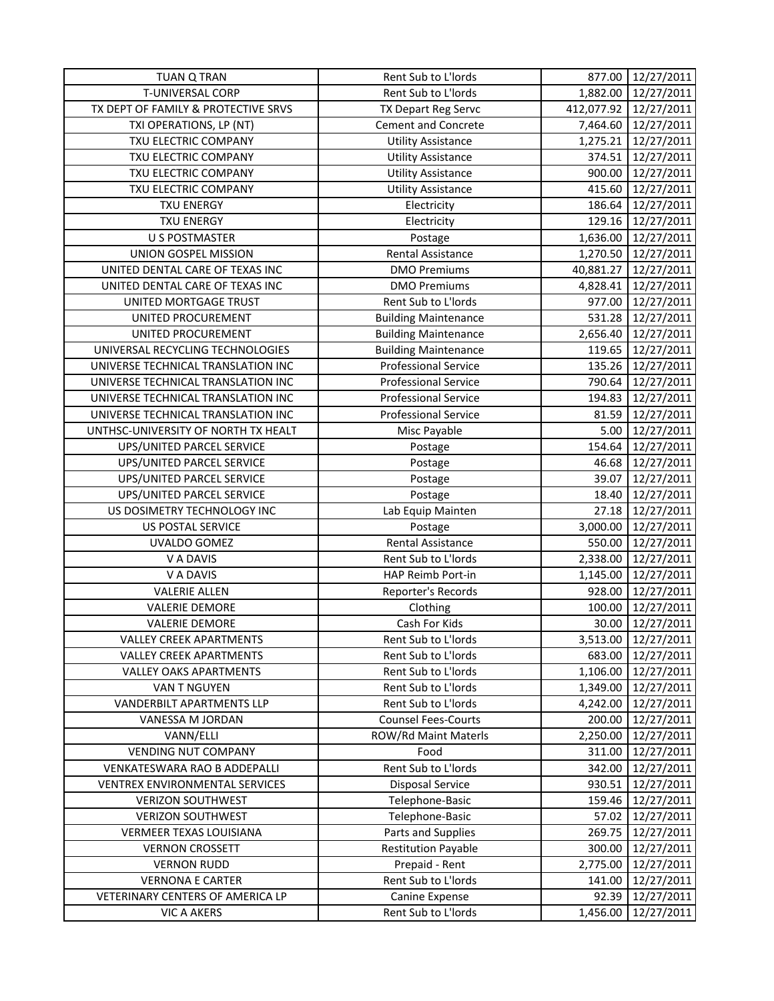| <b>TUAN Q TRAN</b>                  | Rent Sub to L'Iords         | 877.00    | 12/27/2011            |
|-------------------------------------|-----------------------------|-----------|-----------------------|
| T-UNIVERSAL CORP                    | Rent Sub to L'Iords         | 1,882.00  | 12/27/2011            |
| TX DEPT OF FAMILY & PROTECTIVE SRVS | <b>TX Depart Reg Servc</b>  |           | 412,077.92 12/27/2011 |
| TXI OPERATIONS, LP (NT)             | Cement and Concrete         |           | 7,464.60 12/27/2011   |
| TXU ELECTRIC COMPANY                | <b>Utility Assistance</b>   | 1,275.21  | 12/27/2011            |
| TXU ELECTRIC COMPANY                | <b>Utility Assistance</b>   | 374.51    | 12/27/2011            |
| TXU ELECTRIC COMPANY                | <b>Utility Assistance</b>   | 900.00    | 12/27/2011            |
| TXU ELECTRIC COMPANY                | Utility Assistance          | 415.60    | 12/27/2011            |
| <b>TXU ENERGY</b>                   | Electricity                 | 186.64    | 12/27/2011            |
| <b>TXU ENERGY</b>                   | Electricity                 | 129.16    | 12/27/2011            |
| <b>U S POSTMASTER</b>               | Postage                     | 1,636.00  | 12/27/2011            |
| UNION GOSPEL MISSION                | Rental Assistance           | 1,270.50  | 12/27/2011            |
| UNITED DENTAL CARE OF TEXAS INC     | <b>DMO Premiums</b>         | 40,881.27 | 12/27/2011            |
| UNITED DENTAL CARE OF TEXAS INC     | <b>DMO Premiums</b>         | 4,828.41  | 12/27/2011            |
| UNITED MORTGAGE TRUST               | Rent Sub to L'Iords         | 977.00    | 12/27/2011            |
| UNITED PROCUREMENT                  | <b>Building Maintenance</b> |           | 531.28 12/27/2011     |
| UNITED PROCUREMENT                  | <b>Building Maintenance</b> | 2,656.40  | 12/27/2011            |
| UNIVERSAL RECYCLING TECHNOLOGIES    | <b>Building Maintenance</b> | 119.65    | 12/27/2011            |
| UNIVERSE TECHNICAL TRANSLATION INC  | <b>Professional Service</b> | 135.26    | 12/27/2011            |
| UNIVERSE TECHNICAL TRANSLATION INC  | <b>Professional Service</b> | 790.64    | 12/27/2011            |
| UNIVERSE TECHNICAL TRANSLATION INC  | <b>Professional Service</b> | 194.83    | 12/27/2011            |
| UNIVERSE TECHNICAL TRANSLATION INC  | <b>Professional Service</b> | 81.59     | 12/27/2011            |
| UNTHSC-UNIVERSITY OF NORTH TX HEALT | Misc Payable                | 5.00      | 12/27/2011            |
| UPS/UNITED PARCEL SERVICE           | Postage                     | 154.64    | 12/27/2011            |
| UPS/UNITED PARCEL SERVICE           | Postage                     | 46.68     | 12/27/2011            |
| UPS/UNITED PARCEL SERVICE           | Postage                     | 39.07     | 12/27/2011            |
| UPS/UNITED PARCEL SERVICE           | Postage                     | 18.40     | 12/27/2011            |
| US DOSIMETRY TECHNOLOGY INC         | Lab Equip Mainten           | 27.18     | 12/27/2011            |
| US POSTAL SERVICE                   | Postage                     | 3,000.00  | 12/27/2011            |
| UVALDO GOMEZ                        | Rental Assistance           | 550.00    | 12/27/2011            |
| V A DAVIS                           | Rent Sub to L'Iords         | 2,338.00  | 12/27/2011            |
| V A DAVIS                           | HAP Reimb Port-in           | 1,145.00  | 12/27/2011            |
| <b>VALERIE ALLEN</b>                | Reporter's Records          | 928.00    | 12/27/2011            |
| <b>VALERIE DEMORE</b>               | Clothing                    | 100.00    | 12/27/2011            |
| <b>VALERIE DEMORE</b>               | Cash For Kids               | 30.00     | 12/27/2011            |
| <b>VALLEY CREEK APARTMENTS</b>      | Rent Sub to L'Iords         | 3,513.00  | 12/27/2011            |
| <b>VALLEY CREEK APARTMENTS</b>      | Rent Sub to L'Iords         | 683.00    | 12/27/2011            |
| <b>VALLEY OAKS APARTMENTS</b>       | Rent Sub to L'Iords         | 1,106.00  | 12/27/2011            |
| VAN T NGUYEN                        | Rent Sub to L'Iords         | 1,349.00  | 12/27/2011            |
| <b>VANDERBILT APARTMENTS LLP</b>    | Rent Sub to L'Iords         | 4,242.00  | 12/27/2011            |
| VANESSA M JORDAN                    | <b>Counsel Fees-Courts</b>  | 200.00    | 12/27/2011            |
| VANN/ELLI                           | ROW/Rd Maint Materls        | 2,250.00  | 12/27/2011            |
| <b>VENDING NUT COMPANY</b>          | Food                        | 311.00    | 12/27/2011            |
| VENKATESWARA RAO B ADDEPALLI        | Rent Sub to L'Iords         | 342.00    | 12/27/2011            |
| VENTREX ENVIRONMENTAL SERVICES      | <b>Disposal Service</b>     | 930.51    | 12/27/2011            |
| <b>VERIZON SOUTHWEST</b>            | Telephone-Basic             | 159.46    | 12/27/2011            |
| <b>VERIZON SOUTHWEST</b>            | Telephone-Basic             | 57.02     | 12/27/2011            |
| <b>VERMEER TEXAS LOUISIANA</b>      | Parts and Supplies          | 269.75    | 12/27/2011            |
| <b>VERNON CROSSETT</b>              | <b>Restitution Payable</b>  | 300.00    | 12/27/2011            |
| <b>VERNON RUDD</b>                  | Prepaid - Rent              | 2,775.00  | 12/27/2011            |
| <b>VERNONA E CARTER</b>             | Rent Sub to L'Iords         | 141.00    | 12/27/2011            |
| VETERINARY CENTERS OF AMERICA LP    | Canine Expense              | 92.39     | 12/27/2011            |
| <b>VIC A AKERS</b>                  | Rent Sub to L'Iords         | 1,456.00  | 12/27/2011            |
|                                     |                             |           |                       |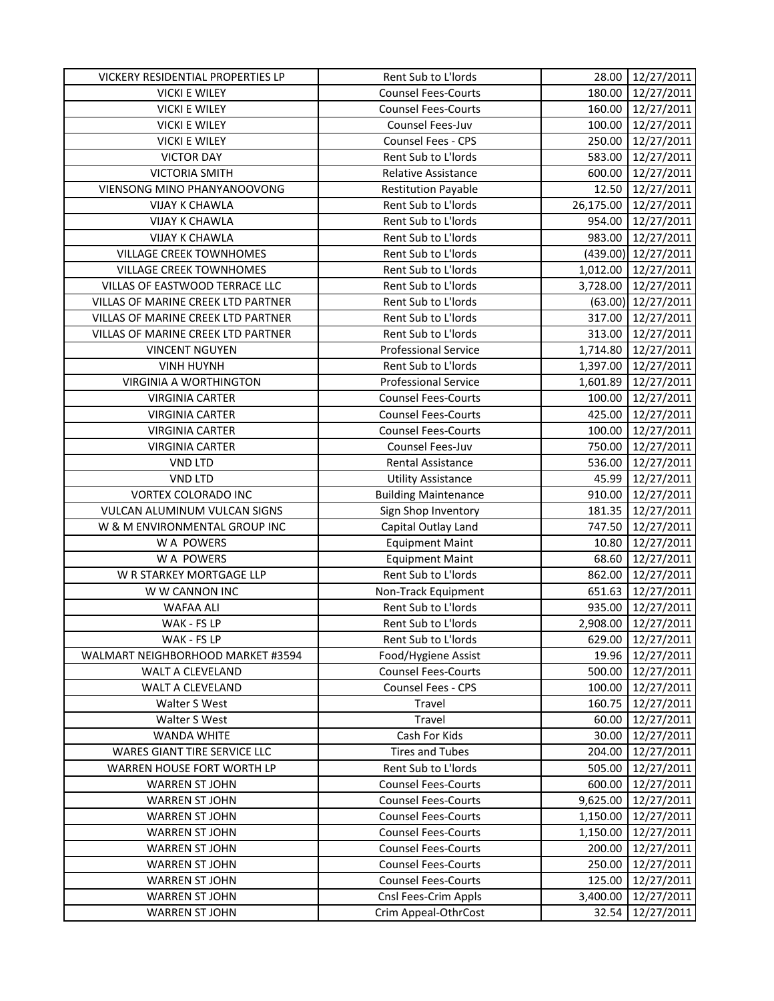| <b>Counsel Fees-Courts</b><br>180.00<br>12/27/2011<br><b>VICKI E WILEY</b><br><b>VICKI E WILEY</b><br><b>Counsel Fees-Courts</b><br>160.00<br>12/27/2011<br><b>VICKI E WILEY</b><br>Counsel Fees-Juv<br>12/27/2011<br>100.00<br><b>VICKI E WILEY</b><br>Counsel Fees - CPS<br>250.00<br>12/27/2011<br>Rent Sub to L'Iords<br><b>VICTOR DAY</b><br>583.00<br>12/27/2011<br><b>VICTORIA SMITH</b><br>12/27/2011<br><b>Relative Assistance</b><br>600.00<br>12/27/2011<br>VIENSONG MINO PHANYANOOVONG<br><b>Restitution Payable</b><br>12.50<br>Rent Sub to L'Iords<br><b>VIJAY K CHAWLA</b><br>26,175.00<br>12/27/2011<br>Rent Sub to L'Iords<br><b>VIJAY K CHAWLA</b><br>12/27/2011<br>954.00<br><b>VIJAY K CHAWLA</b><br>Rent Sub to L'Iords<br>983.00<br>12/27/2011<br><b>VILLAGE CREEK TOWNHOMES</b><br>Rent Sub to L'Iords<br>12/27/2011<br>(439.00)<br><b>VILLAGE CREEK TOWNHOMES</b><br>Rent Sub to L'Iords<br>12/27/2011<br>1,012.00<br>VILLAS OF EASTWOOD TERRACE LLC<br>Rent Sub to L'Iords<br>3,728.00<br>12/27/2011<br>Rent Sub to L'Iords<br>VILLAS OF MARINE CREEK LTD PARTNER<br>$(63.00)$ 12/27/2011<br>Rent Sub to L'Iords<br>VILLAS OF MARINE CREEK LTD PARTNER<br>317.00<br>12/27/2011<br>VILLAS OF MARINE CREEK LTD PARTNER<br>Rent Sub to L'Iords<br>313.00<br>12/27/2011<br><b>Professional Service</b><br>1,714.80<br>12/27/2011<br><b>VINCENT NGUYEN</b><br><b>VINH HUYNH</b><br>Rent Sub to L'Iords<br>1,397.00<br>12/27/2011<br><b>VIRGINIA A WORTHINGTON</b><br><b>Professional Service</b><br>12/27/2011<br>1,601.89<br><b>Counsel Fees-Courts</b><br>100.00<br><b>VIRGINIA CARTER</b><br>12/27/2011<br>425.00<br>12/27/2011<br><b>VIRGINIA CARTER</b><br><b>Counsel Fees-Courts</b><br><b>VIRGINIA CARTER</b><br><b>Counsel Fees-Courts</b><br>100.00<br>12/27/2011<br><b>VIRGINIA CARTER</b><br>Counsel Fees-Juv<br>750.00<br>12/27/2011<br><b>VND LTD</b><br>Rental Assistance<br>536.00<br>12/27/2011<br><b>VND LTD</b><br>45.99<br>12/27/2011<br><b>Utility Assistance</b><br>VORTEX COLORADO INC<br><b>Building Maintenance</b><br>910.00<br>12/27/2011<br>VULCAN ALUMINUM VULCAN SIGNS<br>181.35<br>12/27/2011<br>Sign Shop Inventory<br>W & M ENVIRONMENTAL GROUP INC<br>747.50<br>12/27/2011<br>Capital Outlay Land<br>12/27/2011<br>W A POWERS<br><b>Equipment Maint</b><br>10.80<br>W A POWERS<br>68.60<br>12/27/2011<br><b>Equipment Maint</b><br>W R STARKEY MORTGAGE LLP<br>Rent Sub to L'Iords<br>862.00<br>12/27/2011<br>W W CANNON INC<br>Non-Track Equipment<br>651.63<br>12/27/2011<br>Rent Sub to L'Iords<br>935.00<br>WAFAA ALI<br>12/27/2011<br>Rent Sub to L'Iords<br>2,908.00<br>12/27/2011<br>WAK - FS LP<br>WAK - FS LP<br>Rent Sub to L'Iords<br>629.00<br>12/27/2011<br>12/27/2011<br>WALMART NEIGHBORHOOD MARKET #3594<br>Food/Hygiene Assist<br>19.96<br>500.00<br>WALT A CLEVELAND<br><b>Counsel Fees-Courts</b><br>12/27/2011<br>WALT A CLEVELAND<br><b>Counsel Fees - CPS</b><br>100.00<br>12/27/2011<br>Travel<br>160.75<br>12/27/2011<br>Walter S West<br><b>Travel</b><br>12/27/2011<br>Walter S West<br>60.00<br><b>WANDA WHITE</b><br>Cash For Kids<br>30.00<br>12/27/2011<br><b>Tires and Tubes</b><br>WARES GIANT TIRE SERVICE LLC<br>204.00<br>12/27/2011<br>WARREN HOUSE FORT WORTH LP<br>Rent Sub to L'Iords<br>505.00<br>12/27/2011<br><b>WARREN ST JOHN</b><br><b>Counsel Fees-Courts</b><br>600.00<br>12/27/2011<br><b>Counsel Fees-Courts</b><br><b>WARREN ST JOHN</b><br>9,625.00<br>12/27/2011<br><b>Counsel Fees-Courts</b><br>1,150.00<br>12/27/2011<br><b>WARREN ST JOHN</b><br><b>Counsel Fees-Courts</b><br>12/27/2011<br><b>WARREN ST JOHN</b><br>1,150.00<br><b>WARREN ST JOHN</b><br><b>Counsel Fees-Courts</b><br>200.00<br>12/27/2011<br><b>WARREN ST JOHN</b><br><b>Counsel Fees-Courts</b><br>250.00<br>12/27/2011<br><b>Counsel Fees-Courts</b><br><b>WARREN ST JOHN</b><br>125.00<br>12/27/2011<br>Cnsl Fees-Crim Appls<br>3,400.00<br>12/27/2011<br><b>WARREN ST JOHN</b><br><b>WARREN ST JOHN</b><br>Crim Appeal-OthrCost<br>12/27/2011<br>32.54 | VICKERY RESIDENTIAL PROPERTIES LP | Rent Sub to L'Iords | 28.00 | 12/27/2011 |
|---------------------------------------------------------------------------------------------------------------------------------------------------------------------------------------------------------------------------------------------------------------------------------------------------------------------------------------------------------------------------------------------------------------------------------------------------------------------------------------------------------------------------------------------------------------------------------------------------------------------------------------------------------------------------------------------------------------------------------------------------------------------------------------------------------------------------------------------------------------------------------------------------------------------------------------------------------------------------------------------------------------------------------------------------------------------------------------------------------------------------------------------------------------------------------------------------------------------------------------------------------------------------------------------------------------------------------------------------------------------------------------------------------------------------------------------------------------------------------------------------------------------------------------------------------------------------------------------------------------------------------------------------------------------------------------------------------------------------------------------------------------------------------------------------------------------------------------------------------------------------------------------------------------------------------------------------------------------------------------------------------------------------------------------------------------------------------------------------------------------------------------------------------------------------------------------------------------------------------------------------------------------------------------------------------------------------------------------------------------------------------------------------------------------------------------------------------------------------------------------------------------------------------------------------------------------------------------------------------------------------------------------------------------------------------------------------------------------------------------------------------------------------------------------------------------------------------------------------------------------------------------------------------------------------------------------------------------------------------------------------------------------------------------------------------------------------------------------------------------------------------------------------------------------------------------------------------------------------------------------------------------------------------------------------------------------------------------------------------------------------------------------------------------------------------------------------------------------------------------------------------------------------------------------------------------------------------------------------------------------------------------------------------------------------------------------------------------------------------------------------------------------------------------------------------------------------------------------------------------------------------------------------------------------------------------------------------------------------------------------------------------------------------------------|-----------------------------------|---------------------|-------|------------|
|                                                                                                                                                                                                                                                                                                                                                                                                                                                                                                                                                                                                                                                                                                                                                                                                                                                                                                                                                                                                                                                                                                                                                                                                                                                                                                                                                                                                                                                                                                                                                                                                                                                                                                                                                                                                                                                                                                                                                                                                                                                                                                                                                                                                                                                                                                                                                                                                                                                                                                                                                                                                                                                                                                                                                                                                                                                                                                                                                                                                                                                                                                                                                                                                                                                                                                                                                                                                                                                                                                                                                                                                                                                                                                                                                                                                                                                                                                                                                                                                                                             |                                   |                     |       |            |
|                                                                                                                                                                                                                                                                                                                                                                                                                                                                                                                                                                                                                                                                                                                                                                                                                                                                                                                                                                                                                                                                                                                                                                                                                                                                                                                                                                                                                                                                                                                                                                                                                                                                                                                                                                                                                                                                                                                                                                                                                                                                                                                                                                                                                                                                                                                                                                                                                                                                                                                                                                                                                                                                                                                                                                                                                                                                                                                                                                                                                                                                                                                                                                                                                                                                                                                                                                                                                                                                                                                                                                                                                                                                                                                                                                                                                                                                                                                                                                                                                                             |                                   |                     |       |            |
|                                                                                                                                                                                                                                                                                                                                                                                                                                                                                                                                                                                                                                                                                                                                                                                                                                                                                                                                                                                                                                                                                                                                                                                                                                                                                                                                                                                                                                                                                                                                                                                                                                                                                                                                                                                                                                                                                                                                                                                                                                                                                                                                                                                                                                                                                                                                                                                                                                                                                                                                                                                                                                                                                                                                                                                                                                                                                                                                                                                                                                                                                                                                                                                                                                                                                                                                                                                                                                                                                                                                                                                                                                                                                                                                                                                                                                                                                                                                                                                                                                             |                                   |                     |       |            |
|                                                                                                                                                                                                                                                                                                                                                                                                                                                                                                                                                                                                                                                                                                                                                                                                                                                                                                                                                                                                                                                                                                                                                                                                                                                                                                                                                                                                                                                                                                                                                                                                                                                                                                                                                                                                                                                                                                                                                                                                                                                                                                                                                                                                                                                                                                                                                                                                                                                                                                                                                                                                                                                                                                                                                                                                                                                                                                                                                                                                                                                                                                                                                                                                                                                                                                                                                                                                                                                                                                                                                                                                                                                                                                                                                                                                                                                                                                                                                                                                                                             |                                   |                     |       |            |
|                                                                                                                                                                                                                                                                                                                                                                                                                                                                                                                                                                                                                                                                                                                                                                                                                                                                                                                                                                                                                                                                                                                                                                                                                                                                                                                                                                                                                                                                                                                                                                                                                                                                                                                                                                                                                                                                                                                                                                                                                                                                                                                                                                                                                                                                                                                                                                                                                                                                                                                                                                                                                                                                                                                                                                                                                                                                                                                                                                                                                                                                                                                                                                                                                                                                                                                                                                                                                                                                                                                                                                                                                                                                                                                                                                                                                                                                                                                                                                                                                                             |                                   |                     |       |            |
|                                                                                                                                                                                                                                                                                                                                                                                                                                                                                                                                                                                                                                                                                                                                                                                                                                                                                                                                                                                                                                                                                                                                                                                                                                                                                                                                                                                                                                                                                                                                                                                                                                                                                                                                                                                                                                                                                                                                                                                                                                                                                                                                                                                                                                                                                                                                                                                                                                                                                                                                                                                                                                                                                                                                                                                                                                                                                                                                                                                                                                                                                                                                                                                                                                                                                                                                                                                                                                                                                                                                                                                                                                                                                                                                                                                                                                                                                                                                                                                                                                             |                                   |                     |       |            |
|                                                                                                                                                                                                                                                                                                                                                                                                                                                                                                                                                                                                                                                                                                                                                                                                                                                                                                                                                                                                                                                                                                                                                                                                                                                                                                                                                                                                                                                                                                                                                                                                                                                                                                                                                                                                                                                                                                                                                                                                                                                                                                                                                                                                                                                                                                                                                                                                                                                                                                                                                                                                                                                                                                                                                                                                                                                                                                                                                                                                                                                                                                                                                                                                                                                                                                                                                                                                                                                                                                                                                                                                                                                                                                                                                                                                                                                                                                                                                                                                                                             |                                   |                     |       |            |
|                                                                                                                                                                                                                                                                                                                                                                                                                                                                                                                                                                                                                                                                                                                                                                                                                                                                                                                                                                                                                                                                                                                                                                                                                                                                                                                                                                                                                                                                                                                                                                                                                                                                                                                                                                                                                                                                                                                                                                                                                                                                                                                                                                                                                                                                                                                                                                                                                                                                                                                                                                                                                                                                                                                                                                                                                                                                                                                                                                                                                                                                                                                                                                                                                                                                                                                                                                                                                                                                                                                                                                                                                                                                                                                                                                                                                                                                                                                                                                                                                                             |                                   |                     |       |            |
|                                                                                                                                                                                                                                                                                                                                                                                                                                                                                                                                                                                                                                                                                                                                                                                                                                                                                                                                                                                                                                                                                                                                                                                                                                                                                                                                                                                                                                                                                                                                                                                                                                                                                                                                                                                                                                                                                                                                                                                                                                                                                                                                                                                                                                                                                                                                                                                                                                                                                                                                                                                                                                                                                                                                                                                                                                                                                                                                                                                                                                                                                                                                                                                                                                                                                                                                                                                                                                                                                                                                                                                                                                                                                                                                                                                                                                                                                                                                                                                                                                             |                                   |                     |       |            |
|                                                                                                                                                                                                                                                                                                                                                                                                                                                                                                                                                                                                                                                                                                                                                                                                                                                                                                                                                                                                                                                                                                                                                                                                                                                                                                                                                                                                                                                                                                                                                                                                                                                                                                                                                                                                                                                                                                                                                                                                                                                                                                                                                                                                                                                                                                                                                                                                                                                                                                                                                                                                                                                                                                                                                                                                                                                                                                                                                                                                                                                                                                                                                                                                                                                                                                                                                                                                                                                                                                                                                                                                                                                                                                                                                                                                                                                                                                                                                                                                                                             |                                   |                     |       |            |
|                                                                                                                                                                                                                                                                                                                                                                                                                                                                                                                                                                                                                                                                                                                                                                                                                                                                                                                                                                                                                                                                                                                                                                                                                                                                                                                                                                                                                                                                                                                                                                                                                                                                                                                                                                                                                                                                                                                                                                                                                                                                                                                                                                                                                                                                                                                                                                                                                                                                                                                                                                                                                                                                                                                                                                                                                                                                                                                                                                                                                                                                                                                                                                                                                                                                                                                                                                                                                                                                                                                                                                                                                                                                                                                                                                                                                                                                                                                                                                                                                                             |                                   |                     |       |            |
|                                                                                                                                                                                                                                                                                                                                                                                                                                                                                                                                                                                                                                                                                                                                                                                                                                                                                                                                                                                                                                                                                                                                                                                                                                                                                                                                                                                                                                                                                                                                                                                                                                                                                                                                                                                                                                                                                                                                                                                                                                                                                                                                                                                                                                                                                                                                                                                                                                                                                                                                                                                                                                                                                                                                                                                                                                                                                                                                                                                                                                                                                                                                                                                                                                                                                                                                                                                                                                                                                                                                                                                                                                                                                                                                                                                                                                                                                                                                                                                                                                             |                                   |                     |       |            |
|                                                                                                                                                                                                                                                                                                                                                                                                                                                                                                                                                                                                                                                                                                                                                                                                                                                                                                                                                                                                                                                                                                                                                                                                                                                                                                                                                                                                                                                                                                                                                                                                                                                                                                                                                                                                                                                                                                                                                                                                                                                                                                                                                                                                                                                                                                                                                                                                                                                                                                                                                                                                                                                                                                                                                                                                                                                                                                                                                                                                                                                                                                                                                                                                                                                                                                                                                                                                                                                                                                                                                                                                                                                                                                                                                                                                                                                                                                                                                                                                                                             |                                   |                     |       |            |
|                                                                                                                                                                                                                                                                                                                                                                                                                                                                                                                                                                                                                                                                                                                                                                                                                                                                                                                                                                                                                                                                                                                                                                                                                                                                                                                                                                                                                                                                                                                                                                                                                                                                                                                                                                                                                                                                                                                                                                                                                                                                                                                                                                                                                                                                                                                                                                                                                                                                                                                                                                                                                                                                                                                                                                                                                                                                                                                                                                                                                                                                                                                                                                                                                                                                                                                                                                                                                                                                                                                                                                                                                                                                                                                                                                                                                                                                                                                                                                                                                                             |                                   |                     |       |            |
|                                                                                                                                                                                                                                                                                                                                                                                                                                                                                                                                                                                                                                                                                                                                                                                                                                                                                                                                                                                                                                                                                                                                                                                                                                                                                                                                                                                                                                                                                                                                                                                                                                                                                                                                                                                                                                                                                                                                                                                                                                                                                                                                                                                                                                                                                                                                                                                                                                                                                                                                                                                                                                                                                                                                                                                                                                                                                                                                                                                                                                                                                                                                                                                                                                                                                                                                                                                                                                                                                                                                                                                                                                                                                                                                                                                                                                                                                                                                                                                                                                             |                                   |                     |       |            |
|                                                                                                                                                                                                                                                                                                                                                                                                                                                                                                                                                                                                                                                                                                                                                                                                                                                                                                                                                                                                                                                                                                                                                                                                                                                                                                                                                                                                                                                                                                                                                                                                                                                                                                                                                                                                                                                                                                                                                                                                                                                                                                                                                                                                                                                                                                                                                                                                                                                                                                                                                                                                                                                                                                                                                                                                                                                                                                                                                                                                                                                                                                                                                                                                                                                                                                                                                                                                                                                                                                                                                                                                                                                                                                                                                                                                                                                                                                                                                                                                                                             |                                   |                     |       |            |
|                                                                                                                                                                                                                                                                                                                                                                                                                                                                                                                                                                                                                                                                                                                                                                                                                                                                                                                                                                                                                                                                                                                                                                                                                                                                                                                                                                                                                                                                                                                                                                                                                                                                                                                                                                                                                                                                                                                                                                                                                                                                                                                                                                                                                                                                                                                                                                                                                                                                                                                                                                                                                                                                                                                                                                                                                                                                                                                                                                                                                                                                                                                                                                                                                                                                                                                                                                                                                                                                                                                                                                                                                                                                                                                                                                                                                                                                                                                                                                                                                                             |                                   |                     |       |            |
|                                                                                                                                                                                                                                                                                                                                                                                                                                                                                                                                                                                                                                                                                                                                                                                                                                                                                                                                                                                                                                                                                                                                                                                                                                                                                                                                                                                                                                                                                                                                                                                                                                                                                                                                                                                                                                                                                                                                                                                                                                                                                                                                                                                                                                                                                                                                                                                                                                                                                                                                                                                                                                                                                                                                                                                                                                                                                                                                                                                                                                                                                                                                                                                                                                                                                                                                                                                                                                                                                                                                                                                                                                                                                                                                                                                                                                                                                                                                                                                                                                             |                                   |                     |       |            |
|                                                                                                                                                                                                                                                                                                                                                                                                                                                                                                                                                                                                                                                                                                                                                                                                                                                                                                                                                                                                                                                                                                                                                                                                                                                                                                                                                                                                                                                                                                                                                                                                                                                                                                                                                                                                                                                                                                                                                                                                                                                                                                                                                                                                                                                                                                                                                                                                                                                                                                                                                                                                                                                                                                                                                                                                                                                                                                                                                                                                                                                                                                                                                                                                                                                                                                                                                                                                                                                                                                                                                                                                                                                                                                                                                                                                                                                                                                                                                                                                                                             |                                   |                     |       |            |
|                                                                                                                                                                                                                                                                                                                                                                                                                                                                                                                                                                                                                                                                                                                                                                                                                                                                                                                                                                                                                                                                                                                                                                                                                                                                                                                                                                                                                                                                                                                                                                                                                                                                                                                                                                                                                                                                                                                                                                                                                                                                                                                                                                                                                                                                                                                                                                                                                                                                                                                                                                                                                                                                                                                                                                                                                                                                                                                                                                                                                                                                                                                                                                                                                                                                                                                                                                                                                                                                                                                                                                                                                                                                                                                                                                                                                                                                                                                                                                                                                                             |                                   |                     |       |            |
|                                                                                                                                                                                                                                                                                                                                                                                                                                                                                                                                                                                                                                                                                                                                                                                                                                                                                                                                                                                                                                                                                                                                                                                                                                                                                                                                                                                                                                                                                                                                                                                                                                                                                                                                                                                                                                                                                                                                                                                                                                                                                                                                                                                                                                                                                                                                                                                                                                                                                                                                                                                                                                                                                                                                                                                                                                                                                                                                                                                                                                                                                                                                                                                                                                                                                                                                                                                                                                                                                                                                                                                                                                                                                                                                                                                                                                                                                                                                                                                                                                             |                                   |                     |       |            |
|                                                                                                                                                                                                                                                                                                                                                                                                                                                                                                                                                                                                                                                                                                                                                                                                                                                                                                                                                                                                                                                                                                                                                                                                                                                                                                                                                                                                                                                                                                                                                                                                                                                                                                                                                                                                                                                                                                                                                                                                                                                                                                                                                                                                                                                                                                                                                                                                                                                                                                                                                                                                                                                                                                                                                                                                                                                                                                                                                                                                                                                                                                                                                                                                                                                                                                                                                                                                                                                                                                                                                                                                                                                                                                                                                                                                                                                                                                                                                                                                                                             |                                   |                     |       |            |
|                                                                                                                                                                                                                                                                                                                                                                                                                                                                                                                                                                                                                                                                                                                                                                                                                                                                                                                                                                                                                                                                                                                                                                                                                                                                                                                                                                                                                                                                                                                                                                                                                                                                                                                                                                                                                                                                                                                                                                                                                                                                                                                                                                                                                                                                                                                                                                                                                                                                                                                                                                                                                                                                                                                                                                                                                                                                                                                                                                                                                                                                                                                                                                                                                                                                                                                                                                                                                                                                                                                                                                                                                                                                                                                                                                                                                                                                                                                                                                                                                                             |                                   |                     |       |            |
|                                                                                                                                                                                                                                                                                                                                                                                                                                                                                                                                                                                                                                                                                                                                                                                                                                                                                                                                                                                                                                                                                                                                                                                                                                                                                                                                                                                                                                                                                                                                                                                                                                                                                                                                                                                                                                                                                                                                                                                                                                                                                                                                                                                                                                                                                                                                                                                                                                                                                                                                                                                                                                                                                                                                                                                                                                                                                                                                                                                                                                                                                                                                                                                                                                                                                                                                                                                                                                                                                                                                                                                                                                                                                                                                                                                                                                                                                                                                                                                                                                             |                                   |                     |       |            |
|                                                                                                                                                                                                                                                                                                                                                                                                                                                                                                                                                                                                                                                                                                                                                                                                                                                                                                                                                                                                                                                                                                                                                                                                                                                                                                                                                                                                                                                                                                                                                                                                                                                                                                                                                                                                                                                                                                                                                                                                                                                                                                                                                                                                                                                                                                                                                                                                                                                                                                                                                                                                                                                                                                                                                                                                                                                                                                                                                                                                                                                                                                                                                                                                                                                                                                                                                                                                                                                                                                                                                                                                                                                                                                                                                                                                                                                                                                                                                                                                                                             |                                   |                     |       |            |
|                                                                                                                                                                                                                                                                                                                                                                                                                                                                                                                                                                                                                                                                                                                                                                                                                                                                                                                                                                                                                                                                                                                                                                                                                                                                                                                                                                                                                                                                                                                                                                                                                                                                                                                                                                                                                                                                                                                                                                                                                                                                                                                                                                                                                                                                                                                                                                                                                                                                                                                                                                                                                                                                                                                                                                                                                                                                                                                                                                                                                                                                                                                                                                                                                                                                                                                                                                                                                                                                                                                                                                                                                                                                                                                                                                                                                                                                                                                                                                                                                                             |                                   |                     |       |            |
|                                                                                                                                                                                                                                                                                                                                                                                                                                                                                                                                                                                                                                                                                                                                                                                                                                                                                                                                                                                                                                                                                                                                                                                                                                                                                                                                                                                                                                                                                                                                                                                                                                                                                                                                                                                                                                                                                                                                                                                                                                                                                                                                                                                                                                                                                                                                                                                                                                                                                                                                                                                                                                                                                                                                                                                                                                                                                                                                                                                                                                                                                                                                                                                                                                                                                                                                                                                                                                                                                                                                                                                                                                                                                                                                                                                                                                                                                                                                                                                                                                             |                                   |                     |       |            |
|                                                                                                                                                                                                                                                                                                                                                                                                                                                                                                                                                                                                                                                                                                                                                                                                                                                                                                                                                                                                                                                                                                                                                                                                                                                                                                                                                                                                                                                                                                                                                                                                                                                                                                                                                                                                                                                                                                                                                                                                                                                                                                                                                                                                                                                                                                                                                                                                                                                                                                                                                                                                                                                                                                                                                                                                                                                                                                                                                                                                                                                                                                                                                                                                                                                                                                                                                                                                                                                                                                                                                                                                                                                                                                                                                                                                                                                                                                                                                                                                                                             |                                   |                     |       |            |
|                                                                                                                                                                                                                                                                                                                                                                                                                                                                                                                                                                                                                                                                                                                                                                                                                                                                                                                                                                                                                                                                                                                                                                                                                                                                                                                                                                                                                                                                                                                                                                                                                                                                                                                                                                                                                                                                                                                                                                                                                                                                                                                                                                                                                                                                                                                                                                                                                                                                                                                                                                                                                                                                                                                                                                                                                                                                                                                                                                                                                                                                                                                                                                                                                                                                                                                                                                                                                                                                                                                                                                                                                                                                                                                                                                                                                                                                                                                                                                                                                                             |                                   |                     |       |            |
|                                                                                                                                                                                                                                                                                                                                                                                                                                                                                                                                                                                                                                                                                                                                                                                                                                                                                                                                                                                                                                                                                                                                                                                                                                                                                                                                                                                                                                                                                                                                                                                                                                                                                                                                                                                                                                                                                                                                                                                                                                                                                                                                                                                                                                                                                                                                                                                                                                                                                                                                                                                                                                                                                                                                                                                                                                                                                                                                                                                                                                                                                                                                                                                                                                                                                                                                                                                                                                                                                                                                                                                                                                                                                                                                                                                                                                                                                                                                                                                                                                             |                                   |                     |       |            |
|                                                                                                                                                                                                                                                                                                                                                                                                                                                                                                                                                                                                                                                                                                                                                                                                                                                                                                                                                                                                                                                                                                                                                                                                                                                                                                                                                                                                                                                                                                                                                                                                                                                                                                                                                                                                                                                                                                                                                                                                                                                                                                                                                                                                                                                                                                                                                                                                                                                                                                                                                                                                                                                                                                                                                                                                                                                                                                                                                                                                                                                                                                                                                                                                                                                                                                                                                                                                                                                                                                                                                                                                                                                                                                                                                                                                                                                                                                                                                                                                                                             |                                   |                     |       |            |
|                                                                                                                                                                                                                                                                                                                                                                                                                                                                                                                                                                                                                                                                                                                                                                                                                                                                                                                                                                                                                                                                                                                                                                                                                                                                                                                                                                                                                                                                                                                                                                                                                                                                                                                                                                                                                                                                                                                                                                                                                                                                                                                                                                                                                                                                                                                                                                                                                                                                                                                                                                                                                                                                                                                                                                                                                                                                                                                                                                                                                                                                                                                                                                                                                                                                                                                                                                                                                                                                                                                                                                                                                                                                                                                                                                                                                                                                                                                                                                                                                                             |                                   |                     |       |            |
|                                                                                                                                                                                                                                                                                                                                                                                                                                                                                                                                                                                                                                                                                                                                                                                                                                                                                                                                                                                                                                                                                                                                                                                                                                                                                                                                                                                                                                                                                                                                                                                                                                                                                                                                                                                                                                                                                                                                                                                                                                                                                                                                                                                                                                                                                                                                                                                                                                                                                                                                                                                                                                                                                                                                                                                                                                                                                                                                                                                                                                                                                                                                                                                                                                                                                                                                                                                                                                                                                                                                                                                                                                                                                                                                                                                                                                                                                                                                                                                                                                             |                                   |                     |       |            |
|                                                                                                                                                                                                                                                                                                                                                                                                                                                                                                                                                                                                                                                                                                                                                                                                                                                                                                                                                                                                                                                                                                                                                                                                                                                                                                                                                                                                                                                                                                                                                                                                                                                                                                                                                                                                                                                                                                                                                                                                                                                                                                                                                                                                                                                                                                                                                                                                                                                                                                                                                                                                                                                                                                                                                                                                                                                                                                                                                                                                                                                                                                                                                                                                                                                                                                                                                                                                                                                                                                                                                                                                                                                                                                                                                                                                                                                                                                                                                                                                                                             |                                   |                     |       |            |
|                                                                                                                                                                                                                                                                                                                                                                                                                                                                                                                                                                                                                                                                                                                                                                                                                                                                                                                                                                                                                                                                                                                                                                                                                                                                                                                                                                                                                                                                                                                                                                                                                                                                                                                                                                                                                                                                                                                                                                                                                                                                                                                                                                                                                                                                                                                                                                                                                                                                                                                                                                                                                                                                                                                                                                                                                                                                                                                                                                                                                                                                                                                                                                                                                                                                                                                                                                                                                                                                                                                                                                                                                                                                                                                                                                                                                                                                                                                                                                                                                                             |                                   |                     |       |            |
|                                                                                                                                                                                                                                                                                                                                                                                                                                                                                                                                                                                                                                                                                                                                                                                                                                                                                                                                                                                                                                                                                                                                                                                                                                                                                                                                                                                                                                                                                                                                                                                                                                                                                                                                                                                                                                                                                                                                                                                                                                                                                                                                                                                                                                                                                                                                                                                                                                                                                                                                                                                                                                                                                                                                                                                                                                                                                                                                                                                                                                                                                                                                                                                                                                                                                                                                                                                                                                                                                                                                                                                                                                                                                                                                                                                                                                                                                                                                                                                                                                             |                                   |                     |       |            |
|                                                                                                                                                                                                                                                                                                                                                                                                                                                                                                                                                                                                                                                                                                                                                                                                                                                                                                                                                                                                                                                                                                                                                                                                                                                                                                                                                                                                                                                                                                                                                                                                                                                                                                                                                                                                                                                                                                                                                                                                                                                                                                                                                                                                                                                                                                                                                                                                                                                                                                                                                                                                                                                                                                                                                                                                                                                                                                                                                                                                                                                                                                                                                                                                                                                                                                                                                                                                                                                                                                                                                                                                                                                                                                                                                                                                                                                                                                                                                                                                                                             |                                   |                     |       |            |
|                                                                                                                                                                                                                                                                                                                                                                                                                                                                                                                                                                                                                                                                                                                                                                                                                                                                                                                                                                                                                                                                                                                                                                                                                                                                                                                                                                                                                                                                                                                                                                                                                                                                                                                                                                                                                                                                                                                                                                                                                                                                                                                                                                                                                                                                                                                                                                                                                                                                                                                                                                                                                                                                                                                                                                                                                                                                                                                                                                                                                                                                                                                                                                                                                                                                                                                                                                                                                                                                                                                                                                                                                                                                                                                                                                                                                                                                                                                                                                                                                                             |                                   |                     |       |            |
|                                                                                                                                                                                                                                                                                                                                                                                                                                                                                                                                                                                                                                                                                                                                                                                                                                                                                                                                                                                                                                                                                                                                                                                                                                                                                                                                                                                                                                                                                                                                                                                                                                                                                                                                                                                                                                                                                                                                                                                                                                                                                                                                                                                                                                                                                                                                                                                                                                                                                                                                                                                                                                                                                                                                                                                                                                                                                                                                                                                                                                                                                                                                                                                                                                                                                                                                                                                                                                                                                                                                                                                                                                                                                                                                                                                                                                                                                                                                                                                                                                             |                                   |                     |       |            |
|                                                                                                                                                                                                                                                                                                                                                                                                                                                                                                                                                                                                                                                                                                                                                                                                                                                                                                                                                                                                                                                                                                                                                                                                                                                                                                                                                                                                                                                                                                                                                                                                                                                                                                                                                                                                                                                                                                                                                                                                                                                                                                                                                                                                                                                                                                                                                                                                                                                                                                                                                                                                                                                                                                                                                                                                                                                                                                                                                                                                                                                                                                                                                                                                                                                                                                                                                                                                                                                                                                                                                                                                                                                                                                                                                                                                                                                                                                                                                                                                                                             |                                   |                     |       |            |
|                                                                                                                                                                                                                                                                                                                                                                                                                                                                                                                                                                                                                                                                                                                                                                                                                                                                                                                                                                                                                                                                                                                                                                                                                                                                                                                                                                                                                                                                                                                                                                                                                                                                                                                                                                                                                                                                                                                                                                                                                                                                                                                                                                                                                                                                                                                                                                                                                                                                                                                                                                                                                                                                                                                                                                                                                                                                                                                                                                                                                                                                                                                                                                                                                                                                                                                                                                                                                                                                                                                                                                                                                                                                                                                                                                                                                                                                                                                                                                                                                                             |                                   |                     |       |            |
|                                                                                                                                                                                                                                                                                                                                                                                                                                                                                                                                                                                                                                                                                                                                                                                                                                                                                                                                                                                                                                                                                                                                                                                                                                                                                                                                                                                                                                                                                                                                                                                                                                                                                                                                                                                                                                                                                                                                                                                                                                                                                                                                                                                                                                                                                                                                                                                                                                                                                                                                                                                                                                                                                                                                                                                                                                                                                                                                                                                                                                                                                                                                                                                                                                                                                                                                                                                                                                                                                                                                                                                                                                                                                                                                                                                                                                                                                                                                                                                                                                             |                                   |                     |       |            |
|                                                                                                                                                                                                                                                                                                                                                                                                                                                                                                                                                                                                                                                                                                                                                                                                                                                                                                                                                                                                                                                                                                                                                                                                                                                                                                                                                                                                                                                                                                                                                                                                                                                                                                                                                                                                                                                                                                                                                                                                                                                                                                                                                                                                                                                                                                                                                                                                                                                                                                                                                                                                                                                                                                                                                                                                                                                                                                                                                                                                                                                                                                                                                                                                                                                                                                                                                                                                                                                                                                                                                                                                                                                                                                                                                                                                                                                                                                                                                                                                                                             |                                   |                     |       |            |
|                                                                                                                                                                                                                                                                                                                                                                                                                                                                                                                                                                                                                                                                                                                                                                                                                                                                                                                                                                                                                                                                                                                                                                                                                                                                                                                                                                                                                                                                                                                                                                                                                                                                                                                                                                                                                                                                                                                                                                                                                                                                                                                                                                                                                                                                                                                                                                                                                                                                                                                                                                                                                                                                                                                                                                                                                                                                                                                                                                                                                                                                                                                                                                                                                                                                                                                                                                                                                                                                                                                                                                                                                                                                                                                                                                                                                                                                                                                                                                                                                                             |                                   |                     |       |            |
|                                                                                                                                                                                                                                                                                                                                                                                                                                                                                                                                                                                                                                                                                                                                                                                                                                                                                                                                                                                                                                                                                                                                                                                                                                                                                                                                                                                                                                                                                                                                                                                                                                                                                                                                                                                                                                                                                                                                                                                                                                                                                                                                                                                                                                                                                                                                                                                                                                                                                                                                                                                                                                                                                                                                                                                                                                                                                                                                                                                                                                                                                                                                                                                                                                                                                                                                                                                                                                                                                                                                                                                                                                                                                                                                                                                                                                                                                                                                                                                                                                             |                                   |                     |       |            |
|                                                                                                                                                                                                                                                                                                                                                                                                                                                                                                                                                                                                                                                                                                                                                                                                                                                                                                                                                                                                                                                                                                                                                                                                                                                                                                                                                                                                                                                                                                                                                                                                                                                                                                                                                                                                                                                                                                                                                                                                                                                                                                                                                                                                                                                                                                                                                                                                                                                                                                                                                                                                                                                                                                                                                                                                                                                                                                                                                                                                                                                                                                                                                                                                                                                                                                                                                                                                                                                                                                                                                                                                                                                                                                                                                                                                                                                                                                                                                                                                                                             |                                   |                     |       |            |
|                                                                                                                                                                                                                                                                                                                                                                                                                                                                                                                                                                                                                                                                                                                                                                                                                                                                                                                                                                                                                                                                                                                                                                                                                                                                                                                                                                                                                                                                                                                                                                                                                                                                                                                                                                                                                                                                                                                                                                                                                                                                                                                                                                                                                                                                                                                                                                                                                                                                                                                                                                                                                                                                                                                                                                                                                                                                                                                                                                                                                                                                                                                                                                                                                                                                                                                                                                                                                                                                                                                                                                                                                                                                                                                                                                                                                                                                                                                                                                                                                                             |                                   |                     |       |            |
|                                                                                                                                                                                                                                                                                                                                                                                                                                                                                                                                                                                                                                                                                                                                                                                                                                                                                                                                                                                                                                                                                                                                                                                                                                                                                                                                                                                                                                                                                                                                                                                                                                                                                                                                                                                                                                                                                                                                                                                                                                                                                                                                                                                                                                                                                                                                                                                                                                                                                                                                                                                                                                                                                                                                                                                                                                                                                                                                                                                                                                                                                                                                                                                                                                                                                                                                                                                                                                                                                                                                                                                                                                                                                                                                                                                                                                                                                                                                                                                                                                             |                                   |                     |       |            |
|                                                                                                                                                                                                                                                                                                                                                                                                                                                                                                                                                                                                                                                                                                                                                                                                                                                                                                                                                                                                                                                                                                                                                                                                                                                                                                                                                                                                                                                                                                                                                                                                                                                                                                                                                                                                                                                                                                                                                                                                                                                                                                                                                                                                                                                                                                                                                                                                                                                                                                                                                                                                                                                                                                                                                                                                                                                                                                                                                                                                                                                                                                                                                                                                                                                                                                                                                                                                                                                                                                                                                                                                                                                                                                                                                                                                                                                                                                                                                                                                                                             |                                   |                     |       |            |
|                                                                                                                                                                                                                                                                                                                                                                                                                                                                                                                                                                                                                                                                                                                                                                                                                                                                                                                                                                                                                                                                                                                                                                                                                                                                                                                                                                                                                                                                                                                                                                                                                                                                                                                                                                                                                                                                                                                                                                                                                                                                                                                                                                                                                                                                                                                                                                                                                                                                                                                                                                                                                                                                                                                                                                                                                                                                                                                                                                                                                                                                                                                                                                                                                                                                                                                                                                                                                                                                                                                                                                                                                                                                                                                                                                                                                                                                                                                                                                                                                                             |                                   |                     |       |            |
|                                                                                                                                                                                                                                                                                                                                                                                                                                                                                                                                                                                                                                                                                                                                                                                                                                                                                                                                                                                                                                                                                                                                                                                                                                                                                                                                                                                                                                                                                                                                                                                                                                                                                                                                                                                                                                                                                                                                                                                                                                                                                                                                                                                                                                                                                                                                                                                                                                                                                                                                                                                                                                                                                                                                                                                                                                                                                                                                                                                                                                                                                                                                                                                                                                                                                                                                                                                                                                                                                                                                                                                                                                                                                                                                                                                                                                                                                                                                                                                                                                             |                                   |                     |       |            |
|                                                                                                                                                                                                                                                                                                                                                                                                                                                                                                                                                                                                                                                                                                                                                                                                                                                                                                                                                                                                                                                                                                                                                                                                                                                                                                                                                                                                                                                                                                                                                                                                                                                                                                                                                                                                                                                                                                                                                                                                                                                                                                                                                                                                                                                                                                                                                                                                                                                                                                                                                                                                                                                                                                                                                                                                                                                                                                                                                                                                                                                                                                                                                                                                                                                                                                                                                                                                                                                                                                                                                                                                                                                                                                                                                                                                                                                                                                                                                                                                                                             |                                   |                     |       |            |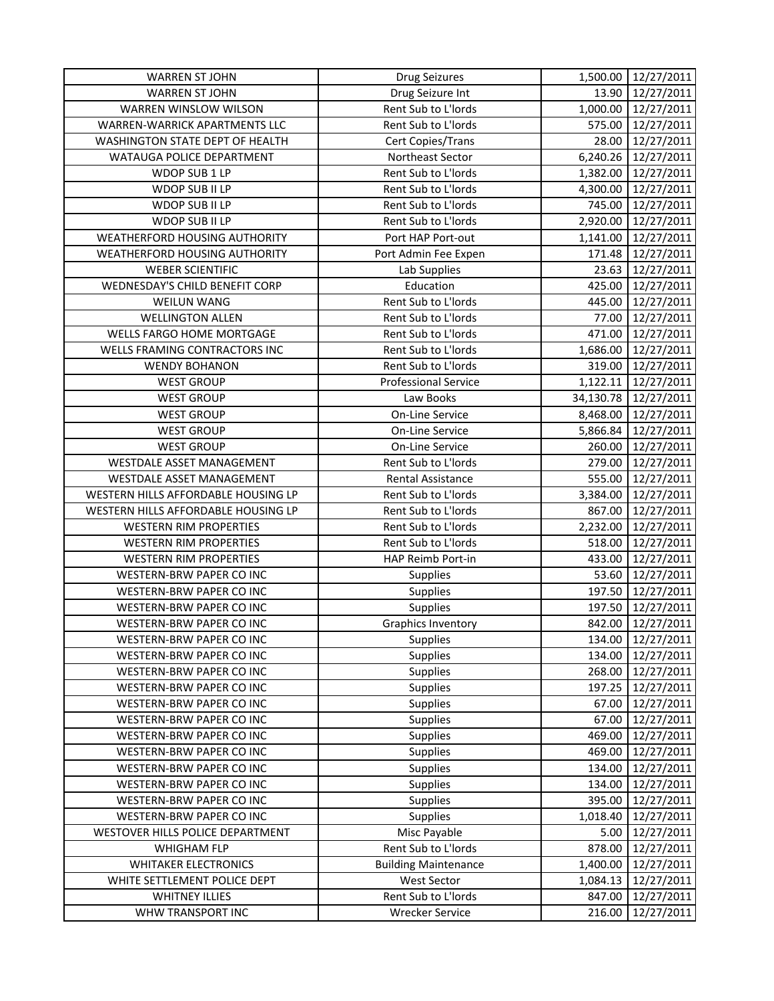| <b>WARREN ST JOHN</b>               | <b>Drug Seizures</b>        |           | 1,500.00 12/27/2011 |
|-------------------------------------|-----------------------------|-----------|---------------------|
| <b>WARREN ST JOHN</b>               | Drug Seizure Int            | 13.90     | 12/27/2011          |
| <b>WARREN WINSLOW WILSON</b>        | Rent Sub to L'Iords         | 1,000.00  | 12/27/2011          |
| WARREN-WARRICK APARTMENTS LLC       | Rent Sub to L'Iords         | 575.00    | 12/27/2011          |
| WASHINGTON STATE DEPT OF HEALTH     | Cert Copies/Trans           | 28.00     | 12/27/2011          |
| WATAUGA POLICE DEPARTMENT           | Northeast Sector            | 6,240.26  | 12/27/2011          |
| WDOP SUB 1 LP                       | Rent Sub to L'Iords         | 1,382.00  | 12/27/2011          |
| WDOP SUB II LP                      | Rent Sub to L'Iords         | 4,300.00  | 12/27/2011          |
| WDOP SUB II LP                      | Rent Sub to L'Iords         | 745.00    | 12/27/2011          |
| WDOP SUB II LP                      | Rent Sub to L'Iords         | 2,920.00  | 12/27/2011          |
| WEATHERFORD HOUSING AUTHORITY       | Port HAP Port-out           | 1,141.00  | 12/27/2011          |
| WEATHERFORD HOUSING AUTHORITY       | Port Admin Fee Expen        | 171.48    | 12/27/2011          |
| <b>WEBER SCIENTIFIC</b>             | Lab Supplies                | 23.63     | 12/27/2011          |
| WEDNESDAY'S CHILD BENEFIT CORP      | Education                   | 425.00    | 12/27/2011          |
| <b>WEILUN WANG</b>                  | Rent Sub to L'Iords         | 445.00    | 12/27/2011          |
| <b>WELLINGTON ALLEN</b>             | Rent Sub to L'Iords         | 77.00     | 12/27/2011          |
| WELLS FARGO HOME MORTGAGE           | Rent Sub to L'Iords         | 471.00    | 12/27/2011          |
| WELLS FRAMING CONTRACTORS INC       | Rent Sub to L'Iords         | 1,686.00  | 12/27/2011          |
| <b>WENDY BOHANON</b>                | Rent Sub to L'Iords         | 319.00    | 12/27/2011          |
| <b>WEST GROUP</b>                   | <b>Professional Service</b> | 1,122.11  | 12/27/2011          |
| <b>WEST GROUP</b>                   | Law Books                   | 34,130.78 | 12/27/2011          |
| <b>WEST GROUP</b>                   | <b>On-Line Service</b>      | 8,468.00  | 12/27/2011          |
| <b>WEST GROUP</b>                   | On-Line Service             | 5,866.84  | 12/27/2011          |
| <b>WEST GROUP</b>                   | On-Line Service             | 260.00    | 12/27/2011          |
| WESTDALE ASSET MANAGEMENT           | Rent Sub to L'Iords         | 279.00    | 12/27/2011          |
| WESTDALE ASSET MANAGEMENT           | Rental Assistance           | 555.00    | 12/27/2011          |
| WESTERN HILLS AFFORDABLE HOUSING LP | Rent Sub to L'Iords         | 3,384.00  | 12/27/2011          |
| WESTERN HILLS AFFORDABLE HOUSING LP | Rent Sub to L'Iords         | 867.00    | 12/27/2011          |
| <b>WESTERN RIM PROPERTIES</b>       | Rent Sub to L'Iords         | 2,232.00  | 12/27/2011          |
| <b>WESTERN RIM PROPERTIES</b>       | Rent Sub to L'Iords         | 518.00    | 12/27/2011          |
| <b>WESTERN RIM PROPERTIES</b>       | HAP Reimb Port-in           | 433.00    | 12/27/2011          |
| WESTERN-BRW PAPER CO INC            | Supplies                    | 53.60     | 12/27/2011          |
| <b>WESTERN-BRW PAPER CO INC</b>     | Supplies                    | 197.50    | 12/27/2011          |
| WESTERN-BRW PAPER CO INC            | Supplies                    | 197.50    | 12/27/2011          |
| WESTERN-BRW PAPER CO INC            | <b>Graphics Inventory</b>   | 842.00    | 12/27/2011          |
| WESTERN-BRW PAPER CO INC            | <b>Supplies</b>             | 134.00    | 12/27/2011          |
| WESTERN-BRW PAPER CO INC            | <b>Supplies</b>             | 134.00    | 12/27/2011          |
| WESTERN-BRW PAPER CO INC            | <b>Supplies</b>             | 268.00    | 12/27/2011          |
| WESTERN-BRW PAPER CO INC            | Supplies                    | 197.25    | 12/27/2011          |
| WESTERN-BRW PAPER CO INC            | Supplies                    | 67.00     | 12/27/2011          |
| WESTERN-BRW PAPER CO INC            | Supplies                    | 67.00     | 12/27/2011          |
| <b>WESTERN-BRW PAPER CO INC</b>     | Supplies                    | 469.00    | 12/27/2011          |
| WESTERN-BRW PAPER CO INC            | Supplies                    | 469.00    | 12/27/2011          |
| WESTERN-BRW PAPER CO INC            | <b>Supplies</b>             | 134.00    | 12/27/2011          |
| WESTERN-BRW PAPER CO INC            | <b>Supplies</b>             | 134.00    | 12/27/2011          |
| WESTERN-BRW PAPER CO INC            | <b>Supplies</b>             | 395.00    | 12/27/2011          |
| WESTERN-BRW PAPER CO INC            | <b>Supplies</b>             | 1,018.40  | 12/27/2011          |
| WESTOVER HILLS POLICE DEPARTMENT    | Misc Payable                | 5.00      | 12/27/2011          |
| <b>WHIGHAM FLP</b>                  | Rent Sub to L'Iords         | 878.00    | 12/27/2011          |
| <b>WHITAKER ELECTRONICS</b>         | <b>Building Maintenance</b> | 1,400.00  | 12/27/2011          |
| WHITE SETTLEMENT POLICE DEPT        | <b>West Sector</b>          | 1,084.13  | 12/27/2011          |
| <b>WHITNEY ILLIES</b>               | Rent Sub to L'Iords         | 847.00    | 12/27/2011          |
| WHW TRANSPORT INC                   | <b>Wrecker Service</b>      | 216.00    | 12/27/2011          |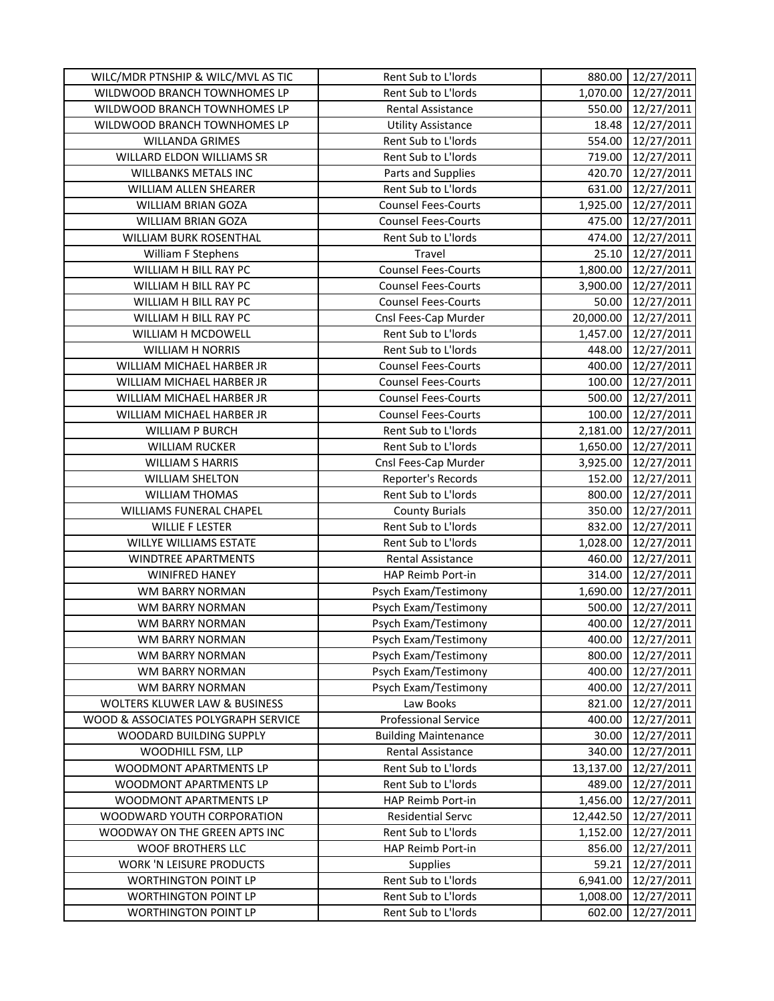| WILC/MDR PTNSHIP & WILC/MVL AS TIC  | Rent Sub to L'Iords         | 880.00    | 12/27/2011 |
|-------------------------------------|-----------------------------|-----------|------------|
| WILDWOOD BRANCH TOWNHOMES LP        | Rent Sub to L'Iords         | 1,070.00  | 12/27/2011 |
| WILDWOOD BRANCH TOWNHOMES LP        | Rental Assistance           | 550.00    | 12/27/2011 |
| WILDWOOD BRANCH TOWNHOMES LP        | <b>Utility Assistance</b>   | 18.48     | 12/27/2011 |
| <b>WILLANDA GRIMES</b>              | Rent Sub to L'Iords         | 554.00    | 12/27/2011 |
| WILLARD ELDON WILLIAMS SR           | Rent Sub to L'Iords         | 719.00    | 12/27/2011 |
| WILLBANKS METALS INC                | Parts and Supplies          | 420.70    | 12/27/2011 |
| WILLIAM ALLEN SHEARER               | Rent Sub to L'Iords         | 631.00    | 12/27/2011 |
| WILLIAM BRIAN GOZA                  | <b>Counsel Fees-Courts</b>  | 1,925.00  | 12/27/2011 |
| WILLIAM BRIAN GOZA                  | <b>Counsel Fees-Courts</b>  | 475.00    | 12/27/2011 |
| WILLIAM BURK ROSENTHAL              | Rent Sub to L'Iords         | 474.00    | 12/27/2011 |
| William F Stephens                  | Travel                      | 25.10     | 12/27/2011 |
| WILLIAM H BILL RAY PC               | <b>Counsel Fees-Courts</b>  | 1,800.00  | 12/27/2011 |
| WILLIAM H BILL RAY PC               | <b>Counsel Fees-Courts</b>  | 3,900.00  | 12/27/2011 |
| WILLIAM H BILL RAY PC               | <b>Counsel Fees-Courts</b>  | 50.00     | 12/27/2011 |
| WILLIAM H BILL RAY PC               | Cnsl Fees-Cap Murder        | 20,000.00 | 12/27/2011 |
| WILLIAM H MCDOWELL                  | Rent Sub to L'Iords         | 1,457.00  | 12/27/2011 |
| <b>WILLIAM H NORRIS</b>             | Rent Sub to L'Iords         | 448.00    | 12/27/2011 |
| WILLIAM MICHAEL HARBER JR           | <b>Counsel Fees-Courts</b>  | 400.00    | 12/27/2011 |
| WILLIAM MICHAEL HARBER JR           | <b>Counsel Fees-Courts</b>  | 100.00    | 12/27/2011 |
| WILLIAM MICHAEL HARBER JR           | <b>Counsel Fees-Courts</b>  | 500.00    | 12/27/2011 |
| WILLIAM MICHAEL HARBER JR           | <b>Counsel Fees-Courts</b>  | 100.00    | 12/27/2011 |
| <b>WILLIAM P BURCH</b>              | Rent Sub to L'Iords         | 2,181.00  | 12/27/2011 |
| <b>WILLIAM RUCKER</b>               | Rent Sub to L'Iords         | 1,650.00  | 12/27/2011 |
| <b>WILLIAM S HARRIS</b>             | Cnsl Fees-Cap Murder        | 3,925.00  | 12/27/2011 |
| <b>WILLIAM SHELTON</b>              | Reporter's Records          | 152.00    | 12/27/2011 |
| <b>WILLIAM THOMAS</b>               | Rent Sub to L'Iords         | 800.00    | 12/27/2011 |
| WILLIAMS FUNERAL CHAPEL             | <b>County Burials</b>       | 350.00    | 12/27/2011 |
| <b>WILLIE F LESTER</b>              | Rent Sub to L'Iords         | 832.00    | 12/27/2011 |
| WILLYE WILLIAMS ESTATE              | Rent Sub to L'Iords         | 1,028.00  | 12/27/2011 |
| WINDTREE APARTMENTS                 | Rental Assistance           | 460.00    | 12/27/2011 |
| <b>WINIFRED HANEY</b>               | HAP Reimb Port-in           | 314.00    | 12/27/2011 |
| WM BARRY NORMAN                     | Psych Exam/Testimony        | 1,690.00  | 12/27/2011 |
| WM BARRY NORMAN                     | Psych Exam/Testimony        | 500.00    | 12/27/2011 |
| WM BARRY NORMAN                     | Psych Exam/Testimony        | 400.00    | 12/27/2011 |
| WM BARRY NORMAN                     | Psych Exam/Testimony        | 400.00    | 12/27/2011 |
| WM BARRY NORMAN                     | Psych Exam/Testimony        | 800.00    | 12/27/2011 |
| WM BARRY NORMAN                     | Psych Exam/Testimony        | 400.00    | 12/27/2011 |
| WM BARRY NORMAN                     | Psych Exam/Testimony        | 400.00    | 12/27/2011 |
| WOLTERS KLUWER LAW & BUSINESS       | Law Books                   | 821.00    | 12/27/2011 |
| WOOD & ASSOCIATES POLYGRAPH SERVICE | <b>Professional Service</b> | 400.00    | 12/27/2011 |
| WOODARD BUILDING SUPPLY             | <b>Building Maintenance</b> | 30.00     | 12/27/2011 |
| WOODHILL FSM, LLP                   | Rental Assistance           | 340.00    | 12/27/2011 |
| WOODMONT APARTMENTS LP              | Rent Sub to L'Iords         | 13,137.00 | 12/27/2011 |
| WOODMONT APARTMENTS LP              | Rent Sub to L'Iords         | 489.00    | 12/27/2011 |
| WOODMONT APARTMENTS LP              | HAP Reimb Port-in           | 1,456.00  | 12/27/2011 |
| WOODWARD YOUTH CORPORATION          | <b>Residential Servc</b>    | 12,442.50 | 12/27/2011 |
| WOODWAY ON THE GREEN APTS INC       | Rent Sub to L'Iords         | 1,152.00  | 12/27/2011 |
| WOOF BROTHERS LLC                   | HAP Reimb Port-in           | 856.00    | 12/27/2011 |
| WORK 'N LEISURE PRODUCTS            | <b>Supplies</b>             | 59.21     | 12/27/2011 |
| <b>WORTHINGTON POINT LP</b>         | Rent Sub to L'Iords         | 6,941.00  | 12/27/2011 |
| <b>WORTHINGTON POINT LP</b>         | Rent Sub to L'Iords         | 1,008.00  | 12/27/2011 |
| <b>WORTHINGTON POINT LP</b>         | Rent Sub to L'Iords         | 602.00    | 12/27/2011 |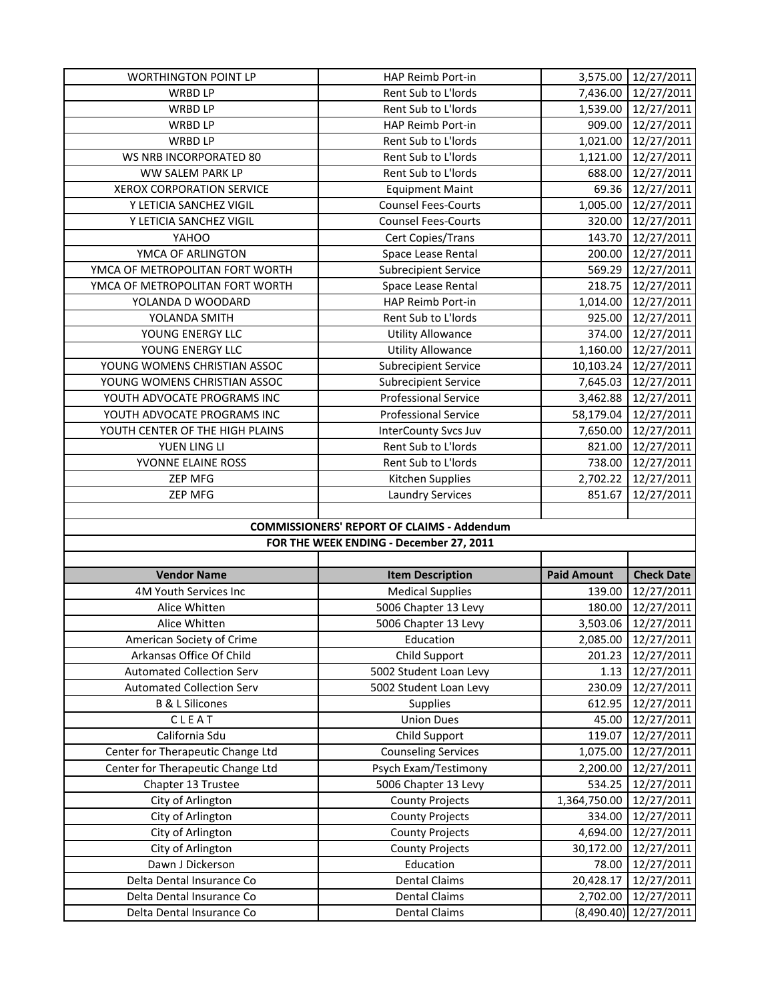| <b>WORTHINGTON POINT LP</b>       | HAP Reimb Port-in                                 | 3,575.00           | 12/27/2011        |
|-----------------------------------|---------------------------------------------------|--------------------|-------------------|
| WRBD LP                           | Rent Sub to L'Iords                               | 7,436.00           | 12/27/2011        |
| <b>WRBD LP</b>                    | Rent Sub to L'Iords                               | 1,539.00           | 12/27/2011        |
| WRBD LP                           | HAP Reimb Port-in                                 | 909.00             | 12/27/2011        |
| <b>WRBD LP</b>                    | Rent Sub to L'Iords                               | 1,021.00           | 12/27/2011        |
| WS NRB INCORPORATED 80            | Rent Sub to L'Iords                               | 1,121.00           | 12/27/2011        |
| WW SALEM PARK LP                  | Rent Sub to L'Iords                               | 688.00             | 12/27/2011        |
| <b>XEROX CORPORATION SERVICE</b>  | <b>Equipment Maint</b>                            | 69.36              | 12/27/2011        |
| Y LETICIA SANCHEZ VIGIL           | <b>Counsel Fees-Courts</b>                        | 1,005.00           | 12/27/2011        |
| Y LETICIA SANCHEZ VIGIL           | <b>Counsel Fees-Courts</b>                        | 320.00             | 12/27/2011        |
| YAHOO                             | Cert Copies/Trans                                 | 143.70             | 12/27/2011        |
| YMCA OF ARLINGTON                 | Space Lease Rental                                | 200.00             | 12/27/2011        |
| YMCA OF METROPOLITAN FORT WORTH   | <b>Subrecipient Service</b>                       | 569.29             | 12/27/2011        |
| YMCA OF METROPOLITAN FORT WORTH   | Space Lease Rental                                | 218.75             | 12/27/2011        |
| YOLANDA D WOODARD                 | HAP Reimb Port-in                                 | 1,014.00           | 12/27/2011        |
| YOLANDA SMITH                     | Rent Sub to L'Iords                               | 925.00             | 12/27/2011        |
| YOUNG ENERGY LLC                  | <b>Utility Allowance</b>                          | 374.00             | 12/27/2011        |
| YOUNG ENERGY LLC                  | <b>Utility Allowance</b>                          | 1,160.00           | 12/27/2011        |
| YOUNG WOMENS CHRISTIAN ASSOC      | <b>Subrecipient Service</b>                       | 10,103.24          | 12/27/2011        |
| YOUNG WOMENS CHRISTIAN ASSOC      | <b>Subrecipient Service</b>                       | 7,645.03           | 12/27/2011        |
| YOUTH ADVOCATE PROGRAMS INC       | <b>Professional Service</b>                       | 3,462.88           | 12/27/2011        |
| YOUTH ADVOCATE PROGRAMS INC       | <b>Professional Service</b>                       | 58,179.04          | 12/27/2011        |
| YOUTH CENTER OF THE HIGH PLAINS   | <b>InterCounty Svcs Juv</b>                       | 7,650.00           | 12/27/2011        |
| YUEN LING LI                      | Rent Sub to L'Iords                               | 821.00             | 12/27/2011        |
| YVONNE ELAINE ROSS                | Rent Sub to L'Iords                               | 738.00             | 12/27/2011        |
| ZEP MFG                           | Kitchen Supplies                                  | 2,702.22           | 12/27/2011        |
|                                   |                                                   | 851.67             | 12/27/2011        |
| <b>ZEP MFG</b>                    | <b>Laundry Services</b>                           |                    |                   |
|                                   |                                                   |                    |                   |
|                                   | <b>COMMISSIONERS' REPORT OF CLAIMS - Addendum</b> |                    |                   |
|                                   | FOR THE WEEK ENDING - December 27, 2011           |                    |                   |
|                                   |                                                   |                    |                   |
| <b>Vendor Name</b>                | <b>Item Description</b>                           | <b>Paid Amount</b> | <b>Check Date</b> |
| 4M Youth Services Inc             | <b>Medical Supplies</b>                           | 139.00             | 12/27/2011        |
| Alice Whitten                     | 5006 Chapter 13 Levy                              | 180.00             | 12/27/2011        |
| Alice Whitten                     | 5006 Chapter 13 Levy                              | 3,503.06           | 12/27/2011        |
| American Society of Crime         | Education                                         | 2,085.00           | 12/27/2011        |
| Arkansas Office Of Child          | Child Support                                     | 201.23             | 12/27/2011        |
| <b>Automated Collection Serv</b>  | 5002 Student Loan Levy                            | 1.13               | 12/27/2011        |
| <b>Automated Collection Serv</b>  | 5002 Student Loan Levy                            | 230.09             | 12/27/2011        |
| <b>B &amp; L Silicones</b>        | <b>Supplies</b>                                   | 612.95             | 12/27/2011        |
| CLEAT                             | <b>Union Dues</b>                                 | 45.00              | 12/27/2011        |
| California Sdu                    | Child Support                                     | 119.07             | 12/27/2011        |
| Center for Therapeutic Change Ltd | <b>Counseling Services</b>                        | 1,075.00           | 12/27/2011        |
| Center for Therapeutic Change Ltd | Psych Exam/Testimony                              | 2,200.00           | 12/27/2011        |
| Chapter 13 Trustee                | 5006 Chapter 13 Levy                              | 534.25             | 12/27/2011        |
| City of Arlington                 | <b>County Projects</b>                            | 1,364,750.00       | 12/27/2011        |
| City of Arlington                 | <b>County Projects</b>                            | 334.00             | 12/27/2011        |
| City of Arlington                 | <b>County Projects</b>                            | 4,694.00           | 12/27/2011        |
| City of Arlington                 | <b>County Projects</b>                            | 30,172.00          | 12/27/2011        |
| Dawn J Dickerson                  | Education                                         | 78.00              | 12/27/2011        |
| Delta Dental Insurance Co         | <b>Dental Claims</b>                              | 20,428.17          | 12/27/2011        |
| Delta Dental Insurance Co         | <b>Dental Claims</b>                              | 2,702.00           | 12/27/2011        |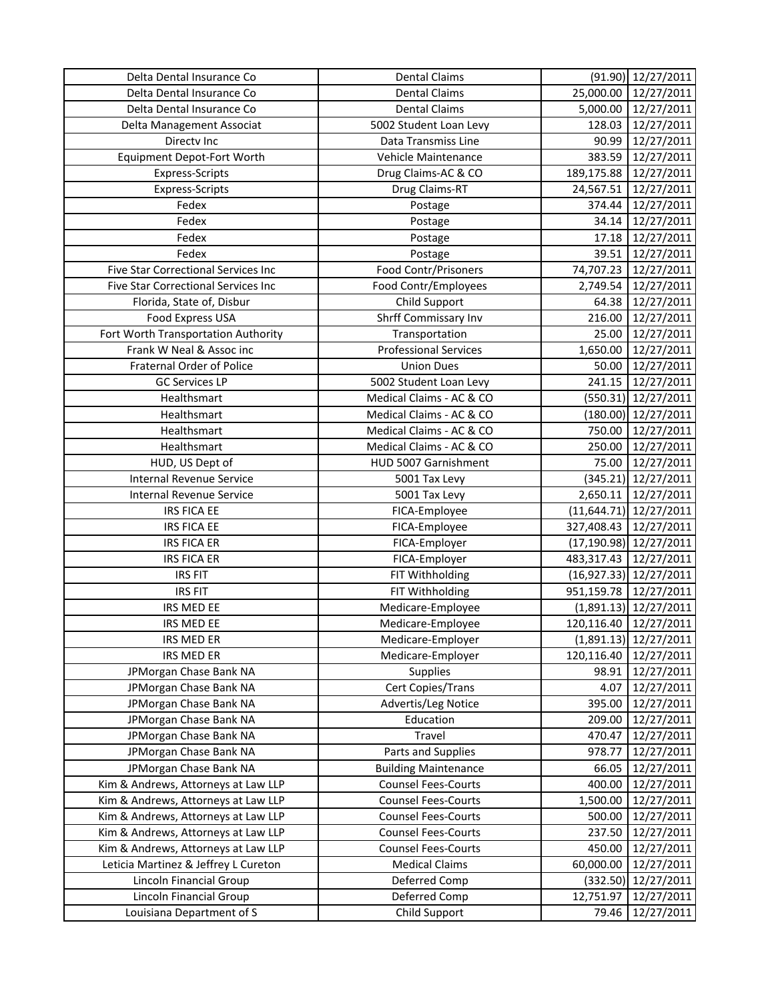| Delta Dental Insurance Co                  | <b>Dental Claims</b>        |              | $(91.90)$ 12/27/2011     |
|--------------------------------------------|-----------------------------|--------------|--------------------------|
| Delta Dental Insurance Co                  | <b>Dental Claims</b>        | 25,000.00    | 12/27/2011               |
| Delta Dental Insurance Co                  | <b>Dental Claims</b>        | 5,000.00     | 12/27/2011               |
| Delta Management Associat                  | 5002 Student Loan Levy      | 128.03       | 12/27/2011               |
| Directv Inc                                | Data Transmiss Line         | 90.99        | 12/27/2011               |
| <b>Equipment Depot-Fort Worth</b>          | Vehicle Maintenance         | 383.59       | 12/27/2011               |
| <b>Express-Scripts</b>                     | Drug Claims-AC & CO         | 189,175.88   | 12/27/2011               |
| Express-Scripts                            | Drug Claims-RT              | 24,567.51    | 12/27/2011               |
| Fedex                                      | Postage                     | 374.44       | 12/27/2011               |
| Fedex                                      | Postage                     | 34.14        | 12/27/2011               |
| Fedex                                      | Postage                     | 17.18        | 12/27/2011               |
| Fedex                                      | Postage                     | 39.51        | 12/27/2011               |
| <b>Five Star Correctional Services Inc</b> | Food Contr/Prisoners        | 74,707.23    | 12/27/2011               |
| Five Star Correctional Services Inc        | Food Contr/Employees        | 2,749.54     | 12/27/2011               |
| Florida, State of, Disbur                  | Child Support               | 64.38        | 12/27/2011               |
| <b>Food Express USA</b>                    | Shrff Commissary Inv        | 216.00       | 12/27/2011               |
| Fort Worth Transportation Authority        | Transportation              | 25.00        | 12/27/2011               |
| Frank W Neal & Assoc inc                   | Professional Services       | 1,650.00     | 12/27/2011               |
| Fraternal Order of Police                  | <b>Union Dues</b>           | 50.00        | 12/27/2011               |
| <b>GC Services LP</b>                      | 5002 Student Loan Levy      | 241.15       | 12/27/2011               |
| Healthsmart                                | Medical Claims - AC & CO    | (550.31)     | 12/27/2011               |
| Healthsmart                                | Medical Claims - AC & CO    | (180.00)     | 12/27/2011               |
| Healthsmart                                | Medical Claims - AC & CO    | 750.00       | 12/27/2011               |
| Healthsmart                                | Medical Claims - AC & CO    | 250.00       | 12/27/2011               |
| HUD, US Dept of                            | HUD 5007 Garnishment        | 75.00        | 12/27/2011               |
| <b>Internal Revenue Service</b>            | 5001 Tax Levy               | (345.21)     | 12/27/2011               |
| <b>Internal Revenue Service</b>            | 5001 Tax Levy               | 2,650.11     | 12/27/2011               |
| <b>IRS FICA EE</b>                         | FICA-Employee               | (11, 644.71) | 12/27/2011               |
| <b>IRS FICA EE</b>                         | FICA-Employee               | 327,408.43   | 12/27/2011               |
| <b>IRS FICA ER</b>                         | FICA-Employer               | (17, 190.98) | 12/27/2011               |
| <b>IRS FICA ER</b>                         | FICA-Employer               | 483,317.43   | 12/27/2011               |
| <b>IRS FIT</b>                             | FIT Withholding             |              | $(16,927.33)$ 12/27/2011 |
| <b>IRS FIT</b>                             | FIT Withholding             | 951,159.78   | 12/27/2011               |
| IRS MED EE                                 | Medicare-Employee           | (1,891.13)   | 12/27/2011               |
| IRS MED EE                                 | Medicare-Employee           | 120,116.40   | 12/27/2011               |
| IRS MED ER                                 | Medicare-Employer           |              | $(1,891.13)$ 12/27/2011  |
| IRS MED ER                                 | Medicare-Employer           | 120,116.40   | 12/27/2011               |
| JPMorgan Chase Bank NA                     | <b>Supplies</b>             | 98.91        | 12/27/2011               |
| JPMorgan Chase Bank NA                     | Cert Copies/Trans           | 4.07         | 12/27/2011               |
| JPMorgan Chase Bank NA                     | Advertis/Leg Notice         | 395.00       | 12/27/2011               |
| JPMorgan Chase Bank NA                     | Education                   | 209.00       | 12/27/2011               |
| JPMorgan Chase Bank NA                     | Travel                      | 470.47       | 12/27/2011               |
| JPMorgan Chase Bank NA                     | Parts and Supplies          | 978.77       | 12/27/2011               |
| JPMorgan Chase Bank NA                     | <b>Building Maintenance</b> | 66.05        | 12/27/2011               |
| Kim & Andrews, Attorneys at Law LLP        | <b>Counsel Fees-Courts</b>  | 400.00       | 12/27/2011               |
| Kim & Andrews, Attorneys at Law LLP        | <b>Counsel Fees-Courts</b>  | 1,500.00     | 12/27/2011               |
| Kim & Andrews, Attorneys at Law LLP        | <b>Counsel Fees-Courts</b>  | 500.00       | 12/27/2011               |
| Kim & Andrews, Attorneys at Law LLP        | <b>Counsel Fees-Courts</b>  | 237.50       | 12/27/2011               |
| Kim & Andrews, Attorneys at Law LLP        | <b>Counsel Fees-Courts</b>  | 450.00       | 12/27/2011               |
| Leticia Martinez & Jeffrey L Cureton       | <b>Medical Claims</b>       | 60,000.00    | 12/27/2011               |
| Lincoln Financial Group                    | Deferred Comp               | (332.50)     | 12/27/2011               |
| Lincoln Financial Group                    | Deferred Comp               | 12,751.97    | 12/27/2011               |
| Louisiana Department of S                  | Child Support               | 79.46        | 12/27/2011               |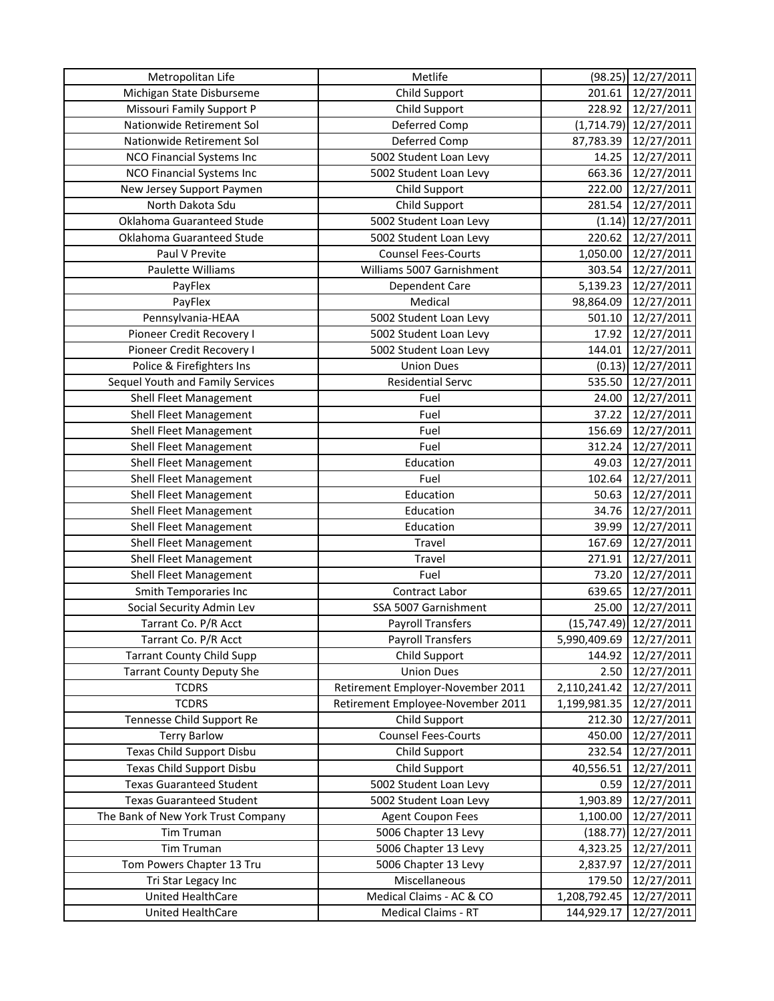| Metropolitan Life                  | Metlife                           | (98.25)      | 12/27/2011              |
|------------------------------------|-----------------------------------|--------------|-------------------------|
| Michigan State Disburseme          | Child Support                     | 201.61       | 12/27/2011              |
| Missouri Family Support P          | Child Support                     | 228.92       | 12/27/2011              |
| Nationwide Retirement Sol          | Deferred Comp                     |              | $(1,714.79)$ 12/27/2011 |
| Nationwide Retirement Sol          | Deferred Comp                     | 87,783.39    | 12/27/2011              |
| NCO Financial Systems Inc          | 5002 Student Loan Levy            | 14.25        | 12/27/2011              |
| <b>NCO Financial Systems Inc</b>   | 5002 Student Loan Levy            | 663.36       | 12/27/2011              |
| New Jersey Support Paymen          | Child Support                     | 222.00       | 12/27/2011              |
| North Dakota Sdu                   | Child Support                     | 281.54       | 12/27/2011              |
| Oklahoma Guaranteed Stude          | 5002 Student Loan Levy            | (1.14)       | 12/27/2011              |
| Oklahoma Guaranteed Stude          | 5002 Student Loan Levy            | 220.62       | 12/27/2011              |
| Paul V Previte                     | <b>Counsel Fees-Courts</b>        | 1,050.00     | 12/27/2011              |
| Paulette Williams                  | Williams 5007 Garnishment         | 303.54       | 12/27/2011              |
| PayFlex                            | Dependent Care                    | 5,139.23     | 12/27/2011              |
| PayFlex                            | Medical                           | 98,864.09    | 12/27/2011              |
| Pennsylvania-HEAA                  | 5002 Student Loan Levy            | 501.10       | 12/27/2011              |
| Pioneer Credit Recovery I          | 5002 Student Loan Levy            | 17.92        | 12/27/2011              |
| Pioneer Credit Recovery I          | 5002 Student Loan Levy            | 144.01       | 12/27/2011              |
| Police & Firefighters Ins          | <b>Union Dues</b>                 | (0.13)       | 12/27/2011              |
| Sequel Youth and Family Services   | <b>Residential Servc</b>          | 535.50       | 12/27/2011              |
| <b>Shell Fleet Management</b>      | Fuel                              | 24.00        | 12/27/2011              |
| <b>Shell Fleet Management</b>      | Fuel                              | 37.22        | 12/27/2011              |
| <b>Shell Fleet Management</b>      | Fuel                              | 156.69       | 12/27/2011              |
| Shell Fleet Management             | Fuel                              | 312.24       | 12/27/2011              |
| <b>Shell Fleet Management</b>      | Education                         | 49.03        | 12/27/2011              |
| Shell Fleet Management             | Fuel                              | 102.64       | 12/27/2011              |
| <b>Shell Fleet Management</b>      | Education                         | 50.63        | 12/27/2011              |
| Shell Fleet Management             | Education                         | 34.76        | 12/27/2011              |
| Shell Fleet Management             | Education                         | 39.99        | 12/27/2011              |
| Shell Fleet Management             | Travel                            | 167.69       | 12/27/2011              |
| <b>Shell Fleet Management</b>      | Travel                            | 271.91       | 12/27/2011              |
| Shell Fleet Management             | Fuel                              | 73.20        | 12/27/2011              |
| Smith Temporaries Inc              | Contract Labor                    | 639.65       | 12/27/2011              |
| Social Security Admin Lev          | SSA 5007 Garnishment              | 25.00        | 12/27/2011              |
| Tarrant Co. P/R Acct               | <b>Payroll Transfers</b>          | (15, 747.49) | 12/27/2011              |
| Tarrant Co. P/R Acct               | <b>Payroll Transfers</b>          | 5,990,409.69 | 12/27/2011              |
| <b>Tarrant County Child Supp</b>   | Child Support                     | 144.92       | 12/27/2011              |
| <b>Tarrant County Deputy She</b>   | <b>Union Dues</b>                 | 2.50         | 12/27/2011              |
| <b>TCDRS</b>                       | Retirement Employer-November 2011 | 2,110,241.42 | 12/27/2011              |
| <b>TCDRS</b>                       | Retirement Employee-November 2011 | 1,199,981.35 | 12/27/2011              |
| Tennesse Child Support Re          | Child Support                     | 212.30       | 12/27/2011              |
| <b>Terry Barlow</b>                | <b>Counsel Fees-Courts</b>        | 450.00       | 12/27/2011              |
| <b>Texas Child Support Disbu</b>   | Child Support                     | 232.54       | 12/27/2011              |
| Texas Child Support Disbu          | Child Support                     | 40,556.51    | 12/27/2011              |
| <b>Texas Guaranteed Student</b>    | 5002 Student Loan Levy            | 0.59         | 12/27/2011              |
| <b>Texas Guaranteed Student</b>    | 5002 Student Loan Levy            | 1,903.89     | 12/27/2011              |
| The Bank of New York Trust Company | <b>Agent Coupon Fees</b>          | 1,100.00     | 12/27/2011              |
| Tim Truman                         | 5006 Chapter 13 Levy              | (188.77)     | 12/27/2011              |
| Tim Truman                         | 5006 Chapter 13 Levy              | 4,323.25     | 12/27/2011              |
| Tom Powers Chapter 13 Tru          | 5006 Chapter 13 Levy              | 2,837.97     | 12/27/2011              |
| Tri Star Legacy Inc                | Miscellaneous                     | 179.50       | 12/27/2011              |
| United HealthCare                  | Medical Claims - AC & CO          | 1,208,792.45 | 12/27/2011              |
| United HealthCare                  | Medical Claims - RT               | 144,929.17   | 12/27/2011              |